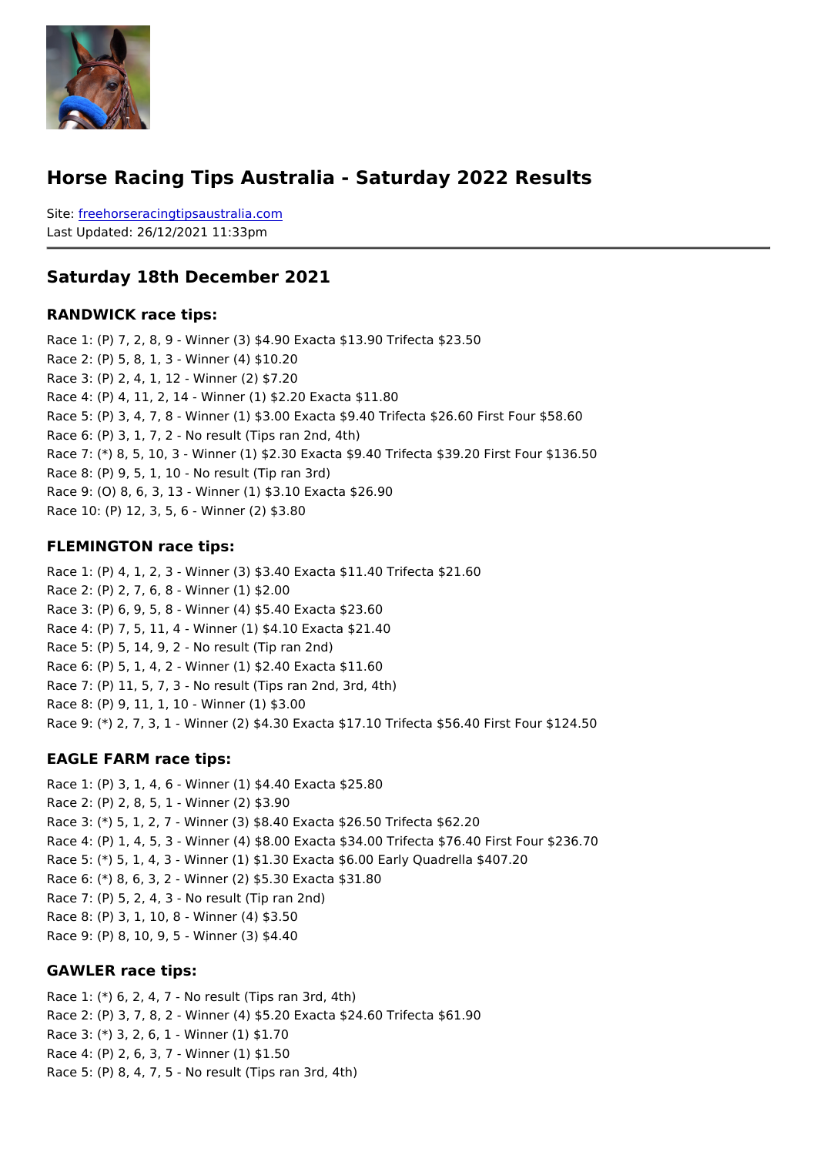#### Horse Racing Tips Australia - Saturday 2022 Results

Sitefreehorseracingtipsaustralia.com Last Updated: 26/12/2021 11:33pm

#### Saturday 18th December 2021

RANDWICK race tips:

Race 1: (P) 7, 2, 8, 9 - Winner (3) \$4.90 Exacta \$13.90 Trifecta \$23.50 Race 2: (P) 5, 8, 1, 3 - Winner (4) \$10.20 Race 3: (P) 2, 4, 1, 12 - Winner (2) \$7.20 Race 4: (P) 4, 11, 2, 14 - Winner (1) \$2.20 Exacta \$11.80 Race 5: (P) 3, 4, 7, 8 - Winner (1) \$3.00 Exacta \$9.40 Trifecta \$26.60 First Four \$58.60 Race 6: (P) 3, 1, 7, 2 - No result (Tips ran 2nd, 4th) Race 7: (\*) 8, 5, 10, 3 - Winner (1) \$2.30 Exacta \$9.40 Trifecta \$39.20 First Four \$136 Race 8: (P) 9, 5, 1, 10 - No result (Tip ran 3rd) Race 9: (O) 8, 6, 3, 13 - Winner (1) \$3.10 Exacta \$26.90 Race 10: (P) 12, 3, 5, 6 - Winner (2) \$3.80

#### FLEMINGTON race tips:

Race 1: (P) 4, 1, 2, 3 - Winner (3) \$3.40 Exacta \$11.40 Trifecta \$21.60 Race 2: (P) 2, 7, 6, 8 - Winner (1) \$2.00 Race 3: (P) 6, 9, 5, 8 - Winner (4) \$5.40 Exacta \$23.60 Race 4: (P) 7, 5, 11, 4 - Winner (1) \$4.10 Exacta \$21.40 Race 5: (P) 5, 14, 9, 2 - No result (Tip ran 2nd) Race 6: (P) 5, 1, 4, 2 - Winner (1) \$2.40 Exacta \$11.60 Race 7: (P) 11, 5, 7, 3 - No result (Tips ran 2nd, 3rd, 4th) Race 8: (P) 9, 11, 1, 10 - Winner (1) \$3.00 Race 9: (\*) 2, 7, 3, 1 - Winner (2) \$4.30 Exacta \$17.10 Trifecta \$56.40 First Four \$124

EAGLE FARM race tips:

```
Race 1: (P) 3, 1, 4, 6 - Winner (1) $4.40 Exacta $25.80
Race 2: (P) 2, 8, 5, 1 - Winner (2) $3.90
Race 3: (*) 5, 1, 2, 7 - Winner (3) $8.40 Exacta $26.50 Trifecta $62.20
Race 4: (P) 1, 4, 5, 3 - Winner (4) $8.00 Exacta $34.00 Trifecta $76.40 First Four $236.70
Race 5: (*) 5, 1, 4, 3 - Winner (1) $1.30 Exacta $6.00 Early Quadrella $407.20
Race 6: (*) 8, 6, 3, 2 - Winner (2) $5.30 Exacta $31.80
Race 7: (P) 5, 2, 4, 3 - No result (Tip ran 2nd)
Race 8: (P) 3, 1, 10, 8 - Winner (4) $3.50
Race 9: (P) 8, 10, 9, 5 - Winner (3) $4.40
```
GAWLER race tips:

Race 1: (\*) 6, 2, 4, 7 - No result (Tips ran 3rd, 4th) Race 2: (P) 3, 7, 8, 2 - Winner (4) \$5.20 Exacta \$24.60 Trifecta \$61.90 Race 3: (\*) 3, 2, 6, 1 - Winner (1) \$1.70 Race 4: (P) 2, 6, 3, 7 - Winner (1) \$1.50 Race 5: (P) 8, 4, 7, 5 - No result (Tips ran 3rd, 4th)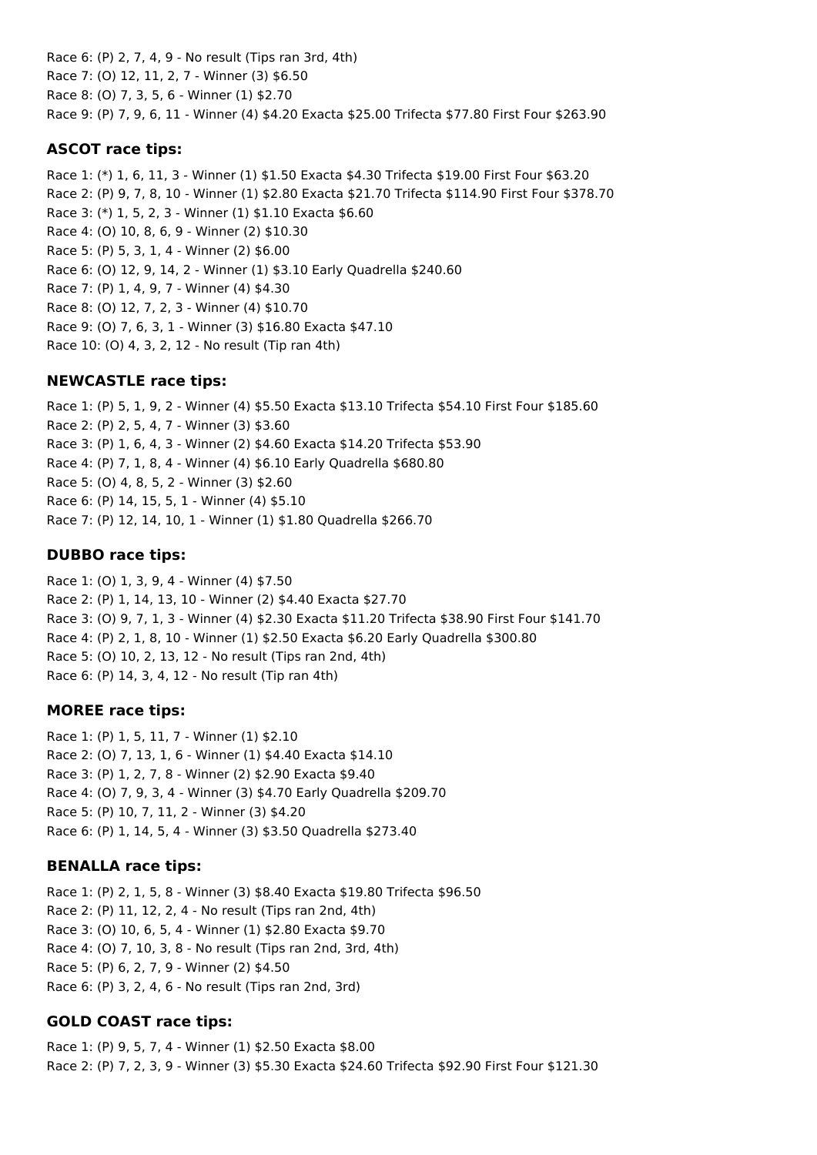Race 6: (P) 2, 7, 4, 9 - No result (Tips ran 3rd, 4th) Race 7: (O) 12, 11, 2, 7 - Winner (3) \$6.50 Race 8: (O) 7, 3, 5, 6 - Winner (1) \$2.70 Race 9: (P) 7, 9, 6, 11 - Winner (4) \$4.20 Exacta \$25.00 Trifecta \$77.80 First Four \$263.90

### **ASCOT race tips:**

Race 1: (\*) 1, 6, 11, 3 - Winner (1) \$1.50 Exacta \$4.30 Trifecta \$19.00 First Four \$63.20 Race 2: (P) 9, 7, 8, 10 - Winner (1) \$2.80 Exacta \$21.70 Trifecta \$114.90 First Four \$378.70 Race 3: (\*) 1, 5, 2, 3 - Winner (1) \$1.10 Exacta \$6.60 Race 4: (O) 10, 8, 6, 9 - Winner (2) \$10.30 Race 5: (P) 5, 3, 1, 4 - Winner (2) \$6.00 Race 6: (O) 12, 9, 14, 2 - Winner (1) \$3.10 Early Quadrella \$240.60 Race 7: (P) 1, 4, 9, 7 - Winner (4) \$4.30 Race 8: (O) 12, 7, 2, 3 - Winner (4) \$10.70 Race 9: (O) 7, 6, 3, 1 - Winner (3) \$16.80 Exacta \$47.10 Race 10: (O) 4, 3, 2, 12 - No result (Tip ran 4th)

## **NEWCASTLE race tips:**

Race 1: (P) 5, 1, 9, 2 - Winner (4) \$5.50 Exacta \$13.10 Trifecta \$54.10 First Four \$185.60 Race 2: (P) 2, 5, 4, 7 - Winner (3) \$3.60 Race 3: (P) 1, 6, 4, 3 - Winner (2) \$4.60 Exacta \$14.20 Trifecta \$53.90 Race 4: (P) 7, 1, 8, 4 - Winner (4) \$6.10 Early Quadrella \$680.80 Race 5: (O) 4, 8, 5, 2 - Winner (3) \$2.60 Race 6: (P) 14, 15, 5, 1 - Winner (4) \$5.10 Race 7: (P) 12, 14, 10, 1 - Winner (1) \$1.80 Quadrella \$266.70

## **DUBBO race tips:**

Race 1: (O) 1, 3, 9, 4 - Winner (4) \$7.50 Race 2: (P) 1, 14, 13, 10 - Winner (2) \$4.40 Exacta \$27.70 Race 3: (O) 9, 7, 1, 3 - Winner (4) \$2.30 Exacta \$11.20 Trifecta \$38.90 First Four \$141.70 Race 4: (P) 2, 1, 8, 10 - Winner (1) \$2.50 Exacta \$6.20 Early Quadrella \$300.80 Race 5: (O) 10, 2, 13, 12 - No result (Tips ran 2nd, 4th) Race 6: (P) 14, 3, 4, 12 - No result (Tip ran 4th)

### **MOREE race tips:**

Race 1: (P) 1, 5, 11, 7 - Winner (1) \$2.10 Race 2: (O) 7, 13, 1, 6 - Winner (1) \$4.40 Exacta \$14.10 Race 3: (P) 1, 2, 7, 8 - Winner (2) \$2.90 Exacta \$9.40 Race 4: (O) 7, 9, 3, 4 - Winner (3) \$4.70 Early Quadrella \$209.70 Race 5: (P) 10, 7, 11, 2 - Winner (3) \$4.20 Race 6: (P) 1, 14, 5, 4 - Winner (3) \$3.50 Quadrella \$273.40

## **BENALLA race tips:**

Race 1: (P) 2, 1, 5, 8 - Winner (3) \$8.40 Exacta \$19.80 Trifecta \$96.50 Race 2: (P) 11, 12, 2, 4 - No result (Tips ran 2nd, 4th) Race 3: (O) 10, 6, 5, 4 - Winner (1) \$2.80 Exacta \$9.70 Race 4: (O) 7, 10, 3, 8 - No result (Tips ran 2nd, 3rd, 4th) Race 5: (P) 6, 2, 7, 9 - Winner (2) \$4.50 Race 6: (P) 3, 2, 4, 6 - No result (Tips ran 2nd, 3rd)

## **GOLD COAST race tips:**

Race 1: (P) 9, 5, 7, 4 - Winner (1) \$2.50 Exacta \$8.00 Race 2: (P) 7, 2, 3, 9 - Winner (3) \$5.30 Exacta \$24.60 Trifecta \$92.90 First Four \$121.30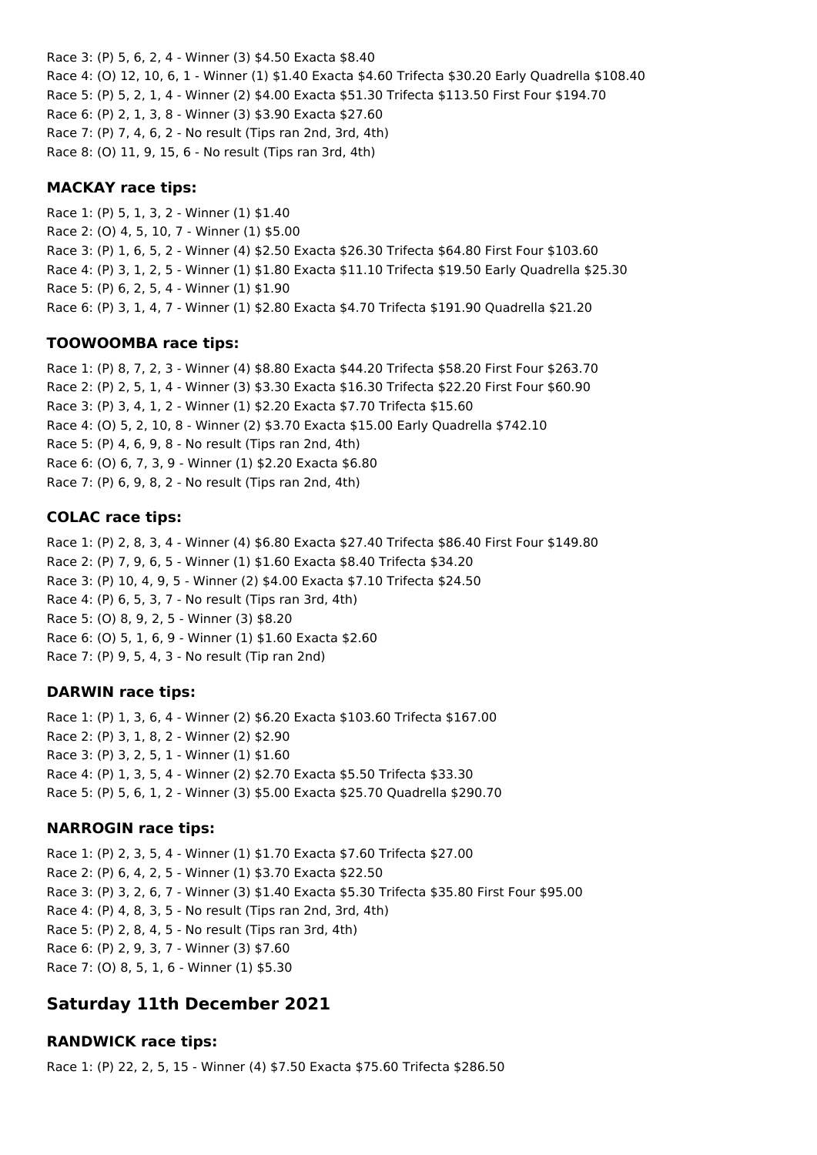Race 3: (P) 5, 6, 2, 4 - Winner (3) \$4.50 Exacta \$8.40 Race 4: (O) 12, 10, 6, 1 - Winner (1) \$1.40 Exacta \$4.60 Trifecta \$30.20 Early Quadrella \$108.40 Race 5: (P) 5, 2, 1, 4 - Winner (2) \$4.00 Exacta \$51.30 Trifecta \$113.50 First Four \$194.70 Race 6: (P) 2, 1, 3, 8 - Winner (3) \$3.90 Exacta \$27.60 Race 7: (P) 7, 4, 6, 2 - No result (Tips ran 2nd, 3rd, 4th) Race 8: (O) 11, 9, 15, 6 - No result (Tips ran 3rd, 4th)

#### **MACKAY race tips:**

Race 1: (P) 5, 1, 3, 2 - Winner (1) \$1.40 Race 2: (O) 4, 5, 10, 7 - Winner (1) \$5.00 Race 3: (P) 1, 6, 5, 2 - Winner (4) \$2.50 Exacta \$26.30 Trifecta \$64.80 First Four \$103.60 Race 4: (P) 3, 1, 2, 5 - Winner (1) \$1.80 Exacta \$11.10 Trifecta \$19.50 Early Quadrella \$25.30 Race 5: (P) 6, 2, 5, 4 - Winner (1) \$1.90 Race 6: (P) 3, 1, 4, 7 - Winner (1) \$2.80 Exacta \$4.70 Trifecta \$191.90 Quadrella \$21.20

#### **TOOWOOMBA race tips:**

Race 1: (P) 8, 7, 2, 3 - Winner (4) \$8.80 Exacta \$44.20 Trifecta \$58.20 First Four \$263.70 Race 2: (P) 2, 5, 1, 4 - Winner (3) \$3.30 Exacta \$16.30 Trifecta \$22.20 First Four \$60.90 Race 3: (P) 3, 4, 1, 2 - Winner (1) \$2.20 Exacta \$7.70 Trifecta \$15.60 Race 4: (O) 5, 2, 10, 8 - Winner (2) \$3.70 Exacta \$15.00 Early Quadrella \$742.10 Race 5: (P) 4, 6, 9, 8 - No result (Tips ran 2nd, 4th) Race 6: (O) 6, 7, 3, 9 - Winner (1) \$2.20 Exacta \$6.80 Race 7: (P) 6, 9, 8, 2 - No result (Tips ran 2nd, 4th)

### **COLAC race tips:**

Race 1: (P) 2, 8, 3, 4 - Winner (4) \$6.80 Exacta \$27.40 Trifecta \$86.40 First Four \$149.80 Race 2: (P) 7, 9, 6, 5 - Winner (1) \$1.60 Exacta \$8.40 Trifecta \$34.20 Race 3: (P) 10, 4, 9, 5 - Winner (2) \$4.00 Exacta \$7.10 Trifecta \$24.50 Race 4: (P) 6, 5, 3, 7 - No result (Tips ran 3rd, 4th) Race 5: (O) 8, 9, 2, 5 - Winner (3) \$8.20 Race 6: (O) 5, 1, 6, 9 - Winner (1) \$1.60 Exacta \$2.60 Race 7: (P) 9, 5, 4, 3 - No result (Tip ran 2nd)

### **DARWIN race tips:**

Race 1: (P) 1, 3, 6, 4 - Winner (2) \$6.20 Exacta \$103.60 Trifecta \$167.00 Race 2: (P) 3, 1, 8, 2 - Winner (2) \$2.90 Race 3: (P) 3, 2, 5, 1 - Winner (1) \$1.60 Race 4: (P) 1, 3, 5, 4 - Winner (2) \$2.70 Exacta \$5.50 Trifecta \$33.30 Race 5: (P) 5, 6, 1, 2 - Winner (3) \$5.00 Exacta \$25.70 Quadrella \$290.70

### **NARROGIN race tips:**

Race 1: (P) 2, 3, 5, 4 - Winner (1) \$1.70 Exacta \$7.60 Trifecta \$27.00 Race 2: (P) 6, 4, 2, 5 - Winner (1) \$3.70 Exacta \$22.50 Race 3: (P) 3, 2, 6, 7 - Winner (3) \$1.40 Exacta \$5.30 Trifecta \$35.80 First Four \$95.00 Race 4: (P) 4, 8, 3, 5 - No result (Tips ran 2nd, 3rd, 4th) Race 5: (P) 2, 8, 4, 5 - No result (Tips ran 3rd, 4th) Race 6: (P) 2, 9, 3, 7 - Winner (3) \$7.60 Race 7: (O) 8, 5, 1, 6 - Winner (1) \$5.30

# **Saturday 11th December 2021**

### **RANDWICK race tips:**

Race 1: (P) 22, 2, 5, 15 - Winner (4) \$7.50 Exacta \$75.60 Trifecta \$286.50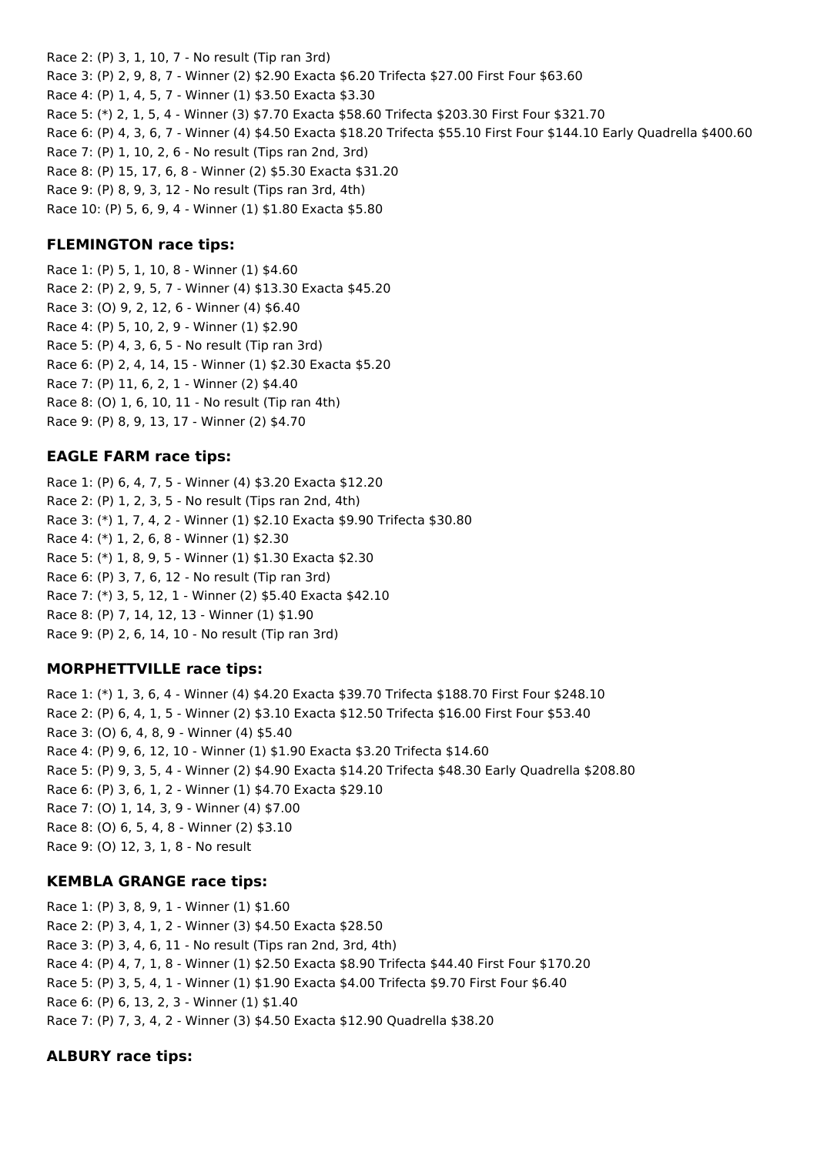Race 2: (P) 3, 1, 10, 7 - No result (Tip ran 3rd) Race 3: (P) 2, 9, 8, 7 - Winner (2) \$2.90 Exacta \$6.20 Trifecta \$27.00 First Four \$63.60 Race 4: (P) 1, 4, 5, 7 - Winner (1) \$3.50 Exacta \$3.30 Race 5: (\*) 2, 1, 5, 4 - Winner (3) \$7.70 Exacta \$58.60 Trifecta \$203.30 First Four \$321.70 Race 6: (P) 4, 3, 6, 7 - Winner (4) \$4.50 Exacta \$18.20 Trifecta \$55.10 First Four \$144.10 Early Quadrella \$400.60 Race 7: (P) 1, 10, 2, 6 - No result (Tips ran 2nd, 3rd) Race 8: (P) 15, 17, 6, 8 - Winner (2) \$5.30 Exacta \$31.20 Race 9: (P) 8, 9, 3, 12 - No result (Tips ran 3rd, 4th) Race 10: (P) 5, 6, 9, 4 - Winner (1) \$1.80 Exacta \$5.80

#### **FLEMINGTON race tips:**

Race 1: (P) 5, 1, 10, 8 - Winner (1) \$4.60 Race 2: (P) 2, 9, 5, 7 - Winner (4) \$13.30 Exacta \$45.20 Race 3: (O) 9, 2, 12, 6 - Winner (4) \$6.40 Race 4: (P) 5, 10, 2, 9 - Winner (1) \$2.90 Race 5: (P) 4, 3, 6, 5 - No result (Tip ran 3rd) Race 6: (P) 2, 4, 14, 15 - Winner (1) \$2.30 Exacta \$5.20 Race 7: (P) 11, 6, 2, 1 - Winner (2) \$4.40 Race 8: (O) 1, 6, 10, 11 - No result (Tip ran 4th) Race 9: (P) 8, 9, 13, 17 - Winner (2) \$4.70

#### **EAGLE FARM race tips:**

Race 1: (P) 6, 4, 7, 5 - Winner (4) \$3.20 Exacta \$12.20 Race 2: (P) 1, 2, 3, 5 - No result (Tips ran 2nd, 4th) Race 3: (\*) 1, 7, 4, 2 - Winner (1) \$2.10 Exacta \$9.90 Trifecta \$30.80 Race 4: (\*) 1, 2, 6, 8 - Winner (1) \$2.30 Race 5: (\*) 1, 8, 9, 5 - Winner (1) \$1.30 Exacta \$2.30 Race 6: (P) 3, 7, 6, 12 - No result (Tip ran 3rd) Race 7: (\*) 3, 5, 12, 1 - Winner (2) \$5.40 Exacta \$42.10 Race 8: (P) 7, 14, 12, 13 - Winner (1) \$1.90 Race 9: (P) 2, 6, 14, 10 - No result (Tip ran 3rd)

### **MORPHETTVILLE race tips:**

Race 1: (\*) 1, 3, 6, 4 - Winner (4) \$4.20 Exacta \$39.70 Trifecta \$188.70 First Four \$248.10 Race 2: (P) 6, 4, 1, 5 - Winner (2) \$3.10 Exacta \$12.50 Trifecta \$16.00 First Four \$53.40 Race 3: (O) 6, 4, 8, 9 - Winner (4) \$5.40 Race 4: (P) 9, 6, 12, 10 - Winner (1) \$1.90 Exacta \$3.20 Trifecta \$14.60 Race 5: (P) 9, 3, 5, 4 - Winner (2) \$4.90 Exacta \$14.20 Trifecta \$48.30 Early Quadrella \$208.80 Race 6: (P) 3, 6, 1, 2 - Winner (1) \$4.70 Exacta \$29.10 Race 7: (O) 1, 14, 3, 9 - Winner (4) \$7.00 Race 8: (O) 6, 5, 4, 8 - Winner (2) \$3.10 Race 9: (O) 12, 3, 1, 8 - No result

### **KEMBLA GRANGE race tips:**

Race 1: (P) 3, 8, 9, 1 - Winner (1) \$1.60 Race 2: (P) 3, 4, 1, 2 - Winner (3) \$4.50 Exacta \$28.50 Race 3: (P) 3, 4, 6, 11 - No result (Tips ran 2nd, 3rd, 4th) Race 4: (P) 4, 7, 1, 8 - Winner (1) \$2.50 Exacta \$8.90 Trifecta \$44.40 First Four \$170.20 Race 5: (P) 3, 5, 4, 1 - Winner (1) \$1.90 Exacta \$4.00 Trifecta \$9.70 First Four \$6.40 Race 6: (P) 6, 13, 2, 3 - Winner (1) \$1.40 Race 7: (P) 7, 3, 4, 2 - Winner (3) \$4.50 Exacta \$12.90 Quadrella \$38.20

#### **ALBURY race tips:**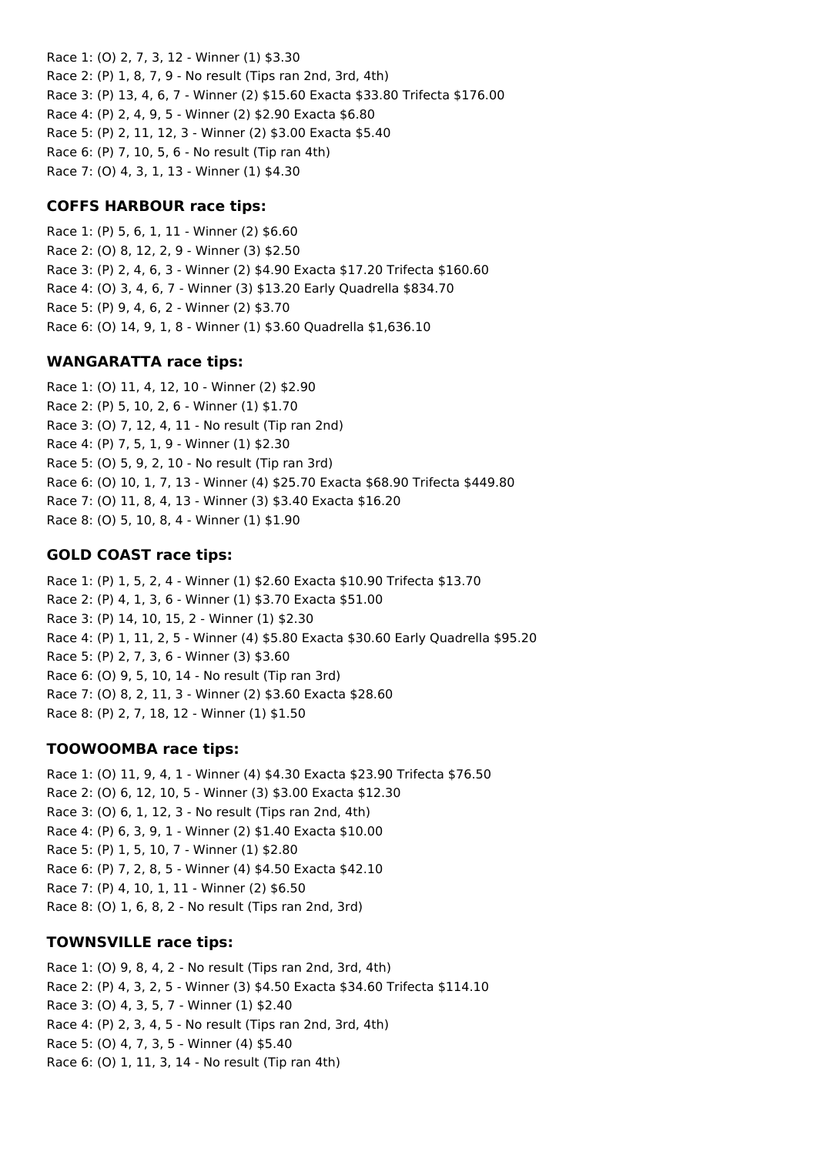Race 1: (O) 2, 7, 3, 12 - Winner (1) \$3.30 Race 2: (P) 1, 8, 7, 9 - No result (Tips ran 2nd, 3rd, 4th) Race 3: (P) 13, 4, 6, 7 - Winner (2) \$15.60 Exacta \$33.80 Trifecta \$176.00 Race 4: (P) 2, 4, 9, 5 - Winner (2) \$2.90 Exacta \$6.80 Race 5: (P) 2, 11, 12, 3 - Winner (2) \$3.00 Exacta \$5.40 Race 6: (P) 7, 10, 5, 6 - No result (Tip ran 4th) Race 7: (O) 4, 3, 1, 13 - Winner (1) \$4.30

### **COFFS HARBOUR race tips:**

Race 1: (P) 5, 6, 1, 11 - Winner (2) \$6.60 Race 2: (O) 8, 12, 2, 9 - Winner (3) \$2.50 Race 3: (P) 2, 4, 6, 3 - Winner (2) \$4.90 Exacta \$17.20 Trifecta \$160.60 Race 4: (O) 3, 4, 6, 7 - Winner (3) \$13.20 Early Quadrella \$834.70 Race 5: (P) 9, 4, 6, 2 - Winner (2) \$3.70 Race 6: (O) 14, 9, 1, 8 - Winner (1) \$3.60 Quadrella \$1,636.10

## **WANGARATTA race tips:**

Race 1: (O) 11, 4, 12, 10 - Winner (2) \$2.90 Race 2: (P) 5, 10, 2, 6 - Winner (1) \$1.70 Race 3: (O) 7, 12, 4, 11 - No result (Tip ran 2nd) Race 4: (P) 7, 5, 1, 9 - Winner (1) \$2.30 Race 5: (O) 5, 9, 2, 10 - No result (Tip ran 3rd) Race 6: (O) 10, 1, 7, 13 - Winner (4) \$25.70 Exacta \$68.90 Trifecta \$449.80 Race 7: (O) 11, 8, 4, 13 - Winner (3) \$3.40 Exacta \$16.20 Race 8: (O) 5, 10, 8, 4 - Winner (1) \$1.90

## **GOLD COAST race tips:**

Race 1: (P) 1, 5, 2, 4 - Winner (1) \$2.60 Exacta \$10.90 Trifecta \$13.70 Race 2: (P) 4, 1, 3, 6 - Winner (1) \$3.70 Exacta \$51.00 Race 3: (P) 14, 10, 15, 2 - Winner (1) \$2.30 Race 4: (P) 1, 11, 2, 5 - Winner (4) \$5.80 Exacta \$30.60 Early Quadrella \$95.20 Race 5: (P) 2, 7, 3, 6 - Winner (3) \$3.60 Race 6: (O) 9, 5, 10, 14 - No result (Tip ran 3rd) Race 7: (O) 8, 2, 11, 3 - Winner (2) \$3.60 Exacta \$28.60 Race 8: (P) 2, 7, 18, 12 - Winner (1) \$1.50

## **TOOWOOMBA race tips:**

Race 1: (O) 11, 9, 4, 1 - Winner (4) \$4.30 Exacta \$23.90 Trifecta \$76.50 Race 2: (O) 6, 12, 10, 5 - Winner (3) \$3.00 Exacta \$12.30 Race 3: (O) 6, 1, 12, 3 - No result (Tips ran 2nd, 4th) Race 4: (P) 6, 3, 9, 1 - Winner (2) \$1.40 Exacta \$10.00 Race 5: (P) 1, 5, 10, 7 - Winner (1) \$2.80 Race 6: (P) 7, 2, 8, 5 - Winner (4) \$4.50 Exacta \$42.10 Race 7: (P) 4, 10, 1, 11 - Winner (2) \$6.50 Race 8: (O) 1, 6, 8, 2 - No result (Tips ran 2nd, 3rd)

## **TOWNSVILLE race tips:**

Race 1: (O) 9, 8, 4, 2 - No result (Tips ran 2nd, 3rd, 4th) Race 2: (P) 4, 3, 2, 5 - Winner (3) \$4.50 Exacta \$34.60 Trifecta \$114.10 Race 3: (O) 4, 3, 5, 7 - Winner (1) \$2.40 Race 4: (P) 2, 3, 4, 5 - No result (Tips ran 2nd, 3rd, 4th) Race 5: (O) 4, 7, 3, 5 - Winner (4) \$5.40 Race 6: (O) 1, 11, 3, 14 - No result (Tip ran 4th)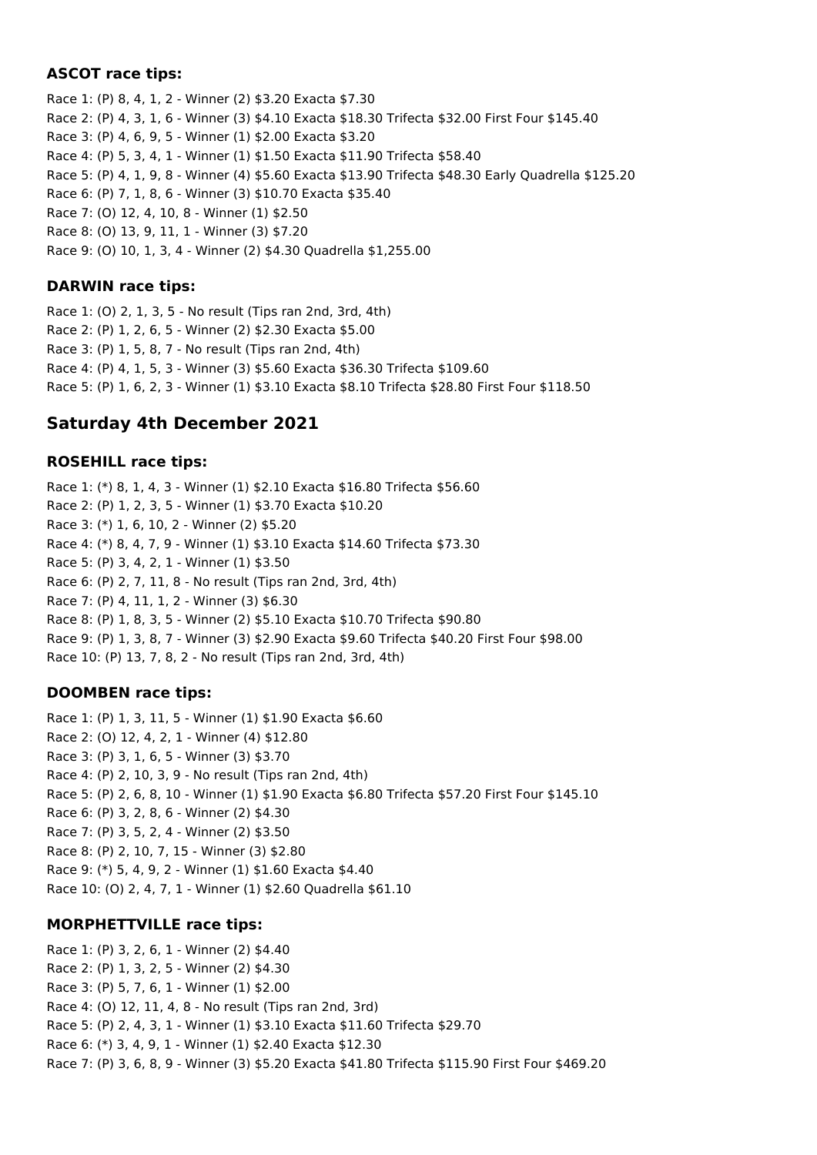### **ASCOT race tips:**

Race 1: (P) 8, 4, 1, 2 - Winner (2) \$3.20 Exacta \$7.30 Race 2: (P) 4, 3, 1, 6 - Winner (3) \$4.10 Exacta \$18.30 Trifecta \$32.00 First Four \$145.40 Race 3: (P) 4, 6, 9, 5 - Winner (1) \$2.00 Exacta \$3.20 Race 4: (P) 5, 3, 4, 1 - Winner (1) \$1.50 Exacta \$11.90 Trifecta \$58.40 Race 5: (P) 4, 1, 9, 8 - Winner (4) \$5.60 Exacta \$13.90 Trifecta \$48.30 Early Quadrella \$125.20 Race 6: (P) 7, 1, 8, 6 - Winner (3) \$10.70 Exacta \$35.40 Race 7: (O) 12, 4, 10, 8 - Winner (1) \$2.50 Race 8: (O) 13, 9, 11, 1 - Winner (3) \$7.20 Race 9: (O) 10, 1, 3, 4 - Winner (2) \$4.30 Quadrella \$1,255.00

### **DARWIN race tips:**

Race 1: (O) 2, 1, 3, 5 - No result (Tips ran 2nd, 3rd, 4th) Race 2: (P) 1, 2, 6, 5 - Winner (2) \$2.30 Exacta \$5.00 Race 3: (P) 1, 5, 8, 7 - No result (Tips ran 2nd, 4th) Race 4: (P) 4, 1, 5, 3 - Winner (3) \$5.60 Exacta \$36.30 Trifecta \$109.60 Race 5: (P) 1, 6, 2, 3 - Winner (1) \$3.10 Exacta \$8.10 Trifecta \$28.80 First Four \$118.50

# **Saturday 4th December 2021**

#### **ROSEHILL race tips:**

Race 1: (\*) 8, 1, 4, 3 - Winner (1) \$2.10 Exacta \$16.80 Trifecta \$56.60 Race 2: (P) 1, 2, 3, 5 - Winner (1) \$3.70 Exacta \$10.20 Race 3: (\*) 1, 6, 10, 2 - Winner (2) \$5.20 Race 4: (\*) 8, 4, 7, 9 - Winner (1) \$3.10 Exacta \$14.60 Trifecta \$73.30 Race 5: (P) 3, 4, 2, 1 - Winner (1) \$3.50 Race 6: (P) 2, 7, 11, 8 - No result (Tips ran 2nd, 3rd, 4th) Race 7: (P) 4, 11, 1, 2 - Winner (3) \$6.30 Race 8: (P) 1, 8, 3, 5 - Winner (2) \$5.10 Exacta \$10.70 Trifecta \$90.80 Race 9: (P) 1, 3, 8, 7 - Winner (3) \$2.90 Exacta \$9.60 Trifecta \$40.20 First Four \$98.00 Race 10: (P) 13, 7, 8, 2 - No result (Tips ran 2nd, 3rd, 4th)

### **DOOMBEN race tips:**

Race 1: (P) 1, 3, 11, 5 - Winner (1) \$1.90 Exacta \$6.60 Race 2: (O) 12, 4, 2, 1 - Winner (4) \$12.80 Race 3: (P) 3, 1, 6, 5 - Winner (3) \$3.70 Race 4: (P) 2, 10, 3, 9 - No result (Tips ran 2nd, 4th) Race 5: (P) 2, 6, 8, 10 - Winner (1) \$1.90 Exacta \$6.80 Trifecta \$57.20 First Four \$145.10 Race 6: (P) 3, 2, 8, 6 - Winner (2) \$4.30 Race 7: (P) 3, 5, 2, 4 - Winner (2) \$3.50 Race 8: (P) 2, 10, 7, 15 - Winner (3) \$2.80 Race 9: (\*) 5, 4, 9, 2 - Winner (1) \$1.60 Exacta \$4.40 Race 10: (O) 2, 4, 7, 1 - Winner (1) \$2.60 Quadrella \$61.10

### **MORPHETTVILLE race tips:**

Race 1: (P) 3, 2, 6, 1 - Winner (2) \$4.40 Race 2: (P) 1, 3, 2, 5 - Winner (2) \$4.30 Race 3: (P) 5, 7, 6, 1 - Winner (1) \$2.00 Race 4: (O) 12, 11, 4, 8 - No result (Tips ran 2nd, 3rd) Race 5: (P) 2, 4, 3, 1 - Winner (1) \$3.10 Exacta \$11.60 Trifecta \$29.70 Race 6: (\*) 3, 4, 9, 1 - Winner (1) \$2.40 Exacta \$12.30 Race 7: (P) 3, 6, 8, 9 - Winner (3) \$5.20 Exacta \$41.80 Trifecta \$115.90 First Four \$469.20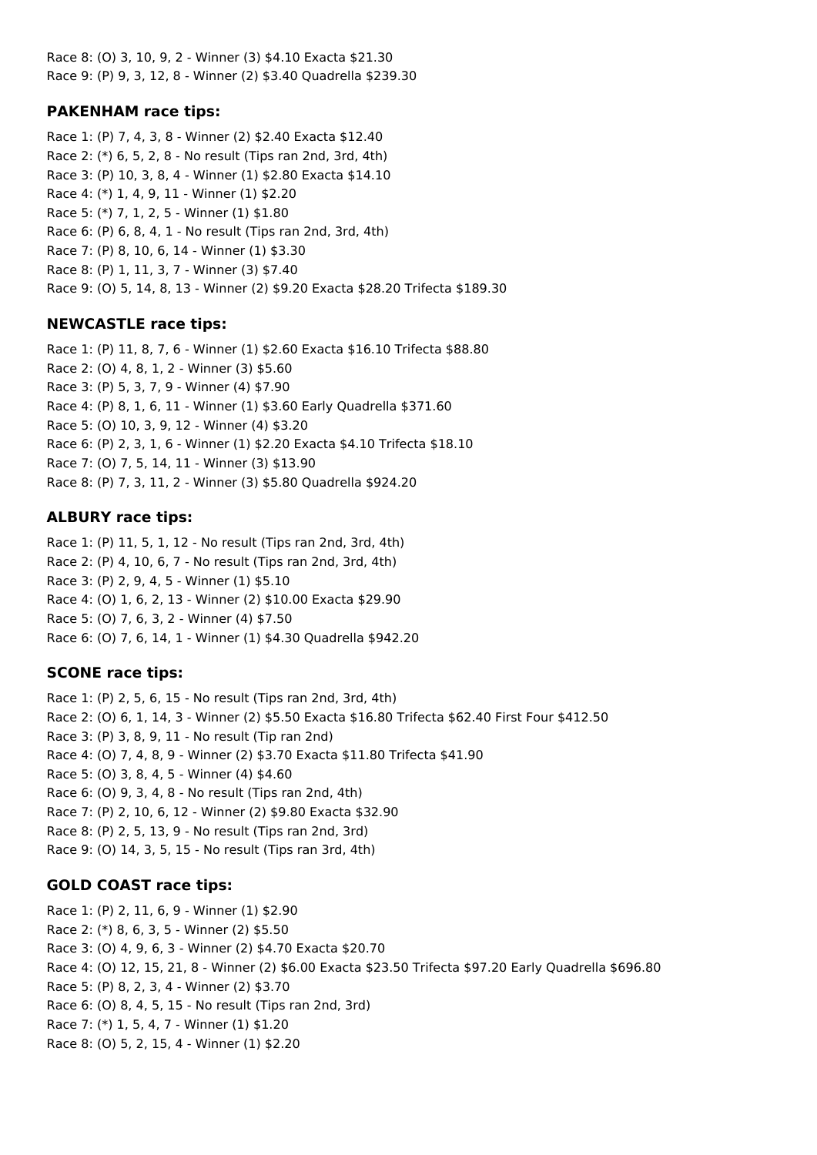Race 8: (O) 3, 10, 9, 2 - Winner (3) \$4.10 Exacta \$21.30 Race 9: (P) 9, 3, 12, 8 - Winner (2) \$3.40 Quadrella \$239.30

### **PAKENHAM race tips:**

Race 1: (P) 7, 4, 3, 8 - Winner (2) \$2.40 Exacta \$12.40 Race 2: (\*) 6, 5, 2, 8 - No result (Tips ran 2nd, 3rd, 4th) Race 3: (P) 10, 3, 8, 4 - Winner (1) \$2.80 Exacta \$14.10 Race 4: (\*) 1, 4, 9, 11 - Winner (1) \$2.20 Race 5: (\*) 7, 1, 2, 5 - Winner (1) \$1.80 Race 6: (P) 6, 8, 4, 1 - No result (Tips ran 2nd, 3rd, 4th) Race 7: (P) 8, 10, 6, 14 - Winner (1) \$3.30 Race 8: (P) 1, 11, 3, 7 - Winner (3) \$7.40 Race 9: (O) 5, 14, 8, 13 - Winner (2) \$9.20 Exacta \$28.20 Trifecta \$189.30

#### **NEWCASTLE race tips:**

Race 1: (P) 11, 8, 7, 6 - Winner (1) \$2.60 Exacta \$16.10 Trifecta \$88.80 Race 2: (O) 4, 8, 1, 2 - Winner (3) \$5.60 Race 3: (P) 5, 3, 7, 9 - Winner (4) \$7.90 Race 4: (P) 8, 1, 6, 11 - Winner (1) \$3.60 Early Quadrella \$371.60 Race 5: (O) 10, 3, 9, 12 - Winner (4) \$3.20 Race 6: (P) 2, 3, 1, 6 - Winner (1) \$2.20 Exacta \$4.10 Trifecta \$18.10 Race 7: (O) 7, 5, 14, 11 - Winner (3) \$13.90 Race 8: (P) 7, 3, 11, 2 - Winner (3) \$5.80 Quadrella \$924.20

#### **ALBURY race tips:**

Race 1: (P) 11, 5, 1, 12 - No result (Tips ran 2nd, 3rd, 4th) Race 2: (P) 4, 10, 6, 7 - No result (Tips ran 2nd, 3rd, 4th) Race 3: (P) 2, 9, 4, 5 - Winner (1) \$5.10 Race 4: (O) 1, 6, 2, 13 - Winner (2) \$10.00 Exacta \$29.90 Race 5: (O) 7, 6, 3, 2 - Winner (4) \$7.50 Race 6: (O) 7, 6, 14, 1 - Winner (1) \$4.30 Quadrella \$942.20

#### **SCONE race tips:**

Race 1: (P) 2, 5, 6, 15 - No result (Tips ran 2nd, 3rd, 4th) Race 2: (O) 6, 1, 14, 3 - Winner (2) \$5.50 Exacta \$16.80 Trifecta \$62.40 First Four \$412.50 Race 3: (P) 3, 8, 9, 11 - No result (Tip ran 2nd) Race 4: (O) 7, 4, 8, 9 - Winner (2) \$3.70 Exacta \$11.80 Trifecta \$41.90 Race 5: (O) 3, 8, 4, 5 - Winner (4) \$4.60 Race 6: (O) 9, 3, 4, 8 - No result (Tips ran 2nd, 4th) Race 7: (P) 2, 10, 6, 12 - Winner (2) \$9.80 Exacta \$32.90 Race 8: (P) 2, 5, 13, 9 - No result (Tips ran 2nd, 3rd) Race 9: (O) 14, 3, 5, 15 - No result (Tips ran 3rd, 4th)

#### **GOLD COAST race tips:**

Race 1: (P) 2, 11, 6, 9 - Winner (1) \$2.90 Race 2: (\*) 8, 6, 3, 5 - Winner (2) \$5.50 Race 3: (O) 4, 9, 6, 3 - Winner (2) \$4.70 Exacta \$20.70 Race 4: (O) 12, 15, 21, 8 - Winner (2) \$6.00 Exacta \$23.50 Trifecta \$97.20 Early Quadrella \$696.80 Race 5: (P) 8, 2, 3, 4 - Winner (2) \$3.70 Race 6: (O) 8, 4, 5, 15 - No result (Tips ran 2nd, 3rd) Race 7: (\*) 1, 5, 4, 7 - Winner (1) \$1.20 Race 8: (O) 5, 2, 15, 4 - Winner (1) \$2.20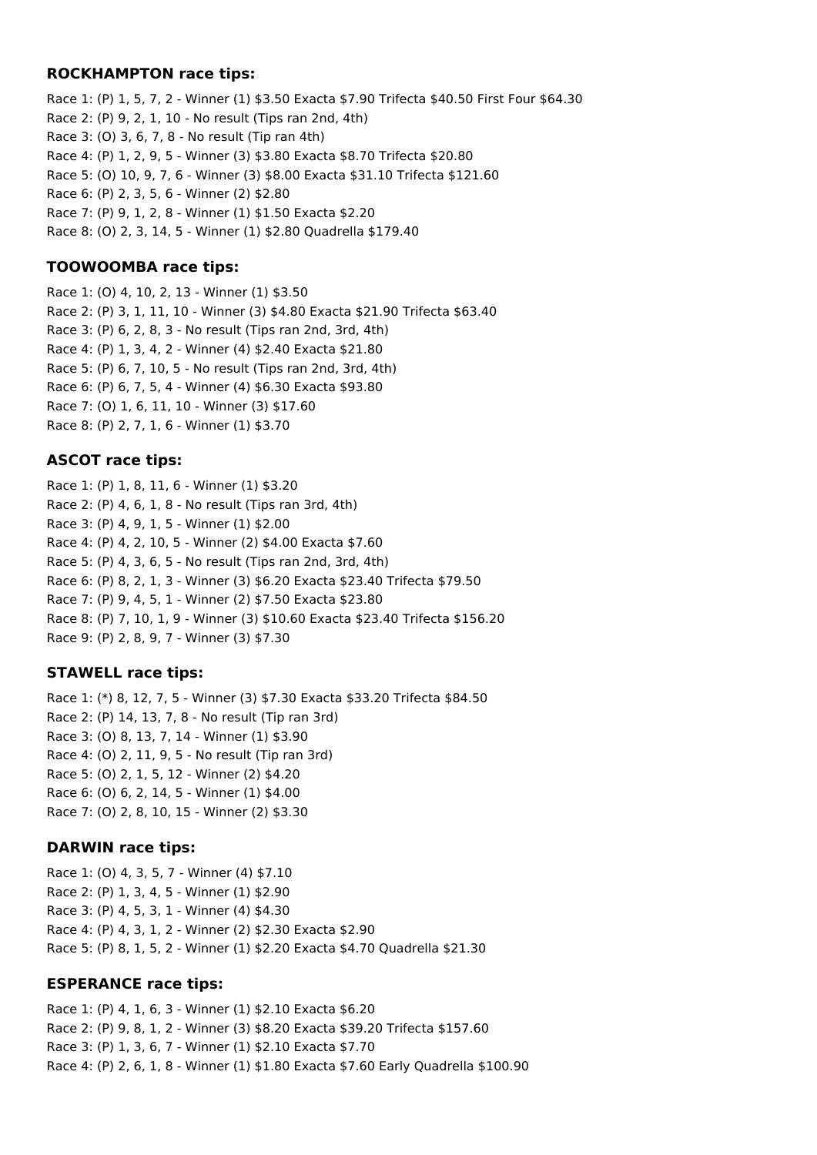#### **ROCKHAMPTON race tips:**

Race 1: (P) 1, 5, 7, 2 - Winner (1) \$3.50 Exacta \$7.90 Trifecta \$40.50 First Four \$64.30 Race 2: (P) 9, 2, 1, 10 - No result (Tips ran 2nd, 4th) Race 3: (O) 3, 6, 7, 8 - No result (Tip ran 4th) Race 4: (P) 1, 2, 9, 5 - Winner (3) \$3.80 Exacta \$8.70 Trifecta \$20.80 Race 5: (O) 10, 9, 7, 6 - Winner (3) \$8.00 Exacta \$31.10 Trifecta \$121.60 Race 6: (P) 2, 3, 5, 6 - Winner (2) \$2.80 Race 7: (P) 9, 1, 2, 8 - Winner (1) \$1.50 Exacta \$2.20 Race 8: (O) 2, 3, 14, 5 - Winner (1) \$2.80 Quadrella \$179.40

#### **TOOWOOMBA race tips:**

Race 1: (O) 4, 10, 2, 13 - Winner (1) \$3.50 Race 2: (P) 3, 1, 11, 10 - Winner (3) \$4.80 Exacta \$21.90 Trifecta \$63.40 Race 3: (P) 6, 2, 8, 3 - No result (Tips ran 2nd, 3rd, 4th) Race 4: (P) 1, 3, 4, 2 - Winner (4) \$2.40 Exacta \$21.80 Race 5: (P) 6, 7, 10, 5 - No result (Tips ran 2nd, 3rd, 4th) Race 6: (P) 6, 7, 5, 4 - Winner (4) \$6.30 Exacta \$93.80 Race 7: (O) 1, 6, 11, 10 - Winner (3) \$17.60 Race 8: (P) 2, 7, 1, 6 - Winner (1) \$3.70

#### **ASCOT race tips:**

Race 1: (P) 1, 8, 11, 6 - Winner (1) \$3.20 Race 2: (P) 4, 6, 1, 8 - No result (Tips ran 3rd, 4th) Race 3: (P) 4, 9, 1, 5 - Winner (1) \$2.00 Race 4: (P) 4, 2, 10, 5 - Winner (2) \$4.00 Exacta \$7.60 Race 5: (P) 4, 3, 6, 5 - No result (Tips ran 2nd, 3rd, 4th) Race 6: (P) 8, 2, 1, 3 - Winner (3) \$6.20 Exacta \$23.40 Trifecta \$79.50 Race 7: (P) 9, 4, 5, 1 - Winner (2) \$7.50 Exacta \$23.80 Race 8: (P) 7, 10, 1, 9 - Winner (3) \$10.60 Exacta \$23.40 Trifecta \$156.20 Race 9: (P) 2, 8, 9, 7 - Winner (3) \$7.30

#### **STAWELL race tips:**

Race 1: (\*) 8, 12, 7, 5 - Winner (3) \$7.30 Exacta \$33.20 Trifecta \$84.50 Race 2: (P) 14, 13, 7, 8 - No result (Tip ran 3rd) Race 3: (O) 8, 13, 7, 14 - Winner (1) \$3.90 Race 4: (O) 2, 11, 9, 5 - No result (Tip ran 3rd) Race 5: (O) 2, 1, 5, 12 - Winner (2) \$4.20 Race 6: (O) 6, 2, 14, 5 - Winner (1) \$4.00 Race 7: (O) 2, 8, 10, 15 - Winner (2) \$3.30

#### **DARWIN race tips:**

Race 1: (O) 4, 3, 5, 7 - Winner (4) \$7.10 Race 2: (P) 1, 3, 4, 5 - Winner (1) \$2.90 Race 3: (P) 4, 5, 3, 1 - Winner (4) \$4.30 Race 4: (P) 4, 3, 1, 2 - Winner (2) \$2.30 Exacta \$2.90 Race 5: (P) 8, 1, 5, 2 - Winner (1) \$2.20 Exacta \$4.70 Quadrella \$21.30

#### **ESPERANCE race tips:**

Race 1: (P) 4, 1, 6, 3 - Winner (1) \$2.10 Exacta \$6.20 Race 2: (P) 9, 8, 1, 2 - Winner (3) \$8.20 Exacta \$39.20 Trifecta \$157.60 Race 3: (P) 1, 3, 6, 7 - Winner (1) \$2.10 Exacta \$7.70 Race 4: (P) 2, 6, 1, 8 - Winner (1) \$1.80 Exacta \$7.60 Early Quadrella \$100.90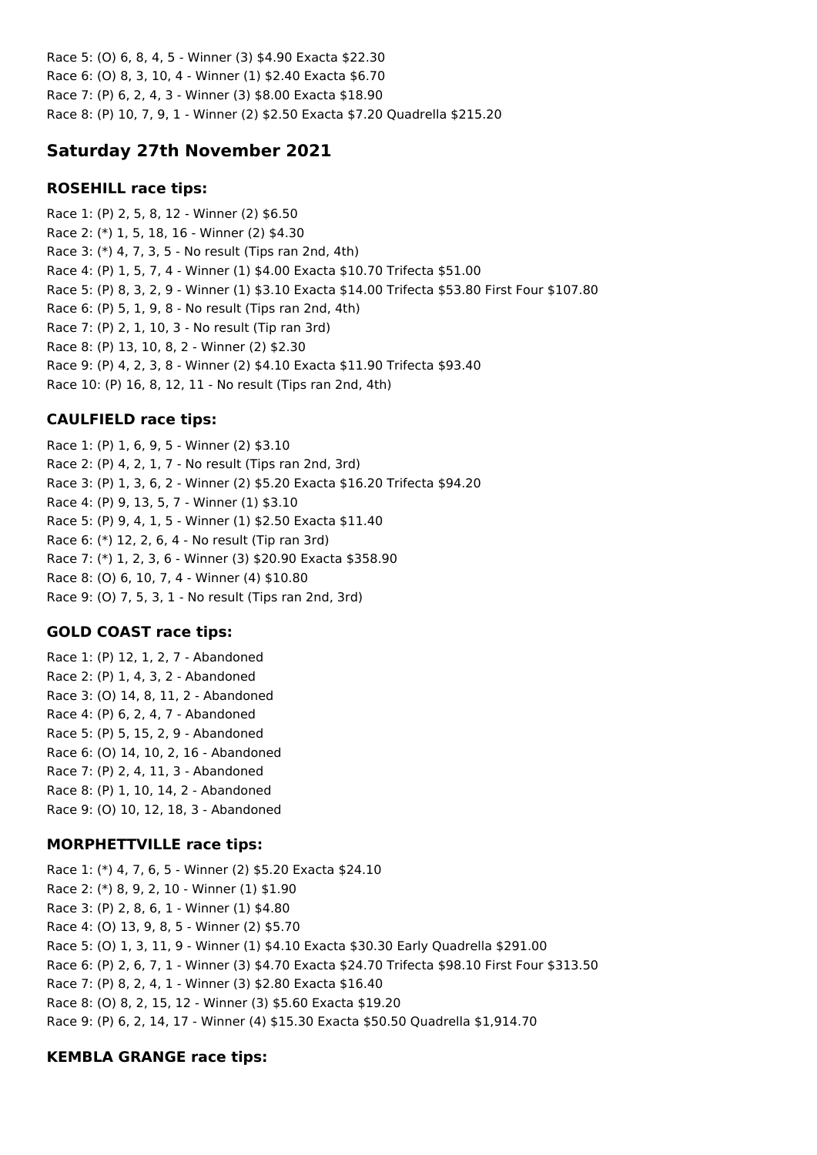Race 5: (O) 6, 8, 4, 5 - Winner (3) \$4.90 Exacta \$22.30 Race 6: (O) 8, 3, 10, 4 - Winner (1) \$2.40 Exacta \$6.70 Race 7: (P) 6, 2, 4, 3 - Winner (3) \$8.00 Exacta \$18.90 Race 8: (P) 10, 7, 9, 1 - Winner (2) \$2.50 Exacta \$7.20 Quadrella \$215.20

# **Saturday 27th November 2021**

#### **ROSEHILL race tips:**

Race 1: (P) 2, 5, 8, 12 - Winner (2) \$6.50 Race 2: (\*) 1, 5, 18, 16 - Winner (2) \$4.30 Race 3: (\*) 4, 7, 3, 5 - No result (Tips ran 2nd, 4th) Race 4: (P) 1, 5, 7, 4 - Winner (1) \$4.00 Exacta \$10.70 Trifecta \$51.00 Race 5: (P) 8, 3, 2, 9 - Winner (1) \$3.10 Exacta \$14.00 Trifecta \$53.80 First Four \$107.80 Race 6: (P) 5, 1, 9, 8 - No result (Tips ran 2nd, 4th) Race 7: (P) 2, 1, 10, 3 - No result (Tip ran 3rd) Race 8: (P) 13, 10, 8, 2 - Winner (2) \$2.30 Race 9: (P) 4, 2, 3, 8 - Winner (2) \$4.10 Exacta \$11.90 Trifecta \$93.40 Race 10: (P) 16, 8, 12, 11 - No result (Tips ran 2nd, 4th)

## **CAULFIELD race tips:**

Race 1: (P) 1, 6, 9, 5 - Winner (2) \$3.10 Race 2: (P) 4, 2, 1, 7 - No result (Tips ran 2nd, 3rd) Race 3: (P) 1, 3, 6, 2 - Winner (2) \$5.20 Exacta \$16.20 Trifecta \$94.20 Race 4: (P) 9, 13, 5, 7 - Winner (1) \$3.10 Race 5: (P) 9, 4, 1, 5 - Winner (1) \$2.50 Exacta \$11.40 Race 6: (\*) 12, 2, 6, 4 - No result (Tip ran 3rd) Race 7: (\*) 1, 2, 3, 6 - Winner (3) \$20.90 Exacta \$358.90 Race 8: (O) 6, 10, 7, 4 - Winner (4) \$10.80 Race 9: (O) 7, 5, 3, 1 - No result (Tips ran 2nd, 3rd)

## **GOLD COAST race tips:**

Race 1: (P) 12, 1, 2, 7 - Abandoned Race 2: (P) 1, 4, 3, 2 - Abandoned Race 3: (O) 14, 8, 11, 2 - Abandoned Race 4: (P) 6, 2, 4, 7 - Abandoned Race 5: (P) 5, 15, 2, 9 - Abandoned Race 6: (O) 14, 10, 2, 16 - Abandoned Race 7: (P) 2, 4, 11, 3 - Abandoned Race 8: (P) 1, 10, 14, 2 - Abandoned Race 9: (O) 10, 12, 18, 3 - Abandoned

## **MORPHETTVILLE race tips:**

Race 1: (\*) 4, 7, 6, 5 - Winner (2) \$5.20 Exacta \$24.10 Race 2: (\*) 8, 9, 2, 10 - Winner (1) \$1.90 Race 3: (P) 2, 8, 6, 1 - Winner (1) \$4.80 Race 4: (O) 13, 9, 8, 5 - Winner (2) \$5.70 Race 5: (O) 1, 3, 11, 9 - Winner (1) \$4.10 Exacta \$30.30 Early Quadrella \$291.00 Race 6: (P) 2, 6, 7, 1 - Winner (3) \$4.70 Exacta \$24.70 Trifecta \$98.10 First Four \$313.50 Race 7: (P) 8, 2, 4, 1 - Winner (3) \$2.80 Exacta \$16.40 Race 8: (O) 8, 2, 15, 12 - Winner (3) \$5.60 Exacta \$19.20 Race 9: (P) 6, 2, 14, 17 - Winner (4) \$15.30 Exacta \$50.50 Quadrella \$1,914.70

## **KEMBLA GRANGE race tips:**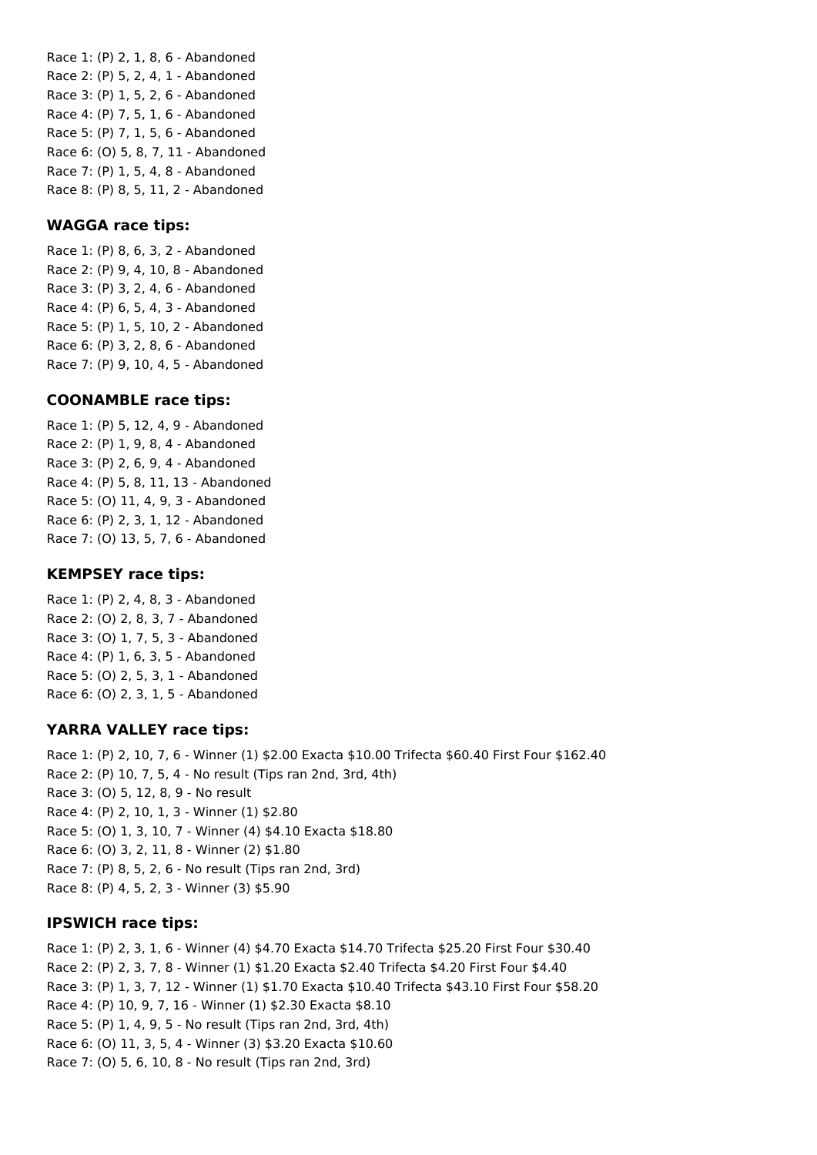Race 1: (P) 2, 1, 8, 6 - Abandoned Race 2: (P) 5, 2, 4, 1 - Abandoned Race 3: (P) 1, 5, 2, 6 - Abandoned Race 4: (P) 7, 5, 1, 6 - Abandoned Race 5: (P) 7, 1, 5, 6 - Abandoned Race 6: (O) 5, 8, 7, 11 - Abandoned Race 7: (P) 1, 5, 4, 8 - Abandoned Race 8: (P) 8, 5, 11, 2 - Abandoned

### **WAGGA race tips:**

Race 1: (P) 8, 6, 3, 2 - Abandoned Race 2: (P) 9, 4, 10, 8 - Abandoned Race 3: (P) 3, 2, 4, 6 - Abandoned Race 4: (P) 6, 5, 4, 3 - Abandoned Race 5: (P) 1, 5, 10, 2 - Abandoned Race 6: (P) 3, 2, 8, 6 - Abandoned Race 7: (P) 9, 10, 4, 5 - Abandoned

#### **COONAMBLE race tips:**

Race 1: (P) 5, 12, 4, 9 - Abandoned Race 2: (P) 1, 9, 8, 4 - Abandoned Race 3: (P) 2, 6, 9, 4 - Abandoned Race 4: (P) 5, 8, 11, 13 - Abandoned Race 5: (O) 11, 4, 9, 3 - Abandoned Race 6: (P) 2, 3, 1, 12 - Abandoned Race 7: (O) 13, 5, 7, 6 - Abandoned

#### **KEMPSEY race tips:**

Race 1: (P) 2, 4, 8, 3 - Abandoned Race 2: (O) 2, 8, 3, 7 - Abandoned Race 3: (O) 1, 7, 5, 3 - Abandoned Race 4: (P) 1, 6, 3, 5 - Abandoned Race 5: (O) 2, 5, 3, 1 - Abandoned Race 6: (O) 2, 3, 1, 5 - Abandoned

### **YARRA VALLEY race tips:**

Race 1: (P) 2, 10, 7, 6 - Winner (1) \$2.00 Exacta \$10.00 Trifecta \$60.40 First Four \$162.40 Race 2: (P) 10, 7, 5, 4 - No result (Tips ran 2nd, 3rd, 4th) Race 3: (O) 5, 12, 8, 9 - No result Race 4: (P) 2, 10, 1, 3 - Winner (1) \$2.80 Race 5: (O) 1, 3, 10, 7 - Winner (4) \$4.10 Exacta \$18.80 Race 6: (O) 3, 2, 11, 8 - Winner (2) \$1.80 Race 7: (P) 8, 5, 2, 6 - No result (Tips ran 2nd, 3rd) Race 8: (P) 4, 5, 2, 3 - Winner (3) \$5.90

### **IPSWICH race tips:**

Race 1: (P) 2, 3, 1, 6 - Winner (4) \$4.70 Exacta \$14.70 Trifecta \$25.20 First Four \$30.40 Race 2: (P) 2, 3, 7, 8 - Winner (1) \$1.20 Exacta \$2.40 Trifecta \$4.20 First Four \$4.40 Race 3: (P) 1, 3, 7, 12 - Winner (1) \$1.70 Exacta \$10.40 Trifecta \$43.10 First Four \$58.20 Race 4: (P) 10, 9, 7, 16 - Winner (1) \$2.30 Exacta \$8.10 Race 5: (P) 1, 4, 9, 5 - No result (Tips ran 2nd, 3rd, 4th) Race 6: (O) 11, 3, 5, 4 - Winner (3) \$3.20 Exacta \$10.60 Race 7: (O) 5, 6, 10, 8 - No result (Tips ran 2nd, 3rd)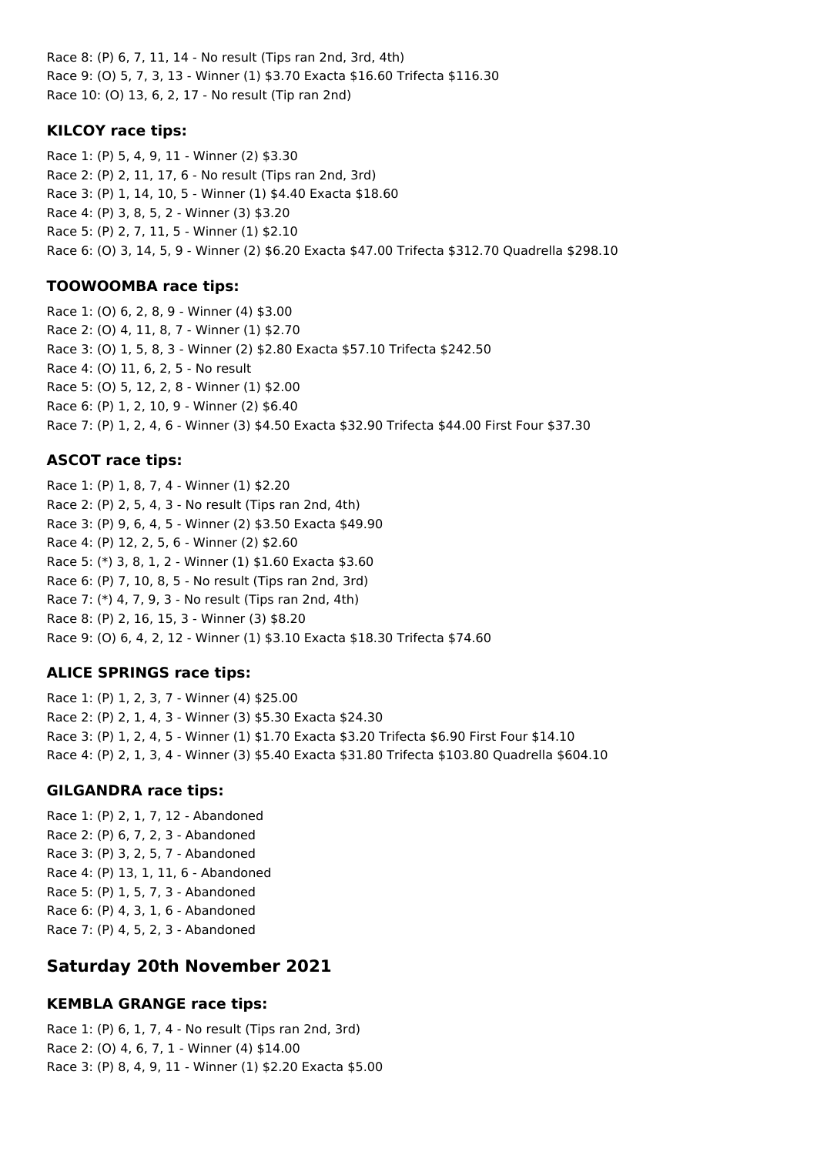Race 8: (P) 6, 7, 11, 14 - No result (Tips ran 2nd, 3rd, 4th) Race 9: (O) 5, 7, 3, 13 - Winner (1) \$3.70 Exacta \$16.60 Trifecta \$116.30 Race 10: (O) 13, 6, 2, 17 - No result (Tip ran 2nd)

### **KILCOY race tips:**

Race 1: (P) 5, 4, 9, 11 - Winner (2) \$3.30 Race 2: (P) 2, 11, 17, 6 - No result (Tips ran 2nd, 3rd) Race 3: (P) 1, 14, 10, 5 - Winner (1) \$4.40 Exacta \$18.60 Race 4: (P) 3, 8, 5, 2 - Winner (3) \$3.20 Race 5: (P) 2, 7, 11, 5 - Winner (1) \$2.10 Race 6: (O) 3, 14, 5, 9 - Winner (2) \$6.20 Exacta \$47.00 Trifecta \$312.70 Quadrella \$298.10

## **TOOWOOMBA race tips:**

Race 1: (O) 6, 2, 8, 9 - Winner (4) \$3.00 Race 2: (O) 4, 11, 8, 7 - Winner (1) \$2.70 Race 3: (O) 1, 5, 8, 3 - Winner (2) \$2.80 Exacta \$57.10 Trifecta \$242.50 Race 4: (O) 11, 6, 2, 5 - No result Race 5: (O) 5, 12, 2, 8 - Winner (1) \$2.00 Race 6: (P) 1, 2, 10, 9 - Winner (2) \$6.40 Race 7: (P) 1, 2, 4, 6 - Winner (3) \$4.50 Exacta \$32.90 Trifecta \$44.00 First Four \$37.30

## **ASCOT race tips:**

Race 1: (P) 1, 8, 7, 4 - Winner (1) \$2.20 Race 2: (P) 2, 5, 4, 3 - No result (Tips ran 2nd, 4th) Race 3: (P) 9, 6, 4, 5 - Winner (2) \$3.50 Exacta \$49.90 Race 4: (P) 12, 2, 5, 6 - Winner (2) \$2.60 Race 5: (\*) 3, 8, 1, 2 - Winner (1) \$1.60 Exacta \$3.60 Race 6: (P) 7, 10, 8, 5 - No result (Tips ran 2nd, 3rd) Race 7: (\*) 4, 7, 9, 3 - No result (Tips ran 2nd, 4th) Race 8: (P) 2, 16, 15, 3 - Winner (3) \$8.20 Race 9: (O) 6, 4, 2, 12 - Winner (1) \$3.10 Exacta \$18.30 Trifecta \$74.60

## **ALICE SPRINGS race tips:**

Race 1: (P) 1, 2, 3, 7 - Winner (4) \$25.00 Race 2: (P) 2, 1, 4, 3 - Winner (3) \$5.30 Exacta \$24.30 Race 3: (P) 1, 2, 4, 5 - Winner (1) \$1.70 Exacta \$3.20 Trifecta \$6.90 First Four \$14.10 Race 4: (P) 2, 1, 3, 4 - Winner (3) \$5.40 Exacta \$31.80 Trifecta \$103.80 Quadrella \$604.10

### **GILGANDRA race tips:**

Race 1: (P) 2, 1, 7, 12 - Abandoned Race 2: (P) 6, 7, 2, 3 - Abandoned Race 3: (P) 3, 2, 5, 7 - Abandoned Race 4: (P) 13, 1, 11, 6 - Abandoned Race 5: (P) 1, 5, 7, 3 - Abandoned Race 6: (P) 4, 3, 1, 6 - Abandoned Race 7: (P) 4, 5, 2, 3 - Abandoned

# **Saturday 20th November 2021**

## **KEMBLA GRANGE race tips:**

Race 1: (P) 6, 1, 7, 4 - No result (Tips ran 2nd, 3rd) Race 2: (O) 4, 6, 7, 1 - Winner (4) \$14.00 Race 3: (P) 8, 4, 9, 11 - Winner (1) \$2.20 Exacta \$5.00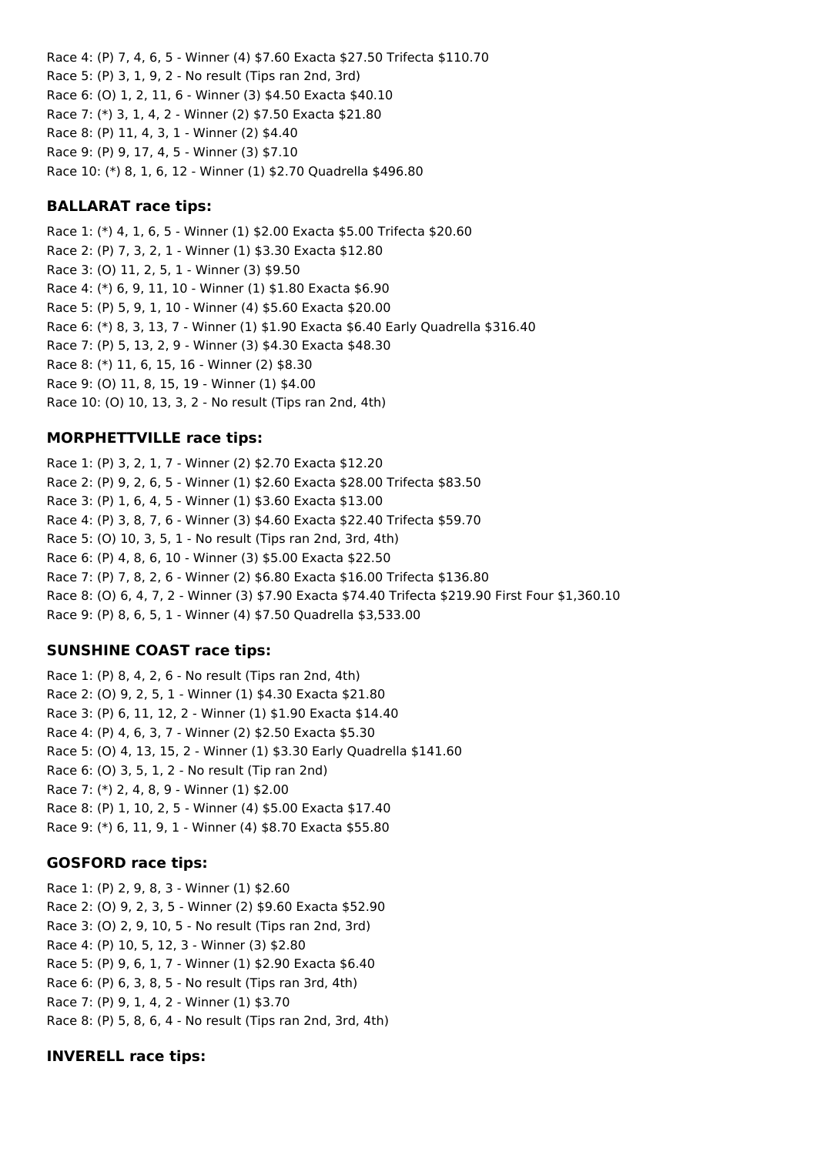Race 4: (P) 7, 4, 6, 5 - Winner (4) \$7.60 Exacta \$27.50 Trifecta \$110.70 Race 5: (P) 3, 1, 9, 2 - No result (Tips ran 2nd, 3rd) Race 6: (O) 1, 2, 11, 6 - Winner (3) \$4.50 Exacta \$40.10 Race 7: (\*) 3, 1, 4, 2 - Winner (2) \$7.50 Exacta \$21.80 Race 8: (P) 11, 4, 3, 1 - Winner (2) \$4.40 Race 9: (P) 9, 17, 4, 5 - Winner (3) \$7.10 Race 10: (\*) 8, 1, 6, 12 - Winner (1) \$2.70 Quadrella \$496.80

### **BALLARAT race tips:**

Race 1: (\*) 4, 1, 6, 5 - Winner (1) \$2.00 Exacta \$5.00 Trifecta \$20.60 Race 2: (P) 7, 3, 2, 1 - Winner (1) \$3.30 Exacta \$12.80 Race 3: (O) 11, 2, 5, 1 - Winner (3) \$9.50 Race 4: (\*) 6, 9, 11, 10 - Winner (1) \$1.80 Exacta \$6.90 Race 5: (P) 5, 9, 1, 10 - Winner (4) \$5.60 Exacta \$20.00 Race 6: (\*) 8, 3, 13, 7 - Winner (1) \$1.90 Exacta \$6.40 Early Quadrella \$316.40 Race 7: (P) 5, 13, 2, 9 - Winner (3) \$4.30 Exacta \$48.30 Race 8: (\*) 11, 6, 15, 16 - Winner (2) \$8.30 Race 9: (O) 11, 8, 15, 19 - Winner (1) \$4.00 Race 10: (O) 10, 13, 3, 2 - No result (Tips ran 2nd, 4th)

### **MORPHETTVILLE race tips:**

Race 1: (P) 3, 2, 1, 7 - Winner (2) \$2.70 Exacta \$12.20 Race 2: (P) 9, 2, 6, 5 - Winner (1) \$2.60 Exacta \$28.00 Trifecta \$83.50 Race 3: (P) 1, 6, 4, 5 - Winner (1) \$3.60 Exacta \$13.00 Race 4: (P) 3, 8, 7, 6 - Winner (3) \$4.60 Exacta \$22.40 Trifecta \$59.70 Race 5: (O) 10, 3, 5, 1 - No result (Tips ran 2nd, 3rd, 4th) Race 6: (P) 4, 8, 6, 10 - Winner (3) \$5.00 Exacta \$22.50 Race 7: (P) 7, 8, 2, 6 - Winner (2) \$6.80 Exacta \$16.00 Trifecta \$136.80 Race 8: (O) 6, 4, 7, 2 - Winner (3) \$7.90 Exacta \$74.40 Trifecta \$219.90 First Four \$1,360.10 Race 9: (P) 8, 6, 5, 1 - Winner (4) \$7.50 Quadrella \$3,533.00

#### **SUNSHINE COAST race tips:**

Race 1: (P) 8, 4, 2, 6 - No result (Tips ran 2nd, 4th) Race 2: (O) 9, 2, 5, 1 - Winner (1) \$4.30 Exacta \$21.80 Race 3: (P) 6, 11, 12, 2 - Winner (1) \$1.90 Exacta \$14.40 Race 4: (P) 4, 6, 3, 7 - Winner (2) \$2.50 Exacta \$5.30 Race 5: (O) 4, 13, 15, 2 - Winner (1) \$3.30 Early Quadrella \$141.60 Race 6: (O) 3, 5, 1, 2 - No result (Tip ran 2nd) Race 7: (\*) 2, 4, 8, 9 - Winner (1) \$2.00 Race 8: (P) 1, 10, 2, 5 - Winner (4) \$5.00 Exacta \$17.40 Race 9: (\*) 6, 11, 9, 1 - Winner (4) \$8.70 Exacta \$55.80

#### **GOSFORD race tips:**

Race 1: (P) 2, 9, 8, 3 - Winner (1) \$2.60 Race 2: (O) 9, 2, 3, 5 - Winner (2) \$9.60 Exacta \$52.90 Race 3: (O) 2, 9, 10, 5 - No result (Tips ran 2nd, 3rd) Race 4: (P) 10, 5, 12, 3 - Winner (3) \$2.80 Race 5: (P) 9, 6, 1, 7 - Winner (1) \$2.90 Exacta \$6.40 Race 6: (P) 6, 3, 8, 5 - No result (Tips ran 3rd, 4th) Race 7: (P) 9, 1, 4, 2 - Winner (1) \$3.70 Race 8: (P) 5, 8, 6, 4 - No result (Tips ran 2nd, 3rd, 4th)

### **INVERELL race tips:**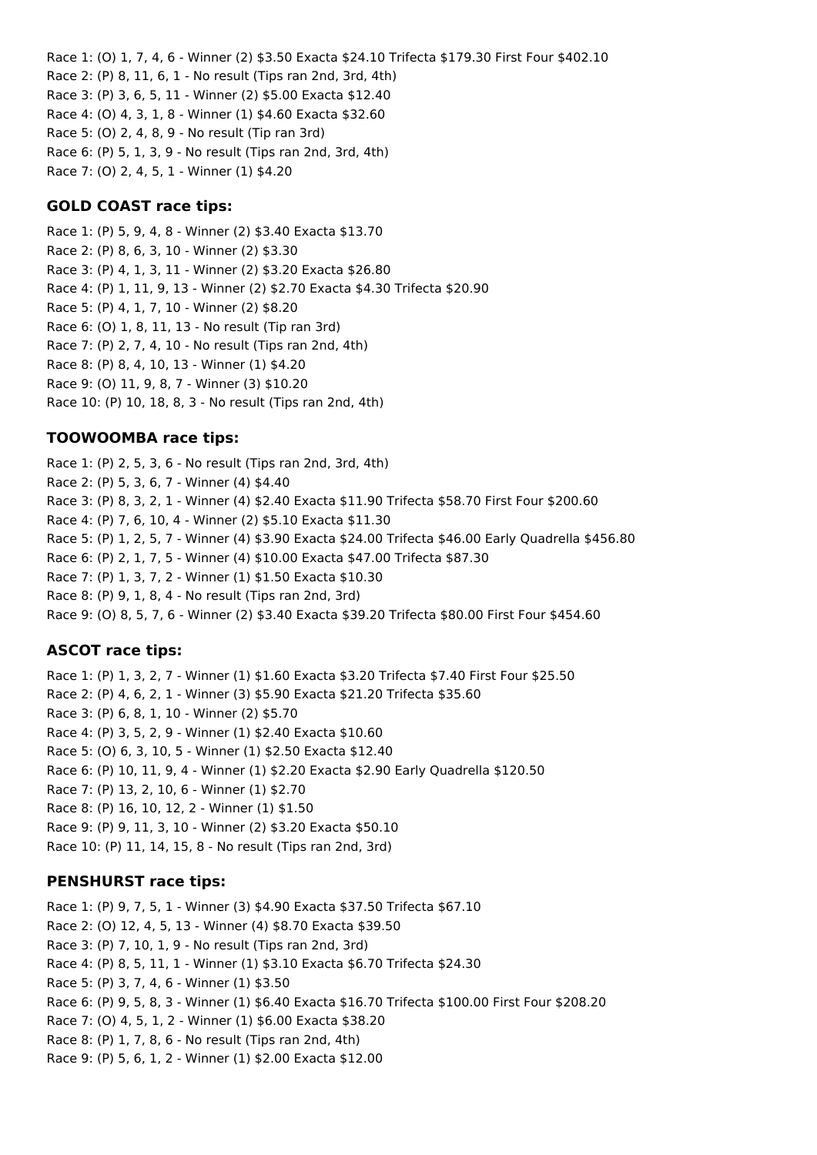Race 1: (O) 1, 7, 4, 6 - Winner (2) \$3.50 Exacta \$24.10 Trifecta \$179.30 First Four \$402.10 Race 2: (P) 8, 11, 6, 1 - No result (Tips ran 2nd, 3rd, 4th) Race 3: (P) 3, 6, 5, 11 - Winner (2) \$5.00 Exacta \$12.40 Race 4: (O) 4, 3, 1, 8 - Winner (1) \$4.60 Exacta \$32.60 Race 5: (O) 2, 4, 8, 9 - No result (Tip ran 3rd) Race 6: (P) 5, 1, 3, 9 - No result (Tips ran 2nd, 3rd, 4th) Race 7: (O) 2, 4, 5, 1 - Winner (1) \$4.20

### **GOLD COAST race tips:**

Race 1: (P) 5, 9, 4, 8 - Winner (2) \$3.40 Exacta \$13.70 Race 2: (P) 8, 6, 3, 10 - Winner (2) \$3.30 Race 3: (P) 4, 1, 3, 11 - Winner (2) \$3.20 Exacta \$26.80 Race 4: (P) 1, 11, 9, 13 - Winner (2) \$2.70 Exacta \$4.30 Trifecta \$20.90 Race 5: (P) 4, 1, 7, 10 - Winner (2) \$8.20 Race 6: (O) 1, 8, 11, 13 - No result (Tip ran 3rd) Race 7: (P) 2, 7, 4, 10 - No result (Tips ran 2nd, 4th) Race 8: (P) 8, 4, 10, 13 - Winner (1) \$4.20 Race 9: (O) 11, 9, 8, 7 - Winner (3) \$10.20 Race 10: (P) 10, 18, 8, 3 - No result (Tips ran 2nd, 4th)

#### **TOOWOOMBA race tips:**

Race 1: (P) 2, 5, 3, 6 - No result (Tips ran 2nd, 3rd, 4th) Race 2: (P) 5, 3, 6, 7 - Winner (4) \$4.40 Race 3: (P) 8, 3, 2, 1 - Winner (4) \$2.40 Exacta \$11.90 Trifecta \$58.70 First Four \$200.60 Race 4: (P) 7, 6, 10, 4 - Winner (2) \$5.10 Exacta \$11.30 Race 5: (P) 1, 2, 5, 7 - Winner (4) \$3.90 Exacta \$24.00 Trifecta \$46.00 Early Quadrella \$456.80 Race 6: (P) 2, 1, 7, 5 - Winner (4) \$10.00 Exacta \$47.00 Trifecta \$87.30 Race 7: (P) 1, 3, 7, 2 - Winner (1) \$1.50 Exacta \$10.30 Race 8: (P) 9, 1, 8, 4 - No result (Tips ran 2nd, 3rd) Race 9: (O) 8, 5, 7, 6 - Winner (2) \$3.40 Exacta \$39.20 Trifecta \$80.00 First Four \$454.60

### **ASCOT race tips:**

Race 1: (P) 1, 3, 2, 7 - Winner (1) \$1.60 Exacta \$3.20 Trifecta \$7.40 First Four \$25.50 Race 2: (P) 4, 6, 2, 1 - Winner (3) \$5.90 Exacta \$21.20 Trifecta \$35.60 Race 3: (P) 6, 8, 1, 10 - Winner (2) \$5.70 Race 4: (P) 3, 5, 2, 9 - Winner (1) \$2.40 Exacta \$10.60 Race 5: (O) 6, 3, 10, 5 - Winner (1) \$2.50 Exacta \$12.40 Race 6: (P) 10, 11, 9, 4 - Winner (1) \$2.20 Exacta \$2.90 Early Quadrella \$120.50 Race 7: (P) 13, 2, 10, 6 - Winner (1) \$2.70 Race 8: (P) 16, 10, 12, 2 - Winner (1) \$1.50 Race 9: (P) 9, 11, 3, 10 - Winner (2) \$3.20 Exacta \$50.10 Race 10: (P) 11, 14, 15, 8 - No result (Tips ran 2nd, 3rd)

#### **PENSHURST race tips:**

Race 1: (P) 9, 7, 5, 1 - Winner (3) \$4.90 Exacta \$37.50 Trifecta \$67.10 Race 2: (O) 12, 4, 5, 13 - Winner (4) \$8.70 Exacta \$39.50 Race 3: (P) 7, 10, 1, 9 - No result (Tips ran 2nd, 3rd) Race 4: (P) 8, 5, 11, 1 - Winner (1) \$3.10 Exacta \$6.70 Trifecta \$24.30 Race 5: (P) 3, 7, 4, 6 - Winner (1) \$3.50 Race 6: (P) 9, 5, 8, 3 - Winner (1) \$6.40 Exacta \$16.70 Trifecta \$100.00 First Four \$208.20 Race 7: (O) 4, 5, 1, 2 - Winner (1) \$6.00 Exacta \$38.20 Race 8: (P) 1, 7, 8, 6 - No result (Tips ran 2nd, 4th) Race 9: (P) 5, 6, 1, 2 - Winner (1) \$2.00 Exacta \$12.00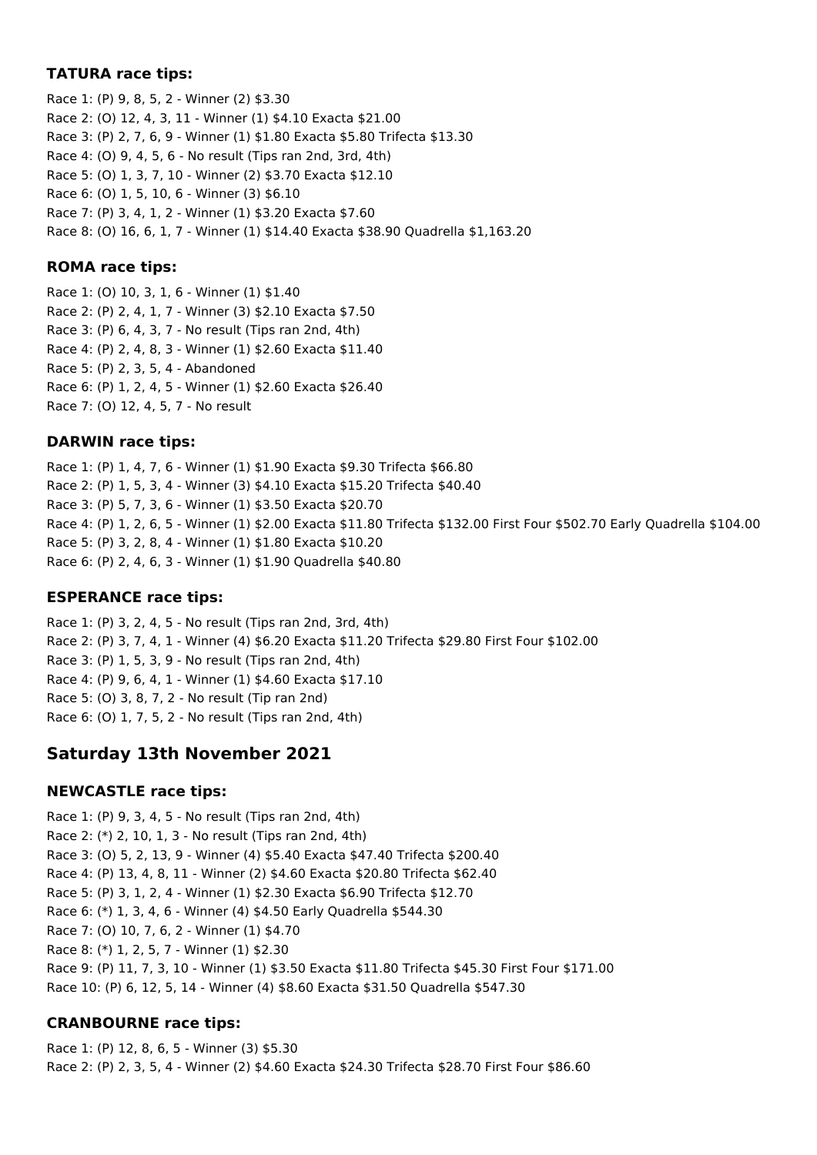### **TATURA race tips:**

Race 1: (P) 9, 8, 5, 2 - Winner (2) \$3.30 Race 2: (O) 12, 4, 3, 11 - Winner (1) \$4.10 Exacta \$21.00 Race 3: (P) 2, 7, 6, 9 - Winner (1) \$1.80 Exacta \$5.80 Trifecta \$13.30 Race 4: (O) 9, 4, 5, 6 - No result (Tips ran 2nd, 3rd, 4th) Race 5: (O) 1, 3, 7, 10 - Winner (2) \$3.70 Exacta \$12.10 Race 6: (O) 1, 5, 10, 6 - Winner (3) \$6.10 Race 7: (P) 3, 4, 1, 2 - Winner (1) \$3.20 Exacta \$7.60 Race 8: (O) 16, 6, 1, 7 - Winner (1) \$14.40 Exacta \$38.90 Quadrella \$1,163.20

### **ROMA race tips:**

Race 1: (O) 10, 3, 1, 6 - Winner (1) \$1.40 Race 2: (P) 2, 4, 1, 7 - Winner (3) \$2.10 Exacta \$7.50 Race 3: (P) 6, 4, 3, 7 - No result (Tips ran 2nd, 4th) Race 4: (P) 2, 4, 8, 3 - Winner (1) \$2.60 Exacta \$11.40 Race 5: (P) 2, 3, 5, 4 - Abandoned Race 6: (P) 1, 2, 4, 5 - Winner (1) \$2.60 Exacta \$26.40 Race 7: (O) 12, 4, 5, 7 - No result

### **DARWIN race tips:**

Race 1: (P) 1, 4, 7, 6 - Winner (1) \$1.90 Exacta \$9.30 Trifecta \$66.80 Race 2: (P) 1, 5, 3, 4 - Winner (3) \$4.10 Exacta \$15.20 Trifecta \$40.40 Race 3: (P) 5, 7, 3, 6 - Winner (1) \$3.50 Exacta \$20.70 Race 4: (P) 1, 2, 6, 5 - Winner (1) \$2.00 Exacta \$11.80 Trifecta \$132.00 First Four \$502.70 Early Quadrella \$104.00 Race 5: (P) 3, 2, 8, 4 - Winner (1) \$1.80 Exacta \$10.20 Race 6: (P) 2, 4, 6, 3 - Winner (1) \$1.90 Quadrella \$40.80

### **ESPERANCE race tips:**

Race 1: (P) 3, 2, 4, 5 - No result (Tips ran 2nd, 3rd, 4th) Race 2: (P) 3, 7, 4, 1 - Winner (4) \$6.20 Exacta \$11.20 Trifecta \$29.80 First Four \$102.00 Race 3: (P) 1, 5, 3, 9 - No result (Tips ran 2nd, 4th) Race 4: (P) 9, 6, 4, 1 - Winner (1) \$4.60 Exacta \$17.10 Race 5: (O) 3, 8, 7, 2 - No result (Tip ran 2nd) Race 6: (O) 1, 7, 5, 2 - No result (Tips ran 2nd, 4th)

# **Saturday 13th November 2021**

### **NEWCASTLE race tips:**

Race 1: (P) 9, 3, 4, 5 - No result (Tips ran 2nd, 4th) Race 2: (\*) 2, 10, 1, 3 - No result (Tips ran 2nd, 4th) Race 3: (O) 5, 2, 13, 9 - Winner (4) \$5.40 Exacta \$47.40 Trifecta \$200.40 Race 4: (P) 13, 4, 8, 11 - Winner (2) \$4.60 Exacta \$20.80 Trifecta \$62.40 Race 5: (P) 3, 1, 2, 4 - Winner (1) \$2.30 Exacta \$6.90 Trifecta \$12.70 Race 6: (\*) 1, 3, 4, 6 - Winner (4) \$4.50 Early Quadrella \$544.30 Race 7: (O) 10, 7, 6, 2 - Winner (1) \$4.70 Race 8: (\*) 1, 2, 5, 7 - Winner (1) \$2.30 Race 9: (P) 11, 7, 3, 10 - Winner (1) \$3.50 Exacta \$11.80 Trifecta \$45.30 First Four \$171.00 Race 10: (P) 6, 12, 5, 14 - Winner (4) \$8.60 Exacta \$31.50 Quadrella \$547.30

## **CRANBOURNE race tips:**

Race 1: (P) 12, 8, 6, 5 - Winner (3) \$5.30 Race 2: (P) 2, 3, 5, 4 - Winner (2) \$4.60 Exacta \$24.30 Trifecta \$28.70 First Four \$86.60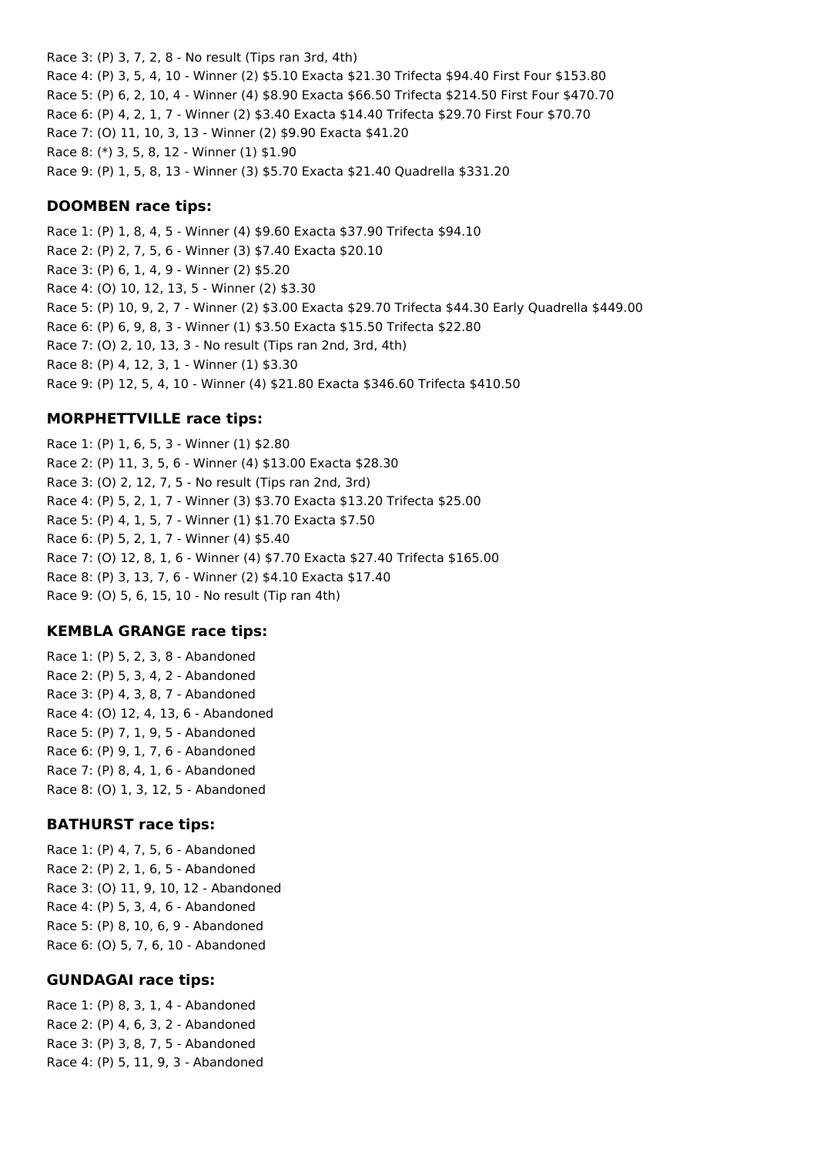Race 3: (P) 3, 7, 2, 8 - No result (Tips ran 3rd, 4th) Race 4: (P) 3, 5, 4, 10 - Winner (2) \$5.10 Exacta \$21.30 Trifecta \$94.40 First Four \$153.80 Race 5: (P) 6, 2, 10, 4 - Winner (4) \$8.90 Exacta \$66.50 Trifecta \$214.50 First Four \$470.70 Race 6: (P) 4, 2, 1, 7 - Winner (2) \$3.40 Exacta \$14.40 Trifecta \$29.70 First Four \$70.70 Race 7: (O) 11, 10, 3, 13 - Winner (2) \$9.90 Exacta \$41.20 Race 8: (\*) 3, 5, 8, 12 - Winner (1) \$1.90 Race 9: (P) 1, 5, 8, 13 - Winner (3) \$5.70 Exacta \$21.40 Quadrella \$331.20

#### **DOOMBEN race tips:**

Race 1: (P) 1, 8, 4, 5 - Winner (4) \$9.60 Exacta \$37.90 Trifecta \$94.10 Race 2: (P) 2, 7, 5, 6 - Winner (3) \$7.40 Exacta \$20.10 Race 3: (P) 6, 1, 4, 9 - Winner (2) \$5.20 Race 4: (O) 10, 12, 13, 5 - Winner (2) \$3.30 Race 5: (P) 10, 9, 2, 7 - Winner (2) \$3.00 Exacta \$29.70 Trifecta \$44.30 Early Quadrella \$449.00 Race 6: (P) 6, 9, 8, 3 - Winner (1) \$3.50 Exacta \$15.50 Trifecta \$22.80 Race 7: (O) 2, 10, 13, 3 - No result (Tips ran 2nd, 3rd, 4th) Race 8: (P) 4, 12, 3, 1 - Winner (1) \$3.30 Race 9: (P) 12, 5, 4, 10 - Winner (4) \$21.80 Exacta \$346.60 Trifecta \$410.50

### **MORPHETTVILLE race tips:**

Race 1: (P) 1, 6, 5, 3 - Winner (1) \$2.80 Race 2: (P) 11, 3, 5, 6 - Winner (4) \$13.00 Exacta \$28.30 Race 3: (O) 2, 12, 7, 5 - No result (Tips ran 2nd, 3rd) Race 4: (P) 5, 2, 1, 7 - Winner (3) \$3.70 Exacta \$13.20 Trifecta \$25.00 Race 5: (P) 4, 1, 5, 7 - Winner (1) \$1.70 Exacta \$7.50 Race 6: (P) 5, 2, 1, 7 - Winner (4) \$5.40 Race 7: (O) 12, 8, 1, 6 - Winner (4) \$7.70 Exacta \$27.40 Trifecta \$165.00 Race 8: (P) 3, 13, 7, 6 - Winner (2) \$4.10 Exacta \$17.40 Race 9: (O) 5, 6, 15, 10 - No result (Tip ran 4th)

### **KEMBLA GRANGE race tips:**

Race 1: (P) 5, 2, 3, 8 - Abandoned Race 2: (P) 5, 3, 4, 2 - Abandoned Race 3: (P) 4, 3, 8, 7 - Abandoned Race 4: (O) 12, 4, 13, 6 - Abandoned Race 5: (P) 7, 1, 9, 5 - Abandoned Race 6: (P) 9, 1, 7, 6 - Abandoned Race 7: (P) 8, 4, 1, 6 - Abandoned Race 8: (O) 1, 3, 12, 5 - Abandoned

### **BATHURST race tips:**

Race 1: (P) 4, 7, 5, 6 - Abandoned Race 2: (P) 2, 1, 6, 5 - Abandoned Race 3: (O) 11, 9, 10, 12 - Abandoned Race 4: (P) 5, 3, 4, 6 - Abandoned Race 5: (P) 8, 10, 6, 9 - Abandoned Race 6: (O) 5, 7, 6, 10 - Abandoned

#### **GUNDAGAI race tips:**

Race 1: (P) 8, 3, 1, 4 - Abandoned Race 2: (P) 4, 6, 3, 2 - Abandoned Race 3: (P) 3, 8, 7, 5 - Abandoned Race 4: (P) 5, 11, 9, 3 - Abandoned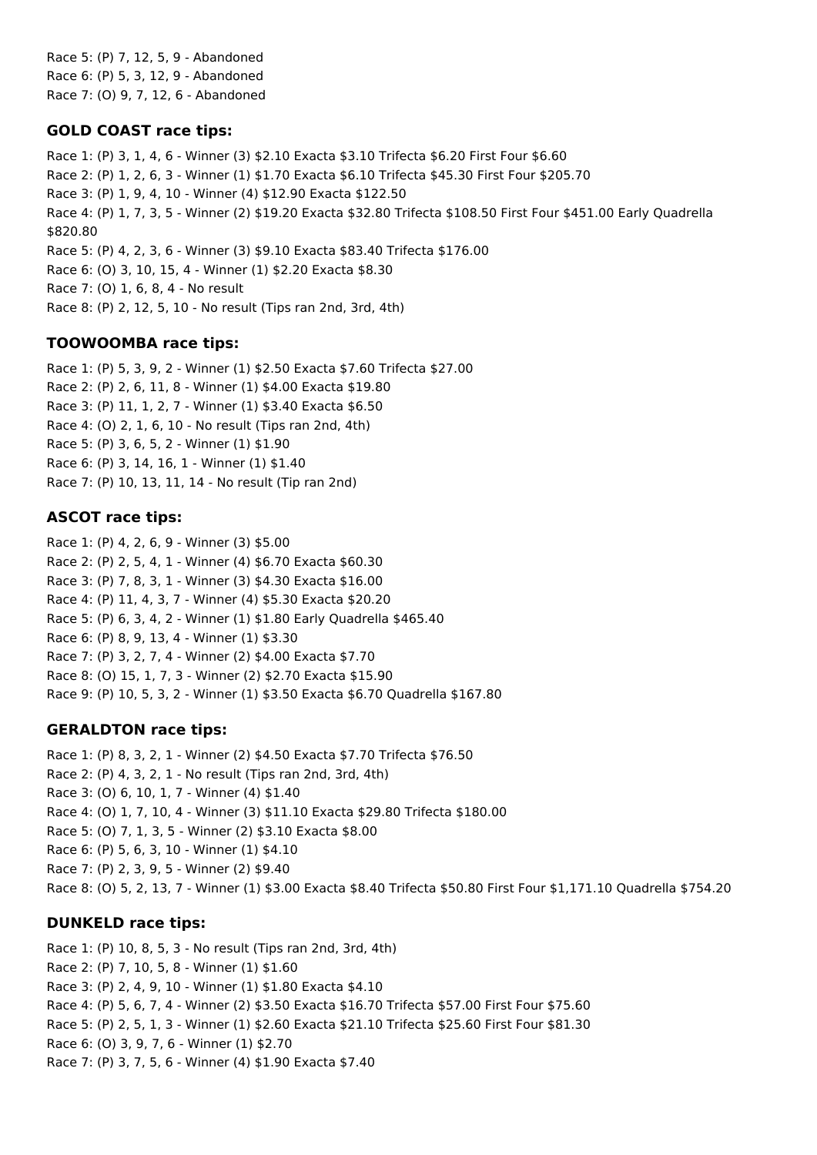Race 5: (P) 7, 12, 5, 9 - Abandoned Race 6: (P) 5, 3, 12, 9 - Abandoned Race 7: (O) 9, 7, 12, 6 - Abandoned

### **GOLD COAST race tips:**

Race 1: (P) 3, 1, 4, 6 - Winner (3) \$2.10 Exacta \$3.10 Trifecta \$6.20 First Four \$6.60 Race 2: (P) 1, 2, 6, 3 - Winner (1) \$1.70 Exacta \$6.10 Trifecta \$45.30 First Four \$205.70 Race 3: (P) 1, 9, 4, 10 - Winner (4) \$12.90 Exacta \$122.50 Race 4: (P) 1, 7, 3, 5 - Winner (2) \$19.20 Exacta \$32.80 Trifecta \$108.50 First Four \$451.00 Early Quadrella \$820.80 Race 5: (P) 4, 2, 3, 6 - Winner (3) \$9.10 Exacta \$83.40 Trifecta \$176.00 Race 6: (O) 3, 10, 15, 4 - Winner (1) \$2.20 Exacta \$8.30 Race 7: (O) 1, 6, 8, 4 - No result Race 8: (P) 2, 12, 5, 10 - No result (Tips ran 2nd, 3rd, 4th)

## **TOOWOOMBA race tips:**

Race 1: (P) 5, 3, 9, 2 - Winner (1) \$2.50 Exacta \$7.60 Trifecta \$27.00 Race 2: (P) 2, 6, 11, 8 - Winner (1) \$4.00 Exacta \$19.80 Race 3: (P) 11, 1, 2, 7 - Winner (1) \$3.40 Exacta \$6.50 Race 4: (O) 2, 1, 6, 10 - No result (Tips ran 2nd, 4th) Race 5: (P) 3, 6, 5, 2 - Winner (1) \$1.90 Race 6: (P) 3, 14, 16, 1 - Winner (1) \$1.40 Race 7: (P) 10, 13, 11, 14 - No result (Tip ran 2nd)

## **ASCOT race tips:**

Race 1: (P) 4, 2, 6, 9 - Winner (3) \$5.00 Race 2: (P) 2, 5, 4, 1 - Winner (4) \$6.70 Exacta \$60.30 Race 3: (P) 7, 8, 3, 1 - Winner (3) \$4.30 Exacta \$16.00 Race 4: (P) 11, 4, 3, 7 - Winner (4) \$5.30 Exacta \$20.20 Race 5: (P) 6, 3, 4, 2 - Winner (1) \$1.80 Early Quadrella \$465.40 Race 6: (P) 8, 9, 13, 4 - Winner (1) \$3.30 Race 7: (P) 3, 2, 7, 4 - Winner (2) \$4.00 Exacta \$7.70 Race 8: (O) 15, 1, 7, 3 - Winner (2) \$2.70 Exacta \$15.90 Race 9: (P) 10, 5, 3, 2 - Winner (1) \$3.50 Exacta \$6.70 Quadrella \$167.80

## **GERALDTON race tips:**

Race 1: (P) 8, 3, 2, 1 - Winner (2) \$4.50 Exacta \$7.70 Trifecta \$76.50 Race 2: (P) 4, 3, 2, 1 - No result (Tips ran 2nd, 3rd, 4th) Race 3: (O) 6, 10, 1, 7 - Winner (4) \$1.40 Race 4: (O) 1, 7, 10, 4 - Winner (3) \$11.10 Exacta \$29.80 Trifecta \$180.00 Race 5: (O) 7, 1, 3, 5 - Winner (2) \$3.10 Exacta \$8.00 Race 6: (P) 5, 6, 3, 10 - Winner (1) \$4.10 Race 7: (P) 2, 3, 9, 5 - Winner (2) \$9.40 Race 8: (O) 5, 2, 13, 7 - Winner (1) \$3.00 Exacta \$8.40 Trifecta \$50.80 First Four \$1,171.10 Quadrella \$754.20

## **DUNKELD race tips:**

Race 1: (P) 10, 8, 5, 3 - No result (Tips ran 2nd, 3rd, 4th) Race 2: (P) 7, 10, 5, 8 - Winner (1) \$1.60 Race 3: (P) 2, 4, 9, 10 - Winner (1) \$1.80 Exacta \$4.10 Race 4: (P) 5, 6, 7, 4 - Winner (2) \$3.50 Exacta \$16.70 Trifecta \$57.00 First Four \$75.60 Race 5: (P) 2, 5, 1, 3 - Winner (1) \$2.60 Exacta \$21.10 Trifecta \$25.60 First Four \$81.30 Race 6: (O) 3, 9, 7, 6 - Winner (1) \$2.70 Race 7: (P) 3, 7, 5, 6 - Winner (4) \$1.90 Exacta \$7.40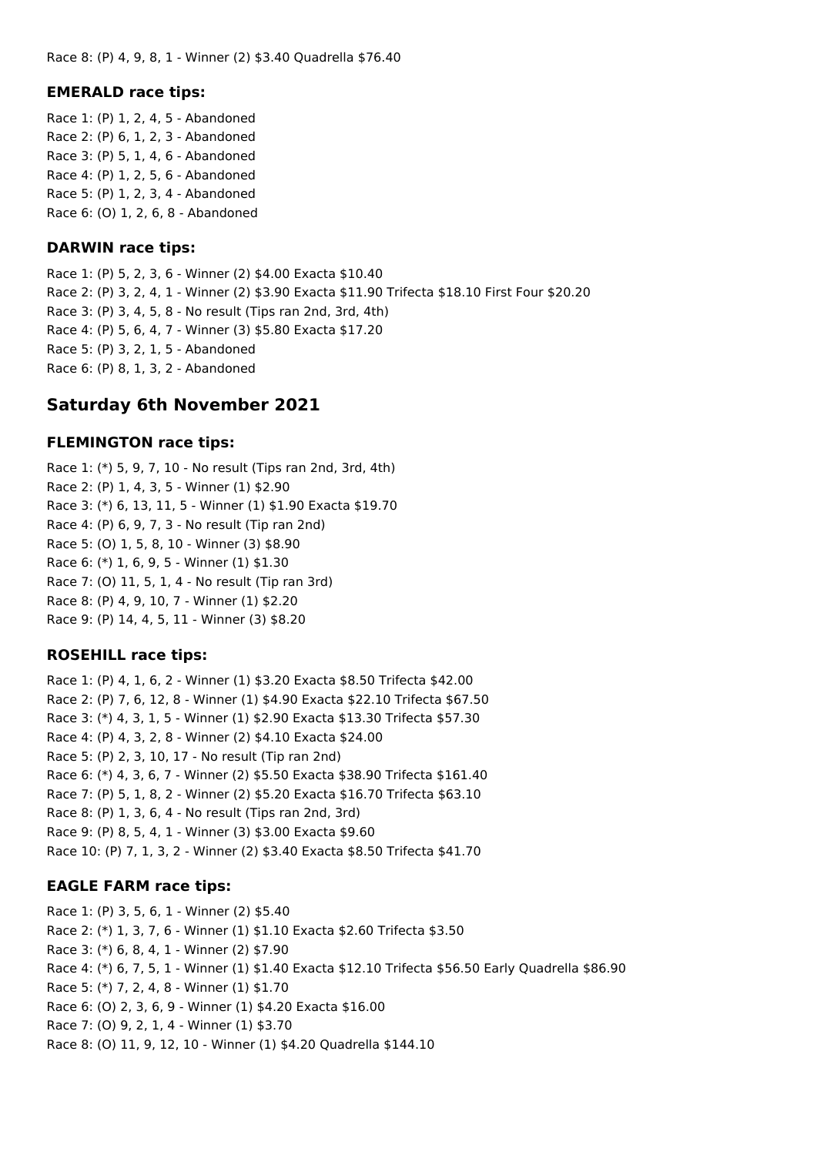#### **EMERALD race tips:**

Race 1: (P) 1, 2, 4, 5 - Abandoned Race 2: (P) 6, 1, 2, 3 - Abandoned Race 3: (P) 5, 1, 4, 6 - Abandoned Race 4: (P) 1, 2, 5, 6 - Abandoned Race 5: (P) 1, 2, 3, 4 - Abandoned Race 6: (O) 1, 2, 6, 8 - Abandoned

#### **DARWIN race tips:**

Race 1: (P) 5, 2, 3, 6 - Winner (2) \$4.00 Exacta \$10.40 Race 2: (P) 3, 2, 4, 1 - Winner (2) \$3.90 Exacta \$11.90 Trifecta \$18.10 First Four \$20.20 Race 3: (P) 3, 4, 5, 8 - No result (Tips ran 2nd, 3rd, 4th) Race 4: (P) 5, 6, 4, 7 - Winner (3) \$5.80 Exacta \$17.20 Race 5: (P) 3, 2, 1, 5 - Abandoned Race 6: (P) 8, 1, 3, 2 - Abandoned

## **Saturday 6th November 2021**

#### **FLEMINGTON race tips:**

Race 1: (\*) 5, 9, 7, 10 - No result (Tips ran 2nd, 3rd, 4th) Race 2: (P) 1, 4, 3, 5 - Winner (1) \$2.90 Race 3: (\*) 6, 13, 11, 5 - Winner (1) \$1.90 Exacta \$19.70 Race 4: (P) 6, 9, 7, 3 - No result (Tip ran 2nd) Race 5: (O) 1, 5, 8, 10 - Winner (3) \$8.90 Race 6: (\*) 1, 6, 9, 5 - Winner (1) \$1.30 Race 7: (O) 11, 5, 1, 4 - No result (Tip ran 3rd) Race 8: (P) 4, 9, 10, 7 - Winner (1) \$2.20 Race 9: (P) 14, 4, 5, 11 - Winner (3) \$8.20

### **ROSEHILL race tips:**

Race 1: (P) 4, 1, 6, 2 - Winner (1) \$3.20 Exacta \$8.50 Trifecta \$42.00 Race 2: (P) 7, 6, 12, 8 - Winner (1) \$4.90 Exacta \$22.10 Trifecta \$67.50 Race 3: (\*) 4, 3, 1, 5 - Winner (1) \$2.90 Exacta \$13.30 Trifecta \$57.30 Race 4: (P) 4, 3, 2, 8 - Winner (2) \$4.10 Exacta \$24.00 Race 5: (P) 2, 3, 10, 17 - No result (Tip ran 2nd) Race 6: (\*) 4, 3, 6, 7 - Winner (2) \$5.50 Exacta \$38.90 Trifecta \$161.40 Race 7: (P) 5, 1, 8, 2 - Winner (2) \$5.20 Exacta \$16.70 Trifecta \$63.10 Race 8: (P) 1, 3, 6, 4 - No result (Tips ran 2nd, 3rd) Race 9: (P) 8, 5, 4, 1 - Winner (3) \$3.00 Exacta \$9.60 Race 10: (P) 7, 1, 3, 2 - Winner (2) \$3.40 Exacta \$8.50 Trifecta \$41.70

#### **EAGLE FARM race tips:**

Race 1: (P) 3, 5, 6, 1 - Winner (2) \$5.40 Race 2: (\*) 1, 3, 7, 6 - Winner (1) \$1.10 Exacta \$2.60 Trifecta \$3.50 Race 3: (\*) 6, 8, 4, 1 - Winner (2) \$7.90 Race 4: (\*) 6, 7, 5, 1 - Winner (1) \$1.40 Exacta \$12.10 Trifecta \$56.50 Early Quadrella \$86.90 Race 5: (\*) 7, 2, 4, 8 - Winner (1) \$1.70 Race 6: (O) 2, 3, 6, 9 - Winner (1) \$4.20 Exacta \$16.00 Race 7: (O) 9, 2, 1, 4 - Winner (1) \$3.70 Race 8: (O) 11, 9, 12, 10 - Winner (1) \$4.20 Quadrella \$144.10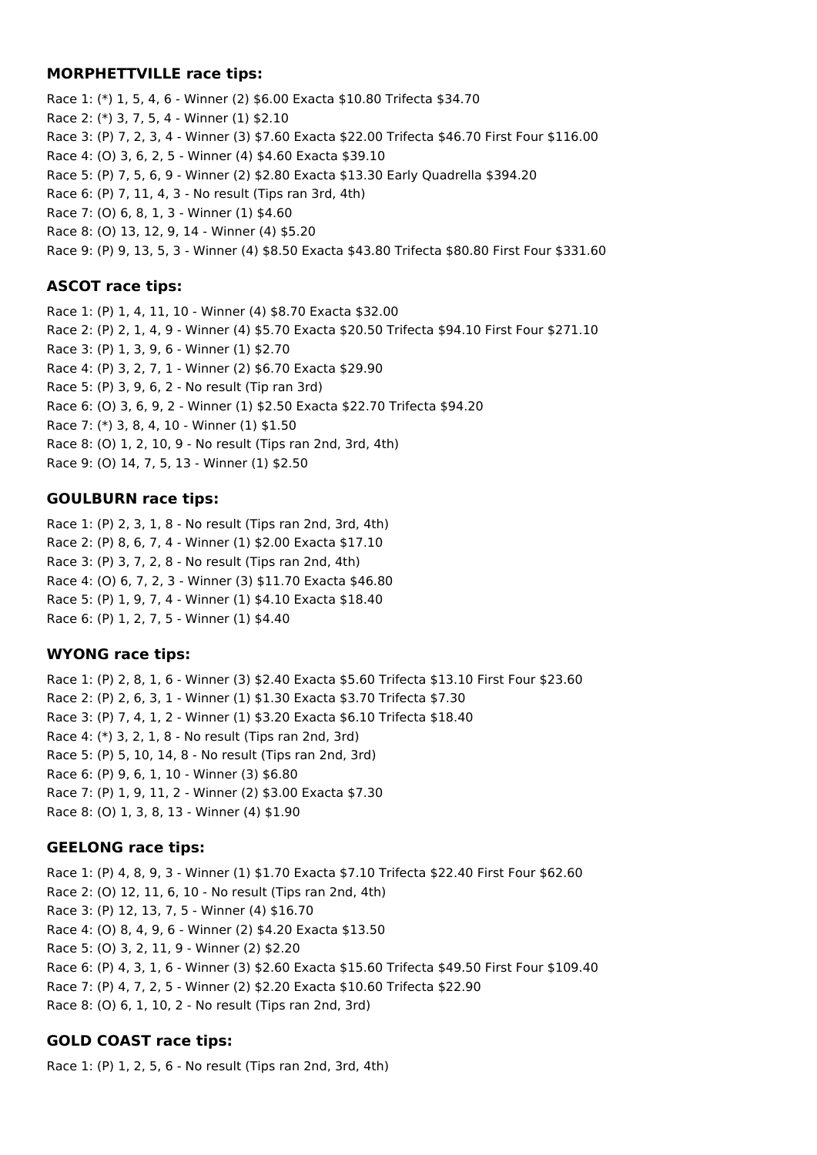#### **MORPHETTVILLE race tips:**

Race 1: (\*) 1, 5, 4, 6 - Winner (2) \$6.00 Exacta \$10.80 Trifecta \$34.70 Race 2: (\*) 3, 7, 5, 4 - Winner (1) \$2.10 Race 3: (P) 7, 2, 3, 4 - Winner (3) \$7.60 Exacta \$22.00 Trifecta \$46.70 First Four \$116.00 Race 4: (O) 3, 6, 2, 5 - Winner (4) \$4.60 Exacta \$39.10 Race 5: (P) 7, 5, 6, 9 - Winner (2) \$2.80 Exacta \$13.30 Early Quadrella \$394.20 Race 6: (P) 7, 11, 4, 3 - No result (Tips ran 3rd, 4th) Race 7: (O) 6, 8, 1, 3 - Winner (1) \$4.60 Race 8: (O) 13, 12, 9, 14 - Winner (4) \$5.20 Race 9: (P) 9, 13, 5, 3 - Winner (4) \$8.50 Exacta \$43.80 Trifecta \$80.80 First Four \$331.60

### **ASCOT race tips:**

Race 1: (P) 1, 4, 11, 10 - Winner (4) \$8.70 Exacta \$32.00 Race 2: (P) 2, 1, 4, 9 - Winner (4) \$5.70 Exacta \$20.50 Trifecta \$94.10 First Four \$271.10 Race 3: (P) 1, 3, 9, 6 - Winner (1) \$2.70 Race 4: (P) 3, 2, 7, 1 - Winner (2) \$6.70 Exacta \$29.90 Race 5: (P) 3, 9, 6, 2 - No result (Tip ran 3rd) Race 6: (O) 3, 6, 9, 2 - Winner (1) \$2.50 Exacta \$22.70 Trifecta \$94.20 Race 7: (\*) 3, 8, 4, 10 - Winner (1) \$1.50 Race 8: (O) 1, 2, 10, 9 - No result (Tips ran 2nd, 3rd, 4th) Race 9: (O) 14, 7, 5, 13 - Winner (1) \$2.50

## **GOULBURN race tips:**

Race 1: (P) 2, 3, 1, 8 - No result (Tips ran 2nd, 3rd, 4th) Race 2: (P) 8, 6, 7, 4 - Winner (1) \$2.00 Exacta \$17.10 Race 3: (P) 3, 7, 2, 8 - No result (Tips ran 2nd, 4th) Race 4: (O) 6, 7, 2, 3 - Winner (3) \$11.70 Exacta \$46.80 Race 5: (P) 1, 9, 7, 4 - Winner (1) \$4.10 Exacta \$18.40 Race 6: (P) 1, 2, 7, 5 - Winner (1) \$4.40

## **WYONG race tips:**

Race 1: (P) 2, 8, 1, 6 - Winner (3) \$2.40 Exacta \$5.60 Trifecta \$13.10 First Four \$23.60 Race 2: (P) 2, 6, 3, 1 - Winner (1) \$1.30 Exacta \$3.70 Trifecta \$7.30 Race 3: (P) 7, 4, 1, 2 - Winner (1) \$3.20 Exacta \$6.10 Trifecta \$18.40 Race 4: (\*) 3, 2, 1, 8 - No result (Tips ran 2nd, 3rd) Race 5: (P) 5, 10, 14, 8 - No result (Tips ran 2nd, 3rd) Race 6: (P) 9, 6, 1, 10 - Winner (3) \$6.80 Race 7: (P) 1, 9, 11, 2 - Winner (2) \$3.00 Exacta \$7.30 Race 8: (O) 1, 3, 8, 13 - Winner (4) \$1.90

## **GEELONG race tips:**

Race 1: (P) 4, 8, 9, 3 - Winner (1) \$1.70 Exacta \$7.10 Trifecta \$22.40 First Four \$62.60 Race 2: (O) 12, 11, 6, 10 - No result (Tips ran 2nd, 4th) Race 3: (P) 12, 13, 7, 5 - Winner (4) \$16.70 Race 4: (O) 8, 4, 9, 6 - Winner (2) \$4.20 Exacta \$13.50 Race 5: (O) 3, 2, 11, 9 - Winner (2) \$2.20 Race 6: (P) 4, 3, 1, 6 - Winner (3) \$2.60 Exacta \$15.60 Trifecta \$49.50 First Four \$109.40 Race 7: (P) 4, 7, 2, 5 - Winner (2) \$2.20 Exacta \$10.60 Trifecta \$22.90 Race 8: (O) 6, 1, 10, 2 - No result (Tips ran 2nd, 3rd)

## **GOLD COAST race tips:**

Race 1: (P) 1, 2, 5, 6 - No result (Tips ran 2nd, 3rd, 4th)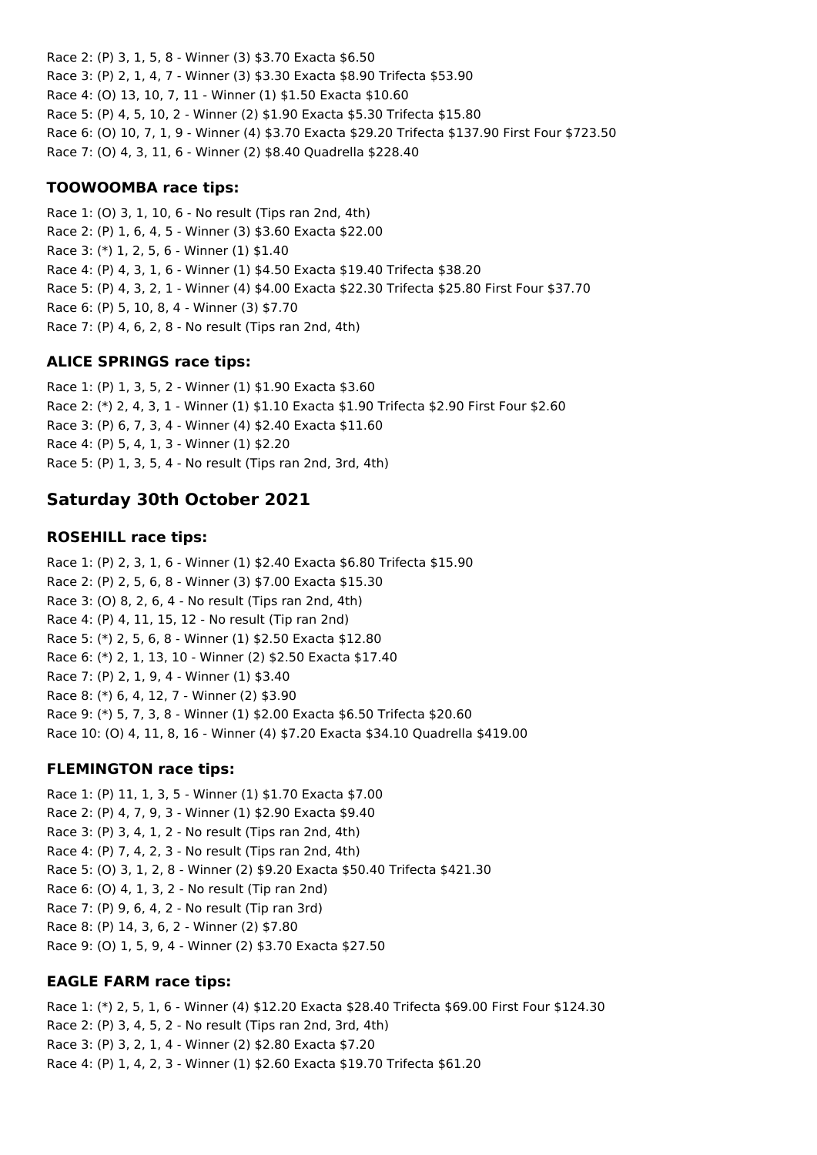Race 2: (P) 3, 1, 5, 8 - Winner (3) \$3.70 Exacta \$6.50 Race 3: (P) 2, 1, 4, 7 - Winner (3) \$3.30 Exacta \$8.90 Trifecta \$53.90 Race 4: (O) 13, 10, 7, 11 - Winner (1) \$1.50 Exacta \$10.60 Race 5: (P) 4, 5, 10, 2 - Winner (2) \$1.90 Exacta \$5.30 Trifecta \$15.80 Race 6: (O) 10, 7, 1, 9 - Winner (4) \$3.70 Exacta \$29.20 Trifecta \$137.90 First Four \$723.50 Race 7: (O) 4, 3, 11, 6 - Winner (2) \$8.40 Quadrella \$228.40

### **TOOWOOMBA race tips:**

Race 1: (O) 3, 1, 10, 6 - No result (Tips ran 2nd, 4th) Race 2: (P) 1, 6, 4, 5 - Winner (3) \$3.60 Exacta \$22.00 Race 3: (\*) 1, 2, 5, 6 - Winner (1) \$1.40 Race 4: (P) 4, 3, 1, 6 - Winner (1) \$4.50 Exacta \$19.40 Trifecta \$38.20 Race 5: (P) 4, 3, 2, 1 - Winner (4) \$4.00 Exacta \$22.30 Trifecta \$25.80 First Four \$37.70 Race 6: (P) 5, 10, 8, 4 - Winner (3) \$7.70 Race 7: (P) 4, 6, 2, 8 - No result (Tips ran 2nd, 4th)

## **ALICE SPRINGS race tips:**

Race 1: (P) 1, 3, 5, 2 - Winner (1) \$1.90 Exacta \$3.60 Race 2: (\*) 2, 4, 3, 1 - Winner (1) \$1.10 Exacta \$1.90 Trifecta \$2.90 First Four \$2.60 Race 3: (P) 6, 7, 3, 4 - Winner (4) \$2.40 Exacta \$11.60 Race 4: (P) 5, 4, 1, 3 - Winner (1) \$2.20 Race 5: (P) 1, 3, 5, 4 - No result (Tips ran 2nd, 3rd, 4th)

# **Saturday 30th October 2021**

## **ROSEHILL race tips:**

Race 1: (P) 2, 3, 1, 6 - Winner (1) \$2.40 Exacta \$6.80 Trifecta \$15.90 Race 2: (P) 2, 5, 6, 8 - Winner (3) \$7.00 Exacta \$15.30 Race 3: (O) 8, 2, 6, 4 - No result (Tips ran 2nd, 4th) Race 4: (P) 4, 11, 15, 12 - No result (Tip ran 2nd) Race 5: (\*) 2, 5, 6, 8 - Winner (1) \$2.50 Exacta \$12.80 Race 6: (\*) 2, 1, 13, 10 - Winner (2) \$2.50 Exacta \$17.40 Race 7: (P) 2, 1, 9, 4 - Winner (1) \$3.40 Race 8: (\*) 6, 4, 12, 7 - Winner (2) \$3.90 Race 9: (\*) 5, 7, 3, 8 - Winner (1) \$2.00 Exacta \$6.50 Trifecta \$20.60 Race 10: (O) 4, 11, 8, 16 - Winner (4) \$7.20 Exacta \$34.10 Quadrella \$419.00

## **FLEMINGTON race tips:**

Race 1: (P) 11, 1, 3, 5 - Winner (1) \$1.70 Exacta \$7.00 Race 2: (P) 4, 7, 9, 3 - Winner (1) \$2.90 Exacta \$9.40 Race 3: (P) 3, 4, 1, 2 - No result (Tips ran 2nd, 4th) Race 4: (P) 7, 4, 2, 3 - No result (Tips ran 2nd, 4th) Race 5: (O) 3, 1, 2, 8 - Winner (2) \$9.20 Exacta \$50.40 Trifecta \$421.30 Race 6: (O) 4, 1, 3, 2 - No result (Tip ran 2nd) Race 7: (P) 9, 6, 4, 2 - No result (Tip ran 3rd) Race 8: (P) 14, 3, 6, 2 - Winner (2) \$7.80 Race 9: (O) 1, 5, 9, 4 - Winner (2) \$3.70 Exacta \$27.50

## **EAGLE FARM race tips:**

Race 1: (\*) 2, 5, 1, 6 - Winner (4) \$12.20 Exacta \$28.40 Trifecta \$69.00 First Four \$124.30 Race 2: (P) 3, 4, 5, 2 - No result (Tips ran 2nd, 3rd, 4th) Race 3: (P) 3, 2, 1, 4 - Winner (2) \$2.80 Exacta \$7.20 Race 4: (P) 1, 4, 2, 3 - Winner (1) \$2.60 Exacta \$19.70 Trifecta \$61.20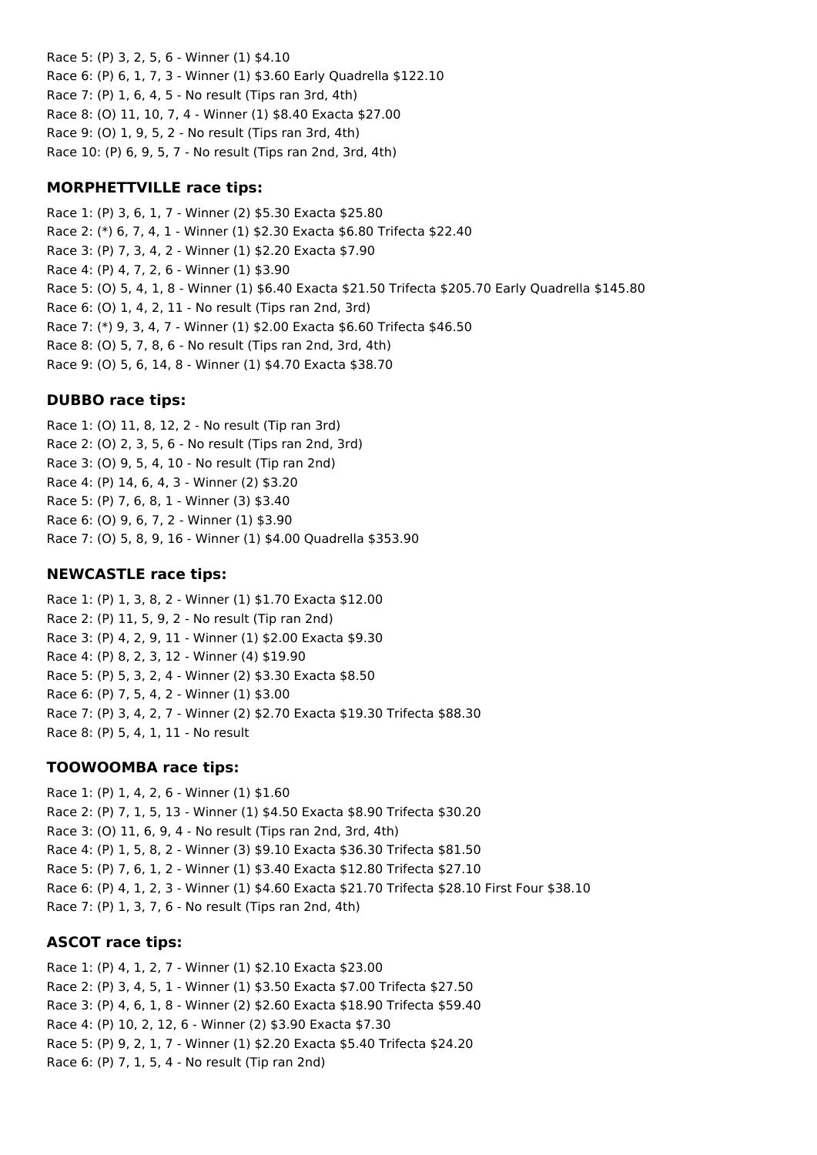Race 5: (P) 3, 2, 5, 6 - Winner (1) \$4.10 Race 6: (P) 6, 1, 7, 3 - Winner (1) \$3.60 Early Quadrella \$122.10 Race 7: (P) 1, 6, 4, 5 - No result (Tips ran 3rd, 4th) Race 8: (O) 11, 10, 7, 4 - Winner (1) \$8.40 Exacta \$27.00 Race 9: (O) 1, 9, 5, 2 - No result (Tips ran 3rd, 4th) Race 10: (P) 6, 9, 5, 7 - No result (Tips ran 2nd, 3rd, 4th)

## **MORPHETTVILLE race tips:**

Race 1: (P) 3, 6, 1, 7 - Winner (2) \$5.30 Exacta \$25.80 Race 2: (\*) 6, 7, 4, 1 - Winner (1) \$2.30 Exacta \$6.80 Trifecta \$22.40 Race 3: (P) 7, 3, 4, 2 - Winner (1) \$2.20 Exacta \$7.90 Race 4: (P) 4, 7, 2, 6 - Winner (1) \$3.90 Race 5: (O) 5, 4, 1, 8 - Winner (1) \$6.40 Exacta \$21.50 Trifecta \$205.70 Early Quadrella \$145.80 Race 6: (O) 1, 4, 2, 11 - No result (Tips ran 2nd, 3rd) Race 7: (\*) 9, 3, 4, 7 - Winner (1) \$2.00 Exacta \$6.60 Trifecta \$46.50 Race 8: (O) 5, 7, 8, 6 - No result (Tips ran 2nd, 3rd, 4th) Race 9: (O) 5, 6, 14, 8 - Winner (1) \$4.70 Exacta \$38.70

## **DUBBO race tips:**

Race 1: (O) 11, 8, 12, 2 - No result (Tip ran 3rd) Race 2: (O) 2, 3, 5, 6 - No result (Tips ran 2nd, 3rd) Race 3: (O) 9, 5, 4, 10 - No result (Tip ran 2nd) Race 4: (P) 14, 6, 4, 3 - Winner (2) \$3.20 Race 5: (P) 7, 6, 8, 1 - Winner (3) \$3.40 Race 6: (O) 9, 6, 7, 2 - Winner (1) \$3.90 Race 7: (O) 5, 8, 9, 16 - Winner (1) \$4.00 Quadrella \$353.90

## **NEWCASTLE race tips:**

Race 1: (P) 1, 3, 8, 2 - Winner (1) \$1.70 Exacta \$12.00 Race 2: (P) 11, 5, 9, 2 - No result (Tip ran 2nd) Race 3: (P) 4, 2, 9, 11 - Winner (1) \$2.00 Exacta \$9.30 Race 4: (P) 8, 2, 3, 12 - Winner (4) \$19.90 Race 5: (P) 5, 3, 2, 4 - Winner (2) \$3.30 Exacta \$8.50 Race 6: (P) 7, 5, 4, 2 - Winner (1) \$3.00 Race 7: (P) 3, 4, 2, 7 - Winner (2) \$2.70 Exacta \$19.30 Trifecta \$88.30 Race 8: (P) 5, 4, 1, 11 - No result

## **TOOWOOMBA race tips:**

Race 1: (P) 1, 4, 2, 6 - Winner (1) \$1.60 Race 2: (P) 7, 1, 5, 13 - Winner (1) \$4.50 Exacta \$8.90 Trifecta \$30.20 Race 3: (O) 11, 6, 9, 4 - No result (Tips ran 2nd, 3rd, 4th) Race 4: (P) 1, 5, 8, 2 - Winner (3) \$9.10 Exacta \$36.30 Trifecta \$81.50 Race 5: (P) 7, 6, 1, 2 - Winner (1) \$3.40 Exacta \$12.80 Trifecta \$27.10 Race 6: (P) 4, 1, 2, 3 - Winner (1) \$4.60 Exacta \$21.70 Trifecta \$28.10 First Four \$38.10 Race 7: (P) 1, 3, 7, 6 - No result (Tips ran 2nd, 4th)

### **ASCOT race tips:**

Race 1: (P) 4, 1, 2, 7 - Winner (1) \$2.10 Exacta \$23.00 Race 2: (P) 3, 4, 5, 1 - Winner (1) \$3.50 Exacta \$7.00 Trifecta \$27.50 Race 3: (P) 4, 6, 1, 8 - Winner (2) \$2.60 Exacta \$18.90 Trifecta \$59.40 Race 4: (P) 10, 2, 12, 6 - Winner (2) \$3.90 Exacta \$7.30 Race 5: (P) 9, 2, 1, 7 - Winner (1) \$2.20 Exacta \$5.40 Trifecta \$24.20 Race 6: (P) 7, 1, 5, 4 - No result (Tip ran 2nd)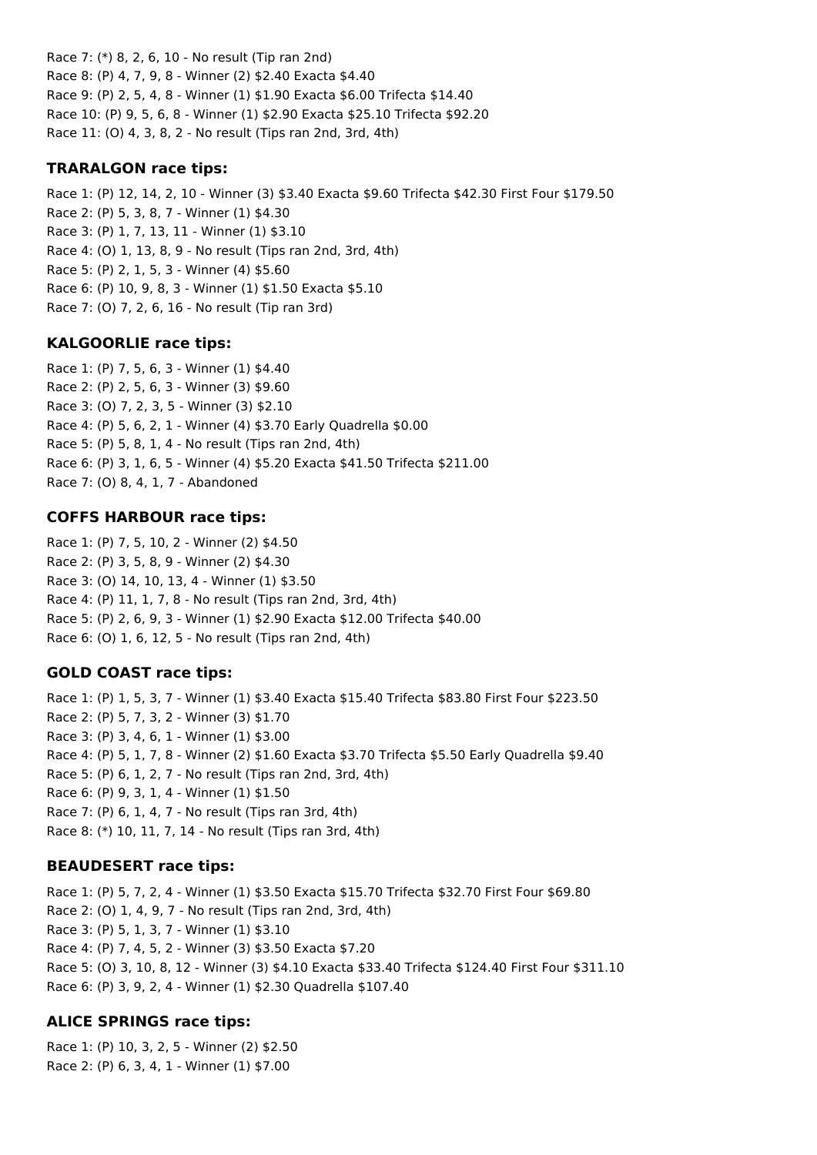Race 7: (\*) 8, 2, 6, 10 - No result (Tip ran 2nd) Race 8: (P) 4, 7, 9, 8 - Winner (2) \$2.40 Exacta \$4.40 Race 9: (P) 2, 5, 4, 8 - Winner (1) \$1.90 Exacta \$6.00 Trifecta \$14.40 Race 10: (P) 9, 5, 6, 8 - Winner (1) \$2.90 Exacta \$25.10 Trifecta \$92.20 Race 11: (O) 4, 3, 8, 2 - No result (Tips ran 2nd, 3rd, 4th)

### **TRARALGON race tips:**

Race 1: (P) 12, 14, 2, 10 - Winner (3) \$3.40 Exacta \$9.60 Trifecta \$42.30 First Four \$179.50 Race 2: (P) 5, 3, 8, 7 - Winner (1) \$4.30 Race 3: (P) 1, 7, 13, 11 - Winner (1) \$3.10 Race 4: (O) 1, 13, 8, 9 - No result (Tips ran 2nd, 3rd, 4th) Race 5: (P) 2, 1, 5, 3 - Winner (4) \$5.60 Race 6: (P) 10, 9, 8, 3 - Winner (1) \$1.50 Exacta \$5.10 Race 7: (O) 7, 2, 6, 16 - No result (Tip ran 3rd)

#### **KALGOORLIE race tips:**

Race 1: (P) 7, 5, 6, 3 - Winner (1) \$4.40 Race 2: (P) 2, 5, 6, 3 - Winner (3) \$9.60 Race 3: (O) 7, 2, 3, 5 - Winner (3) \$2.10 Race 4: (P) 5, 6, 2, 1 - Winner (4) \$3.70 Early Quadrella \$0.00 Race 5: (P) 5, 8, 1, 4 - No result (Tips ran 2nd, 4th) Race 6: (P) 3, 1, 6, 5 - Winner (4) \$5.20 Exacta \$41.50 Trifecta \$211.00 Race 7: (O) 8, 4, 1, 7 - Abandoned

#### **COFFS HARBOUR race tips:**

Race 1: (P) 7, 5, 10, 2 - Winner (2) \$4.50 Race 2: (P) 3, 5, 8, 9 - Winner (2) \$4.30 Race 3: (O) 14, 10, 13, 4 - Winner (1) \$3.50 Race 4: (P) 11, 1, 7, 8 - No result (Tips ran 2nd, 3rd, 4th) Race 5: (P) 2, 6, 9, 3 - Winner (1) \$2.90 Exacta \$12.00 Trifecta \$40.00 Race 6: (O) 1, 6, 12, 5 - No result (Tips ran 2nd, 4th)

#### **GOLD COAST race tips:**

Race 1: (P) 1, 5, 3, 7 - Winner (1) \$3.40 Exacta \$15.40 Trifecta \$83.80 First Four \$223.50 Race 2: (P) 5, 7, 3, 2 - Winner (3) \$1.70 Race 3: (P) 3, 4, 6, 1 - Winner (1) \$3.00 Race 4: (P) 5, 1, 7, 8 - Winner (2) \$1.60 Exacta \$3.70 Trifecta \$5.50 Early Quadrella \$9.40 Race 5: (P) 6, 1, 2, 7 - No result (Tips ran 2nd, 3rd, 4th) Race 6: (P) 9, 3, 1, 4 - Winner (1) \$1.50 Race 7: (P) 6, 1, 4, 7 - No result (Tips ran 3rd, 4th) Race 8: (\*) 10, 11, 7, 14 - No result (Tips ran 3rd, 4th)

#### **BEAUDESERT race tips:**

Race 1: (P) 5, 7, 2, 4 - Winner (1) \$3.50 Exacta \$15.70 Trifecta \$32.70 First Four \$69.80 Race 2: (O) 1, 4, 9, 7 - No result (Tips ran 2nd, 3rd, 4th) Race 3: (P) 5, 1, 3, 7 - Winner (1) \$3.10 Race 4: (P) 7, 4, 5, 2 - Winner (3) \$3.50 Exacta \$7.20 Race 5: (O) 3, 10, 8, 12 - Winner (3) \$4.10 Exacta \$33.40 Trifecta \$124.40 First Four \$311.10 Race 6: (P) 3, 9, 2, 4 - Winner (1) \$2.30 Quadrella \$107.40

#### **ALICE SPRINGS race tips:**

Race 1: (P) 10, 3, 2, 5 - Winner (2) \$2.50 Race 2: (P) 6, 3, 4, 1 - Winner (1) \$7.00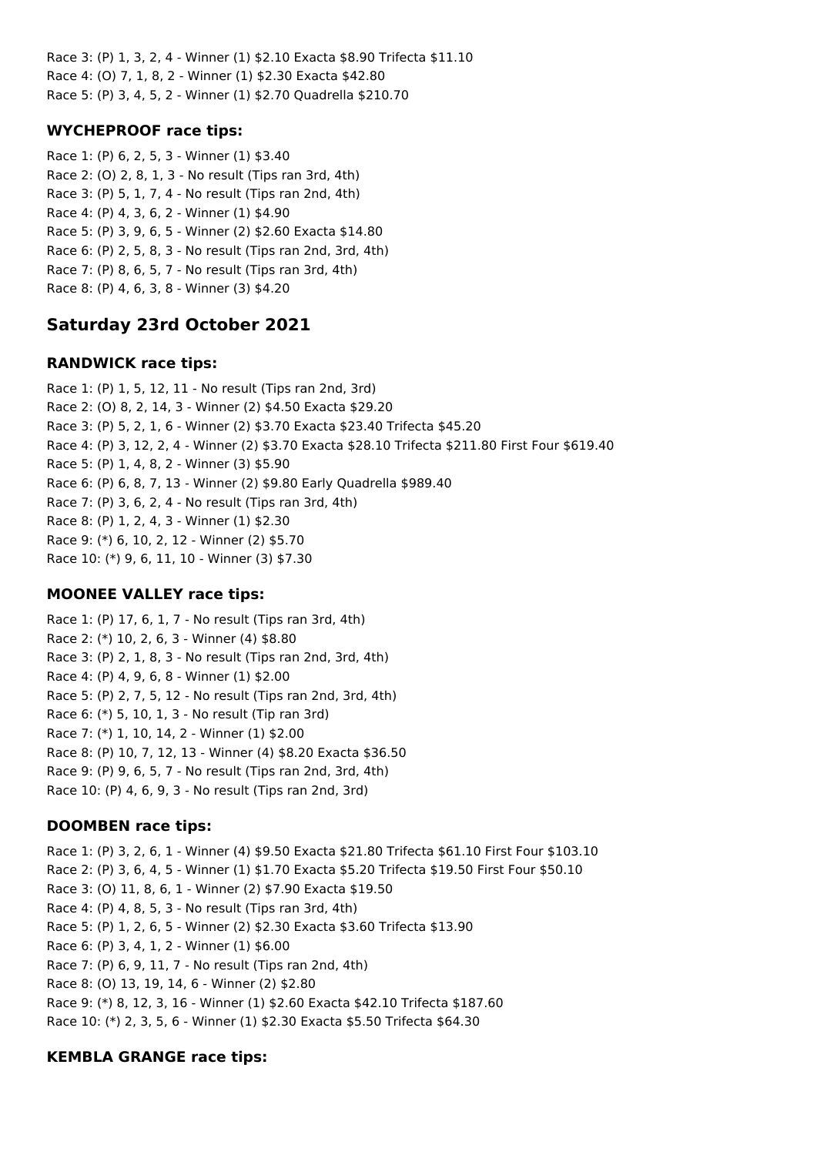Race 3: (P) 1, 3, 2, 4 - Winner (1) \$2.10 Exacta \$8.90 Trifecta \$11.10 Race 4: (O) 7, 1, 8, 2 - Winner (1) \$2.30 Exacta \$42.80 Race 5: (P) 3, 4, 5, 2 - Winner (1) \$2.70 Quadrella \$210.70

## **WYCHEPROOF race tips:**

Race 1: (P) 6, 2, 5, 3 - Winner (1) \$3.40 Race 2: (O) 2, 8, 1, 3 - No result (Tips ran 3rd, 4th) Race 3: (P) 5, 1, 7, 4 - No result (Tips ran 2nd, 4th) Race 4: (P) 4, 3, 6, 2 - Winner (1) \$4.90 Race 5: (P) 3, 9, 6, 5 - Winner (2) \$2.60 Exacta \$14.80 Race 6: (P) 2, 5, 8, 3 - No result (Tips ran 2nd, 3rd, 4th) Race 7: (P) 8, 6, 5, 7 - No result (Tips ran 3rd, 4th) Race 8: (P) 4, 6, 3, 8 - Winner (3) \$4.20

# **Saturday 23rd October 2021**

## **RANDWICK race tips:**

Race 1: (P) 1, 5, 12, 11 - No result (Tips ran 2nd, 3rd) Race 2: (O) 8, 2, 14, 3 - Winner (2) \$4.50 Exacta \$29.20 Race 3: (P) 5, 2, 1, 6 - Winner (2) \$3.70 Exacta \$23.40 Trifecta \$45.20 Race 4: (P) 3, 12, 2, 4 - Winner (2) \$3.70 Exacta \$28.10 Trifecta \$211.80 First Four \$619.40 Race 5: (P) 1, 4, 8, 2 - Winner (3) \$5.90 Race 6: (P) 6, 8, 7, 13 - Winner (2) \$9.80 Early Quadrella \$989.40 Race 7: (P) 3, 6, 2, 4 - No result (Tips ran 3rd, 4th) Race 8: (P) 1, 2, 4, 3 - Winner (1) \$2.30 Race 9: (\*) 6, 10, 2, 12 - Winner (2) \$5.70 Race 10: (\*) 9, 6, 11, 10 - Winner (3) \$7.30

## **MOONEE VALLEY race tips:**

Race 1: (P) 17, 6, 1, 7 - No result (Tips ran 3rd, 4th) Race 2: (\*) 10, 2, 6, 3 - Winner (4) \$8.80 Race 3: (P) 2, 1, 8, 3 - No result (Tips ran 2nd, 3rd, 4th) Race 4: (P) 4, 9, 6, 8 - Winner (1) \$2.00 Race 5: (P) 2, 7, 5, 12 - No result (Tips ran 2nd, 3rd, 4th) Race 6: (\*) 5, 10, 1, 3 - No result (Tip ran 3rd) Race 7: (\*) 1, 10, 14, 2 - Winner (1) \$2.00 Race 8: (P) 10, 7, 12, 13 - Winner (4) \$8.20 Exacta \$36.50 Race 9: (P) 9, 6, 5, 7 - No result (Tips ran 2nd, 3rd, 4th) Race 10: (P) 4, 6, 9, 3 - No result (Tips ran 2nd, 3rd)

## **DOOMBEN race tips:**

Race 1: (P) 3, 2, 6, 1 - Winner (4) \$9.50 Exacta \$21.80 Trifecta \$61.10 First Four \$103.10 Race 2: (P) 3, 6, 4, 5 - Winner (1) \$1.70 Exacta \$5.20 Trifecta \$19.50 First Four \$50.10 Race 3: (O) 11, 8, 6, 1 - Winner (2) \$7.90 Exacta \$19.50 Race 4: (P) 4, 8, 5, 3 - No result (Tips ran 3rd, 4th) Race 5: (P) 1, 2, 6, 5 - Winner (2) \$2.30 Exacta \$3.60 Trifecta \$13.90 Race 6: (P) 3, 4, 1, 2 - Winner (1) \$6.00 Race 7: (P) 6, 9, 11, 7 - No result (Tips ran 2nd, 4th) Race 8: (O) 13, 19, 14, 6 - Winner (2) \$2.80 Race 9: (\*) 8, 12, 3, 16 - Winner (1) \$2.60 Exacta \$42.10 Trifecta \$187.60 Race 10: (\*) 2, 3, 5, 6 - Winner (1) \$2.30 Exacta \$5.50 Trifecta \$64.30

## **KEMBLA GRANGE race tips:**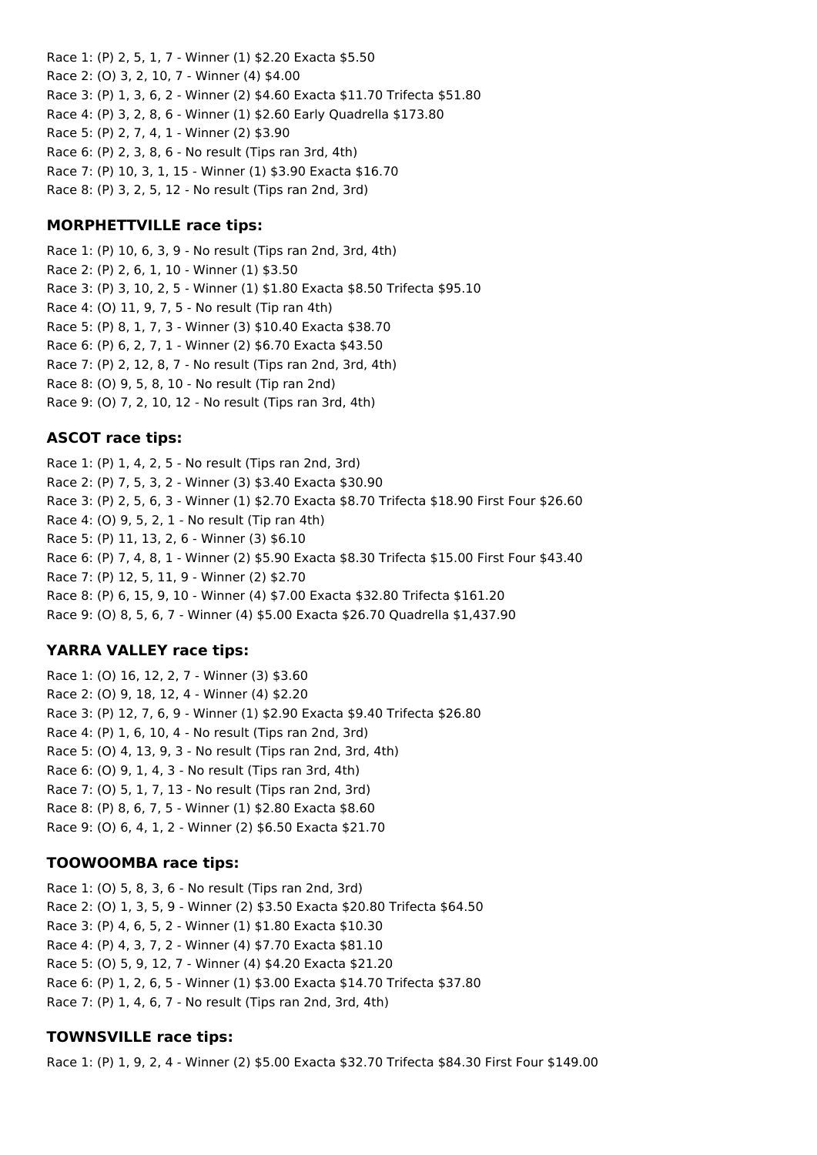Race 1: (P) 2, 5, 1, 7 - Winner (1) \$2.20 Exacta \$5.50 Race 2: (O) 3, 2, 10, 7 - Winner (4) \$4.00 Race 3: (P) 1, 3, 6, 2 - Winner (2) \$4.60 Exacta \$11.70 Trifecta \$51.80 Race 4: (P) 3, 2, 8, 6 - Winner (1) \$2.60 Early Quadrella \$173.80 Race 5: (P) 2, 7, 4, 1 - Winner (2) \$3.90 Race 6: (P) 2, 3, 8, 6 - No result (Tips ran 3rd, 4th) Race 7: (P) 10, 3, 1, 15 - Winner (1) \$3.90 Exacta \$16.70 Race 8: (P) 3, 2, 5, 12 - No result (Tips ran 2nd, 3rd)

## **MORPHETTVILLE race tips:**

Race 1: (P) 10, 6, 3, 9 - No result (Tips ran 2nd, 3rd, 4th) Race 2: (P) 2, 6, 1, 10 - Winner (1) \$3.50 Race 3: (P) 3, 10, 2, 5 - Winner (1) \$1.80 Exacta \$8.50 Trifecta \$95.10 Race 4: (O) 11, 9, 7, 5 - No result (Tip ran 4th) Race 5: (P) 8, 1, 7, 3 - Winner (3) \$10.40 Exacta \$38.70 Race 6: (P) 6, 2, 7, 1 - Winner (2) \$6.70 Exacta \$43.50 Race 7: (P) 2, 12, 8, 7 - No result (Tips ran 2nd, 3rd, 4th) Race 8: (O) 9, 5, 8, 10 - No result (Tip ran 2nd) Race 9: (O) 7, 2, 10, 12 - No result (Tips ran 3rd, 4th)

## **ASCOT race tips:**

Race 1: (P) 1, 4, 2, 5 - No result (Tips ran 2nd, 3rd) Race 2: (P) 7, 5, 3, 2 - Winner (3) \$3.40 Exacta \$30.90 Race 3: (P) 2, 5, 6, 3 - Winner (1) \$2.70 Exacta \$8.70 Trifecta \$18.90 First Four \$26.60 Race 4: (O) 9, 5, 2, 1 - No result (Tip ran 4th) Race 5: (P) 11, 13, 2, 6 - Winner (3) \$6.10 Race 6: (P) 7, 4, 8, 1 - Winner (2) \$5.90 Exacta \$8.30 Trifecta \$15.00 First Four \$43.40 Race 7: (P) 12, 5, 11, 9 - Winner (2) \$2.70 Race 8: (P) 6, 15, 9, 10 - Winner (4) \$7.00 Exacta \$32.80 Trifecta \$161.20 Race 9: (O) 8, 5, 6, 7 - Winner (4) \$5.00 Exacta \$26.70 Quadrella \$1,437.90

## **YARRA VALLEY race tips:**

Race 1: (O) 16, 12, 2, 7 - Winner (3) \$3.60 Race 2: (O) 9, 18, 12, 4 - Winner (4) \$2.20 Race 3: (P) 12, 7, 6, 9 - Winner (1) \$2.90 Exacta \$9.40 Trifecta \$26.80 Race 4: (P) 1, 6, 10, 4 - No result (Tips ran 2nd, 3rd) Race 5: (O) 4, 13, 9, 3 - No result (Tips ran 2nd, 3rd, 4th) Race 6: (O) 9, 1, 4, 3 - No result (Tips ran 3rd, 4th) Race 7: (O) 5, 1, 7, 13 - No result (Tips ran 2nd, 3rd) Race 8: (P) 8, 6, 7, 5 - Winner (1) \$2.80 Exacta \$8.60 Race 9: (O) 6, 4, 1, 2 - Winner (2) \$6.50 Exacta \$21.70

## **TOOWOOMBA race tips:**

Race 1: (O) 5, 8, 3, 6 - No result (Tips ran 2nd, 3rd) Race 2: (O) 1, 3, 5, 9 - Winner (2) \$3.50 Exacta \$20.80 Trifecta \$64.50 Race 3: (P) 4, 6, 5, 2 - Winner (1) \$1.80 Exacta \$10.30 Race 4: (P) 4, 3, 7, 2 - Winner (4) \$7.70 Exacta \$81.10 Race 5: (O) 5, 9, 12, 7 - Winner (4) \$4.20 Exacta \$21.20 Race 6: (P) 1, 2, 6, 5 - Winner (1) \$3.00 Exacta \$14.70 Trifecta \$37.80 Race 7: (P) 1, 4, 6, 7 - No result (Tips ran 2nd, 3rd, 4th)

## **TOWNSVILLE race tips:**

Race 1: (P) 1, 9, 2, 4 - Winner (2) \$5.00 Exacta \$32.70 Trifecta \$84.30 First Four \$149.00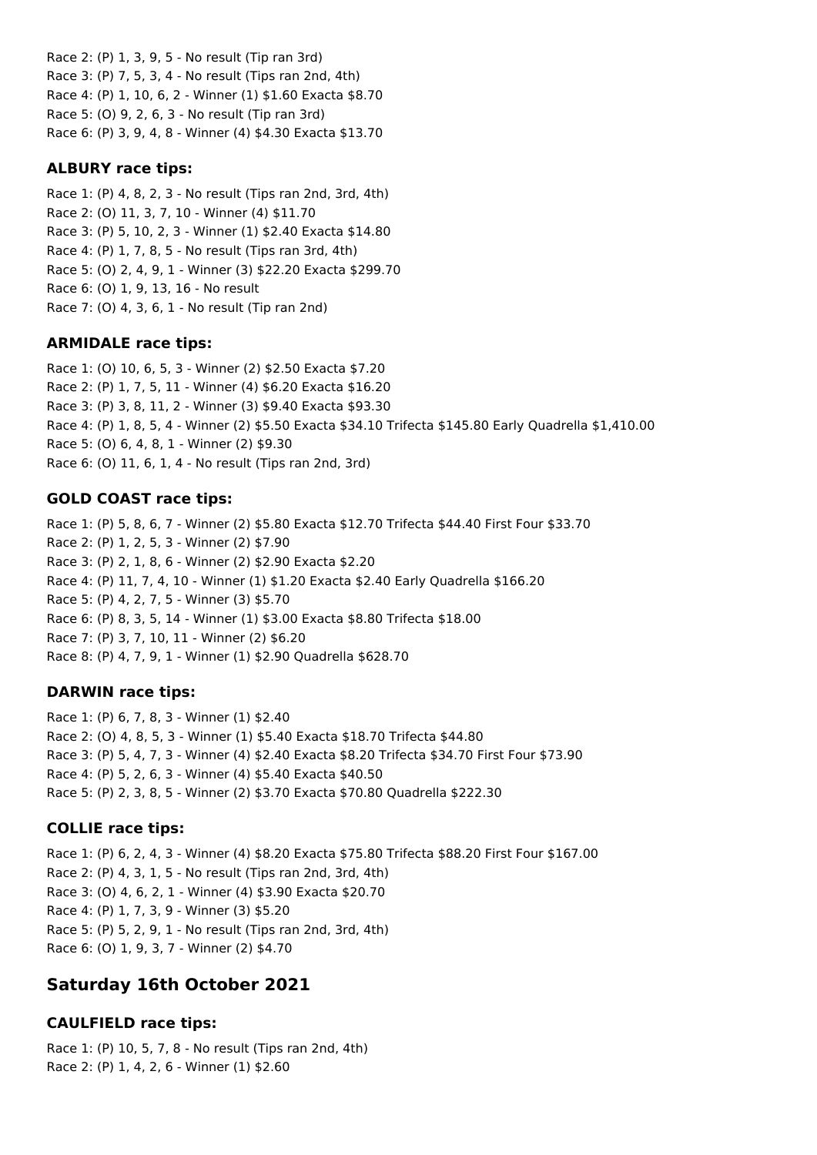Race 2: (P) 1, 3, 9, 5 - No result (Tip ran 3rd) Race 3: (P) 7, 5, 3, 4 - No result (Tips ran 2nd, 4th) Race 4: (P) 1, 10, 6, 2 - Winner (1) \$1.60 Exacta \$8.70 Race 5: (O) 9, 2, 6, 3 - No result (Tip ran 3rd) Race 6: (P) 3, 9, 4, 8 - Winner (4) \$4.30 Exacta \$13.70

#### **ALBURY race tips:**

Race 1: (P) 4, 8, 2, 3 - No result (Tips ran 2nd, 3rd, 4th) Race 2: (O) 11, 3, 7, 10 - Winner (4) \$11.70 Race 3: (P) 5, 10, 2, 3 - Winner (1) \$2.40 Exacta \$14.80 Race 4: (P) 1, 7, 8, 5 - No result (Tips ran 3rd, 4th) Race 5: (O) 2, 4, 9, 1 - Winner (3) \$22.20 Exacta \$299.70 Race 6: (O) 1, 9, 13, 16 - No result Race 7: (O) 4, 3, 6, 1 - No result (Tip ran 2nd)

### **ARMIDALE race tips:**

Race 1: (O) 10, 6, 5, 3 - Winner (2) \$2.50 Exacta \$7.20 Race 2: (P) 1, 7, 5, 11 - Winner (4) \$6.20 Exacta \$16.20 Race 3: (P) 3, 8, 11, 2 - Winner (3) \$9.40 Exacta \$93.30 Race 4: (P) 1, 8, 5, 4 - Winner (2) \$5.50 Exacta \$34.10 Trifecta \$145.80 Early Quadrella \$1,410.00 Race 5: (O) 6, 4, 8, 1 - Winner (2) \$9.30 Race 6: (O) 11, 6, 1, 4 - No result (Tips ran 2nd, 3rd)

### **GOLD COAST race tips:**

Race 1: (P) 5, 8, 6, 7 - Winner (2) \$5.80 Exacta \$12.70 Trifecta \$44.40 First Four \$33.70 Race 2: (P) 1, 2, 5, 3 - Winner (2) \$7.90 Race 3: (P) 2, 1, 8, 6 - Winner (2) \$2.90 Exacta \$2.20 Race 4: (P) 11, 7, 4, 10 - Winner (1) \$1.20 Exacta \$2.40 Early Quadrella \$166.20 Race 5: (P) 4, 2, 7, 5 - Winner (3) \$5.70 Race 6: (P) 8, 3, 5, 14 - Winner (1) \$3.00 Exacta \$8.80 Trifecta \$18.00 Race 7: (P) 3, 7, 10, 11 - Winner (2) \$6.20 Race 8: (P) 4, 7, 9, 1 - Winner (1) \$2.90 Quadrella \$628.70

#### **DARWIN race tips:**

Race 1: (P) 6, 7, 8, 3 - Winner (1) \$2.40 Race 2: (O) 4, 8, 5, 3 - Winner (1) \$5.40 Exacta \$18.70 Trifecta \$44.80 Race 3: (P) 5, 4, 7, 3 - Winner (4) \$2.40 Exacta \$8.20 Trifecta \$34.70 First Four \$73.90 Race 4: (P) 5, 2, 6, 3 - Winner (4) \$5.40 Exacta \$40.50 Race 5: (P) 2, 3, 8, 5 - Winner (2) \$3.70 Exacta \$70.80 Quadrella \$222.30

#### **COLLIE race tips:**

Race 1: (P) 6, 2, 4, 3 - Winner (4) \$8.20 Exacta \$75.80 Trifecta \$88.20 First Four \$167.00 Race 2: (P) 4, 3, 1, 5 - No result (Tips ran 2nd, 3rd, 4th) Race 3: (O) 4, 6, 2, 1 - Winner (4) \$3.90 Exacta \$20.70 Race 4: (P) 1, 7, 3, 9 - Winner (3) \$5.20 Race 5: (P) 5, 2, 9, 1 - No result (Tips ran 2nd, 3rd, 4th) Race 6: (O) 1, 9, 3, 7 - Winner (2) \$4.70

# **Saturday 16th October 2021**

### **CAULFIELD race tips:**

Race 1: (P) 10, 5, 7, 8 - No result (Tips ran 2nd, 4th) Race 2: (P) 1, 4, 2, 6 - Winner (1) \$2.60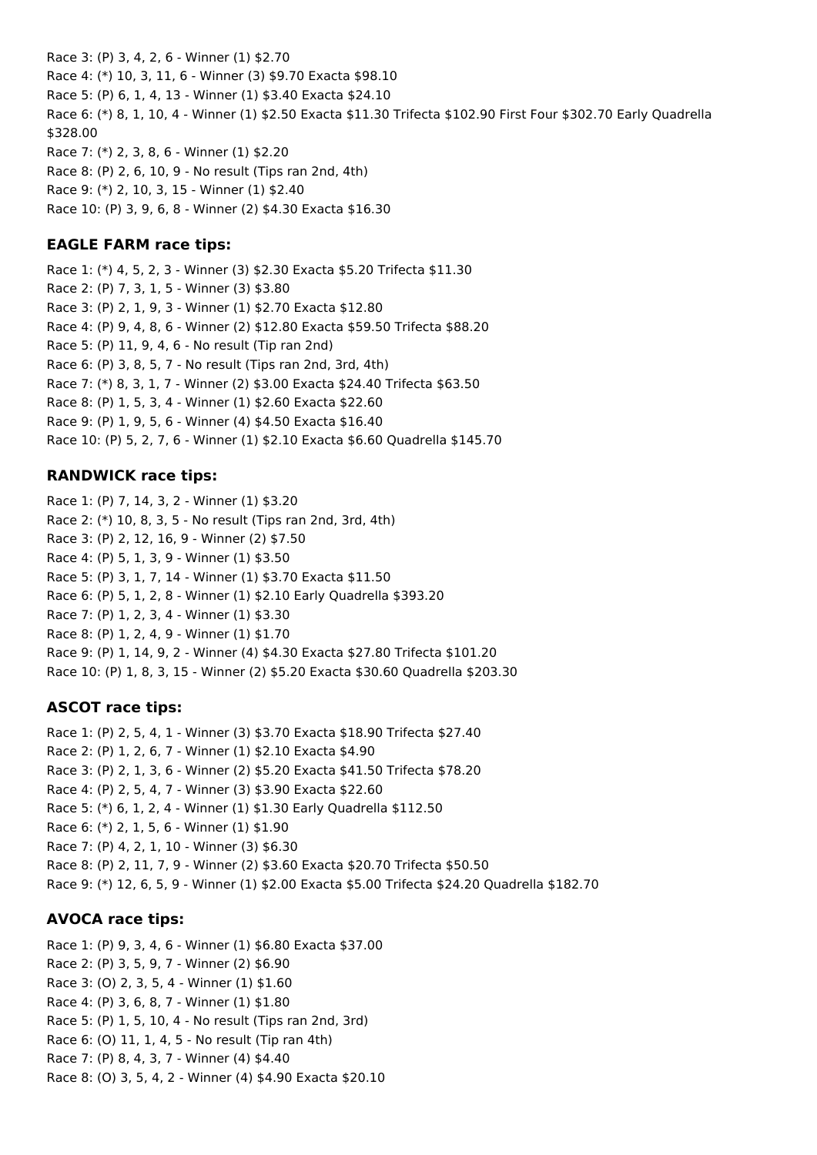Race 3: (P) 3, 4, 2, 6 - Winner (1) \$2.70 Race 4: (\*) 10, 3, 11, 6 - Winner (3) \$9.70 Exacta \$98.10 Race 5: (P) 6, 1, 4, 13 - Winner (1) \$3.40 Exacta \$24.10 Race 6: (\*) 8, 1, 10, 4 - Winner (1) \$2.50 Exacta \$11.30 Trifecta \$102.90 First Four \$302.70 Early Quadrella \$328.00 Race 7: (\*) 2, 3, 8, 6 - Winner (1) \$2.20 Race 8: (P) 2, 6, 10, 9 - No result (Tips ran 2nd, 4th) Race 9: (\*) 2, 10, 3, 15 - Winner (1) \$2.40 Race 10: (P) 3, 9, 6, 8 - Winner (2) \$4.30 Exacta \$16.30

#### **EAGLE FARM race tips:**

Race 1: (\*) 4, 5, 2, 3 - Winner (3) \$2.30 Exacta \$5.20 Trifecta \$11.30 Race 2: (P) 7, 3, 1, 5 - Winner (3) \$3.80 Race 3: (P) 2, 1, 9, 3 - Winner (1) \$2.70 Exacta \$12.80 Race 4: (P) 9, 4, 8, 6 - Winner (2) \$12.80 Exacta \$59.50 Trifecta \$88.20 Race 5: (P) 11, 9, 4, 6 - No result (Tip ran 2nd) Race 6: (P) 3, 8, 5, 7 - No result (Tips ran 2nd, 3rd, 4th) Race 7: (\*) 8, 3, 1, 7 - Winner (2) \$3.00 Exacta \$24.40 Trifecta \$63.50 Race 8: (P) 1, 5, 3, 4 - Winner (1) \$2.60 Exacta \$22.60 Race 9: (P) 1, 9, 5, 6 - Winner (4) \$4.50 Exacta \$16.40 Race 10: (P) 5, 2, 7, 6 - Winner (1) \$2.10 Exacta \$6.60 Quadrella \$145.70

#### **RANDWICK race tips:**

Race 1: (P) 7, 14, 3, 2 - Winner (1) \$3.20 Race 2: (\*) 10, 8, 3, 5 - No result (Tips ran 2nd, 3rd, 4th) Race 3: (P) 2, 12, 16, 9 - Winner (2) \$7.50 Race 4: (P) 5, 1, 3, 9 - Winner (1) \$3.50 Race 5: (P) 3, 1, 7, 14 - Winner (1) \$3.70 Exacta \$11.50 Race 6: (P) 5, 1, 2, 8 - Winner (1) \$2.10 Early Quadrella \$393.20 Race 7: (P) 1, 2, 3, 4 - Winner (1) \$3.30 Race 8: (P) 1, 2, 4, 9 - Winner (1) \$1.70 Race 9: (P) 1, 14, 9, 2 - Winner (4) \$4.30 Exacta \$27.80 Trifecta \$101.20 Race 10: (P) 1, 8, 3, 15 - Winner (2) \$5.20 Exacta \$30.60 Quadrella \$203.30

#### **ASCOT race tips:**

Race 1: (P) 2, 5, 4, 1 - Winner (3) \$3.70 Exacta \$18.90 Trifecta \$27.40 Race 2: (P) 1, 2, 6, 7 - Winner (1) \$2.10 Exacta \$4.90 Race 3: (P) 2, 1, 3, 6 - Winner (2) \$5.20 Exacta \$41.50 Trifecta \$78.20 Race 4: (P) 2, 5, 4, 7 - Winner (3) \$3.90 Exacta \$22.60 Race 5: (\*) 6, 1, 2, 4 - Winner (1) \$1.30 Early Quadrella \$112.50 Race 6: (\*) 2, 1, 5, 6 - Winner (1) \$1.90 Race 7: (P) 4, 2, 1, 10 - Winner (3) \$6.30 Race 8: (P) 2, 11, 7, 9 - Winner (2) \$3.60 Exacta \$20.70 Trifecta \$50.50 Race 9: (\*) 12, 6, 5, 9 - Winner (1) \$2.00 Exacta \$5.00 Trifecta \$24.20 Quadrella \$182.70

#### **AVOCA race tips:**

Race 1: (P) 9, 3, 4, 6 - Winner (1) \$6.80 Exacta \$37.00 Race 2: (P) 3, 5, 9, 7 - Winner (2) \$6.90 Race 3: (O) 2, 3, 5, 4 - Winner (1) \$1.60 Race 4: (P) 3, 6, 8, 7 - Winner (1) \$1.80 Race 5: (P) 1, 5, 10, 4 - No result (Tips ran 2nd, 3rd) Race 6: (O) 11, 1, 4, 5 - No result (Tip ran 4th) Race 7: (P) 8, 4, 3, 7 - Winner (4) \$4.40 Race 8: (O) 3, 5, 4, 2 - Winner (4) \$4.90 Exacta \$20.10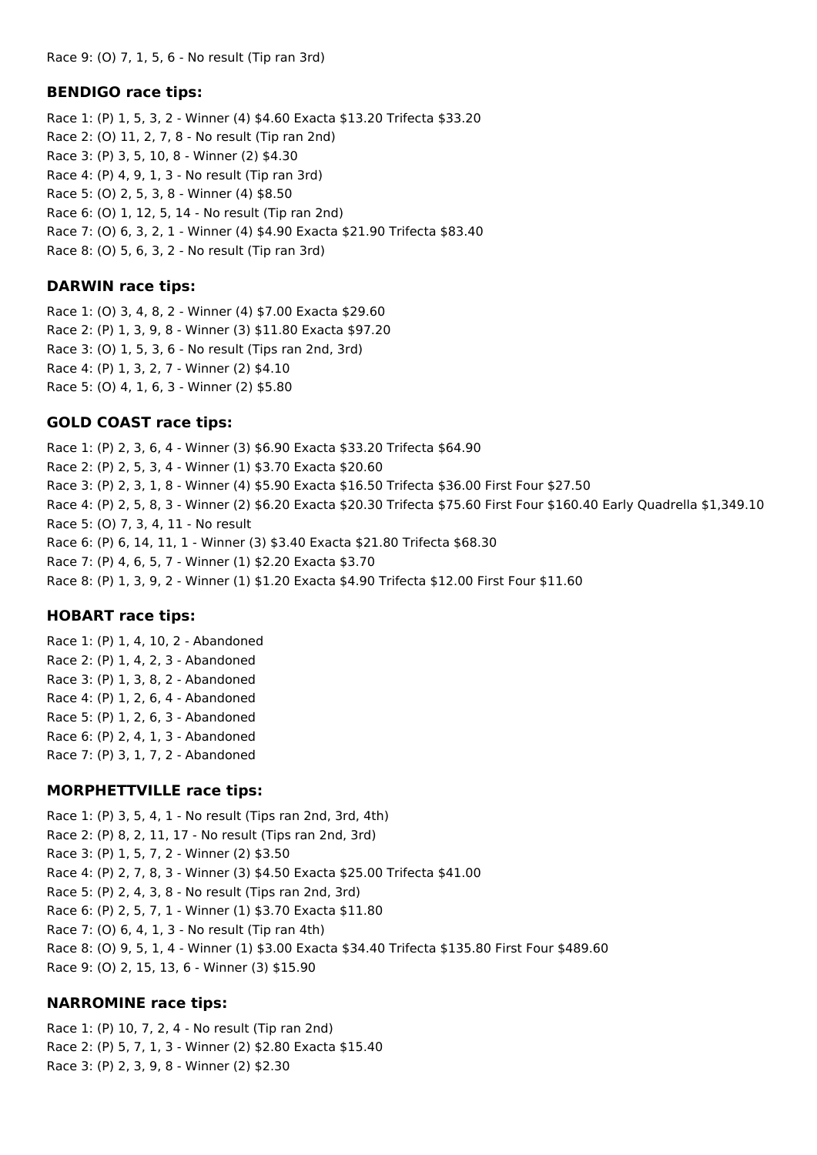#### **BENDIGO race tips:**

Race 1: (P) 1, 5, 3, 2 - Winner (4) \$4.60 Exacta \$13.20 Trifecta \$33.20 Race 2: (O) 11, 2, 7, 8 - No result (Tip ran 2nd) Race 3: (P) 3, 5, 10, 8 - Winner (2) \$4.30 Race 4: (P) 4, 9, 1, 3 - No result (Tip ran 3rd) Race 5: (O) 2, 5, 3, 8 - Winner (4) \$8.50 Race 6: (O) 1, 12, 5, 14 - No result (Tip ran 2nd) Race 7: (O) 6, 3, 2, 1 - Winner (4) \$4.90 Exacta \$21.90 Trifecta \$83.40 Race 8: (O) 5, 6, 3, 2 - No result (Tip ran 3rd)

#### **DARWIN race tips:**

Race 1: (O) 3, 4, 8, 2 - Winner (4) \$7.00 Exacta \$29.60 Race 2: (P) 1, 3, 9, 8 - Winner (3) \$11.80 Exacta \$97.20 Race 3: (O) 1, 5, 3, 6 - No result (Tips ran 2nd, 3rd) Race 4: (P) 1, 3, 2, 7 - Winner (2) \$4.10 Race 5: (O) 4, 1, 6, 3 - Winner (2) \$5.80

#### **GOLD COAST race tips:**

Race 1: (P) 2, 3, 6, 4 - Winner (3) \$6.90 Exacta \$33.20 Trifecta \$64.90 Race 2: (P) 2, 5, 3, 4 - Winner (1) \$3.70 Exacta \$20.60 Race 3: (P) 2, 3, 1, 8 - Winner (4) \$5.90 Exacta \$16.50 Trifecta \$36.00 First Four \$27.50 Race 4: (P) 2, 5, 8, 3 - Winner (2) \$6.20 Exacta \$20.30 Trifecta \$75.60 First Four \$160.40 Early Quadrella \$1,349.10 Race 5: (O) 7, 3, 4, 11 - No result Race 6: (P) 6, 14, 11, 1 - Winner (3) \$3.40 Exacta \$21.80 Trifecta \$68.30 Race 7: (P) 4, 6, 5, 7 - Winner (1) \$2.20 Exacta \$3.70 Race 8: (P) 1, 3, 9, 2 - Winner (1) \$1.20 Exacta \$4.90 Trifecta \$12.00 First Four \$11.60

#### **HOBART race tips:**

Race 1: (P) 1, 4, 10, 2 - Abandoned Race 2: (P) 1, 4, 2, 3 - Abandoned Race 3: (P) 1, 3, 8, 2 - Abandoned Race 4: (P) 1, 2, 6, 4 - Abandoned Race 5: (P) 1, 2, 6, 3 - Abandoned Race 6: (P) 2, 4, 1, 3 - Abandoned Race 7: (P) 3, 1, 7, 2 - Abandoned

#### **MORPHETTVILLE race tips:**

Race 1: (P) 3, 5, 4, 1 - No result (Tips ran 2nd, 3rd, 4th) Race 2: (P) 8, 2, 11, 17 - No result (Tips ran 2nd, 3rd) Race 3: (P) 1, 5, 7, 2 - Winner (2) \$3.50 Race 4: (P) 2, 7, 8, 3 - Winner (3) \$4.50 Exacta \$25.00 Trifecta \$41.00 Race 5: (P) 2, 4, 3, 8 - No result (Tips ran 2nd, 3rd) Race 6: (P) 2, 5, 7, 1 - Winner (1) \$3.70 Exacta \$11.80 Race 7: (O) 6, 4, 1, 3 - No result (Tip ran 4th) Race 8: (O) 9, 5, 1, 4 - Winner (1) \$3.00 Exacta \$34.40 Trifecta \$135.80 First Four \$489.60 Race 9: (O) 2, 15, 13, 6 - Winner (3) \$15.90

#### **NARROMINE race tips:**

Race 1: (P) 10, 7, 2, 4 - No result (Tip ran 2nd) Race 2: (P) 5, 7, 1, 3 - Winner (2) \$2.80 Exacta \$15.40 Race 3: (P) 2, 3, 9, 8 - Winner (2) \$2.30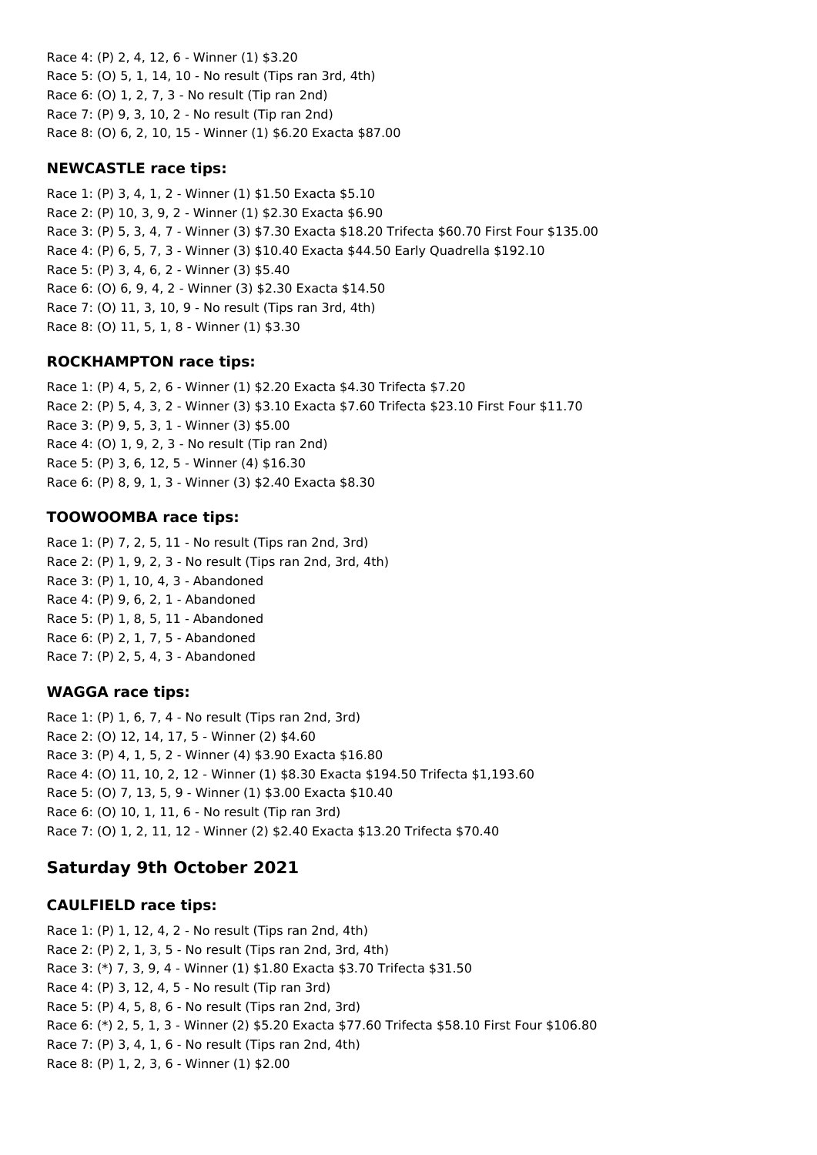Race 4: (P) 2, 4, 12, 6 - Winner (1) \$3.20 Race 5: (O) 5, 1, 14, 10 - No result (Tips ran 3rd, 4th) Race 6: (O) 1, 2, 7, 3 - No result (Tip ran 2nd) Race 7: (P) 9, 3, 10, 2 - No result (Tip ran 2nd) Race 8: (O) 6, 2, 10, 15 - Winner (1) \$6.20 Exacta \$87.00

### **NEWCASTLE race tips:**

Race 1: (P) 3, 4, 1, 2 - Winner (1) \$1.50 Exacta \$5.10 Race 2: (P) 10, 3, 9, 2 - Winner (1) \$2.30 Exacta \$6.90 Race 3: (P) 5, 3, 4, 7 - Winner (3) \$7.30 Exacta \$18.20 Trifecta \$60.70 First Four \$135.00 Race 4: (P) 6, 5, 7, 3 - Winner (3) \$10.40 Exacta \$44.50 Early Quadrella \$192.10 Race 5: (P) 3, 4, 6, 2 - Winner (3) \$5.40 Race 6: (O) 6, 9, 4, 2 - Winner (3) \$2.30 Exacta \$14.50 Race 7: (O) 11, 3, 10, 9 - No result (Tips ran 3rd, 4th) Race 8: (O) 11, 5, 1, 8 - Winner (1) \$3.30

## **ROCKHAMPTON race tips:**

Race 1: (P) 4, 5, 2, 6 - Winner (1) \$2.20 Exacta \$4.30 Trifecta \$7.20 Race 2: (P) 5, 4, 3, 2 - Winner (3) \$3.10 Exacta \$7.60 Trifecta \$23.10 First Four \$11.70 Race 3: (P) 9, 5, 3, 1 - Winner (3) \$5.00 Race 4: (O) 1, 9, 2, 3 - No result (Tip ran 2nd) Race 5: (P) 3, 6, 12, 5 - Winner (4) \$16.30 Race 6: (P) 8, 9, 1, 3 - Winner (3) \$2.40 Exacta \$8.30

## **TOOWOOMBA race tips:**

Race 1: (P) 7, 2, 5, 11 - No result (Tips ran 2nd, 3rd) Race 2: (P) 1, 9, 2, 3 - No result (Tips ran 2nd, 3rd, 4th) Race 3: (P) 1, 10, 4, 3 - Abandoned Race 4: (P) 9, 6, 2, 1 - Abandoned Race 5: (P) 1, 8, 5, 11 - Abandoned Race 6: (P) 2, 1, 7, 5 - Abandoned Race 7: (P) 2, 5, 4, 3 - Abandoned

## **WAGGA race tips:**

Race 1: (P) 1, 6, 7, 4 - No result (Tips ran 2nd, 3rd) Race 2: (O) 12, 14, 17, 5 - Winner (2) \$4.60 Race 3: (P) 4, 1, 5, 2 - Winner (4) \$3.90 Exacta \$16.80 Race 4: (O) 11, 10, 2, 12 - Winner (1) \$8.30 Exacta \$194.50 Trifecta \$1,193.60 Race 5: (O) 7, 13, 5, 9 - Winner (1) \$3.00 Exacta \$10.40 Race 6: (O) 10, 1, 11, 6 - No result (Tip ran 3rd) Race 7: (O) 1, 2, 11, 12 - Winner (2) \$2.40 Exacta \$13.20 Trifecta \$70.40

# **Saturday 9th October 2021**

## **CAULFIELD race tips:**

Race 1: (P) 1, 12, 4, 2 - No result (Tips ran 2nd, 4th) Race 2: (P) 2, 1, 3, 5 - No result (Tips ran 2nd, 3rd, 4th) Race 3: (\*) 7, 3, 9, 4 - Winner (1) \$1.80 Exacta \$3.70 Trifecta \$31.50 Race 4: (P) 3, 12, 4, 5 - No result (Tip ran 3rd) Race 5: (P) 4, 5, 8, 6 - No result (Tips ran 2nd, 3rd) Race 6: (\*) 2, 5, 1, 3 - Winner (2) \$5.20 Exacta \$77.60 Trifecta \$58.10 First Four \$106.80 Race 7: (P) 3, 4, 1, 6 - No result (Tips ran 2nd, 4th) Race 8: (P) 1, 2, 3, 6 - Winner (1) \$2.00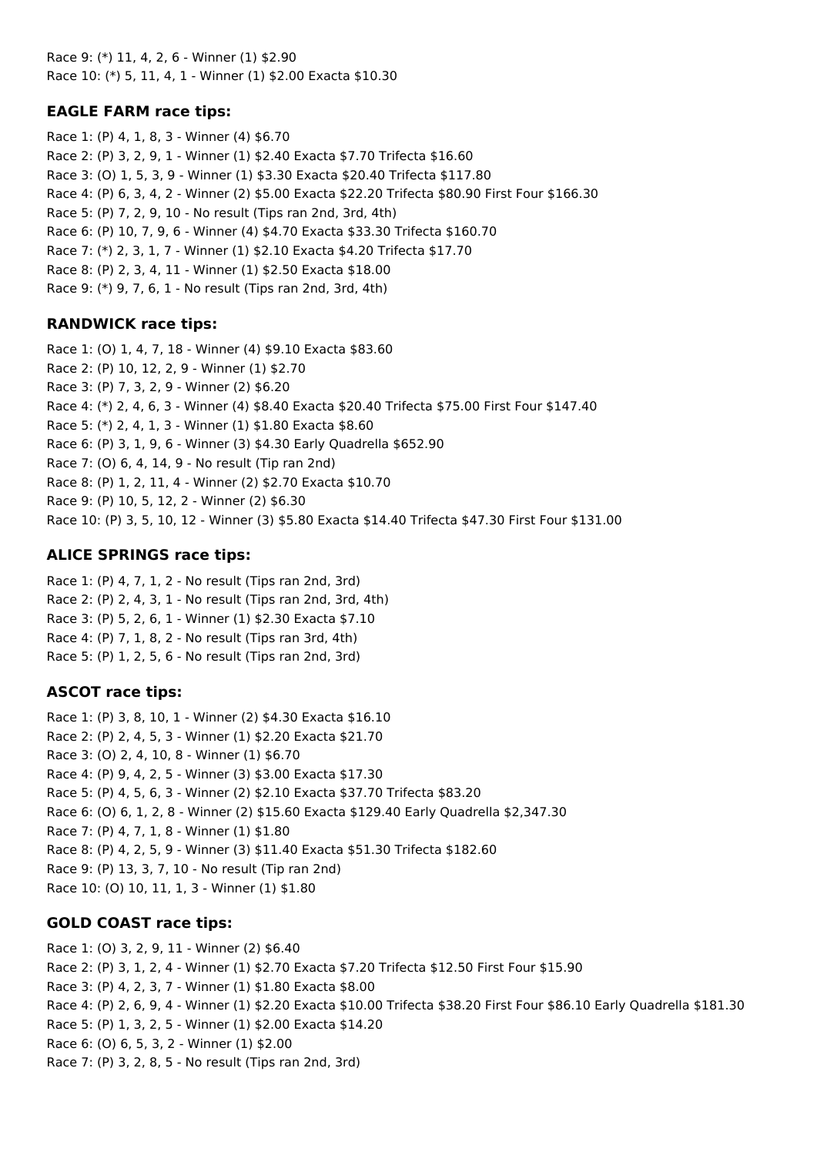Race 9: (\*) 11, 4, 2, 6 - Winner (1) \$2.90 Race 10: (\*) 5, 11, 4, 1 - Winner (1) \$2.00 Exacta \$10.30

### **EAGLE FARM race tips:**

Race 1: (P) 4, 1, 8, 3 - Winner (4) \$6.70 Race 2: (P) 3, 2, 9, 1 - Winner (1) \$2.40 Exacta \$7.70 Trifecta \$16.60 Race 3: (O) 1, 5, 3, 9 - Winner (1) \$3.30 Exacta \$20.40 Trifecta \$117.80 Race 4: (P) 6, 3, 4, 2 - Winner (2) \$5.00 Exacta \$22.20 Trifecta \$80.90 First Four \$166.30 Race 5: (P) 7, 2, 9, 10 - No result (Tips ran 2nd, 3rd, 4th) Race 6: (P) 10, 7, 9, 6 - Winner (4) \$4.70 Exacta \$33.30 Trifecta \$160.70 Race 7: (\*) 2, 3, 1, 7 - Winner (1) \$2.10 Exacta \$4.20 Trifecta \$17.70 Race 8: (P) 2, 3, 4, 11 - Winner (1) \$2.50 Exacta \$18.00 Race 9: (\*) 9, 7, 6, 1 - No result (Tips ran 2nd, 3rd, 4th)

## **RANDWICK race tips:**

Race 1: (O) 1, 4, 7, 18 - Winner (4) \$9.10 Exacta \$83.60 Race 2: (P) 10, 12, 2, 9 - Winner (1) \$2.70 Race 3: (P) 7, 3, 2, 9 - Winner (2) \$6.20 Race 4: (\*) 2, 4, 6, 3 - Winner (4) \$8.40 Exacta \$20.40 Trifecta \$75.00 First Four \$147.40 Race 5: (\*) 2, 4, 1, 3 - Winner (1) \$1.80 Exacta \$8.60 Race 6: (P) 3, 1, 9, 6 - Winner (3) \$4.30 Early Quadrella \$652.90 Race 7: (O) 6, 4, 14, 9 - No result (Tip ran 2nd) Race 8: (P) 1, 2, 11, 4 - Winner (2) \$2.70 Exacta \$10.70 Race 9: (P) 10, 5, 12, 2 - Winner (2) \$6.30 Race 10: (P) 3, 5, 10, 12 - Winner (3) \$5.80 Exacta \$14.40 Trifecta \$47.30 First Four \$131.00

## **ALICE SPRINGS race tips:**

Race 1: (P) 4, 7, 1, 2 - No result (Tips ran 2nd, 3rd) Race 2: (P) 2, 4, 3, 1 - No result (Tips ran 2nd, 3rd, 4th) Race 3: (P) 5, 2, 6, 1 - Winner (1) \$2.30 Exacta \$7.10 Race 4: (P) 7, 1, 8, 2 - No result (Tips ran 3rd, 4th) Race 5: (P) 1, 2, 5, 6 - No result (Tips ran 2nd, 3rd)

### **ASCOT race tips:**

Race 1: (P) 3, 8, 10, 1 - Winner (2) \$4.30 Exacta \$16.10 Race 2: (P) 2, 4, 5, 3 - Winner (1) \$2.20 Exacta \$21.70 Race 3: (O) 2, 4, 10, 8 - Winner (1) \$6.70 Race 4: (P) 9, 4, 2, 5 - Winner (3) \$3.00 Exacta \$17.30 Race 5: (P) 4, 5, 6, 3 - Winner (2) \$2.10 Exacta \$37.70 Trifecta \$83.20 Race 6: (O) 6, 1, 2, 8 - Winner (2) \$15.60 Exacta \$129.40 Early Quadrella \$2,347.30 Race 7: (P) 4, 7, 1, 8 - Winner (1) \$1.80 Race 8: (P) 4, 2, 5, 9 - Winner (3) \$11.40 Exacta \$51.30 Trifecta \$182.60 Race 9: (P) 13, 3, 7, 10 - No result (Tip ran 2nd) Race 10: (O) 10, 11, 1, 3 - Winner (1) \$1.80

## **GOLD COAST race tips:**

Race 1: (O) 3, 2, 9, 11 - Winner (2) \$6.40 Race 2: (P) 3, 1, 2, 4 - Winner (1) \$2.70 Exacta \$7.20 Trifecta \$12.50 First Four \$15.90 Race 3: (P) 4, 2, 3, 7 - Winner (1) \$1.80 Exacta \$8.00 Race 4: (P) 2, 6, 9, 4 - Winner (1) \$2.20 Exacta \$10.00 Trifecta \$38.20 First Four \$86.10 Early Quadrella \$181.30 Race 5: (P) 1, 3, 2, 5 - Winner (1) \$2.00 Exacta \$14.20 Race 6: (O) 6, 5, 3, 2 - Winner (1) \$2.00 Race 7: (P) 3, 2, 8, 5 - No result (Tips ran 2nd, 3rd)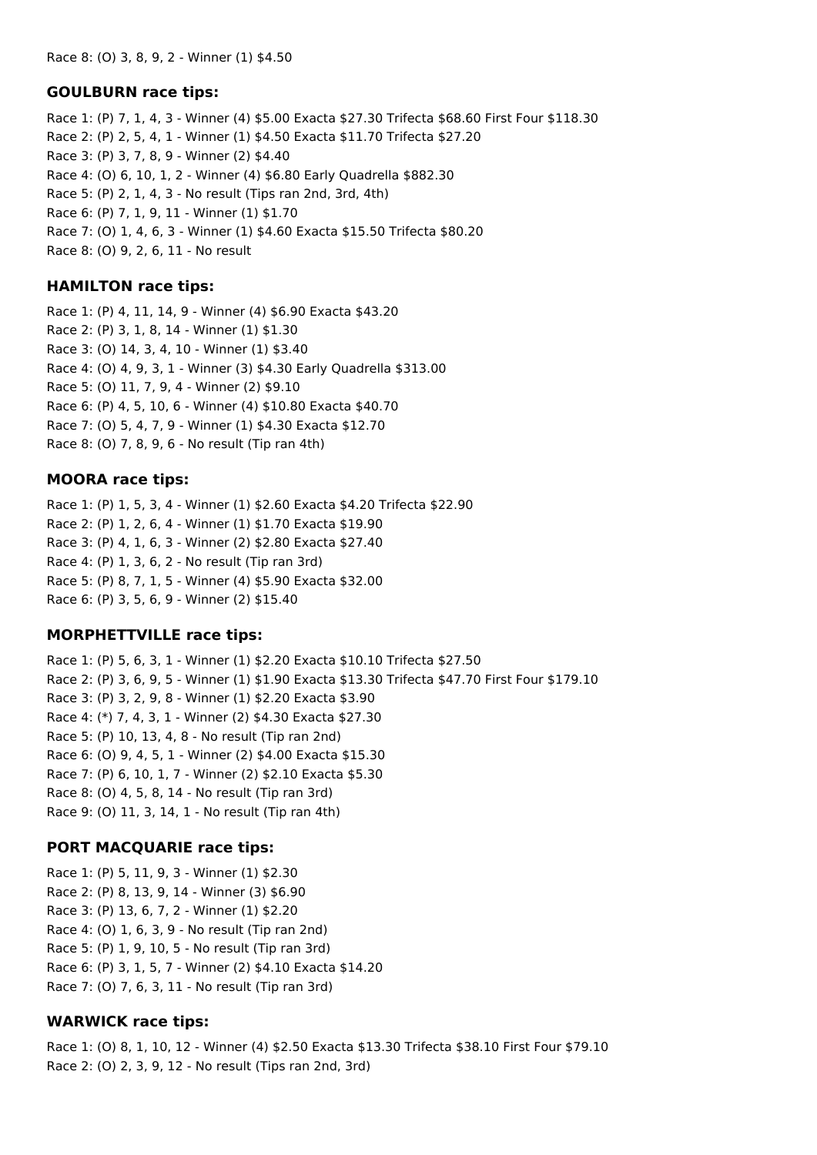#### **GOULBURN race tips:**

Race 1: (P) 7, 1, 4, 3 - Winner (4) \$5.00 Exacta \$27.30 Trifecta \$68.60 First Four \$118.30 Race 2: (P) 2, 5, 4, 1 - Winner (1) \$4.50 Exacta \$11.70 Trifecta \$27.20 Race 3: (P) 3, 7, 8, 9 - Winner (2) \$4.40 Race 4: (O) 6, 10, 1, 2 - Winner (4) \$6.80 Early Quadrella \$882.30 Race 5: (P) 2, 1, 4, 3 - No result (Tips ran 2nd, 3rd, 4th) Race 6: (P) 7, 1, 9, 11 - Winner (1) \$1.70 Race 7: (O) 1, 4, 6, 3 - Winner (1) \$4.60 Exacta \$15.50 Trifecta \$80.20 Race 8: (O) 9, 2, 6, 11 - No result

#### **HAMILTON race tips:**

Race 1: (P) 4, 11, 14, 9 - Winner (4) \$6.90 Exacta \$43.20 Race 2: (P) 3, 1, 8, 14 - Winner (1) \$1.30 Race 3: (O) 14, 3, 4, 10 - Winner (1) \$3.40 Race 4: (O) 4, 9, 3, 1 - Winner (3) \$4.30 Early Quadrella \$313.00 Race 5: (O) 11, 7, 9, 4 - Winner (2) \$9.10 Race 6: (P) 4, 5, 10, 6 - Winner (4) \$10.80 Exacta \$40.70 Race 7: (O) 5, 4, 7, 9 - Winner (1) \$4.30 Exacta \$12.70 Race 8: (O) 7, 8, 9, 6 - No result (Tip ran 4th)

#### **MOORA race tips:**

Race 1: (P) 1, 5, 3, 4 - Winner (1) \$2.60 Exacta \$4.20 Trifecta \$22.90 Race 2: (P) 1, 2, 6, 4 - Winner (1) \$1.70 Exacta \$19.90 Race 3: (P) 4, 1, 6, 3 - Winner (2) \$2.80 Exacta \$27.40 Race 4: (P) 1, 3, 6, 2 - No result (Tip ran 3rd) Race 5: (P) 8, 7, 1, 5 - Winner (4) \$5.90 Exacta \$32.00 Race 6: (P) 3, 5, 6, 9 - Winner (2) \$15.40

#### **MORPHETTVILLE race tips:**

Race 1: (P) 5, 6, 3, 1 - Winner (1) \$2.20 Exacta \$10.10 Trifecta \$27.50 Race 2: (P) 3, 6, 9, 5 - Winner (1) \$1.90 Exacta \$13.30 Trifecta \$47.70 First Four \$179.10 Race 3: (P) 3, 2, 9, 8 - Winner (1) \$2.20 Exacta \$3.90 Race 4: (\*) 7, 4, 3, 1 - Winner (2) \$4.30 Exacta \$27.30 Race 5: (P) 10, 13, 4, 8 - No result (Tip ran 2nd) Race 6: (O) 9, 4, 5, 1 - Winner (2) \$4.00 Exacta \$15.30 Race 7: (P) 6, 10, 1, 7 - Winner (2) \$2.10 Exacta \$5.30 Race 8: (O) 4, 5, 8, 14 - No result (Tip ran 3rd) Race 9: (O) 11, 3, 14, 1 - No result (Tip ran 4th)

#### **PORT MACQUARIE race tips:**

Race 1: (P) 5, 11, 9, 3 - Winner (1) \$2.30 Race 2: (P) 8, 13, 9, 14 - Winner (3) \$6.90 Race 3: (P) 13, 6, 7, 2 - Winner (1) \$2.20 Race 4: (O) 1, 6, 3, 9 - No result (Tip ran 2nd) Race 5: (P) 1, 9, 10, 5 - No result (Tip ran 3rd) Race 6: (P) 3, 1, 5, 7 - Winner (2) \$4.10 Exacta \$14.20 Race 7: (O) 7, 6, 3, 11 - No result (Tip ran 3rd)

#### **WARWICK race tips:**

Race 1: (O) 8, 1, 10, 12 - Winner (4) \$2.50 Exacta \$13.30 Trifecta \$38.10 First Four \$79.10 Race 2: (O) 2, 3, 9, 12 - No result (Tips ran 2nd, 3rd)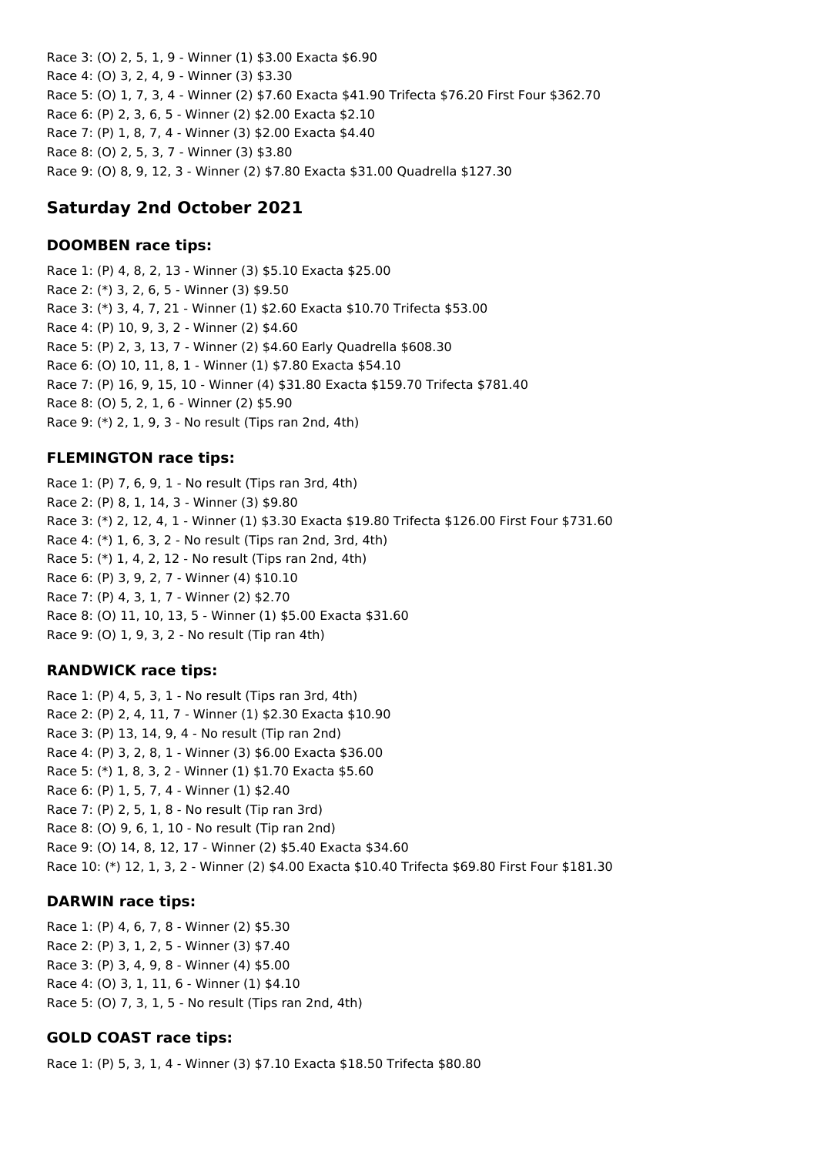Race 3: (O) 2, 5, 1, 9 - Winner (1) \$3.00 Exacta \$6.90 Race 4: (O) 3, 2, 4, 9 - Winner (3) \$3.30 Race 5: (O) 1, 7, 3, 4 - Winner (2) \$7.60 Exacta \$41.90 Trifecta \$76.20 First Four \$362.70 Race 6: (P) 2, 3, 6, 5 - Winner (2) \$2.00 Exacta \$2.10 Race 7: (P) 1, 8, 7, 4 - Winner (3) \$2.00 Exacta \$4.40 Race 8: (O) 2, 5, 3, 7 - Winner (3) \$3.80 Race 9: (O) 8, 9, 12, 3 - Winner (2) \$7.80 Exacta \$31.00 Quadrella \$127.30

# **Saturday 2nd October 2021**

## **DOOMBEN race tips:**

Race 1: (P) 4, 8, 2, 13 - Winner (3) \$5.10 Exacta \$25.00 Race 2: (\*) 3, 2, 6, 5 - Winner (3) \$9.50 Race 3: (\*) 3, 4, 7, 21 - Winner (1) \$2.60 Exacta \$10.70 Trifecta \$53.00 Race 4: (P) 10, 9, 3, 2 - Winner (2) \$4.60 Race 5: (P) 2, 3, 13, 7 - Winner (2) \$4.60 Early Quadrella \$608.30 Race 6: (O) 10, 11, 8, 1 - Winner (1) \$7.80 Exacta \$54.10 Race 7: (P) 16, 9, 15, 10 - Winner (4) \$31.80 Exacta \$159.70 Trifecta \$781.40 Race 8: (O) 5, 2, 1, 6 - Winner (2) \$5.90 Race 9: (\*) 2, 1, 9, 3 - No result (Tips ran 2nd, 4th)

## **FLEMINGTON race tips:**

Race 1: (P) 7, 6, 9, 1 - No result (Tips ran 3rd, 4th) Race 2: (P) 8, 1, 14, 3 - Winner (3) \$9.80 Race 3: (\*) 2, 12, 4, 1 - Winner (1) \$3.30 Exacta \$19.80 Trifecta \$126.00 First Four \$731.60 Race 4: (\*) 1, 6, 3, 2 - No result (Tips ran 2nd, 3rd, 4th) Race 5: (\*) 1, 4, 2, 12 - No result (Tips ran 2nd, 4th) Race 6: (P) 3, 9, 2, 7 - Winner (4) \$10.10 Race 7: (P) 4, 3, 1, 7 - Winner (2) \$2.70 Race 8: (O) 11, 10, 13, 5 - Winner (1) \$5.00 Exacta \$31.60 Race 9: (O) 1, 9, 3, 2 - No result (Tip ran 4th)

### **RANDWICK race tips:**

Race 1: (P) 4, 5, 3, 1 - No result (Tips ran 3rd, 4th) Race 2: (P) 2, 4, 11, 7 - Winner (1) \$2.30 Exacta \$10.90 Race 3: (P) 13, 14, 9, 4 - No result (Tip ran 2nd) Race 4: (P) 3, 2, 8, 1 - Winner (3) \$6.00 Exacta \$36.00 Race 5: (\*) 1, 8, 3, 2 - Winner (1) \$1.70 Exacta \$5.60 Race 6: (P) 1, 5, 7, 4 - Winner (1) \$2.40 Race 7: (P) 2, 5, 1, 8 - No result (Tip ran 3rd) Race 8: (O) 9, 6, 1, 10 - No result (Tip ran 2nd) Race 9: (O) 14, 8, 12, 17 - Winner (2) \$5.40 Exacta \$34.60 Race 10: (\*) 12, 1, 3, 2 - Winner (2) \$4.00 Exacta \$10.40 Trifecta \$69.80 First Four \$181.30

## **DARWIN race tips:**

Race 1: (P) 4, 6, 7, 8 - Winner (2) \$5.30 Race 2: (P) 3, 1, 2, 5 - Winner (3) \$7.40 Race 3: (P) 3, 4, 9, 8 - Winner (4) \$5.00 Race 4: (O) 3, 1, 11, 6 - Winner (1) \$4.10 Race 5: (O) 7, 3, 1, 5 - No result (Tips ran 2nd, 4th)

## **GOLD COAST race tips:**

Race 1: (P) 5, 3, 1, 4 - Winner (3) \$7.10 Exacta \$18.50 Trifecta \$80.80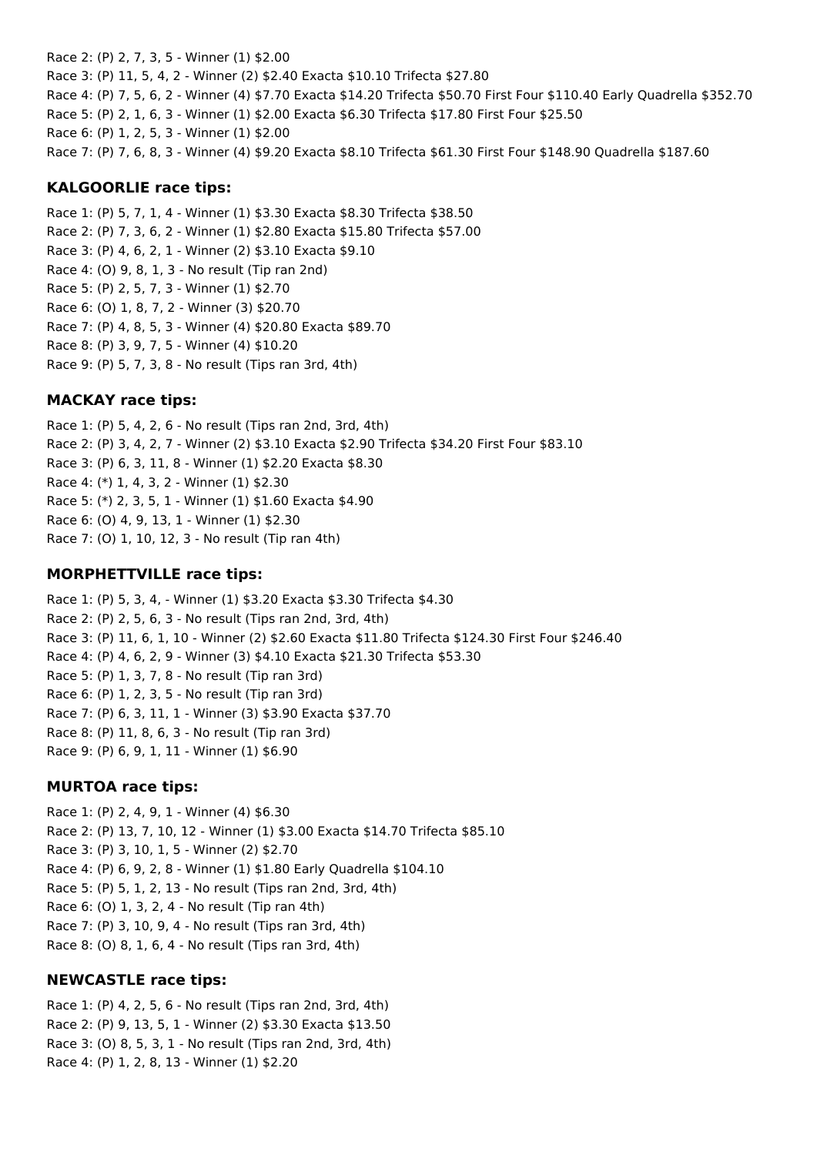Race 2: (P) 2, 7, 3, 5 - Winner (1) \$2.00 Race 3: (P) 11, 5, 4, 2 - Winner (2) \$2.40 Exacta \$10.10 Trifecta \$27.80 Race 4: (P) 7, 5, 6, 2 - Winner (4) \$7.70 Exacta \$14.20 Trifecta \$50.70 First Four \$110.40 Early Quadrella \$352.70 Race 5: (P) 2, 1, 6, 3 - Winner (1) \$2.00 Exacta \$6.30 Trifecta \$17.80 First Four \$25.50 Race 6: (P) 1, 2, 5, 3 - Winner (1) \$2.00 Race 7: (P) 7, 6, 8, 3 - Winner (4) \$9.20 Exacta \$8.10 Trifecta \$61.30 First Four \$148.90 Quadrella \$187.60

### **KALGOORLIE race tips:**

Race 1: (P) 5, 7, 1, 4 - Winner (1) \$3.30 Exacta \$8.30 Trifecta \$38.50 Race 2: (P) 7, 3, 6, 2 - Winner (1) \$2.80 Exacta \$15.80 Trifecta \$57.00 Race 3: (P) 4, 6, 2, 1 - Winner (2) \$3.10 Exacta \$9.10 Race 4: (O) 9, 8, 1, 3 - No result (Tip ran 2nd) Race 5: (P) 2, 5, 7, 3 - Winner (1) \$2.70 Race 6: (O) 1, 8, 7, 2 - Winner (3) \$20.70 Race 7: (P) 4, 8, 5, 3 - Winner (4) \$20.80 Exacta \$89.70 Race 8: (P) 3, 9, 7, 5 - Winner (4) \$10.20 Race 9: (P) 5, 7, 3, 8 - No result (Tips ran 3rd, 4th)

#### **MACKAY race tips:**

Race 1: (P) 5, 4, 2, 6 - No result (Tips ran 2nd, 3rd, 4th) Race 2: (P) 3, 4, 2, 7 - Winner (2) \$3.10 Exacta \$2.90 Trifecta \$34.20 First Four \$83.10 Race 3: (P) 6, 3, 11, 8 - Winner (1) \$2.20 Exacta \$8.30 Race 4: (\*) 1, 4, 3, 2 - Winner (1) \$2.30 Race 5: (\*) 2, 3, 5, 1 - Winner (1) \$1.60 Exacta \$4.90 Race 6: (O) 4, 9, 13, 1 - Winner (1) \$2.30 Race 7: (O) 1, 10, 12, 3 - No result (Tip ran 4th)

### **MORPHETTVILLE race tips:**

Race 1: (P) 5, 3, 4, - Winner (1) \$3.20 Exacta \$3.30 Trifecta \$4.30 Race 2: (P) 2, 5, 6, 3 - No result (Tips ran 2nd, 3rd, 4th) Race 3: (P) 11, 6, 1, 10 - Winner (2) \$2.60 Exacta \$11.80 Trifecta \$124.30 First Four \$246.40 Race 4: (P) 4, 6, 2, 9 - Winner (3) \$4.10 Exacta \$21.30 Trifecta \$53.30 Race 5: (P) 1, 3, 7, 8 - No result (Tip ran 3rd) Race 6: (P) 1, 2, 3, 5 - No result (Tip ran 3rd) Race 7: (P) 6, 3, 11, 1 - Winner (3) \$3.90 Exacta \$37.70 Race 8: (P) 11, 8, 6, 3 - No result (Tip ran 3rd) Race 9: (P) 6, 9, 1, 11 - Winner (1) \$6.90

#### **MURTOA race tips:**

Race 1: (P) 2, 4, 9, 1 - Winner (4) \$6.30 Race 2: (P) 13, 7, 10, 12 - Winner (1) \$3.00 Exacta \$14.70 Trifecta \$85.10 Race 3: (P) 3, 10, 1, 5 - Winner (2) \$2.70 Race 4: (P) 6, 9, 2, 8 - Winner (1) \$1.80 Early Quadrella \$104.10 Race 5: (P) 5, 1, 2, 13 - No result (Tips ran 2nd, 3rd, 4th) Race 6: (O) 1, 3, 2, 4 - No result (Tip ran 4th) Race 7: (P) 3, 10, 9, 4 - No result (Tips ran 3rd, 4th) Race 8: (O) 8, 1, 6, 4 - No result (Tips ran 3rd, 4th)

#### **NEWCASTLE race tips:**

Race 1: (P) 4, 2, 5, 6 - No result (Tips ran 2nd, 3rd, 4th) Race 2: (P) 9, 13, 5, 1 - Winner (2) \$3.30 Exacta \$13.50 Race 3: (O) 8, 5, 3, 1 - No result (Tips ran 2nd, 3rd, 4th) Race 4: (P) 1, 2, 8, 13 - Winner (1) \$2.20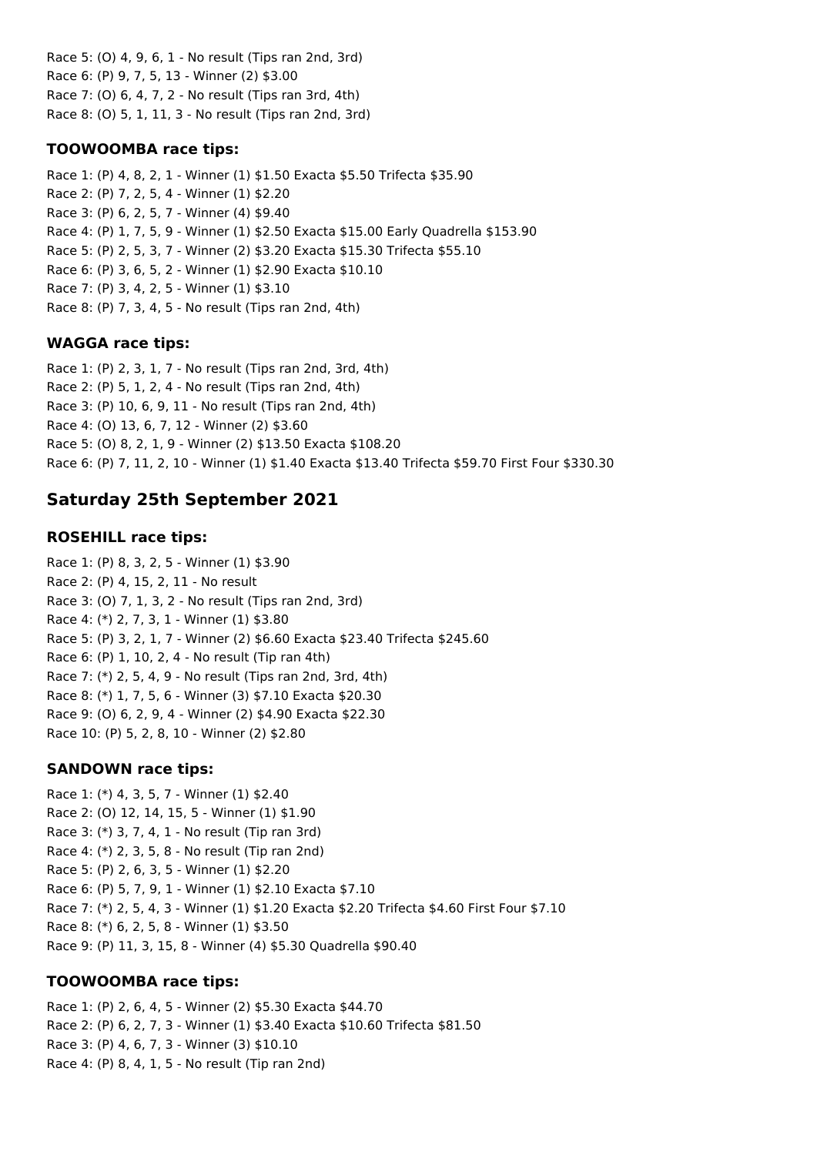Race 5: (O) 4, 9, 6, 1 - No result (Tips ran 2nd, 3rd) Race 6: (P) 9, 7, 5, 13 - Winner (2) \$3.00 Race 7: (O) 6, 4, 7, 2 - No result (Tips ran 3rd, 4th) Race 8: (O) 5, 1, 11, 3 - No result (Tips ran 2nd, 3rd)

### **TOOWOOMBA race tips:**

Race 1: (P) 4, 8, 2, 1 - Winner (1) \$1.50 Exacta \$5.50 Trifecta \$35.90 Race 2: (P) 7, 2, 5, 4 - Winner (1) \$2.20 Race 3: (P) 6, 2, 5, 7 - Winner (4) \$9.40 Race 4: (P) 1, 7, 5, 9 - Winner (1) \$2.50 Exacta \$15.00 Early Quadrella \$153.90 Race 5: (P) 2, 5, 3, 7 - Winner (2) \$3.20 Exacta \$15.30 Trifecta \$55.10 Race 6: (P) 3, 6, 5, 2 - Winner (1) \$2.90 Exacta \$10.10 Race 7: (P) 3, 4, 2, 5 - Winner (1) \$3.10 Race 8: (P) 7, 3, 4, 5 - No result (Tips ran 2nd, 4th)

#### **WAGGA race tips:**

Race 1: (P) 2, 3, 1, 7 - No result (Tips ran 2nd, 3rd, 4th) Race 2: (P) 5, 1, 2, 4 - No result (Tips ran 2nd, 4th) Race 3: (P) 10, 6, 9, 11 - No result (Tips ran 2nd, 4th) Race 4: (O) 13, 6, 7, 12 - Winner (2) \$3.60 Race 5: (O) 8, 2, 1, 9 - Winner (2) \$13.50 Exacta \$108.20 Race 6: (P) 7, 11, 2, 10 - Winner (1) \$1.40 Exacta \$13.40 Trifecta \$59.70 First Four \$330.30

## **Saturday 25th September 2021**

#### **ROSEHILL race tips:**

Race 1: (P) 8, 3, 2, 5 - Winner (1) \$3.90 Race 2: (P) 4, 15, 2, 11 - No result Race 3: (O) 7, 1, 3, 2 - No result (Tips ran 2nd, 3rd) Race 4: (\*) 2, 7, 3, 1 - Winner (1) \$3.80 Race 5: (P) 3, 2, 1, 7 - Winner (2) \$6.60 Exacta \$23.40 Trifecta \$245.60 Race 6: (P) 1, 10, 2, 4 - No result (Tip ran 4th) Race 7: (\*) 2, 5, 4, 9 - No result (Tips ran 2nd, 3rd, 4th) Race 8: (\*) 1, 7, 5, 6 - Winner (3) \$7.10 Exacta \$20.30 Race 9: (O) 6, 2, 9, 4 - Winner (2) \$4.90 Exacta \$22.30 Race 10: (P) 5, 2, 8, 10 - Winner (2) \$2.80

#### **SANDOWN race tips:**

Race 1: (\*) 4, 3, 5, 7 - Winner (1) \$2.40 Race 2: (O) 12, 14, 15, 5 - Winner (1) \$1.90 Race 3: (\*) 3, 7, 4, 1 - No result (Tip ran 3rd) Race 4: (\*) 2, 3, 5, 8 - No result (Tip ran 2nd) Race 5: (P) 2, 6, 3, 5 - Winner (1) \$2.20 Race 6: (P) 5, 7, 9, 1 - Winner (1) \$2.10 Exacta \$7.10 Race 7: (\*) 2, 5, 4, 3 - Winner (1) \$1.20 Exacta \$2.20 Trifecta \$4.60 First Four \$7.10 Race 8: (\*) 6, 2, 5, 8 - Winner (1) \$3.50 Race 9: (P) 11, 3, 15, 8 - Winner (4) \$5.30 Quadrella \$90.40

#### **TOOWOOMBA race tips:**

Race 1: (P) 2, 6, 4, 5 - Winner (2) \$5.30 Exacta \$44.70 Race 2: (P) 6, 2, 7, 3 - Winner (1) \$3.40 Exacta \$10.60 Trifecta \$81.50 Race 3: (P) 4, 6, 7, 3 - Winner (3) \$10.10 Race 4: (P) 8, 4, 1, 5 - No result (Tip ran 2nd)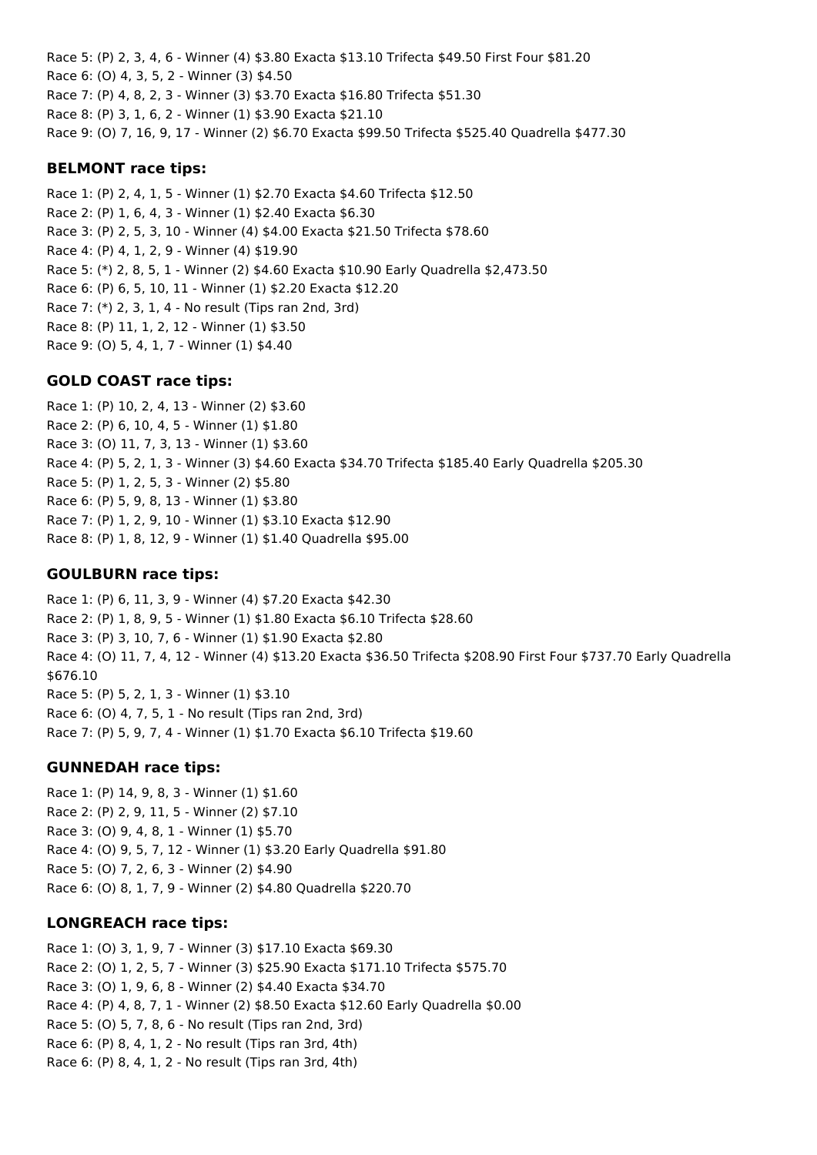Race 5: (P) 2, 3, 4, 6 - Winner (4) \$3.80 Exacta \$13.10 Trifecta \$49.50 First Four \$81.20 Race 6: (O) 4, 3, 5, 2 - Winner (3) \$4.50 Race 7: (P) 4, 8, 2, 3 - Winner (3) \$3.70 Exacta \$16.80 Trifecta \$51.30 Race 8: (P) 3, 1, 6, 2 - Winner (1) \$3.90 Exacta \$21.10 Race 9: (O) 7, 16, 9, 17 - Winner (2) \$6.70 Exacta \$99.50 Trifecta \$525.40 Quadrella \$477.30

### **BELMONT race tips:**

Race 1: (P) 2, 4, 1, 5 - Winner (1) \$2.70 Exacta \$4.60 Trifecta \$12.50 Race 2: (P) 1, 6, 4, 3 - Winner (1) \$2.40 Exacta \$6.30 Race 3: (P) 2, 5, 3, 10 - Winner (4) \$4.00 Exacta \$21.50 Trifecta \$78.60 Race 4: (P) 4, 1, 2, 9 - Winner (4) \$19.90 Race 5: (\*) 2, 8, 5, 1 - Winner (2) \$4.60 Exacta \$10.90 Early Quadrella \$2,473.50 Race 6: (P) 6, 5, 10, 11 - Winner (1) \$2.20 Exacta \$12.20 Race 7: (\*) 2, 3, 1, 4 - No result (Tips ran 2nd, 3rd) Race 8: (P) 11, 1, 2, 12 - Winner (1) \$3.50 Race 9: (O) 5, 4, 1, 7 - Winner (1) \$4.40

### **GOLD COAST race tips:**

Race 1: (P) 10, 2, 4, 13 - Winner (2) \$3.60 Race 2: (P) 6, 10, 4, 5 - Winner (1) \$1.80 Race 3: (O) 11, 7, 3, 13 - Winner (1) \$3.60 Race 4: (P) 5, 2, 1, 3 - Winner (3) \$4.60 Exacta \$34.70 Trifecta \$185.40 Early Quadrella \$205.30 Race 5: (P) 1, 2, 5, 3 - Winner (2) \$5.80 Race 6: (P) 5, 9, 8, 13 - Winner (1) \$3.80 Race 7: (P) 1, 2, 9, 10 - Winner (1) \$3.10 Exacta \$12.90 Race 8: (P) 1, 8, 12, 9 - Winner (1) \$1.40 Quadrella \$95.00

### **GOULBURN race tips:**

Race 1: (P) 6, 11, 3, 9 - Winner (4) \$7.20 Exacta \$42.30 Race 2: (P) 1, 8, 9, 5 - Winner (1) \$1.80 Exacta \$6.10 Trifecta \$28.60 Race 3: (P) 3, 10, 7, 6 - Winner (1) \$1.90 Exacta \$2.80 Race 4: (O) 11, 7, 4, 12 - Winner (4) \$13.20 Exacta \$36.50 Trifecta \$208.90 First Four \$737.70 Early Quadrella \$676.10 Race 5: (P) 5, 2, 1, 3 - Winner (1) \$3.10 Race 6: (O) 4, 7, 5, 1 - No result (Tips ran 2nd, 3rd) Race 7: (P) 5, 9, 7, 4 - Winner (1) \$1.70 Exacta \$6.10 Trifecta \$19.60

### **GUNNEDAH race tips:**

Race 1: (P) 14, 9, 8, 3 - Winner (1) \$1.60 Race 2: (P) 2, 9, 11, 5 - Winner (2) \$7.10 Race 3: (O) 9, 4, 8, 1 - Winner (1) \$5.70 Race 4: (O) 9, 5, 7, 12 - Winner (1) \$3.20 Early Quadrella \$91.80 Race 5: (O) 7, 2, 6, 3 - Winner (2) \$4.90 Race 6: (O) 8, 1, 7, 9 - Winner (2) \$4.80 Quadrella \$220.70

### **LONGREACH race tips:**

Race 1: (O) 3, 1, 9, 7 - Winner (3) \$17.10 Exacta \$69.30 Race 2: (O) 1, 2, 5, 7 - Winner (3) \$25.90 Exacta \$171.10 Trifecta \$575.70 Race 3: (O) 1, 9, 6, 8 - Winner (2) \$4.40 Exacta \$34.70 Race 4: (P) 4, 8, 7, 1 - Winner (2) \$8.50 Exacta \$12.60 Early Quadrella \$0.00 Race 5: (O) 5, 7, 8, 6 - No result (Tips ran 2nd, 3rd) Race 6: (P) 8, 4, 1, 2 - No result (Tips ran 3rd, 4th) Race 6: (P) 8, 4, 1, 2 - No result (Tips ran 3rd, 4th)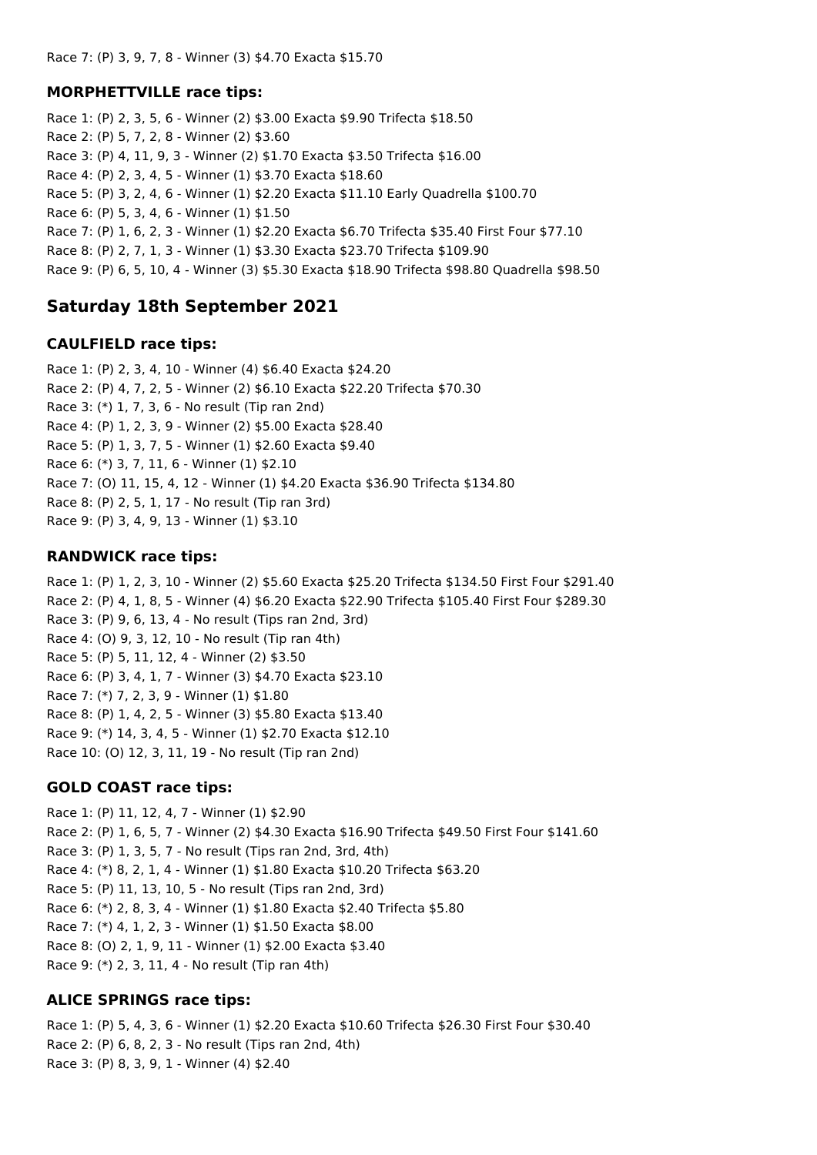Race 7: (P) 3, 9, 7, 8 - Winner (3) \$4.70 Exacta \$15.70

#### **MORPHETTVILLE race tips:**

Race 1: (P) 2, 3, 5, 6 - Winner (2) \$3.00 Exacta \$9.90 Trifecta \$18.50 Race 2: (P) 5, 7, 2, 8 - Winner (2) \$3.60 Race 3: (P) 4, 11, 9, 3 - Winner (2) \$1.70 Exacta \$3.50 Trifecta \$16.00 Race 4: (P) 2, 3, 4, 5 - Winner (1) \$3.70 Exacta \$18.60 Race 5: (P) 3, 2, 4, 6 - Winner (1) \$2.20 Exacta \$11.10 Early Quadrella \$100.70 Race 6: (P) 5, 3, 4, 6 - Winner (1) \$1.50 Race 7: (P) 1, 6, 2, 3 - Winner (1) \$2.20 Exacta \$6.70 Trifecta \$35.40 First Four \$77.10 Race 8: (P) 2, 7, 1, 3 - Winner (1) \$3.30 Exacta \$23.70 Trifecta \$109.90 Race 9: (P) 6, 5, 10, 4 - Winner (3) \$5.30 Exacta \$18.90 Trifecta \$98.80 Quadrella \$98.50

## **Saturday 18th September 2021**

#### **CAULFIELD race tips:**

Race 1: (P) 2, 3, 4, 10 - Winner (4) \$6.40 Exacta \$24.20 Race 2: (P) 4, 7, 2, 5 - Winner (2) \$6.10 Exacta \$22.20 Trifecta \$70.30 Race 3: (\*) 1, 7, 3, 6 - No result (Tip ran 2nd) Race 4: (P) 1, 2, 3, 9 - Winner (2) \$5.00 Exacta \$28.40 Race 5: (P) 1, 3, 7, 5 - Winner (1) \$2.60 Exacta \$9.40 Race 6: (\*) 3, 7, 11, 6 - Winner (1) \$2.10 Race 7: (O) 11, 15, 4, 12 - Winner (1) \$4.20 Exacta \$36.90 Trifecta \$134.80 Race 8: (P) 2, 5, 1, 17 - No result (Tip ran 3rd) Race 9: (P) 3, 4, 9, 13 - Winner (1) \$3.10

### **RANDWICK race tips:**

Race 1: (P) 1, 2, 3, 10 - Winner (2) \$5.60 Exacta \$25.20 Trifecta \$134.50 First Four \$291.40 Race 2: (P) 4, 1, 8, 5 - Winner (4) \$6.20 Exacta \$22.90 Trifecta \$105.40 First Four \$289.30 Race 3: (P) 9, 6, 13, 4 - No result (Tips ran 2nd, 3rd) Race 4: (O) 9, 3, 12, 10 - No result (Tip ran 4th) Race 5: (P) 5, 11, 12, 4 - Winner (2) \$3.50 Race 6: (P) 3, 4, 1, 7 - Winner (3) \$4.70 Exacta \$23.10 Race 7: (\*) 7, 2, 3, 9 - Winner (1) \$1.80 Race 8: (P) 1, 4, 2, 5 - Winner (3) \$5.80 Exacta \$13.40 Race 9: (\*) 14, 3, 4, 5 - Winner (1) \$2.70 Exacta \$12.10 Race 10: (O) 12, 3, 11, 19 - No result (Tip ran 2nd)

### **GOLD COAST race tips:**

Race 1: (P) 11, 12, 4, 7 - Winner (1) \$2.90 Race 2: (P) 1, 6, 5, 7 - Winner (2) \$4.30 Exacta \$16.90 Trifecta \$49.50 First Four \$141.60 Race 3: (P) 1, 3, 5, 7 - No result (Tips ran 2nd, 3rd, 4th) Race 4: (\*) 8, 2, 1, 4 - Winner (1) \$1.80 Exacta \$10.20 Trifecta \$63.20 Race 5: (P) 11, 13, 10, 5 - No result (Tips ran 2nd, 3rd) Race 6: (\*) 2, 8, 3, 4 - Winner (1) \$1.80 Exacta \$2.40 Trifecta \$5.80 Race 7: (\*) 4, 1, 2, 3 - Winner (1) \$1.50 Exacta \$8.00 Race 8: (O) 2, 1, 9, 11 - Winner (1) \$2.00 Exacta \$3.40 Race 9: (\*) 2, 3, 11, 4 - No result (Tip ran 4th)

### **ALICE SPRINGS race tips:**

Race 1: (P) 5, 4, 3, 6 - Winner (1) \$2.20 Exacta \$10.60 Trifecta \$26.30 First Four \$30.40 Race 2: (P) 6, 8, 2, 3 - No result (Tips ran 2nd, 4th) Race 3: (P) 8, 3, 9, 1 - Winner (4) \$2.40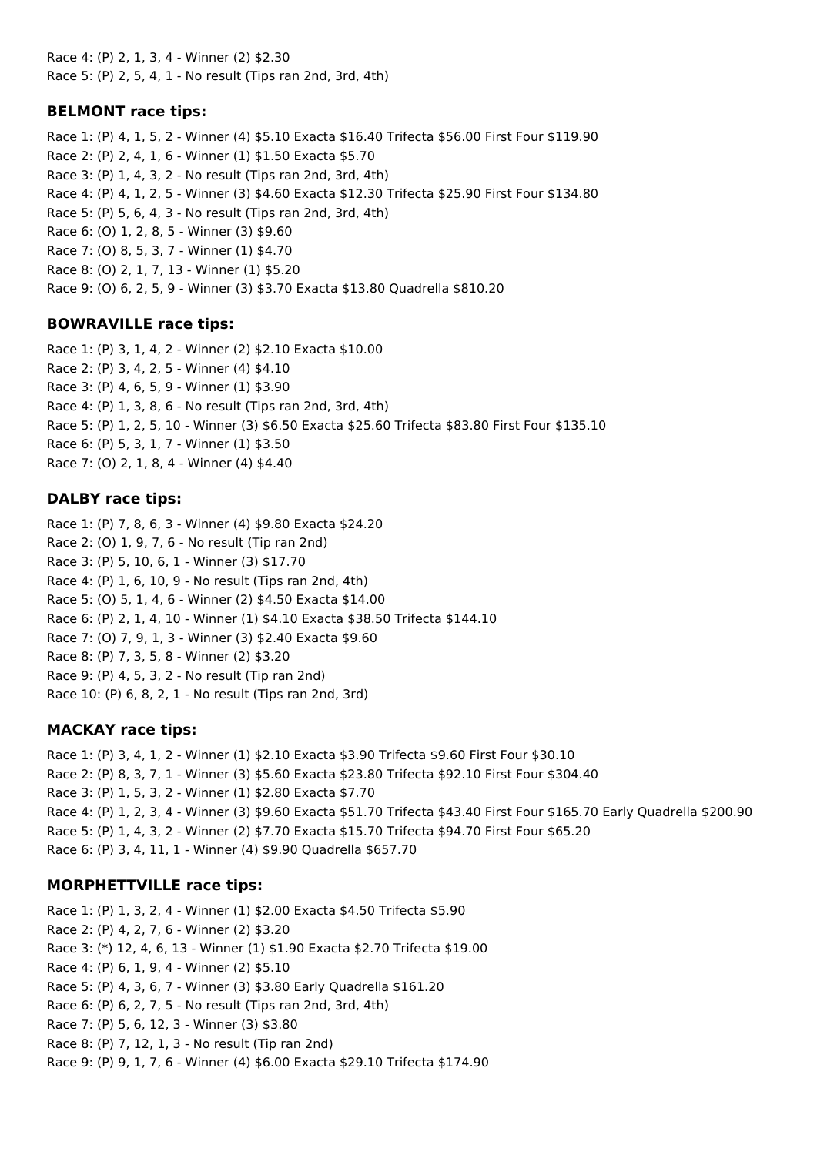Race 4: (P) 2, 1, 3, 4 - Winner (2) \$2.30 Race 5: (P) 2, 5, 4, 1 - No result (Tips ran 2nd, 3rd, 4th)

### **BELMONT race tips:**

Race 1: (P) 4, 1, 5, 2 - Winner (4) \$5.10 Exacta \$16.40 Trifecta \$56.00 First Four \$119.90 Race 2: (P) 2, 4, 1, 6 - Winner (1) \$1.50 Exacta \$5.70 Race 3: (P) 1, 4, 3, 2 - No result (Tips ran 2nd, 3rd, 4th) Race 4: (P) 4, 1, 2, 5 - Winner (3) \$4.60 Exacta \$12.30 Trifecta \$25.90 First Four \$134.80 Race 5: (P) 5, 6, 4, 3 - No result (Tips ran 2nd, 3rd, 4th) Race 6: (O) 1, 2, 8, 5 - Winner (3) \$9.60 Race 7: (O) 8, 5, 3, 7 - Winner (1) \$4.70 Race 8: (O) 2, 1, 7, 13 - Winner (1) \$5.20 Race 9: (O) 6, 2, 5, 9 - Winner (3) \$3.70 Exacta \$13.80 Quadrella \$810.20

#### **BOWRAVILLE race tips:**

Race 1: (P) 3, 1, 4, 2 - Winner (2) \$2.10 Exacta \$10.00 Race 2: (P) 3, 4, 2, 5 - Winner (4) \$4.10 Race 3: (P) 4, 6, 5, 9 - Winner (1) \$3.90 Race 4: (P) 1, 3, 8, 6 - No result (Tips ran 2nd, 3rd, 4th) Race 5: (P) 1, 2, 5, 10 - Winner (3) \$6.50 Exacta \$25.60 Trifecta \$83.80 First Four \$135.10 Race 6: (P) 5, 3, 1, 7 - Winner (1) \$3.50 Race 7: (O) 2, 1, 8, 4 - Winner (4) \$4.40

#### **DALBY race tips:**

Race 1: (P) 7, 8, 6, 3 - Winner (4) \$9.80 Exacta \$24.20 Race 2: (O) 1, 9, 7, 6 - No result (Tip ran 2nd) Race 3: (P) 5, 10, 6, 1 - Winner (3) \$17.70 Race 4: (P) 1, 6, 10, 9 - No result (Tips ran 2nd, 4th) Race 5: (O) 5, 1, 4, 6 - Winner (2) \$4.50 Exacta \$14.00 Race 6: (P) 2, 1, 4, 10 - Winner (1) \$4.10 Exacta \$38.50 Trifecta \$144.10 Race 7: (O) 7, 9, 1, 3 - Winner (3) \$2.40 Exacta \$9.60 Race 8: (P) 7, 3, 5, 8 - Winner (2) \$3.20 Race 9: (P) 4, 5, 3, 2 - No result (Tip ran 2nd) Race 10: (P) 6, 8, 2, 1 - No result (Tips ran 2nd, 3rd)

### **MACKAY race tips:**

Race 1: (P) 3, 4, 1, 2 - Winner (1) \$2.10 Exacta \$3.90 Trifecta \$9.60 First Four \$30.10 Race 2: (P) 8, 3, 7, 1 - Winner (3) \$5.60 Exacta \$23.80 Trifecta \$92.10 First Four \$304.40 Race 3: (P) 1, 5, 3, 2 - Winner (1) \$2.80 Exacta \$7.70 Race 4: (P) 1, 2, 3, 4 - Winner (3) \$9.60 Exacta \$51.70 Trifecta \$43.40 First Four \$165.70 Early Quadrella \$200.90 Race 5: (P) 1, 4, 3, 2 - Winner (2) \$7.70 Exacta \$15.70 Trifecta \$94.70 First Four \$65.20 Race 6: (P) 3, 4, 11, 1 - Winner (4) \$9.90 Quadrella \$657.70

#### **MORPHETTVILLE race tips:**

Race 1: (P) 1, 3, 2, 4 - Winner (1) \$2.00 Exacta \$4.50 Trifecta \$5.90 Race 2: (P) 4, 2, 7, 6 - Winner (2) \$3.20 Race 3: (\*) 12, 4, 6, 13 - Winner (1) \$1.90 Exacta \$2.70 Trifecta \$19.00 Race 4: (P) 6, 1, 9, 4 - Winner (2) \$5.10 Race 5: (P) 4, 3, 6, 7 - Winner (3) \$3.80 Early Quadrella \$161.20 Race 6: (P) 6, 2, 7, 5 - No result (Tips ran 2nd, 3rd, 4th) Race 7: (P) 5, 6, 12, 3 - Winner (3) \$3.80 Race 8: (P) 7, 12, 1, 3 - No result (Tip ran 2nd) Race 9: (P) 9, 1, 7, 6 - Winner (4) \$6.00 Exacta \$29.10 Trifecta \$174.90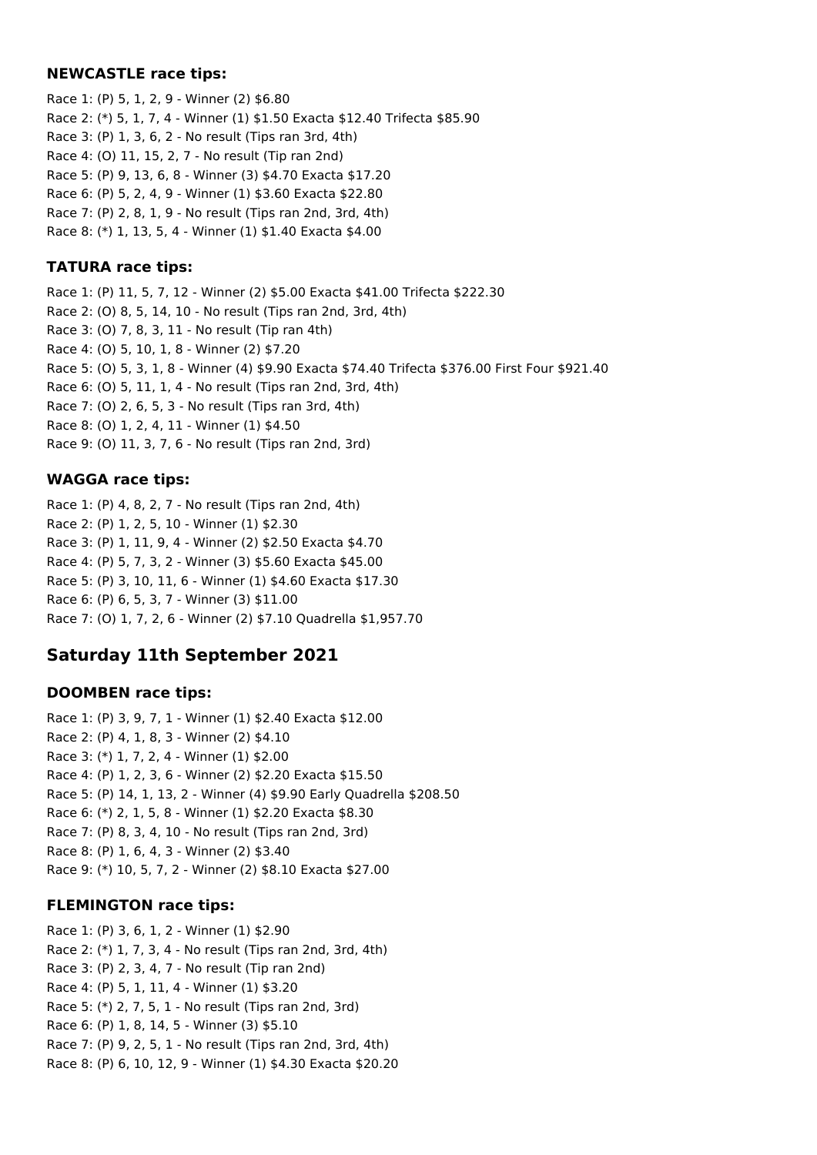### **NEWCASTLE race tips:**

Race 1: (P) 5, 1, 2, 9 - Winner (2) \$6.80 Race 2: (\*) 5, 1, 7, 4 - Winner (1) \$1.50 Exacta \$12.40 Trifecta \$85.90 Race 3: (P) 1, 3, 6, 2 - No result (Tips ran 3rd, 4th) Race 4: (O) 11, 15, 2, 7 - No result (Tip ran 2nd) Race 5: (P) 9, 13, 6, 8 - Winner (3) \$4.70 Exacta \$17.20 Race 6: (P) 5, 2, 4, 9 - Winner (1) \$3.60 Exacta \$22.80 Race 7: (P) 2, 8, 1, 9 - No result (Tips ran 2nd, 3rd, 4th) Race 8: (\*) 1, 13, 5, 4 - Winner (1) \$1.40 Exacta \$4.00

### **TATURA race tips:**

Race 1: (P) 11, 5, 7, 12 - Winner (2) \$5.00 Exacta \$41.00 Trifecta \$222.30 Race 2: (O) 8, 5, 14, 10 - No result (Tips ran 2nd, 3rd, 4th) Race 3: (O) 7, 8, 3, 11 - No result (Tip ran 4th) Race 4: (O) 5, 10, 1, 8 - Winner (2) \$7.20 Race 5: (O) 5, 3, 1, 8 - Winner (4) \$9.90 Exacta \$74.40 Trifecta \$376.00 First Four \$921.40 Race 6: (O) 5, 11, 1, 4 - No result (Tips ran 2nd, 3rd, 4th) Race 7: (O) 2, 6, 5, 3 - No result (Tips ran 3rd, 4th) Race 8: (O) 1, 2, 4, 11 - Winner (1) \$4.50 Race 9: (O) 11, 3, 7, 6 - No result (Tips ran 2nd, 3rd)

## **WAGGA race tips:**

Race 1: (P) 4, 8, 2, 7 - No result (Tips ran 2nd, 4th) Race 2: (P) 1, 2, 5, 10 - Winner (1) \$2.30 Race 3: (P) 1, 11, 9, 4 - Winner (2) \$2.50 Exacta \$4.70 Race 4: (P) 5, 7, 3, 2 - Winner (3) \$5.60 Exacta \$45.00 Race 5: (P) 3, 10, 11, 6 - Winner (1) \$4.60 Exacta \$17.30 Race 6: (P) 6, 5, 3, 7 - Winner (3) \$11.00 Race 7: (O) 1, 7, 2, 6 - Winner (2) \$7.10 Quadrella \$1,957.70

# **Saturday 11th September 2021**

### **DOOMBEN race tips:**

Race 1: (P) 3, 9, 7, 1 - Winner (1) \$2.40 Exacta \$12.00 Race 2: (P) 4, 1, 8, 3 - Winner (2) \$4.10 Race 3: (\*) 1, 7, 2, 4 - Winner (1) \$2.00 Race 4: (P) 1, 2, 3, 6 - Winner (2) \$2.20 Exacta \$15.50 Race 5: (P) 14, 1, 13, 2 - Winner (4) \$9.90 Early Quadrella \$208.50 Race 6: (\*) 2, 1, 5, 8 - Winner (1) \$2.20 Exacta \$8.30 Race 7: (P) 8, 3, 4, 10 - No result (Tips ran 2nd, 3rd) Race 8: (P) 1, 6, 4, 3 - Winner (2) \$3.40 Race 9: (\*) 10, 5, 7, 2 - Winner (2) \$8.10 Exacta \$27.00

### **FLEMINGTON race tips:**

Race 1: (P) 3, 6, 1, 2 - Winner (1) \$2.90 Race 2: (\*) 1, 7, 3, 4 - No result (Tips ran 2nd, 3rd, 4th) Race 3: (P) 2, 3, 4, 7 - No result (Tip ran 2nd) Race 4: (P) 5, 1, 11, 4 - Winner (1) \$3.20 Race 5: (\*) 2, 7, 5, 1 - No result (Tips ran 2nd, 3rd) Race 6: (P) 1, 8, 14, 5 - Winner (3) \$5.10 Race 7: (P) 9, 2, 5, 1 - No result (Tips ran 2nd, 3rd, 4th) Race 8: (P) 6, 10, 12, 9 - Winner (1) \$4.30 Exacta \$20.20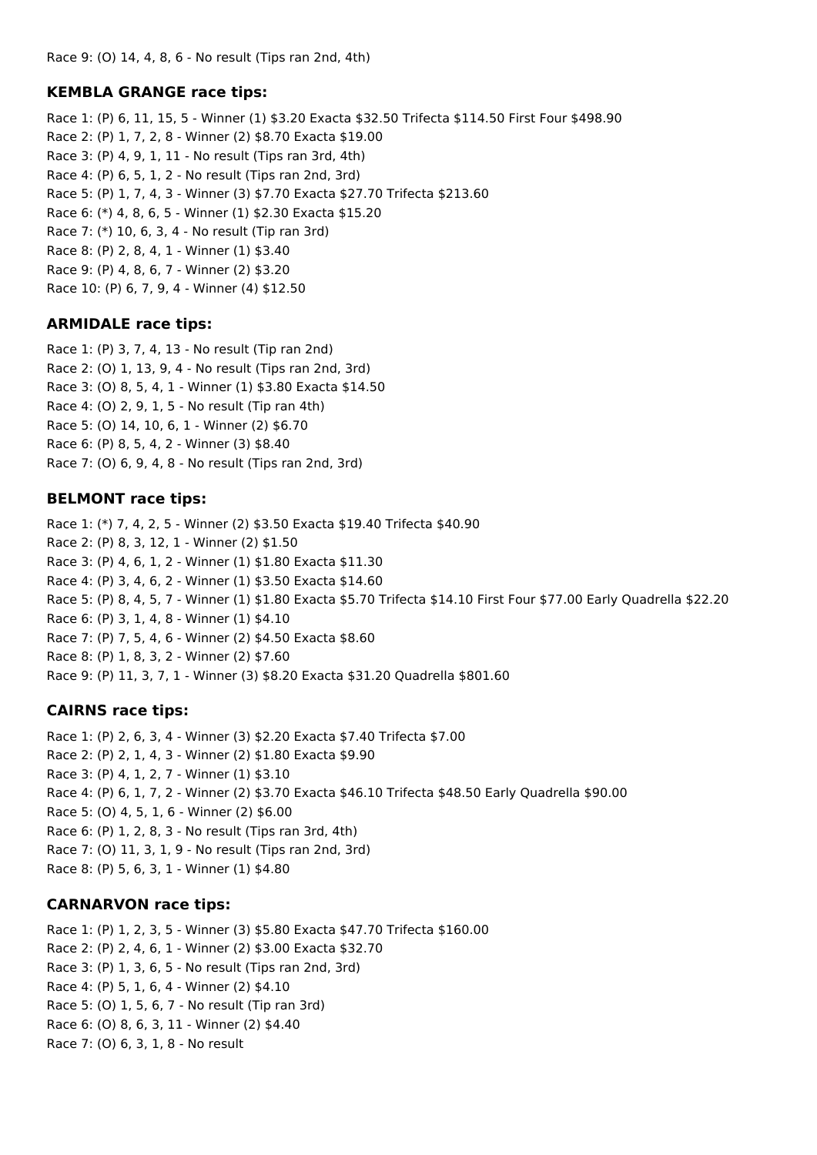#### **KEMBLA GRANGE race tips:**

Race 1: (P) 6, 11, 15, 5 - Winner (1) \$3.20 Exacta \$32.50 Trifecta \$114.50 First Four \$498.90 Race 2: (P) 1, 7, 2, 8 - Winner (2) \$8.70 Exacta \$19.00 Race 3: (P) 4, 9, 1, 11 - No result (Tips ran 3rd, 4th) Race 4: (P) 6, 5, 1, 2 - No result (Tips ran 2nd, 3rd) Race 5: (P) 1, 7, 4, 3 - Winner (3) \$7.70 Exacta \$27.70 Trifecta \$213.60 Race 6: (\*) 4, 8, 6, 5 - Winner (1) \$2.30 Exacta \$15.20 Race 7: (\*) 10, 6, 3, 4 - No result (Tip ran 3rd) Race 8: (P) 2, 8, 4, 1 - Winner (1) \$3.40 Race 9: (P) 4, 8, 6, 7 - Winner (2) \$3.20 Race 10: (P) 6, 7, 9, 4 - Winner (4) \$12.50

## **ARMIDALE race tips:**

Race 1: (P) 3, 7, 4, 13 - No result (Tip ran 2nd) Race 2: (O) 1, 13, 9, 4 - No result (Tips ran 2nd, 3rd) Race 3: (O) 8, 5, 4, 1 - Winner (1) \$3.80 Exacta \$14.50 Race 4: (O) 2, 9, 1, 5 - No result (Tip ran 4th) Race 5: (O) 14, 10, 6, 1 - Winner (2) \$6.70 Race 6: (P) 8, 5, 4, 2 - Winner (3) \$8.40 Race 7: (O) 6, 9, 4, 8 - No result (Tips ran 2nd, 3rd)

#### **BELMONT race tips:**

Race 1: (\*) 7, 4, 2, 5 - Winner (2) \$3.50 Exacta \$19.40 Trifecta \$40.90 Race 2: (P) 8, 3, 12, 1 - Winner (2) \$1.50 Race 3: (P) 4, 6, 1, 2 - Winner (1) \$1.80 Exacta \$11.30 Race 4: (P) 3, 4, 6, 2 - Winner (1) \$3.50 Exacta \$14.60 Race 5: (P) 8, 4, 5, 7 - Winner (1) \$1.80 Exacta \$5.70 Trifecta \$14.10 First Four \$77.00 Early Quadrella \$22.20 Race 6: (P) 3, 1, 4, 8 - Winner (1) \$4.10 Race 7: (P) 7, 5, 4, 6 - Winner (2) \$4.50 Exacta \$8.60 Race 8: (P) 1, 8, 3, 2 - Winner (2) \$7.60 Race 9: (P) 11, 3, 7, 1 - Winner (3) \$8.20 Exacta \$31.20 Quadrella \$801.60

## **CAIRNS race tips:**

Race 1: (P) 2, 6, 3, 4 - Winner (3) \$2.20 Exacta \$7.40 Trifecta \$7.00 Race 2: (P) 2, 1, 4, 3 - Winner (2) \$1.80 Exacta \$9.90 Race 3: (P) 4, 1, 2, 7 - Winner (1) \$3.10 Race 4: (P) 6, 1, 7, 2 - Winner (2) \$3.70 Exacta \$46.10 Trifecta \$48.50 Early Quadrella \$90.00 Race 5: (O) 4, 5, 1, 6 - Winner (2) \$6.00 Race 6: (P) 1, 2, 8, 3 - No result (Tips ran 3rd, 4th) Race 7: (O) 11, 3, 1, 9 - No result (Tips ran 2nd, 3rd) Race 8: (P) 5, 6, 3, 1 - Winner (1) \$4.80

## **CARNARVON race tips:**

Race 1: (P) 1, 2, 3, 5 - Winner (3) \$5.80 Exacta \$47.70 Trifecta \$160.00 Race 2: (P) 2, 4, 6, 1 - Winner (2) \$3.00 Exacta \$32.70 Race 3: (P) 1, 3, 6, 5 - No result (Tips ran 2nd, 3rd) Race 4: (P) 5, 1, 6, 4 - Winner (2) \$4.10 Race 5: (O) 1, 5, 6, 7 - No result (Tip ran 3rd) Race 6: (O) 8, 6, 3, 11 - Winner (2) \$4.40 Race 7: (O) 6, 3, 1, 8 - No result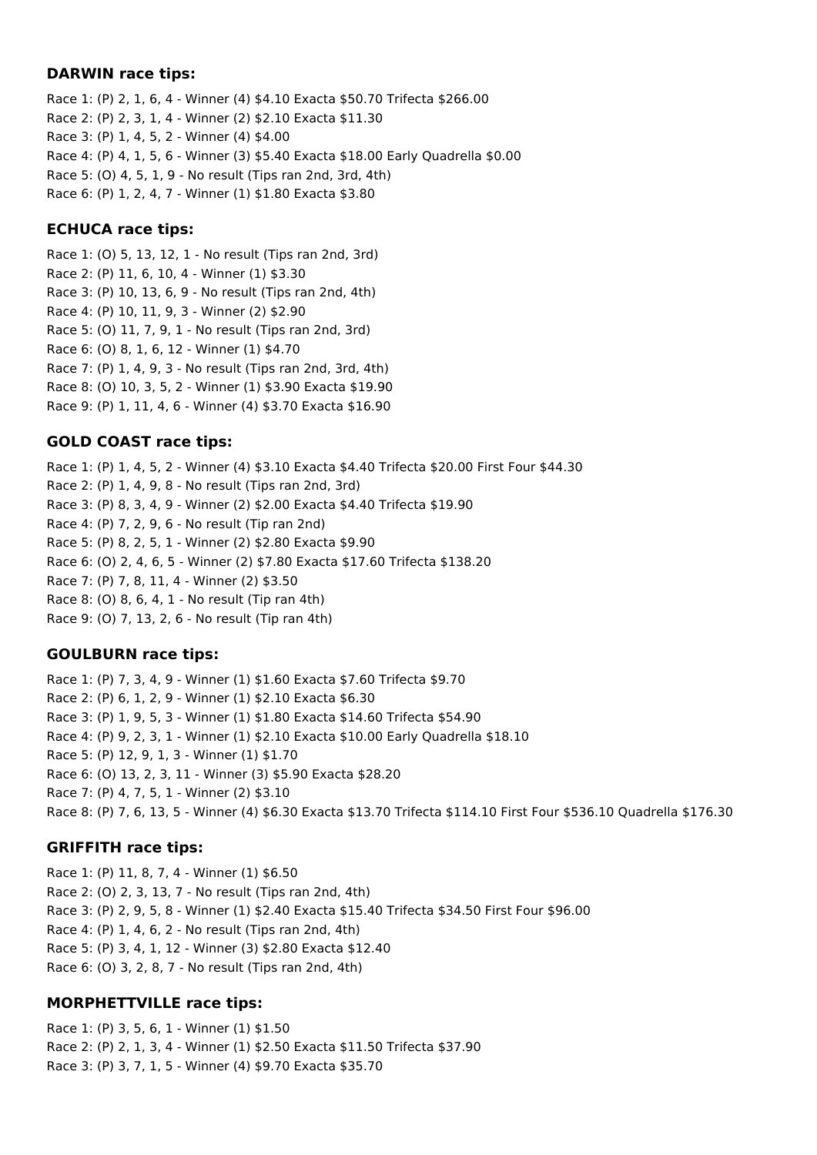#### **DARWIN race tips:**

Race 1: (P) 2, 1, 6, 4 - Winner (4) \$4.10 Exacta \$50.70 Trifecta \$266.00 Race 2: (P) 2, 3, 1, 4 - Winner (2) \$2.10 Exacta \$11.30 Race 3: (P) 1, 4, 5, 2 - Winner (4) \$4.00 Race 4: (P) 4, 1, 5, 6 - Winner (3) \$5.40 Exacta \$18.00 Early Quadrella \$0.00 Race 5: (O) 4, 5, 1, 9 - No result (Tips ran 2nd, 3rd, 4th) Race 6: (P) 1, 2, 4, 7 - Winner (1) \$1.80 Exacta \$3.80

#### **ECHUCA race tips:**

Race 1: (O) 5, 13, 12, 1 - No result (Tips ran 2nd, 3rd) Race 2: (P) 11, 6, 10, 4 - Winner (1) \$3.30 Race 3: (P) 10, 13, 6, 9 - No result (Tips ran 2nd, 4th) Race 4: (P) 10, 11, 9, 3 - Winner (2) \$2.90 Race 5: (O) 11, 7, 9, 1 - No result (Tips ran 2nd, 3rd) Race 6: (O) 8, 1, 6, 12 - Winner (1) \$4.70 Race 7: (P) 1, 4, 9, 3 - No result (Tips ran 2nd, 3rd, 4th) Race 8: (O) 10, 3, 5, 2 - Winner (1) \$3.90 Exacta \$19.90 Race 9: (P) 1, 11, 4, 6 - Winner (4) \$3.70 Exacta \$16.90

## **GOLD COAST race tips:**

Race 1: (P) 1, 4, 5, 2 - Winner (4) \$3.10 Exacta \$4.40 Trifecta \$20.00 First Four \$44.30 Race 2: (P) 1, 4, 9, 8 - No result (Tips ran 2nd, 3rd) Race 3: (P) 8, 3, 4, 9 - Winner (2) \$2.00 Exacta \$4.40 Trifecta \$19.90 Race 4: (P) 7, 2, 9, 6 - No result (Tip ran 2nd) Race 5: (P) 8, 2, 5, 1 - Winner (2) \$2.80 Exacta \$9.90 Race 6: (O) 2, 4, 6, 5 - Winner (2) \$7.80 Exacta \$17.60 Trifecta \$138.20 Race 7: (P) 7, 8, 11, 4 - Winner (2) \$3.50 Race 8: (O) 8, 6, 4, 1 - No result (Tip ran 4th) Race 9: (O) 7, 13, 2, 6 - No result (Tip ran 4th)

## **GOULBURN race tips:**

Race 1: (P) 7, 3, 4, 9 - Winner (1) \$1.60 Exacta \$7.60 Trifecta \$9.70 Race 2: (P) 6, 1, 2, 9 - Winner (1) \$2.10 Exacta \$6.30 Race 3: (P) 1, 9, 5, 3 - Winner (1) \$1.80 Exacta \$14.60 Trifecta \$54.90 Race 4: (P) 9, 2, 3, 1 - Winner (1) \$2.10 Exacta \$10.00 Early Quadrella \$18.10 Race 5: (P) 12, 9, 1, 3 - Winner (1) \$1.70 Race 6: (O) 13, 2, 3, 11 - Winner (3) \$5.90 Exacta \$28.20 Race 7: (P) 4, 7, 5, 1 - Winner (2) \$3.10 Race 8: (P) 7, 6, 13, 5 - Winner (4) \$6.30 Exacta \$13.70 Trifecta \$114.10 First Four \$536.10 Quadrella \$176.30

## **GRIFFITH race tips:**

Race 1: (P) 11, 8, 7, 4 - Winner (1) \$6.50 Race 2: (O) 2, 3, 13, 7 - No result (Tips ran 2nd, 4th) Race 3: (P) 2, 9, 5, 8 - Winner (1) \$2.40 Exacta \$15.40 Trifecta \$34.50 First Four \$96.00 Race 4: (P) 1, 4, 6, 2 - No result (Tips ran 2nd, 4th) Race 5: (P) 3, 4, 1, 12 - Winner (3) \$2.80 Exacta \$12.40 Race 6: (O) 3, 2, 8, 7 - No result (Tips ran 2nd, 4th)

## **MORPHETTVILLE race tips:**

Race 1: (P) 3, 5, 6, 1 - Winner (1) \$1.50 Race 2: (P) 2, 1, 3, 4 - Winner (1) \$2.50 Exacta \$11.50 Trifecta \$37.90 Race 3: (P) 3, 7, 1, 5 - Winner (4) \$9.70 Exacta \$35.70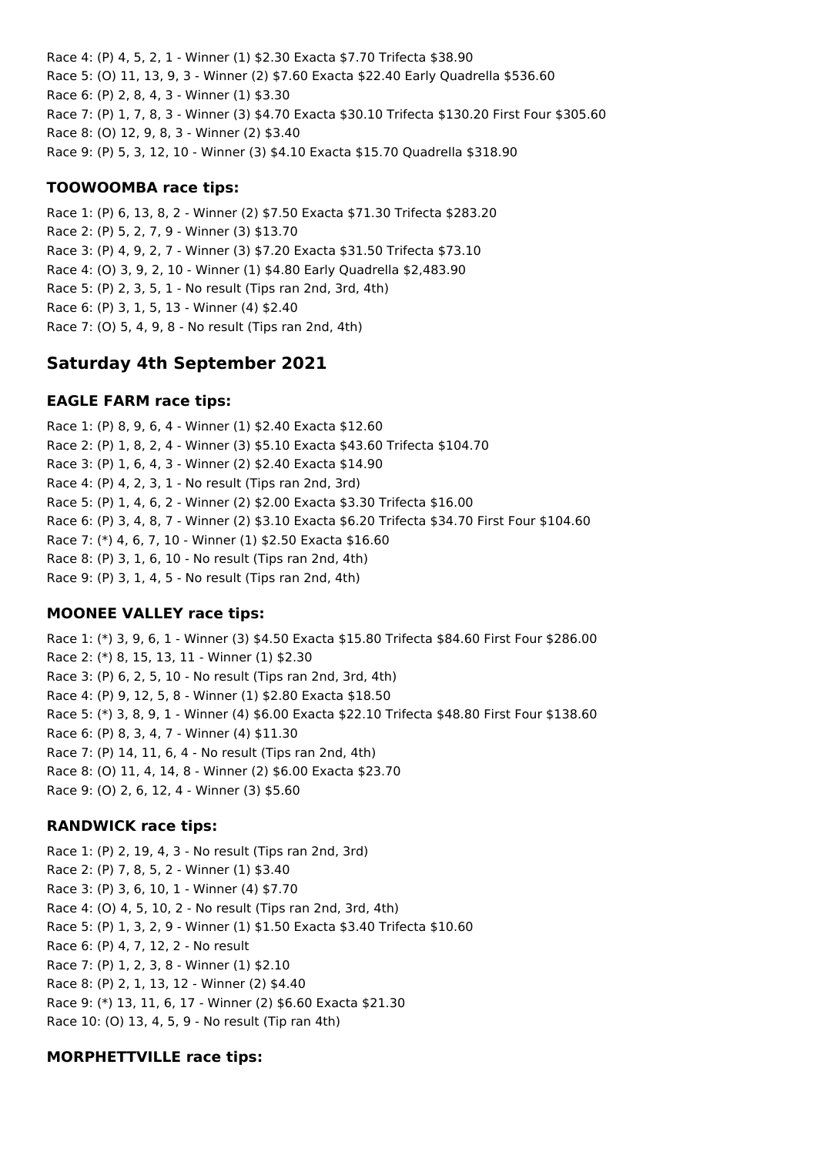Race 4: (P) 4, 5, 2, 1 - Winner (1) \$2.30 Exacta \$7.70 Trifecta \$38.90 Race 5: (O) 11, 13, 9, 3 - Winner (2) \$7.60 Exacta \$22.40 Early Quadrella \$536.60 Race 6: (P) 2, 8, 4, 3 - Winner (1) \$3.30 Race 7: (P) 1, 7, 8, 3 - Winner (3) \$4.70 Exacta \$30.10 Trifecta \$130.20 First Four \$305.60 Race 8: (O) 12, 9, 8, 3 - Winner (2) \$3.40 Race 9: (P) 5, 3, 12, 10 - Winner (3) \$4.10 Exacta \$15.70 Quadrella \$318.90

## **TOOWOOMBA race tips:**

Race 1: (P) 6, 13, 8, 2 - Winner (2) \$7.50 Exacta \$71.30 Trifecta \$283.20 Race 2: (P) 5, 2, 7, 9 - Winner (3) \$13.70 Race 3: (P) 4, 9, 2, 7 - Winner (3) \$7.20 Exacta \$31.50 Trifecta \$73.10 Race 4: (O) 3, 9, 2, 10 - Winner (1) \$4.80 Early Quadrella \$2,483.90 Race 5: (P) 2, 3, 5, 1 - No result (Tips ran 2nd, 3rd, 4th) Race 6: (P) 3, 1, 5, 13 - Winner (4) \$2.40 Race 7: (O) 5, 4, 9, 8 - No result (Tips ran 2nd, 4th)

# **Saturday 4th September 2021**

## **EAGLE FARM race tips:**

Race 1: (P) 8, 9, 6, 4 - Winner (1) \$2.40 Exacta \$12.60 Race 2: (P) 1, 8, 2, 4 - Winner (3) \$5.10 Exacta \$43.60 Trifecta \$104.70 Race 3: (P) 1, 6, 4, 3 - Winner (2) \$2.40 Exacta \$14.90 Race 4: (P) 4, 2, 3, 1 - No result (Tips ran 2nd, 3rd) Race 5: (P) 1, 4, 6, 2 - Winner (2) \$2.00 Exacta \$3.30 Trifecta \$16.00 Race 6: (P) 3, 4, 8, 7 - Winner (2) \$3.10 Exacta \$6.20 Trifecta \$34.70 First Four \$104.60 Race 7: (\*) 4, 6, 7, 10 - Winner (1) \$2.50 Exacta \$16.60 Race 8: (P) 3, 1, 6, 10 - No result (Tips ran 2nd, 4th) Race 9: (P) 3, 1, 4, 5 - No result (Tips ran 2nd, 4th)

# **MOONEE VALLEY race tips:**

Race 1: (\*) 3, 9, 6, 1 - Winner (3) \$4.50 Exacta \$15.80 Trifecta \$84.60 First Four \$286.00 Race 2: (\*) 8, 15, 13, 11 - Winner (1) \$2.30 Race 3: (P) 6, 2, 5, 10 - No result (Tips ran 2nd, 3rd, 4th) Race 4: (P) 9, 12, 5, 8 - Winner (1) \$2.80 Exacta \$18.50 Race 5: (\*) 3, 8, 9, 1 - Winner (4) \$6.00 Exacta \$22.10 Trifecta \$48.80 First Four \$138.60 Race 6: (P) 8, 3, 4, 7 - Winner (4) \$11.30 Race 7: (P) 14, 11, 6, 4 - No result (Tips ran 2nd, 4th) Race 8: (O) 11, 4, 14, 8 - Winner (2) \$6.00 Exacta \$23.70 Race 9: (O) 2, 6, 12, 4 - Winner (3) \$5.60

## **RANDWICK race tips:**

Race 1: (P) 2, 19, 4, 3 - No result (Tips ran 2nd, 3rd) Race 2: (P) 7, 8, 5, 2 - Winner (1) \$3.40 Race 3: (P) 3, 6, 10, 1 - Winner (4) \$7.70 Race 4: (O) 4, 5, 10, 2 - No result (Tips ran 2nd, 3rd, 4th) Race 5: (P) 1, 3, 2, 9 - Winner (1) \$1.50 Exacta \$3.40 Trifecta \$10.60 Race 6: (P) 4, 7, 12, 2 - No result Race 7: (P) 1, 2, 3, 8 - Winner (1) \$2.10 Race 8: (P) 2, 1, 13, 12 - Winner (2) \$4.40 Race 9: (\*) 13, 11, 6, 17 - Winner (2) \$6.60 Exacta \$21.30 Race 10: (O) 13, 4, 5, 9 - No result (Tip ran 4th)

## **MORPHETTVILLE race tips:**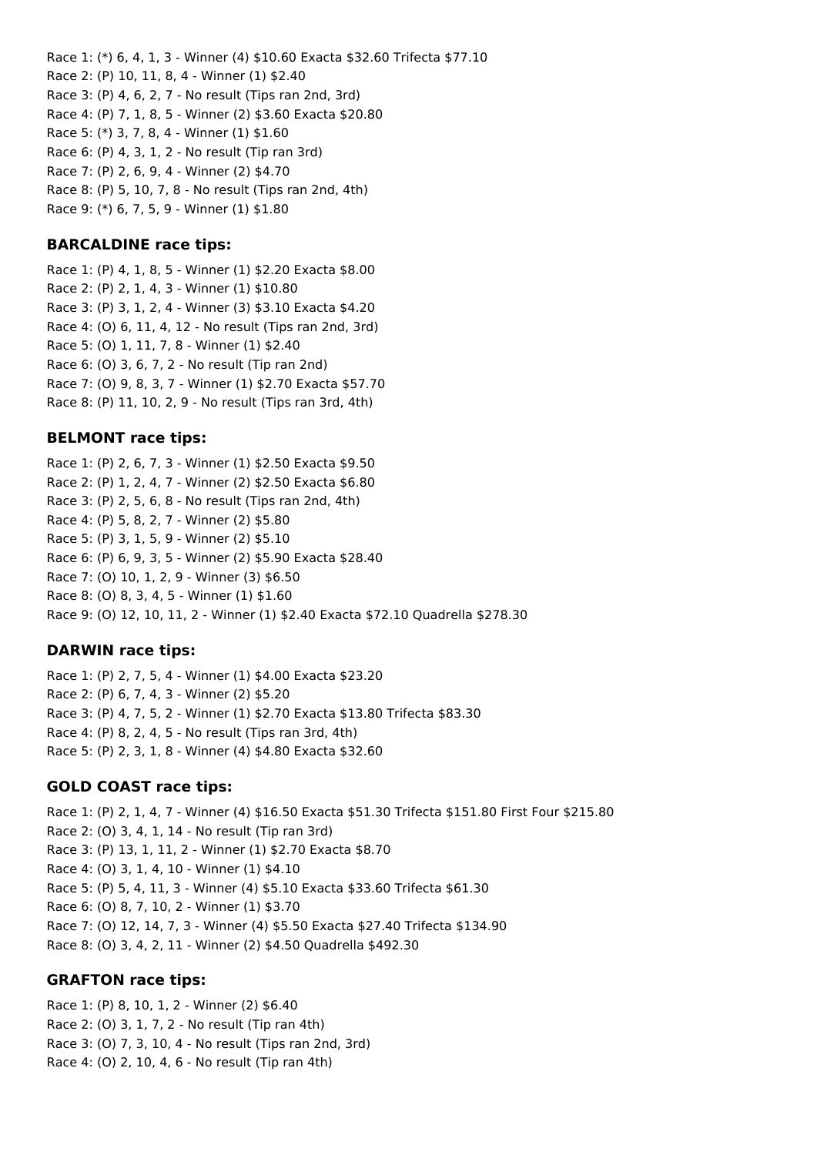Race 1: (\*) 6, 4, 1, 3 - Winner (4) \$10.60 Exacta \$32.60 Trifecta \$77.10 Race 2: (P) 10, 11, 8, 4 - Winner (1) \$2.40 Race 3: (P) 4, 6, 2, 7 - No result (Tips ran 2nd, 3rd) Race 4: (P) 7, 1, 8, 5 - Winner (2) \$3.60 Exacta \$20.80 Race 5: (\*) 3, 7, 8, 4 - Winner (1) \$1.60 Race 6: (P) 4, 3, 1, 2 - No result (Tip ran 3rd) Race 7: (P) 2, 6, 9, 4 - Winner (2) \$4.70 Race 8: (P) 5, 10, 7, 8 - No result (Tips ran 2nd, 4th) Race 9: (\*) 6, 7, 5, 9 - Winner (1) \$1.80

#### **BARCALDINE race tips:**

Race 1: (P) 4, 1, 8, 5 - Winner (1) \$2.20 Exacta \$8.00 Race 2: (P) 2, 1, 4, 3 - Winner (1) \$10.80 Race 3: (P) 3, 1, 2, 4 - Winner (3) \$3.10 Exacta \$4.20 Race 4: (O) 6, 11, 4, 12 - No result (Tips ran 2nd, 3rd) Race 5: (O) 1, 11, 7, 8 - Winner (1) \$2.40 Race 6: (O) 3, 6, 7, 2 - No result (Tip ran 2nd) Race 7: (O) 9, 8, 3, 7 - Winner (1) \$2.70 Exacta \$57.70 Race 8: (P) 11, 10, 2, 9 - No result (Tips ran 3rd, 4th)

#### **BELMONT race tips:**

Race 1: (P) 2, 6, 7, 3 - Winner (1) \$2.50 Exacta \$9.50 Race 2: (P) 1, 2, 4, 7 - Winner (2) \$2.50 Exacta \$6.80 Race 3: (P) 2, 5, 6, 8 - No result (Tips ran 2nd, 4th) Race 4: (P) 5, 8, 2, 7 - Winner (2) \$5.80 Race 5: (P) 3, 1, 5, 9 - Winner (2) \$5.10 Race 6: (P) 6, 9, 3, 5 - Winner (2) \$5.90 Exacta \$28.40 Race 7: (O) 10, 1, 2, 9 - Winner (3) \$6.50 Race 8: (O) 8, 3, 4, 5 - Winner (1) \$1.60 Race 9: (O) 12, 10, 11, 2 - Winner (1) \$2.40 Exacta \$72.10 Quadrella \$278.30

#### **DARWIN race tips:**

Race 1: (P) 2, 7, 5, 4 - Winner (1) \$4.00 Exacta \$23.20 Race 2: (P) 6, 7, 4, 3 - Winner (2) \$5.20 Race 3: (P) 4, 7, 5, 2 - Winner (1) \$2.70 Exacta \$13.80 Trifecta \$83.30 Race 4: (P) 8, 2, 4, 5 - No result (Tips ran 3rd, 4th) Race 5: (P) 2, 3, 1, 8 - Winner (4) \$4.80 Exacta \$32.60

#### **GOLD COAST race tips:**

Race 1: (P) 2, 1, 4, 7 - Winner (4) \$16.50 Exacta \$51.30 Trifecta \$151.80 First Four \$215.80 Race 2: (O) 3, 4, 1, 14 - No result (Tip ran 3rd) Race 3: (P) 13, 1, 11, 2 - Winner (1) \$2.70 Exacta \$8.70 Race 4: (O) 3, 1, 4, 10 - Winner (1) \$4.10 Race 5: (P) 5, 4, 11, 3 - Winner (4) \$5.10 Exacta \$33.60 Trifecta \$61.30 Race 6: (O) 8, 7, 10, 2 - Winner (1) \$3.70 Race 7: (O) 12, 14, 7, 3 - Winner (4) \$5.50 Exacta \$27.40 Trifecta \$134.90 Race 8: (O) 3, 4, 2, 11 - Winner (2) \$4.50 Quadrella \$492.30

#### **GRAFTON race tips:**

Race 1: (P) 8, 10, 1, 2 - Winner (2) \$6.40 Race 2: (O) 3, 1, 7, 2 - No result (Tip ran 4th) Race 3: (O) 7, 3, 10, 4 - No result (Tips ran 2nd, 3rd) Race 4: (O) 2, 10, 4, 6 - No result (Tip ran 4th)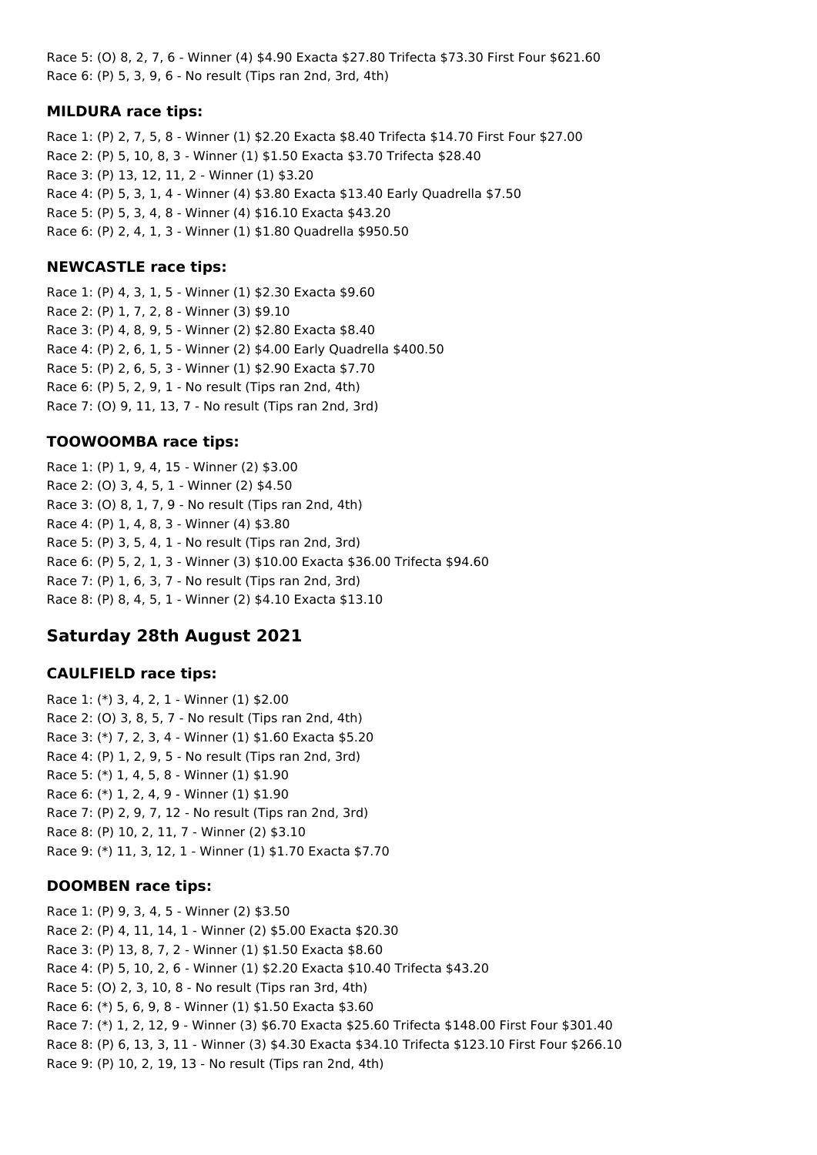Race 5: (O) 8, 2, 7, 6 - Winner (4) \$4.90 Exacta \$27.80 Trifecta \$73.30 First Four \$621.60 Race 6: (P) 5, 3, 9, 6 - No result (Tips ran 2nd, 3rd, 4th)

#### **MILDURA race tips:**

Race 1: (P) 2, 7, 5, 8 - Winner (1) \$2.20 Exacta \$8.40 Trifecta \$14.70 First Four \$27.00 Race 2: (P) 5, 10, 8, 3 - Winner (1) \$1.50 Exacta \$3.70 Trifecta \$28.40 Race 3: (P) 13, 12, 11, 2 - Winner (1) \$3.20 Race 4: (P) 5, 3, 1, 4 - Winner (4) \$3.80 Exacta \$13.40 Early Quadrella \$7.50 Race 5: (P) 5, 3, 4, 8 - Winner (4) \$16.10 Exacta \$43.20 Race 6: (P) 2, 4, 1, 3 - Winner (1) \$1.80 Quadrella \$950.50

#### **NEWCASTLE race tips:**

Race 1: (P) 4, 3, 1, 5 - Winner (1) \$2.30 Exacta \$9.60 Race 2: (P) 1, 7, 2, 8 - Winner (3) \$9.10 Race 3: (P) 4, 8, 9, 5 - Winner (2) \$2.80 Exacta \$8.40 Race 4: (P) 2, 6, 1, 5 - Winner (2) \$4.00 Early Quadrella \$400.50 Race 5: (P) 2, 6, 5, 3 - Winner (1) \$2.90 Exacta \$7.70 Race 6: (P) 5, 2, 9, 1 - No result (Tips ran 2nd, 4th) Race 7: (O) 9, 11, 13, 7 - No result (Tips ran 2nd, 3rd)

#### **TOOWOOMBA race tips:**

Race 1: (P) 1, 9, 4, 15 - Winner (2) \$3.00 Race 2: (O) 3, 4, 5, 1 - Winner (2) \$4.50 Race 3: (O) 8, 1, 7, 9 - No result (Tips ran 2nd, 4th) Race 4: (P) 1, 4, 8, 3 - Winner (4) \$3.80 Race 5: (P) 3, 5, 4, 1 - No result (Tips ran 2nd, 3rd) Race 6: (P) 5, 2, 1, 3 - Winner (3) \$10.00 Exacta \$36.00 Trifecta \$94.60 Race 7: (P) 1, 6, 3, 7 - No result (Tips ran 2nd, 3rd) Race 8: (P) 8, 4, 5, 1 - Winner (2) \$4.10 Exacta \$13.10

## **Saturday 28th August 2021**

#### **CAULFIELD race tips:**

Race 1: (\*) 3, 4, 2, 1 - Winner (1) \$2.00 Race 2: (O) 3, 8, 5, 7 - No result (Tips ran 2nd, 4th) Race 3: (\*) 7, 2, 3, 4 - Winner (1) \$1.60 Exacta \$5.20 Race 4: (P) 1, 2, 9, 5 - No result (Tips ran 2nd, 3rd) Race 5: (\*) 1, 4, 5, 8 - Winner (1) \$1.90 Race 6: (\*) 1, 2, 4, 9 - Winner (1) \$1.90 Race 7: (P) 2, 9, 7, 12 - No result (Tips ran 2nd, 3rd) Race 8: (P) 10, 2, 11, 7 - Winner (2) \$3.10 Race 9: (\*) 11, 3, 12, 1 - Winner (1) \$1.70 Exacta \$7.70

#### **DOOMBEN race tips:**

Race 1: (P) 9, 3, 4, 5 - Winner (2) \$3.50 Race 2: (P) 4, 11, 14, 1 - Winner (2) \$5.00 Exacta \$20.30 Race 3: (P) 13, 8, 7, 2 - Winner (1) \$1.50 Exacta \$8.60 Race 4: (P) 5, 10, 2, 6 - Winner (1) \$2.20 Exacta \$10.40 Trifecta \$43.20 Race 5: (O) 2, 3, 10, 8 - No result (Tips ran 3rd, 4th) Race 6: (\*) 5, 6, 9, 8 - Winner (1) \$1.50 Exacta \$3.60 Race 7: (\*) 1, 2, 12, 9 - Winner (3) \$6.70 Exacta \$25.60 Trifecta \$148.00 First Four \$301.40 Race 8: (P) 6, 13, 3, 11 - Winner (3) \$4.30 Exacta \$34.10 Trifecta \$123.10 First Four \$266.10 Race 9: (P) 10, 2, 19, 13 - No result (Tips ran 2nd, 4th)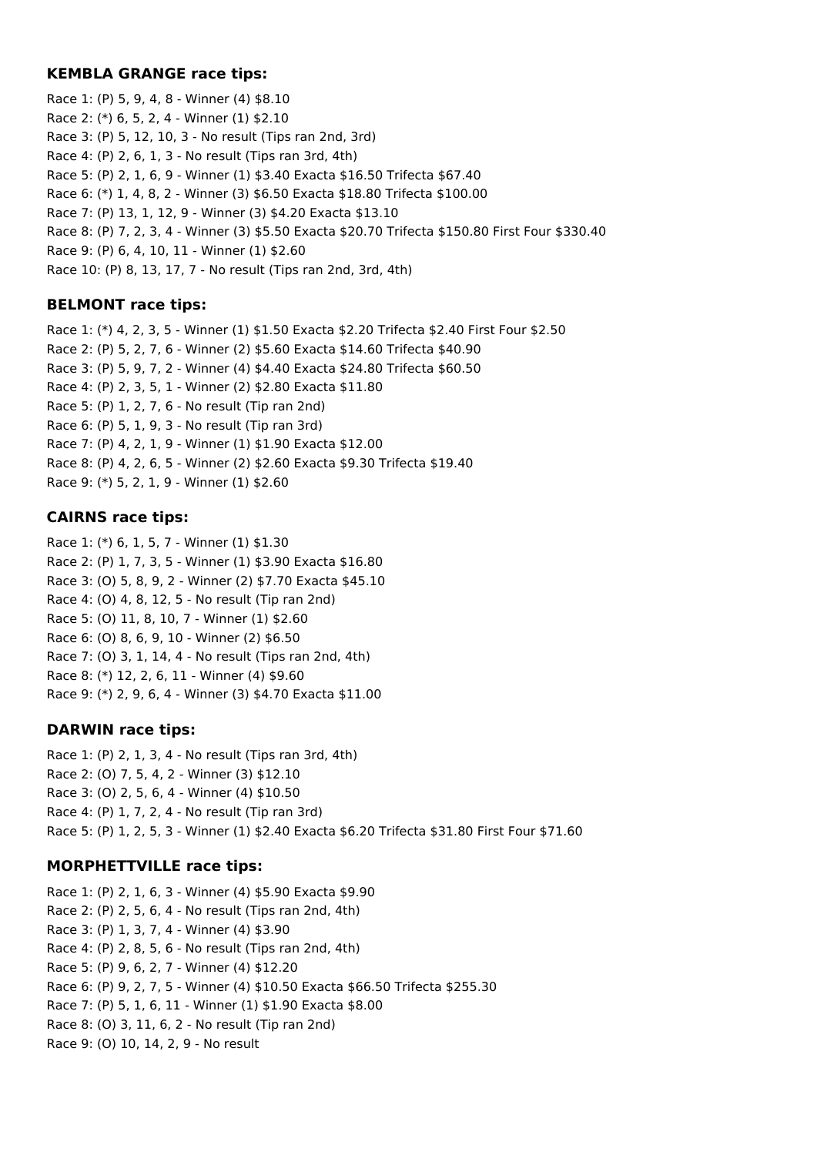#### **KEMBLA GRANGE race tips:**

Race 1: (P) 5, 9, 4, 8 - Winner (4) \$8.10 Race 2: (\*) 6, 5, 2, 4 - Winner (1) \$2.10 Race 3: (P) 5, 12, 10, 3 - No result (Tips ran 2nd, 3rd) Race 4: (P) 2, 6, 1, 3 - No result (Tips ran 3rd, 4th) Race 5: (P) 2, 1, 6, 9 - Winner (1) \$3.40 Exacta \$16.50 Trifecta \$67.40 Race 6: (\*) 1, 4, 8, 2 - Winner (3) \$6.50 Exacta \$18.80 Trifecta \$100.00 Race 7: (P) 13, 1, 12, 9 - Winner (3) \$4.20 Exacta \$13.10 Race 8: (P) 7, 2, 3, 4 - Winner (3) \$5.50 Exacta \$20.70 Trifecta \$150.80 First Four \$330.40 Race 9: (P) 6, 4, 10, 11 - Winner (1) \$2.60 Race 10: (P) 8, 13, 17, 7 - No result (Tips ran 2nd, 3rd, 4th)

## **BELMONT race tips:**

Race 1: (\*) 4, 2, 3, 5 - Winner (1) \$1.50 Exacta \$2.20 Trifecta \$2.40 First Four \$2.50 Race 2: (P) 5, 2, 7, 6 - Winner (2) \$5.60 Exacta \$14.60 Trifecta \$40.90 Race 3: (P) 5, 9, 7, 2 - Winner (4) \$4.40 Exacta \$24.80 Trifecta \$60.50 Race 4: (P) 2, 3, 5, 1 - Winner (2) \$2.80 Exacta \$11.80 Race 5: (P) 1, 2, 7, 6 - No result (Tip ran 2nd) Race 6: (P) 5, 1, 9, 3 - No result (Tip ran 3rd) Race 7: (P) 4, 2, 1, 9 - Winner (1) \$1.90 Exacta \$12.00 Race 8: (P) 4, 2, 6, 5 - Winner (2) \$2.60 Exacta \$9.30 Trifecta \$19.40 Race 9: (\*) 5, 2, 1, 9 - Winner (1) \$2.60

## **CAIRNS race tips:**

Race 1: (\*) 6, 1, 5, 7 - Winner (1) \$1.30 Race 2: (P) 1, 7, 3, 5 - Winner (1) \$3.90 Exacta \$16.80 Race 3: (O) 5, 8, 9, 2 - Winner (2) \$7.70 Exacta \$45.10 Race 4: (O) 4, 8, 12, 5 - No result (Tip ran 2nd) Race 5: (O) 11, 8, 10, 7 - Winner (1) \$2.60 Race 6: (O) 8, 6, 9, 10 - Winner (2) \$6.50 Race 7: (O) 3, 1, 14, 4 - No result (Tips ran 2nd, 4th) Race 8: (\*) 12, 2, 6, 11 - Winner (4) \$9.60 Race 9: (\*) 2, 9, 6, 4 - Winner (3) \$4.70 Exacta \$11.00

## **DARWIN race tips:**

Race 1: (P) 2, 1, 3, 4 - No result (Tips ran 3rd, 4th) Race 2: (O) 7, 5, 4, 2 - Winner (3) \$12.10 Race 3: (O) 2, 5, 6, 4 - Winner (4) \$10.50 Race 4: (P) 1, 7, 2, 4 - No result (Tip ran 3rd) Race 5: (P) 1, 2, 5, 3 - Winner (1) \$2.40 Exacta \$6.20 Trifecta \$31.80 First Four \$71.60

## **MORPHETTVILLE race tips:**

Race 1: (P) 2, 1, 6, 3 - Winner (4) \$5.90 Exacta \$9.90 Race 2: (P) 2, 5, 6, 4 - No result (Tips ran 2nd, 4th) Race 3: (P) 1, 3, 7, 4 - Winner (4) \$3.90 Race 4: (P) 2, 8, 5, 6 - No result (Tips ran 2nd, 4th) Race 5: (P) 9, 6, 2, 7 - Winner (4) \$12.20 Race 6: (P) 9, 2, 7, 5 - Winner (4) \$10.50 Exacta \$66.50 Trifecta \$255.30 Race 7: (P) 5, 1, 6, 11 - Winner (1) \$1.90 Exacta \$8.00 Race 8: (O) 3, 11, 6, 2 - No result (Tip ran 2nd) Race 9: (O) 10, 14, 2, 9 - No result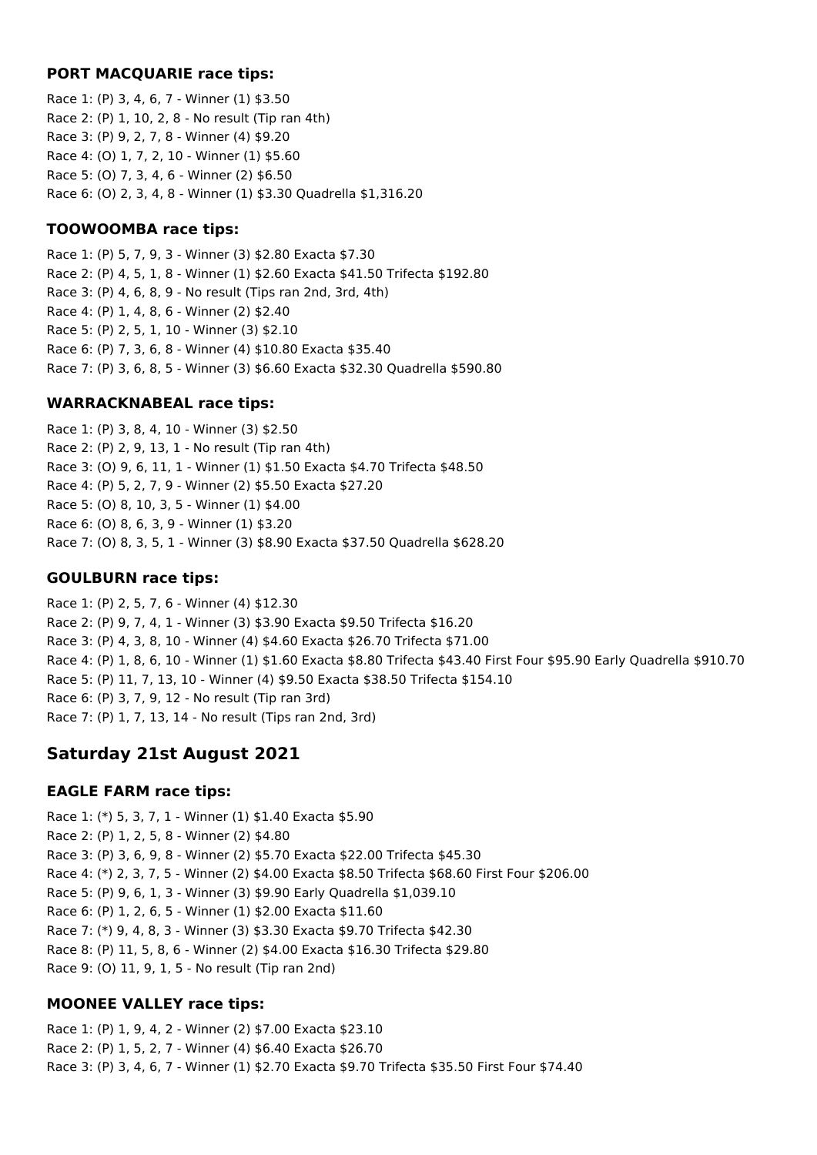#### **PORT MACQUARIE race tips:**

Race 1: (P) 3, 4, 6, 7 - Winner (1) \$3.50 Race 2: (P) 1, 10, 2, 8 - No result (Tip ran 4th) Race 3: (P) 9, 2, 7, 8 - Winner (4) \$9.20 Race 4: (O) 1, 7, 2, 10 - Winner (1) \$5.60 Race 5: (O) 7, 3, 4, 6 - Winner (2) \$6.50 Race 6: (O) 2, 3, 4, 8 - Winner (1) \$3.30 Quadrella \$1,316.20

## **TOOWOOMBA race tips:**

Race 1: (P) 5, 7, 9, 3 - Winner (3) \$2.80 Exacta \$7.30 Race 2: (P) 4, 5, 1, 8 - Winner (1) \$2.60 Exacta \$41.50 Trifecta \$192.80 Race 3: (P) 4, 6, 8, 9 - No result (Tips ran 2nd, 3rd, 4th) Race 4: (P) 1, 4, 8, 6 - Winner (2) \$2.40 Race 5: (P) 2, 5, 1, 10 - Winner (3) \$2.10 Race 6: (P) 7, 3, 6, 8 - Winner (4) \$10.80 Exacta \$35.40 Race 7: (P) 3, 6, 8, 5 - Winner (3) \$6.60 Exacta \$32.30 Quadrella \$590.80

## **WARRACKNABEAL race tips:**

Race 1: (P) 3, 8, 4, 10 - Winner (3) \$2.50 Race 2: (P) 2, 9, 13, 1 - No result (Tip ran 4th) Race 3: (O) 9, 6, 11, 1 - Winner (1) \$1.50 Exacta \$4.70 Trifecta \$48.50 Race 4: (P) 5, 2, 7, 9 - Winner (2) \$5.50 Exacta \$27.20 Race 5: (O) 8, 10, 3, 5 - Winner (1) \$4.00 Race 6: (O) 8, 6, 3, 9 - Winner (1) \$3.20 Race 7: (O) 8, 3, 5, 1 - Winner (3) \$8.90 Exacta \$37.50 Quadrella \$628.20

## **GOULBURN race tips:**

Race 1: (P) 2, 5, 7, 6 - Winner (4) \$12.30 Race 2: (P) 9, 7, 4, 1 - Winner (3) \$3.90 Exacta \$9.50 Trifecta \$16.20 Race 3: (P) 4, 3, 8, 10 - Winner (4) \$4.60 Exacta \$26.70 Trifecta \$71.00 Race 4: (P) 1, 8, 6, 10 - Winner (1) \$1.60 Exacta \$8.80 Trifecta \$43.40 First Four \$95.90 Early Quadrella \$910.70 Race 5: (P) 11, 7, 13, 10 - Winner (4) \$9.50 Exacta \$38.50 Trifecta \$154.10 Race 6: (P) 3, 7, 9, 12 - No result (Tip ran 3rd) Race 7: (P) 1, 7, 13, 14 - No result (Tips ran 2nd, 3rd)

# **Saturday 21st August 2021**

## **EAGLE FARM race tips:**

Race 1: (\*) 5, 3, 7, 1 - Winner (1) \$1.40 Exacta \$5.90 Race 2: (P) 1, 2, 5, 8 - Winner (2) \$4.80 Race 3: (P) 3, 6, 9, 8 - Winner (2) \$5.70 Exacta \$22.00 Trifecta \$45.30 Race 4: (\*) 2, 3, 7, 5 - Winner (2) \$4.00 Exacta \$8.50 Trifecta \$68.60 First Four \$206.00 Race 5: (P) 9, 6, 1, 3 - Winner (3) \$9.90 Early Quadrella \$1,039.10 Race 6: (P) 1, 2, 6, 5 - Winner (1) \$2.00 Exacta \$11.60 Race 7: (\*) 9, 4, 8, 3 - Winner (3) \$3.30 Exacta \$9.70 Trifecta \$42.30 Race 8: (P) 11, 5, 8, 6 - Winner (2) \$4.00 Exacta \$16.30 Trifecta \$29.80 Race 9: (O) 11, 9, 1, 5 - No result (Tip ran 2nd)

# **MOONEE VALLEY race tips:**

Race 1: (P) 1, 9, 4, 2 - Winner (2) \$7.00 Exacta \$23.10 Race 2: (P) 1, 5, 2, 7 - Winner (4) \$6.40 Exacta \$26.70 Race 3: (P) 3, 4, 6, 7 - Winner (1) \$2.70 Exacta \$9.70 Trifecta \$35.50 First Four \$74.40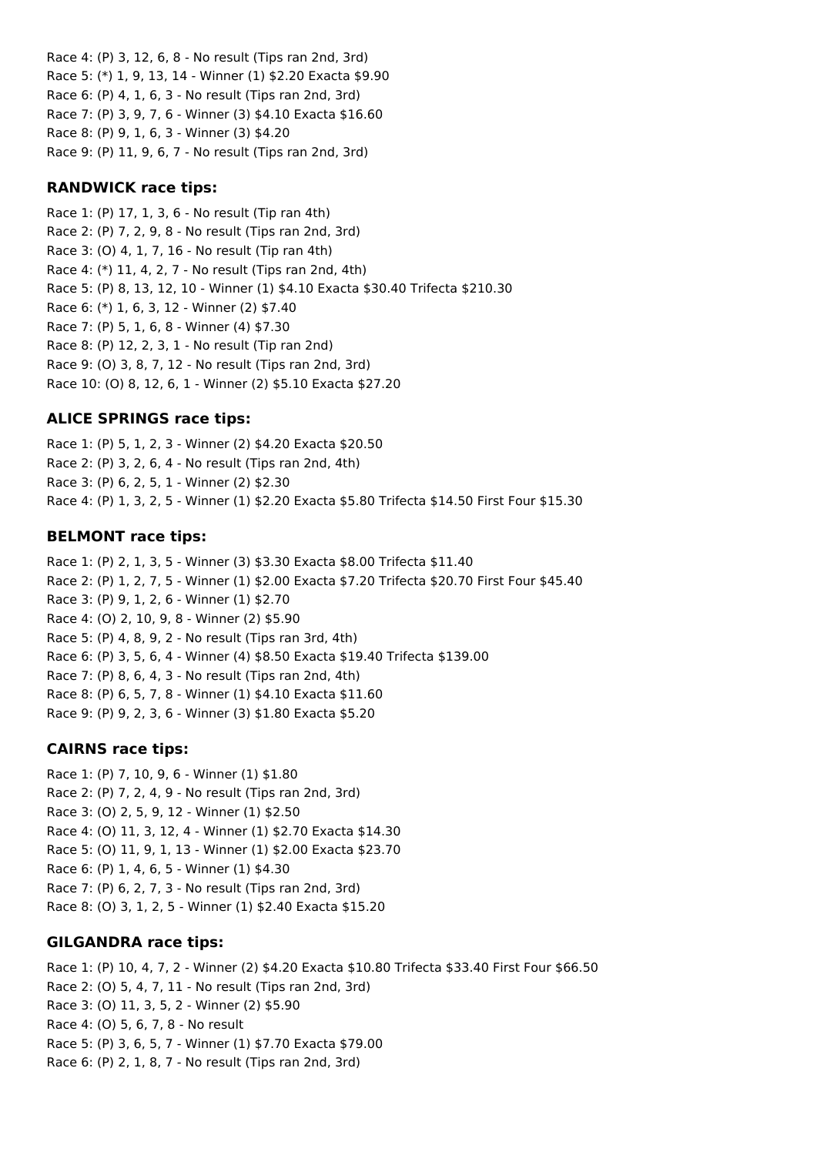Race 4: (P) 3, 12, 6, 8 - No result (Tips ran 2nd, 3rd) Race 5: (\*) 1, 9, 13, 14 - Winner (1) \$2.20 Exacta \$9.90 Race 6: (P) 4, 1, 6, 3 - No result (Tips ran 2nd, 3rd) Race 7: (P) 3, 9, 7, 6 - Winner (3) \$4.10 Exacta \$16.60 Race 8: (P) 9, 1, 6, 3 - Winner (3) \$4.20 Race 9: (P) 11, 9, 6, 7 - No result (Tips ran 2nd, 3rd)

#### **RANDWICK race tips:**

Race 1: (P) 17, 1, 3, 6 - No result (Tip ran 4th) Race 2: (P) 7, 2, 9, 8 - No result (Tips ran 2nd, 3rd) Race 3: (O) 4, 1, 7, 16 - No result (Tip ran 4th) Race 4: (\*) 11, 4, 2, 7 - No result (Tips ran 2nd, 4th) Race 5: (P) 8, 13, 12, 10 - Winner (1) \$4.10 Exacta \$30.40 Trifecta \$210.30 Race 6: (\*) 1, 6, 3, 12 - Winner (2) \$7.40 Race 7: (P) 5, 1, 6, 8 - Winner (4) \$7.30 Race 8: (P) 12, 2, 3, 1 - No result (Tip ran 2nd) Race 9: (O) 3, 8, 7, 12 - No result (Tips ran 2nd, 3rd) Race 10: (O) 8, 12, 6, 1 - Winner (2) \$5.10 Exacta \$27.20

## **ALICE SPRINGS race tips:**

Race 1: (P) 5, 1, 2, 3 - Winner (2) \$4.20 Exacta \$20.50 Race 2: (P) 3, 2, 6, 4 - No result (Tips ran 2nd, 4th) Race 3: (P) 6, 2, 5, 1 - Winner (2) \$2.30 Race 4: (P) 1, 3, 2, 5 - Winner (1) \$2.20 Exacta \$5.80 Trifecta \$14.50 First Four \$15.30

## **BELMONT race tips:**

Race 1: (P) 2, 1, 3, 5 - Winner (3) \$3.30 Exacta \$8.00 Trifecta \$11.40 Race 2: (P) 1, 2, 7, 5 - Winner (1) \$2.00 Exacta \$7.20 Trifecta \$20.70 First Four \$45.40 Race 3: (P) 9, 1, 2, 6 - Winner (1) \$2.70 Race 4: (O) 2, 10, 9, 8 - Winner (2) \$5.90 Race 5: (P) 4, 8, 9, 2 - No result (Tips ran 3rd, 4th) Race 6: (P) 3, 5, 6, 4 - Winner (4) \$8.50 Exacta \$19.40 Trifecta \$139.00 Race 7: (P) 8, 6, 4, 3 - No result (Tips ran 2nd, 4th) Race 8: (P) 6, 5, 7, 8 - Winner (1) \$4.10 Exacta \$11.60 Race 9: (P) 9, 2, 3, 6 - Winner (3) \$1.80 Exacta \$5.20

## **CAIRNS race tips:**

Race 1: (P) 7, 10, 9, 6 - Winner (1) \$1.80 Race 2: (P) 7, 2, 4, 9 - No result (Tips ran 2nd, 3rd) Race 3: (O) 2, 5, 9, 12 - Winner (1) \$2.50 Race 4: (O) 11, 3, 12, 4 - Winner (1) \$2.70 Exacta \$14.30 Race 5: (O) 11, 9, 1, 13 - Winner (1) \$2.00 Exacta \$23.70 Race 6: (P) 1, 4, 6, 5 - Winner (1) \$4.30 Race 7: (P) 6, 2, 7, 3 - No result (Tips ran 2nd, 3rd) Race 8: (O) 3, 1, 2, 5 - Winner (1) \$2.40 Exacta \$15.20

## **GILGANDRA race tips:**

Race 1: (P) 10, 4, 7, 2 - Winner (2) \$4.20 Exacta \$10.80 Trifecta \$33.40 First Four \$66.50 Race 2: (O) 5, 4, 7, 11 - No result (Tips ran 2nd, 3rd) Race 3: (O) 11, 3, 5, 2 - Winner (2) \$5.90 Race 4: (O) 5, 6, 7, 8 - No result Race 5: (P) 3, 6, 5, 7 - Winner (1) \$7.70 Exacta \$79.00 Race 6: (P) 2, 1, 8, 7 - No result (Tips ran 2nd, 3rd)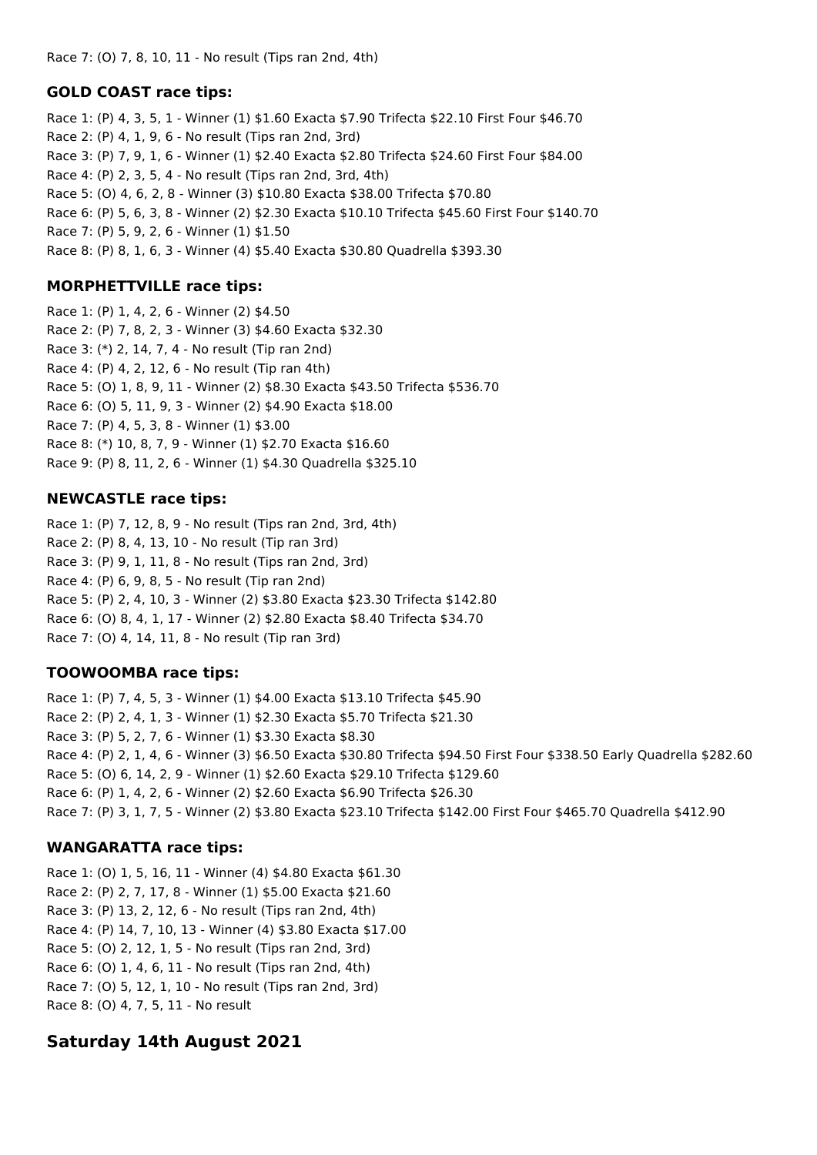Race 7: (O) 7, 8, 10, 11 - No result (Tips ran 2nd, 4th)

#### **GOLD COAST race tips:**

Race 1: (P) 4, 3, 5, 1 - Winner (1) \$1.60 Exacta \$7.90 Trifecta \$22.10 First Four \$46.70 Race 2: (P) 4, 1, 9, 6 - No result (Tips ran 2nd, 3rd) Race 3: (P) 7, 9, 1, 6 - Winner (1) \$2.40 Exacta \$2.80 Trifecta \$24.60 First Four \$84.00 Race 4: (P) 2, 3, 5, 4 - No result (Tips ran 2nd, 3rd, 4th) Race 5: (O) 4, 6, 2, 8 - Winner (3) \$10.80 Exacta \$38.00 Trifecta \$70.80 Race 6: (P) 5, 6, 3, 8 - Winner (2) \$2.30 Exacta \$10.10 Trifecta \$45.60 First Four \$140.70 Race 7: (P) 5, 9, 2, 6 - Winner (1) \$1.50 Race 8: (P) 8, 1, 6, 3 - Winner (4) \$5.40 Exacta \$30.80 Quadrella \$393.30

## **MORPHETTVILLE race tips:**

Race 1: (P) 1, 4, 2, 6 - Winner (2) \$4.50 Race 2: (P) 7, 8, 2, 3 - Winner (3) \$4.60 Exacta \$32.30 Race 3: (\*) 2, 14, 7, 4 - No result (Tip ran 2nd) Race 4: (P) 4, 2, 12, 6 - No result (Tip ran 4th) Race 5: (O) 1, 8, 9, 11 - Winner (2) \$8.30 Exacta \$43.50 Trifecta \$536.70 Race 6: (O) 5, 11, 9, 3 - Winner (2) \$4.90 Exacta \$18.00 Race 7: (P) 4, 5, 3, 8 - Winner (1) \$3.00 Race 8: (\*) 10, 8, 7, 9 - Winner (1) \$2.70 Exacta \$16.60 Race 9: (P) 8, 11, 2, 6 - Winner (1) \$4.30 Quadrella \$325.10

## **NEWCASTLE race tips:**

Race 1: (P) 7, 12, 8, 9 - No result (Tips ran 2nd, 3rd, 4th) Race 2: (P) 8, 4, 13, 10 - No result (Tip ran 3rd) Race 3: (P) 9, 1, 11, 8 - No result (Tips ran 2nd, 3rd) Race 4: (P) 6, 9, 8, 5 - No result (Tip ran 2nd) Race 5: (P) 2, 4, 10, 3 - Winner (2) \$3.80 Exacta \$23.30 Trifecta \$142.80 Race 6: (O) 8, 4, 1, 17 - Winner (2) \$2.80 Exacta \$8.40 Trifecta \$34.70 Race 7: (O) 4, 14, 11, 8 - No result (Tip ran 3rd)

# **TOOWOOMBA race tips:**

Race 1: (P) 7, 4, 5, 3 - Winner (1) \$4.00 Exacta \$13.10 Trifecta \$45.90 Race 2: (P) 2, 4, 1, 3 - Winner (1) \$2.30 Exacta \$5.70 Trifecta \$21.30 Race 3: (P) 5, 2, 7, 6 - Winner (1) \$3.30 Exacta \$8.30 Race 4: (P) 2, 1, 4, 6 - Winner (3) \$6.50 Exacta \$30.80 Trifecta \$94.50 First Four \$338.50 Early Quadrella \$282.60 Race 5: (O) 6, 14, 2, 9 - Winner (1) \$2.60 Exacta \$29.10 Trifecta \$129.60 Race 6: (P) 1, 4, 2, 6 - Winner (2) \$2.60 Exacta \$6.90 Trifecta \$26.30 Race 7: (P) 3, 1, 7, 5 - Winner (2) \$3.80 Exacta \$23.10 Trifecta \$142.00 First Four \$465.70 Quadrella \$412.90

# **WANGARATTA race tips:**

Race 1: (O) 1, 5, 16, 11 - Winner (4) \$4.80 Exacta \$61.30 Race 2: (P) 2, 7, 17, 8 - Winner (1) \$5.00 Exacta \$21.60 Race 3: (P) 13, 2, 12, 6 - No result (Tips ran 2nd, 4th) Race 4: (P) 14, 7, 10, 13 - Winner (4) \$3.80 Exacta \$17.00 Race 5: (O) 2, 12, 1, 5 - No result (Tips ran 2nd, 3rd) Race 6: (O) 1, 4, 6, 11 - No result (Tips ran 2nd, 4th) Race 7: (O) 5, 12, 1, 10 - No result (Tips ran 2nd, 3rd) Race 8: (O) 4, 7, 5, 11 - No result

# **Saturday 14th August 2021**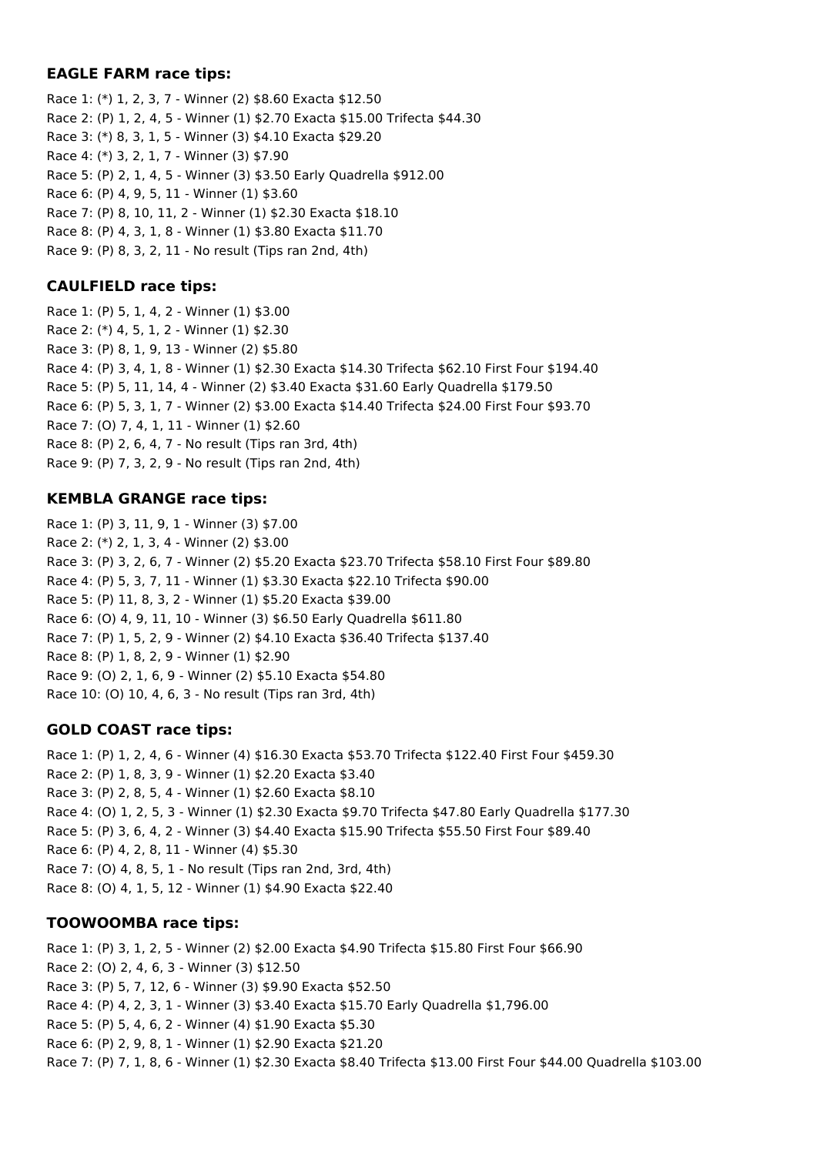## **EAGLE FARM race tips:**

Race 1: (\*) 1, 2, 3, 7 - Winner (2) \$8.60 Exacta \$12.50 Race 2: (P) 1, 2, 4, 5 - Winner (1) \$2.70 Exacta \$15.00 Trifecta \$44.30 Race 3: (\*) 8, 3, 1, 5 - Winner (3) \$4.10 Exacta \$29.20 Race 4: (\*) 3, 2, 1, 7 - Winner (3) \$7.90 Race 5: (P) 2, 1, 4, 5 - Winner (3) \$3.50 Early Quadrella \$912.00 Race 6: (P) 4, 9, 5, 11 - Winner (1) \$3.60 Race 7: (P) 8, 10, 11, 2 - Winner (1) \$2.30 Exacta \$18.10 Race 8: (P) 4, 3, 1, 8 - Winner (1) \$3.80 Exacta \$11.70 Race 9: (P) 8, 3, 2, 11 - No result (Tips ran 2nd, 4th)

## **CAULFIELD race tips:**

Race 1: (P) 5, 1, 4, 2 - Winner (1) \$3.00 Race 2: (\*) 4, 5, 1, 2 - Winner (1) \$2.30 Race 3: (P) 8, 1, 9, 13 - Winner (2) \$5.80 Race 4: (P) 3, 4, 1, 8 - Winner (1) \$2.30 Exacta \$14.30 Trifecta \$62.10 First Four \$194.40 Race 5: (P) 5, 11, 14, 4 - Winner (2) \$3.40 Exacta \$31.60 Early Quadrella \$179.50 Race 6: (P) 5, 3, 1, 7 - Winner (2) \$3.00 Exacta \$14.40 Trifecta \$24.00 First Four \$93.70 Race 7: (O) 7, 4, 1, 11 - Winner (1) \$2.60 Race 8: (P) 2, 6, 4, 7 - No result (Tips ran 3rd, 4th) Race 9: (P) 7, 3, 2, 9 - No result (Tips ran 2nd, 4th)

# **KEMBLA GRANGE race tips:**

Race 1: (P) 3, 11, 9, 1 - Winner (3) \$7.00 Race 2: (\*) 2, 1, 3, 4 - Winner (2) \$3.00 Race 3: (P) 3, 2, 6, 7 - Winner (2) \$5.20 Exacta \$23.70 Trifecta \$58.10 First Four \$89.80 Race 4: (P) 5, 3, 7, 11 - Winner (1) \$3.30 Exacta \$22.10 Trifecta \$90.00 Race 5: (P) 11, 8, 3, 2 - Winner (1) \$5.20 Exacta \$39.00 Race 6: (O) 4, 9, 11, 10 - Winner (3) \$6.50 Early Quadrella \$611.80 Race 7: (P) 1, 5, 2, 9 - Winner (2) \$4.10 Exacta \$36.40 Trifecta \$137.40 Race 8: (P) 1, 8, 2, 9 - Winner (1) \$2.90 Race 9: (O) 2, 1, 6, 9 - Winner (2) \$5.10 Exacta \$54.80 Race 10: (O) 10, 4, 6, 3 - No result (Tips ran 3rd, 4th)

# **GOLD COAST race tips:**

Race 1: (P) 1, 2, 4, 6 - Winner (4) \$16.30 Exacta \$53.70 Trifecta \$122.40 First Four \$459.30 Race 2: (P) 1, 8, 3, 9 - Winner (1) \$2.20 Exacta \$3.40 Race 3: (P) 2, 8, 5, 4 - Winner (1) \$2.60 Exacta \$8.10 Race 4: (O) 1, 2, 5, 3 - Winner (1) \$2.30 Exacta \$9.70 Trifecta \$47.80 Early Quadrella \$177.30 Race 5: (P) 3, 6, 4, 2 - Winner (3) \$4.40 Exacta \$15.90 Trifecta \$55.50 First Four \$89.40 Race 6: (P) 4, 2, 8, 11 - Winner (4) \$5.30 Race 7: (O) 4, 8, 5, 1 - No result (Tips ran 2nd, 3rd, 4th) Race 8: (O) 4, 1, 5, 12 - Winner (1) \$4.90 Exacta \$22.40

# **TOOWOOMBA race tips:**

Race 1: (P) 3, 1, 2, 5 - Winner (2) \$2.00 Exacta \$4.90 Trifecta \$15.80 First Four \$66.90 Race 2: (O) 2, 4, 6, 3 - Winner (3) \$12.50 Race 3: (P) 5, 7, 12, 6 - Winner (3) \$9.90 Exacta \$52.50 Race 4: (P) 4, 2, 3, 1 - Winner (3) \$3.40 Exacta \$15.70 Early Quadrella \$1,796.00 Race 5: (P) 5, 4, 6, 2 - Winner (4) \$1.90 Exacta \$5.30 Race 6: (P) 2, 9, 8, 1 - Winner (1) \$2.90 Exacta \$21.20 Race 7: (P) 7, 1, 8, 6 - Winner (1) \$2.30 Exacta \$8.40 Trifecta \$13.00 First Four \$44.00 Quadrella \$103.00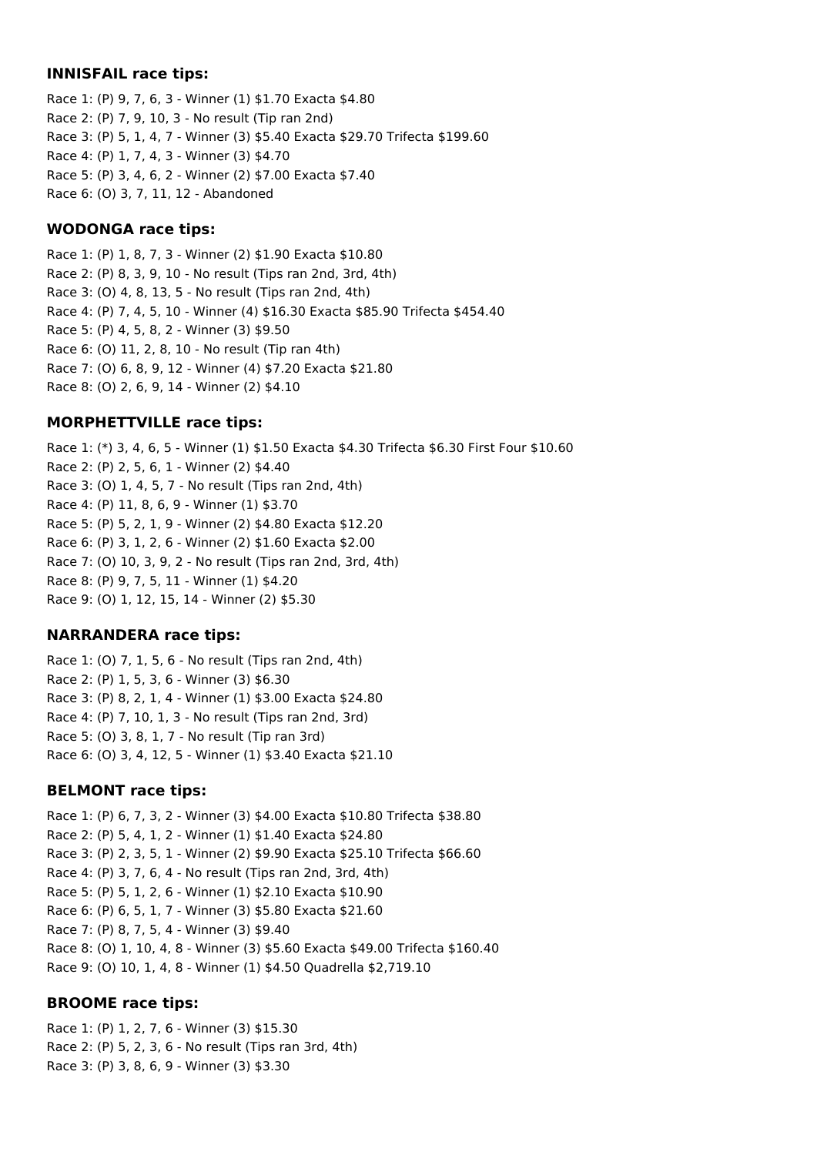#### **INNISFAIL race tips:**

Race 1: (P) 9, 7, 6, 3 - Winner (1) \$1.70 Exacta \$4.80 Race 2: (P) 7, 9, 10, 3 - No result (Tip ran 2nd) Race 3: (P) 5, 1, 4, 7 - Winner (3) \$5.40 Exacta \$29.70 Trifecta \$199.60 Race 4: (P) 1, 7, 4, 3 - Winner (3) \$4.70 Race 5: (P) 3, 4, 6, 2 - Winner (2) \$7.00 Exacta \$7.40 Race 6: (O) 3, 7, 11, 12 - Abandoned

#### **WODONGA race tips:**

Race 1: (P) 1, 8, 7, 3 - Winner (2) \$1.90 Exacta \$10.80 Race 2: (P) 8, 3, 9, 10 - No result (Tips ran 2nd, 3rd, 4th) Race 3: (O) 4, 8, 13, 5 - No result (Tips ran 2nd, 4th) Race 4: (P) 7, 4, 5, 10 - Winner (4) \$16.30 Exacta \$85.90 Trifecta \$454.40 Race 5: (P) 4, 5, 8, 2 - Winner (3) \$9.50 Race 6: (O) 11, 2, 8, 10 - No result (Tip ran 4th) Race 7: (O) 6, 8, 9, 12 - Winner (4) \$7.20 Exacta \$21.80 Race 8: (O) 2, 6, 9, 14 - Winner (2) \$4.10

## **MORPHETTVILLE race tips:**

Race 1: (\*) 3, 4, 6, 5 - Winner (1) \$1.50 Exacta \$4.30 Trifecta \$6.30 First Four \$10.60 Race 2: (P) 2, 5, 6, 1 - Winner (2) \$4.40 Race 3: (O) 1, 4, 5, 7 - No result (Tips ran 2nd, 4th) Race 4: (P) 11, 8, 6, 9 - Winner (1) \$3.70 Race 5: (P) 5, 2, 1, 9 - Winner (2) \$4.80 Exacta \$12.20 Race 6: (P) 3, 1, 2, 6 - Winner (2) \$1.60 Exacta \$2.00 Race 7: (O) 10, 3, 9, 2 - No result (Tips ran 2nd, 3rd, 4th) Race 8: (P) 9, 7, 5, 11 - Winner (1) \$4.20 Race 9: (O) 1, 12, 15, 14 - Winner (2) \$5.30

## **NARRANDERA race tips:**

Race 1: (O) 7, 1, 5, 6 - No result (Tips ran 2nd, 4th) Race 2: (P) 1, 5, 3, 6 - Winner (3) \$6.30 Race 3: (P) 8, 2, 1, 4 - Winner (1) \$3.00 Exacta \$24.80 Race 4: (P) 7, 10, 1, 3 - No result (Tips ran 2nd, 3rd) Race 5: (O) 3, 8, 1, 7 - No result (Tip ran 3rd) Race 6: (O) 3, 4, 12, 5 - Winner (1) \$3.40 Exacta \$21.10

## **BELMONT race tips:**

Race 1: (P) 6, 7, 3, 2 - Winner (3) \$4.00 Exacta \$10.80 Trifecta \$38.80 Race 2: (P) 5, 4, 1, 2 - Winner (1) \$1.40 Exacta \$24.80 Race 3: (P) 2, 3, 5, 1 - Winner (2) \$9.90 Exacta \$25.10 Trifecta \$66.60 Race 4: (P) 3, 7, 6, 4 - No result (Tips ran 2nd, 3rd, 4th) Race 5: (P) 5, 1, 2, 6 - Winner (1) \$2.10 Exacta \$10.90 Race 6: (P) 6, 5, 1, 7 - Winner (3) \$5.80 Exacta \$21.60 Race 7: (P) 8, 7, 5, 4 - Winner (3) \$9.40 Race 8: (O) 1, 10, 4, 8 - Winner (3) \$5.60 Exacta \$49.00 Trifecta \$160.40 Race 9: (O) 10, 1, 4, 8 - Winner (1) \$4.50 Quadrella \$2,719.10

## **BROOME race tips:**

Race 1: (P) 1, 2, 7, 6 - Winner (3) \$15.30 Race 2: (P) 5, 2, 3, 6 - No result (Tips ran 3rd, 4th) Race 3: (P) 3, 8, 6, 9 - Winner (3) \$3.30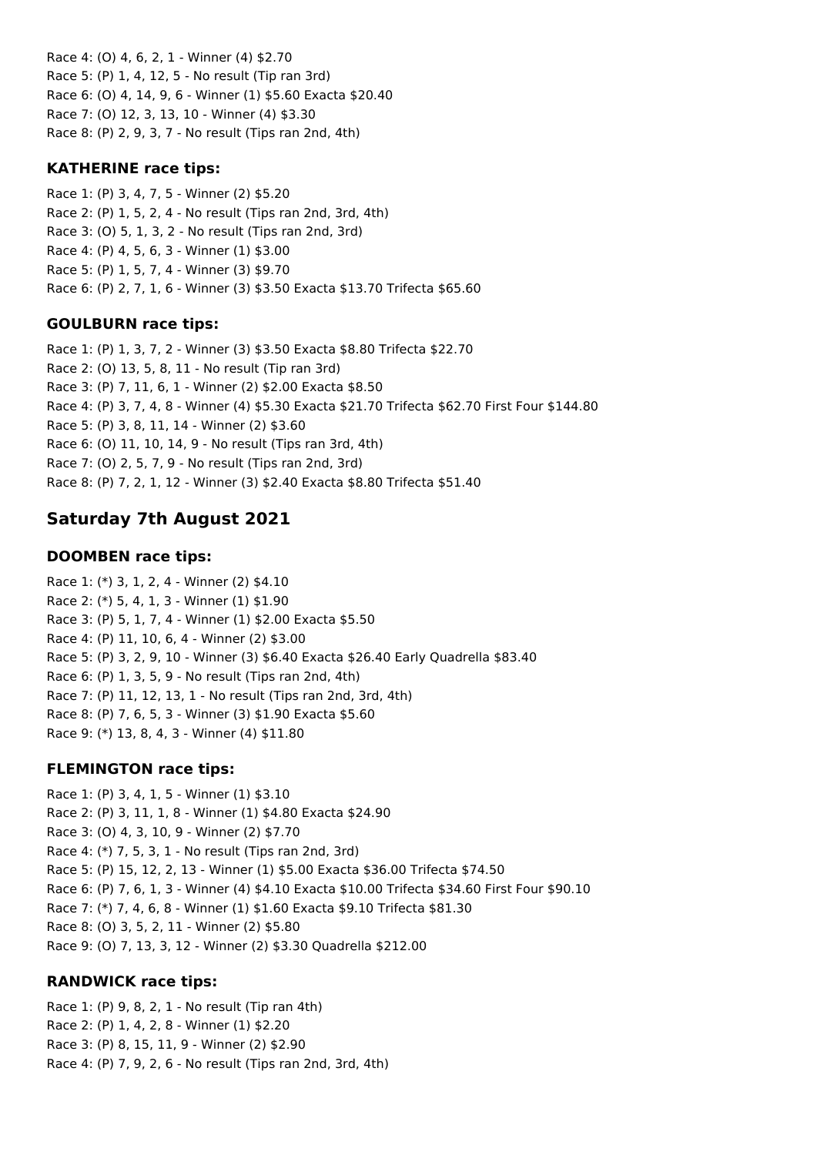Race 4: (O) 4, 6, 2, 1 - Winner (4) \$2.70 Race 5: (P) 1, 4, 12, 5 - No result (Tip ran 3rd) Race 6: (O) 4, 14, 9, 6 - Winner (1) \$5.60 Exacta \$20.40 Race 7: (O) 12, 3, 13, 10 - Winner (4) \$3.30 Race 8: (P) 2, 9, 3, 7 - No result (Tips ran 2nd, 4th)

#### **KATHERINE race tips:**

Race 1: (P) 3, 4, 7, 5 - Winner (2) \$5.20 Race 2: (P) 1, 5, 2, 4 - No result (Tips ran 2nd, 3rd, 4th) Race 3: (O) 5, 1, 3, 2 - No result (Tips ran 2nd, 3rd) Race 4: (P) 4, 5, 6, 3 - Winner (1) \$3.00 Race 5: (P) 1, 5, 7, 4 - Winner (3) \$9.70 Race 6: (P) 2, 7, 1, 6 - Winner (3) \$3.50 Exacta \$13.70 Trifecta \$65.60

## **GOULBURN race tips:**

Race 1: (P) 1, 3, 7, 2 - Winner (3) \$3.50 Exacta \$8.80 Trifecta \$22.70 Race 2: (O) 13, 5, 8, 11 - No result (Tip ran 3rd) Race 3: (P) 7, 11, 6, 1 - Winner (2) \$2.00 Exacta \$8.50 Race 4: (P) 3, 7, 4, 8 - Winner (4) \$5.30 Exacta \$21.70 Trifecta \$62.70 First Four \$144.80 Race 5: (P) 3, 8, 11, 14 - Winner (2) \$3.60 Race 6: (O) 11, 10, 14, 9 - No result (Tips ran 3rd, 4th) Race 7: (O) 2, 5, 7, 9 - No result (Tips ran 2nd, 3rd) Race 8: (P) 7, 2, 1, 12 - Winner (3) \$2.40 Exacta \$8.80 Trifecta \$51.40

# **Saturday 7th August 2021**

#### **DOOMBEN race tips:**

Race 1: (\*) 3, 1, 2, 4 - Winner (2) \$4.10 Race 2: (\*) 5, 4, 1, 3 - Winner (1) \$1.90 Race 3: (P) 5, 1, 7, 4 - Winner (1) \$2.00 Exacta \$5.50 Race 4: (P) 11, 10, 6, 4 - Winner (2) \$3.00 Race 5: (P) 3, 2, 9, 10 - Winner (3) \$6.40 Exacta \$26.40 Early Quadrella \$83.40 Race 6: (P) 1, 3, 5, 9 - No result (Tips ran 2nd, 4th) Race 7: (P) 11, 12, 13, 1 - No result (Tips ran 2nd, 3rd, 4th) Race 8: (P) 7, 6, 5, 3 - Winner (3) \$1.90 Exacta \$5.60 Race 9: (\*) 13, 8, 4, 3 - Winner (4) \$11.80

#### **FLEMINGTON race tips:**

Race 1: (P) 3, 4, 1, 5 - Winner (1) \$3.10 Race 2: (P) 3, 11, 1, 8 - Winner (1) \$4.80 Exacta \$24.90 Race 3: (O) 4, 3, 10, 9 - Winner (2) \$7.70 Race 4: (\*) 7, 5, 3, 1 - No result (Tips ran 2nd, 3rd) Race 5: (P) 15, 12, 2, 13 - Winner (1) \$5.00 Exacta \$36.00 Trifecta \$74.50 Race 6: (P) 7, 6, 1, 3 - Winner (4) \$4.10 Exacta \$10.00 Trifecta \$34.60 First Four \$90.10 Race 7: (\*) 7, 4, 6, 8 - Winner (1) \$1.60 Exacta \$9.10 Trifecta \$81.30 Race 8: (O) 3, 5, 2, 11 - Winner (2) \$5.80 Race 9: (O) 7, 13, 3, 12 - Winner (2) \$3.30 Quadrella \$212.00

#### **RANDWICK race tips:**

Race 1: (P) 9, 8, 2, 1 - No result (Tip ran 4th) Race 2: (P) 1, 4, 2, 8 - Winner (1) \$2.20 Race 3: (P) 8, 15, 11, 9 - Winner (2) \$2.90 Race 4: (P) 7, 9, 2, 6 - No result (Tips ran 2nd, 3rd, 4th)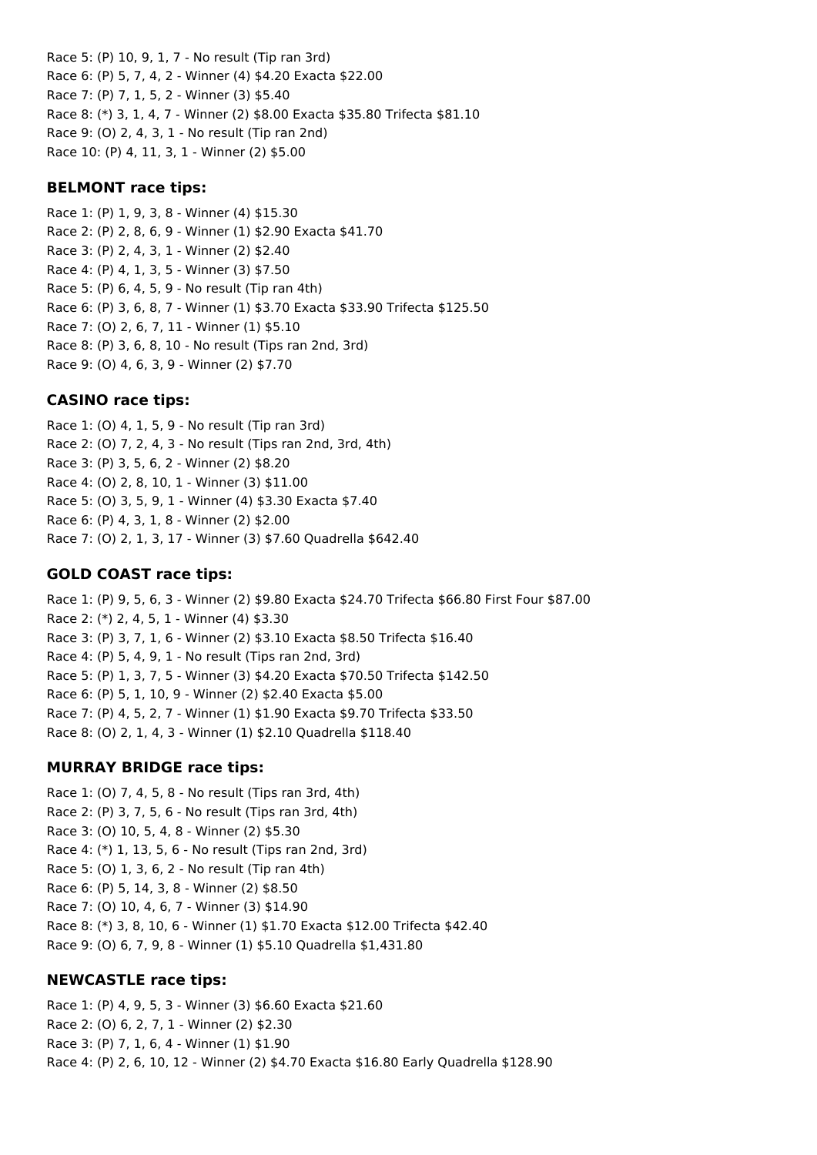Race 5: (P) 10, 9, 1, 7 - No result (Tip ran 3rd) Race 6: (P) 5, 7, 4, 2 - Winner (4) \$4.20 Exacta \$22.00 Race 7: (P) 7, 1, 5, 2 - Winner (3) \$5.40 Race 8: (\*) 3, 1, 4, 7 - Winner (2) \$8.00 Exacta \$35.80 Trifecta \$81.10 Race 9: (O) 2, 4, 3, 1 - No result (Tip ran 2nd) Race 10: (P) 4, 11, 3, 1 - Winner (2) \$5.00

#### **BELMONT race tips:**

Race 1: (P) 1, 9, 3, 8 - Winner (4) \$15.30 Race 2: (P) 2, 8, 6, 9 - Winner (1) \$2.90 Exacta \$41.70 Race 3: (P) 2, 4, 3, 1 - Winner (2) \$2.40 Race 4: (P) 4, 1, 3, 5 - Winner (3) \$7.50 Race 5: (P) 6, 4, 5, 9 - No result (Tip ran 4th) Race 6: (P) 3, 6, 8, 7 - Winner (1) \$3.70 Exacta \$33.90 Trifecta \$125.50 Race 7: (O) 2, 6, 7, 11 - Winner (1) \$5.10 Race 8: (P) 3, 6, 8, 10 - No result (Tips ran 2nd, 3rd) Race 9: (O) 4, 6, 3, 9 - Winner (2) \$7.70

#### **CASINO race tips:**

Race 1: (O) 4, 1, 5, 9 - No result (Tip ran 3rd) Race 2: (O) 7, 2, 4, 3 - No result (Tips ran 2nd, 3rd, 4th) Race 3: (P) 3, 5, 6, 2 - Winner (2) \$8.20 Race 4: (O) 2, 8, 10, 1 - Winner (3) \$11.00 Race 5: (O) 3, 5, 9, 1 - Winner (4) \$3.30 Exacta \$7.40 Race 6: (P) 4, 3, 1, 8 - Winner (2) \$2.00 Race 7: (O) 2, 1, 3, 17 - Winner (3) \$7.60 Quadrella \$642.40

#### **GOLD COAST race tips:**

Race 1: (P) 9, 5, 6, 3 - Winner (2) \$9.80 Exacta \$24.70 Trifecta \$66.80 First Four \$87.00 Race 2: (\*) 2, 4, 5, 1 - Winner (4) \$3.30 Race 3: (P) 3, 7, 1, 6 - Winner (2) \$3.10 Exacta \$8.50 Trifecta \$16.40 Race 4: (P) 5, 4, 9, 1 - No result (Tips ran 2nd, 3rd) Race 5: (P) 1, 3, 7, 5 - Winner (3) \$4.20 Exacta \$70.50 Trifecta \$142.50 Race 6: (P) 5, 1, 10, 9 - Winner (2) \$2.40 Exacta \$5.00 Race 7: (P) 4, 5, 2, 7 - Winner (1) \$1.90 Exacta \$9.70 Trifecta \$33.50 Race 8: (O) 2, 1, 4, 3 - Winner (1) \$2.10 Quadrella \$118.40

#### **MURRAY BRIDGE race tips:**

Race 1: (O) 7, 4, 5, 8 - No result (Tips ran 3rd, 4th) Race 2: (P) 3, 7, 5, 6 - No result (Tips ran 3rd, 4th) Race 3: (O) 10, 5, 4, 8 - Winner (2) \$5.30 Race 4: (\*) 1, 13, 5, 6 - No result (Tips ran 2nd, 3rd) Race 5: (O) 1, 3, 6, 2 - No result (Tip ran 4th) Race 6: (P) 5, 14, 3, 8 - Winner (2) \$8.50 Race 7: (O) 10, 4, 6, 7 - Winner (3) \$14.90 Race 8: (\*) 3, 8, 10, 6 - Winner (1) \$1.70 Exacta \$12.00 Trifecta \$42.40 Race 9: (O) 6, 7, 9, 8 - Winner (1) \$5.10 Quadrella \$1,431.80

#### **NEWCASTLE race tips:**

Race 1: (P) 4, 9, 5, 3 - Winner (3) \$6.60 Exacta \$21.60 Race 2: (O) 6, 2, 7, 1 - Winner (2) \$2.30 Race 3: (P) 7, 1, 6, 4 - Winner (1) \$1.90 Race 4: (P) 2, 6, 10, 12 - Winner (2) \$4.70 Exacta \$16.80 Early Quadrella \$128.90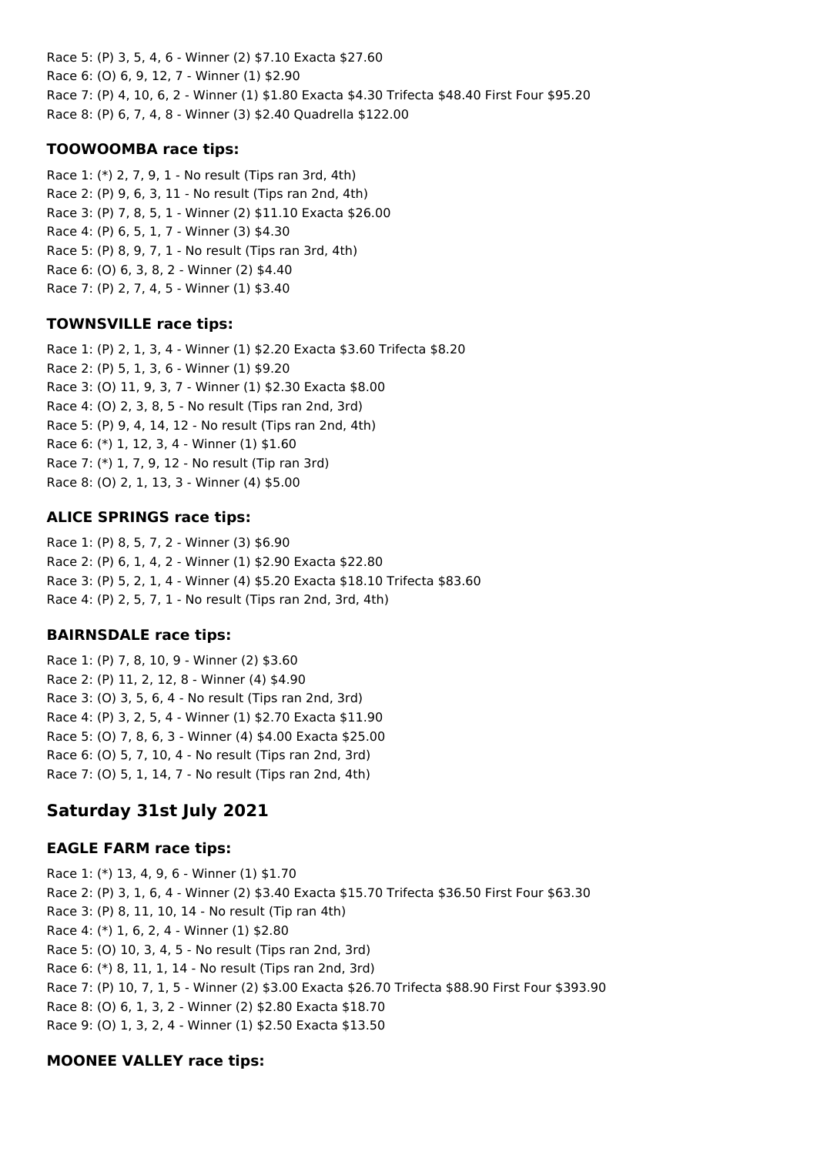Race 5: (P) 3, 5, 4, 6 - Winner (2) \$7.10 Exacta \$27.60 Race 6: (O) 6, 9, 12, 7 - Winner (1) \$2.90 Race 7: (P) 4, 10, 6, 2 - Winner (1) \$1.80 Exacta \$4.30 Trifecta \$48.40 First Four \$95.20 Race 8: (P) 6, 7, 4, 8 - Winner (3) \$2.40 Quadrella \$122.00

## **TOOWOOMBA race tips:**

Race 1: (\*) 2, 7, 9, 1 - No result (Tips ran 3rd, 4th) Race 2: (P) 9, 6, 3, 11 - No result (Tips ran 2nd, 4th) Race 3: (P) 7, 8, 5, 1 - Winner (2) \$11.10 Exacta \$26.00 Race 4: (P) 6, 5, 1, 7 - Winner (3) \$4.30 Race 5: (P) 8, 9, 7, 1 - No result (Tips ran 3rd, 4th) Race 6: (O) 6, 3, 8, 2 - Winner (2) \$4.40 Race 7: (P) 2, 7, 4, 5 - Winner (1) \$3.40

# **TOWNSVILLE race tips:**

Race 1: (P) 2, 1, 3, 4 - Winner (1) \$2.20 Exacta \$3.60 Trifecta \$8.20 Race 2: (P) 5, 1, 3, 6 - Winner (1) \$9.20 Race 3: (O) 11, 9, 3, 7 - Winner (1) \$2.30 Exacta \$8.00 Race 4: (O) 2, 3, 8, 5 - No result (Tips ran 2nd, 3rd) Race 5: (P) 9, 4, 14, 12 - No result (Tips ran 2nd, 4th) Race 6: (\*) 1, 12, 3, 4 - Winner (1) \$1.60 Race 7: (\*) 1, 7, 9, 12 - No result (Tip ran 3rd) Race 8: (O) 2, 1, 13, 3 - Winner (4) \$5.00

## **ALICE SPRINGS race tips:**

Race 1: (P) 8, 5, 7, 2 - Winner (3) \$6.90 Race 2: (P) 6, 1, 4, 2 - Winner (1) \$2.90 Exacta \$22.80 Race 3: (P) 5, 2, 1, 4 - Winner (4) \$5.20 Exacta \$18.10 Trifecta \$83.60 Race 4: (P) 2, 5, 7, 1 - No result (Tips ran 2nd, 3rd, 4th)

# **BAIRNSDALE race tips:**

Race 1: (P) 7, 8, 10, 9 - Winner (2) \$3.60 Race 2: (P) 11, 2, 12, 8 - Winner (4) \$4.90 Race 3: (O) 3, 5, 6, 4 - No result (Tips ran 2nd, 3rd) Race 4: (P) 3, 2, 5, 4 - Winner (1) \$2.70 Exacta \$11.90 Race 5: (O) 7, 8, 6, 3 - Winner (4) \$4.00 Exacta \$25.00 Race 6: (O) 5, 7, 10, 4 - No result (Tips ran 2nd, 3rd) Race 7: (O) 5, 1, 14, 7 - No result (Tips ran 2nd, 4th)

# **Saturday 31st July 2021**

# **EAGLE FARM race tips:**

Race 1: (\*) 13, 4, 9, 6 - Winner (1) \$1.70 Race 2: (P) 3, 1, 6, 4 - Winner (2) \$3.40 Exacta \$15.70 Trifecta \$36.50 First Four \$63.30 Race 3: (P) 8, 11, 10, 14 - No result (Tip ran 4th) Race 4: (\*) 1, 6, 2, 4 - Winner (1) \$2.80 Race 5: (O) 10, 3, 4, 5 - No result (Tips ran 2nd, 3rd) Race 6: (\*) 8, 11, 1, 14 - No result (Tips ran 2nd, 3rd) Race 7: (P) 10, 7, 1, 5 - Winner (2) \$3.00 Exacta \$26.70 Trifecta \$88.90 First Four \$393.90 Race 8: (O) 6, 1, 3, 2 - Winner (2) \$2.80 Exacta \$18.70 Race 9: (O) 1, 3, 2, 4 - Winner (1) \$2.50 Exacta \$13.50

# **MOONEE VALLEY race tips:**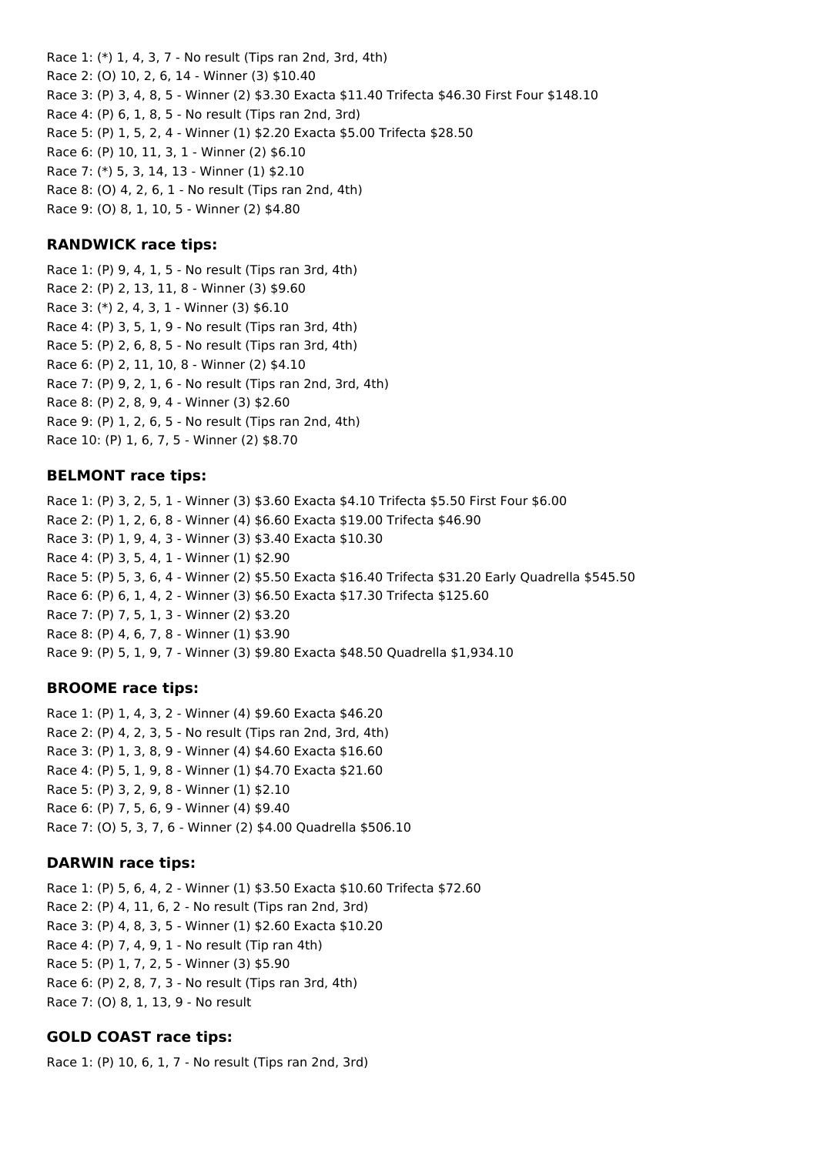Race 1: (\*) 1, 4, 3, 7 - No result (Tips ran 2nd, 3rd, 4th) Race 2: (O) 10, 2, 6, 14 - Winner (3) \$10.40 Race 3: (P) 3, 4, 8, 5 - Winner (2) \$3.30 Exacta \$11.40 Trifecta \$46.30 First Four \$148.10 Race 4: (P) 6, 1, 8, 5 - No result (Tips ran 2nd, 3rd) Race 5: (P) 1, 5, 2, 4 - Winner (1) \$2.20 Exacta \$5.00 Trifecta \$28.50 Race 6: (P) 10, 11, 3, 1 - Winner (2) \$6.10 Race 7: (\*) 5, 3, 14, 13 - Winner (1) \$2.10 Race 8: (O) 4, 2, 6, 1 - No result (Tips ran 2nd, 4th)

Race 9: (O) 8, 1, 10, 5 - Winner (2) \$4.80

#### **RANDWICK race tips:**

Race 1: (P) 9, 4, 1, 5 - No result (Tips ran 3rd, 4th) Race 2: (P) 2, 13, 11, 8 - Winner (3) \$9.60 Race 3: (\*) 2, 4, 3, 1 - Winner (3) \$6.10 Race 4: (P) 3, 5, 1, 9 - No result (Tips ran 3rd, 4th) Race 5: (P) 2, 6, 8, 5 - No result (Tips ran 3rd, 4th) Race 6: (P) 2, 11, 10, 8 - Winner (2) \$4.10 Race 7: (P) 9, 2, 1, 6 - No result (Tips ran 2nd, 3rd, 4th) Race 8: (P) 2, 8, 9, 4 - Winner (3) \$2.60 Race 9: (P) 1, 2, 6, 5 - No result (Tips ran 2nd, 4th) Race 10: (P) 1, 6, 7, 5 - Winner (2) \$8.70

#### **BELMONT race tips:**

Race 1: (P) 3, 2, 5, 1 - Winner (3) \$3.60 Exacta \$4.10 Trifecta \$5.50 First Four \$6.00 Race 2: (P) 1, 2, 6, 8 - Winner (4) \$6.60 Exacta \$19.00 Trifecta \$46.90 Race 3: (P) 1, 9, 4, 3 - Winner (3) \$3.40 Exacta \$10.30 Race 4: (P) 3, 5, 4, 1 - Winner (1) \$2.90 Race 5: (P) 5, 3, 6, 4 - Winner (2) \$5.50 Exacta \$16.40 Trifecta \$31.20 Early Quadrella \$545.50 Race 6: (P) 6, 1, 4, 2 - Winner (3) \$6.50 Exacta \$17.30 Trifecta \$125.60 Race 7: (P) 7, 5, 1, 3 - Winner (2) \$3.20 Race 8: (P) 4, 6, 7, 8 - Winner (1) \$3.90 Race 9: (P) 5, 1, 9, 7 - Winner (3) \$9.80 Exacta \$48.50 Quadrella \$1,934.10

#### **BROOME race tips:**

Race 1: (P) 1, 4, 3, 2 - Winner (4) \$9.60 Exacta \$46.20 Race 2: (P) 4, 2, 3, 5 - No result (Tips ran 2nd, 3rd, 4th) Race 3: (P) 1, 3, 8, 9 - Winner (4) \$4.60 Exacta \$16.60 Race 4: (P) 5, 1, 9, 8 - Winner (1) \$4.70 Exacta \$21.60 Race 5: (P) 3, 2, 9, 8 - Winner (1) \$2.10 Race 6: (P) 7, 5, 6, 9 - Winner (4) \$9.40 Race 7: (O) 5, 3, 7, 6 - Winner (2) \$4.00 Quadrella \$506.10

#### **DARWIN race tips:**

Race 1: (P) 5, 6, 4, 2 - Winner (1) \$3.50 Exacta \$10.60 Trifecta \$72.60 Race 2: (P) 4, 11, 6, 2 - No result (Tips ran 2nd, 3rd) Race 3: (P) 4, 8, 3, 5 - Winner (1) \$2.60 Exacta \$10.20 Race 4: (P) 7, 4, 9, 1 - No result (Tip ran 4th) Race 5: (P) 1, 7, 2, 5 - Winner (3) \$5.90 Race 6: (P) 2, 8, 7, 3 - No result (Tips ran 3rd, 4th) Race 7: (O) 8, 1, 13, 9 - No result

## **GOLD COAST race tips:**

Race 1: (P) 10, 6, 1, 7 - No result (Tips ran 2nd, 3rd)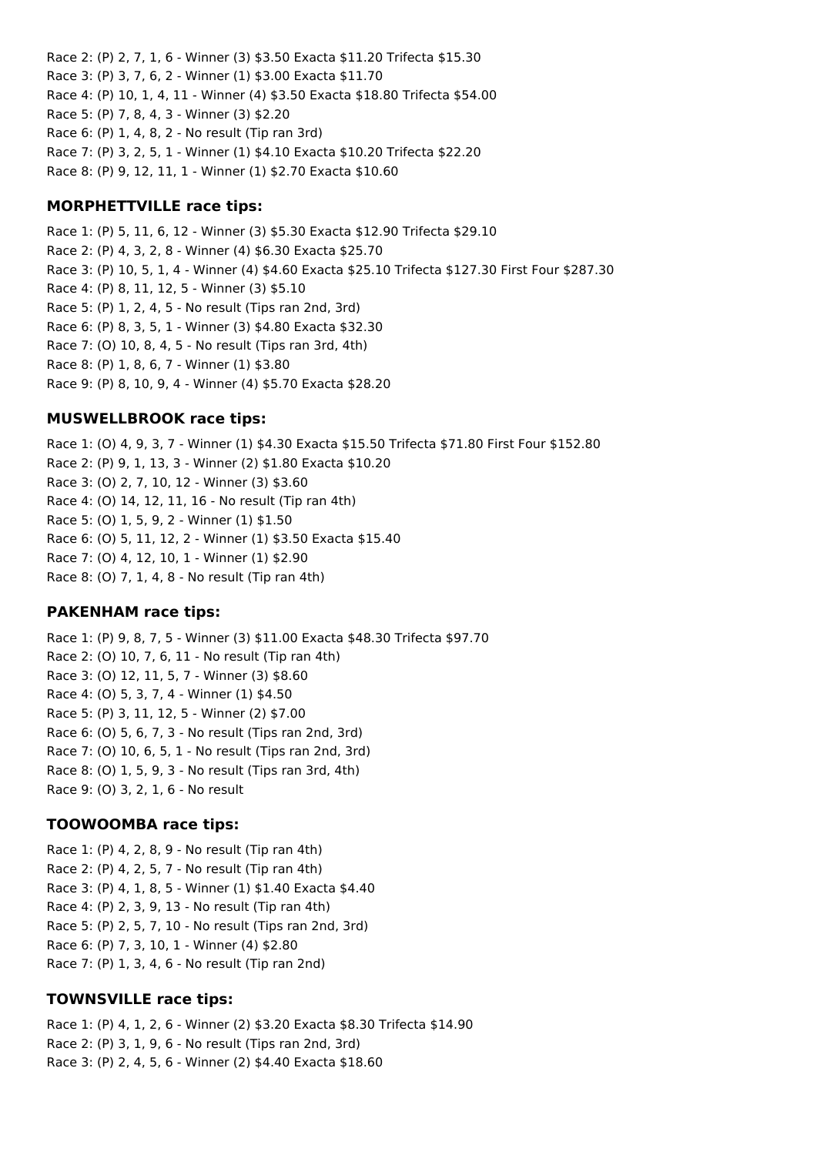Race 2: (P) 2, 7, 1, 6 - Winner (3) \$3.50 Exacta \$11.20 Trifecta \$15.30 Race 3: (P) 3, 7, 6, 2 - Winner (1) \$3.00 Exacta \$11.70 Race 4: (P) 10, 1, 4, 11 - Winner (4) \$3.50 Exacta \$18.80 Trifecta \$54.00 Race 5: (P) 7, 8, 4, 3 - Winner (3) \$2.20 Race 6: (P) 1, 4, 8, 2 - No result (Tip ran 3rd) Race 7: (P) 3, 2, 5, 1 - Winner (1) \$4.10 Exacta \$10.20 Trifecta \$22.20 Race 8: (P) 9, 12, 11, 1 - Winner (1) \$2.70 Exacta \$10.60

#### **MORPHETTVILLE race tips:**

Race 1: (P) 5, 11, 6, 12 - Winner (3) \$5.30 Exacta \$12.90 Trifecta \$29.10 Race 2: (P) 4, 3, 2, 8 - Winner (4) \$6.30 Exacta \$25.70 Race 3: (P) 10, 5, 1, 4 - Winner (4) \$4.60 Exacta \$25.10 Trifecta \$127.30 First Four \$287.30 Race 4: (P) 8, 11, 12, 5 - Winner (3) \$5.10 Race 5: (P) 1, 2, 4, 5 - No result (Tips ran 2nd, 3rd) Race 6: (P) 8, 3, 5, 1 - Winner (3) \$4.80 Exacta \$32.30 Race 7: (O) 10, 8, 4, 5 - No result (Tips ran 3rd, 4th) Race 8: (P) 1, 8, 6, 7 - Winner (1) \$3.80 Race 9: (P) 8, 10, 9, 4 - Winner (4) \$5.70 Exacta \$28.20

#### **MUSWELLBROOK race tips:**

Race 1: (O) 4, 9, 3, 7 - Winner (1) \$4.30 Exacta \$15.50 Trifecta \$71.80 First Four \$152.80 Race 2: (P) 9, 1, 13, 3 - Winner (2) \$1.80 Exacta \$10.20 Race 3: (O) 2, 7, 10, 12 - Winner (3) \$3.60 Race 4: (O) 14, 12, 11, 16 - No result (Tip ran 4th) Race 5: (O) 1, 5, 9, 2 - Winner (1) \$1.50 Race 6: (O) 5, 11, 12, 2 - Winner (1) \$3.50 Exacta \$15.40 Race 7: (O) 4, 12, 10, 1 - Winner (1) \$2.90 Race 8: (O) 7, 1, 4, 8 - No result (Tip ran 4th)

#### **PAKENHAM race tips:**

Race 1: (P) 9, 8, 7, 5 - Winner (3) \$11.00 Exacta \$48.30 Trifecta \$97.70 Race 2: (O) 10, 7, 6, 11 - No result (Tip ran 4th) Race 3: (O) 12, 11, 5, 7 - Winner (3) \$8.60 Race 4: (O) 5, 3, 7, 4 - Winner (1) \$4.50 Race 5: (P) 3, 11, 12, 5 - Winner (2) \$7.00 Race 6: (O) 5, 6, 7, 3 - No result (Tips ran 2nd, 3rd) Race 7: (O) 10, 6, 5, 1 - No result (Tips ran 2nd, 3rd) Race 8: (O) 1, 5, 9, 3 - No result (Tips ran 3rd, 4th) Race 9: (O) 3, 2, 1, 6 - No result

#### **TOOWOOMBA race tips:**

Race 1: (P) 4, 2, 8, 9 - No result (Tip ran 4th) Race 2: (P) 4, 2, 5, 7 - No result (Tip ran 4th) Race 3: (P) 4, 1, 8, 5 - Winner (1) \$1.40 Exacta \$4.40 Race 4: (P) 2, 3, 9, 13 - No result (Tip ran 4th) Race 5: (P) 2, 5, 7, 10 - No result (Tips ran 2nd, 3rd) Race 6: (P) 7, 3, 10, 1 - Winner (4) \$2.80 Race 7: (P) 1, 3, 4, 6 - No result (Tip ran 2nd)

## **TOWNSVILLE race tips:**

Race 1: (P) 4, 1, 2, 6 - Winner (2) \$3.20 Exacta \$8.30 Trifecta \$14.90 Race 2: (P) 3, 1, 9, 6 - No result (Tips ran 2nd, 3rd) Race 3: (P) 2, 4, 5, 6 - Winner (2) \$4.40 Exacta \$18.60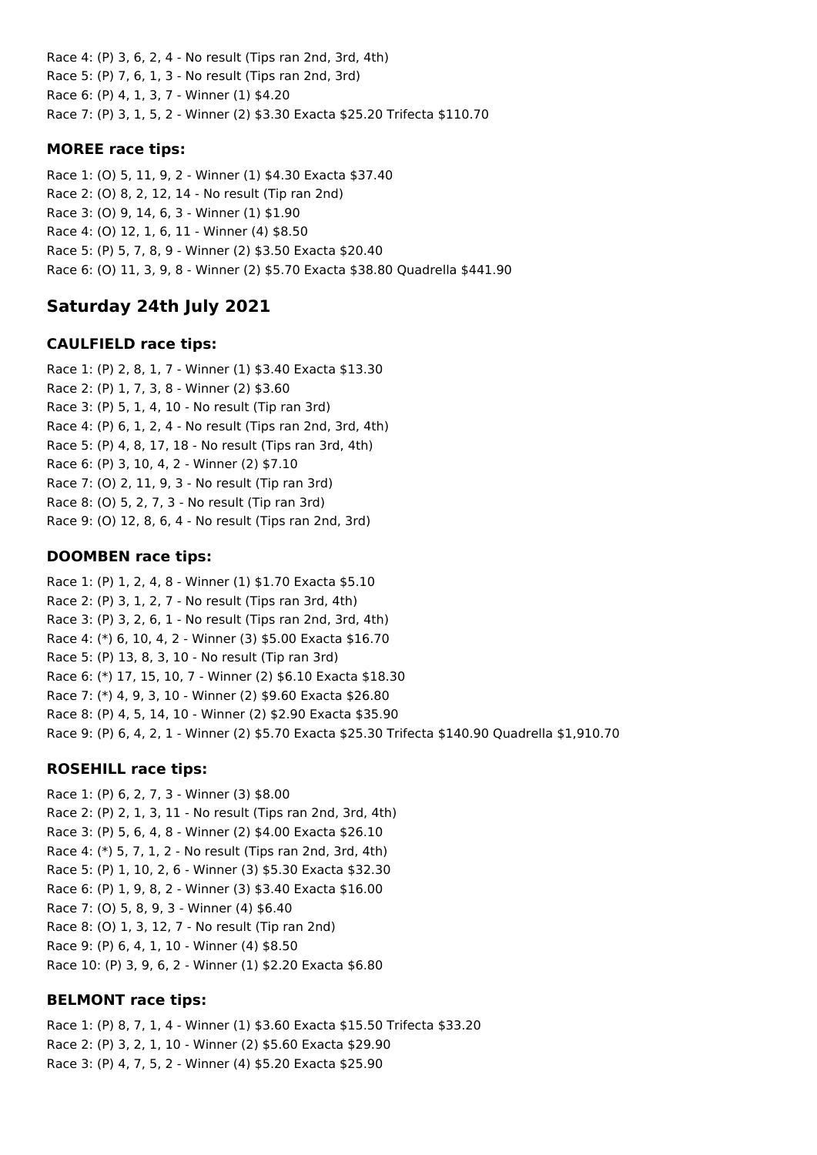Race 4: (P) 3, 6, 2, 4 - No result (Tips ran 2nd, 3rd, 4th) Race 5: (P) 7, 6, 1, 3 - No result (Tips ran 2nd, 3rd) Race 6: (P) 4, 1, 3, 7 - Winner (1) \$4.20 Race 7: (P) 3, 1, 5, 2 - Winner (2) \$3.30 Exacta \$25.20 Trifecta \$110.70

## **MOREE race tips:**

Race 1: (O) 5, 11, 9, 2 - Winner (1) \$4.30 Exacta \$37.40 Race 2: (O) 8, 2, 12, 14 - No result (Tip ran 2nd) Race 3: (O) 9, 14, 6, 3 - Winner (1) \$1.90 Race 4: (O) 12, 1, 6, 11 - Winner (4) \$8.50 Race 5: (P) 5, 7, 8, 9 - Winner (2) \$3.50 Exacta \$20.40 Race 6: (O) 11, 3, 9, 8 - Winner (2) \$5.70 Exacta \$38.80 Quadrella \$441.90

# **Saturday 24th July 2021**

# **CAULFIELD race tips:**

Race 1: (P) 2, 8, 1, 7 - Winner (1) \$3.40 Exacta \$13.30 Race 2: (P) 1, 7, 3, 8 - Winner (2) \$3.60 Race 3: (P) 5, 1, 4, 10 - No result (Tip ran 3rd) Race 4: (P) 6, 1, 2, 4 - No result (Tips ran 2nd, 3rd, 4th) Race 5: (P) 4, 8, 17, 18 - No result (Tips ran 3rd, 4th) Race 6: (P) 3, 10, 4, 2 - Winner (2) \$7.10 Race 7: (O) 2, 11, 9, 3 - No result (Tip ran 3rd) Race 8: (O) 5, 2, 7, 3 - No result (Tip ran 3rd) Race 9: (O) 12, 8, 6, 4 - No result (Tips ran 2nd, 3rd)

# **DOOMBEN race tips:**

Race 1: (P) 1, 2, 4, 8 - Winner (1) \$1.70 Exacta \$5.10 Race 2: (P) 3, 1, 2, 7 - No result (Tips ran 3rd, 4th) Race 3: (P) 3, 2, 6, 1 - No result (Tips ran 2nd, 3rd, 4th) Race 4: (\*) 6, 10, 4, 2 - Winner (3) \$5.00 Exacta \$16.70 Race 5: (P) 13, 8, 3, 10 - No result (Tip ran 3rd) Race 6: (\*) 17, 15, 10, 7 - Winner (2) \$6.10 Exacta \$18.30 Race 7: (\*) 4, 9, 3, 10 - Winner (2) \$9.60 Exacta \$26.80 Race 8: (P) 4, 5, 14, 10 - Winner (2) \$2.90 Exacta \$35.90 Race 9: (P) 6, 4, 2, 1 - Winner (2) \$5.70 Exacta \$25.30 Trifecta \$140.90 Quadrella \$1,910.70

# **ROSEHILL race tips:**

Race 1: (P) 6, 2, 7, 3 - Winner (3) \$8.00 Race 2: (P) 2, 1, 3, 11 - No result (Tips ran 2nd, 3rd, 4th) Race 3: (P) 5, 6, 4, 8 - Winner (2) \$4.00 Exacta \$26.10 Race 4: (\*) 5, 7, 1, 2 - No result (Tips ran 2nd, 3rd, 4th) Race 5: (P) 1, 10, 2, 6 - Winner (3) \$5.30 Exacta \$32.30 Race 6: (P) 1, 9, 8, 2 - Winner (3) \$3.40 Exacta \$16.00 Race 7: (O) 5, 8, 9, 3 - Winner (4) \$6.40 Race 8: (O) 1, 3, 12, 7 - No result (Tip ran 2nd) Race 9: (P) 6, 4, 1, 10 - Winner (4) \$8.50 Race 10: (P) 3, 9, 6, 2 - Winner (1) \$2.20 Exacta \$6.80

# **BELMONT race tips:**

Race 1: (P) 8, 7, 1, 4 - Winner (1) \$3.60 Exacta \$15.50 Trifecta \$33.20 Race 2: (P) 3, 2, 1, 10 - Winner (2) \$5.60 Exacta \$29.90 Race 3: (P) 4, 7, 5, 2 - Winner (4) \$5.20 Exacta \$25.90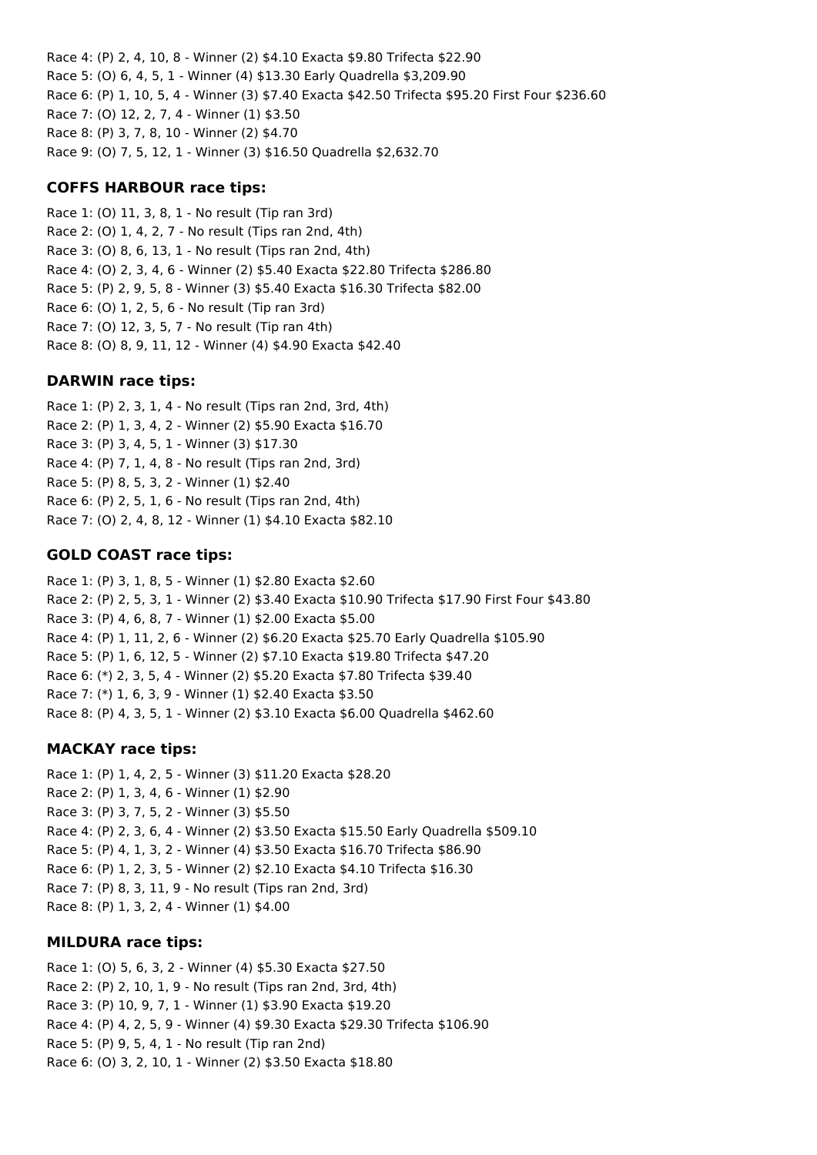Race 4: (P) 2, 4, 10, 8 - Winner (2) \$4.10 Exacta \$9.80 Trifecta \$22.90 Race 5: (O) 6, 4, 5, 1 - Winner (4) \$13.30 Early Quadrella \$3,209.90 Race 6: (P) 1, 10, 5, 4 - Winner (3) \$7.40 Exacta \$42.50 Trifecta \$95.20 First Four \$236.60 Race 7: (O) 12, 2, 7, 4 - Winner (1) \$3.50 Race 8: (P) 3, 7, 8, 10 - Winner (2) \$4.70 Race 9: (O) 7, 5, 12, 1 - Winner (3) \$16.50 Quadrella \$2,632.70

## **COFFS HARBOUR race tips:**

Race 1: (O) 11, 3, 8, 1 - No result (Tip ran 3rd) Race 2: (O) 1, 4, 2, 7 - No result (Tips ran 2nd, 4th) Race 3: (O) 8, 6, 13, 1 - No result (Tips ran 2nd, 4th) Race 4: (O) 2, 3, 4, 6 - Winner (2) \$5.40 Exacta \$22.80 Trifecta \$286.80 Race 5: (P) 2, 9, 5, 8 - Winner (3) \$5.40 Exacta \$16.30 Trifecta \$82.00 Race 6: (O) 1, 2, 5, 6 - No result (Tip ran 3rd) Race 7: (O) 12, 3, 5, 7 - No result (Tip ran 4th) Race 8: (O) 8, 9, 11, 12 - Winner (4) \$4.90 Exacta \$42.40

## **DARWIN race tips:**

Race 1: (P) 2, 3, 1, 4 - No result (Tips ran 2nd, 3rd, 4th) Race 2: (P) 1, 3, 4, 2 - Winner (2) \$5.90 Exacta \$16.70 Race 3: (P) 3, 4, 5, 1 - Winner (3) \$17.30 Race 4: (P) 7, 1, 4, 8 - No result (Tips ran 2nd, 3rd) Race 5: (P) 8, 5, 3, 2 - Winner (1) \$2.40 Race 6: (P) 2, 5, 1, 6 - No result (Tips ran 2nd, 4th) Race 7: (O) 2, 4, 8, 12 - Winner (1) \$4.10 Exacta \$82.10

# **GOLD COAST race tips:**

Race 1: (P) 3, 1, 8, 5 - Winner (1) \$2.80 Exacta \$2.60 Race 2: (P) 2, 5, 3, 1 - Winner (2) \$3.40 Exacta \$10.90 Trifecta \$17.90 First Four \$43.80 Race 3: (P) 4, 6, 8, 7 - Winner (1) \$2.00 Exacta \$5.00 Race 4: (P) 1, 11, 2, 6 - Winner (2) \$6.20 Exacta \$25.70 Early Quadrella \$105.90 Race 5: (P) 1, 6, 12, 5 - Winner (2) \$7.10 Exacta \$19.80 Trifecta \$47.20 Race 6: (\*) 2, 3, 5, 4 - Winner (2) \$5.20 Exacta \$7.80 Trifecta \$39.40 Race 7: (\*) 1, 6, 3, 9 - Winner (1) \$2.40 Exacta \$3.50 Race 8: (P) 4, 3, 5, 1 - Winner (2) \$3.10 Exacta \$6.00 Quadrella \$462.60

# **MACKAY race tips:**

Race 1: (P) 1, 4, 2, 5 - Winner (3) \$11.20 Exacta \$28.20 Race 2: (P) 1, 3, 4, 6 - Winner (1) \$2.90 Race 3: (P) 3, 7, 5, 2 - Winner (3) \$5.50 Race 4: (P) 2, 3, 6, 4 - Winner (2) \$3.50 Exacta \$15.50 Early Quadrella \$509.10 Race 5: (P) 4, 1, 3, 2 - Winner (4) \$3.50 Exacta \$16.70 Trifecta \$86.90 Race 6: (P) 1, 2, 3, 5 - Winner (2) \$2.10 Exacta \$4.10 Trifecta \$16.30 Race 7: (P) 8, 3, 11, 9 - No result (Tips ran 2nd, 3rd) Race 8: (P) 1, 3, 2, 4 - Winner (1) \$4.00

## **MILDURA race tips:**

Race 1: (O) 5, 6, 3, 2 - Winner (4) \$5.30 Exacta \$27.50 Race 2: (P) 2, 10, 1, 9 - No result (Tips ran 2nd, 3rd, 4th) Race 3: (P) 10, 9, 7, 1 - Winner (1) \$3.90 Exacta \$19.20 Race 4: (P) 4, 2, 5, 9 - Winner (4) \$9.30 Exacta \$29.30 Trifecta \$106.90 Race 5: (P) 9, 5, 4, 1 - No result (Tip ran 2nd) Race 6: (O) 3, 2, 10, 1 - Winner (2) \$3.50 Exacta \$18.80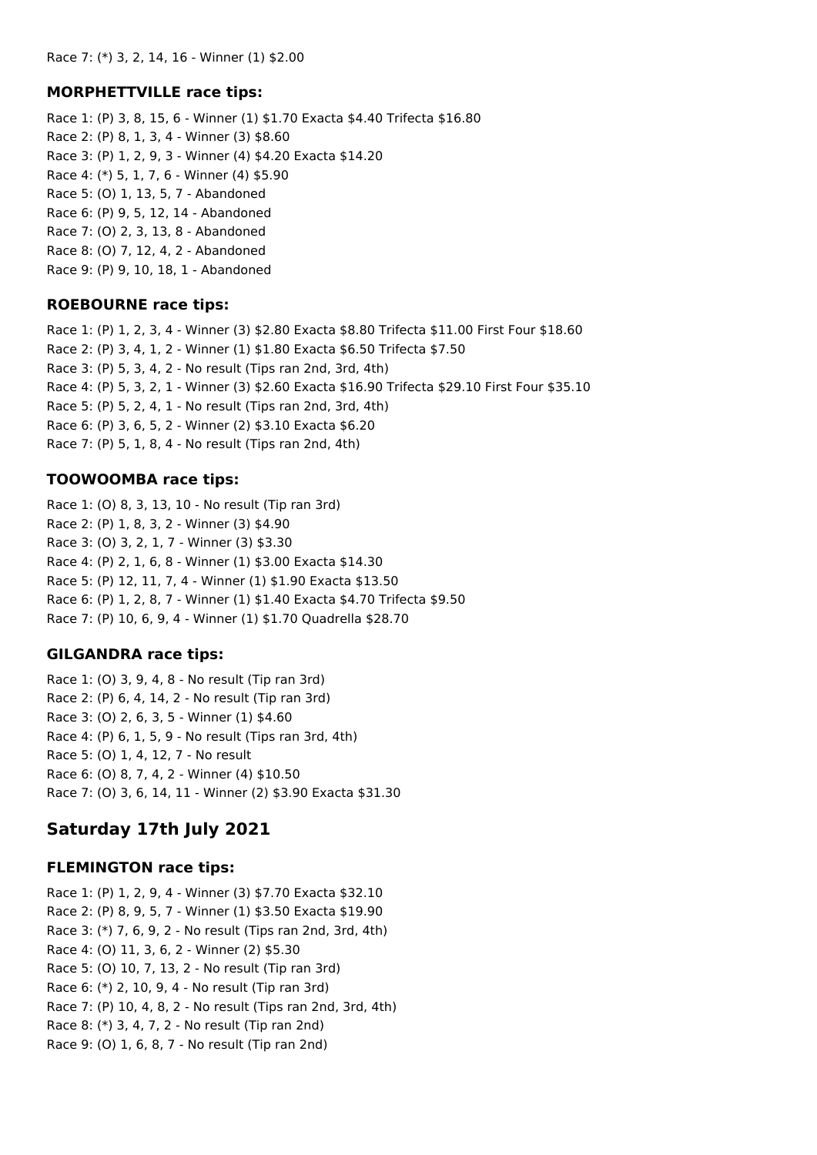#### **MORPHETTVILLE race tips:**

Race 1: (P) 3, 8, 15, 6 - Winner (1) \$1.70 Exacta \$4.40 Trifecta \$16.80 Race 2: (P) 8, 1, 3, 4 - Winner (3) \$8.60 Race 3: (P) 1, 2, 9, 3 - Winner (4) \$4.20 Exacta \$14.20 Race 4: (\*) 5, 1, 7, 6 - Winner (4) \$5.90 Race 5: (O) 1, 13, 5, 7 - Abandoned Race 6: (P) 9, 5, 12, 14 - Abandoned Race 7: (O) 2, 3, 13, 8 - Abandoned Race 8: (O) 7, 12, 4, 2 - Abandoned Race 9: (P) 9, 10, 18, 1 - Abandoned

#### **ROEBOURNE race tips:**

Race 1: (P) 1, 2, 3, 4 - Winner (3) \$2.80 Exacta \$8.80 Trifecta \$11.00 First Four \$18.60 Race 2: (P) 3, 4, 1, 2 - Winner (1) \$1.80 Exacta \$6.50 Trifecta \$7.50 Race 3: (P) 5, 3, 4, 2 - No result (Tips ran 2nd, 3rd, 4th) Race 4: (P) 5, 3, 2, 1 - Winner (3) \$2.60 Exacta \$16.90 Trifecta \$29.10 First Four \$35.10 Race 5: (P) 5, 2, 4, 1 - No result (Tips ran 2nd, 3rd, 4th) Race 6: (P) 3, 6, 5, 2 - Winner (2) \$3.10 Exacta \$6.20 Race 7: (P) 5, 1, 8, 4 - No result (Tips ran 2nd, 4th)

#### **TOOWOOMBA race tips:**

Race 1: (O) 8, 3, 13, 10 - No result (Tip ran 3rd) Race 2: (P) 1, 8, 3, 2 - Winner (3) \$4.90 Race 3: (O) 3, 2, 1, 7 - Winner (3) \$3.30 Race 4: (P) 2, 1, 6, 8 - Winner (1) \$3.00 Exacta \$14.30 Race 5: (P) 12, 11, 7, 4 - Winner (1) \$1.90 Exacta \$13.50 Race 6: (P) 1, 2, 8, 7 - Winner (1) \$1.40 Exacta \$4.70 Trifecta \$9.50 Race 7: (P) 10, 6, 9, 4 - Winner (1) \$1.70 Quadrella \$28.70

#### **GILGANDRA race tips:**

Race 1: (O) 3, 9, 4, 8 - No result (Tip ran 3rd) Race 2: (P) 6, 4, 14, 2 - No result (Tip ran 3rd) Race 3: (O) 2, 6, 3, 5 - Winner (1) \$4.60 Race 4: (P) 6, 1, 5, 9 - No result (Tips ran 3rd, 4th) Race 5: (O) 1, 4, 12, 7 - No result Race 6: (O) 8, 7, 4, 2 - Winner (4) \$10.50 Race 7: (O) 3, 6, 14, 11 - Winner (2) \$3.90 Exacta \$31.30

## **Saturday 17th July 2021**

#### **FLEMINGTON race tips:**

Race 1: (P) 1, 2, 9, 4 - Winner (3) \$7.70 Exacta \$32.10 Race 2: (P) 8, 9, 5, 7 - Winner (1) \$3.50 Exacta \$19.90 Race 3: (\*) 7, 6, 9, 2 - No result (Tips ran 2nd, 3rd, 4th) Race 4: (O) 11, 3, 6, 2 - Winner (2) \$5.30 Race 5: (O) 10, 7, 13, 2 - No result (Tip ran 3rd) Race 6: (\*) 2, 10, 9, 4 - No result (Tip ran 3rd) Race 7: (P) 10, 4, 8, 2 - No result (Tips ran 2nd, 3rd, 4th) Race 8: (\*) 3, 4, 7, 2 - No result (Tip ran 2nd) Race 9: (O) 1, 6, 8, 7 - No result (Tip ran 2nd)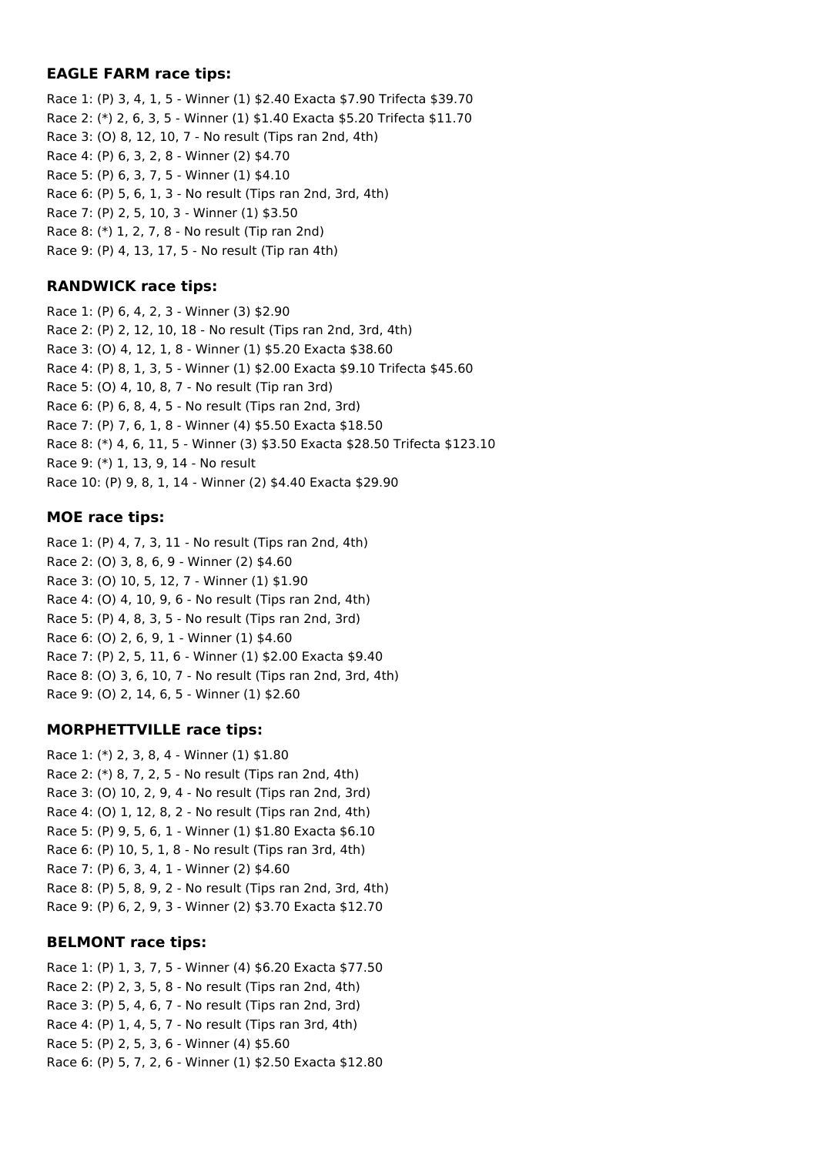#### **EAGLE FARM race tips:**

Race 1: (P) 3, 4, 1, 5 - Winner (1) \$2.40 Exacta \$7.90 Trifecta \$39.70 Race 2: (\*) 2, 6, 3, 5 - Winner (1) \$1.40 Exacta \$5.20 Trifecta \$11.70 Race 3: (O) 8, 12, 10, 7 - No result (Tips ran 2nd, 4th) Race 4: (P) 6, 3, 2, 8 - Winner (2) \$4.70 Race 5: (P) 6, 3, 7, 5 - Winner (1) \$4.10 Race 6: (P) 5, 6, 1, 3 - No result (Tips ran 2nd, 3rd, 4th) Race 7: (P) 2, 5, 10, 3 - Winner (1) \$3.50 Race 8: (\*) 1, 2, 7, 8 - No result (Tip ran 2nd) Race 9: (P) 4, 13, 17, 5 - No result (Tip ran 4th)

#### **RANDWICK race tips:**

Race 1: (P) 6, 4, 2, 3 - Winner (3) \$2.90 Race 2: (P) 2, 12, 10, 18 - No result (Tips ran 2nd, 3rd, 4th) Race 3: (O) 4, 12, 1, 8 - Winner (1) \$5.20 Exacta \$38.60 Race 4: (P) 8, 1, 3, 5 - Winner (1) \$2.00 Exacta \$9.10 Trifecta \$45.60 Race 5: (O) 4, 10, 8, 7 - No result (Tip ran 3rd) Race 6: (P) 6, 8, 4, 5 - No result (Tips ran 2nd, 3rd) Race 7: (P) 7, 6, 1, 8 - Winner (4) \$5.50 Exacta \$18.50 Race 8: (\*) 4, 6, 11, 5 - Winner (3) \$3.50 Exacta \$28.50 Trifecta \$123.10 Race 9: (\*) 1, 13, 9, 14 - No result Race 10: (P) 9, 8, 1, 14 - Winner (2) \$4.40 Exacta \$29.90

#### **MOE race tips:**

Race 1: (P) 4, 7, 3, 11 - No result (Tips ran 2nd, 4th) Race 2: (O) 3, 8, 6, 9 - Winner (2) \$4.60 Race 3: (O) 10, 5, 12, 7 - Winner (1) \$1.90 Race 4: (O) 4, 10, 9, 6 - No result (Tips ran 2nd, 4th) Race 5: (P) 4, 8, 3, 5 - No result (Tips ran 2nd, 3rd) Race 6: (O) 2, 6, 9, 1 - Winner (1) \$4.60 Race 7: (P) 2, 5, 11, 6 - Winner (1) \$2.00 Exacta \$9.40 Race 8: (O) 3, 6, 10, 7 - No result (Tips ran 2nd, 3rd, 4th) Race 9: (O) 2, 14, 6, 5 - Winner (1) \$2.60

## **MORPHETTVILLE race tips:**

Race 1: (\*) 2, 3, 8, 4 - Winner (1) \$1.80 Race 2: (\*) 8, 7, 2, 5 - No result (Tips ran 2nd, 4th) Race 3: (O) 10, 2, 9, 4 - No result (Tips ran 2nd, 3rd) Race 4: (O) 1, 12, 8, 2 - No result (Tips ran 2nd, 4th) Race 5: (P) 9, 5, 6, 1 - Winner (1) \$1.80 Exacta \$6.10 Race 6: (P) 10, 5, 1, 8 - No result (Tips ran 3rd, 4th) Race 7: (P) 6, 3, 4, 1 - Winner (2) \$4.60 Race 8: (P) 5, 8, 9, 2 - No result (Tips ran 2nd, 3rd, 4th) Race 9: (P) 6, 2, 9, 3 - Winner (2) \$3.70 Exacta \$12.70

## **BELMONT race tips:**

Race 1: (P) 1, 3, 7, 5 - Winner (4) \$6.20 Exacta \$77.50 Race 2: (P) 2, 3, 5, 8 - No result (Tips ran 2nd, 4th) Race 3: (P) 5, 4, 6, 7 - No result (Tips ran 2nd, 3rd) Race 4: (P) 1, 4, 5, 7 - No result (Tips ran 3rd, 4th) Race 5: (P) 2, 5, 3, 6 - Winner (4) \$5.60 Race 6: (P) 5, 7, 2, 6 - Winner (1) \$2.50 Exacta \$12.80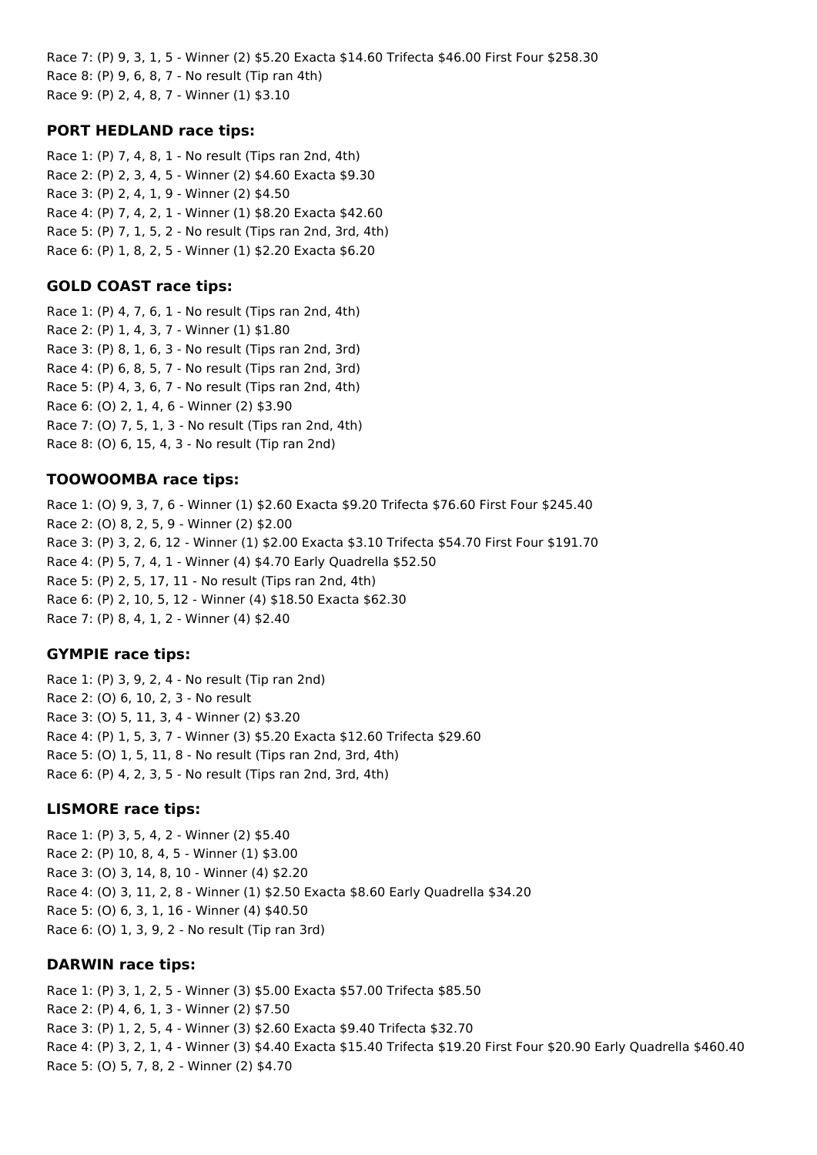Race 7: (P) 9, 3, 1, 5 - Winner (2) \$5.20 Exacta \$14.60 Trifecta \$46.00 First Four \$258.30 Race 8: (P) 9, 6, 8, 7 - No result (Tip ran 4th) Race 9: (P) 2, 4, 8, 7 - Winner (1) \$3.10

#### **PORT HEDLAND race tips:**

Race 1: (P) 7, 4, 8, 1 - No result (Tips ran 2nd, 4th) Race 2: (P) 2, 3, 4, 5 - Winner (2) \$4.60 Exacta \$9.30 Race 3: (P) 2, 4, 1, 9 - Winner (2) \$4.50 Race 4: (P) 7, 4, 2, 1 - Winner (1) \$8.20 Exacta \$42.60 Race 5: (P) 7, 1, 5, 2 - No result (Tips ran 2nd, 3rd, 4th) Race 6: (P) 1, 8, 2, 5 - Winner (1) \$2.20 Exacta \$6.20

#### **GOLD COAST race tips:**

Race 1: (P) 4, 7, 6, 1 - No result (Tips ran 2nd, 4th) Race 2: (P) 1, 4, 3, 7 - Winner (1) \$1.80 Race 3: (P) 8, 1, 6, 3 - No result (Tips ran 2nd, 3rd) Race 4: (P) 6, 8, 5, 7 - No result (Tips ran 2nd, 3rd) Race 5: (P) 4, 3, 6, 7 - No result (Tips ran 2nd, 4th) Race 6: (O) 2, 1, 4, 6 - Winner (2) \$3.90 Race 7: (O) 7, 5, 1, 3 - No result (Tips ran 2nd, 4th) Race 8: (O) 6, 15, 4, 3 - No result (Tip ran 2nd)

#### **TOOWOOMBA race tips:**

Race 1: (O) 9, 3, 7, 6 - Winner (1) \$2.60 Exacta \$9.20 Trifecta \$76.60 First Four \$245.40 Race 2: (O) 8, 2, 5, 9 - Winner (2) \$2.00 Race 3: (P) 3, 2, 6, 12 - Winner (1) \$2.00 Exacta \$3.10 Trifecta \$54.70 First Four \$191.70 Race 4: (P) 5, 7, 4, 1 - Winner (4) \$4.70 Early Quadrella \$52.50 Race 5: (P) 2, 5, 17, 11 - No result (Tips ran 2nd, 4th) Race 6: (P) 2, 10, 5, 12 - Winner (4) \$18.50 Exacta \$62.30 Race 7: (P) 8, 4, 1, 2 - Winner (4) \$2.40

#### **GYMPIE race tips:**

Race 1: (P) 3, 9, 2, 4 - No result (Tip ran 2nd) Race 2: (O) 6, 10, 2, 3 - No result Race 3: (O) 5, 11, 3, 4 - Winner (2) \$3.20 Race 4: (P) 1, 5, 3, 7 - Winner (3) \$5.20 Exacta \$12.60 Trifecta \$29.60 Race 5: (O) 1, 5, 11, 8 - No result (Tips ran 2nd, 3rd, 4th) Race 6: (P) 4, 2, 3, 5 - No result (Tips ran 2nd, 3rd, 4th)

#### **LISMORE race tips:**

Race 1: (P) 3, 5, 4, 2 - Winner (2) \$5.40 Race 2: (P) 10, 8, 4, 5 - Winner (1) \$3.00 Race 3: (O) 3, 14, 8, 10 - Winner (4) \$2.20 Race 4: (O) 3, 11, 2, 8 - Winner (1) \$2.50 Exacta \$8.60 Early Quadrella \$34.20 Race 5: (O) 6, 3, 1, 16 - Winner (4) \$40.50 Race 6: (O) 1, 3, 9, 2 - No result (Tip ran 3rd)

#### **DARWIN race tips:**

Race 1: (P) 3, 1, 2, 5 - Winner (3) \$5.00 Exacta \$57.00 Trifecta \$85.50 Race 2: (P) 4, 6, 1, 3 - Winner (2) \$7.50 Race 3: (P) 1, 2, 5, 4 - Winner (3) \$2.60 Exacta \$9.40 Trifecta \$32.70 Race 4: (P) 3, 2, 1, 4 - Winner (3) \$4.40 Exacta \$15.40 Trifecta \$19.20 First Four \$20.90 Early Quadrella \$460.40 Race 5: (O) 5, 7, 8, 2 - Winner (2) \$4.70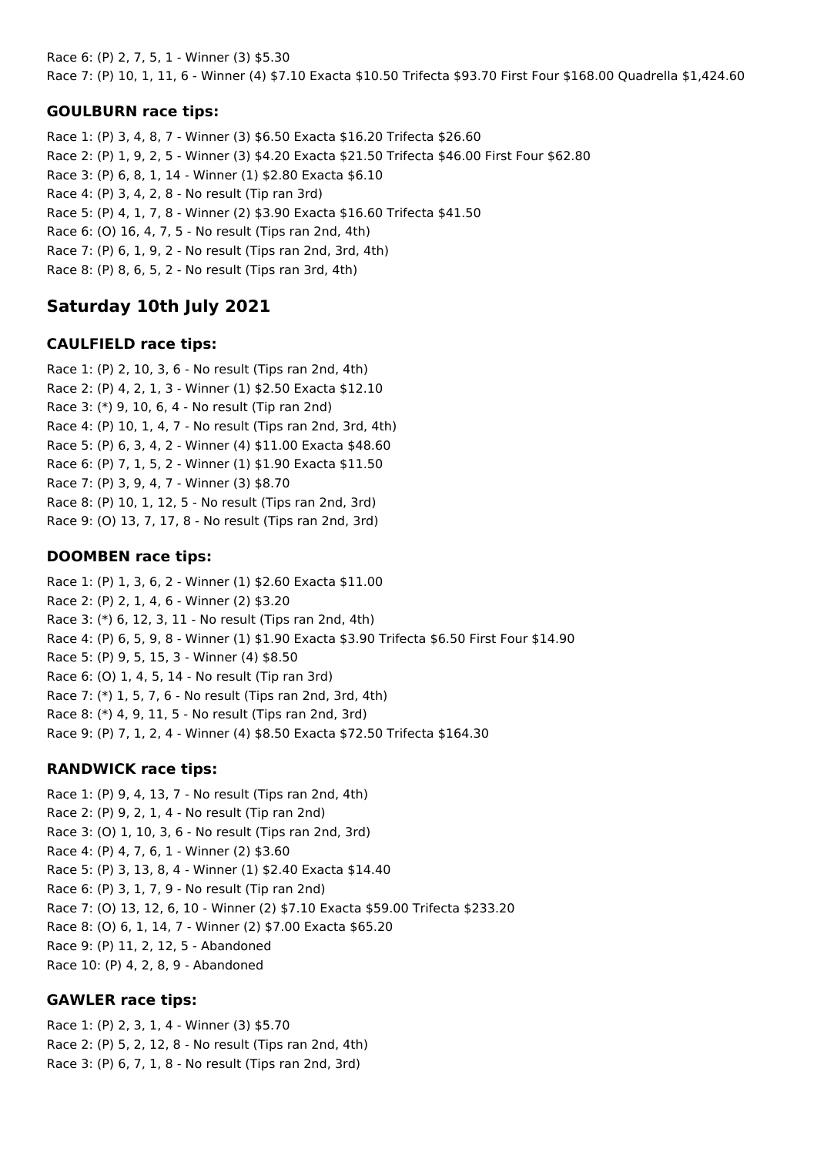Race 6: (P) 2, 7, 5, 1 - Winner (3) \$5.30 Race 7: (P) 10, 1, 11, 6 - Winner (4) \$7.10 Exacta \$10.50 Trifecta \$93.70 First Four \$168.00 Quadrella \$1,424.60

## **GOULBURN race tips:**

Race 1: (P) 3, 4, 8, 7 - Winner (3) \$6.50 Exacta \$16.20 Trifecta \$26.60 Race 2: (P) 1, 9, 2, 5 - Winner (3) \$4.20 Exacta \$21.50 Trifecta \$46.00 First Four \$62.80 Race 3: (P) 6, 8, 1, 14 - Winner (1) \$2.80 Exacta \$6.10 Race 4: (P) 3, 4, 2, 8 - No result (Tip ran 3rd) Race 5: (P) 4, 1, 7, 8 - Winner (2) \$3.90 Exacta \$16.60 Trifecta \$41.50 Race 6: (O) 16, 4, 7, 5 - No result (Tips ran 2nd, 4th) Race 7: (P) 6, 1, 9, 2 - No result (Tips ran 2nd, 3rd, 4th) Race 8: (P) 8, 6, 5, 2 - No result (Tips ran 3rd, 4th)

# **Saturday 10th July 2021**

## **CAULFIELD race tips:**

Race 1: (P) 2, 10, 3, 6 - No result (Tips ran 2nd, 4th) Race 2: (P) 4, 2, 1, 3 - Winner (1) \$2.50 Exacta \$12.10 Race 3: (\*) 9, 10, 6, 4 - No result (Tip ran 2nd) Race 4: (P) 10, 1, 4, 7 - No result (Tips ran 2nd, 3rd, 4th) Race 5: (P) 6, 3, 4, 2 - Winner (4) \$11.00 Exacta \$48.60 Race 6: (P) 7, 1, 5, 2 - Winner (1) \$1.90 Exacta \$11.50 Race 7: (P) 3, 9, 4, 7 - Winner (3) \$8.70 Race 8: (P) 10, 1, 12, 5 - No result (Tips ran 2nd, 3rd) Race 9: (O) 13, 7, 17, 8 - No result (Tips ran 2nd, 3rd)

# **DOOMBEN race tips:**

Race 1: (P) 1, 3, 6, 2 - Winner (1) \$2.60 Exacta \$11.00 Race 2: (P) 2, 1, 4, 6 - Winner (2) \$3.20 Race 3: (\*) 6, 12, 3, 11 - No result (Tips ran 2nd, 4th) Race 4: (P) 6, 5, 9, 8 - Winner (1) \$1.90 Exacta \$3.90 Trifecta \$6.50 First Four \$14.90 Race 5: (P) 9, 5, 15, 3 - Winner (4) \$8.50 Race 6: (O) 1, 4, 5, 14 - No result (Tip ran 3rd) Race 7: (\*) 1, 5, 7, 6 - No result (Tips ran 2nd, 3rd, 4th) Race 8: (\*) 4, 9, 11, 5 - No result (Tips ran 2nd, 3rd) Race 9: (P) 7, 1, 2, 4 - Winner (4) \$8.50 Exacta \$72.50 Trifecta \$164.30

## **RANDWICK race tips:**

Race 1: (P) 9, 4, 13, 7 - No result (Tips ran 2nd, 4th) Race 2: (P) 9, 2, 1, 4 - No result (Tip ran 2nd) Race 3: (O) 1, 10, 3, 6 - No result (Tips ran 2nd, 3rd) Race 4: (P) 4, 7, 6, 1 - Winner (2) \$3.60 Race 5: (P) 3, 13, 8, 4 - Winner (1) \$2.40 Exacta \$14.40 Race 6: (P) 3, 1, 7, 9 - No result (Tip ran 2nd) Race 7: (O) 13, 12, 6, 10 - Winner (2) \$7.10 Exacta \$59.00 Trifecta \$233.20 Race 8: (O) 6, 1, 14, 7 - Winner (2) \$7.00 Exacta \$65.20 Race 9: (P) 11, 2, 12, 5 - Abandoned Race 10: (P) 4, 2, 8, 9 - Abandoned

## **GAWLER race tips:**

Race 1: (P) 2, 3, 1, 4 - Winner (3) \$5.70 Race 2: (P) 5, 2, 12, 8 - No result (Tips ran 2nd, 4th) Race 3: (P) 6, 7, 1, 8 - No result (Tips ran 2nd, 3rd)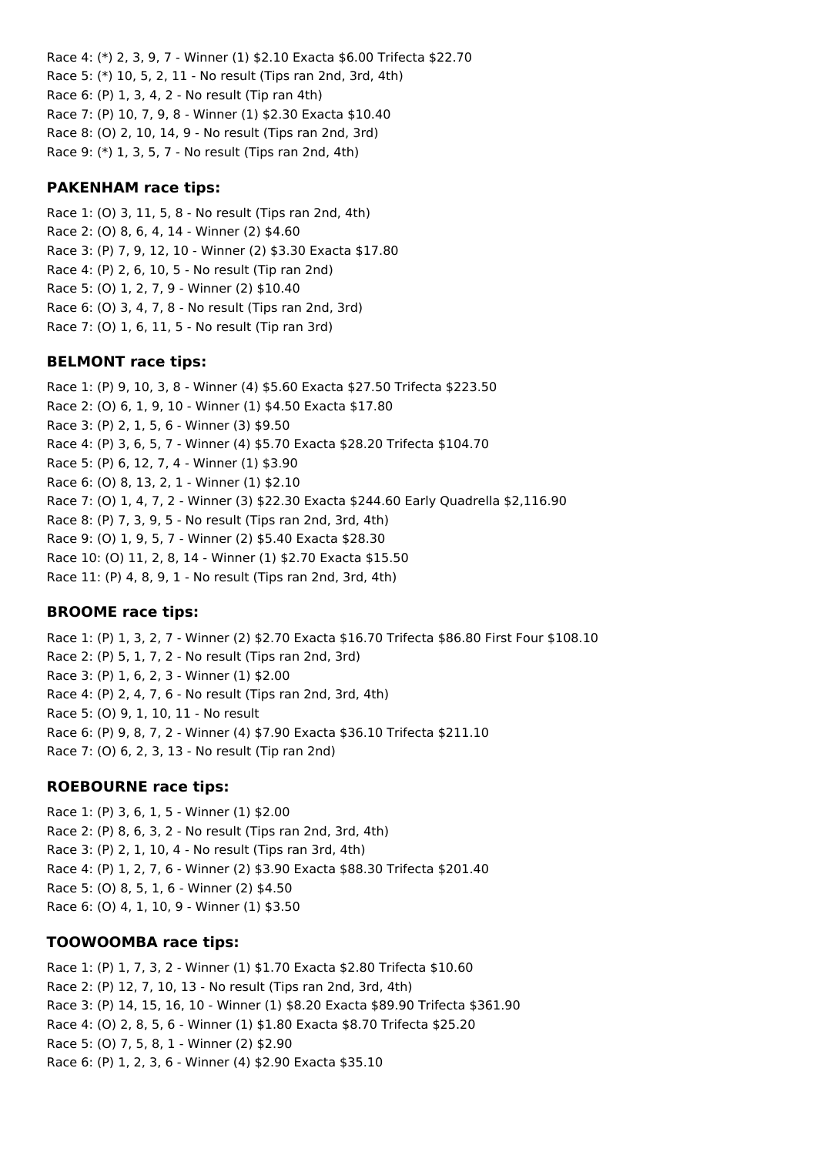Race 4: (\*) 2, 3, 9, 7 - Winner (1) \$2.10 Exacta \$6.00 Trifecta \$22.70 Race 5: (\*) 10, 5, 2, 11 - No result (Tips ran 2nd, 3rd, 4th) Race 6: (P) 1, 3, 4, 2 - No result (Tip ran 4th) Race 7: (P) 10, 7, 9, 8 - Winner (1) \$2.30 Exacta \$10.40 Race 8: (O) 2, 10, 14, 9 - No result (Tips ran 2nd, 3rd) Race 9: (\*) 1, 3, 5, 7 - No result (Tips ran 2nd, 4th)

#### **PAKENHAM race tips:**

Race 1: (O) 3, 11, 5, 8 - No result (Tips ran 2nd, 4th) Race 2: (O) 8, 6, 4, 14 - Winner (2) \$4.60 Race 3: (P) 7, 9, 12, 10 - Winner (2) \$3.30 Exacta \$17.80 Race 4: (P) 2, 6, 10, 5 - No result (Tip ran 2nd) Race 5: (O) 1, 2, 7, 9 - Winner (2) \$10.40 Race 6: (O) 3, 4, 7, 8 - No result (Tips ran 2nd, 3rd) Race 7: (O) 1, 6, 11, 5 - No result (Tip ran 3rd)

#### **BELMONT race tips:**

Race 1: (P) 9, 10, 3, 8 - Winner (4) \$5.60 Exacta \$27.50 Trifecta \$223.50 Race 2: (O) 6, 1, 9, 10 - Winner (1) \$4.50 Exacta \$17.80 Race 3: (P) 2, 1, 5, 6 - Winner (3) \$9.50 Race 4: (P) 3, 6, 5, 7 - Winner (4) \$5.70 Exacta \$28.20 Trifecta \$104.70 Race 5: (P) 6, 12, 7, 4 - Winner (1) \$3.90 Race 6: (O) 8, 13, 2, 1 - Winner (1) \$2.10 Race 7: (O) 1, 4, 7, 2 - Winner (3) \$22.30 Exacta \$244.60 Early Quadrella \$2,116.90 Race 8: (P) 7, 3, 9, 5 - No result (Tips ran 2nd, 3rd, 4th) Race 9: (O) 1, 9, 5, 7 - Winner (2) \$5.40 Exacta \$28.30 Race 10: (O) 11, 2, 8, 14 - Winner (1) \$2.70 Exacta \$15.50 Race 11: (P) 4, 8, 9, 1 - No result (Tips ran 2nd, 3rd, 4th)

## **BROOME race tips:**

Race 1: (P) 1, 3, 2, 7 - Winner (2) \$2.70 Exacta \$16.70 Trifecta \$86.80 First Four \$108.10 Race 2: (P) 5, 1, 7, 2 - No result (Tips ran 2nd, 3rd) Race 3: (P) 1, 6, 2, 3 - Winner (1) \$2.00 Race 4: (P) 2, 4, 7, 6 - No result (Tips ran 2nd, 3rd, 4th) Race 5: (O) 9, 1, 10, 11 - No result Race 6: (P) 9, 8, 7, 2 - Winner (4) \$7.90 Exacta \$36.10 Trifecta \$211.10 Race 7: (O) 6, 2, 3, 13 - No result (Tip ran 2nd)

#### **ROEBOURNE race tips:**

Race 1: (P) 3, 6, 1, 5 - Winner (1) \$2.00 Race 2: (P) 8, 6, 3, 2 - No result (Tips ran 2nd, 3rd, 4th) Race 3: (P) 2, 1, 10, 4 - No result (Tips ran 3rd, 4th) Race 4: (P) 1, 2, 7, 6 - Winner (2) \$3.90 Exacta \$88.30 Trifecta \$201.40 Race 5: (O) 8, 5, 1, 6 - Winner (2) \$4.50 Race 6: (O) 4, 1, 10, 9 - Winner (1) \$3.50

## **TOOWOOMBA race tips:**

Race 1: (P) 1, 7, 3, 2 - Winner (1) \$1.70 Exacta \$2.80 Trifecta \$10.60 Race 2: (P) 12, 7, 10, 13 - No result (Tips ran 2nd, 3rd, 4th) Race 3: (P) 14, 15, 16, 10 - Winner (1) \$8.20 Exacta \$89.90 Trifecta \$361.90 Race 4: (O) 2, 8, 5, 6 - Winner (1) \$1.80 Exacta \$8.70 Trifecta \$25.20 Race 5: (O) 7, 5, 8, 1 - Winner (2) \$2.90 Race 6: (P) 1, 2, 3, 6 - Winner (4) \$2.90 Exacta \$35.10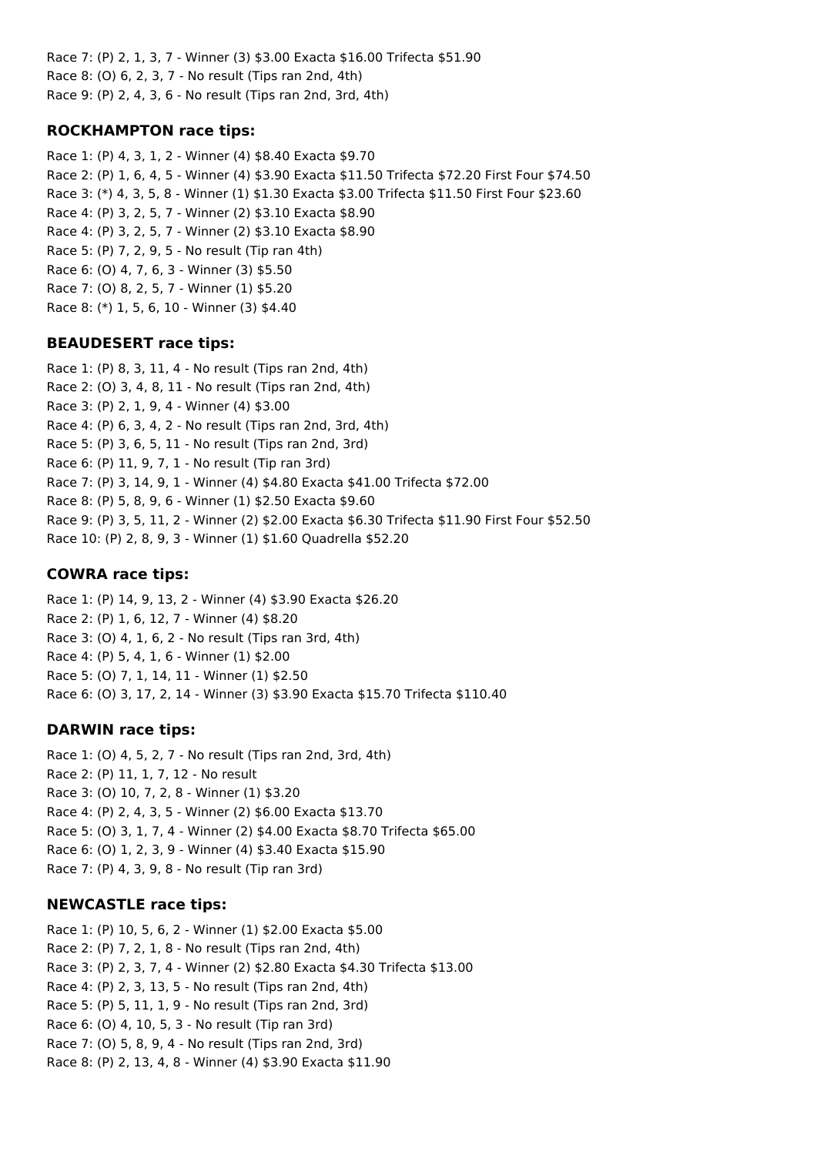Race 7: (P) 2, 1, 3, 7 - Winner (3) \$3.00 Exacta \$16.00 Trifecta \$51.90 Race 8: (O) 6, 2, 3, 7 - No result (Tips ran 2nd, 4th) Race 9: (P) 2, 4, 3, 6 - No result (Tips ran 2nd, 3rd, 4th)

## **ROCKHAMPTON race tips:**

Race 1: (P) 4, 3, 1, 2 - Winner (4) \$8.40 Exacta \$9.70 Race 2: (P) 1, 6, 4, 5 - Winner (4) \$3.90 Exacta \$11.50 Trifecta \$72.20 First Four \$74.50 Race 3: (\*) 4, 3, 5, 8 - Winner (1) \$1.30 Exacta \$3.00 Trifecta \$11.50 First Four \$23.60 Race 4: (P) 3, 2, 5, 7 - Winner (2) \$3.10 Exacta \$8.90 Race 4: (P) 3, 2, 5, 7 - Winner (2) \$3.10 Exacta \$8.90 Race 5: (P) 7, 2, 9, 5 - No result (Tip ran 4th) Race 6: (O) 4, 7, 6, 3 - Winner (3) \$5.50 Race 7: (O) 8, 2, 5, 7 - Winner (1) \$5.20 Race 8: (\*) 1, 5, 6, 10 - Winner (3) \$4.40

# **BEAUDESERT race tips:**

Race 1: (P) 8, 3, 11, 4 - No result (Tips ran 2nd, 4th) Race 2: (O) 3, 4, 8, 11 - No result (Tips ran 2nd, 4th) Race 3: (P) 2, 1, 9, 4 - Winner (4) \$3.00 Race 4: (P) 6, 3, 4, 2 - No result (Tips ran 2nd, 3rd, 4th) Race 5: (P) 3, 6, 5, 11 - No result (Tips ran 2nd, 3rd) Race 6: (P) 11, 9, 7, 1 - No result (Tip ran 3rd) Race 7: (P) 3, 14, 9, 1 - Winner (4) \$4.80 Exacta \$41.00 Trifecta \$72.00 Race 8: (P) 5, 8, 9, 6 - Winner (1) \$2.50 Exacta \$9.60 Race 9: (P) 3, 5, 11, 2 - Winner (2) \$2.00 Exacta \$6.30 Trifecta \$11.90 First Four \$52.50 Race 10: (P) 2, 8, 9, 3 - Winner (1) \$1.60 Quadrella \$52.20

# **COWRA race tips:**

Race 1: (P) 14, 9, 13, 2 - Winner (4) \$3.90 Exacta \$26.20 Race 2: (P) 1, 6, 12, 7 - Winner (4) \$8.20 Race 3: (O) 4, 1, 6, 2 - No result (Tips ran 3rd, 4th) Race 4: (P) 5, 4, 1, 6 - Winner (1) \$2.00 Race 5: (O) 7, 1, 14, 11 - Winner (1) \$2.50 Race 6: (O) 3, 17, 2, 14 - Winner (3) \$3.90 Exacta \$15.70 Trifecta \$110.40

## **DARWIN race tips:**

Race 1: (O) 4, 5, 2, 7 - No result (Tips ran 2nd, 3rd, 4th) Race 2: (P) 11, 1, 7, 12 - No result Race 3: (O) 10, 7, 2, 8 - Winner (1) \$3.20 Race 4: (P) 2, 4, 3, 5 - Winner (2) \$6.00 Exacta \$13.70 Race 5: (O) 3, 1, 7, 4 - Winner (2) \$4.00 Exacta \$8.70 Trifecta \$65.00 Race 6: (O) 1, 2, 3, 9 - Winner (4) \$3.40 Exacta \$15.90 Race 7: (P) 4, 3, 9, 8 - No result (Tip ran 3rd)

# **NEWCASTLE race tips:**

Race 1: (P) 10, 5, 6, 2 - Winner (1) \$2.00 Exacta \$5.00 Race 2: (P) 7, 2, 1, 8 - No result (Tips ran 2nd, 4th) Race 3: (P) 2, 3, 7, 4 - Winner (2) \$2.80 Exacta \$4.30 Trifecta \$13.00 Race 4: (P) 2, 3, 13, 5 - No result (Tips ran 2nd, 4th) Race 5: (P) 5, 11, 1, 9 - No result (Tips ran 2nd, 3rd) Race 6: (O) 4, 10, 5, 3 - No result (Tip ran 3rd) Race 7: (O) 5, 8, 9, 4 - No result (Tips ran 2nd, 3rd) Race 8: (P) 2, 13, 4, 8 - Winner (4) \$3.90 Exacta \$11.90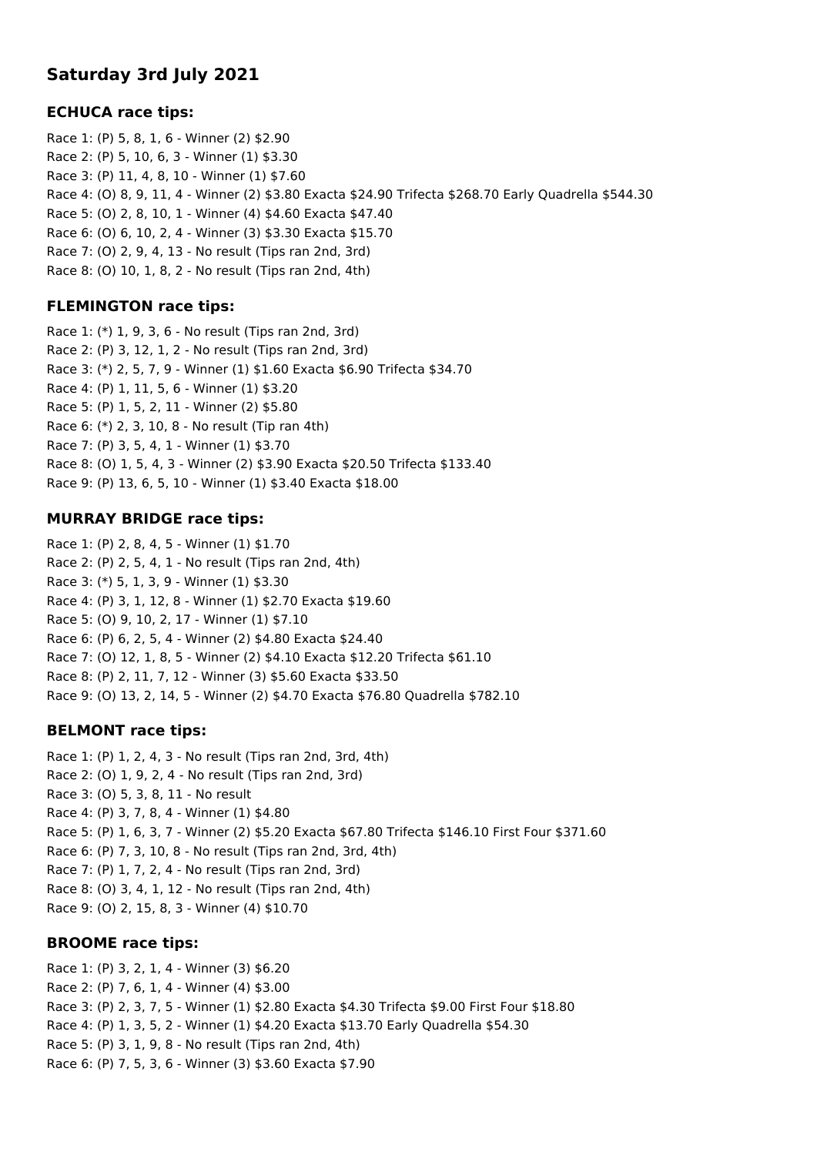# **Saturday 3rd July 2021**

## **ECHUCA race tips:**

Race 1: (P) 5, 8, 1, 6 - Winner (2) \$2.90 Race 2: (P) 5, 10, 6, 3 - Winner (1) \$3.30 Race 3: (P) 11, 4, 8, 10 - Winner (1) \$7.60 Race 4: (O) 8, 9, 11, 4 - Winner (2) \$3.80 Exacta \$24.90 Trifecta \$268.70 Early Quadrella \$544.30 Race 5: (O) 2, 8, 10, 1 - Winner (4) \$4.60 Exacta \$47.40 Race 6: (O) 6, 10, 2, 4 - Winner (3) \$3.30 Exacta \$15.70 Race 7: (O) 2, 9, 4, 13 - No result (Tips ran 2nd, 3rd) Race 8: (O) 10, 1, 8, 2 - No result (Tips ran 2nd, 4th)

# **FLEMINGTON race tips:**

Race 1: (\*) 1, 9, 3, 6 - No result (Tips ran 2nd, 3rd) Race 2: (P) 3, 12, 1, 2 - No result (Tips ran 2nd, 3rd) Race 3: (\*) 2, 5, 7, 9 - Winner (1) \$1.60 Exacta \$6.90 Trifecta \$34.70 Race 4: (P) 1, 11, 5, 6 - Winner (1) \$3.20 Race 5: (P) 1, 5, 2, 11 - Winner (2) \$5.80 Race 6: (\*) 2, 3, 10, 8 - No result (Tip ran 4th) Race 7: (P) 3, 5, 4, 1 - Winner (1) \$3.70 Race 8: (O) 1, 5, 4, 3 - Winner (2) \$3.90 Exacta \$20.50 Trifecta \$133.40 Race 9: (P) 13, 6, 5, 10 - Winner (1) \$3.40 Exacta \$18.00

# **MURRAY BRIDGE race tips:**

Race 1: (P) 2, 8, 4, 5 - Winner (1) \$1.70 Race 2: (P) 2, 5, 4, 1 - No result (Tips ran 2nd, 4th) Race 3: (\*) 5, 1, 3, 9 - Winner (1) \$3.30 Race 4: (P) 3, 1, 12, 8 - Winner (1) \$2.70 Exacta \$19.60 Race 5: (O) 9, 10, 2, 17 - Winner (1) \$7.10 Race 6: (P) 6, 2, 5, 4 - Winner (2) \$4.80 Exacta \$24.40 Race 7: (O) 12, 1, 8, 5 - Winner (2) \$4.10 Exacta \$12.20 Trifecta \$61.10 Race 8: (P) 2, 11, 7, 12 - Winner (3) \$5.60 Exacta \$33.50 Race 9: (O) 13, 2, 14, 5 - Winner (2) \$4.70 Exacta \$76.80 Quadrella \$782.10

# **BELMONT race tips:**

Race 1: (P) 1, 2, 4, 3 - No result (Tips ran 2nd, 3rd, 4th) Race 2: (O) 1, 9, 2, 4 - No result (Tips ran 2nd, 3rd) Race 3: (O) 5, 3, 8, 11 - No result Race 4: (P) 3, 7, 8, 4 - Winner (1) \$4.80 Race 5: (P) 1, 6, 3, 7 - Winner (2) \$5.20 Exacta \$67.80 Trifecta \$146.10 First Four \$371.60 Race 6: (P) 7, 3, 10, 8 - No result (Tips ran 2nd, 3rd, 4th) Race 7: (P) 1, 7, 2, 4 - No result (Tips ran 2nd, 3rd) Race 8: (O) 3, 4, 1, 12 - No result (Tips ran 2nd, 4th) Race 9: (O) 2, 15, 8, 3 - Winner (4) \$10.70

## **BROOME race tips:**

Race 1: (P) 3, 2, 1, 4 - Winner (3) \$6.20 Race 2: (P) 7, 6, 1, 4 - Winner (4) \$3.00 Race 3: (P) 2, 3, 7, 5 - Winner (1) \$2.80 Exacta \$4.30 Trifecta \$9.00 First Four \$18.80 Race 4: (P) 1, 3, 5, 2 - Winner (1) \$4.20 Exacta \$13.70 Early Quadrella \$54.30 Race 5: (P) 3, 1, 9, 8 - No result (Tips ran 2nd, 4th) Race 6: (P) 7, 5, 3, 6 - Winner (3) \$3.60 Exacta \$7.90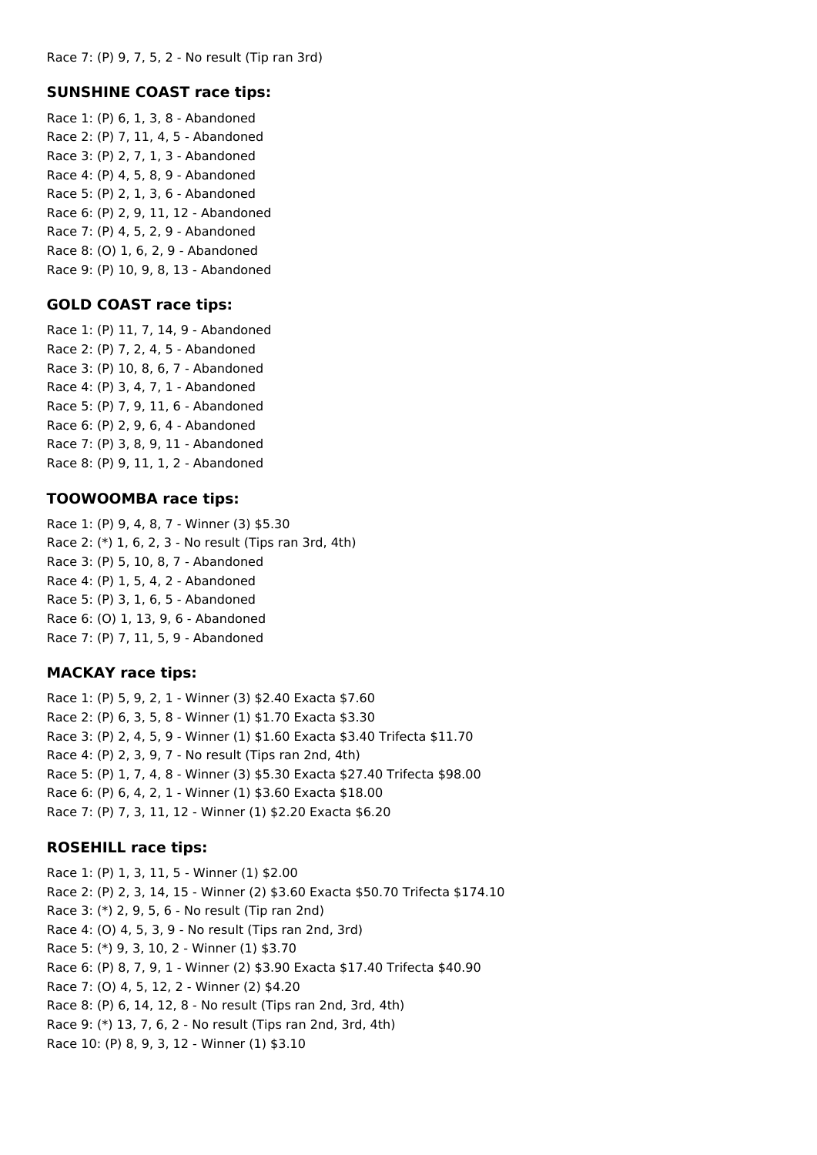#### **SUNSHINE COAST race tips:**

Race 1: (P) 6, 1, 3, 8 - Abandoned Race 2: (P) 7, 11, 4, 5 - Abandoned Race 3: (P) 2, 7, 1, 3 - Abandoned Race 4: (P) 4, 5, 8, 9 - Abandoned Race 5: (P) 2, 1, 3, 6 - Abandoned Race 6: (P) 2, 9, 11, 12 - Abandoned Race 7: (P) 4, 5, 2, 9 - Abandoned Race 8: (O) 1, 6, 2, 9 - Abandoned Race 9: (P) 10, 9, 8, 13 - Abandoned

#### **GOLD COAST race tips:**

Race 1: (P) 11, 7, 14, 9 - Abandoned Race 2: (P) 7, 2, 4, 5 - Abandoned Race 3: (P) 10, 8, 6, 7 - Abandoned Race 4: (P) 3, 4, 7, 1 - Abandoned Race 5: (P) 7, 9, 11, 6 - Abandoned Race 6: (P) 2, 9, 6, 4 - Abandoned Race 7: (P) 3, 8, 9, 11 - Abandoned Race 8: (P) 9, 11, 1, 2 - Abandoned

#### **TOOWOOMBA race tips:**

Race 1: (P) 9, 4, 8, 7 - Winner (3) \$5.30 Race 2: (\*) 1, 6, 2, 3 - No result (Tips ran 3rd, 4th) Race 3: (P) 5, 10, 8, 7 - Abandoned Race 4: (P) 1, 5, 4, 2 - Abandoned Race 5: (P) 3, 1, 6, 5 - Abandoned Race 6: (O) 1, 13, 9, 6 - Abandoned Race 7: (P) 7, 11, 5, 9 - Abandoned

#### **MACKAY race tips:**

Race 1: (P) 5, 9, 2, 1 - Winner (3) \$2.40 Exacta \$7.60 Race 2: (P) 6, 3, 5, 8 - Winner (1) \$1.70 Exacta \$3.30 Race 3: (P) 2, 4, 5, 9 - Winner (1) \$1.60 Exacta \$3.40 Trifecta \$11.70 Race 4: (P) 2, 3, 9, 7 - No result (Tips ran 2nd, 4th) Race 5: (P) 1, 7, 4, 8 - Winner (3) \$5.30 Exacta \$27.40 Trifecta \$98.00 Race 6: (P) 6, 4, 2, 1 - Winner (1) \$3.60 Exacta \$18.00 Race 7: (P) 7, 3, 11, 12 - Winner (1) \$2.20 Exacta \$6.20

## **ROSEHILL race tips:**

Race 1: (P) 1, 3, 11, 5 - Winner (1) \$2.00 Race 2: (P) 2, 3, 14, 15 - Winner (2) \$3.60 Exacta \$50.70 Trifecta \$174.10 Race 3: (\*) 2, 9, 5, 6 - No result (Tip ran 2nd) Race 4: (O) 4, 5, 3, 9 - No result (Tips ran 2nd, 3rd) Race 5: (\*) 9, 3, 10, 2 - Winner (1) \$3.70 Race 6: (P) 8, 7, 9, 1 - Winner (2) \$3.90 Exacta \$17.40 Trifecta \$40.90 Race 7: (O) 4, 5, 12, 2 - Winner (2) \$4.20 Race 8: (P) 6, 14, 12, 8 - No result (Tips ran 2nd, 3rd, 4th) Race 9: (\*) 13, 7, 6, 2 - No result (Tips ran 2nd, 3rd, 4th) Race 10: (P) 8, 9, 3, 12 - Winner (1) \$3.10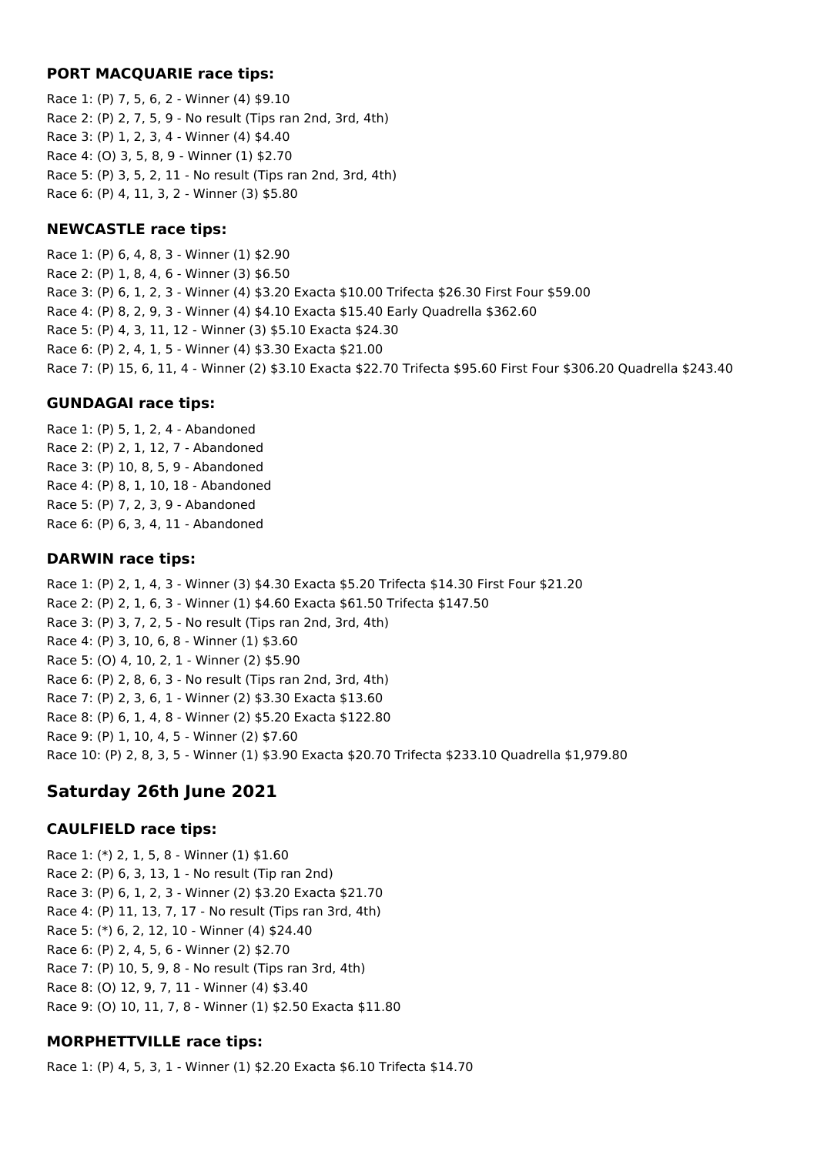#### **PORT MACQUARIE race tips:**

Race 1: (P) 7, 5, 6, 2 - Winner (4) \$9.10 Race 2: (P) 2, 7, 5, 9 - No result (Tips ran 2nd, 3rd, 4th) Race 3: (P) 1, 2, 3, 4 - Winner (4) \$4.40 Race 4: (O) 3, 5, 8, 9 - Winner (1) \$2.70 Race 5: (P) 3, 5, 2, 11 - No result (Tips ran 2nd, 3rd, 4th) Race 6: (P) 4, 11, 3, 2 - Winner (3) \$5.80

#### **NEWCASTLE race tips:**

Race 1: (P) 6, 4, 8, 3 - Winner (1) \$2.90 Race 2: (P) 1, 8, 4, 6 - Winner (3) \$6.50 Race 3: (P) 6, 1, 2, 3 - Winner (4) \$3.20 Exacta \$10.00 Trifecta \$26.30 First Four \$59.00 Race 4: (P) 8, 2, 9, 3 - Winner (4) \$4.10 Exacta \$15.40 Early Quadrella \$362.60 Race 5: (P) 4, 3, 11, 12 - Winner (3) \$5.10 Exacta \$24.30 Race 6: (P) 2, 4, 1, 5 - Winner (4) \$3.30 Exacta \$21.00 Race 7: (P) 15, 6, 11, 4 - Winner (2) \$3.10 Exacta \$22.70 Trifecta \$95.60 First Four \$306.20 Quadrella \$243.40

#### **GUNDAGAI race tips:**

Race 1: (P) 5, 1, 2, 4 - Abandoned Race 2: (P) 2, 1, 12, 7 - Abandoned Race 3: (P) 10, 8, 5, 9 - Abandoned Race 4: (P) 8, 1, 10, 18 - Abandoned Race 5: (P) 7, 2, 3, 9 - Abandoned Race 6: (P) 6, 3, 4, 11 - Abandoned

#### **DARWIN race tips:**

Race 1: (P) 2, 1, 4, 3 - Winner (3) \$4.30 Exacta \$5.20 Trifecta \$14.30 First Four \$21.20 Race 2: (P) 2, 1, 6, 3 - Winner (1) \$4.60 Exacta \$61.50 Trifecta \$147.50 Race 3: (P) 3, 7, 2, 5 - No result (Tips ran 2nd, 3rd, 4th) Race 4: (P) 3, 10, 6, 8 - Winner (1) \$3.60 Race 5: (O) 4, 10, 2, 1 - Winner (2) \$5.90 Race 6: (P) 2, 8, 6, 3 - No result (Tips ran 2nd, 3rd, 4th) Race 7: (P) 2, 3, 6, 1 - Winner (2) \$3.30 Exacta \$13.60 Race 8: (P) 6, 1, 4, 8 - Winner (2) \$5.20 Exacta \$122.80 Race 9: (P) 1, 10, 4, 5 - Winner (2) \$7.60 Race 10: (P) 2, 8, 3, 5 - Winner (1) \$3.90 Exacta \$20.70 Trifecta \$233.10 Quadrella \$1,979.80

# **Saturday 26th June 2021**

#### **CAULFIELD race tips:**

Race 1: (\*) 2, 1, 5, 8 - Winner (1) \$1.60 Race 2: (P) 6, 3, 13, 1 - No result (Tip ran 2nd) Race 3: (P) 6, 1, 2, 3 - Winner (2) \$3.20 Exacta \$21.70 Race 4: (P) 11, 13, 7, 17 - No result (Tips ran 3rd, 4th) Race 5: (\*) 6, 2, 12, 10 - Winner (4) \$24.40 Race 6: (P) 2, 4, 5, 6 - Winner (2) \$2.70 Race 7: (P) 10, 5, 9, 8 - No result (Tips ran 3rd, 4th) Race 8: (O) 12, 9, 7, 11 - Winner (4) \$3.40 Race 9: (O) 10, 11, 7, 8 - Winner (1) \$2.50 Exacta \$11.80

## **MORPHETTVILLE race tips:**

Race 1: (P) 4, 5, 3, 1 - Winner (1) \$2.20 Exacta \$6.10 Trifecta \$14.70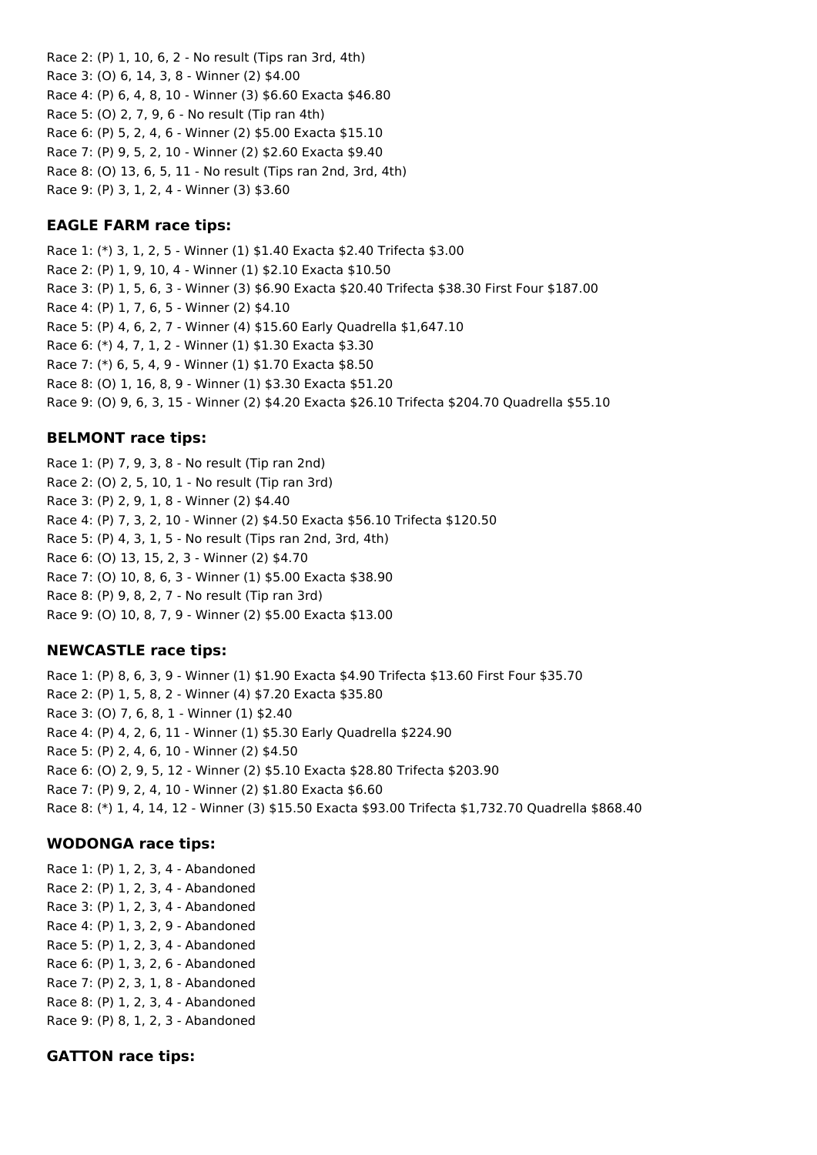Race 2: (P) 1, 10, 6, 2 - No result (Tips ran 3rd, 4th) Race 3: (O) 6, 14, 3, 8 - Winner (2) \$4.00 Race 4: (P) 6, 4, 8, 10 - Winner (3) \$6.60 Exacta \$46.80 Race 5: (O) 2, 7, 9, 6 - No result (Tip ran 4th) Race 6: (P) 5, 2, 4, 6 - Winner (2) \$5.00 Exacta \$15.10 Race 7: (P) 9, 5, 2, 10 - Winner (2) \$2.60 Exacta \$9.40 Race 8: (O) 13, 6, 5, 11 - No result (Tips ran 2nd, 3rd, 4th) Race 9: (P) 3, 1, 2, 4 - Winner (3) \$3.60

#### **EAGLE FARM race tips:**

Race 1: (\*) 3, 1, 2, 5 - Winner (1) \$1.40 Exacta \$2.40 Trifecta \$3.00 Race 2: (P) 1, 9, 10, 4 - Winner (1) \$2.10 Exacta \$10.50 Race 3: (P) 1, 5, 6, 3 - Winner (3) \$6.90 Exacta \$20.40 Trifecta \$38.30 First Four \$187.00 Race 4: (P) 1, 7, 6, 5 - Winner (2) \$4.10 Race 5: (P) 4, 6, 2, 7 - Winner (4) \$15.60 Early Quadrella \$1,647.10 Race 6: (\*) 4, 7, 1, 2 - Winner (1) \$1.30 Exacta \$3.30 Race 7: (\*) 6, 5, 4, 9 - Winner (1) \$1.70 Exacta \$8.50 Race 8: (O) 1, 16, 8, 9 - Winner (1) \$3.30 Exacta \$51.20 Race 9: (O) 9, 6, 3, 15 - Winner (2) \$4.20 Exacta \$26.10 Trifecta \$204.70 Quadrella \$55.10

## **BELMONT race tips:**

Race 1: (P) 7, 9, 3, 8 - No result (Tip ran 2nd) Race 2: (O) 2, 5, 10, 1 - No result (Tip ran 3rd) Race 3: (P) 2, 9, 1, 8 - Winner (2) \$4.40 Race 4: (P) 7, 3, 2, 10 - Winner (2) \$4.50 Exacta \$56.10 Trifecta \$120.50 Race 5: (P) 4, 3, 1, 5 - No result (Tips ran 2nd, 3rd, 4th) Race 6: (O) 13, 15, 2, 3 - Winner (2) \$4.70 Race 7: (O) 10, 8, 6, 3 - Winner (1) \$5.00 Exacta \$38.90 Race 8: (P) 9, 8, 2, 7 - No result (Tip ran 3rd) Race 9: (O) 10, 8, 7, 9 - Winner (2) \$5.00 Exacta \$13.00

## **NEWCASTLE race tips:**

Race 1: (P) 8, 6, 3, 9 - Winner (1) \$1.90 Exacta \$4.90 Trifecta \$13.60 First Four \$35.70 Race 2: (P) 1, 5, 8, 2 - Winner (4) \$7.20 Exacta \$35.80 Race 3: (O) 7, 6, 8, 1 - Winner (1) \$2.40 Race 4: (P) 4, 2, 6, 11 - Winner (1) \$5.30 Early Quadrella \$224.90 Race 5: (P) 2, 4, 6, 10 - Winner (2) \$4.50 Race 6: (O) 2, 9, 5, 12 - Winner (2) \$5.10 Exacta \$28.80 Trifecta \$203.90 Race 7: (P) 9, 2, 4, 10 - Winner (2) \$1.80 Exacta \$6.60 Race 8: (\*) 1, 4, 14, 12 - Winner (3) \$15.50 Exacta \$93.00 Trifecta \$1,732.70 Quadrella \$868.40

## **WODONGA race tips:**

Race 1: (P) 1, 2, 3, 4 - Abandoned Race 2: (P) 1, 2, 3, 4 - Abandoned Race 3: (P) 1, 2, 3, 4 - Abandoned Race 4: (P) 1, 3, 2, 9 - Abandoned Race 5: (P) 1, 2, 3, 4 - Abandoned Race 6: (P) 1, 3, 2, 6 - Abandoned Race 7: (P) 2, 3, 1, 8 - Abandoned Race 8: (P) 1, 2, 3, 4 - Abandoned Race 9: (P) 8, 1, 2, 3 - Abandoned

## **GATTON race tips:**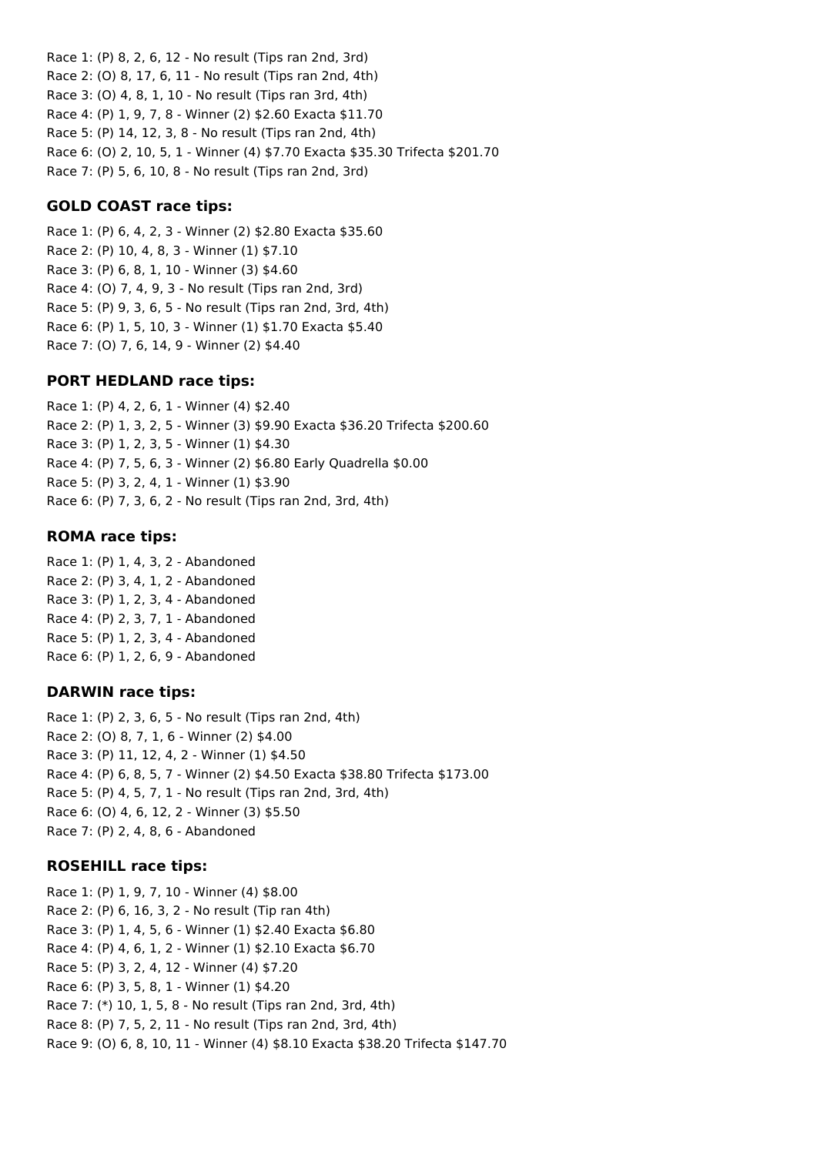Race 1: (P) 8, 2, 6, 12 - No result (Tips ran 2nd, 3rd) Race 2: (O) 8, 17, 6, 11 - No result (Tips ran 2nd, 4th) Race 3: (O) 4, 8, 1, 10 - No result (Tips ran 3rd, 4th) Race 4: (P) 1, 9, 7, 8 - Winner (2) \$2.60 Exacta \$11.70 Race 5: (P) 14, 12, 3, 8 - No result (Tips ran 2nd, 4th) Race 6: (O) 2, 10, 5, 1 - Winner (4) \$7.70 Exacta \$35.30 Trifecta \$201.70 Race 7: (P) 5, 6, 10, 8 - No result (Tips ran 2nd, 3rd)

#### **GOLD COAST race tips:**

Race 1: (P) 6, 4, 2, 3 - Winner (2) \$2.80 Exacta \$35.60 Race 2: (P) 10, 4, 8, 3 - Winner (1) \$7.10 Race 3: (P) 6, 8, 1, 10 - Winner (3) \$4.60 Race 4: (O) 7, 4, 9, 3 - No result (Tips ran 2nd, 3rd) Race 5: (P) 9, 3, 6, 5 - No result (Tips ran 2nd, 3rd, 4th) Race 6: (P) 1, 5, 10, 3 - Winner (1) \$1.70 Exacta \$5.40 Race 7: (O) 7, 6, 14, 9 - Winner (2) \$4.40

#### **PORT HEDLAND race tips:**

Race 1: (P) 4, 2, 6, 1 - Winner (4) \$2.40 Race 2: (P) 1, 3, 2, 5 - Winner (3) \$9.90 Exacta \$36.20 Trifecta \$200.60 Race 3: (P) 1, 2, 3, 5 - Winner (1) \$4.30 Race 4: (P) 7, 5, 6, 3 - Winner (2) \$6.80 Early Quadrella \$0.00 Race 5: (P) 3, 2, 4, 1 - Winner (1) \$3.90 Race 6: (P) 7, 3, 6, 2 - No result (Tips ran 2nd, 3rd, 4th)

#### **ROMA race tips:**

Race 1: (P) 1, 4, 3, 2 - Abandoned Race 2: (P) 3, 4, 1, 2 - Abandoned Race 3: (P) 1, 2, 3, 4 - Abandoned Race 4: (P) 2, 3, 7, 1 - Abandoned Race 5: (P) 1, 2, 3, 4 - Abandoned Race 6: (P) 1, 2, 6, 9 - Abandoned

#### **DARWIN race tips:**

Race 1: (P) 2, 3, 6, 5 - No result (Tips ran 2nd, 4th) Race 2: (O) 8, 7, 1, 6 - Winner (2) \$4.00 Race 3: (P) 11, 12, 4, 2 - Winner (1) \$4.50 Race 4: (P) 6, 8, 5, 7 - Winner (2) \$4.50 Exacta \$38.80 Trifecta \$173.00 Race 5: (P) 4, 5, 7, 1 - No result (Tips ran 2nd, 3rd, 4th) Race 6: (O) 4, 6, 12, 2 - Winner (3) \$5.50 Race 7: (P) 2, 4, 8, 6 - Abandoned

#### **ROSEHILL race tips:**

Race 1: (P) 1, 9, 7, 10 - Winner (4) \$8.00 Race 2: (P) 6, 16, 3, 2 - No result (Tip ran 4th) Race 3: (P) 1, 4, 5, 6 - Winner (1) \$2.40 Exacta \$6.80 Race 4: (P) 4, 6, 1, 2 - Winner (1) \$2.10 Exacta \$6.70 Race 5: (P) 3, 2, 4, 12 - Winner (4) \$7.20 Race 6: (P) 3, 5, 8, 1 - Winner (1) \$4.20 Race 7: (\*) 10, 1, 5, 8 - No result (Tips ran 2nd, 3rd, 4th) Race 8: (P) 7, 5, 2, 11 - No result (Tips ran 2nd, 3rd, 4th) Race 9: (O) 6, 8, 10, 11 - Winner (4) \$8.10 Exacta \$38.20 Trifecta \$147.70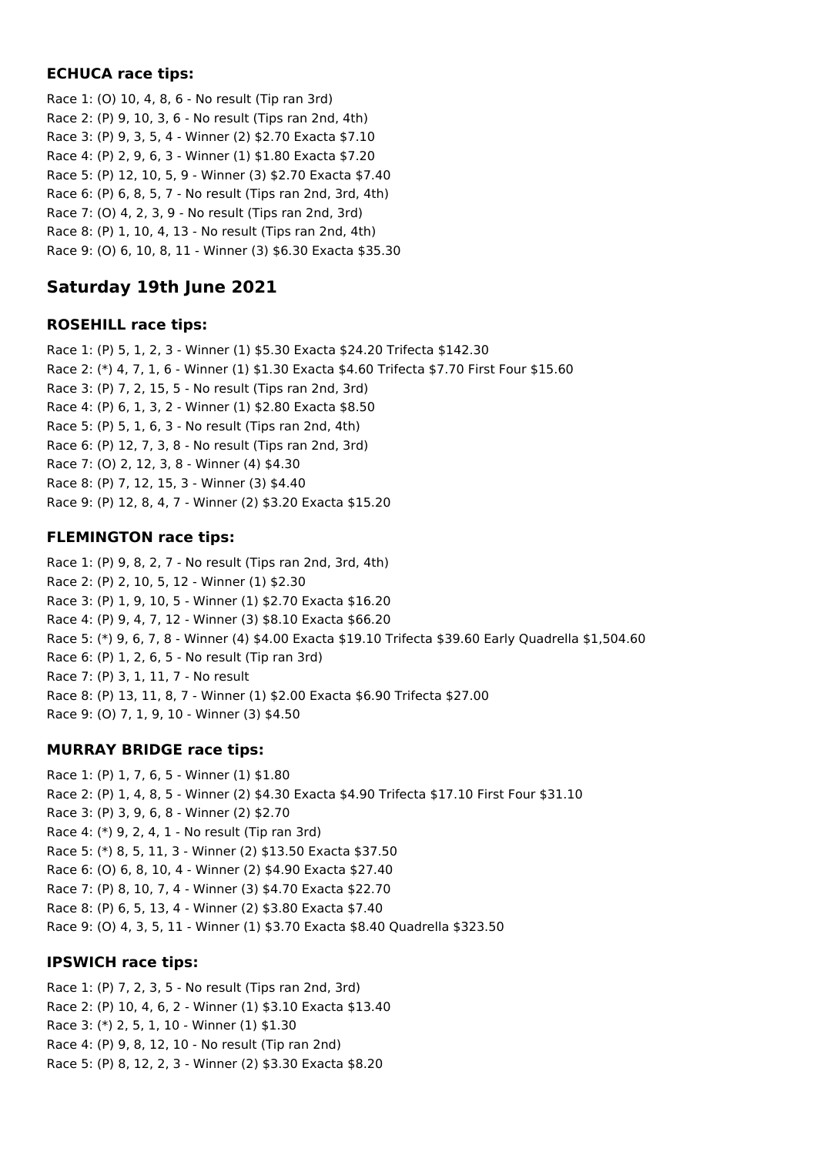## **ECHUCA race tips:**

Race 1: (O) 10, 4, 8, 6 - No result (Tip ran 3rd) Race 2: (P) 9, 10, 3, 6 - No result (Tips ran 2nd, 4th) Race 3: (P) 9, 3, 5, 4 - Winner (2) \$2.70 Exacta \$7.10 Race 4: (P) 2, 9, 6, 3 - Winner (1) \$1.80 Exacta \$7.20 Race 5: (P) 12, 10, 5, 9 - Winner (3) \$2.70 Exacta \$7.40 Race 6: (P) 6, 8, 5, 7 - No result (Tips ran 2nd, 3rd, 4th) Race 7: (O) 4, 2, 3, 9 - No result (Tips ran 2nd, 3rd) Race 8: (P) 1, 10, 4, 13 - No result (Tips ran 2nd, 4th) Race 9: (O) 6, 10, 8, 11 - Winner (3) \$6.30 Exacta \$35.30

# **Saturday 19th June 2021**

## **ROSEHILL race tips:**

Race 1: (P) 5, 1, 2, 3 - Winner (1) \$5.30 Exacta \$24.20 Trifecta \$142.30 Race 2: (\*) 4, 7, 1, 6 - Winner (1) \$1.30 Exacta \$4.60 Trifecta \$7.70 First Four \$15.60 Race 3: (P) 7, 2, 15, 5 - No result (Tips ran 2nd, 3rd) Race 4: (P) 6, 1, 3, 2 - Winner (1) \$2.80 Exacta \$8.50 Race 5: (P) 5, 1, 6, 3 - No result (Tips ran 2nd, 4th) Race 6: (P) 12, 7, 3, 8 - No result (Tips ran 2nd, 3rd) Race 7: (O) 2, 12, 3, 8 - Winner (4) \$4.30 Race 8: (P) 7, 12, 15, 3 - Winner (3) \$4.40 Race 9: (P) 12, 8, 4, 7 - Winner (2) \$3.20 Exacta \$15.20

# **FLEMINGTON race tips:**

Race 1: (P) 9, 8, 2, 7 - No result (Tips ran 2nd, 3rd, 4th) Race 2: (P) 2, 10, 5, 12 - Winner (1) \$2.30 Race 3: (P) 1, 9, 10, 5 - Winner (1) \$2.70 Exacta \$16.20 Race 4: (P) 9, 4, 7, 12 - Winner (3) \$8.10 Exacta \$66.20 Race 5: (\*) 9, 6, 7, 8 - Winner (4) \$4.00 Exacta \$19.10 Trifecta \$39.60 Early Quadrella \$1,504.60 Race 6: (P) 1, 2, 6, 5 - No result (Tip ran 3rd) Race 7: (P) 3, 1, 11, 7 - No result Race 8: (P) 13, 11, 8, 7 - Winner (1) \$2.00 Exacta \$6.90 Trifecta \$27.00 Race 9: (O) 7, 1, 9, 10 - Winner (3) \$4.50

# **MURRAY BRIDGE race tips:**

Race 1: (P) 1, 7, 6, 5 - Winner (1) \$1.80 Race 2: (P) 1, 4, 8, 5 - Winner (2) \$4.30 Exacta \$4.90 Trifecta \$17.10 First Four \$31.10 Race 3: (P) 3, 9, 6, 8 - Winner (2) \$2.70 Race 4: (\*) 9, 2, 4, 1 - No result (Tip ran 3rd) Race 5: (\*) 8, 5, 11, 3 - Winner (2) \$13.50 Exacta \$37.50 Race 6: (O) 6, 8, 10, 4 - Winner (2) \$4.90 Exacta \$27.40 Race 7: (P) 8, 10, 7, 4 - Winner (3) \$4.70 Exacta \$22.70 Race 8: (P) 6, 5, 13, 4 - Winner (2) \$3.80 Exacta \$7.40 Race 9: (O) 4, 3, 5, 11 - Winner (1) \$3.70 Exacta \$8.40 Quadrella \$323.50

# **IPSWICH race tips:**

Race 1: (P) 7, 2, 3, 5 - No result (Tips ran 2nd, 3rd) Race 2: (P) 10, 4, 6, 2 - Winner (1) \$3.10 Exacta \$13.40 Race 3: (\*) 2, 5, 1, 10 - Winner (1) \$1.30 Race 4: (P) 9, 8, 12, 10 - No result (Tip ran 2nd) Race 5: (P) 8, 12, 2, 3 - Winner (2) \$3.30 Exacta \$8.20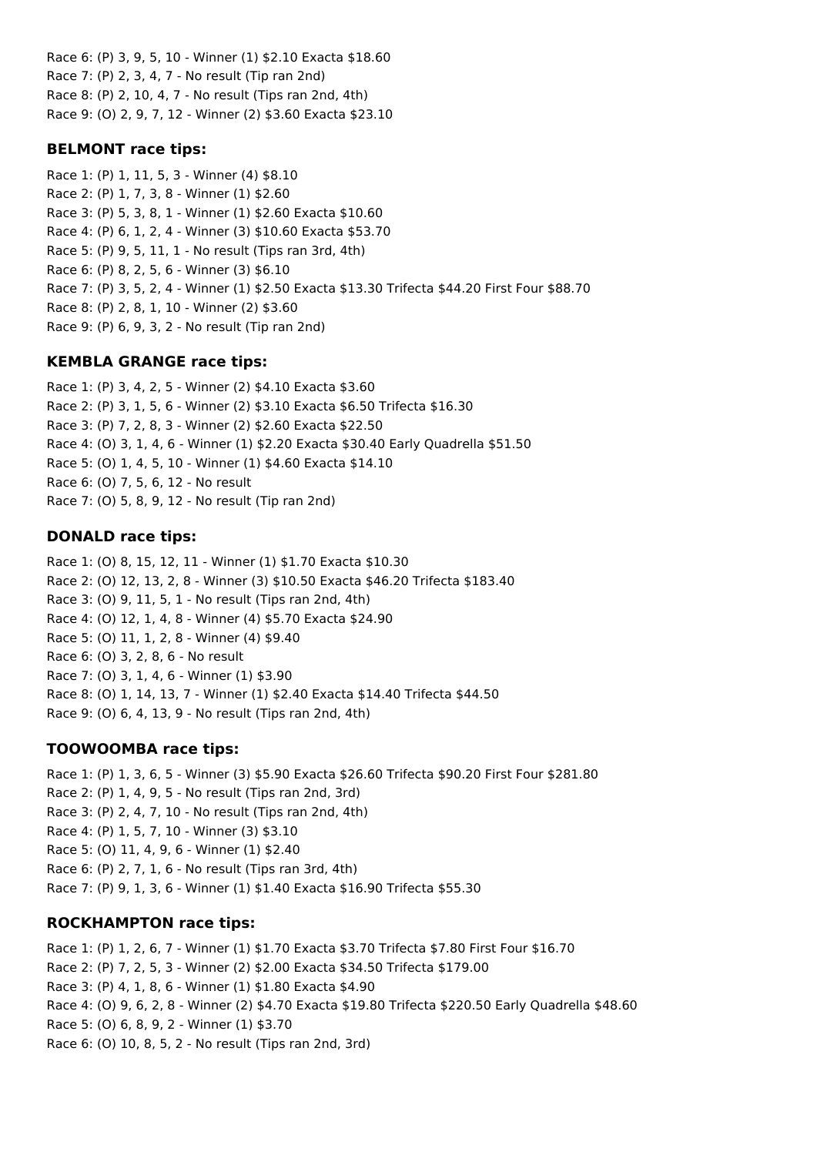Race 6: (P) 3, 9, 5, 10 - Winner (1) \$2.10 Exacta \$18.60 Race 7: (P) 2, 3, 4, 7 - No result (Tip ran 2nd) Race 8: (P) 2, 10, 4, 7 - No result (Tips ran 2nd, 4th) Race 9: (O) 2, 9, 7, 12 - Winner (2) \$3.60 Exacta \$23.10

## **BELMONT race tips:**

Race 1: (P) 1, 11, 5, 3 - Winner (4) \$8.10 Race 2: (P) 1, 7, 3, 8 - Winner (1) \$2.60 Race 3: (P) 5, 3, 8, 1 - Winner (1) \$2.60 Exacta \$10.60 Race 4: (P) 6, 1, 2, 4 - Winner (3) \$10.60 Exacta \$53.70 Race 5: (P) 9, 5, 11, 1 - No result (Tips ran 3rd, 4th) Race 6: (P) 8, 2, 5, 6 - Winner (3) \$6.10 Race 7: (P) 3, 5, 2, 4 - Winner (1) \$2.50 Exacta \$13.30 Trifecta \$44.20 First Four \$88.70 Race 8: (P) 2, 8, 1, 10 - Winner (2) \$3.60 Race 9: (P) 6, 9, 3, 2 - No result (Tip ran 2nd)

# **KEMBLA GRANGE race tips:**

Race 1: (P) 3, 4, 2, 5 - Winner (2) \$4.10 Exacta \$3.60 Race 2: (P) 3, 1, 5, 6 - Winner (2) \$3.10 Exacta \$6.50 Trifecta \$16.30 Race 3: (P) 7, 2, 8, 3 - Winner (2) \$2.60 Exacta \$22.50 Race 4: (O) 3, 1, 4, 6 - Winner (1) \$2.20 Exacta \$30.40 Early Quadrella \$51.50 Race 5: (O) 1, 4, 5, 10 - Winner (1) \$4.60 Exacta \$14.10 Race 6: (O) 7, 5, 6, 12 - No result Race 7: (O) 5, 8, 9, 12 - No result (Tip ran 2nd)

# **DONALD race tips:**

Race 1: (O) 8, 15, 12, 11 - Winner (1) \$1.70 Exacta \$10.30 Race 2: (O) 12, 13, 2, 8 - Winner (3) \$10.50 Exacta \$46.20 Trifecta \$183.40 Race 3: (O) 9, 11, 5, 1 - No result (Tips ran 2nd, 4th) Race 4: (O) 12, 1, 4, 8 - Winner (4) \$5.70 Exacta \$24.90 Race 5: (O) 11, 1, 2, 8 - Winner (4) \$9.40 Race 6: (O) 3, 2, 8, 6 - No result Race 7: (O) 3, 1, 4, 6 - Winner (1) \$3.90 Race 8: (O) 1, 14, 13, 7 - Winner (1) \$2.40 Exacta \$14.40 Trifecta \$44.50 Race 9: (O) 6, 4, 13, 9 - No result (Tips ran 2nd, 4th)

# **TOOWOOMBA race tips:**

Race 1: (P) 1, 3, 6, 5 - Winner (3) \$5.90 Exacta \$26.60 Trifecta \$90.20 First Four \$281.80 Race 2: (P) 1, 4, 9, 5 - No result (Tips ran 2nd, 3rd) Race 3: (P) 2, 4, 7, 10 - No result (Tips ran 2nd, 4th) Race 4: (P) 1, 5, 7, 10 - Winner (3) \$3.10 Race 5: (O) 11, 4, 9, 6 - Winner (1) \$2.40 Race 6: (P) 2, 7, 1, 6 - No result (Tips ran 3rd, 4th) Race 7: (P) 9, 1, 3, 6 - Winner (1) \$1.40 Exacta \$16.90 Trifecta \$55.30

# **ROCKHAMPTON race tips:**

Race 1: (P) 1, 2, 6, 7 - Winner (1) \$1.70 Exacta \$3.70 Trifecta \$7.80 First Four \$16.70 Race 2: (P) 7, 2, 5, 3 - Winner (2) \$2.00 Exacta \$34.50 Trifecta \$179.00 Race 3: (P) 4, 1, 8, 6 - Winner (1) \$1.80 Exacta \$4.90 Race 4: (O) 9, 6, 2, 8 - Winner (2) \$4.70 Exacta \$19.80 Trifecta \$220.50 Early Quadrella \$48.60 Race 5: (O) 6, 8, 9, 2 - Winner (1) \$3.70 Race 6: (O) 10, 8, 5, 2 - No result (Tips ran 2nd, 3rd)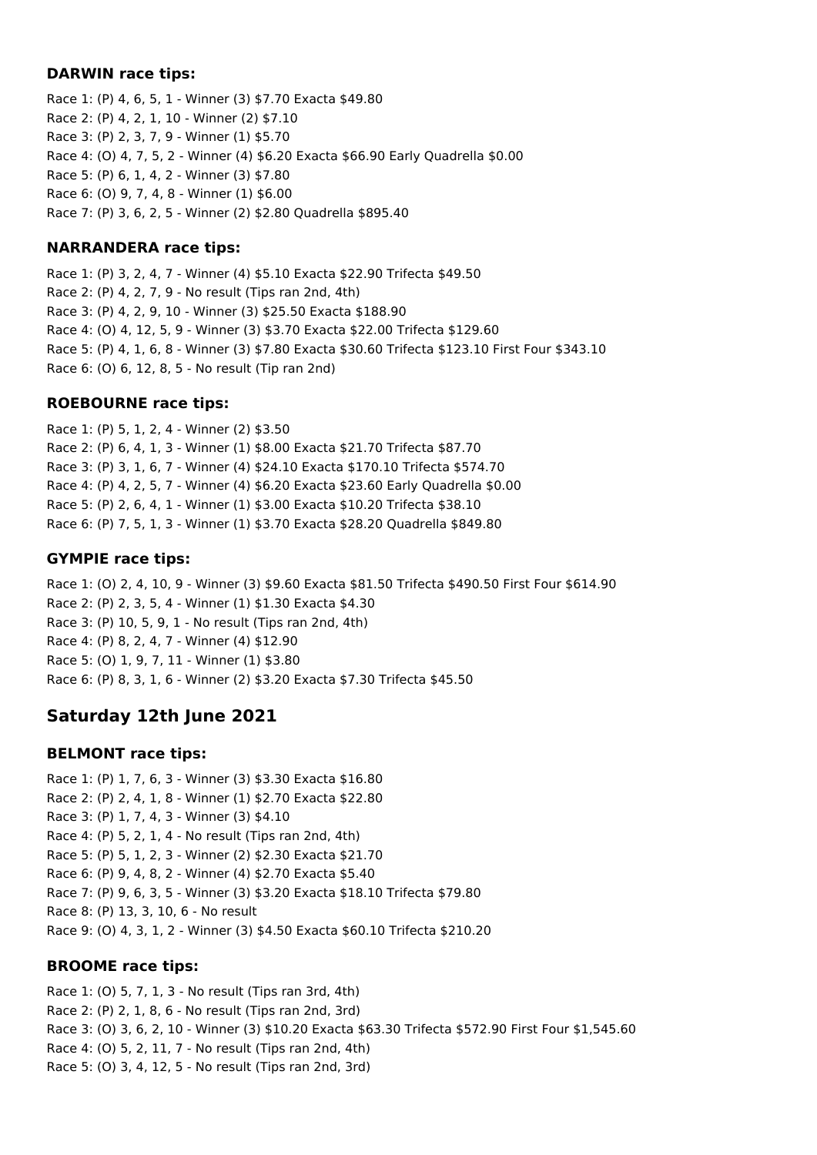#### **DARWIN race tips:**

Race 1: (P) 4, 6, 5, 1 - Winner (3) \$7.70 Exacta \$49.80 Race 2: (P) 4, 2, 1, 10 - Winner (2) \$7.10 Race 3: (P) 2, 3, 7, 9 - Winner (1) \$5.70 Race 4: (O) 4, 7, 5, 2 - Winner (4) \$6.20 Exacta \$66.90 Early Quadrella \$0.00 Race 5: (P) 6, 1, 4, 2 - Winner (3) \$7.80 Race 6: (O) 9, 7, 4, 8 - Winner (1) \$6.00 Race 7: (P) 3, 6, 2, 5 - Winner (2) \$2.80 Quadrella \$895.40

## **NARRANDERA race tips:**

Race 1: (P) 3, 2, 4, 7 - Winner (4) \$5.10 Exacta \$22.90 Trifecta \$49.50 Race 2: (P) 4, 2, 7, 9 - No result (Tips ran 2nd, 4th) Race 3: (P) 4, 2, 9, 10 - Winner (3) \$25.50 Exacta \$188.90 Race 4: (O) 4, 12, 5, 9 - Winner (3) \$3.70 Exacta \$22.00 Trifecta \$129.60 Race 5: (P) 4, 1, 6, 8 - Winner (3) \$7.80 Exacta \$30.60 Trifecta \$123.10 First Four \$343.10 Race 6: (O) 6, 12, 8, 5 - No result (Tip ran 2nd)

## **ROEBOURNE race tips:**

Race 1: (P) 5, 1, 2, 4 - Winner (2) \$3.50 Race 2: (P) 6, 4, 1, 3 - Winner (1) \$8.00 Exacta \$21.70 Trifecta \$87.70 Race 3: (P) 3, 1, 6, 7 - Winner (4) \$24.10 Exacta \$170.10 Trifecta \$574.70 Race 4: (P) 4, 2, 5, 7 - Winner (4) \$6.20 Exacta \$23.60 Early Quadrella \$0.00 Race 5: (P) 2, 6, 4, 1 - Winner (1) \$3.00 Exacta \$10.20 Trifecta \$38.10 Race 6: (P) 7, 5, 1, 3 - Winner (1) \$3.70 Exacta \$28.20 Quadrella \$849.80

# **GYMPIE race tips:**

Race 1: (O) 2, 4, 10, 9 - Winner (3) \$9.60 Exacta \$81.50 Trifecta \$490.50 First Four \$614.90 Race 2: (P) 2, 3, 5, 4 - Winner (1) \$1.30 Exacta \$4.30 Race 3: (P) 10, 5, 9, 1 - No result (Tips ran 2nd, 4th) Race 4: (P) 8, 2, 4, 7 - Winner (4) \$12.90 Race 5: (O) 1, 9, 7, 11 - Winner (1) \$3.80 Race 6: (P) 8, 3, 1, 6 - Winner (2) \$3.20 Exacta \$7.30 Trifecta \$45.50

# **Saturday 12th June 2021**

# **BELMONT race tips:**

Race 1: (P) 1, 7, 6, 3 - Winner (3) \$3.30 Exacta \$16.80 Race 2: (P) 2, 4, 1, 8 - Winner (1) \$2.70 Exacta \$22.80 Race 3: (P) 1, 7, 4, 3 - Winner (3) \$4.10 Race 4: (P) 5, 2, 1, 4 - No result (Tips ran 2nd, 4th) Race 5: (P) 5, 1, 2, 3 - Winner (2) \$2.30 Exacta \$21.70 Race 6: (P) 9, 4, 8, 2 - Winner (4) \$2.70 Exacta \$5.40 Race 7: (P) 9, 6, 3, 5 - Winner (3) \$3.20 Exacta \$18.10 Trifecta \$79.80 Race 8: (P) 13, 3, 10, 6 - No result Race 9: (O) 4, 3, 1, 2 - Winner (3) \$4.50 Exacta \$60.10 Trifecta \$210.20

# **BROOME race tips:**

Race 1: (O) 5, 7, 1, 3 - No result (Tips ran 3rd, 4th) Race 2: (P) 2, 1, 8, 6 - No result (Tips ran 2nd, 3rd) Race 3: (O) 3, 6, 2, 10 - Winner (3) \$10.20 Exacta \$63.30 Trifecta \$572.90 First Four \$1,545.60 Race 4: (O) 5, 2, 11, 7 - No result (Tips ran 2nd, 4th) Race 5: (O) 3, 4, 12, 5 - No result (Tips ran 2nd, 3rd)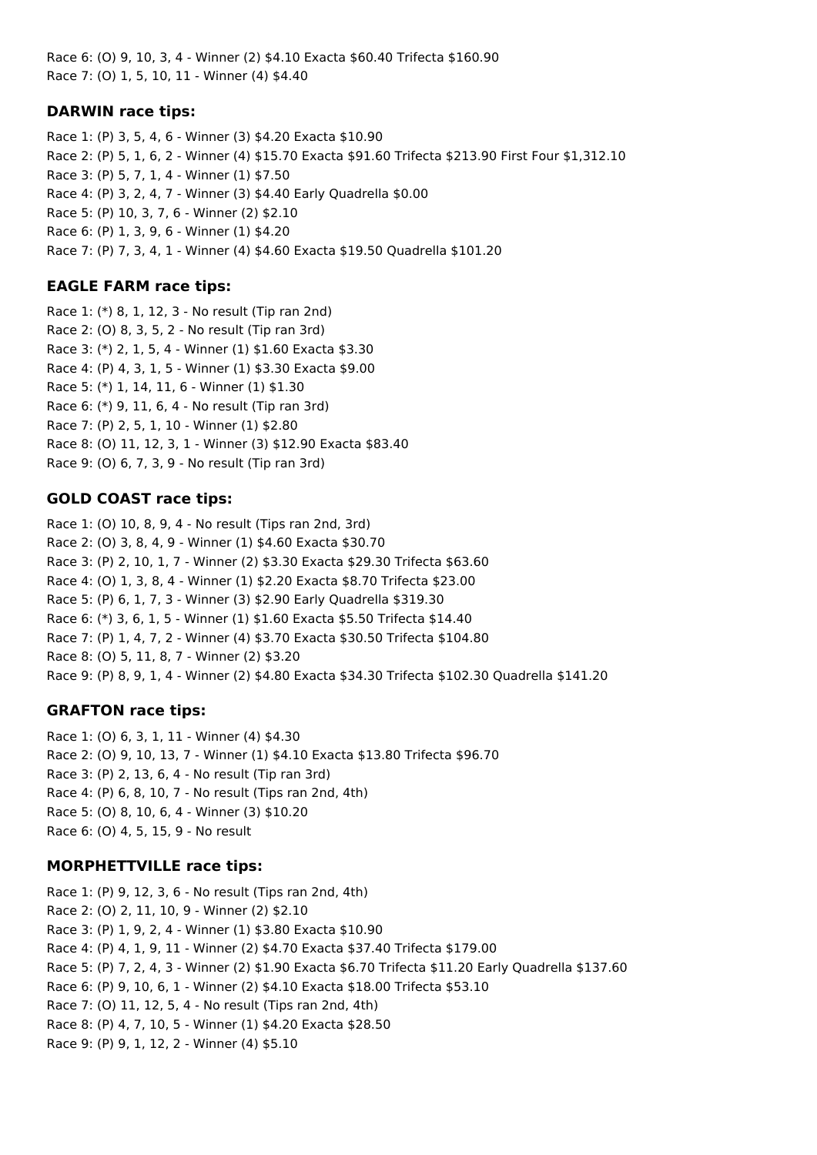Race 6: (O) 9, 10, 3, 4 - Winner (2) \$4.10 Exacta \$60.40 Trifecta \$160.90 Race 7: (O) 1, 5, 10, 11 - Winner (4) \$4.40

#### **DARWIN race tips:**

Race 1: (P) 3, 5, 4, 6 - Winner (3) \$4.20 Exacta \$10.90 Race 2: (P) 5, 1, 6, 2 - Winner (4) \$15.70 Exacta \$91.60 Trifecta \$213.90 First Four \$1,312.10 Race 3: (P) 5, 7, 1, 4 - Winner (1) \$7.50 Race 4: (P) 3, 2, 4, 7 - Winner (3) \$4.40 Early Quadrella \$0.00 Race 5: (P) 10, 3, 7, 6 - Winner (2) \$2.10 Race 6: (P) 1, 3, 9, 6 - Winner (1) \$4.20 Race 7: (P) 7, 3, 4, 1 - Winner (4) \$4.60 Exacta \$19.50 Quadrella \$101.20

## **EAGLE FARM race tips:**

Race 1: (\*) 8, 1, 12, 3 - No result (Tip ran 2nd) Race 2: (O) 8, 3, 5, 2 - No result (Tip ran 3rd) Race 3: (\*) 2, 1, 5, 4 - Winner (1) \$1.60 Exacta \$3.30 Race 4: (P) 4, 3, 1, 5 - Winner (1) \$3.30 Exacta \$9.00 Race 5: (\*) 1, 14, 11, 6 - Winner (1) \$1.30 Race 6: (\*) 9, 11, 6, 4 - No result (Tip ran 3rd) Race 7: (P) 2, 5, 1, 10 - Winner (1) \$2.80 Race 8: (O) 11, 12, 3, 1 - Winner (3) \$12.90 Exacta \$83.40 Race 9: (O) 6, 7, 3, 9 - No result (Tip ran 3rd)

#### **GOLD COAST race tips:**

Race 1: (O) 10, 8, 9, 4 - No result (Tips ran 2nd, 3rd) Race 2: (O) 3, 8, 4, 9 - Winner (1) \$4.60 Exacta \$30.70 Race 3: (P) 2, 10, 1, 7 - Winner (2) \$3.30 Exacta \$29.30 Trifecta \$63.60 Race 4: (O) 1, 3, 8, 4 - Winner (1) \$2.20 Exacta \$8.70 Trifecta \$23.00 Race 5: (P) 6, 1, 7, 3 - Winner (3) \$2.90 Early Quadrella \$319.30 Race 6: (\*) 3, 6, 1, 5 - Winner (1) \$1.60 Exacta \$5.50 Trifecta \$14.40 Race 7: (P) 1, 4, 7, 2 - Winner (4) \$3.70 Exacta \$30.50 Trifecta \$104.80 Race 8: (O) 5, 11, 8, 7 - Winner (2) \$3.20 Race 9: (P) 8, 9, 1, 4 - Winner (2) \$4.80 Exacta \$34.30 Trifecta \$102.30 Quadrella \$141.20

## **GRAFTON race tips:**

Race 1: (O) 6, 3, 1, 11 - Winner (4) \$4.30 Race 2: (0) 9, 10, 13, 7 - Winner (1) \$4.10 Exacta \$13.80 Trifecta \$96.70 Race 3: (P) 2, 13, 6, 4 - No result (Tip ran 3rd) Race 4: (P) 6, 8, 10, 7 - No result (Tips ran 2nd, 4th) Race 5: (O) 8, 10, 6, 4 - Winner (3) \$10.20 Race 6: (O) 4, 5, 15, 9 - No result

#### **MORPHETTVILLE race tips:**

Race 1: (P) 9, 12, 3, 6 - No result (Tips ran 2nd, 4th) Race 2: (O) 2, 11, 10, 9 - Winner (2) \$2.10 Race 3: (P) 1, 9, 2, 4 - Winner (1) \$3.80 Exacta \$10.90 Race 4: (P) 4, 1, 9, 11 - Winner (2) \$4.70 Exacta \$37.40 Trifecta \$179.00 Race 5: (P) 7, 2, 4, 3 - Winner (2) \$1.90 Exacta \$6.70 Trifecta \$11.20 Early Quadrella \$137.60 Race 6: (P) 9, 10, 6, 1 - Winner (2) \$4.10 Exacta \$18.00 Trifecta \$53.10 Race 7: (O) 11, 12, 5, 4 - No result (Tips ran 2nd, 4th) Race 8: (P) 4, 7, 10, 5 - Winner (1) \$4.20 Exacta \$28.50 Race 9: (P) 9, 1, 12, 2 - Winner (4) \$5.10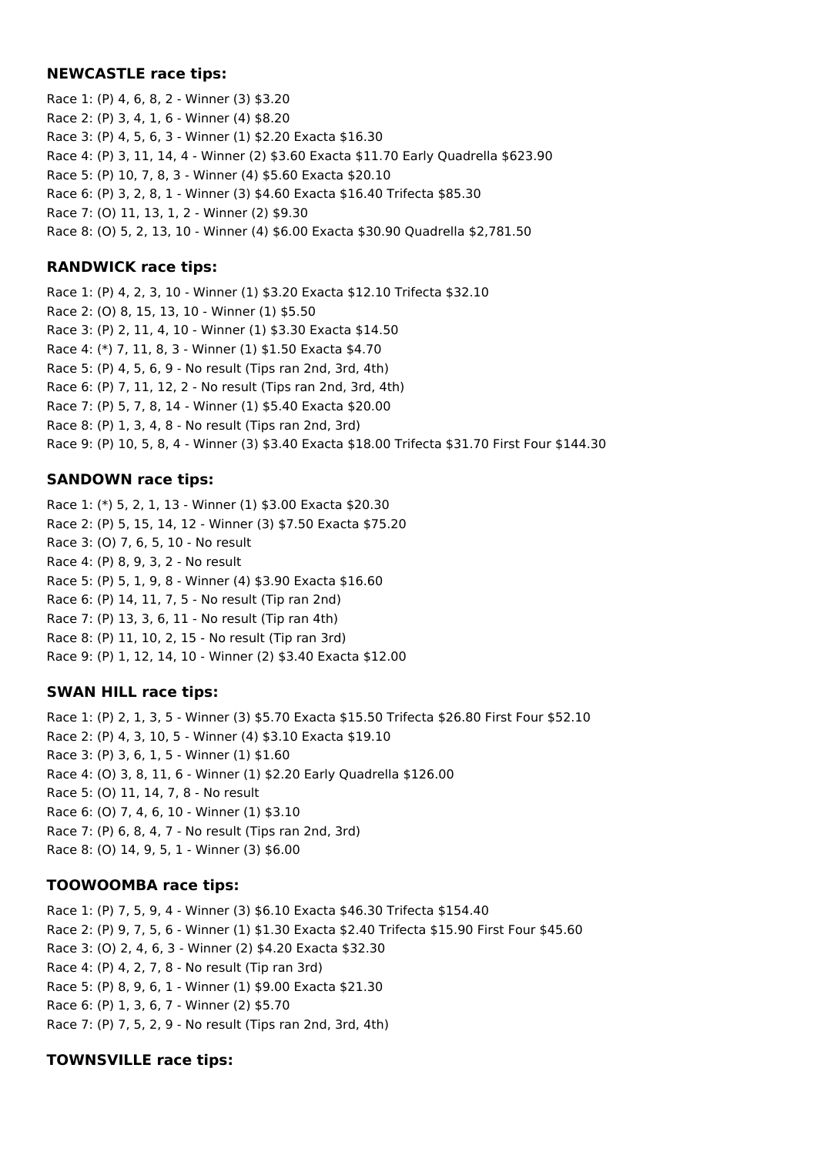#### **NEWCASTLE race tips:**

Race 1: (P) 4, 6, 8, 2 - Winner (3) \$3.20 Race 2: (P) 3, 4, 1, 6 - Winner (4) \$8.20 Race 3: (P) 4, 5, 6, 3 - Winner (1) \$2.20 Exacta \$16.30 Race 4: (P) 3, 11, 14, 4 - Winner (2) \$3.60 Exacta \$11.70 Early Quadrella \$623.90 Race 5: (P) 10, 7, 8, 3 - Winner (4) \$5.60 Exacta \$20.10 Race 6: (P) 3, 2, 8, 1 - Winner (3) \$4.60 Exacta \$16.40 Trifecta \$85.30 Race 7: (O) 11, 13, 1, 2 - Winner (2) \$9.30 Race 8: (O) 5, 2, 13, 10 - Winner (4) \$6.00 Exacta \$30.90 Quadrella \$2,781.50

#### **RANDWICK race tips:**

Race 1: (P) 4, 2, 3, 10 - Winner (1) \$3.20 Exacta \$12.10 Trifecta \$32.10 Race 2: (O) 8, 15, 13, 10 - Winner (1) \$5.50 Race 3: (P) 2, 11, 4, 10 - Winner (1) \$3.30 Exacta \$14.50 Race 4: (\*) 7, 11, 8, 3 - Winner (1) \$1.50 Exacta \$4.70 Race 5: (P) 4, 5, 6, 9 - No result (Tips ran 2nd, 3rd, 4th) Race 6: (P) 7, 11, 12, 2 - No result (Tips ran 2nd, 3rd, 4th) Race 7: (P) 5, 7, 8, 14 - Winner (1) \$5.40 Exacta \$20.00 Race 8: (P) 1, 3, 4, 8 - No result (Tips ran 2nd, 3rd) Race 9: (P) 10, 5, 8, 4 - Winner (3) \$3.40 Exacta \$18.00 Trifecta \$31.70 First Four \$144.30

## **SANDOWN race tips:**

Race 1: (\*) 5, 2, 1, 13 - Winner (1) \$3.00 Exacta \$20.30 Race 2: (P) 5, 15, 14, 12 - Winner (3) \$7.50 Exacta \$75.20 Race 3: (O) 7, 6, 5, 10 - No result Race 4: (P) 8, 9, 3, 2 - No result Race 5: (P) 5, 1, 9, 8 - Winner (4) \$3.90 Exacta \$16.60 Race 6: (P) 14, 11, 7, 5 - No result (Tip ran 2nd) Race 7: (P) 13, 3, 6, 11 - No result (Tip ran 4th) Race 8: (P) 11, 10, 2, 15 - No result (Tip ran 3rd) Race 9: (P) 1, 12, 14, 10 - Winner (2) \$3.40 Exacta \$12.00

## **SWAN HILL race tips:**

Race 1: (P) 2, 1, 3, 5 - Winner (3) \$5.70 Exacta \$15.50 Trifecta \$26.80 First Four \$52.10 Race 2: (P) 4, 3, 10, 5 - Winner (4) \$3.10 Exacta \$19.10 Race 3: (P) 3, 6, 1, 5 - Winner (1) \$1.60 Race 4: (O) 3, 8, 11, 6 - Winner (1) \$2.20 Early Quadrella \$126.00 Race 5: (O) 11, 14, 7, 8 - No result Race 6: (O) 7, 4, 6, 10 - Winner (1) \$3.10 Race 7: (P) 6, 8, 4, 7 - No result (Tips ran 2nd, 3rd) Race 8: (O) 14, 9, 5, 1 - Winner (3) \$6.00

## **TOOWOOMBA race tips:**

Race 1: (P) 7, 5, 9, 4 - Winner (3) \$6.10 Exacta \$46.30 Trifecta \$154.40 Race 2: (P) 9, 7, 5, 6 - Winner (1) \$1.30 Exacta \$2.40 Trifecta \$15.90 First Four \$45.60 Race 3: (O) 2, 4, 6, 3 - Winner (2) \$4.20 Exacta \$32.30 Race 4: (P) 4, 2, 7, 8 - No result (Tip ran 3rd) Race 5: (P) 8, 9, 6, 1 - Winner (1) \$9.00 Exacta \$21.30 Race 6: (P) 1, 3, 6, 7 - Winner (2) \$5.70 Race 7: (P) 7, 5, 2, 9 - No result (Tips ran 2nd, 3rd, 4th)

## **TOWNSVILLE race tips:**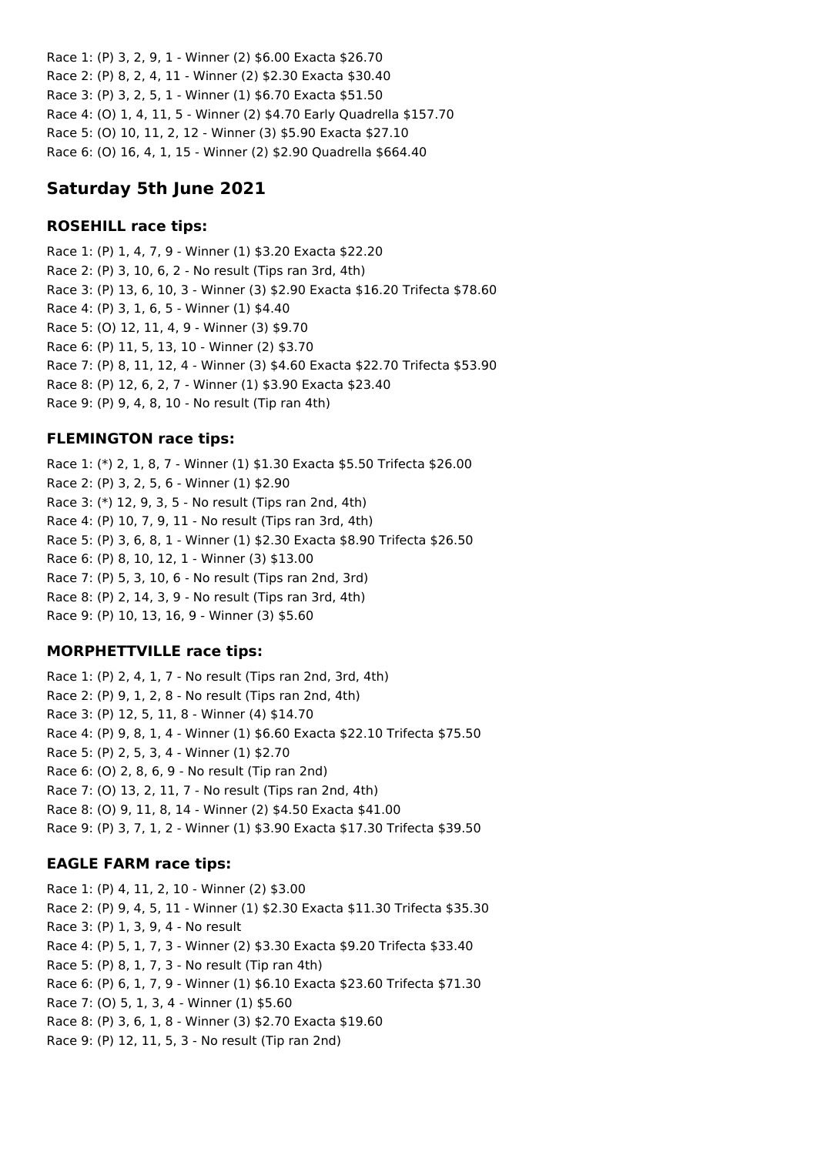Race 1: (P) 3, 2, 9, 1 - Winner (2) \$6.00 Exacta \$26.70 Race 2: (P) 8, 2, 4, 11 - Winner (2) \$2.30 Exacta \$30.40 Race 3: (P) 3, 2, 5, 1 - Winner (1) \$6.70 Exacta \$51.50 Race 4: (O) 1, 4, 11, 5 - Winner (2) \$4.70 Early Quadrella \$157.70 Race 5: (O) 10, 11, 2, 12 - Winner (3) \$5.90 Exacta \$27.10 Race 6: (O) 16, 4, 1, 15 - Winner (2) \$2.90 Quadrella \$664.40

# **Saturday 5th June 2021**

## **ROSEHILL race tips:**

Race 1: (P) 1, 4, 7, 9 - Winner (1) \$3.20 Exacta \$22.20 Race 2: (P) 3, 10, 6, 2 - No result (Tips ran 3rd, 4th) Race 3: (P) 13, 6, 10, 3 - Winner (3) \$2.90 Exacta \$16.20 Trifecta \$78.60 Race 4: (P) 3, 1, 6, 5 - Winner (1) \$4.40 Race 5: (O) 12, 11, 4, 9 - Winner (3) \$9.70 Race 6: (P) 11, 5, 13, 10 - Winner (2) \$3.70 Race 7: (P) 8, 11, 12, 4 - Winner (3) \$4.60 Exacta \$22.70 Trifecta \$53.90 Race 8: (P) 12, 6, 2, 7 - Winner (1) \$3.90 Exacta \$23.40 Race 9: (P) 9, 4, 8, 10 - No result (Tip ran 4th)

# **FLEMINGTON race tips:**

Race 1: (\*) 2, 1, 8, 7 - Winner (1) \$1.30 Exacta \$5.50 Trifecta \$26.00 Race 2: (P) 3, 2, 5, 6 - Winner (1) \$2.90 Race 3: (\*) 12, 9, 3, 5 - No result (Tips ran 2nd, 4th) Race 4: (P) 10, 7, 9, 11 - No result (Tips ran 3rd, 4th) Race 5: (P) 3, 6, 8, 1 - Winner (1) \$2.30 Exacta \$8.90 Trifecta \$26.50 Race 6: (P) 8, 10, 12, 1 - Winner (3) \$13.00 Race 7: (P) 5, 3, 10, 6 - No result (Tips ran 2nd, 3rd) Race 8: (P) 2, 14, 3, 9 - No result (Tips ran 3rd, 4th) Race 9: (P) 10, 13, 16, 9 - Winner (3) \$5.60

# **MORPHETTVILLE race tips:**

Race 1: (P) 2, 4, 1, 7 - No result (Tips ran 2nd, 3rd, 4th) Race 2: (P) 9, 1, 2, 8 - No result (Tips ran 2nd, 4th) Race 3: (P) 12, 5, 11, 8 - Winner (4) \$14.70 Race 4: (P) 9, 8, 1, 4 - Winner (1) \$6.60 Exacta \$22.10 Trifecta \$75.50 Race 5: (P) 2, 5, 3, 4 - Winner (1) \$2.70 Race 6: (O) 2, 8, 6, 9 - No result (Tip ran 2nd) Race 7: (O) 13, 2, 11, 7 - No result (Tips ran 2nd, 4th) Race 8: (O) 9, 11, 8, 14 - Winner (2) \$4.50 Exacta \$41.00 Race 9: (P) 3, 7, 1, 2 - Winner (1) \$3.90 Exacta \$17.30 Trifecta \$39.50

# **EAGLE FARM race tips:**

Race 1: (P) 4, 11, 2, 10 - Winner (2) \$3.00 Race 2: (P) 9, 4, 5, 11 - Winner (1) \$2.30 Exacta \$11.30 Trifecta \$35.30 Race 3: (P) 1, 3, 9, 4 - No result Race 4: (P) 5, 1, 7, 3 - Winner (2) \$3.30 Exacta \$9.20 Trifecta \$33.40 Race 5: (P) 8, 1, 7, 3 - No result (Tip ran 4th) Race 6: (P) 6, 1, 7, 9 - Winner (1) \$6.10 Exacta \$23.60 Trifecta \$71.30 Race 7: (O) 5, 1, 3, 4 - Winner (1) \$5.60 Race 8: (P) 3, 6, 1, 8 - Winner (3) \$2.70 Exacta \$19.60 Race 9: (P) 12, 11, 5, 3 - No result (Tip ran 2nd)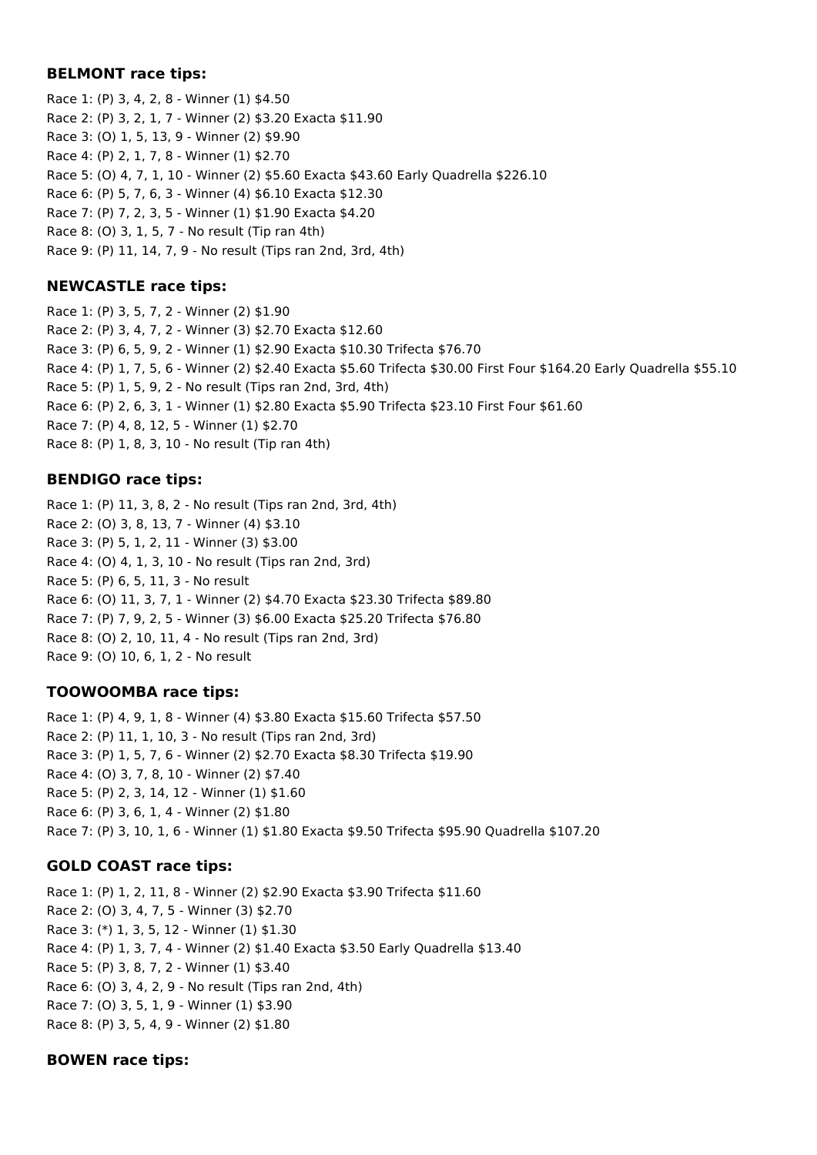#### **BELMONT race tips:**

Race 1: (P) 3, 4, 2, 8 - Winner (1) \$4.50 Race 2: (P) 3, 2, 1, 7 - Winner (2) \$3.20 Exacta \$11.90 Race 3: (O) 1, 5, 13, 9 - Winner (2) \$9.90 Race 4: (P) 2, 1, 7, 8 - Winner (1) \$2.70 Race 5: (O) 4, 7, 1, 10 - Winner (2) \$5.60 Exacta \$43.60 Early Quadrella \$226.10 Race 6: (P) 5, 7, 6, 3 - Winner (4) \$6.10 Exacta \$12.30 Race 7: (P) 7, 2, 3, 5 - Winner (1) \$1.90 Exacta \$4.20 Race 8: (O) 3, 1, 5, 7 - No result (Tip ran 4th) Race 9: (P) 11, 14, 7, 9 - No result (Tips ran 2nd, 3rd, 4th)

## **NEWCASTLE race tips:**

Race 1: (P) 3, 5, 7, 2 - Winner (2) \$1.90 Race 2: (P) 3, 4, 7, 2 - Winner (3) \$2.70 Exacta \$12.60 Race 3: (P) 6, 5, 9, 2 - Winner (1) \$2.90 Exacta \$10.30 Trifecta \$76.70 Race 4: (P) 1, 7, 5, 6 - Winner (2) \$2.40 Exacta \$5.60 Trifecta \$30.00 First Four \$164.20 Early Quadrella \$55.10 Race 5: (P) 1, 5, 9, 2 - No result (Tips ran 2nd, 3rd, 4th) Race 6: (P) 2, 6, 3, 1 - Winner (1) \$2.80 Exacta \$5.90 Trifecta \$23.10 First Four \$61.60 Race 7: (P) 4, 8, 12, 5 - Winner (1) \$2.70 Race 8: (P) 1, 8, 3, 10 - No result (Tip ran 4th)

## **BENDIGO race tips:**

Race 1: (P) 11, 3, 8, 2 - No result (Tips ran 2nd, 3rd, 4th) Race 2: (O) 3, 8, 13, 7 - Winner (4) \$3.10 Race 3: (P) 5, 1, 2, 11 - Winner (3) \$3.00 Race 4: (O) 4, 1, 3, 10 - No result (Tips ran 2nd, 3rd) Race 5: (P) 6, 5, 11, 3 - No result Race 6: (O) 11, 3, 7, 1 - Winner (2) \$4.70 Exacta \$23.30 Trifecta \$89.80 Race 7: (P) 7, 9, 2, 5 - Winner (3) \$6.00 Exacta \$25.20 Trifecta \$76.80 Race 8: (O) 2, 10, 11, 4 - No result (Tips ran 2nd, 3rd) Race 9: (O) 10, 6, 1, 2 - No result

## **TOOWOOMBA race tips:**

Race 1: (P) 4, 9, 1, 8 - Winner (4) \$3.80 Exacta \$15.60 Trifecta \$57.50 Race 2: (P) 11, 1, 10, 3 - No result (Tips ran 2nd, 3rd) Race 3: (P) 1, 5, 7, 6 - Winner (2) \$2.70 Exacta \$8.30 Trifecta \$19.90 Race 4: (O) 3, 7, 8, 10 - Winner (2) \$7.40 Race 5: (P) 2, 3, 14, 12 - Winner (1) \$1.60 Race 6: (P) 3, 6, 1, 4 - Winner (2) \$1.80 Race 7: (P) 3, 10, 1, 6 - Winner (1) \$1.80 Exacta \$9.50 Trifecta \$95.90 Quadrella \$107.20

# **GOLD COAST race tips:**

Race 1: (P) 1, 2, 11, 8 - Winner (2) \$2.90 Exacta \$3.90 Trifecta \$11.60 Race 2: (O) 3, 4, 7, 5 - Winner (3) \$2.70 Race 3: (\*) 1, 3, 5, 12 - Winner (1) \$1.30 Race 4: (P) 1, 3, 7, 4 - Winner (2) \$1.40 Exacta \$3.50 Early Quadrella \$13.40 Race 5: (P) 3, 8, 7, 2 - Winner (1) \$3.40 Race 6: (O) 3, 4, 2, 9 - No result (Tips ran 2nd, 4th) Race 7: (O) 3, 5, 1, 9 - Winner (1) \$3.90 Race 8: (P) 3, 5, 4, 9 - Winner (2) \$1.80

## **BOWEN race tips:**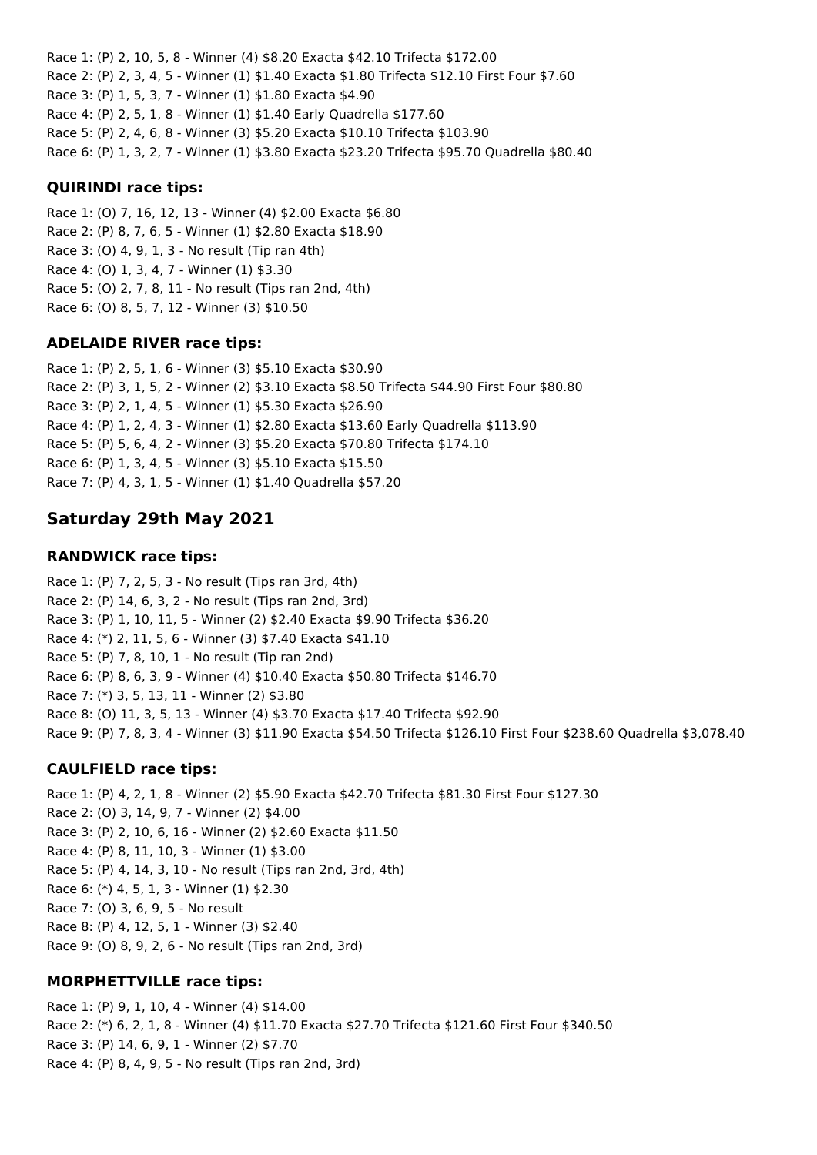Race 1: (P) 2, 10, 5, 8 - Winner (4) \$8.20 Exacta \$42.10 Trifecta \$172.00 Race 2: (P) 2, 3, 4, 5 - Winner (1) \$1.40 Exacta \$1.80 Trifecta \$12.10 First Four \$7.60 Race 3: (P) 1, 5, 3, 7 - Winner (1) \$1.80 Exacta \$4.90 Race 4: (P) 2, 5, 1, 8 - Winner (1) \$1.40 Early Quadrella \$177.60 Race 5: (P) 2, 4, 6, 8 - Winner (3) \$5.20 Exacta \$10.10 Trifecta \$103.90 Race 6: (P) 1, 3, 2, 7 - Winner (1) \$3.80 Exacta \$23.20 Trifecta \$95.70 Quadrella \$80.40

## **QUIRINDI race tips:**

Race 1: (O) 7, 16, 12, 13 - Winner (4) \$2.00 Exacta \$6.80 Race 2: (P) 8, 7, 6, 5 - Winner (1) \$2.80 Exacta \$18.90 Race 3: (O) 4, 9, 1, 3 - No result (Tip ran 4th) Race 4: (O) 1, 3, 4, 7 - Winner (1) \$3.30 Race 5: (O) 2, 7, 8, 11 - No result (Tips ran 2nd, 4th) Race 6: (O) 8, 5, 7, 12 - Winner (3) \$10.50

## **ADELAIDE RIVER race tips:**

Race 1: (P) 2, 5, 1, 6 - Winner (3) \$5.10 Exacta \$30.90 Race 2: (P) 3, 1, 5, 2 - Winner (2) \$3.10 Exacta \$8.50 Trifecta \$44.90 First Four \$80.80 Race 3: (P) 2, 1, 4, 5 - Winner (1) \$5.30 Exacta \$26.90 Race 4: (P) 1, 2, 4, 3 - Winner (1) \$2.80 Exacta \$13.60 Early Quadrella \$113.90 Race 5: (P) 5, 6, 4, 2 - Winner (3) \$5.20 Exacta \$70.80 Trifecta \$174.10 Race 6: (P) 1, 3, 4, 5 - Winner (3) \$5.10 Exacta \$15.50 Race 7: (P) 4, 3, 1, 5 - Winner (1) \$1.40 Quadrella \$57.20

# **Saturday 29th May 2021**

## **RANDWICK race tips:**

Race 1: (P) 7, 2, 5, 3 - No result (Tips ran 3rd, 4th) Race 2: (P) 14, 6, 3, 2 - No result (Tips ran 2nd, 3rd) Race 3: (P) 1, 10, 11, 5 - Winner (2) \$2.40 Exacta \$9.90 Trifecta \$36.20 Race 4: (\*) 2, 11, 5, 6 - Winner (3) \$7.40 Exacta \$41.10 Race 5: (P) 7, 8, 10, 1 - No result (Tip ran 2nd) Race 6: (P) 8, 6, 3, 9 - Winner (4) \$10.40 Exacta \$50.80 Trifecta \$146.70 Race 7: (\*) 3, 5, 13, 11 - Winner (2) \$3.80 Race 8: (O) 11, 3, 5, 13 - Winner (4) \$3.70 Exacta \$17.40 Trifecta \$92.90 Race 9: (P) 7, 8, 3, 4 - Winner (3) \$11.90 Exacta \$54.50 Trifecta \$126.10 First Four \$238.60 Quadrella \$3,078.40

## **CAULFIELD race tips:**

Race 1: (P) 4, 2, 1, 8 - Winner (2) \$5.90 Exacta \$42.70 Trifecta \$81.30 First Four \$127.30 Race 2: (O) 3, 14, 9, 7 - Winner (2) \$4.00 Race 3: (P) 2, 10, 6, 16 - Winner (2) \$2.60 Exacta \$11.50 Race 4: (P) 8, 11, 10, 3 - Winner (1) \$3.00 Race 5: (P) 4, 14, 3, 10 - No result (Tips ran 2nd, 3rd, 4th) Race 6: (\*) 4, 5, 1, 3 - Winner (1) \$2.30 Race 7: (O) 3, 6, 9, 5 - No result Race 8: (P) 4, 12, 5, 1 - Winner (3) \$2.40 Race 9: (O) 8, 9, 2, 6 - No result (Tips ran 2nd, 3rd)

## **MORPHETTVILLE race tips:**

Race 1: (P) 9, 1, 10, 4 - Winner (4) \$14.00 Race 2: (\*) 6, 2, 1, 8 - Winner (4) \$11.70 Exacta \$27.70 Trifecta \$121.60 First Four \$340.50 Race 3: (P) 14, 6, 9, 1 - Winner (2) \$7.70 Race 4: (P) 8, 4, 9, 5 - No result (Tips ran 2nd, 3rd)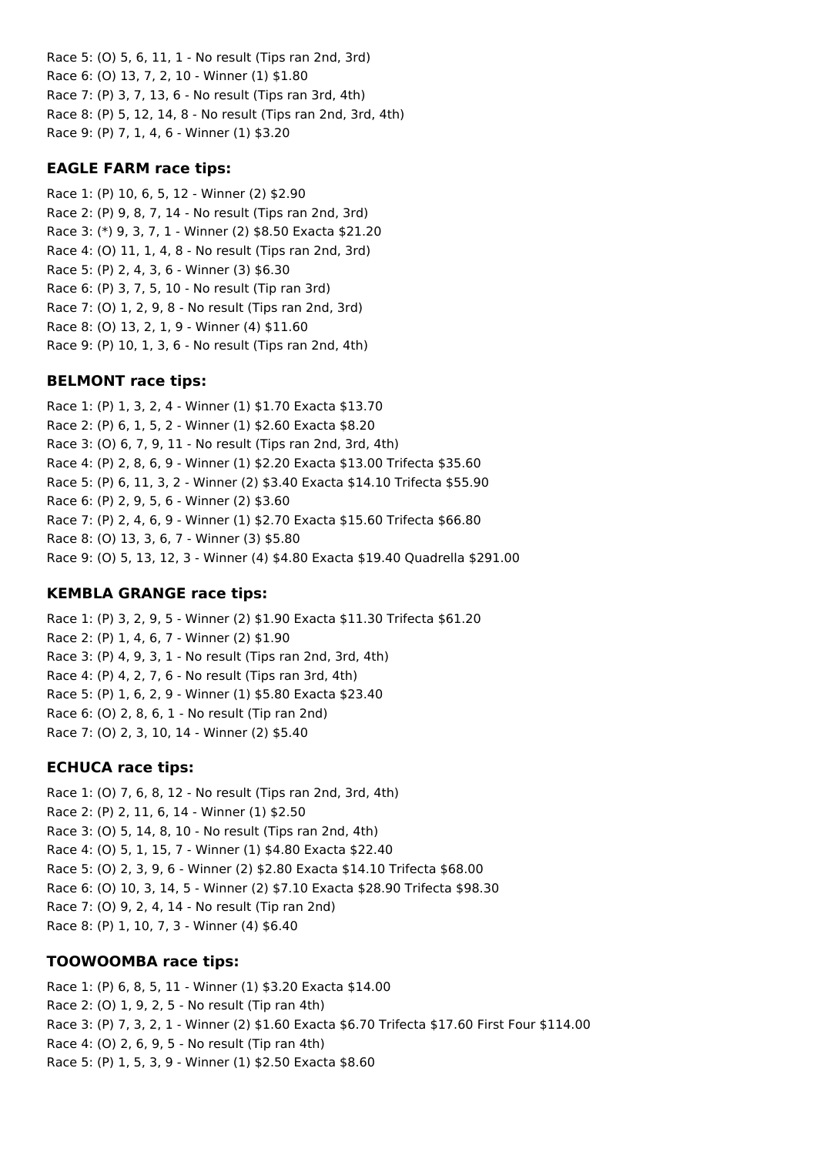Race 5: (O) 5, 6, 11, 1 - No result (Tips ran 2nd, 3rd) Race 6: (O) 13, 7, 2, 10 - Winner (1) \$1.80 Race 7: (P) 3, 7, 13, 6 - No result (Tips ran 3rd, 4th) Race 8: (P) 5, 12, 14, 8 - No result (Tips ran 2nd, 3rd, 4th) Race 9: (P) 7, 1, 4, 6 - Winner (1) \$3.20

### **EAGLE FARM race tips:**

Race 1: (P) 10, 6, 5, 12 - Winner (2) \$2.90 Race 2: (P) 9, 8, 7, 14 - No result (Tips ran 2nd, 3rd) Race 3: (\*) 9, 3, 7, 1 - Winner (2) \$8.50 Exacta \$21.20 Race 4: (O) 11, 1, 4, 8 - No result (Tips ran 2nd, 3rd) Race 5: (P) 2, 4, 3, 6 - Winner (3) \$6.30 Race 6: (P) 3, 7, 5, 10 - No result (Tip ran 3rd) Race 7: (O) 1, 2, 9, 8 - No result (Tips ran 2nd, 3rd) Race 8: (O) 13, 2, 1, 9 - Winner (4) \$11.60 Race 9: (P) 10, 1, 3, 6 - No result (Tips ran 2nd, 4th)

### **BELMONT race tips:**

Race 1: (P) 1, 3, 2, 4 - Winner (1) \$1.70 Exacta \$13.70 Race 2: (P) 6, 1, 5, 2 - Winner (1) \$2.60 Exacta \$8.20 Race 3: (O) 6, 7, 9, 11 - No result (Tips ran 2nd, 3rd, 4th) Race 4: (P) 2, 8, 6, 9 - Winner (1) \$2.20 Exacta \$13.00 Trifecta \$35.60 Race 5: (P) 6, 11, 3, 2 - Winner (2) \$3.40 Exacta \$14.10 Trifecta \$55.90 Race 6: (P) 2, 9, 5, 6 - Winner (2) \$3.60 Race 7: (P) 2, 4, 6, 9 - Winner (1) \$2.70 Exacta \$15.60 Trifecta \$66.80 Race 8: (O) 13, 3, 6, 7 - Winner (3) \$5.80 Race 9: (O) 5, 13, 12, 3 - Winner (4) \$4.80 Exacta \$19.40 Quadrella \$291.00

### **KEMBLA GRANGE race tips:**

Race 1: (P) 3, 2, 9, 5 - Winner (2) \$1.90 Exacta \$11.30 Trifecta \$61.20 Race 2: (P) 1, 4, 6, 7 - Winner (2) \$1.90 Race 3: (P) 4, 9, 3, 1 - No result (Tips ran 2nd, 3rd, 4th) Race 4: (P) 4, 2, 7, 6 - No result (Tips ran 3rd, 4th) Race 5: (P) 1, 6, 2, 9 - Winner (1) \$5.80 Exacta \$23.40 Race 6: (O) 2, 8, 6, 1 - No result (Tip ran 2nd) Race 7: (O) 2, 3, 10, 14 - Winner (2) \$5.40

### **ECHUCA race tips:**

Race 1: (O) 7, 6, 8, 12 - No result (Tips ran 2nd, 3rd, 4th) Race 2: (P) 2, 11, 6, 14 - Winner (1) \$2.50 Race 3: (O) 5, 14, 8, 10 - No result (Tips ran 2nd, 4th) Race 4: (O) 5, 1, 15, 7 - Winner (1) \$4.80 Exacta \$22.40 Race 5: (O) 2, 3, 9, 6 - Winner (2) \$2.80 Exacta \$14.10 Trifecta \$68.00 Race 6: (O) 10, 3, 14, 5 - Winner (2) \$7.10 Exacta \$28.90 Trifecta \$98.30 Race 7: (O) 9, 2, 4, 14 - No result (Tip ran 2nd) Race 8: (P) 1, 10, 7, 3 - Winner (4) \$6.40

### **TOOWOOMBA race tips:**

Race 1: (P) 6, 8, 5, 11 - Winner (1) \$3.20 Exacta \$14.00 Race 2: (O) 1, 9, 2, 5 - No result (Tip ran 4th) Race 3: (P) 7, 3, 2, 1 - Winner (2) \$1.60 Exacta \$6.70 Trifecta \$17.60 First Four \$114.00 Race 4: (O) 2, 6, 9, 5 - No result (Tip ran 4th) Race 5: (P) 1, 5, 3, 9 - Winner (1) \$2.50 Exacta \$8.60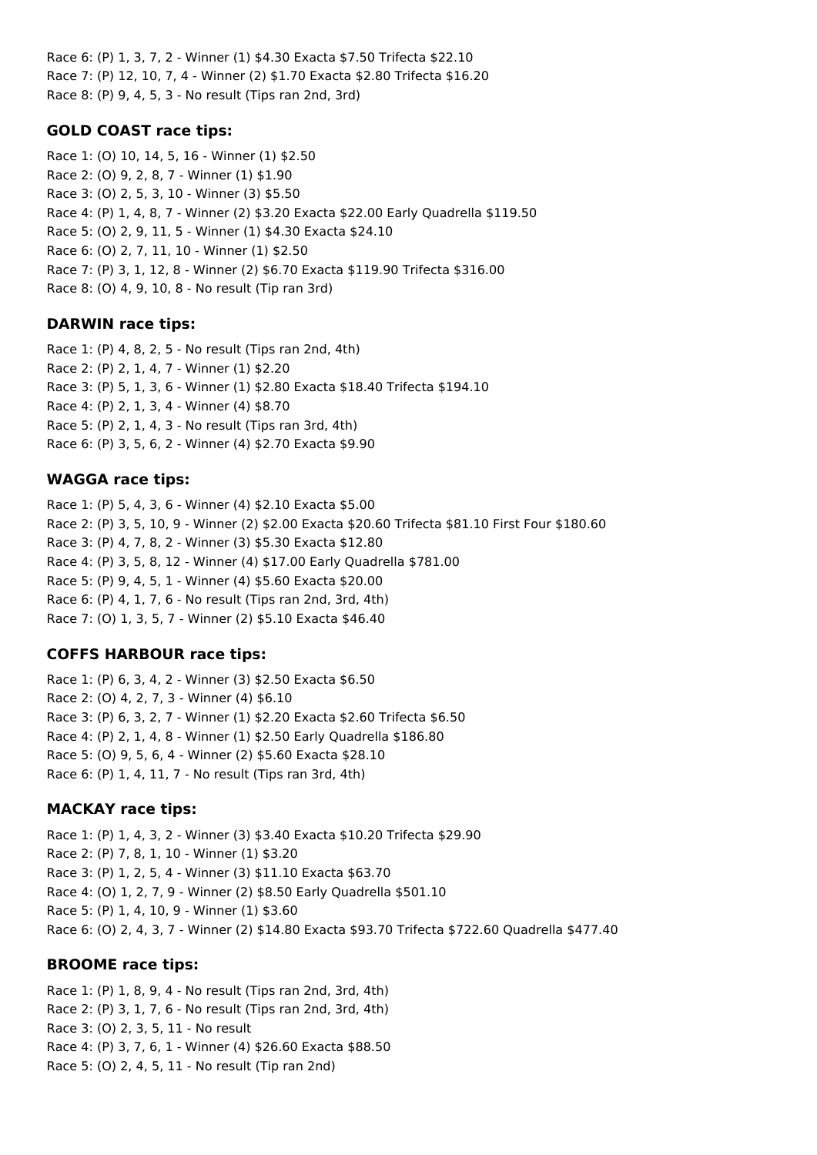Race 6: (P) 1, 3, 7, 2 - Winner (1) \$4.30 Exacta \$7.50 Trifecta \$22.10 Race 7: (P) 12, 10, 7, 4 - Winner (2) \$1.70 Exacta \$2.80 Trifecta \$16.20 Race 8: (P) 9, 4, 5, 3 - No result (Tips ran 2nd, 3rd)

## **GOLD COAST race tips:**

Race 1: (O) 10, 14, 5, 16 - Winner (1) \$2.50 Race 2: (O) 9, 2, 8, 7 - Winner (1) \$1.90 Race 3: (O) 2, 5, 3, 10 - Winner (3) \$5.50 Race 4: (P) 1, 4, 8, 7 - Winner (2) \$3.20 Exacta \$22.00 Early Quadrella \$119.50 Race 5: (O) 2, 9, 11, 5 - Winner (1) \$4.30 Exacta \$24.10 Race 6: (O) 2, 7, 11, 10 - Winner (1) \$2.50 Race 7: (P) 3, 1, 12, 8 - Winner (2) \$6.70 Exacta \$119.90 Trifecta \$316.00 Race 8: (O) 4, 9, 10, 8 - No result (Tip ran 3rd)

### **DARWIN race tips:**

Race 1: (P) 4, 8, 2, 5 - No result (Tips ran 2nd, 4th) Race 2: (P) 2, 1, 4, 7 - Winner (1) \$2.20 Race 3: (P) 5, 1, 3, 6 - Winner (1) \$2.80 Exacta \$18.40 Trifecta \$194.10 Race 4: (P) 2, 1, 3, 4 - Winner (4) \$8.70 Race 5: (P) 2, 1, 4, 3 - No result (Tips ran 3rd, 4th) Race 6: (P) 3, 5, 6, 2 - Winner (4) \$2.70 Exacta \$9.90

### **WAGGA race tips:**

Race 1: (P) 5, 4, 3, 6 - Winner (4) \$2.10 Exacta \$5.00 Race 2: (P) 3, 5, 10, 9 - Winner (2) \$2.00 Exacta \$20.60 Trifecta \$81.10 First Four \$180.60 Race 3: (P) 4, 7, 8, 2 - Winner (3) \$5.30 Exacta \$12.80 Race 4: (P) 3, 5, 8, 12 - Winner (4) \$17.00 Early Quadrella \$781.00 Race 5: (P) 9, 4, 5, 1 - Winner (4) \$5.60 Exacta \$20.00 Race 6: (P) 4, 1, 7, 6 - No result (Tips ran 2nd, 3rd, 4th) Race 7: (O) 1, 3, 5, 7 - Winner (2) \$5.10 Exacta \$46.40

## **COFFS HARBOUR race tips:**

Race 1: (P) 6, 3, 4, 2 - Winner (3) \$2.50 Exacta \$6.50 Race 2: (O) 4, 2, 7, 3 - Winner (4) \$6.10 Race 3: (P) 6, 3, 2, 7 - Winner (1) \$2.20 Exacta \$2.60 Trifecta \$6.50 Race 4: (P) 2, 1, 4, 8 - Winner (1) \$2.50 Early Quadrella \$186.80 Race 5: (O) 9, 5, 6, 4 - Winner (2) \$5.60 Exacta \$28.10 Race 6: (P) 1, 4, 11, 7 - No result (Tips ran 3rd, 4th)

### **MACKAY race tips:**

Race 1: (P) 1, 4, 3, 2 - Winner (3) \$3.40 Exacta \$10.20 Trifecta \$29.90 Race 2: (P) 7, 8, 1, 10 - Winner (1) \$3.20 Race 3: (P) 1, 2, 5, 4 - Winner (3) \$11.10 Exacta \$63.70 Race 4: (O) 1, 2, 7, 9 - Winner (2) \$8.50 Early Quadrella \$501.10 Race 5: (P) 1, 4, 10, 9 - Winner (1) \$3.60 Race 6: (O) 2, 4, 3, 7 - Winner (2) \$14.80 Exacta \$93.70 Trifecta \$722.60 Quadrella \$477.40

### **BROOME race tips:**

Race 1: (P) 1, 8, 9, 4 - No result (Tips ran 2nd, 3rd, 4th) Race 2: (P) 3, 1, 7, 6 - No result (Tips ran 2nd, 3rd, 4th) Race 3: (O) 2, 3, 5, 11 - No result Race 4: (P) 3, 7, 6, 1 - Winner (4) \$26.60 Exacta \$88.50 Race 5: (O) 2, 4, 5, 11 - No result (Tip ran 2nd)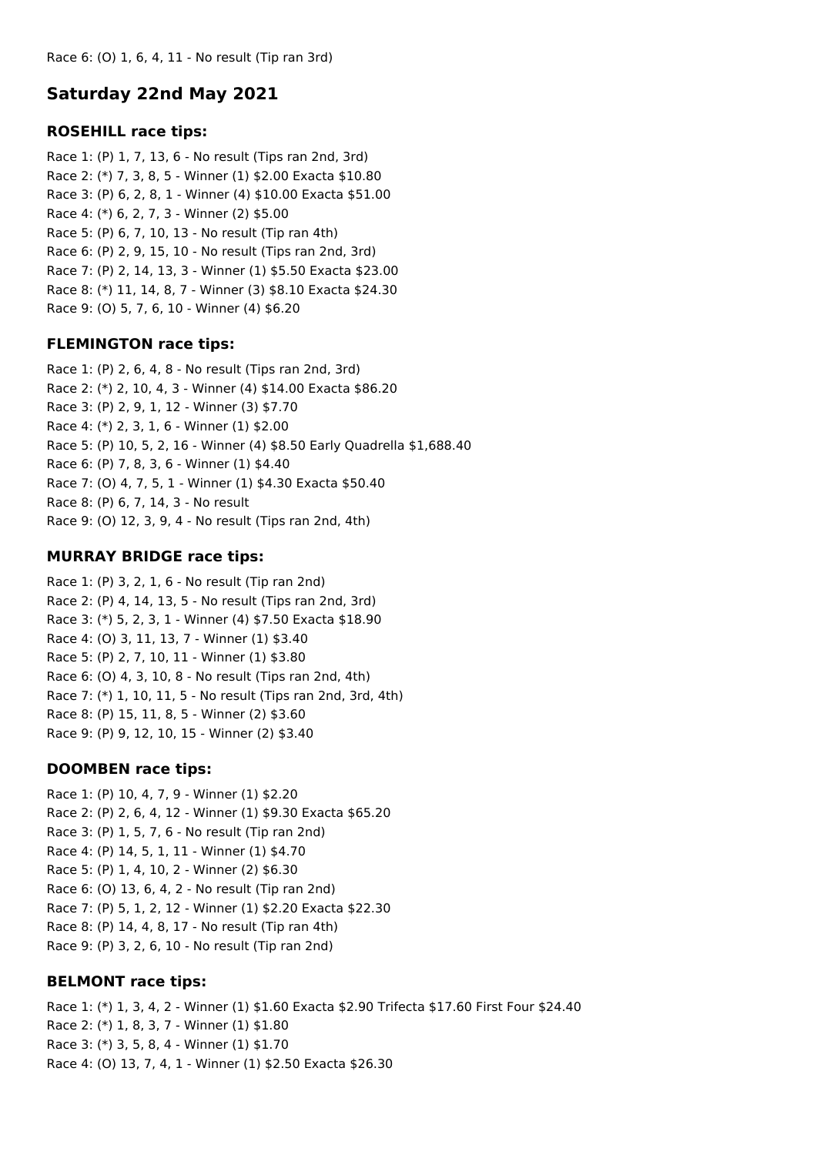# **Saturday 22nd May 2021**

### **ROSEHILL race tips:**

Race 1: (P) 1, 7, 13, 6 - No result (Tips ran 2nd, 3rd) Race 2: (\*) 7, 3, 8, 5 - Winner (1) \$2.00 Exacta \$10.80 Race 3: (P) 6, 2, 8, 1 - Winner (4) \$10.00 Exacta \$51.00 Race 4: (\*) 6, 2, 7, 3 - Winner (2) \$5.00 Race 5: (P) 6, 7, 10, 13 - No result (Tip ran 4th) Race 6: (P) 2, 9, 15, 10 - No result (Tips ran 2nd, 3rd) Race 7: (P) 2, 14, 13, 3 - Winner (1) \$5.50 Exacta \$23.00 Race 8: (\*) 11, 14, 8, 7 - Winner (3) \$8.10 Exacta \$24.30 Race 9: (O) 5, 7, 6, 10 - Winner (4) \$6.20

## **FLEMINGTON race tips:**

Race 1: (P) 2, 6, 4, 8 - No result (Tips ran 2nd, 3rd) Race 2: (\*) 2, 10, 4, 3 - Winner (4) \$14.00 Exacta \$86.20 Race 3: (P) 2, 9, 1, 12 - Winner (3) \$7.70 Race 4: (\*) 2, 3, 1, 6 - Winner (1) \$2.00 Race 5: (P) 10, 5, 2, 16 - Winner (4) \$8.50 Early Quadrella \$1,688.40 Race 6: (P) 7, 8, 3, 6 - Winner (1) \$4.40 Race 7: (O) 4, 7, 5, 1 - Winner (1) \$4.30 Exacta \$50.40 Race 8: (P) 6, 7, 14, 3 - No result Race 9: (O) 12, 3, 9, 4 - No result (Tips ran 2nd, 4th)

## **MURRAY BRIDGE race tips:**

Race 1: (P) 3, 2, 1, 6 - No result (Tip ran 2nd) Race 2: (P) 4, 14, 13, 5 - No result (Tips ran 2nd, 3rd) Race 3: (\*) 5, 2, 3, 1 - Winner (4) \$7.50 Exacta \$18.90 Race 4: (O) 3, 11, 13, 7 - Winner (1) \$3.40 Race 5: (P) 2, 7, 10, 11 - Winner (1) \$3.80 Race 6: (O) 4, 3, 10, 8 - No result (Tips ran 2nd, 4th) Race 7: (\*) 1, 10, 11, 5 - No result (Tips ran 2nd, 3rd, 4th) Race 8: (P) 15, 11, 8, 5 - Winner (2) \$3.60 Race 9: (P) 9, 12, 10, 15 - Winner (2) \$3.40

## **DOOMBEN race tips:**

Race 1: (P) 10, 4, 7, 9 - Winner (1) \$2.20 Race 2: (P) 2, 6, 4, 12 - Winner (1) \$9.30 Exacta \$65.20 Race 3: (P) 1, 5, 7, 6 - No result (Tip ran 2nd) Race 4: (P) 14, 5, 1, 11 - Winner (1) \$4.70 Race 5: (P) 1, 4, 10, 2 - Winner (2) \$6.30 Race 6: (O) 13, 6, 4, 2 - No result (Tip ran 2nd) Race 7: (P) 5, 1, 2, 12 - Winner (1) \$2.20 Exacta \$22.30 Race 8: (P) 14, 4, 8, 17 - No result (Tip ran 4th) Race 9: (P) 3, 2, 6, 10 - No result (Tip ran 2nd)

## **BELMONT race tips:**

Race 1: (\*) 1, 3, 4, 2 - Winner (1) \$1.60 Exacta \$2.90 Trifecta \$17.60 First Four \$24.40 Race 2: (\*) 1, 8, 3, 7 - Winner (1) \$1.80 Race 3: (\*) 3, 5, 8, 4 - Winner (1) \$1.70 Race 4: (O) 13, 7, 4, 1 - Winner (1) \$2.50 Exacta \$26.30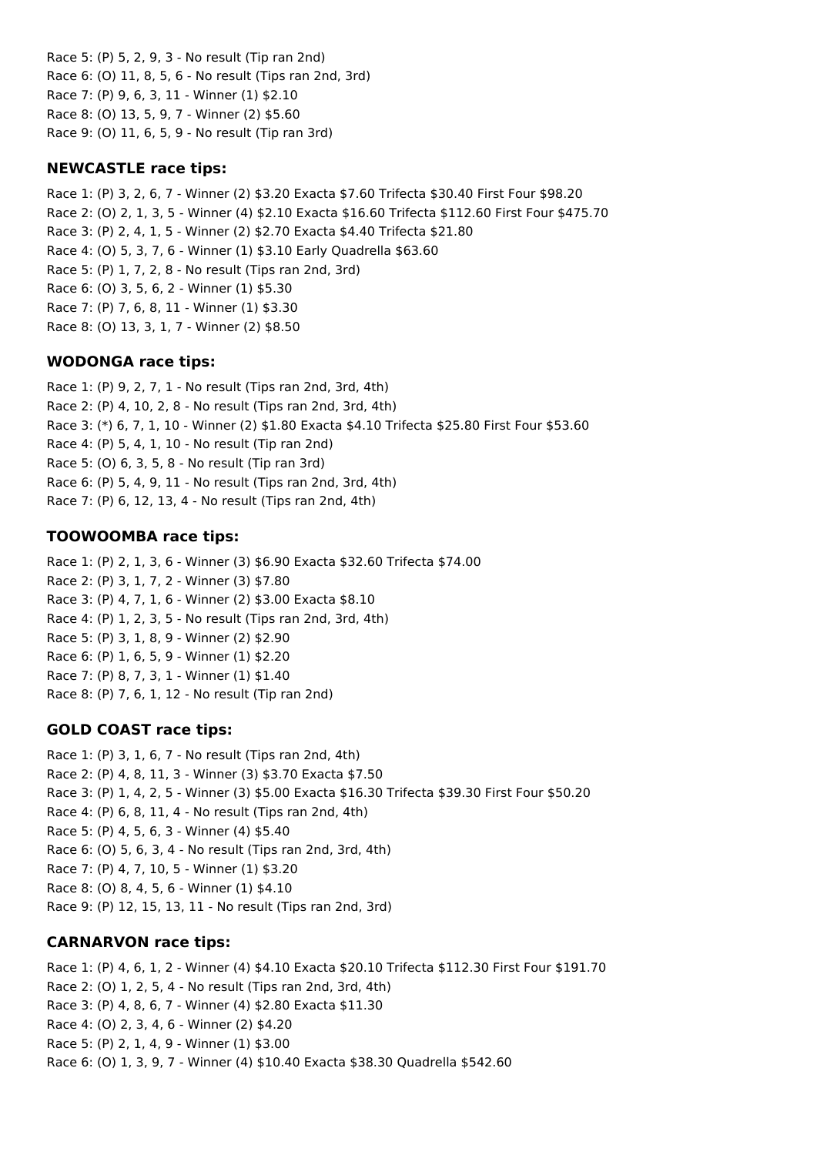Race 5: (P) 5, 2, 9, 3 - No result (Tip ran 2nd) Race 6: (O) 11, 8, 5, 6 - No result (Tips ran 2nd, 3rd) Race 7: (P) 9, 6, 3, 11 - Winner (1) \$2.10 Race 8: (O) 13, 5, 9, 7 - Winner (2) \$5.60 Race 9: (O) 11, 6, 5, 9 - No result (Tip ran 3rd)

### **NEWCASTLE race tips:**

Race 1: (P) 3, 2, 6, 7 - Winner (2) \$3.20 Exacta \$7.60 Trifecta \$30.40 First Four \$98.20 Race 2: (O) 2, 1, 3, 5 - Winner (4) \$2.10 Exacta \$16.60 Trifecta \$112.60 First Four \$475.70 Race 3: (P) 2, 4, 1, 5 - Winner (2) \$2.70 Exacta \$4.40 Trifecta \$21.80 Race 4: (O) 5, 3, 7, 6 - Winner (1) \$3.10 Early Quadrella \$63.60 Race 5: (P) 1, 7, 2, 8 - No result (Tips ran 2nd, 3rd) Race 6: (O) 3, 5, 6, 2 - Winner (1) \$5.30 Race 7: (P) 7, 6, 8, 11 - Winner (1) \$3.30 Race 8: (O) 13, 3, 1, 7 - Winner (2) \$8.50

### **WODONGA race tips:**

Race 1: (P) 9, 2, 7, 1 - No result (Tips ran 2nd, 3rd, 4th) Race 2: (P) 4, 10, 2, 8 - No result (Tips ran 2nd, 3rd, 4th) Race 3: (\*) 6, 7, 1, 10 - Winner (2) \$1.80 Exacta \$4.10 Trifecta \$25.80 First Four \$53.60 Race 4: (P) 5, 4, 1, 10 - No result (Tip ran 2nd) Race 5: (O) 6, 3, 5, 8 - No result (Tip ran 3rd) Race 6: (P) 5, 4, 9, 11 - No result (Tips ran 2nd, 3rd, 4th) Race 7: (P) 6, 12, 13, 4 - No result (Tips ran 2nd, 4th)

### **TOOWOOMBA race tips:**

Race 1: (P) 2, 1, 3, 6 - Winner (3) \$6.90 Exacta \$32.60 Trifecta \$74.00 Race 2: (P) 3, 1, 7, 2 - Winner (3) \$7.80 Race 3: (P) 4, 7, 1, 6 - Winner (2) \$3.00 Exacta \$8.10 Race 4: (P) 1, 2, 3, 5 - No result (Tips ran 2nd, 3rd, 4th) Race 5: (P) 3, 1, 8, 9 - Winner (2) \$2.90 Race 6: (P) 1, 6, 5, 9 - Winner (1) \$2.20 Race 7: (P) 8, 7, 3, 1 - Winner (1) \$1.40 Race 8: (P) 7, 6, 1, 12 - No result (Tip ran 2nd)

### **GOLD COAST race tips:**

Race 1: (P) 3, 1, 6, 7 - No result (Tips ran 2nd, 4th) Race 2: (P) 4, 8, 11, 3 - Winner (3) \$3.70 Exacta \$7.50 Race 3: (P) 1, 4, 2, 5 - Winner (3) \$5.00 Exacta \$16.30 Trifecta \$39.30 First Four \$50.20 Race 4: (P) 6, 8, 11, 4 - No result (Tips ran 2nd, 4th) Race 5: (P) 4, 5, 6, 3 - Winner (4) \$5.40 Race 6: (O) 5, 6, 3, 4 - No result (Tips ran 2nd, 3rd, 4th) Race 7: (P) 4, 7, 10, 5 - Winner (1) \$3.20 Race 8: (O) 8, 4, 5, 6 - Winner (1) \$4.10 Race 9: (P) 12, 15, 13, 11 - No result (Tips ran 2nd, 3rd)

### **CARNARVON race tips:**

Race 1: (P) 4, 6, 1, 2 - Winner (4) \$4.10 Exacta \$20.10 Trifecta \$112.30 First Four \$191.70 Race 2: (O) 1, 2, 5, 4 - No result (Tips ran 2nd, 3rd, 4th) Race 3: (P) 4, 8, 6, 7 - Winner (4) \$2.80 Exacta \$11.30 Race 4: (O) 2, 3, 4, 6 - Winner (2) \$4.20 Race 5: (P) 2, 1, 4, 9 - Winner (1) \$3.00 Race 6: (O) 1, 3, 9, 7 - Winner (4) \$10.40 Exacta \$38.30 Quadrella \$542.60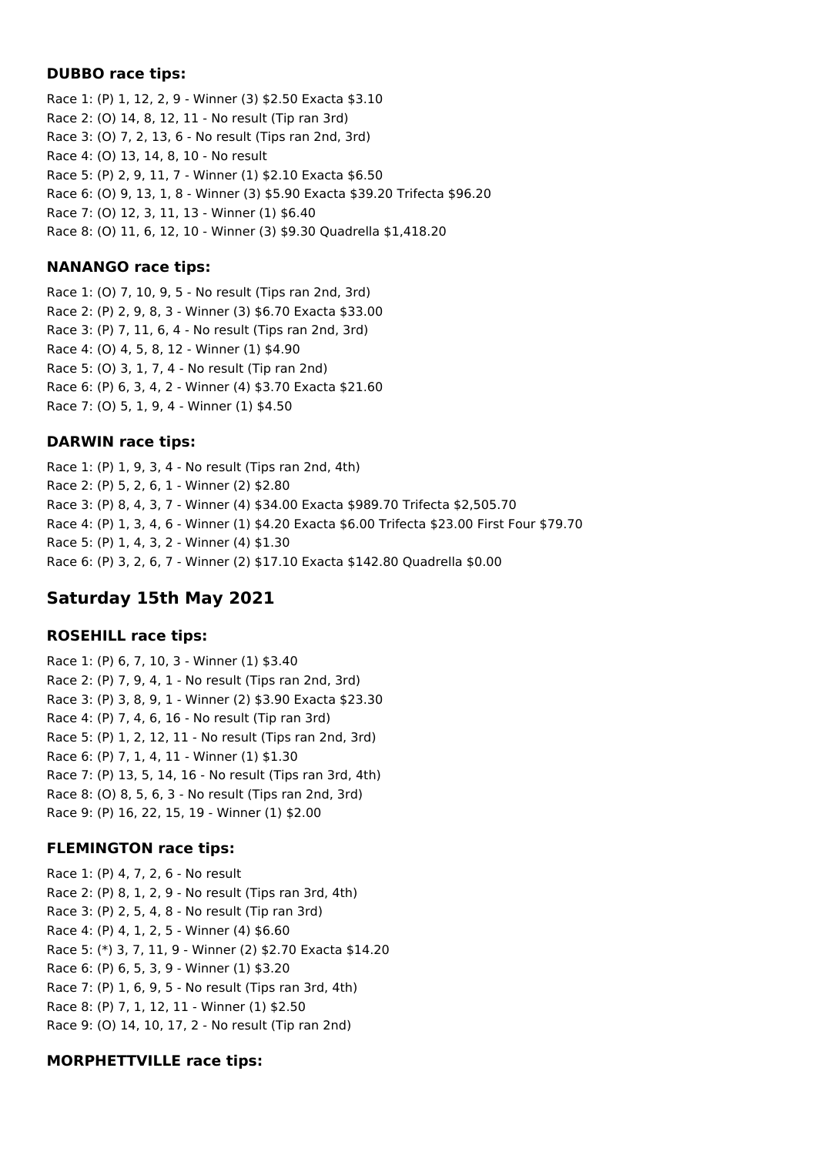### **DUBBO race tips:**

Race 1: (P) 1, 12, 2, 9 - Winner (3) \$2.50 Exacta \$3.10 Race 2: (O) 14, 8, 12, 11 - No result (Tip ran 3rd) Race 3: (O) 7, 2, 13, 6 - No result (Tips ran 2nd, 3rd) Race 4: (O) 13, 14, 8, 10 - No result Race 5: (P) 2, 9, 11, 7 - Winner (1) \$2.10 Exacta \$6.50 Race 6: (O) 9, 13, 1, 8 - Winner (3) \$5.90 Exacta \$39.20 Trifecta \$96.20 Race 7: (O) 12, 3, 11, 13 - Winner (1) \$6.40 Race 8: (O) 11, 6, 12, 10 - Winner (3) \$9.30 Quadrella \$1,418.20

## **NANANGO race tips:**

Race 1: (O) 7, 10, 9, 5 - No result (Tips ran 2nd, 3rd) Race 2: (P) 2, 9, 8, 3 - Winner (3) \$6.70 Exacta \$33.00 Race 3: (P) 7, 11, 6, 4 - No result (Tips ran 2nd, 3rd) Race 4: (O) 4, 5, 8, 12 - Winner (1) \$4.90 Race 5: (O) 3, 1, 7, 4 - No result (Tip ran 2nd) Race 6: (P) 6, 3, 4, 2 - Winner (4) \$3.70 Exacta \$21.60 Race 7: (O) 5, 1, 9, 4 - Winner (1) \$4.50

## **DARWIN race tips:**

Race 1: (P) 1, 9, 3, 4 - No result (Tips ran 2nd, 4th) Race 2: (P) 5, 2, 6, 1 - Winner (2) \$2.80 Race 3: (P) 8, 4, 3, 7 - Winner (4) \$34.00 Exacta \$989.70 Trifecta \$2,505.70 Race 4: (P) 1, 3, 4, 6 - Winner (1) \$4.20 Exacta \$6.00 Trifecta \$23.00 First Four \$79.70 Race 5: (P) 1, 4, 3, 2 - Winner (4) \$1.30 Race 6: (P) 3, 2, 6, 7 - Winner (2) \$17.10 Exacta \$142.80 Quadrella \$0.00

# **Saturday 15th May 2021**

## **ROSEHILL race tips:**

Race 1: (P) 6, 7, 10, 3 - Winner (1) \$3.40 Race 2: (P) 7, 9, 4, 1 - No result (Tips ran 2nd, 3rd) Race 3: (P) 3, 8, 9, 1 - Winner (2) \$3.90 Exacta \$23.30 Race 4: (P) 7, 4, 6, 16 - No result (Tip ran 3rd) Race 5: (P) 1, 2, 12, 11 - No result (Tips ran 2nd, 3rd) Race 6: (P) 7, 1, 4, 11 - Winner (1) \$1.30 Race 7: (P) 13, 5, 14, 16 - No result (Tips ran 3rd, 4th) Race 8: (O) 8, 5, 6, 3 - No result (Tips ran 2nd, 3rd) Race 9: (P) 16, 22, 15, 19 - Winner (1) \$2.00

## **FLEMINGTON race tips:**

Race 1: (P) 4, 7, 2, 6 - No result Race 2: (P) 8, 1, 2, 9 - No result (Tips ran 3rd, 4th) Race 3: (P) 2, 5, 4, 8 - No result (Tip ran 3rd) Race 4: (P) 4, 1, 2, 5 - Winner (4) \$6.60 Race 5: (\*) 3, 7, 11, 9 - Winner (2) \$2.70 Exacta \$14.20 Race 6: (P) 6, 5, 3, 9 - Winner (1) \$3.20 Race 7: (P) 1, 6, 9, 5 - No result (Tips ran 3rd, 4th) Race 8: (P) 7, 1, 12, 11 - Winner (1) \$2.50 Race 9: (O) 14, 10, 17, 2 - No result (Tip ran 2nd)

## **MORPHETTVILLE race tips:**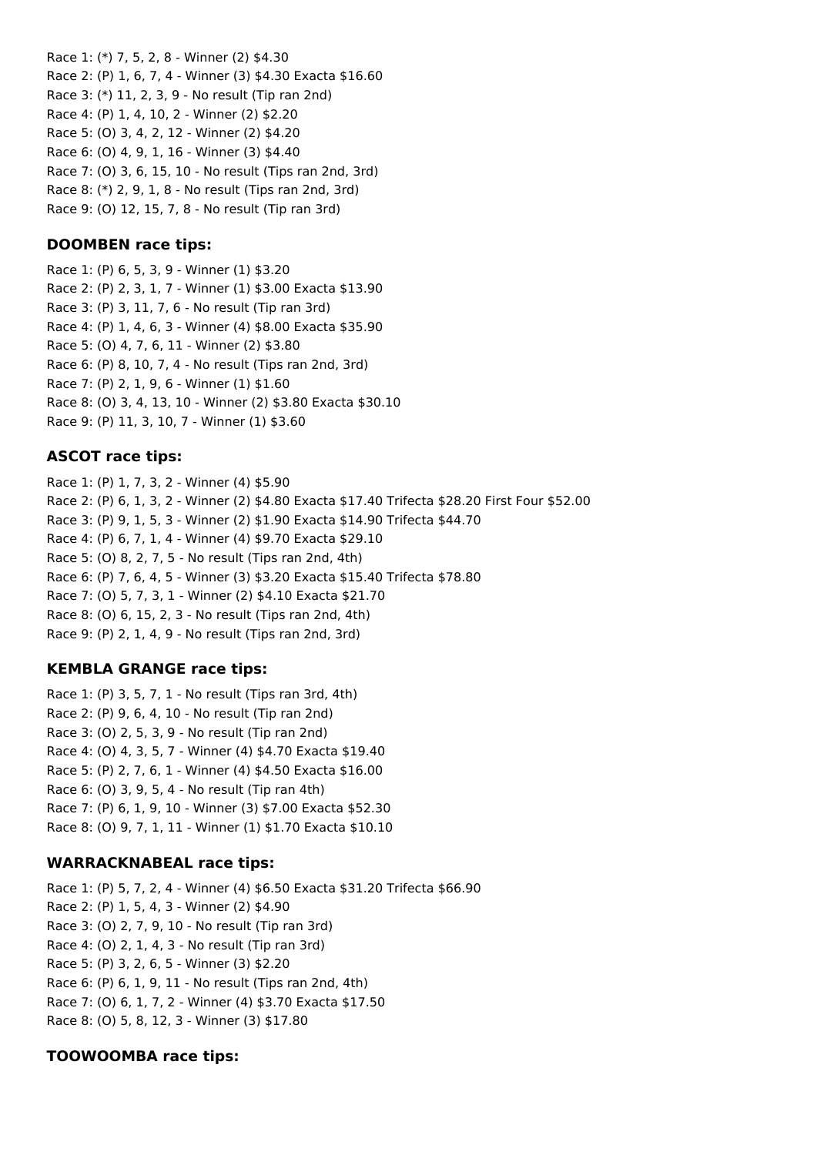Race 1: (\*) 7, 5, 2, 8 - Winner (2) \$4.30 Race 2: (P) 1, 6, 7, 4 - Winner (3) \$4.30 Exacta \$16.60 Race 3: (\*) 11, 2, 3, 9 - No result (Tip ran 2nd) Race 4: (P) 1, 4, 10, 2 - Winner (2) \$2.20 Race 5: (O) 3, 4, 2, 12 - Winner (2) \$4.20 Race 6: (O) 4, 9, 1, 16 - Winner (3) \$4.40 Race 7: (O) 3, 6, 15, 10 - No result (Tips ran 2nd, 3rd) Race 8: (\*) 2, 9, 1, 8 - No result (Tips ran 2nd, 3rd) Race 9: (O) 12, 15, 7, 8 - No result (Tip ran 3rd)

### **DOOMBEN race tips:**

Race 1: (P) 6, 5, 3, 9 - Winner (1) \$3.20 Race 2: (P) 2, 3, 1, 7 - Winner (1) \$3.00 Exacta \$13.90 Race 3: (P) 3, 11, 7, 6 - No result (Tip ran 3rd) Race 4: (P) 1, 4, 6, 3 - Winner (4) \$8.00 Exacta \$35.90 Race 5: (O) 4, 7, 6, 11 - Winner (2) \$3.80 Race 6: (P) 8, 10, 7, 4 - No result (Tips ran 2nd, 3rd) Race 7: (P) 2, 1, 9, 6 - Winner (1) \$1.60 Race 8: (O) 3, 4, 13, 10 - Winner (2) \$3.80 Exacta \$30.10 Race 9: (P) 11, 3, 10, 7 - Winner (1) \$3.60

### **ASCOT race tips:**

Race 1: (P) 1, 7, 3, 2 - Winner (4) \$5.90 Race 2: (P) 6, 1, 3, 2 - Winner (2) \$4.80 Exacta \$17.40 Trifecta \$28.20 First Four \$52.00 Race 3: (P) 9, 1, 5, 3 - Winner (2) \$1.90 Exacta \$14.90 Trifecta \$44.70 Race 4: (P) 6, 7, 1, 4 - Winner (4) \$9.70 Exacta \$29.10 Race 5: (O) 8, 2, 7, 5 - No result (Tips ran 2nd, 4th) Race 6: (P) 7, 6, 4, 5 - Winner (3) \$3.20 Exacta \$15.40 Trifecta \$78.80 Race 7: (O) 5, 7, 3, 1 - Winner (2) \$4.10 Exacta \$21.70 Race 8: (O) 6, 15, 2, 3 - No result (Tips ran 2nd, 4th) Race 9: (P) 2, 1, 4, 9 - No result (Tips ran 2nd, 3rd)

### **KEMBLA GRANGE race tips:**

Race 1: (P) 3, 5, 7, 1 - No result (Tips ran 3rd, 4th) Race 2: (P) 9, 6, 4, 10 - No result (Tip ran 2nd) Race 3: (O) 2, 5, 3, 9 - No result (Tip ran 2nd) Race 4: (O) 4, 3, 5, 7 - Winner (4) \$4.70 Exacta \$19.40 Race 5: (P) 2, 7, 6, 1 - Winner (4) \$4.50 Exacta \$16.00 Race 6: (O) 3, 9, 5, 4 - No result (Tip ran 4th) Race 7: (P) 6, 1, 9, 10 - Winner (3) \$7.00 Exacta \$52.30 Race 8: (O) 9, 7, 1, 11 - Winner (1) \$1.70 Exacta \$10.10

### **WARRACKNABEAL race tips:**

Race 1: (P) 5, 7, 2, 4 - Winner (4) \$6.50 Exacta \$31.20 Trifecta \$66.90 Race 2: (P) 1, 5, 4, 3 - Winner (2) \$4.90 Race 3: (O) 2, 7, 9, 10 - No result (Tip ran 3rd) Race 4: (O) 2, 1, 4, 3 - No result (Tip ran 3rd) Race 5: (P) 3, 2, 6, 5 - Winner (3) \$2.20 Race 6: (P) 6, 1, 9, 11 - No result (Tips ran 2nd, 4th) Race 7: (O) 6, 1, 7, 2 - Winner (4) \$3.70 Exacta \$17.50 Race 8: (O) 5, 8, 12, 3 - Winner (3) \$17.80

### **TOOWOOMBA race tips:**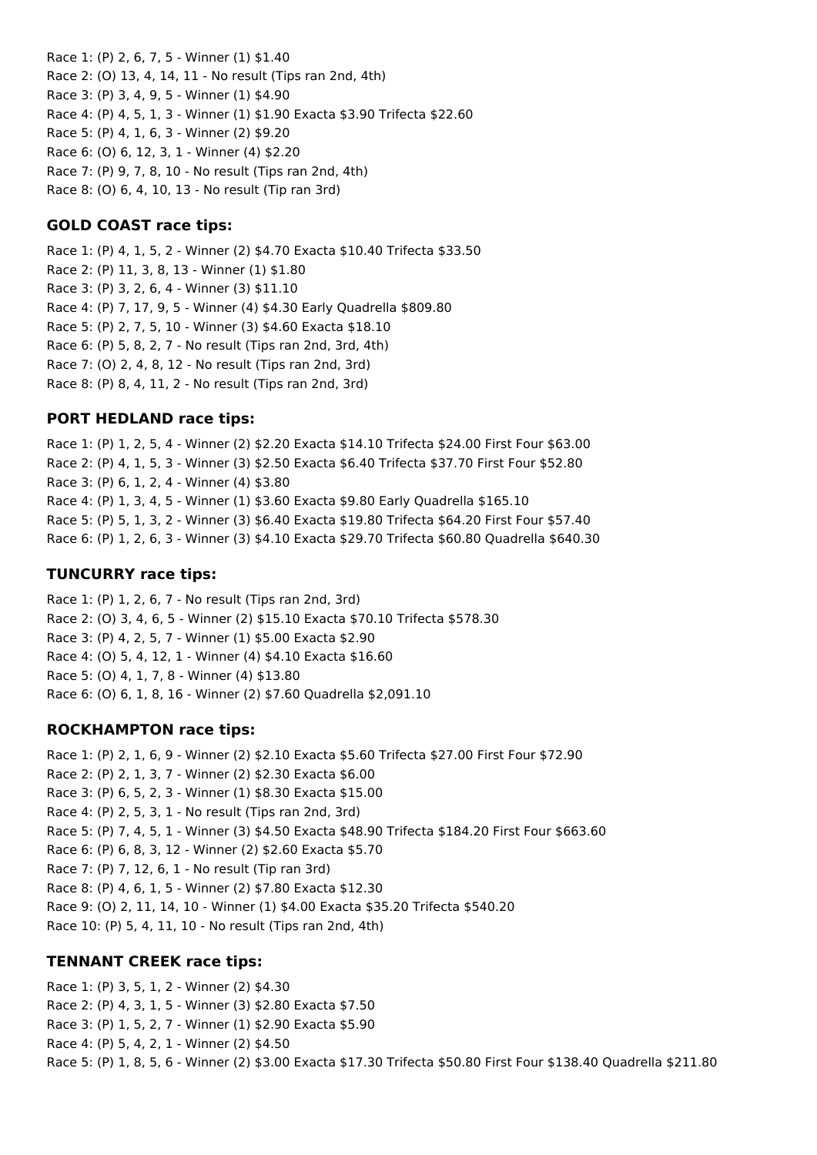Race 1: (P) 2, 6, 7, 5 - Winner (1) \$1.40 Race 2: (O) 13, 4, 14, 11 - No result (Tips ran 2nd, 4th) Race 3: (P) 3, 4, 9, 5 - Winner (1) \$4.90 Race 4: (P) 4, 5, 1, 3 - Winner (1) \$1.90 Exacta \$3.90 Trifecta \$22.60 Race 5: (P) 4, 1, 6, 3 - Winner (2) \$9.20 Race 6: (O) 6, 12, 3, 1 - Winner (4) \$2.20 Race 7: (P) 9, 7, 8, 10 - No result (Tips ran 2nd, 4th) Race 8: (O) 6, 4, 10, 13 - No result (Tip ran 3rd)

## **GOLD COAST race tips:**

Race 1: (P) 4, 1, 5, 2 - Winner (2) \$4.70 Exacta \$10.40 Trifecta \$33.50 Race 2: (P) 11, 3, 8, 13 - Winner (1) \$1.80 Race 3: (P) 3, 2, 6, 4 - Winner (3) \$11.10 Race 4: (P) 7, 17, 9, 5 - Winner (4) \$4.30 Early Quadrella \$809.80 Race 5: (P) 2, 7, 5, 10 - Winner (3) \$4.60 Exacta \$18.10 Race 6: (P) 5, 8, 2, 7 - No result (Tips ran 2nd, 3rd, 4th) Race 7: (O) 2, 4, 8, 12 - No result (Tips ran 2nd, 3rd) Race 8: (P) 8, 4, 11, 2 - No result (Tips ran 2nd, 3rd)

## **PORT HEDLAND race tips:**

Race 1: (P) 1, 2, 5, 4 - Winner (2) \$2.20 Exacta \$14.10 Trifecta \$24.00 First Four \$63.00 Race 2: (P) 4, 1, 5, 3 - Winner (3) \$2.50 Exacta \$6.40 Trifecta \$37.70 First Four \$52.80 Race 3: (P) 6, 1, 2, 4 - Winner (4) \$3.80 Race 4: (P) 1, 3, 4, 5 - Winner (1) \$3.60 Exacta \$9.80 Early Quadrella \$165.10 Race 5: (P) 5, 1, 3, 2 - Winner (3) \$6.40 Exacta \$19.80 Trifecta \$64.20 First Four \$57.40 Race 6: (P) 1, 2, 6, 3 - Winner (3) \$4.10 Exacta \$29.70 Trifecta \$60.80 Quadrella \$640.30

### **TUNCURRY race tips:**

Race 1: (P) 1, 2, 6, 7 - No result (Tips ran 2nd, 3rd) Race 2: (O) 3, 4, 6, 5 - Winner (2) \$15.10 Exacta \$70.10 Trifecta \$578.30 Race 3: (P) 4, 2, 5, 7 - Winner (1) \$5.00 Exacta \$2.90 Race 4: (O) 5, 4, 12, 1 - Winner (4) \$4.10 Exacta \$16.60 Race 5: (O) 4, 1, 7, 8 - Winner (4) \$13.80 Race 6: (O) 6, 1, 8, 16 - Winner (2) \$7.60 Quadrella \$2,091.10

## **ROCKHAMPTON race tips:**

Race 1: (P) 2, 1, 6, 9 - Winner (2) \$2.10 Exacta \$5.60 Trifecta \$27.00 First Four \$72.90 Race 2: (P) 2, 1, 3, 7 - Winner (2) \$2.30 Exacta \$6.00 Race 3: (P) 6, 5, 2, 3 - Winner (1) \$8.30 Exacta \$15.00 Race 4: (P) 2, 5, 3, 1 - No result (Tips ran 2nd, 3rd) Race 5: (P) 7, 4, 5, 1 - Winner (3) \$4.50 Exacta \$48.90 Trifecta \$184.20 First Four \$663.60 Race 6: (P) 6, 8, 3, 12 - Winner (2) \$2.60 Exacta \$5.70 Race 7: (P) 7, 12, 6, 1 - No result (Tip ran 3rd) Race 8: (P) 4, 6, 1, 5 - Winner (2) \$7.80 Exacta \$12.30 Race 9: (O) 2, 11, 14, 10 - Winner (1) \$4.00 Exacta \$35.20 Trifecta \$540.20 Race 10: (P) 5, 4, 11, 10 - No result (Tips ran 2nd, 4th)

## **TENNANT CREEK race tips:**

Race 1: (P) 3, 5, 1, 2 - Winner (2) \$4.30 Race 2: (P) 4, 3, 1, 5 - Winner (3) \$2.80 Exacta \$7.50 Race 3: (P) 1, 5, 2, 7 - Winner (1) \$2.90 Exacta \$5.90 Race 4: (P) 5, 4, 2, 1 - Winner (2) \$4.50 Race 5: (P) 1, 8, 5, 6 - Winner (2) \$3.00 Exacta \$17.30 Trifecta \$50.80 First Four \$138.40 Quadrella \$211.80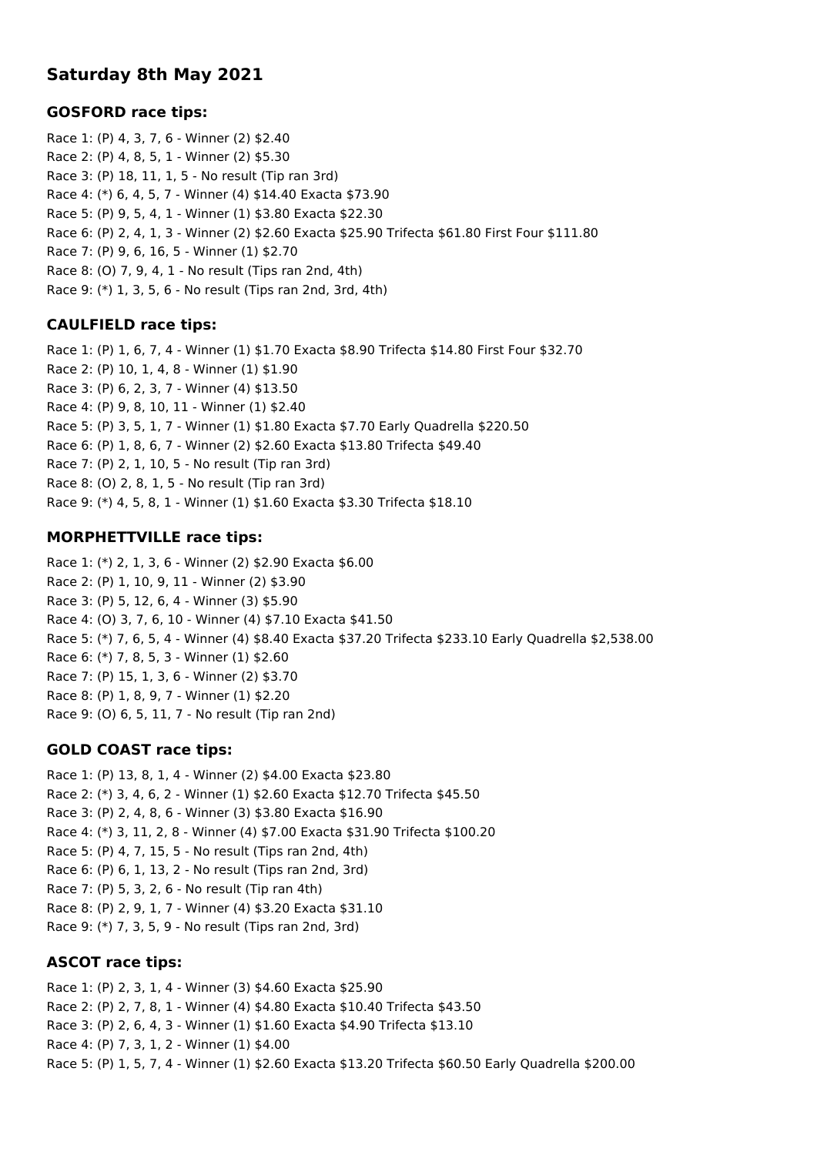# **Saturday 8th May 2021**

## **GOSFORD race tips:**

Race 1: (P) 4, 3, 7, 6 - Winner (2) \$2.40 Race 2: (P) 4, 8, 5, 1 - Winner (2) \$5.30 Race 3: (P) 18, 11, 1, 5 - No result (Tip ran 3rd) Race 4: (\*) 6, 4, 5, 7 - Winner (4) \$14.40 Exacta \$73.90 Race 5: (P) 9, 5, 4, 1 - Winner (1) \$3.80 Exacta \$22.30 Race 6: (P) 2, 4, 1, 3 - Winner (2) \$2.60 Exacta \$25.90 Trifecta \$61.80 First Four \$111.80 Race 7: (P) 9, 6, 16, 5 - Winner (1) \$2.70 Race 8: (O) 7, 9, 4, 1 - No result (Tips ran 2nd, 4th) Race 9: (\*) 1, 3, 5, 6 - No result (Tips ran 2nd, 3rd, 4th)

## **CAULFIELD race tips:**

Race 1: (P) 1, 6, 7, 4 - Winner (1) \$1.70 Exacta \$8.90 Trifecta \$14.80 First Four \$32.70 Race 2: (P) 10, 1, 4, 8 - Winner (1) \$1.90 Race 3: (P) 6, 2, 3, 7 - Winner (4) \$13.50 Race 4: (P) 9, 8, 10, 11 - Winner (1) \$2.40 Race 5: (P) 3, 5, 1, 7 - Winner (1) \$1.80 Exacta \$7.70 Early Quadrella \$220.50 Race 6: (P) 1, 8, 6, 7 - Winner (2) \$2.60 Exacta \$13.80 Trifecta \$49.40 Race 7: (P) 2, 1, 10, 5 - No result (Tip ran 3rd) Race 8: (O) 2, 8, 1, 5 - No result (Tip ran 3rd) Race 9: (\*) 4, 5, 8, 1 - Winner (1) \$1.60 Exacta \$3.30 Trifecta \$18.10

## **MORPHETTVILLE race tips:**

Race 1: (\*) 2, 1, 3, 6 - Winner (2) \$2.90 Exacta \$6.00 Race 2: (P) 1, 10, 9, 11 - Winner (2) \$3.90 Race 3: (P) 5, 12, 6, 4 - Winner (3) \$5.90 Race 4: (O) 3, 7, 6, 10 - Winner (4) \$7.10 Exacta \$41.50 Race 5: (\*) 7, 6, 5, 4 - Winner (4) \$8.40 Exacta \$37.20 Trifecta \$233.10 Early Quadrella \$2,538.00 Race 6: (\*) 7, 8, 5, 3 - Winner (1) \$2.60 Race 7: (P) 15, 1, 3, 6 - Winner (2) \$3.70 Race 8: (P) 1, 8, 9, 7 - Winner (1) \$2.20 Race 9: (O) 6, 5, 11, 7 - No result (Tip ran 2nd)

## **GOLD COAST race tips:**

Race 1: (P) 13, 8, 1, 4 - Winner (2) \$4.00 Exacta \$23.80 Race 2: (\*) 3, 4, 6, 2 - Winner (1) \$2.60 Exacta \$12.70 Trifecta \$45.50 Race 3: (P) 2, 4, 8, 6 - Winner (3) \$3.80 Exacta \$16.90 Race 4: (\*) 3, 11, 2, 8 - Winner (4) \$7.00 Exacta \$31.90 Trifecta \$100.20 Race 5: (P) 4, 7, 15, 5 - No result (Tips ran 2nd, 4th) Race 6: (P) 6, 1, 13, 2 - No result (Tips ran 2nd, 3rd) Race 7: (P) 5, 3, 2, 6 - No result (Tip ran 4th) Race 8: (P) 2, 9, 1, 7 - Winner (4) \$3.20 Exacta \$31.10 Race 9: (\*) 7, 3, 5, 9 - No result (Tips ran 2nd, 3rd)

## **ASCOT race tips:**

Race 1: (P) 2, 3, 1, 4 - Winner (3) \$4.60 Exacta \$25.90 Race 2: (P) 2, 7, 8, 1 - Winner (4) \$4.80 Exacta \$10.40 Trifecta \$43.50 Race 3: (P) 2, 6, 4, 3 - Winner (1) \$1.60 Exacta \$4.90 Trifecta \$13.10 Race 4: (P) 7, 3, 1, 2 - Winner (1) \$4.00 Race 5: (P) 1, 5, 7, 4 - Winner (1) \$2.60 Exacta \$13.20 Trifecta \$60.50 Early Quadrella \$200.00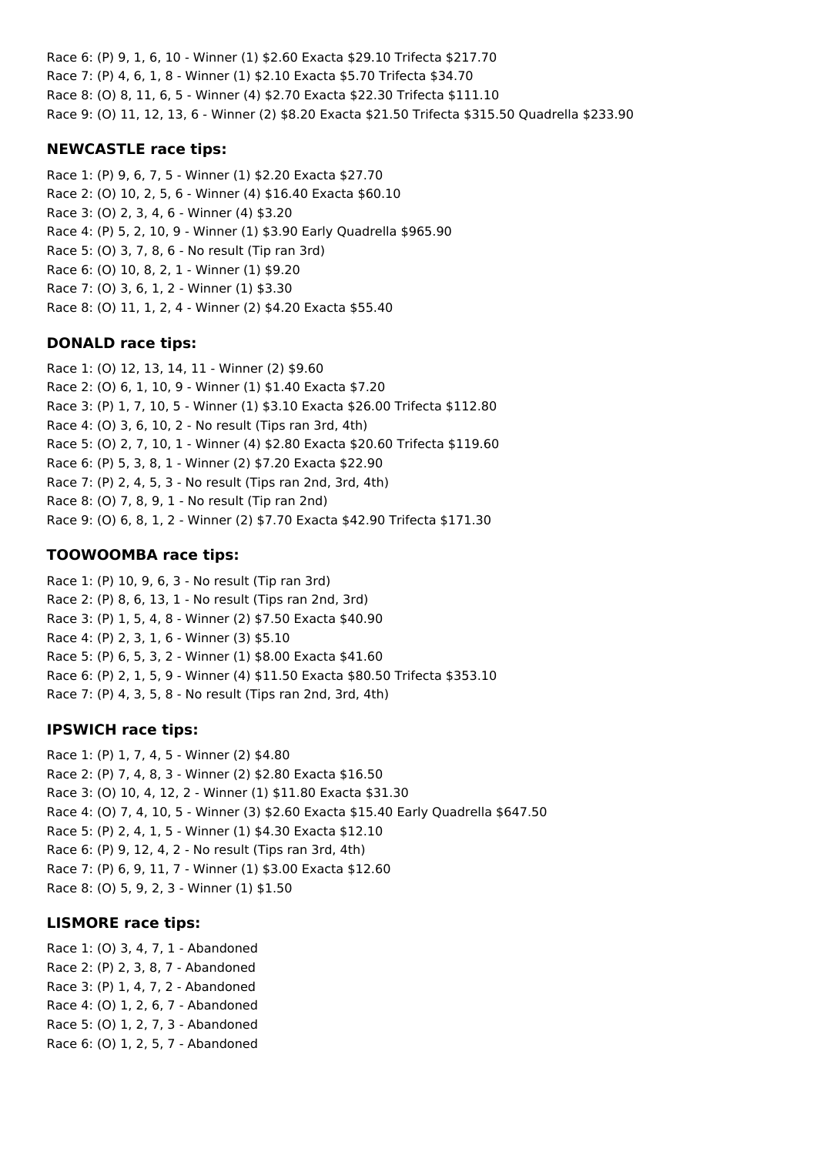Race 6: (P) 9, 1, 6, 10 - Winner (1) \$2.60 Exacta \$29.10 Trifecta \$217.70 Race 7: (P) 4, 6, 1, 8 - Winner (1) \$2.10 Exacta \$5.70 Trifecta \$34.70 Race 8: (O) 8, 11, 6, 5 - Winner (4) \$2.70 Exacta \$22.30 Trifecta \$111.10 Race 9: (O) 11, 12, 13, 6 - Winner (2) \$8.20 Exacta \$21.50 Trifecta \$315.50 Quadrella \$233.90

## **NEWCASTLE race tips:**

Race 1: (P) 9, 6, 7, 5 - Winner (1) \$2.20 Exacta \$27.70 Race 2: (O) 10, 2, 5, 6 - Winner (4) \$16.40 Exacta \$60.10 Race 3: (O) 2, 3, 4, 6 - Winner (4) \$3.20 Race 4: (P) 5, 2, 10, 9 - Winner (1) \$3.90 Early Quadrella \$965.90 Race 5: (O) 3, 7, 8, 6 - No result (Tip ran 3rd) Race 6: (O) 10, 8, 2, 1 - Winner (1) \$9.20 Race 7: (O) 3, 6, 1, 2 - Winner (1) \$3.30 Race 8: (O) 11, 1, 2, 4 - Winner (2) \$4.20 Exacta \$55.40

## **DONALD race tips:**

Race 1: (O) 12, 13, 14, 11 - Winner (2) \$9.60 Race 2: (O) 6, 1, 10, 9 - Winner (1) \$1.40 Exacta \$7.20 Race 3: (P) 1, 7, 10, 5 - Winner (1) \$3.10 Exacta \$26.00 Trifecta \$112.80 Race 4: (O) 3, 6, 10, 2 - No result (Tips ran 3rd, 4th) Race 5: (O) 2, 7, 10, 1 - Winner (4) \$2.80 Exacta \$20.60 Trifecta \$119.60 Race 6: (P) 5, 3, 8, 1 - Winner (2) \$7.20 Exacta \$22.90 Race 7: (P) 2, 4, 5, 3 - No result (Tips ran 2nd, 3rd, 4th) Race 8: (O) 7, 8, 9, 1 - No result (Tip ran 2nd) Race 9: (O) 6, 8, 1, 2 - Winner (2) \$7.70 Exacta \$42.90 Trifecta \$171.30

## **TOOWOOMBA race tips:**

Race 1: (P) 10, 9, 6, 3 - No result (Tip ran 3rd) Race 2: (P) 8, 6, 13, 1 - No result (Tips ran 2nd, 3rd) Race 3: (P) 1, 5, 4, 8 - Winner (2) \$7.50 Exacta \$40.90 Race 4: (P) 2, 3, 1, 6 - Winner (3) \$5.10 Race 5: (P) 6, 5, 3, 2 - Winner (1) \$8.00 Exacta \$41.60 Race 6: (P) 2, 1, 5, 9 - Winner (4) \$11.50 Exacta \$80.50 Trifecta \$353.10 Race 7: (P) 4, 3, 5, 8 - No result (Tips ran 2nd, 3rd, 4th)

## **IPSWICH race tips:**

Race 1: (P) 1, 7, 4, 5 - Winner (2) \$4.80 Race 2: (P) 7, 4, 8, 3 - Winner (2) \$2.80 Exacta \$16.50 Race 3: (O) 10, 4, 12, 2 - Winner (1) \$11.80 Exacta \$31.30 Race 4: (O) 7, 4, 10, 5 - Winner (3) \$2.60 Exacta \$15.40 Early Quadrella \$647.50 Race 5: (P) 2, 4, 1, 5 - Winner (1) \$4.30 Exacta \$12.10 Race 6: (P) 9, 12, 4, 2 - No result (Tips ran 3rd, 4th) Race 7: (P) 6, 9, 11, 7 - Winner (1) \$3.00 Exacta \$12.60 Race 8: (O) 5, 9, 2, 3 - Winner (1) \$1.50

## **LISMORE race tips:**

Race 1: (O) 3, 4, 7, 1 - Abandoned Race 2: (P) 2, 3, 8, 7 - Abandoned Race 3: (P) 1, 4, 7, 2 - Abandoned Race 4: (O) 1, 2, 6, 7 - Abandoned Race 5: (O) 1, 2, 7, 3 - Abandoned Race 6: (O) 1, 2, 5, 7 - Abandoned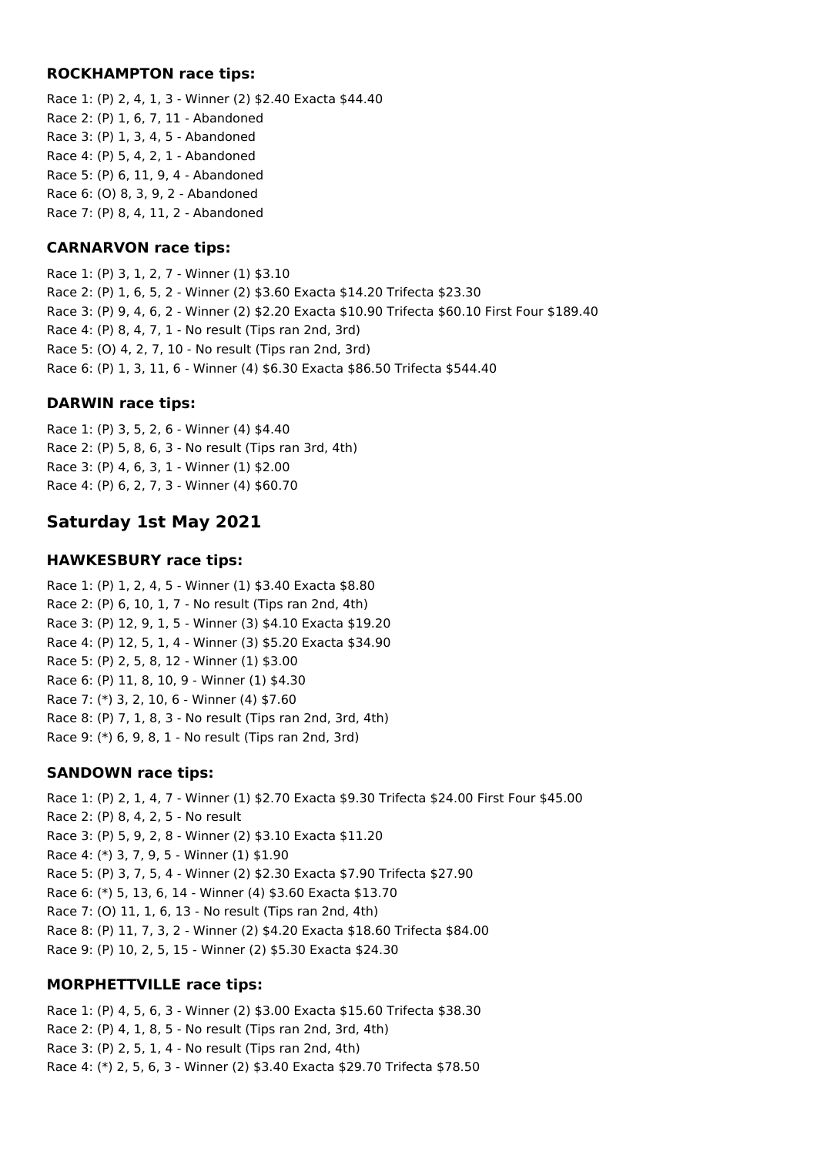### **ROCKHAMPTON race tips:**

Race 1: (P) 2, 4, 1, 3 - Winner (2) \$2.40 Exacta \$44.40 Race 2: (P) 1, 6, 7, 11 - Abandoned Race 3: (P) 1, 3, 4, 5 - Abandoned Race 4: (P) 5, 4, 2, 1 - Abandoned Race 5: (P) 6, 11, 9, 4 - Abandoned Race 6: (O) 8, 3, 9, 2 - Abandoned Race 7: (P) 8, 4, 11, 2 - Abandoned

## **CARNARVON race tips:**

Race 1: (P) 3, 1, 2, 7 - Winner (1) \$3.10 Race 2: (P) 1, 6, 5, 2 - Winner (2) \$3.60 Exacta \$14.20 Trifecta \$23.30 Race 3: (P) 9, 4, 6, 2 - Winner (2) \$2.20 Exacta \$10.90 Trifecta \$60.10 First Four \$189.40 Race 4: (P) 8, 4, 7, 1 - No result (Tips ran 2nd, 3rd) Race 5: (O) 4, 2, 7, 10 - No result (Tips ran 2nd, 3rd) Race 6: (P) 1, 3, 11, 6 - Winner (4) \$6.30 Exacta \$86.50 Trifecta \$544.40

### **DARWIN race tips:**

Race 1: (P) 3, 5, 2, 6 - Winner (4) \$4.40 Race 2: (P) 5, 8, 6, 3 - No result (Tips ran 3rd, 4th) Race 3: (P) 4, 6, 3, 1 - Winner (1) \$2.00 Race 4: (P) 6, 2, 7, 3 - Winner (4) \$60.70

## **Saturday 1st May 2021**

### **HAWKESBURY race tips:**

Race 1: (P) 1, 2, 4, 5 - Winner (1) \$3.40 Exacta \$8.80 Race 2: (P) 6, 10, 1, 7 - No result (Tips ran 2nd, 4th) Race 3: (P) 12, 9, 1, 5 - Winner (3) \$4.10 Exacta \$19.20 Race 4: (P) 12, 5, 1, 4 - Winner (3) \$5.20 Exacta \$34.90 Race 5: (P) 2, 5, 8, 12 - Winner (1) \$3.00 Race 6: (P) 11, 8, 10, 9 - Winner (1) \$4.30 Race 7: (\*) 3, 2, 10, 6 - Winner (4) \$7.60 Race 8: (P) 7, 1, 8, 3 - No result (Tips ran 2nd, 3rd, 4th) Race 9: (\*) 6, 9, 8, 1 - No result (Tips ran 2nd, 3rd)

## **SANDOWN race tips:**

Race 1: (P) 2, 1, 4, 7 - Winner (1) \$2.70 Exacta \$9.30 Trifecta \$24.00 First Four \$45.00 Race 2: (P) 8, 4, 2, 5 - No result Race 3: (P) 5, 9, 2, 8 - Winner (2) \$3.10 Exacta \$11.20 Race 4: (\*) 3, 7, 9, 5 - Winner (1) \$1.90 Race 5: (P) 3, 7, 5, 4 - Winner (2) \$2.30 Exacta \$7.90 Trifecta \$27.90 Race 6: (\*) 5, 13, 6, 14 - Winner (4) \$3.60 Exacta \$13.70 Race 7: (O) 11, 1, 6, 13 - No result (Tips ran 2nd, 4th) Race 8: (P) 11, 7, 3, 2 - Winner (2) \$4.20 Exacta \$18.60 Trifecta \$84.00 Race 9: (P) 10, 2, 5, 15 - Winner (2) \$5.30 Exacta \$24.30

### **MORPHETTVILLE race tips:**

Race 1: (P) 4, 5, 6, 3 - Winner (2) \$3.00 Exacta \$15.60 Trifecta \$38.30 Race 2: (P) 4, 1, 8, 5 - No result (Tips ran 2nd, 3rd, 4th) Race 3: (P) 2, 5, 1, 4 - No result (Tips ran 2nd, 4th) Race 4: (\*) 2, 5, 6, 3 - Winner (2) \$3.40 Exacta \$29.70 Trifecta \$78.50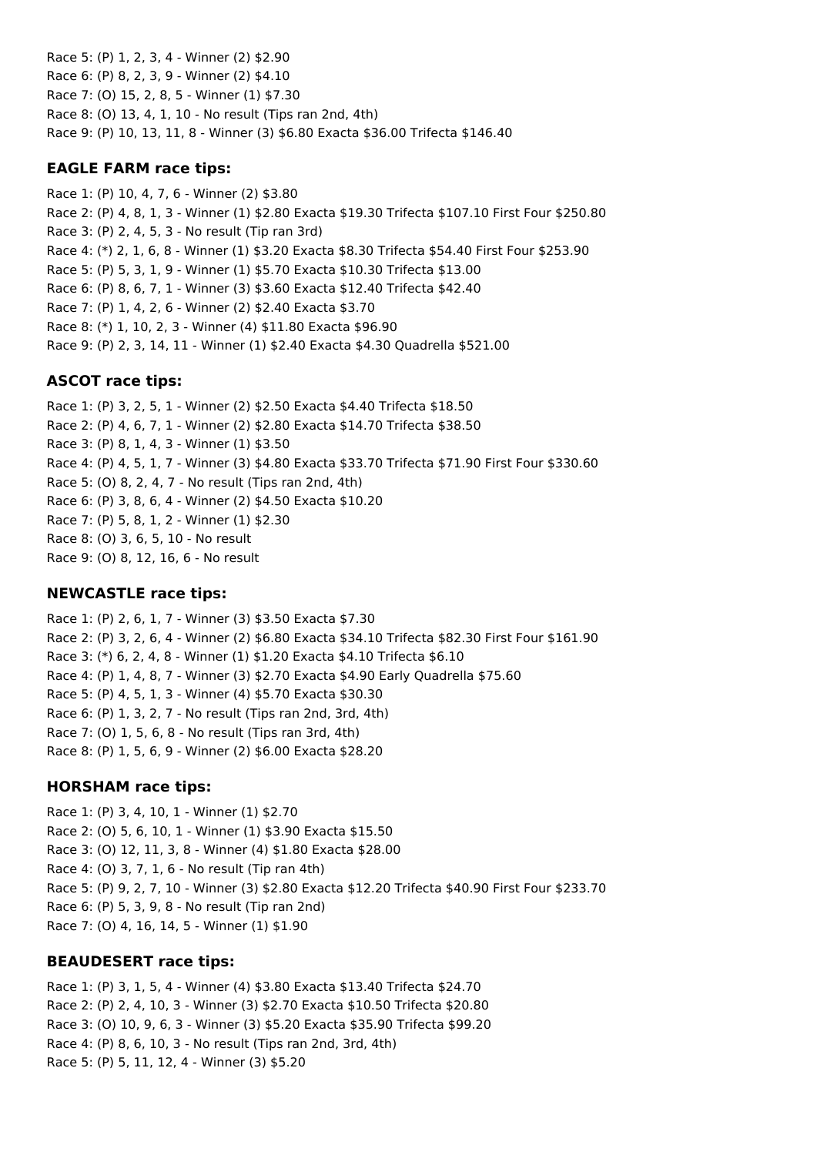Race 5: (P) 1, 2, 3, 4 - Winner (2) \$2.90 Race 6: (P) 8, 2, 3, 9 - Winner (2) \$4.10 Race 7: (O) 15, 2, 8, 5 - Winner (1) \$7.30 Race 8: (O) 13, 4, 1, 10 - No result (Tips ran 2nd, 4th) Race 9: (P) 10, 13, 11, 8 - Winner (3) \$6.80 Exacta \$36.00 Trifecta \$146.40

### **EAGLE FARM race tips:**

Race 1: (P) 10, 4, 7, 6 - Winner (2) \$3.80 Race 2: (P) 4, 8, 1, 3 - Winner (1) \$2.80 Exacta \$19.30 Trifecta \$107.10 First Four \$250.80 Race 3: (P) 2, 4, 5, 3 - No result (Tip ran 3rd) Race 4: (\*) 2, 1, 6, 8 - Winner (1) \$3.20 Exacta \$8.30 Trifecta \$54.40 First Four \$253.90 Race 5: (P) 5, 3, 1, 9 - Winner (1) \$5.70 Exacta \$10.30 Trifecta \$13.00 Race 6: (P) 8, 6, 7, 1 - Winner (3) \$3.60 Exacta \$12.40 Trifecta \$42.40 Race 7: (P) 1, 4, 2, 6 - Winner (2) \$2.40 Exacta \$3.70 Race 8: (\*) 1, 10, 2, 3 - Winner (4) \$11.80 Exacta \$96.90 Race 9: (P) 2, 3, 14, 11 - Winner (1) \$2.40 Exacta \$4.30 Quadrella \$521.00

### **ASCOT race tips:**

Race 1: (P) 3, 2, 5, 1 - Winner (2) \$2.50 Exacta \$4.40 Trifecta \$18.50 Race 2: (P) 4, 6, 7, 1 - Winner (2) \$2.80 Exacta \$14.70 Trifecta \$38.50 Race 3: (P) 8, 1, 4, 3 - Winner (1) \$3.50 Race 4: (P) 4, 5, 1, 7 - Winner (3) \$4.80 Exacta \$33.70 Trifecta \$71.90 First Four \$330.60 Race 5: (O) 8, 2, 4, 7 - No result (Tips ran 2nd, 4th) Race 6: (P) 3, 8, 6, 4 - Winner (2) \$4.50 Exacta \$10.20 Race 7: (P) 5, 8, 1, 2 - Winner (1) \$2.30 Race 8: (O) 3, 6, 5, 10 - No result Race 9: (O) 8, 12, 16, 6 - No result

### **NEWCASTLE race tips:**

Race 1: (P) 2, 6, 1, 7 - Winner (3) \$3.50 Exacta \$7.30 Race 2: (P) 3, 2, 6, 4 - Winner (2) \$6.80 Exacta \$34.10 Trifecta \$82.30 First Four \$161.90 Race 3: (\*) 6, 2, 4, 8 - Winner (1) \$1.20 Exacta \$4.10 Trifecta \$6.10 Race 4: (P) 1, 4, 8, 7 - Winner (3) \$2.70 Exacta \$4.90 Early Quadrella \$75.60 Race 5: (P) 4, 5, 1, 3 - Winner (4) \$5.70 Exacta \$30.30 Race 6: (P) 1, 3, 2, 7 - No result (Tips ran 2nd, 3rd, 4th) Race 7: (O) 1, 5, 6, 8 - No result (Tips ran 3rd, 4th) Race 8: (P) 1, 5, 6, 9 - Winner (2) \$6.00 Exacta \$28.20

### **HORSHAM race tips:**

Race 1: (P) 3, 4, 10, 1 - Winner (1) \$2.70 Race 2: (O) 5, 6, 10, 1 - Winner (1) \$3.90 Exacta \$15.50 Race 3: (O) 12, 11, 3, 8 - Winner (4) \$1.80 Exacta \$28.00 Race 4: (O) 3, 7, 1, 6 - No result (Tip ran 4th) Race 5: (P) 9, 2, 7, 10 - Winner (3) \$2.80 Exacta \$12.20 Trifecta \$40.90 First Four \$233.70 Race 6: (P) 5, 3, 9, 8 - No result (Tip ran 2nd) Race 7: (O) 4, 16, 14, 5 - Winner (1) \$1.90

### **BEAUDESERT race tips:**

Race 1: (P) 3, 1, 5, 4 - Winner (4) \$3.80 Exacta \$13.40 Trifecta \$24.70 Race 2: (P) 2, 4, 10, 3 - Winner (3) \$2.70 Exacta \$10.50 Trifecta \$20.80 Race 3: (O) 10, 9, 6, 3 - Winner (3) \$5.20 Exacta \$35.90 Trifecta \$99.20 Race 4: (P) 8, 6, 10, 3 - No result (Tips ran 2nd, 3rd, 4th) Race 5: (P) 5, 11, 12, 4 - Winner (3) \$5.20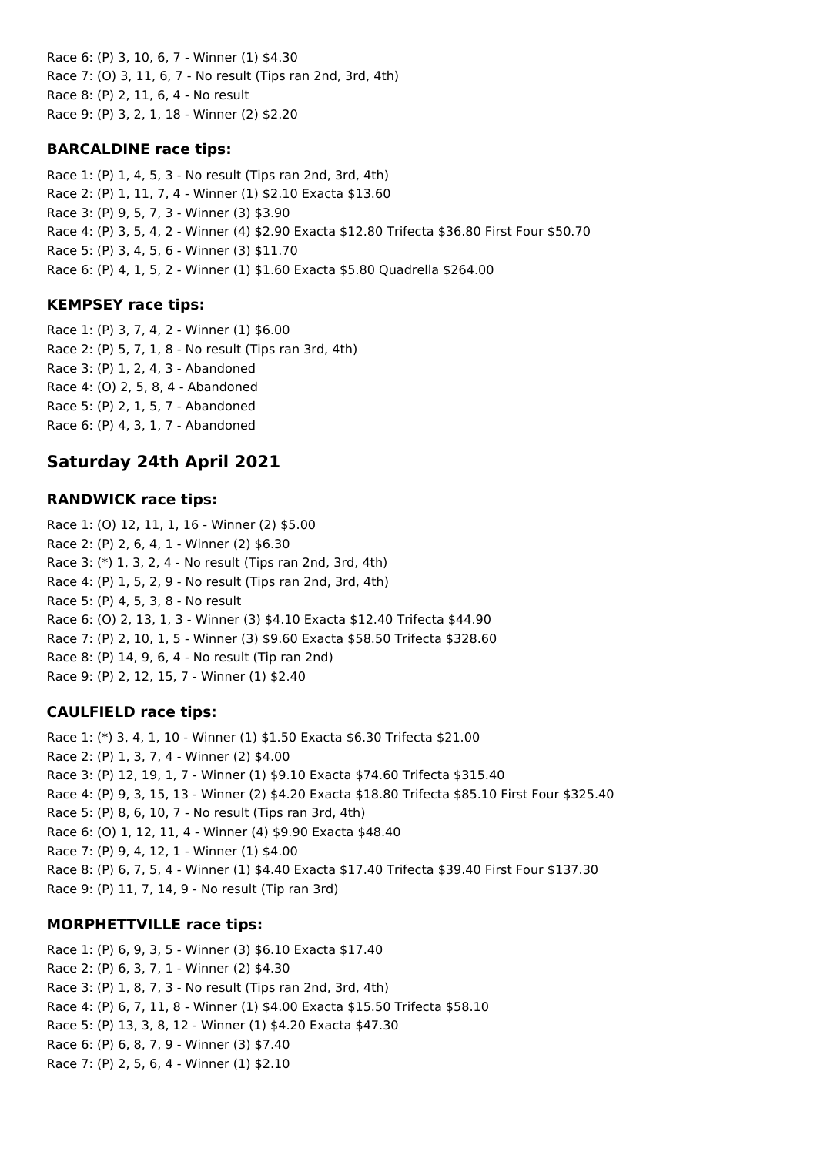Race 6: (P) 3, 10, 6, 7 - Winner (1) \$4.30 Race 7: (O) 3, 11, 6, 7 - No result (Tips ran 2nd, 3rd, 4th) Race 8: (P) 2, 11, 6, 4 - No result Race 9: (P) 3, 2, 1, 18 - Winner (2) \$2.20

## **BARCALDINE race tips:**

Race 1: (P) 1, 4, 5, 3 - No result (Tips ran 2nd, 3rd, 4th) Race 2: (P) 1, 11, 7, 4 - Winner (1) \$2.10 Exacta \$13.60 Race 3: (P) 9, 5, 7, 3 - Winner (3) \$3.90 Race 4: (P) 3, 5, 4, 2 - Winner (4) \$2.90 Exacta \$12.80 Trifecta \$36.80 First Four \$50.70 Race 5: (P) 3, 4, 5, 6 - Winner (3) \$11.70 Race 6: (P) 4, 1, 5, 2 - Winner (1) \$1.60 Exacta \$5.80 Quadrella \$264.00

## **KEMPSEY race tips:**

Race 1: (P) 3, 7, 4, 2 - Winner (1) \$6.00 Race 2: (P) 5, 7, 1, 8 - No result (Tips ran 3rd, 4th) Race 3: (P) 1, 2, 4, 3 - Abandoned Race 4: (O) 2, 5, 8, 4 - Abandoned Race 5: (P) 2, 1, 5, 7 - Abandoned Race 6: (P) 4, 3, 1, 7 - Abandoned

# **Saturday 24th April 2021**

## **RANDWICK race tips:**

Race 1: (O) 12, 11, 1, 16 - Winner (2) \$5.00 Race 2: (P) 2, 6, 4, 1 - Winner (2) \$6.30 Race 3: (\*) 1, 3, 2, 4 - No result (Tips ran 2nd, 3rd, 4th) Race 4: (P) 1, 5, 2, 9 - No result (Tips ran 2nd, 3rd, 4th) Race 5: (P) 4, 5, 3, 8 - No result Race 6: (O) 2, 13, 1, 3 - Winner (3) \$4.10 Exacta \$12.40 Trifecta \$44.90 Race 7: (P) 2, 10, 1, 5 - Winner (3) \$9.60 Exacta \$58.50 Trifecta \$328.60 Race 8: (P) 14, 9, 6, 4 - No result (Tip ran 2nd) Race 9: (P) 2, 12, 15, 7 - Winner (1) \$2.40

## **CAULFIELD race tips:**

Race 1: (\*) 3, 4, 1, 10 - Winner (1) \$1.50 Exacta \$6.30 Trifecta \$21.00 Race 2: (P) 1, 3, 7, 4 - Winner (2) \$4.00 Race 3: (P) 12, 19, 1, 7 - Winner (1) \$9.10 Exacta \$74.60 Trifecta \$315.40 Race 4: (P) 9, 3, 15, 13 - Winner (2) \$4.20 Exacta \$18.80 Trifecta \$85.10 First Four \$325.40 Race 5: (P) 8, 6, 10, 7 - No result (Tips ran 3rd, 4th) Race 6: (O) 1, 12, 11, 4 - Winner (4) \$9.90 Exacta \$48.40 Race 7: (P) 9, 4, 12, 1 - Winner (1) \$4.00 Race 8: (P) 6, 7, 5, 4 - Winner (1) \$4.40 Exacta \$17.40 Trifecta \$39.40 First Four \$137.30 Race 9: (P) 11, 7, 14, 9 - No result (Tip ran 3rd)

## **MORPHETTVILLE race tips:**

Race 1: (P) 6, 9, 3, 5 - Winner (3) \$6.10 Exacta \$17.40 Race 2: (P) 6, 3, 7, 1 - Winner (2) \$4.30 Race 3: (P) 1, 8, 7, 3 - No result (Tips ran 2nd, 3rd, 4th) Race 4: (P) 6, 7, 11, 8 - Winner (1) \$4.00 Exacta \$15.50 Trifecta \$58.10 Race 5: (P) 13, 3, 8, 12 - Winner (1) \$4.20 Exacta \$47.30 Race 6: (P) 6, 8, 7, 9 - Winner (3) \$7.40 Race 7: (P) 2, 5, 6, 4 - Winner (1) \$2.10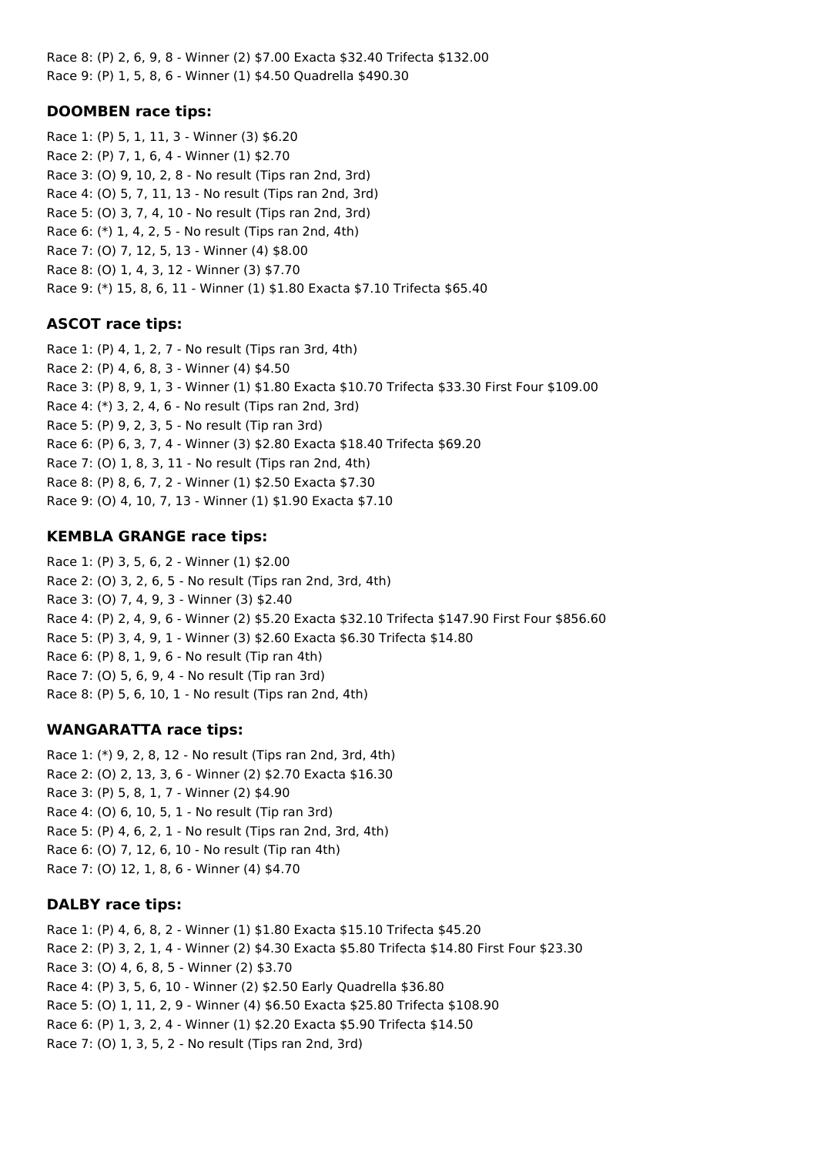Race 8: (P) 2, 6, 9, 8 - Winner (2) \$7.00 Exacta \$32.40 Trifecta \$132.00 Race 9: (P) 1, 5, 8, 6 - Winner (1) \$4.50 Quadrella \$490.30

### **DOOMBEN race tips:**

Race 1: (P) 5, 1, 11, 3 - Winner (3) \$6.20 Race 2: (P) 7, 1, 6, 4 - Winner (1) \$2.70 Race 3: (O) 9, 10, 2, 8 - No result (Tips ran 2nd, 3rd) Race 4: (O) 5, 7, 11, 13 - No result (Tips ran 2nd, 3rd) Race 5: (O) 3, 7, 4, 10 - No result (Tips ran 2nd, 3rd) Race 6: (\*) 1, 4, 2, 5 - No result (Tips ran 2nd, 4th) Race 7: (O) 7, 12, 5, 13 - Winner (4) \$8.00 Race 8: (O) 1, 4, 3, 12 - Winner (3) \$7.70 Race 9: (\*) 15, 8, 6, 11 - Winner (1) \$1.80 Exacta \$7.10 Trifecta \$65.40

## **ASCOT race tips:**

Race 1: (P) 4, 1, 2, 7 - No result (Tips ran 3rd, 4th) Race 2: (P) 4, 6, 8, 3 - Winner (4) \$4.50 Race 3: (P) 8, 9, 1, 3 - Winner (1) \$1.80 Exacta \$10.70 Trifecta \$33.30 First Four \$109.00 Race 4: (\*) 3, 2, 4, 6 - No result (Tips ran 2nd, 3rd) Race 5: (P) 9, 2, 3, 5 - No result (Tip ran 3rd) Race 6: (P) 6, 3, 7, 4 - Winner (3) \$2.80 Exacta \$18.40 Trifecta \$69.20 Race 7: (O) 1, 8, 3, 11 - No result (Tips ran 2nd, 4th) Race 8: (P) 8, 6, 7, 2 - Winner (1) \$2.50 Exacta \$7.30 Race 9: (O) 4, 10, 7, 13 - Winner (1) \$1.90 Exacta \$7.10

### **KEMBLA GRANGE race tips:**

Race 1: (P) 3, 5, 6, 2 - Winner (1) \$2.00 Race 2: (O) 3, 2, 6, 5 - No result (Tips ran 2nd, 3rd, 4th) Race 3: (O) 7, 4, 9, 3 - Winner (3) \$2.40 Race 4: (P) 2, 4, 9, 6 - Winner (2) \$5.20 Exacta \$32.10 Trifecta \$147.90 First Four \$856.60 Race 5: (P) 3, 4, 9, 1 - Winner (3) \$2.60 Exacta \$6.30 Trifecta \$14.80 Race 6: (P) 8, 1, 9, 6 - No result (Tip ran 4th) Race 7: (O) 5, 6, 9, 4 - No result (Tip ran 3rd) Race 8: (P) 5, 6, 10, 1 - No result (Tips ran 2nd, 4th)

### **WANGARATTA race tips:**

Race 1: (\*) 9, 2, 8, 12 - No result (Tips ran 2nd, 3rd, 4th) Race 2: (O) 2, 13, 3, 6 - Winner (2) \$2.70 Exacta \$16.30 Race 3: (P) 5, 8, 1, 7 - Winner (2) \$4.90 Race 4: (O) 6, 10, 5, 1 - No result (Tip ran 3rd) Race 5: (P) 4, 6, 2, 1 - No result (Tips ran 2nd, 3rd, 4th) Race 6: (O) 7, 12, 6, 10 - No result (Tip ran 4th) Race 7: (O) 12, 1, 8, 6 - Winner (4) \$4.70

### **DALBY race tips:**

Race 1: (P) 4, 6, 8, 2 - Winner (1) \$1.80 Exacta \$15.10 Trifecta \$45.20 Race 2: (P) 3, 2, 1, 4 - Winner (2) \$4.30 Exacta \$5.80 Trifecta \$14.80 First Four \$23.30 Race 3: (O) 4, 6, 8, 5 - Winner (2) \$3.70 Race 4: (P) 3, 5, 6, 10 - Winner (2) \$2.50 Early Quadrella \$36.80 Race 5: (O) 1, 11, 2, 9 - Winner (4) \$6.50 Exacta \$25.80 Trifecta \$108.90 Race 6: (P) 1, 3, 2, 4 - Winner (1) \$2.20 Exacta \$5.90 Trifecta \$14.50 Race 7: (O) 1, 3, 5, 2 - No result (Tips ran 2nd, 3rd)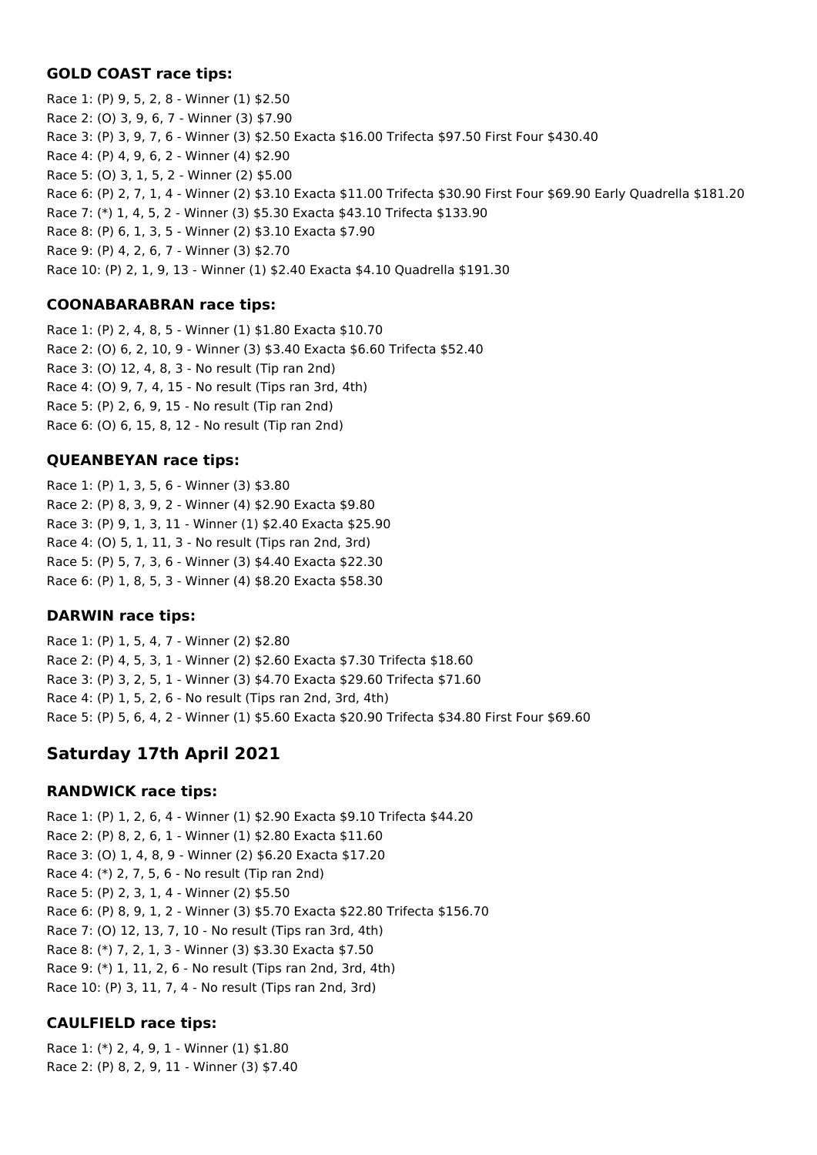### **GOLD COAST race tips:**

Race 1: (P) 9, 5, 2, 8 - Winner (1) \$2.50 Race 2: (O) 3, 9, 6, 7 - Winner (3) \$7.90 Race 3: (P) 3, 9, 7, 6 - Winner (3) \$2.50 Exacta \$16.00 Trifecta \$97.50 First Four \$430.40 Race 4: (P) 4, 9, 6, 2 - Winner (4) \$2.90 Race 5: (O) 3, 1, 5, 2 - Winner (2) \$5.00 Race 6: (P) 2, 7, 1, 4 - Winner (2) \$3.10 Exacta \$11.00 Trifecta \$30.90 First Four \$69.90 Early Quadrella \$181.20 Race 7: (\*) 1, 4, 5, 2 - Winner (3) \$5.30 Exacta \$43.10 Trifecta \$133.90 Race 8: (P) 6, 1, 3, 5 - Winner (2) \$3.10 Exacta \$7.90 Race 9: (P) 4, 2, 6, 7 - Winner (3) \$2.70 Race 10: (P) 2, 1, 9, 13 - Winner (1) \$2.40 Exacta \$4.10 Quadrella \$191.30

## **COONABARABRAN race tips:**

Race 1: (P) 2, 4, 8, 5 - Winner (1) \$1.80 Exacta \$10.70 Race 2: (O) 6, 2, 10, 9 - Winner (3) \$3.40 Exacta \$6.60 Trifecta \$52.40 Race 3: (O) 12, 4, 8, 3 - No result (Tip ran 2nd) Race 4: (O) 9, 7, 4, 15 - No result (Tips ran 3rd, 4th) Race 5: (P) 2, 6, 9, 15 - No result (Tip ran 2nd) Race 6: (O) 6, 15, 8, 12 - No result (Tip ran 2nd)

## **QUEANBEYAN race tips:**

Race 1: (P) 1, 3, 5, 6 - Winner (3) \$3.80 Race 2: (P) 8, 3, 9, 2 - Winner (4) \$2.90 Exacta \$9.80 Race 3: (P) 9, 1, 3, 11 - Winner (1) \$2.40 Exacta \$25.90 Race 4: (O) 5, 1, 11, 3 - No result (Tips ran 2nd, 3rd) Race 5: (P) 5, 7, 3, 6 - Winner (3) \$4.40 Exacta \$22.30 Race 6: (P) 1, 8, 5, 3 - Winner (4) \$8.20 Exacta \$58.30

## **DARWIN race tips:**

Race 1: (P) 1, 5, 4, 7 - Winner (2) \$2.80 Race 2: (P) 4, 5, 3, 1 - Winner (2) \$2.60 Exacta \$7.30 Trifecta \$18.60 Race 3: (P) 3, 2, 5, 1 - Winner (3) \$4.70 Exacta \$29.60 Trifecta \$71.60 Race 4: (P) 1, 5, 2, 6 - No result (Tips ran 2nd, 3rd, 4th) Race 5: (P) 5, 6, 4, 2 - Winner (1) \$5.60 Exacta \$20.90 Trifecta \$34.80 First Four \$69.60

# **Saturday 17th April 2021**

## **RANDWICK race tips:**

Race 1: (P) 1, 2, 6, 4 - Winner (1) \$2.90 Exacta \$9.10 Trifecta \$44.20 Race 2: (P) 8, 2, 6, 1 - Winner (1) \$2.80 Exacta \$11.60 Race 3: (O) 1, 4, 8, 9 - Winner (2) \$6.20 Exacta \$17.20 Race 4: (\*) 2, 7, 5, 6 - No result (Tip ran 2nd) Race 5: (P) 2, 3, 1, 4 - Winner (2) \$5.50 Race 6: (P) 8, 9, 1, 2 - Winner (3) \$5.70 Exacta \$22.80 Trifecta \$156.70 Race 7: (O) 12, 13, 7, 10 - No result (Tips ran 3rd, 4th) Race 8: (\*) 7, 2, 1, 3 - Winner (3) \$3.30 Exacta \$7.50 Race 9: (\*) 1, 11, 2, 6 - No result (Tips ran 2nd, 3rd, 4th) Race 10: (P) 3, 11, 7, 4 - No result (Tips ran 2nd, 3rd)

## **CAULFIELD race tips:**

Race 1: (\*) 2, 4, 9, 1 - Winner (1) \$1.80 Race 2: (P) 8, 2, 9, 11 - Winner (3) \$7.40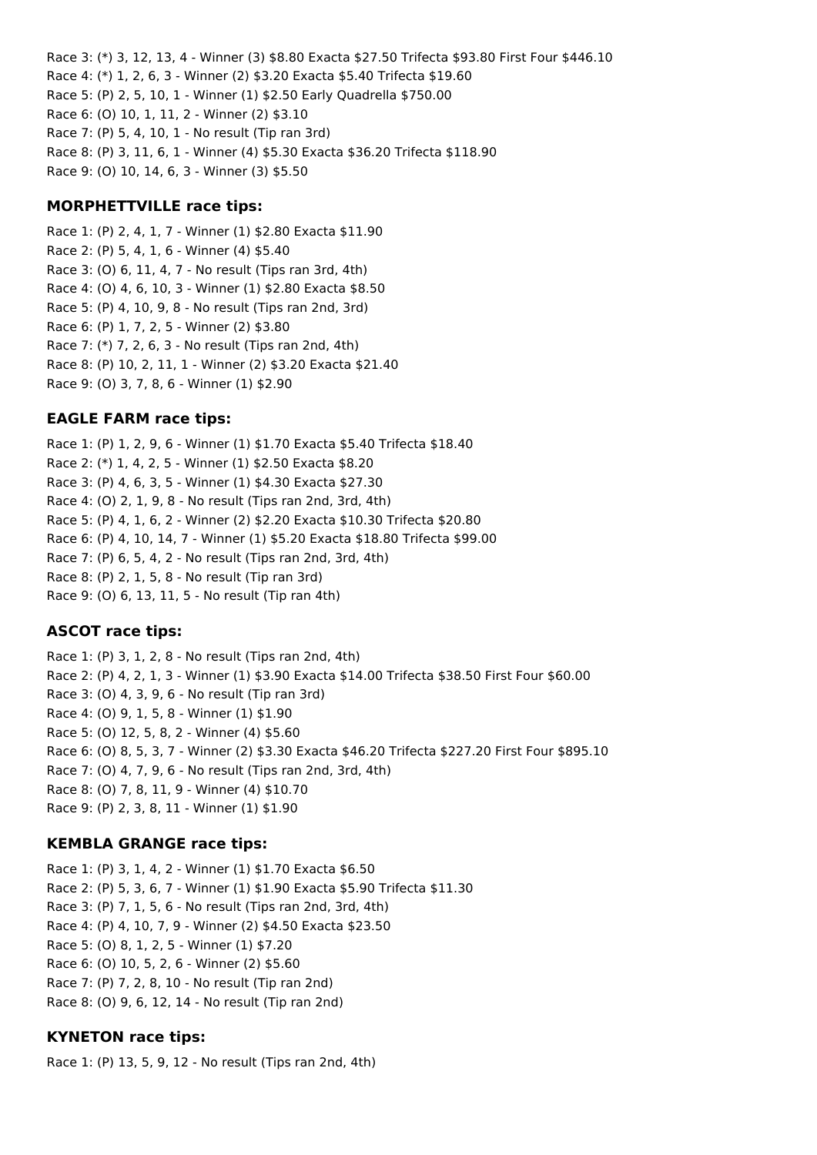Race 3: (\*) 3, 12, 13, 4 - Winner (3) \$8.80 Exacta \$27.50 Trifecta \$93.80 First Four \$446.10 Race 4: (\*) 1, 2, 6, 3 - Winner (2) \$3.20 Exacta \$5.40 Trifecta \$19.60 Race 5: (P) 2, 5, 10, 1 - Winner (1) \$2.50 Early Quadrella \$750.00 Race 6: (O) 10, 1, 11, 2 - Winner (2) \$3.10 Race 7: (P) 5, 4, 10, 1 - No result (Tip ran 3rd) Race 8: (P) 3, 11, 6, 1 - Winner (4) \$5.30 Exacta \$36.20 Trifecta \$118.90 Race 9: (O) 10, 14, 6, 3 - Winner (3) \$5.50

### **MORPHETTVILLE race tips:**

Race 1: (P) 2, 4, 1, 7 - Winner (1) \$2.80 Exacta \$11.90 Race 2: (P) 5, 4, 1, 6 - Winner (4) \$5.40 Race 3: (O) 6, 11, 4, 7 - No result (Tips ran 3rd, 4th) Race 4: (O) 4, 6, 10, 3 - Winner (1) \$2.80 Exacta \$8.50 Race 5: (P) 4, 10, 9, 8 - No result (Tips ran 2nd, 3rd) Race 6: (P) 1, 7, 2, 5 - Winner (2) \$3.80 Race 7: (\*) 7, 2, 6, 3 - No result (Tips ran 2nd, 4th) Race 8: (P) 10, 2, 11, 1 - Winner (2) \$3.20 Exacta \$21.40 Race 9: (O) 3, 7, 8, 6 - Winner (1) \$2.90

## **EAGLE FARM race tips:**

Race 1: (P) 1, 2, 9, 6 - Winner (1) \$1.70 Exacta \$5.40 Trifecta \$18.40 Race 2: (\*) 1, 4, 2, 5 - Winner (1) \$2.50 Exacta \$8.20 Race 3: (P) 4, 6, 3, 5 - Winner (1) \$4.30 Exacta \$27.30 Race 4: (O) 2, 1, 9, 8 - No result (Tips ran 2nd, 3rd, 4th) Race 5: (P) 4, 1, 6, 2 - Winner (2) \$2.20 Exacta \$10.30 Trifecta \$20.80 Race 6: (P) 4, 10, 14, 7 - Winner (1) \$5.20 Exacta \$18.80 Trifecta \$99.00 Race 7: (P) 6, 5, 4, 2 - No result (Tips ran 2nd, 3rd, 4th) Race 8: (P) 2, 1, 5, 8 - No result (Tip ran 3rd) Race 9: (O) 6, 13, 11, 5 - No result (Tip ran 4th)

## **ASCOT race tips:**

Race 1: (P) 3, 1, 2, 8 - No result (Tips ran 2nd, 4th) Race 2: (P) 4, 2, 1, 3 - Winner (1) \$3.90 Exacta \$14.00 Trifecta \$38.50 First Four \$60.00 Race 3: (O) 4, 3, 9, 6 - No result (Tip ran 3rd) Race 4: (O) 9, 1, 5, 8 - Winner (1) \$1.90 Race 5: (O) 12, 5, 8, 2 - Winner (4) \$5.60 Race 6: (O) 8, 5, 3, 7 - Winner (2) \$3.30 Exacta \$46.20 Trifecta \$227.20 First Four \$895.10 Race 7: (O) 4, 7, 9, 6 - No result (Tips ran 2nd, 3rd, 4th) Race 8: (O) 7, 8, 11, 9 - Winner (4) \$10.70 Race 9: (P) 2, 3, 8, 11 - Winner (1) \$1.90

## **KEMBLA GRANGE race tips:**

Race 1: (P) 3, 1, 4, 2 - Winner (1) \$1.70 Exacta \$6.50 Race 2: (P) 5, 3, 6, 7 - Winner (1) \$1.90 Exacta \$5.90 Trifecta \$11.30 Race 3: (P) 7, 1, 5, 6 - No result (Tips ran 2nd, 3rd, 4th) Race 4: (P) 4, 10, 7, 9 - Winner (2) \$4.50 Exacta \$23.50 Race 5: (O) 8, 1, 2, 5 - Winner (1) \$7.20 Race 6: (O) 10, 5, 2, 6 - Winner (2) \$5.60 Race 7: (P) 7, 2, 8, 10 - No result (Tip ran 2nd) Race 8: (O) 9, 6, 12, 14 - No result (Tip ran 2nd)

## **KYNETON race tips:**

Race 1: (P) 13, 5, 9, 12 - No result (Tips ran 2nd, 4th)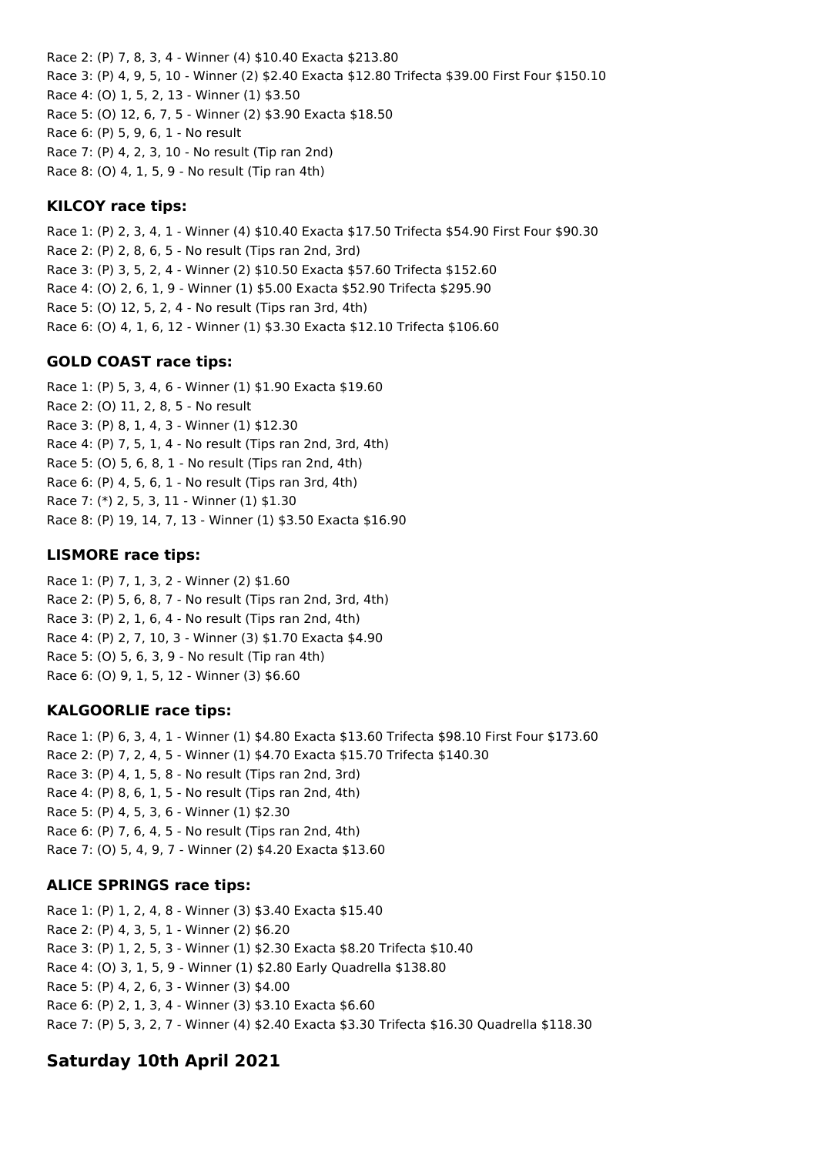Race 2: (P) 7, 8, 3, 4 - Winner (4) \$10.40 Exacta \$213.80 Race 3: (P) 4, 9, 5, 10 - Winner (2) \$2.40 Exacta \$12.80 Trifecta \$39.00 First Four \$150.10 Race 4: (O) 1, 5, 2, 13 - Winner (1) \$3.50 Race 5: (O) 12, 6, 7, 5 - Winner (2) \$3.90 Exacta \$18.50 Race 6: (P) 5, 9, 6, 1 - No result Race 7: (P) 4, 2, 3, 10 - No result (Tip ran 2nd) Race 8: (O) 4, 1, 5, 9 - No result (Tip ran 4th)

### **KILCOY race tips:**

Race 1: (P) 2, 3, 4, 1 - Winner (4) \$10.40 Exacta \$17.50 Trifecta \$54.90 First Four \$90.30 Race 2: (P) 2, 8, 6, 5 - No result (Tips ran 2nd, 3rd) Race 3: (P) 3, 5, 2, 4 - Winner (2) \$10.50 Exacta \$57.60 Trifecta \$152.60 Race 4: (O) 2, 6, 1, 9 - Winner (1) \$5.00 Exacta \$52.90 Trifecta \$295.90 Race 5: (O) 12, 5, 2, 4 - No result (Tips ran 3rd, 4th) Race 6: (O) 4, 1, 6, 12 - Winner (1) \$3.30 Exacta \$12.10 Trifecta \$106.60

### **GOLD COAST race tips:**

Race 1: (P) 5, 3, 4, 6 - Winner (1) \$1.90 Exacta \$19.60 Race 2: (O) 11, 2, 8, 5 - No result Race 3: (P) 8, 1, 4, 3 - Winner (1) \$12.30 Race 4: (P) 7, 5, 1, 4 - No result (Tips ran 2nd, 3rd, 4th) Race 5: (O) 5, 6, 8, 1 - No result (Tips ran 2nd, 4th) Race 6: (P) 4, 5, 6, 1 - No result (Tips ran 3rd, 4th) Race 7: (\*) 2, 5, 3, 11 - Winner (1) \$1.30 Race 8: (P) 19, 14, 7, 13 - Winner (1) \$3.50 Exacta \$16.90

### **LISMORE race tips:**

Race 1: (P) 7, 1, 3, 2 - Winner (2) \$1.60 Race 2: (P) 5, 6, 8, 7 - No result (Tips ran 2nd, 3rd, 4th) Race 3: (P) 2, 1, 6, 4 - No result (Tips ran 2nd, 4th) Race 4: (P) 2, 7, 10, 3 - Winner (3) \$1.70 Exacta \$4.90 Race 5: (O) 5, 6, 3, 9 - No result (Tip ran 4th) Race 6: (O) 9, 1, 5, 12 - Winner (3) \$6.60

### **KALGOORLIE race tips:**

Race 1: (P) 6, 3, 4, 1 - Winner (1) \$4.80 Exacta \$13.60 Trifecta \$98.10 First Four \$173.60 Race 2: (P) 7, 2, 4, 5 - Winner (1) \$4.70 Exacta \$15.70 Trifecta \$140.30 Race 3: (P) 4, 1, 5, 8 - No result (Tips ran 2nd, 3rd) Race 4: (P) 8, 6, 1, 5 - No result (Tips ran 2nd, 4th) Race 5: (P) 4, 5, 3, 6 - Winner (1) \$2.30 Race 6: (P) 7, 6, 4, 5 - No result (Tips ran 2nd, 4th) Race 7: (O) 5, 4, 9, 7 - Winner (2) \$4.20 Exacta \$13.60

### **ALICE SPRINGS race tips:**

Race 1: (P) 1, 2, 4, 8 - Winner (3) \$3.40 Exacta \$15.40 Race 2: (P) 4, 3, 5, 1 - Winner (2) \$6.20 Race 3: (P) 1, 2, 5, 3 - Winner (1) \$2.30 Exacta \$8.20 Trifecta \$10.40 Race 4: (O) 3, 1, 5, 9 - Winner (1) \$2.80 Early Quadrella \$138.80 Race 5: (P) 4, 2, 6, 3 - Winner (3) \$4.00 Race 6: (P) 2, 1, 3, 4 - Winner (3) \$3.10 Exacta \$6.60 Race 7: (P) 5, 3, 2, 7 - Winner (4) \$2.40 Exacta \$3.30 Trifecta \$16.30 Quadrella \$118.30

## **Saturday 10th April 2021**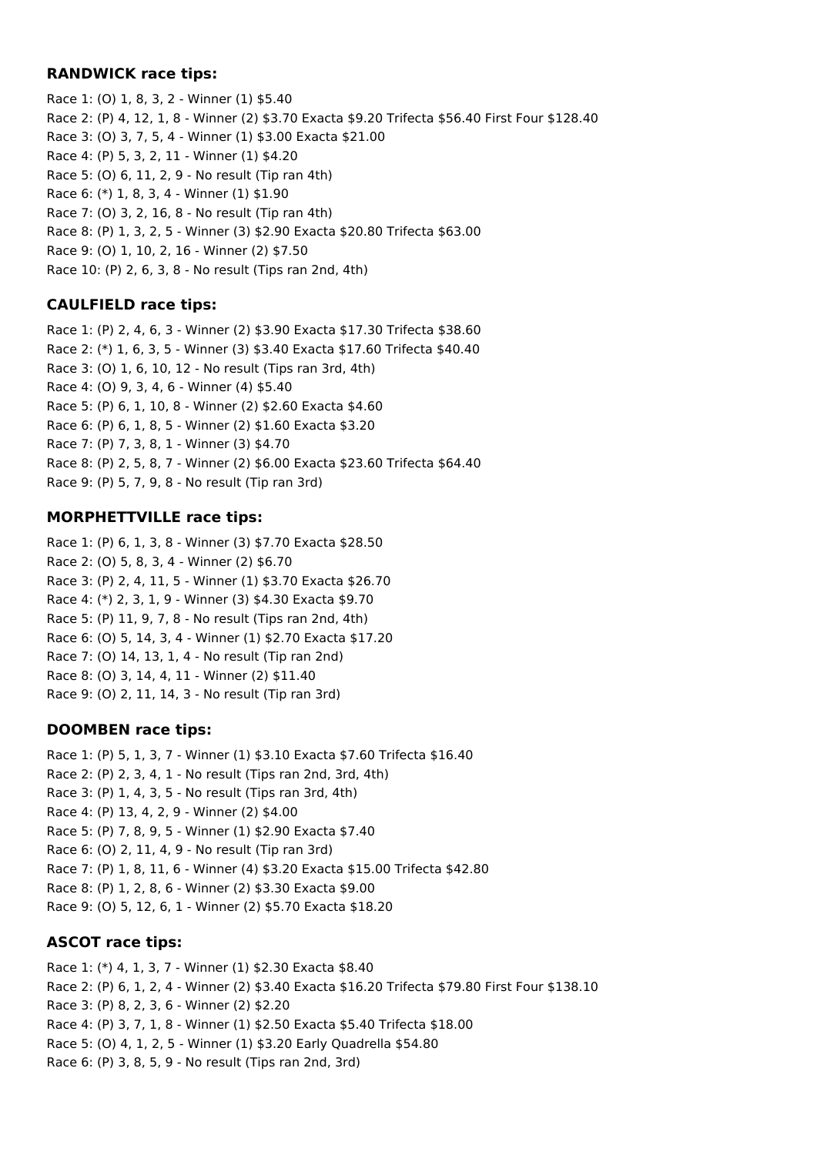### **RANDWICK race tips:**

Race 1: (O) 1, 8, 3, 2 - Winner (1) \$5.40 Race 2: (P) 4, 12, 1, 8 - Winner (2) \$3.70 Exacta \$9.20 Trifecta \$56.40 First Four \$128.40 Race 3: (O) 3, 7, 5, 4 - Winner (1) \$3.00 Exacta \$21.00 Race 4: (P) 5, 3, 2, 11 - Winner (1) \$4.20 Race 5: (O) 6, 11, 2, 9 - No result (Tip ran 4th) Race 6: (\*) 1, 8, 3, 4 - Winner (1) \$1.90 Race 7: (O) 3, 2, 16, 8 - No result (Tip ran 4th) Race 8: (P) 1, 3, 2, 5 - Winner (3) \$2.90 Exacta \$20.80 Trifecta \$63.00 Race 9: (O) 1, 10, 2, 16 - Winner (2) \$7.50 Race 10: (P) 2, 6, 3, 8 - No result (Tips ran 2nd, 4th)

## **CAULFIELD race tips:**

Race 1: (P) 2, 4, 6, 3 - Winner (2) \$3.90 Exacta \$17.30 Trifecta \$38.60 Race 2: (\*) 1, 6, 3, 5 - Winner (3) \$3.40 Exacta \$17.60 Trifecta \$40.40 Race 3: (O) 1, 6, 10, 12 - No result (Tips ran 3rd, 4th) Race 4: (O) 9, 3, 4, 6 - Winner (4) \$5.40 Race 5: (P) 6, 1, 10, 8 - Winner (2) \$2.60 Exacta \$4.60 Race 6: (P) 6, 1, 8, 5 - Winner (2) \$1.60 Exacta \$3.20 Race 7: (P) 7, 3, 8, 1 - Winner (3) \$4.70 Race 8: (P) 2, 5, 8, 7 - Winner (2) \$6.00 Exacta \$23.60 Trifecta \$64.40 Race 9: (P) 5, 7, 9, 8 - No result (Tip ran 3rd)

## **MORPHETTVILLE race tips:**

Race 1: (P) 6, 1, 3, 8 - Winner (3) \$7.70 Exacta \$28.50 Race 2: (O) 5, 8, 3, 4 - Winner (2) \$6.70 Race 3: (P) 2, 4, 11, 5 - Winner (1) \$3.70 Exacta \$26.70 Race 4: (\*) 2, 3, 1, 9 - Winner (3) \$4.30 Exacta \$9.70 Race 5: (P) 11, 9, 7, 8 - No result (Tips ran 2nd, 4th) Race 6: (O) 5, 14, 3, 4 - Winner (1) \$2.70 Exacta \$17.20 Race 7: (O) 14, 13, 1, 4 - No result (Tip ran 2nd) Race 8: (O) 3, 14, 4, 11 - Winner (2) \$11.40 Race 9: (O) 2, 11, 14, 3 - No result (Tip ran 3rd)

## **DOOMBEN race tips:**

Race 1: (P) 5, 1, 3, 7 - Winner (1) \$3.10 Exacta \$7.60 Trifecta \$16.40 Race 2: (P) 2, 3, 4, 1 - No result (Tips ran 2nd, 3rd, 4th) Race 3: (P) 1, 4, 3, 5 - No result (Tips ran 3rd, 4th) Race 4: (P) 13, 4, 2, 9 - Winner (2) \$4.00 Race 5: (P) 7, 8, 9, 5 - Winner (1) \$2.90 Exacta \$7.40 Race 6: (O) 2, 11, 4, 9 - No result (Tip ran 3rd) Race 7: (P) 1, 8, 11, 6 - Winner (4) \$3.20 Exacta \$15.00 Trifecta \$42.80 Race 8: (P) 1, 2, 8, 6 - Winner (2) \$3.30 Exacta \$9.00 Race 9: (O) 5, 12, 6, 1 - Winner (2) \$5.70 Exacta \$18.20

## **ASCOT race tips:**

Race 1: (\*) 4, 1, 3, 7 - Winner (1) \$2.30 Exacta \$8.40 Race 2: (P) 6, 1, 2, 4 - Winner (2) \$3.40 Exacta \$16.20 Trifecta \$79.80 First Four \$138.10 Race 3: (P) 8, 2, 3, 6 - Winner (2) \$2.20 Race 4: (P) 3, 7, 1, 8 - Winner (1) \$2.50 Exacta \$5.40 Trifecta \$18.00 Race 5: (O) 4, 1, 2, 5 - Winner (1) \$3.20 Early Quadrella \$54.80 Race 6: (P) 3, 8, 5, 9 - No result (Tips ran 2nd, 3rd)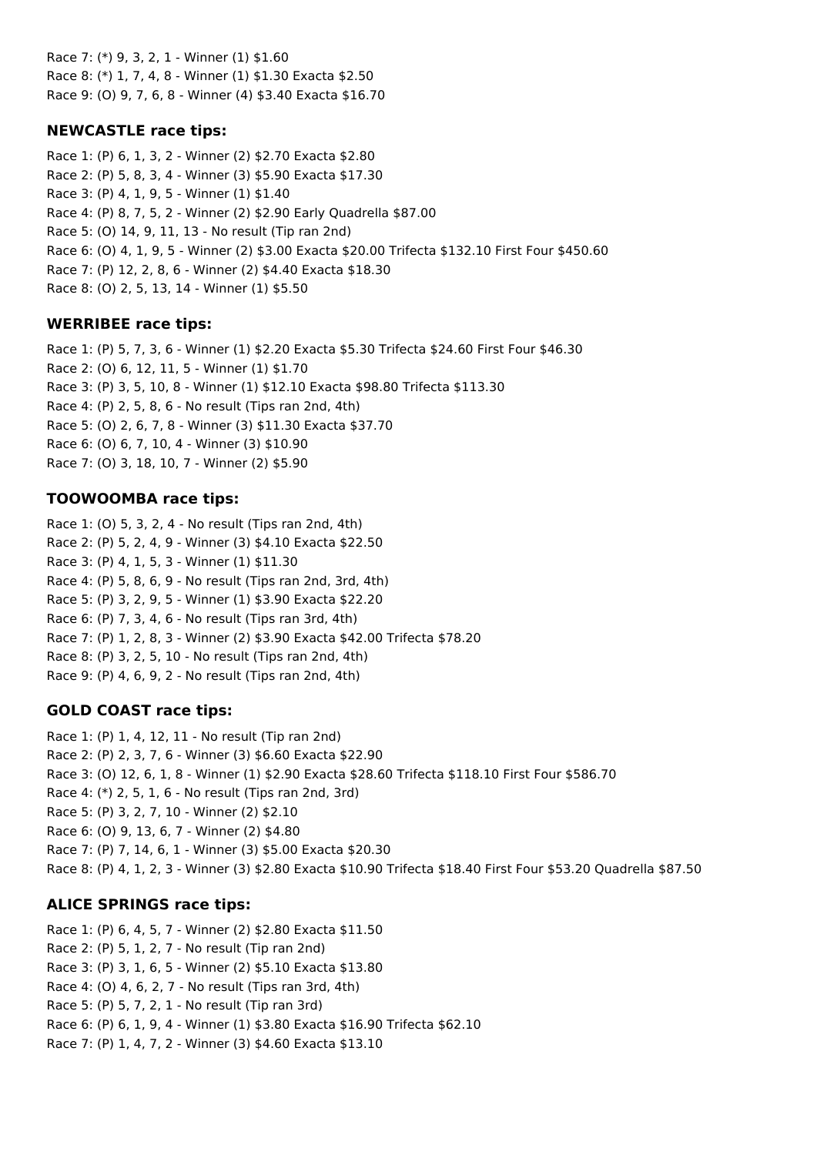Race 7: (\*) 9, 3, 2, 1 - Winner (1) \$1.60 Race 8: (\*) 1, 7, 4, 8 - Winner (1) \$1.30 Exacta \$2.50 Race 9: (O) 9, 7, 6, 8 - Winner (4) \$3.40 Exacta \$16.70

## **NEWCASTLE race tips:**

Race 1: (P) 6, 1, 3, 2 - Winner (2) \$2.70 Exacta \$2.80 Race 2: (P) 5, 8, 3, 4 - Winner (3) \$5.90 Exacta \$17.30 Race 3: (P) 4, 1, 9, 5 - Winner (1) \$1.40 Race 4: (P) 8, 7, 5, 2 - Winner (2) \$2.90 Early Quadrella \$87.00 Race 5: (O) 14, 9, 11, 13 - No result (Tip ran 2nd) Race 6: (O) 4, 1, 9, 5 - Winner (2) \$3.00 Exacta \$20.00 Trifecta \$132.10 First Four \$450.60 Race 7: (P) 12, 2, 8, 6 - Winner (2) \$4.40 Exacta \$18.30 Race 8: (O) 2, 5, 13, 14 - Winner (1) \$5.50

### **WERRIBEE race tips:**

Race 1: (P) 5, 7, 3, 6 - Winner (1) \$2.20 Exacta \$5.30 Trifecta \$24.60 First Four \$46.30 Race 2: (O) 6, 12, 11, 5 - Winner (1) \$1.70 Race 3: (P) 3, 5, 10, 8 - Winner (1) \$12.10 Exacta \$98.80 Trifecta \$113.30 Race 4: (P) 2, 5, 8, 6 - No result (Tips ran 2nd, 4th) Race 5: (O) 2, 6, 7, 8 - Winner (3) \$11.30 Exacta \$37.70 Race 6: (O) 6, 7, 10, 4 - Winner (3) \$10.90 Race 7: (O) 3, 18, 10, 7 - Winner (2) \$5.90

## **TOOWOOMBA race tips:**

Race 1: (O) 5, 3, 2, 4 - No result (Tips ran 2nd, 4th) Race 2: (P) 5, 2, 4, 9 - Winner (3) \$4.10 Exacta \$22.50 Race 3: (P) 4, 1, 5, 3 - Winner (1) \$11.30 Race 4: (P) 5, 8, 6, 9 - No result (Tips ran 2nd, 3rd, 4th) Race 5: (P) 3, 2, 9, 5 - Winner (1) \$3.90 Exacta \$22.20 Race 6: (P) 7, 3, 4, 6 - No result (Tips ran 3rd, 4th) Race 7: (P) 1, 2, 8, 3 - Winner (2) \$3.90 Exacta \$42.00 Trifecta \$78.20 Race 8: (P) 3, 2, 5, 10 - No result (Tips ran 2nd, 4th) Race 9: (P) 4, 6, 9, 2 - No result (Tips ran 2nd, 4th)

## **GOLD COAST race tips:**

Race 1: (P) 1, 4, 12, 11 - No result (Tip ran 2nd) Race 2: (P) 2, 3, 7, 6 - Winner (3) \$6.60 Exacta \$22.90 Race 3: (O) 12, 6, 1, 8 - Winner (1) \$2.90 Exacta \$28.60 Trifecta \$118.10 First Four \$586.70 Race 4: (\*) 2, 5, 1, 6 - No result (Tips ran 2nd, 3rd) Race 5: (P) 3, 2, 7, 10 - Winner (2) \$2.10 Race 6: (O) 9, 13, 6, 7 - Winner (2) \$4.80 Race 7: (P) 7, 14, 6, 1 - Winner (3) \$5.00 Exacta \$20.30 Race 8: (P) 4, 1, 2, 3 - Winner (3) \$2.80 Exacta \$10.90 Trifecta \$18.40 First Four \$53.20 Quadrella \$87.50

## **ALICE SPRINGS race tips:**

Race 1: (P) 6, 4, 5, 7 - Winner (2) \$2.80 Exacta \$11.50 Race 2: (P) 5, 1, 2, 7 - No result (Tip ran 2nd) Race 3: (P) 3, 1, 6, 5 - Winner (2) \$5.10 Exacta \$13.80 Race 4: (O) 4, 6, 2, 7 - No result (Tips ran 3rd, 4th) Race 5: (P) 5, 7, 2, 1 - No result (Tip ran 3rd) Race 6: (P) 6, 1, 9, 4 - Winner (1) \$3.80 Exacta \$16.90 Trifecta \$62.10 Race 7: (P) 1, 4, 7, 2 - Winner (3) \$4.60 Exacta \$13.10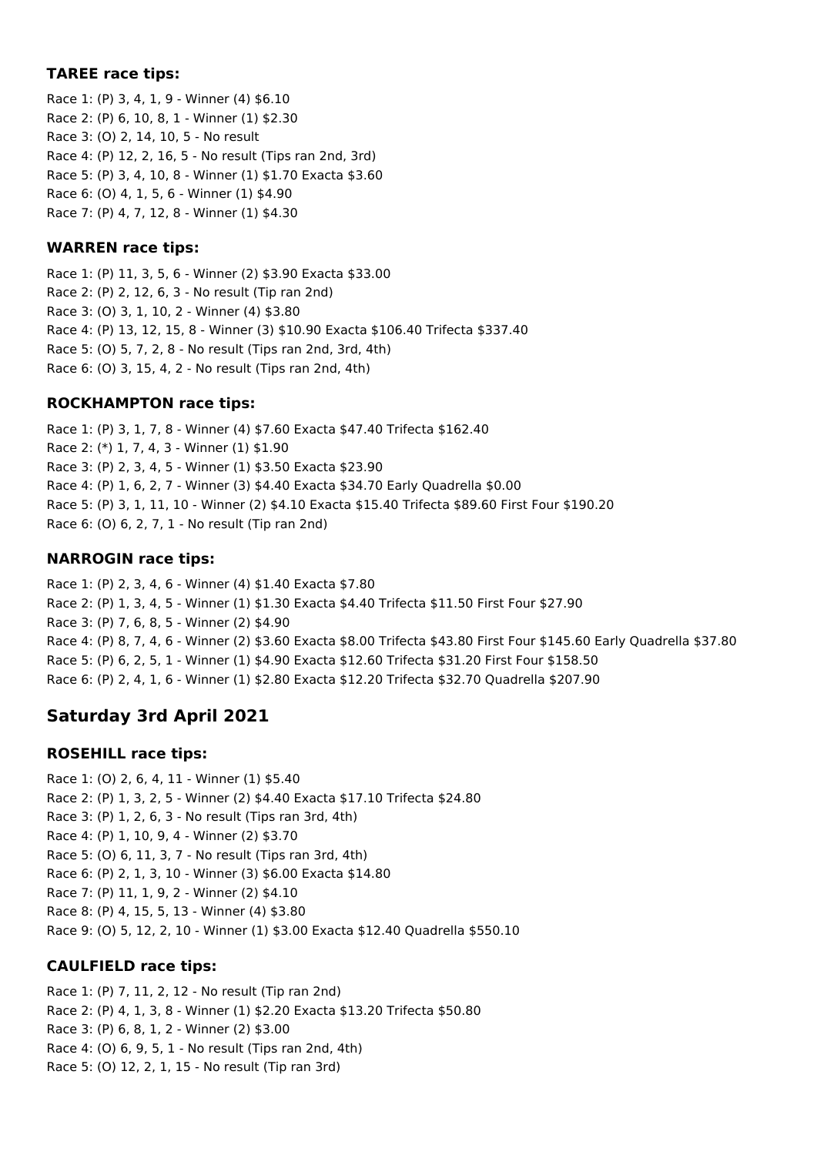## **TAREE race tips:**

Race 1: (P) 3, 4, 1, 9 - Winner (4) \$6.10 Race 2: (P) 6, 10, 8, 1 - Winner (1) \$2.30 Race 3: (O) 2, 14, 10, 5 - No result Race 4: (P) 12, 2, 16, 5 - No result (Tips ran 2nd, 3rd) Race 5: (P) 3, 4, 10, 8 - Winner (1) \$1.70 Exacta \$3.60 Race 6: (O) 4, 1, 5, 6 - Winner (1) \$4.90 Race 7: (P) 4, 7, 12, 8 - Winner (1) \$4.30

## **WARREN race tips:**

Race 1: (P) 11, 3, 5, 6 - Winner (2) \$3.90 Exacta \$33.00 Race 2: (P) 2, 12, 6, 3 - No result (Tip ran 2nd) Race 3: (O) 3, 1, 10, 2 - Winner (4) \$3.80 Race 4: (P) 13, 12, 15, 8 - Winner (3) \$10.90 Exacta \$106.40 Trifecta \$337.40 Race 5: (O) 5, 7, 2, 8 - No result (Tips ran 2nd, 3rd, 4th) Race 6: (O) 3, 15, 4, 2 - No result (Tips ran 2nd, 4th)

## **ROCKHAMPTON race tips:**

Race 1: (P) 3, 1, 7, 8 - Winner (4) \$7.60 Exacta \$47.40 Trifecta \$162.40 Race 2: (\*) 1, 7, 4, 3 - Winner (1) \$1.90 Race 3: (P) 2, 3, 4, 5 - Winner (1) \$3.50 Exacta \$23.90 Race 4: (P) 1, 6, 2, 7 - Winner (3) \$4.40 Exacta \$34.70 Early Quadrella \$0.00 Race 5: (P) 3, 1, 11, 10 - Winner (2) \$4.10 Exacta \$15.40 Trifecta \$89.60 First Four \$190.20 Race 6: (O) 6, 2, 7, 1 - No result (Tip ran 2nd)

## **NARROGIN race tips:**

Race 1: (P) 2, 3, 4, 6 - Winner (4) \$1.40 Exacta \$7.80 Race 2: (P) 1, 3, 4, 5 - Winner (1) \$1.30 Exacta \$4.40 Trifecta \$11.50 First Four \$27.90 Race 3: (P) 7, 6, 8, 5 - Winner (2) \$4.90 Race 4: (P) 8, 7, 4, 6 - Winner (2) \$3.60 Exacta \$8.00 Trifecta \$43.80 First Four \$145.60 Early Quadrella \$37.80 Race 5: (P) 6, 2, 5, 1 - Winner (1) \$4.90 Exacta \$12.60 Trifecta \$31.20 First Four \$158.50 Race 6: (P) 2, 4, 1, 6 - Winner (1) \$2.80 Exacta \$12.20 Trifecta \$32.70 Quadrella \$207.90

# **Saturday 3rd April 2021**

## **ROSEHILL race tips:**

Race 1: (O) 2, 6, 4, 11 - Winner (1) \$5.40 Race 2: (P) 1, 3, 2, 5 - Winner (2) \$4.40 Exacta \$17.10 Trifecta \$24.80 Race 3: (P) 1, 2, 6, 3 - No result (Tips ran 3rd, 4th) Race 4: (P) 1, 10, 9, 4 - Winner (2) \$3.70 Race 5: (O) 6, 11, 3, 7 - No result (Tips ran 3rd, 4th) Race 6: (P) 2, 1, 3, 10 - Winner (3) \$6.00 Exacta \$14.80 Race 7: (P) 11, 1, 9, 2 - Winner (2) \$4.10 Race 8: (P) 4, 15, 5, 13 - Winner (4) \$3.80 Race 9: (O) 5, 12, 2, 10 - Winner (1) \$3.00 Exacta \$12.40 Quadrella \$550.10

## **CAULFIELD race tips:**

Race 1: (P) 7, 11, 2, 12 - No result (Tip ran 2nd) Race 2: (P) 4, 1, 3, 8 - Winner (1) \$2.20 Exacta \$13.20 Trifecta \$50.80 Race 3: (P) 6, 8, 1, 2 - Winner (2) \$3.00 Race 4: (O) 6, 9, 5, 1 - No result (Tips ran 2nd, 4th) Race 5: (O) 12, 2, 1, 15 - No result (Tip ran 3rd)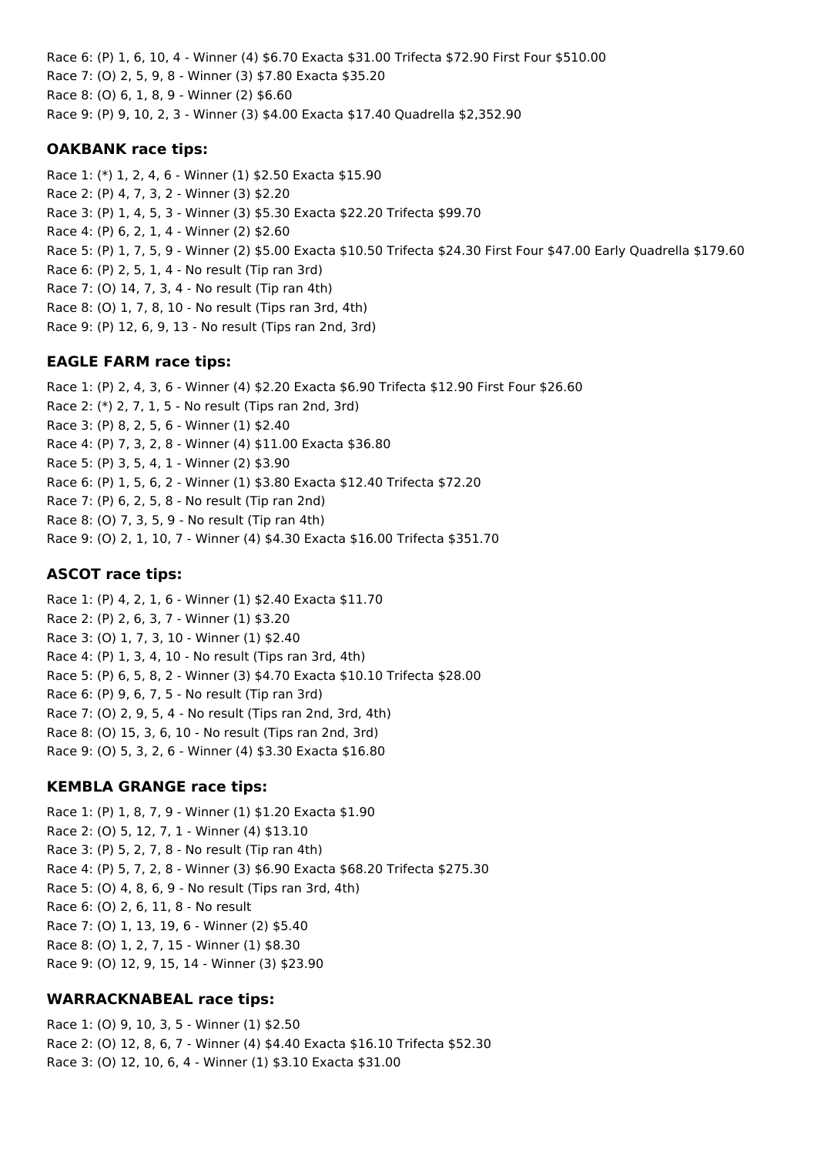Race 6: (P) 1, 6, 10, 4 - Winner (4) \$6.70 Exacta \$31.00 Trifecta \$72.90 First Four \$510.00 Race 7: (O) 2, 5, 9, 8 - Winner (3) \$7.80 Exacta \$35.20 Race 8: (O) 6, 1, 8, 9 - Winner (2) \$6.60 Race 9: (P) 9, 10, 2, 3 - Winner (3) \$4.00 Exacta \$17.40 Quadrella \$2,352.90

### **OAKBANK race tips:**

Race 1: (\*) 1, 2, 4, 6 - Winner (1) \$2.50 Exacta \$15.90 Race 2: (P) 4, 7, 3, 2 - Winner (3) \$2.20 Race 3: (P) 1, 4, 5, 3 - Winner (3) \$5.30 Exacta \$22.20 Trifecta \$99.70 Race 4: (P) 6, 2, 1, 4 - Winner (2) \$2.60 Race 5: (P) 1, 7, 5, 9 - Winner (2) \$5.00 Exacta \$10.50 Trifecta \$24.30 First Four \$47.00 Early Quadrella \$179.60 Race 6: (P) 2, 5, 1, 4 - No result (Tip ran 3rd) Race 7: (O) 14, 7, 3, 4 - No result (Tip ran 4th) Race 8: (O) 1, 7, 8, 10 - No result (Tips ran 3rd, 4th) Race 9: (P) 12, 6, 9, 13 - No result (Tips ran 2nd, 3rd)

## **EAGLE FARM race tips:**

Race 1: (P) 2, 4, 3, 6 - Winner (4) \$2.20 Exacta \$6.90 Trifecta \$12.90 First Four \$26.60 Race 2: (\*) 2, 7, 1, 5 - No result (Tips ran 2nd, 3rd) Race 3: (P) 8, 2, 5, 6 - Winner (1) \$2.40 Race 4: (P) 7, 3, 2, 8 - Winner (4) \$11.00 Exacta \$36.80 Race 5: (P) 3, 5, 4, 1 - Winner (2) \$3.90 Race 6: (P) 1, 5, 6, 2 - Winner (1) \$3.80 Exacta \$12.40 Trifecta \$72.20 Race 7: (P) 6, 2, 5, 8 - No result (Tip ran 2nd) Race 8: (O) 7, 3, 5, 9 - No result (Tip ran 4th) Race 9: (O) 2, 1, 10, 7 - Winner (4) \$4.30 Exacta \$16.00 Trifecta \$351.70

### **ASCOT race tips:**

Race 1: (P) 4, 2, 1, 6 - Winner (1) \$2.40 Exacta \$11.70 Race 2: (P) 2, 6, 3, 7 - Winner (1) \$3.20 Race 3: (O) 1, 7, 3, 10 - Winner (1) \$2.40 Race 4: (P) 1, 3, 4, 10 - No result (Tips ran 3rd, 4th) Race 5: (P) 6, 5, 8, 2 - Winner (3) \$4.70 Exacta \$10.10 Trifecta \$28.00 Race 6: (P) 9, 6, 7, 5 - No result (Tip ran 3rd) Race 7: (O) 2, 9, 5, 4 - No result (Tips ran 2nd, 3rd, 4th) Race 8: (O) 15, 3, 6, 10 - No result (Tips ran 2nd, 3rd) Race 9: (O) 5, 3, 2, 6 - Winner (4) \$3.30 Exacta \$16.80

## **KEMBLA GRANGE race tips:**

Race 1: (P) 1, 8, 7, 9 - Winner (1) \$1.20 Exacta \$1.90 Race 2: (O) 5, 12, 7, 1 - Winner (4) \$13.10 Race 3: (P) 5, 2, 7, 8 - No result (Tip ran 4th) Race 4: (P) 5, 7, 2, 8 - Winner (3) \$6.90 Exacta \$68.20 Trifecta \$275.30 Race 5: (O) 4, 8, 6, 9 - No result (Tips ran 3rd, 4th) Race 6: (O) 2, 6, 11, 8 - No result Race 7: (O) 1, 13, 19, 6 - Winner (2) \$5.40 Race 8: (O) 1, 2, 7, 15 - Winner (1) \$8.30 Race 9: (O) 12, 9, 15, 14 - Winner (3) \$23.90

## **WARRACKNABEAL race tips:**

Race 1: (O) 9, 10, 3, 5 - Winner (1) \$2.50 Race 2: (O) 12, 8, 6, 7 - Winner (4) \$4.40 Exacta \$16.10 Trifecta \$52.30 Race 3: (O) 12, 10, 6, 4 - Winner (1) \$3.10 Exacta \$31.00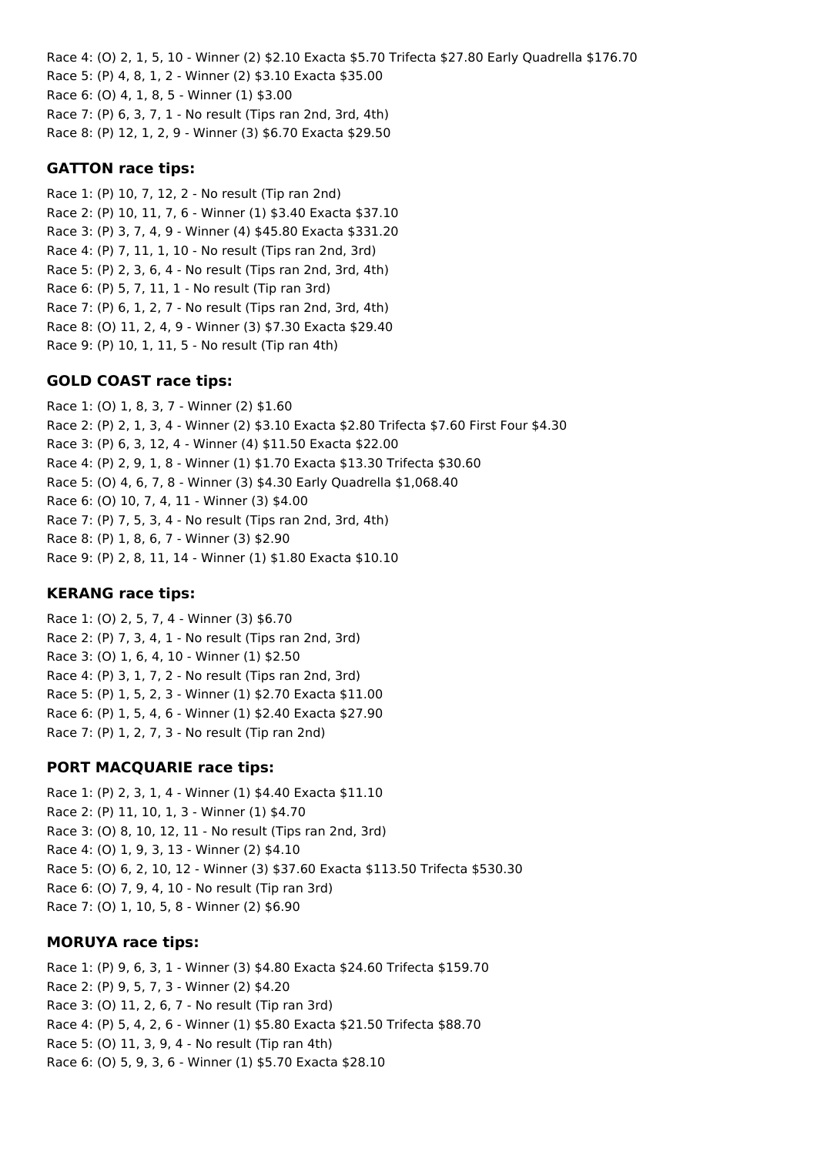Race 4: (O) 2, 1, 5, 10 - Winner (2) \$2.10 Exacta \$5.70 Trifecta \$27.80 Early Quadrella \$176.70 Race 5: (P) 4, 8, 1, 2 - Winner (2) \$3.10 Exacta \$35.00 Race 6: (O) 4, 1, 8, 5 - Winner (1) \$3.00 Race 7: (P) 6, 3, 7, 1 - No result (Tips ran 2nd, 3rd, 4th) Race 8: (P) 12, 1, 2, 9 - Winner (3) \$6.70 Exacta \$29.50

### **GATTON race tips:**

Race 1: (P) 10, 7, 12, 2 - No result (Tip ran 2nd) Race 2: (P) 10, 11, 7, 6 - Winner (1) \$3.40 Exacta \$37.10 Race 3: (P) 3, 7, 4, 9 - Winner (4) \$45.80 Exacta \$331.20 Race 4: (P) 7, 11, 1, 10 - No result (Tips ran 2nd, 3rd) Race 5: (P) 2, 3, 6, 4 - No result (Tips ran 2nd, 3rd, 4th) Race 6: (P) 5, 7, 11, 1 - No result (Tip ran 3rd) Race 7: (P) 6, 1, 2, 7 - No result (Tips ran 2nd, 3rd, 4th) Race 8: (O) 11, 2, 4, 9 - Winner (3) \$7.30 Exacta \$29.40 Race 9: (P) 10, 1, 11, 5 - No result (Tip ran 4th)

## **GOLD COAST race tips:**

Race 1: (O) 1, 8, 3, 7 - Winner (2) \$1.60 Race 2: (P) 2, 1, 3, 4 - Winner (2) \$3.10 Exacta \$2.80 Trifecta \$7.60 First Four \$4.30 Race 3: (P) 6, 3, 12, 4 - Winner (4) \$11.50 Exacta \$22.00 Race 4: (P) 2, 9, 1, 8 - Winner (1) \$1.70 Exacta \$13.30 Trifecta \$30.60 Race 5: (O) 4, 6, 7, 8 - Winner (3) \$4.30 Early Quadrella \$1,068.40 Race 6: (O) 10, 7, 4, 11 - Winner (3) \$4.00 Race 7: (P) 7, 5, 3, 4 - No result (Tips ran 2nd, 3rd, 4th) Race 8: (P) 1, 8, 6, 7 - Winner (3) \$2.90 Race 9: (P) 2, 8, 11, 14 - Winner (1) \$1.80 Exacta \$10.10

## **KERANG race tips:**

Race 1: (O) 2, 5, 7, 4 - Winner (3) \$6.70 Race 2: (P) 7, 3, 4, 1 - No result (Tips ran 2nd, 3rd) Race 3: (O) 1, 6, 4, 10 - Winner (1) \$2.50 Race 4: (P) 3, 1, 7, 2 - No result (Tips ran 2nd, 3rd) Race 5: (P) 1, 5, 2, 3 - Winner (1) \$2.70 Exacta \$11.00 Race 6: (P) 1, 5, 4, 6 - Winner (1) \$2.40 Exacta \$27.90 Race 7: (P) 1, 2, 7, 3 - No result (Tip ran 2nd)

## **PORT MACQUARIE race tips:**

Race 1: (P) 2, 3, 1, 4 - Winner (1) \$4.40 Exacta \$11.10 Race 2: (P) 11, 10, 1, 3 - Winner (1) \$4.70 Race 3: (O) 8, 10, 12, 11 - No result (Tips ran 2nd, 3rd) Race 4: (O) 1, 9, 3, 13 - Winner (2) \$4.10 Race 5: (O) 6, 2, 10, 12 - Winner (3) \$37.60 Exacta \$113.50 Trifecta \$530.30 Race 6: (O) 7, 9, 4, 10 - No result (Tip ran 3rd) Race 7: (O) 1, 10, 5, 8 - Winner (2) \$6.90

## **MORUYA race tips:**

Race 1: (P) 9, 6, 3, 1 - Winner (3) \$4.80 Exacta \$24.60 Trifecta \$159.70 Race 2: (P) 9, 5, 7, 3 - Winner (2) \$4.20 Race 3: (O) 11, 2, 6, 7 - No result (Tip ran 3rd) Race 4: (P) 5, 4, 2, 6 - Winner (1) \$5.80 Exacta \$21.50 Trifecta \$88.70 Race 5: (O) 11, 3, 9, 4 - No result (Tip ran 4th) Race 6: (O) 5, 9, 3, 6 - Winner (1) \$5.70 Exacta \$28.10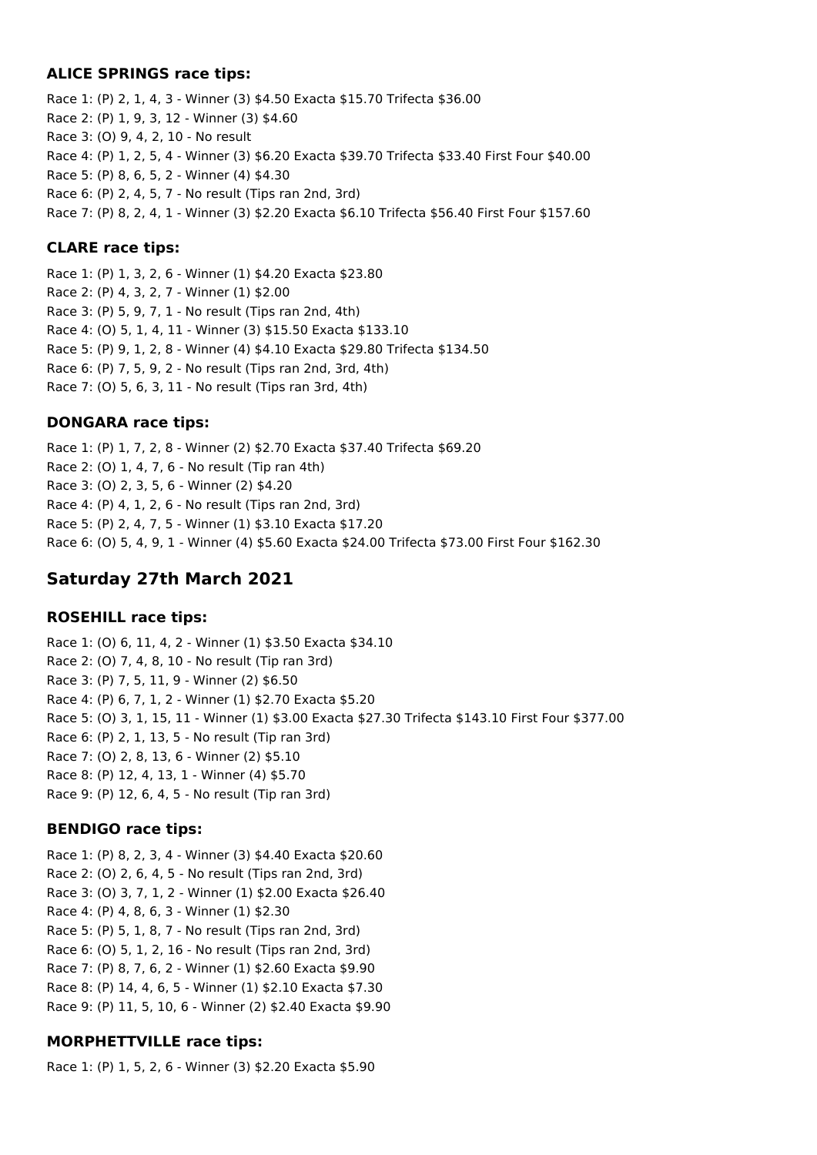## **ALICE SPRINGS race tips:**

Race 1: (P) 2, 1, 4, 3 - Winner (3) \$4.50 Exacta \$15.70 Trifecta \$36.00 Race 2: (P) 1, 9, 3, 12 - Winner (3) \$4.60 Race 3: (O) 9, 4, 2, 10 - No result Race 4: (P) 1, 2, 5, 4 - Winner (3) \$6.20 Exacta \$39.70 Trifecta \$33.40 First Four \$40.00 Race 5: (P) 8, 6, 5, 2 - Winner (4) \$4.30 Race 6: (P) 2, 4, 5, 7 - No result (Tips ran 2nd, 3rd) Race 7: (P) 8, 2, 4, 1 - Winner (3) \$2.20 Exacta \$6.10 Trifecta \$56.40 First Four \$157.60

### **CLARE race tips:**

Race 1: (P) 1, 3, 2, 6 - Winner (1) \$4.20 Exacta \$23.80 Race 2: (P) 4, 3, 2, 7 - Winner (1) \$2.00 Race 3: (P) 5, 9, 7, 1 - No result (Tips ran 2nd, 4th) Race 4: (O) 5, 1, 4, 11 - Winner (3) \$15.50 Exacta \$133.10 Race 5: (P) 9, 1, 2, 8 - Winner (4) \$4.10 Exacta \$29.80 Trifecta \$134.50 Race 6: (P) 7, 5, 9, 2 - No result (Tips ran 2nd, 3rd, 4th) Race 7: (O) 5, 6, 3, 11 - No result (Tips ran 3rd, 4th)

## **DONGARA race tips:**

Race 1: (P) 1, 7, 2, 8 - Winner (2) \$2.70 Exacta \$37.40 Trifecta \$69.20 Race 2: (O) 1, 4, 7, 6 - No result (Tip ran 4th) Race 3: (O) 2, 3, 5, 6 - Winner (2) \$4.20 Race 4: (P) 4, 1, 2, 6 - No result (Tips ran 2nd, 3rd) Race 5: (P) 2, 4, 7, 5 - Winner (1) \$3.10 Exacta \$17.20 Race 6: (O) 5, 4, 9, 1 - Winner (4) \$5.60 Exacta \$24.00 Trifecta \$73.00 First Four \$162.30

# **Saturday 27th March 2021**

## **ROSEHILL race tips:**

Race 1: (O) 6, 11, 4, 2 - Winner (1) \$3.50 Exacta \$34.10 Race 2: (O) 7, 4, 8, 10 - No result (Tip ran 3rd) Race 3: (P) 7, 5, 11, 9 - Winner (2) \$6.50 Race 4: (P) 6, 7, 1, 2 - Winner (1) \$2.70 Exacta \$5.20 Race 5: (O) 3, 1, 15, 11 - Winner (1) \$3.00 Exacta \$27.30 Trifecta \$143.10 First Four \$377.00 Race 6: (P) 2, 1, 13, 5 - No result (Tip ran 3rd) Race 7: (O) 2, 8, 13, 6 - Winner (2) \$5.10 Race 8: (P) 12, 4, 13, 1 - Winner (4) \$5.70 Race 9: (P) 12, 6, 4, 5 - No result (Tip ran 3rd)

## **BENDIGO race tips:**

Race 1: (P) 8, 2, 3, 4 - Winner (3) \$4.40 Exacta \$20.60 Race 2: (O) 2, 6, 4, 5 - No result (Tips ran 2nd, 3rd) Race 3: (O) 3, 7, 1, 2 - Winner (1) \$2.00 Exacta \$26.40 Race 4: (P) 4, 8, 6, 3 - Winner (1) \$2.30 Race 5: (P) 5, 1, 8, 7 - No result (Tips ran 2nd, 3rd) Race 6: (O) 5, 1, 2, 16 - No result (Tips ran 2nd, 3rd) Race 7: (P) 8, 7, 6, 2 - Winner (1) \$2.60 Exacta \$9.90 Race 8: (P) 14, 4, 6, 5 - Winner (1) \$2.10 Exacta \$7.30 Race 9: (P) 11, 5, 10, 6 - Winner (2) \$2.40 Exacta \$9.90

## **MORPHETTVILLE race tips:**

Race 1: (P) 1, 5, 2, 6 - Winner (3) \$2.20 Exacta \$5.90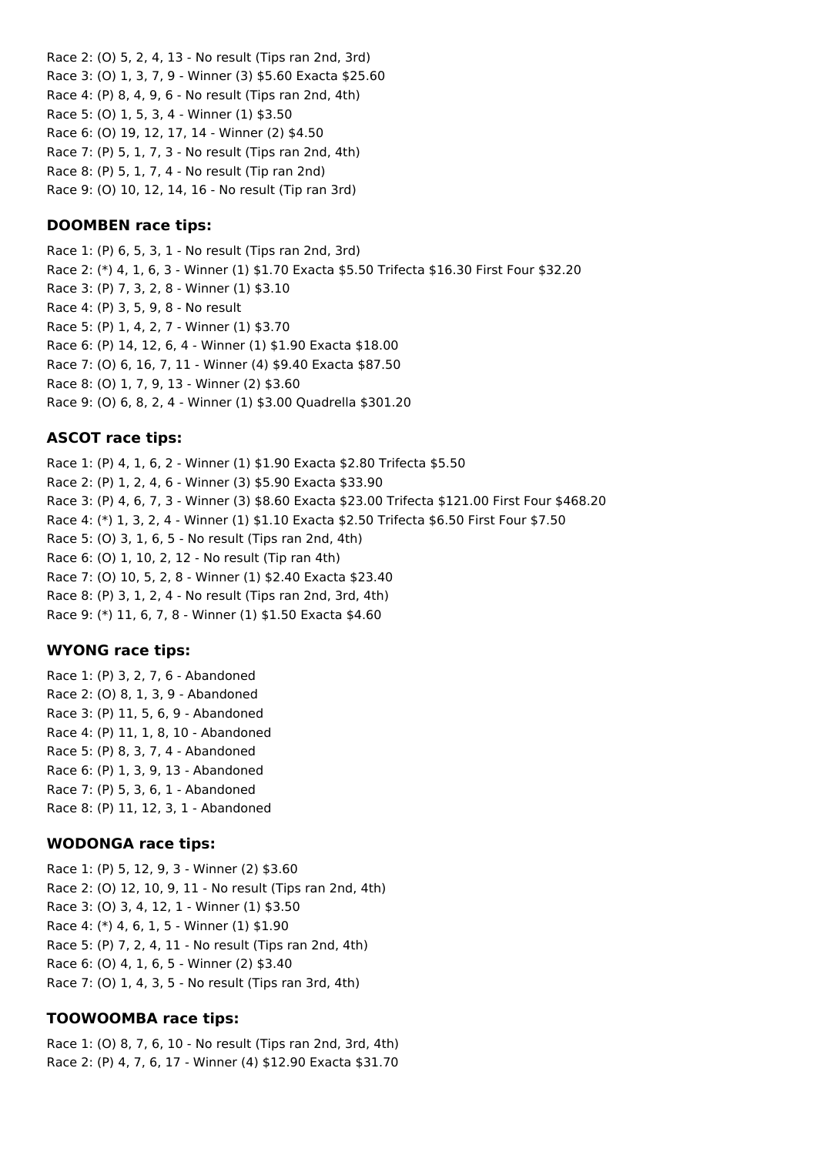Race 2: (O) 5, 2, 4, 13 - No result (Tips ran 2nd, 3rd) Race 3: (O) 1, 3, 7, 9 - Winner (3) \$5.60 Exacta \$25.60 Race 4: (P) 8, 4, 9, 6 - No result (Tips ran 2nd, 4th) Race 5: (O) 1, 5, 3, 4 - Winner (1) \$3.50 Race 6: (O) 19, 12, 17, 14 - Winner (2) \$4.50 Race 7: (P) 5, 1, 7, 3 - No result (Tips ran 2nd, 4th) Race 8: (P) 5, 1, 7, 4 - No result (Tip ran 2nd) Race 9: (O) 10, 12, 14, 16 - No result (Tip ran 3rd)

## **DOOMBEN race tips:**

Race 1: (P) 6, 5, 3, 1 - No result (Tips ran 2nd, 3rd) Race 2: (\*) 4, 1, 6, 3 - Winner (1) \$1.70 Exacta \$5.50 Trifecta \$16.30 First Four \$32.20 Race 3: (P) 7, 3, 2, 8 - Winner (1) \$3.10 Race 4: (P) 3, 5, 9, 8 - No result Race 5: (P) 1, 4, 2, 7 - Winner (1) \$3.70 Race 6: (P) 14, 12, 6, 4 - Winner (1) \$1.90 Exacta \$18.00 Race 7: (O) 6, 16, 7, 11 - Winner (4) \$9.40 Exacta \$87.50 Race 8: (O) 1, 7, 9, 13 - Winner (2) \$3.60 Race 9: (O) 6, 8, 2, 4 - Winner (1) \$3.00 Quadrella \$301.20

## **ASCOT race tips:**

Race 1: (P) 4, 1, 6, 2 - Winner (1) \$1.90 Exacta \$2.80 Trifecta \$5.50 Race 2: (P) 1, 2, 4, 6 - Winner (3) \$5.90 Exacta \$33.90 Race 3: (P) 4, 6, 7, 3 - Winner (3) \$8.60 Exacta \$23.00 Trifecta \$121.00 First Four \$468.20 Race 4: (\*) 1, 3, 2, 4 - Winner (1) \$1.10 Exacta \$2.50 Trifecta \$6.50 First Four \$7.50 Race 5: (O) 3, 1, 6, 5 - No result (Tips ran 2nd, 4th) Race 6: (O) 1, 10, 2, 12 - No result (Tip ran 4th) Race 7: (O) 10, 5, 2, 8 - Winner (1) \$2.40 Exacta \$23.40 Race 8: (P) 3, 1, 2, 4 - No result (Tips ran 2nd, 3rd, 4th) Race 9: (\*) 11, 6, 7, 8 - Winner (1) \$1.50 Exacta \$4.60

## **WYONG race tips:**

Race 1: (P) 3, 2, 7, 6 - Abandoned Race 2: (O) 8, 1, 3, 9 - Abandoned Race 3: (P) 11, 5, 6, 9 - Abandoned Race 4: (P) 11, 1, 8, 10 - Abandoned Race 5: (P) 8, 3, 7, 4 - Abandoned Race 6: (P) 1, 3, 9, 13 - Abandoned Race 7: (P) 5, 3, 6, 1 - Abandoned Race 8: (P) 11, 12, 3, 1 - Abandoned

## **WODONGA race tips:**

Race 1: (P) 5, 12, 9, 3 - Winner (2) \$3.60 Race 2: (O) 12, 10, 9, 11 - No result (Tips ran 2nd, 4th) Race 3: (O) 3, 4, 12, 1 - Winner (1) \$3.50 Race 4: (\*) 4, 6, 1, 5 - Winner (1) \$1.90 Race 5: (P) 7, 2, 4, 11 - No result (Tips ran 2nd, 4th) Race 6: (O) 4, 1, 6, 5 - Winner (2) \$3.40 Race 7: (O) 1, 4, 3, 5 - No result (Tips ran 3rd, 4th)

## **TOOWOOMBA race tips:**

Race 1: (O) 8, 7, 6, 10 - No result (Tips ran 2nd, 3rd, 4th) Race 2: (P) 4, 7, 6, 17 - Winner (4) \$12.90 Exacta \$31.70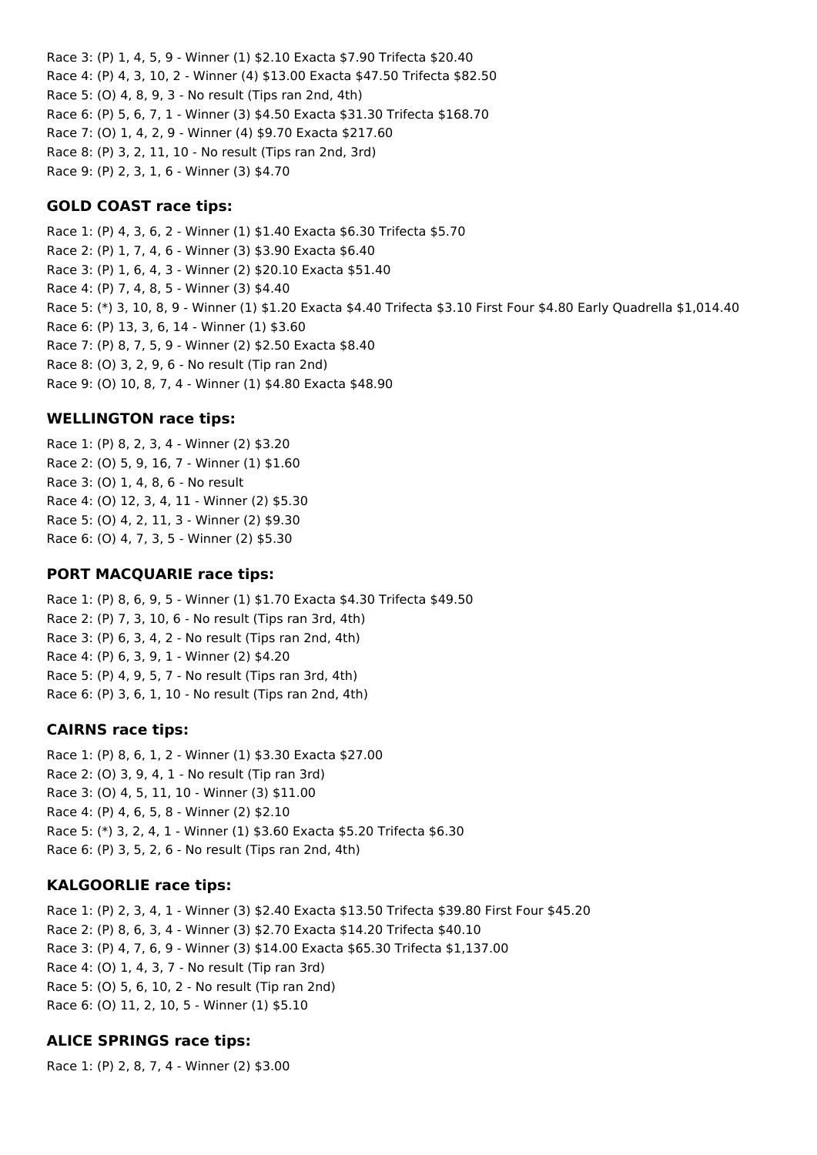Race 3: (P) 1, 4, 5, 9 - Winner (1) \$2.10 Exacta \$7.90 Trifecta \$20.40 Race 4: (P) 4, 3, 10, 2 - Winner (4) \$13.00 Exacta \$47.50 Trifecta \$82.50 Race 5: (O) 4, 8, 9, 3 - No result (Tips ran 2nd, 4th) Race 6: (P) 5, 6, 7, 1 - Winner (3) \$4.50 Exacta \$31.30 Trifecta \$168.70 Race 7: (O) 1, 4, 2, 9 - Winner (4) \$9.70 Exacta \$217.60 Race 8: (P) 3, 2, 11, 10 - No result (Tips ran 2nd, 3rd) Race 9: (P) 2, 3, 1, 6 - Winner (3) \$4.70

## **GOLD COAST race tips:**

Race 1: (P) 4, 3, 6, 2 - Winner (1) \$1.40 Exacta \$6.30 Trifecta \$5.70 Race 2: (P) 1, 7, 4, 6 - Winner (3) \$3.90 Exacta \$6.40 Race 3: (P) 1, 6, 4, 3 - Winner (2) \$20.10 Exacta \$51.40 Race 4: (P) 7, 4, 8, 5 - Winner (3) \$4.40 Race 5: (\*) 3, 10, 8, 9 - Winner (1) \$1.20 Exacta \$4.40 Trifecta \$3.10 First Four \$4.80 Early Quadrella \$1,014.40 Race 6: (P) 13, 3, 6, 14 - Winner (1) \$3.60 Race 7: (P) 8, 7, 5, 9 - Winner (2) \$2.50 Exacta \$8.40 Race 8: (O) 3, 2, 9, 6 - No result (Tip ran 2nd) Race 9: (O) 10, 8, 7, 4 - Winner (1) \$4.80 Exacta \$48.90

### **WELLINGTON race tips:**

Race 1: (P) 8, 2, 3, 4 - Winner (2) \$3.20 Race 2: (O) 5, 9, 16, 7 - Winner (1) \$1.60 Race 3: (O) 1, 4, 8, 6 - No result Race 4: (O) 12, 3, 4, 11 - Winner (2) \$5.30 Race 5: (O) 4, 2, 11, 3 - Winner (2) \$9.30 Race 6: (O) 4, 7, 3, 5 - Winner (2) \$5.30

### **PORT MACQUARIE race tips:**

Race 1: (P) 8, 6, 9, 5 - Winner (1) \$1.70 Exacta \$4.30 Trifecta \$49.50 Race 2: (P) 7, 3, 10, 6 - No result (Tips ran 3rd, 4th) Race 3: (P) 6, 3, 4, 2 - No result (Tips ran 2nd, 4th) Race 4: (P) 6, 3, 9, 1 - Winner (2) \$4.20 Race 5: (P) 4, 9, 5, 7 - No result (Tips ran 3rd, 4th) Race 6: (P) 3, 6, 1, 10 - No result (Tips ran 2nd, 4th)

### **CAIRNS race tips:**

Race 1: (P) 8, 6, 1, 2 - Winner (1) \$3.30 Exacta \$27.00 Race 2: (O) 3, 9, 4, 1 - No result (Tip ran 3rd) Race 3: (O) 4, 5, 11, 10 - Winner (3) \$11.00 Race 4: (P) 4, 6, 5, 8 - Winner (2) \$2.10 Race 5: (\*) 3, 2, 4, 1 - Winner (1) \$3.60 Exacta \$5.20 Trifecta \$6.30 Race 6: (P) 3, 5, 2, 6 - No result (Tips ran 2nd, 4th)

### **KALGOORLIE race tips:**

Race 1: (P) 2, 3, 4, 1 - Winner (3) \$2.40 Exacta \$13.50 Trifecta \$39.80 First Four \$45.20 Race 2: (P) 8, 6, 3, 4 - Winner (3) \$2.70 Exacta \$14.20 Trifecta \$40.10 Race 3: (P) 4, 7, 6, 9 - Winner (3) \$14.00 Exacta \$65.30 Trifecta \$1,137.00 Race 4: (O) 1, 4, 3, 7 - No result (Tip ran 3rd) Race 5: (O) 5, 6, 10, 2 - No result (Tip ran 2nd) Race 6: (O) 11, 2, 10, 5 - Winner (1) \$5.10

## **ALICE SPRINGS race tips:**

Race 1: (P) 2, 8, 7, 4 - Winner (2) \$3.00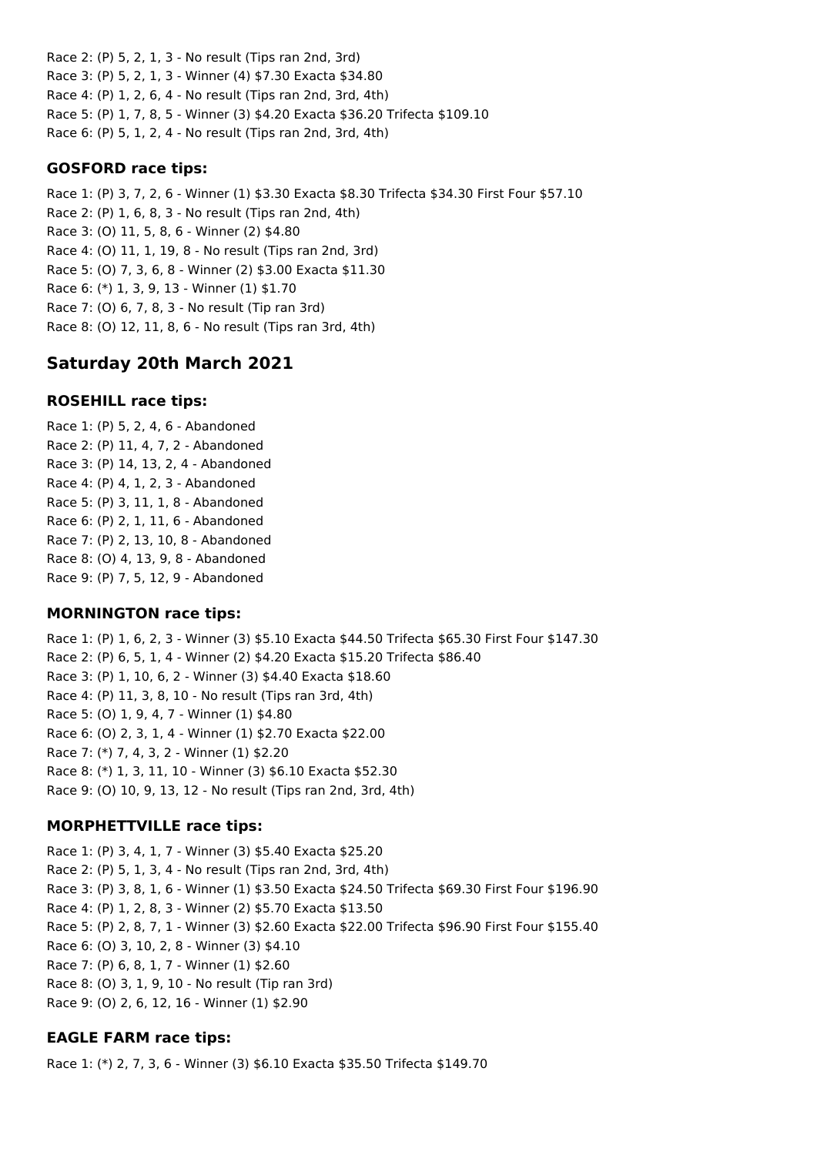Race 2: (P) 5, 2, 1, 3 - No result (Tips ran 2nd, 3rd) Race 3: (P) 5, 2, 1, 3 - Winner (4) \$7.30 Exacta \$34.80 Race 4: (P) 1, 2, 6, 4 - No result (Tips ran 2nd, 3rd, 4th) Race 5: (P) 1, 7, 8, 5 - Winner (3) \$4.20 Exacta \$36.20 Trifecta \$109.10 Race 6: (P) 5, 1, 2, 4 - No result (Tips ran 2nd, 3rd, 4th)

### **GOSFORD race tips:**

Race 1: (P) 3, 7, 2, 6 - Winner (1) \$3.30 Exacta \$8.30 Trifecta \$34.30 First Four \$57.10 Race 2: (P) 1, 6, 8, 3 - No result (Tips ran 2nd, 4th) Race 3: (O) 11, 5, 8, 6 - Winner (2) \$4.80 Race 4: (O) 11, 1, 19, 8 - No result (Tips ran 2nd, 3rd) Race 5: (O) 7, 3, 6, 8 - Winner (2) \$3.00 Exacta \$11.30 Race 6: (\*) 1, 3, 9, 13 - Winner (1) \$1.70 Race 7: (O) 6, 7, 8, 3 - No result (Tip ran 3rd) Race 8: (O) 12, 11, 8, 6 - No result (Tips ran 3rd, 4th)

# **Saturday 20th March 2021**

## **ROSEHILL race tips:**

Race 1: (P) 5, 2, 4, 6 - Abandoned Race 2: (P) 11, 4, 7, 2 - Abandoned Race 3: (P) 14, 13, 2, 4 - Abandoned Race 4: (P) 4, 1, 2, 3 - Abandoned Race 5: (P) 3, 11, 1, 8 - Abandoned Race 6: (P) 2, 1, 11, 6 - Abandoned Race 7: (P) 2, 13, 10, 8 - Abandoned Race 8: (O) 4, 13, 9, 8 - Abandoned Race 9: (P) 7, 5, 12, 9 - Abandoned

## **MORNINGTON race tips:**

Race 1: (P) 1, 6, 2, 3 - Winner (3) \$5.10 Exacta \$44.50 Trifecta \$65.30 First Four \$147.30 Race 2: (P) 6, 5, 1, 4 - Winner (2) \$4.20 Exacta \$15.20 Trifecta \$86.40 Race 3: (P) 1, 10, 6, 2 - Winner (3) \$4.40 Exacta \$18.60 Race 4: (P) 11, 3, 8, 10 - No result (Tips ran 3rd, 4th) Race 5: (O) 1, 9, 4, 7 - Winner (1) \$4.80 Race 6: (O) 2, 3, 1, 4 - Winner (1) \$2.70 Exacta \$22.00 Race 7: (\*) 7, 4, 3, 2 - Winner (1) \$2.20 Race 8: (\*) 1, 3, 11, 10 - Winner (3) \$6.10 Exacta \$52.30 Race 9: (O) 10, 9, 13, 12 - No result (Tips ran 2nd, 3rd, 4th)

## **MORPHETTVILLE race tips:**

Race 1: (P) 3, 4, 1, 7 - Winner (3) \$5.40 Exacta \$25.20 Race 2: (P) 5, 1, 3, 4 - No result (Tips ran 2nd, 3rd, 4th) Race 3: (P) 3, 8, 1, 6 - Winner (1) \$3.50 Exacta \$24.50 Trifecta \$69.30 First Four \$196.90 Race 4: (P) 1, 2, 8, 3 - Winner (2) \$5.70 Exacta \$13.50 Race 5: (P) 2, 8, 7, 1 - Winner (3) \$2.60 Exacta \$22.00 Trifecta \$96.90 First Four \$155.40 Race 6: (O) 3, 10, 2, 8 - Winner (3) \$4.10 Race 7: (P) 6, 8, 1, 7 - Winner (1) \$2.60 Race 8: (O) 3, 1, 9, 10 - No result (Tip ran 3rd) Race 9: (O) 2, 6, 12, 16 - Winner (1) \$2.90

## **EAGLE FARM race tips:**

Race 1: (\*) 2, 7, 3, 6 - Winner (3) \$6.10 Exacta \$35.50 Trifecta \$149.70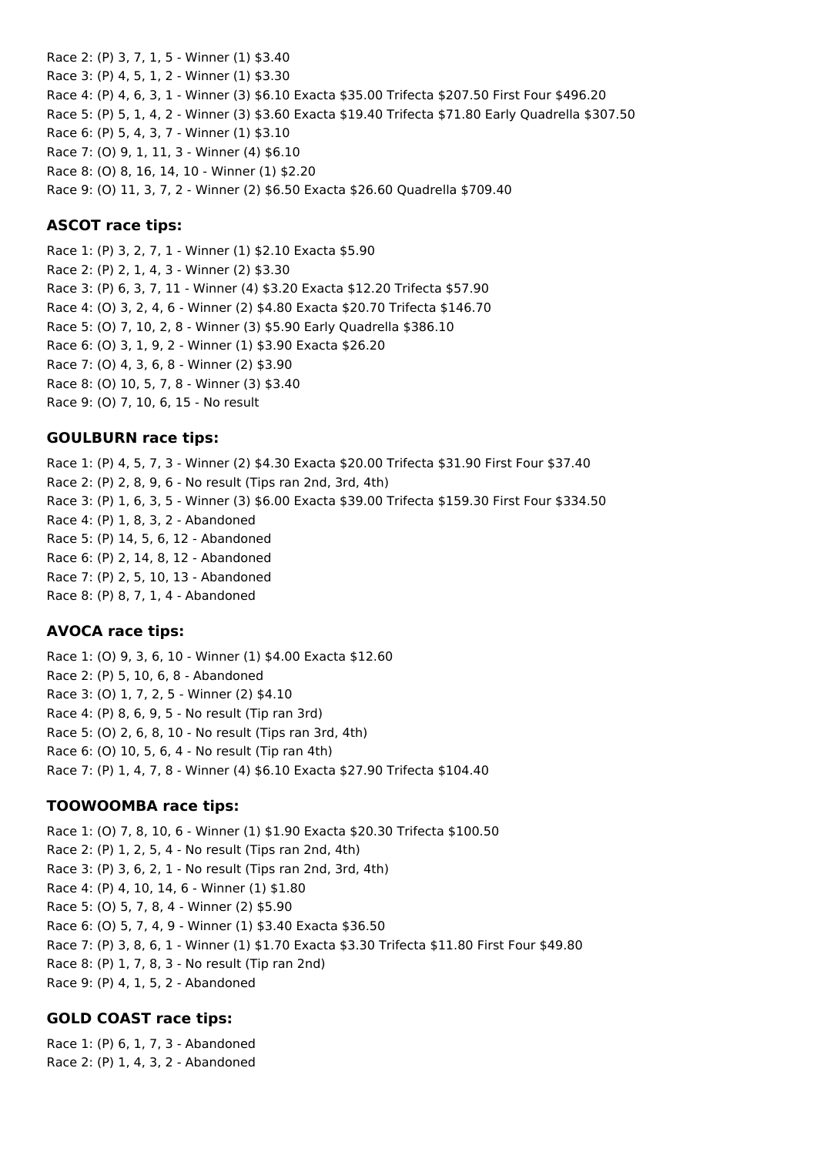Race 2: (P) 3, 7, 1, 5 - Winner (1) \$3.40 Race 3: (P) 4, 5, 1, 2 - Winner (1) \$3.30 Race 4: (P) 4, 6, 3, 1 - Winner (3) \$6.10 Exacta \$35.00 Trifecta \$207.50 First Four \$496.20 Race 5: (P) 5, 1, 4, 2 - Winner (3) \$3.60 Exacta \$19.40 Trifecta \$71.80 Early Quadrella \$307.50 Race 6: (P) 5, 4, 3, 7 - Winner (1) \$3.10 Race 7: (O) 9, 1, 11, 3 - Winner (4) \$6.10 Race 8: (O) 8, 16, 14, 10 - Winner (1) \$2.20 Race 9: (O) 11, 3, 7, 2 - Winner (2) \$6.50 Exacta \$26.60 Quadrella \$709.40

### **ASCOT race tips:**

Race 1: (P) 3, 2, 7, 1 - Winner (1) \$2.10 Exacta \$5.90 Race 2: (P) 2, 1, 4, 3 - Winner (2) \$3.30 Race 3: (P) 6, 3, 7, 11 - Winner (4) \$3.20 Exacta \$12.20 Trifecta \$57.90 Race 4: (O) 3, 2, 4, 6 - Winner (2) \$4.80 Exacta \$20.70 Trifecta \$146.70 Race 5: (O) 7, 10, 2, 8 - Winner (3) \$5.90 Early Quadrella \$386.10 Race 6: (O) 3, 1, 9, 2 - Winner (1) \$3.90 Exacta \$26.20 Race 7: (O) 4, 3, 6, 8 - Winner (2) \$3.90 Race 8: (O) 10, 5, 7, 8 - Winner (3) \$3.40 Race 9: (O) 7, 10, 6, 15 - No result

### **GOULBURN race tips:**

Race 1: (P) 4, 5, 7, 3 - Winner (2) \$4.30 Exacta \$20.00 Trifecta \$31.90 First Four \$37.40 Race 2: (P) 2, 8, 9, 6 - No result (Tips ran 2nd, 3rd, 4th) Race 3: (P) 1, 6, 3, 5 - Winner (3) \$6.00 Exacta \$39.00 Trifecta \$159.30 First Four \$334.50 Race 4: (P) 1, 8, 3, 2 - Abandoned Race 5: (P) 14, 5, 6, 12 - Abandoned Race 6: (P) 2, 14, 8, 12 - Abandoned Race 7: (P) 2, 5, 10, 13 - Abandoned Race 8: (P) 8, 7, 1, 4 - Abandoned

### **AVOCA race tips:**

Race 1: (O) 9, 3, 6, 10 - Winner (1) \$4.00 Exacta \$12.60 Race 2: (P) 5, 10, 6, 8 - Abandoned Race 3: (O) 1, 7, 2, 5 - Winner (2) \$4.10 Race 4: (P) 8, 6, 9, 5 - No result (Tip ran 3rd) Race 5: (O) 2, 6, 8, 10 - No result (Tips ran 3rd, 4th) Race 6: (O) 10, 5, 6, 4 - No result (Tip ran 4th) Race 7: (P) 1, 4, 7, 8 - Winner (4) \$6.10 Exacta \$27.90 Trifecta \$104.40

## **TOOWOOMBA race tips:**

Race 1: (O) 7, 8, 10, 6 - Winner (1) \$1.90 Exacta \$20.30 Trifecta \$100.50 Race 2: (P) 1, 2, 5, 4 - No result (Tips ran 2nd, 4th) Race 3: (P) 3, 6, 2, 1 - No result (Tips ran 2nd, 3rd, 4th) Race 4: (P) 4, 10, 14, 6 - Winner (1) \$1.80 Race 5: (O) 5, 7, 8, 4 - Winner (2) \$5.90 Race 6: (O) 5, 7, 4, 9 - Winner (1) \$3.40 Exacta \$36.50 Race 7: (P) 3, 8, 6, 1 - Winner (1) \$1.70 Exacta \$3.30 Trifecta \$11.80 First Four \$49.80 Race 8: (P) 1, 7, 8, 3 - No result (Tip ran 2nd) Race 9: (P) 4, 1, 5, 2 - Abandoned

## **GOLD COAST race tips:**

Race 1: (P) 6, 1, 7, 3 - Abandoned Race 2: (P) 1, 4, 3, 2 - Abandoned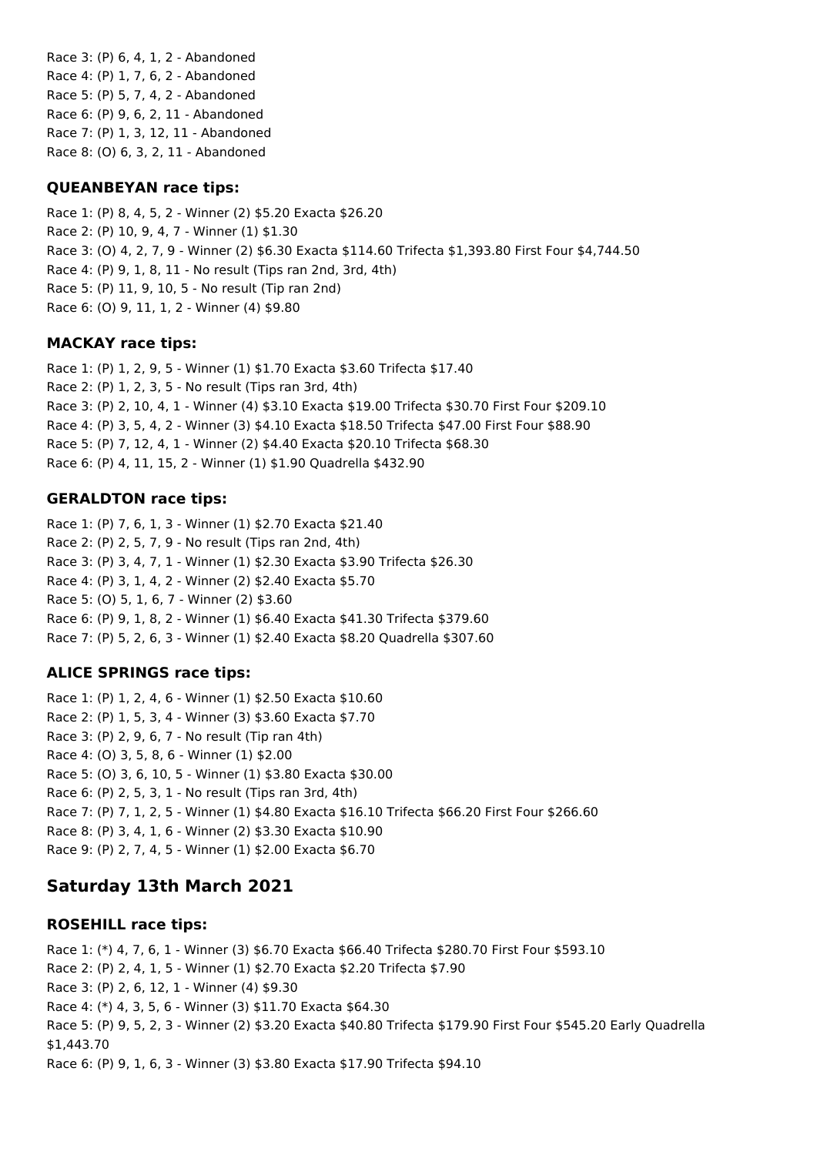Race 3: (P) 6, 4, 1, 2 - Abandoned Race 4: (P) 1, 7, 6, 2 - Abandoned Race 5: (P) 5, 7, 4, 2 - Abandoned Race 6: (P) 9, 6, 2, 11 - Abandoned Race 7: (P) 1, 3, 12, 11 - Abandoned Race 8: (O) 6, 3, 2, 11 - Abandoned

### **QUEANBEYAN race tips:**

Race 1: (P) 8, 4, 5, 2 - Winner (2) \$5.20 Exacta \$26.20 Race 2: (P) 10, 9, 4, 7 - Winner (1) \$1.30 Race 3: (O) 4, 2, 7, 9 - Winner (2) \$6.30 Exacta \$114.60 Trifecta \$1,393.80 First Four \$4,744.50 Race 4: (P) 9, 1, 8, 11 - No result (Tips ran 2nd, 3rd, 4th) Race 5: (P) 11, 9, 10, 5 - No result (Tip ran 2nd) Race 6: (O) 9, 11, 1, 2 - Winner (4) \$9.80

### **MACKAY race tips:**

Race 1: (P) 1, 2, 9, 5 - Winner (1) \$1.70 Exacta \$3.60 Trifecta \$17.40 Race 2: (P) 1, 2, 3, 5 - No result (Tips ran 3rd, 4th) Race 3: (P) 2, 10, 4, 1 - Winner (4) \$3.10 Exacta \$19.00 Trifecta \$30.70 First Four \$209.10 Race 4: (P) 3, 5, 4, 2 - Winner (3) \$4.10 Exacta \$18.50 Trifecta \$47.00 First Four \$88.90 Race 5: (P) 7, 12, 4, 1 - Winner (2) \$4.40 Exacta \$20.10 Trifecta \$68.30 Race 6: (P) 4, 11, 15, 2 - Winner (1) \$1.90 Quadrella \$432.90

### **GERALDTON race tips:**

Race 1: (P) 7, 6, 1, 3 - Winner (1) \$2.70 Exacta \$21.40 Race 2: (P) 2, 5, 7, 9 - No result (Tips ran 2nd, 4th) Race 3: (P) 3, 4, 7, 1 - Winner (1) \$2.30 Exacta \$3.90 Trifecta \$26.30 Race 4: (P) 3, 1, 4, 2 - Winner (2) \$2.40 Exacta \$5.70 Race 5: (O) 5, 1, 6, 7 - Winner (2) \$3.60 Race 6: (P) 9, 1, 8, 2 - Winner (1) \$6.40 Exacta \$41.30 Trifecta \$379.60 Race 7: (P) 5, 2, 6, 3 - Winner (1) \$2.40 Exacta \$8.20 Quadrella \$307.60

## **ALICE SPRINGS race tips:**

Race 1: (P) 1, 2, 4, 6 - Winner (1) \$2.50 Exacta \$10.60 Race 2: (P) 1, 5, 3, 4 - Winner (3) \$3.60 Exacta \$7.70 Race 3: (P) 2, 9, 6, 7 - No result (Tip ran 4th) Race 4: (O) 3, 5, 8, 6 - Winner (1) \$2.00 Race 5: (O) 3, 6, 10, 5 - Winner (1) \$3.80 Exacta \$30.00 Race 6: (P) 2, 5, 3, 1 - No result (Tips ran 3rd, 4th) Race 7: (P) 7, 1, 2, 5 - Winner (1) \$4.80 Exacta \$16.10 Trifecta \$66.20 First Four \$266.60 Race 8: (P) 3, 4, 1, 6 - Winner (2) \$3.30 Exacta \$10.90 Race 9: (P) 2, 7, 4, 5 - Winner (1) \$2.00 Exacta \$6.70

## **Saturday 13th March 2021**

### **ROSEHILL race tips:**

Race 1: (\*) 4, 7, 6, 1 - Winner (3) \$6.70 Exacta \$66.40 Trifecta \$280.70 First Four \$593.10 Race 2: (P) 2, 4, 1, 5 - Winner (1) \$2.70 Exacta \$2.20 Trifecta \$7.90 Race 3: (P) 2, 6, 12, 1 - Winner (4) \$9.30 Race 4: (\*) 4, 3, 5, 6 - Winner (3) \$11.70 Exacta \$64.30 Race 5: (P) 9, 5, 2, 3 - Winner (2) \$3.20 Exacta \$40.80 Trifecta \$179.90 First Four \$545.20 Early Quadrella \$1,443.70 Race 6: (P) 9, 1, 6, 3 - Winner (3) \$3.80 Exacta \$17.90 Trifecta \$94.10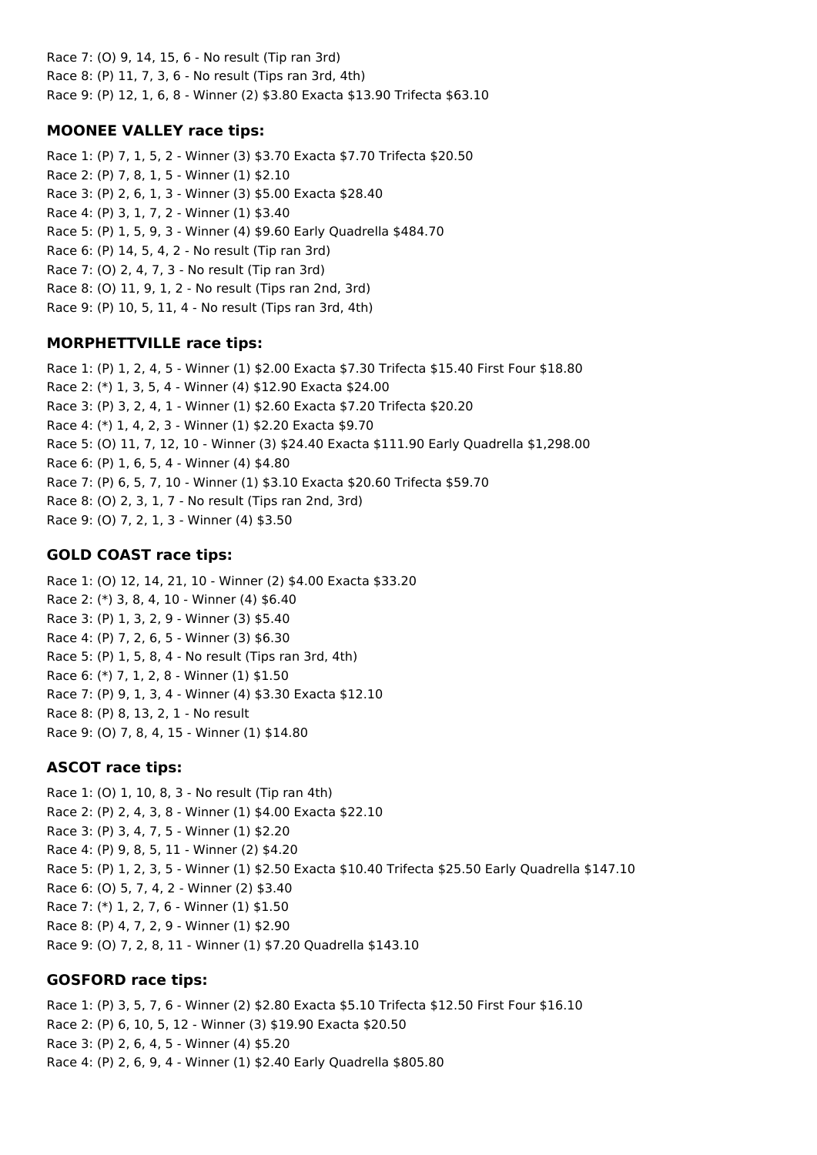Race 7: (O) 9, 14, 15, 6 - No result (Tip ran 3rd) Race 8: (P) 11, 7, 3, 6 - No result (Tips ran 3rd, 4th) Race 9: (P) 12, 1, 6, 8 - Winner (2) \$3.80 Exacta \$13.90 Trifecta \$63.10

## **MOONEE VALLEY race tips:**

Race 1: (P) 7, 1, 5, 2 - Winner (3) \$3.70 Exacta \$7.70 Trifecta \$20.50 Race 2: (P) 7, 8, 1, 5 - Winner (1) \$2.10 Race 3: (P) 2, 6, 1, 3 - Winner (3) \$5.00 Exacta \$28.40 Race 4: (P) 3, 1, 7, 2 - Winner (1) \$3.40 Race 5: (P) 1, 5, 9, 3 - Winner (4) \$9.60 Early Quadrella \$484.70 Race 6: (P) 14, 5, 4, 2 - No result (Tip ran 3rd) Race 7: (O) 2, 4, 7, 3 - No result (Tip ran 3rd) Race 8: (O) 11, 9, 1, 2 - No result (Tips ran 2nd, 3rd) Race 9: (P) 10, 5, 11, 4 - No result (Tips ran 3rd, 4th)

## **MORPHETTVILLE race tips:**

Race 1: (P) 1, 2, 4, 5 - Winner (1) \$2.00 Exacta \$7.30 Trifecta \$15.40 First Four \$18.80 Race 2: (\*) 1, 3, 5, 4 - Winner (4) \$12.90 Exacta \$24.00 Race 3: (P) 3, 2, 4, 1 - Winner (1) \$2.60 Exacta \$7.20 Trifecta \$20.20 Race 4: (\*) 1, 4, 2, 3 - Winner (1) \$2.20 Exacta \$9.70 Race 5: (O) 11, 7, 12, 10 - Winner (3) \$24.40 Exacta \$111.90 Early Quadrella \$1,298.00 Race 6: (P) 1, 6, 5, 4 - Winner (4) \$4.80 Race 7: (P) 6, 5, 7, 10 - Winner (1) \$3.10 Exacta \$20.60 Trifecta \$59.70 Race 8: (O) 2, 3, 1, 7 - No result (Tips ran 2nd, 3rd) Race 9: (O) 7, 2, 1, 3 - Winner (4) \$3.50

## **GOLD COAST race tips:**

Race 1: (O) 12, 14, 21, 10 - Winner (2) \$4.00 Exacta \$33.20 Race 2: (\*) 3, 8, 4, 10 - Winner (4) \$6.40 Race 3: (P) 1, 3, 2, 9 - Winner (3) \$5.40 Race 4: (P) 7, 2, 6, 5 - Winner (3) \$6.30 Race 5: (P) 1, 5, 8, 4 - No result (Tips ran 3rd, 4th) Race 6: (\*) 7, 1, 2, 8 - Winner (1) \$1.50 Race 7: (P) 9, 1, 3, 4 - Winner (4) \$3.30 Exacta \$12.10 Race 8: (P) 8, 13, 2, 1 - No result Race 9: (O) 7, 8, 4, 15 - Winner (1) \$14.80

## **ASCOT race tips:**

Race 1: (O) 1, 10, 8, 3 - No result (Tip ran 4th) Race 2: (P) 2, 4, 3, 8 - Winner (1) \$4.00 Exacta \$22.10 Race 3: (P) 3, 4, 7, 5 - Winner (1) \$2.20 Race 4: (P) 9, 8, 5, 11 - Winner (2) \$4.20 Race 5: (P) 1, 2, 3, 5 - Winner (1) \$2.50 Exacta \$10.40 Trifecta \$25.50 Early Quadrella \$147.10 Race 6: (O) 5, 7, 4, 2 - Winner (2) \$3.40 Race 7: (\*) 1, 2, 7, 6 - Winner (1) \$1.50 Race 8: (P) 4, 7, 2, 9 - Winner (1) \$2.90 Race 9: (O) 7, 2, 8, 11 - Winner (1) \$7.20 Quadrella \$143.10

## **GOSFORD race tips:**

Race 1: (P) 3, 5, 7, 6 - Winner (2) \$2.80 Exacta \$5.10 Trifecta \$12.50 First Four \$16.10 Race 2: (P) 6, 10, 5, 12 - Winner (3) \$19.90 Exacta \$20.50 Race 3: (P) 2, 6, 4, 5 - Winner (4) \$5.20 Race 4: (P) 2, 6, 9, 4 - Winner (1) \$2.40 Early Quadrella \$805.80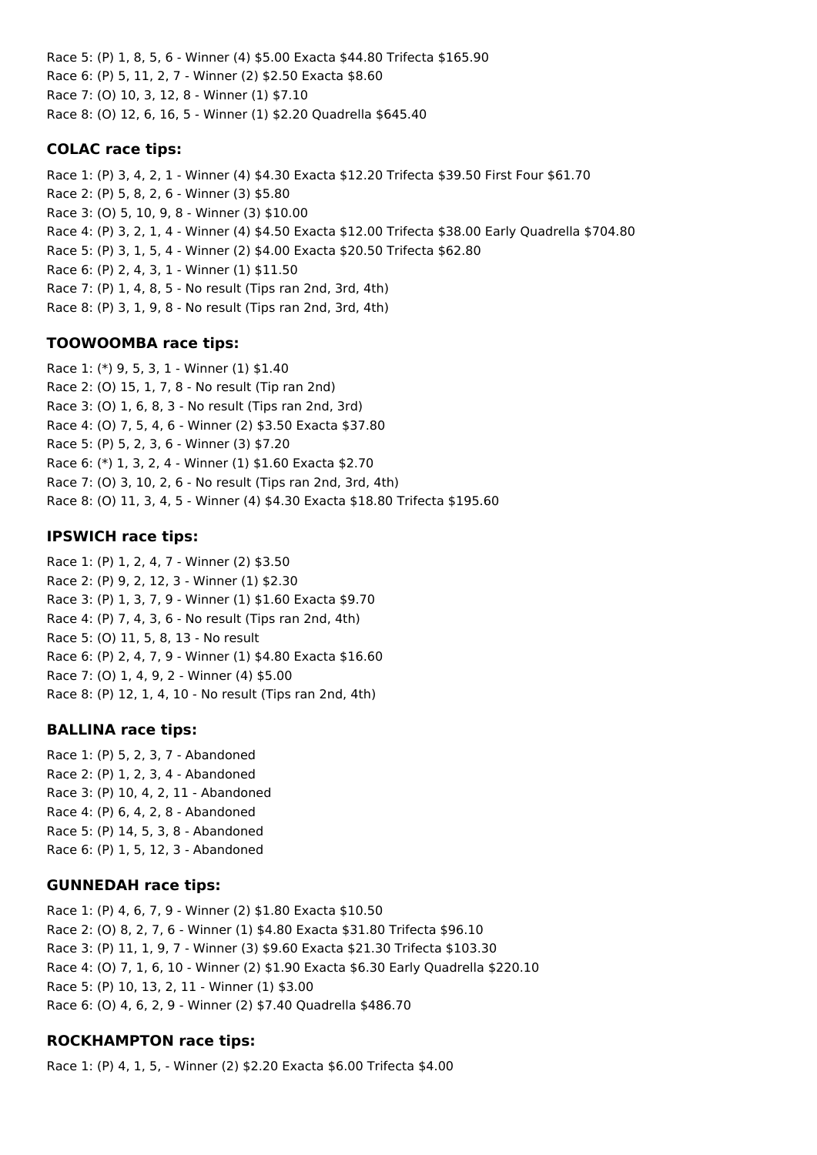Race 5: (P) 1, 8, 5, 6 - Winner (4) \$5.00 Exacta \$44.80 Trifecta \$165.90 Race 6: (P) 5, 11, 2, 7 - Winner (2) \$2.50 Exacta \$8.60 Race 7: (O) 10, 3, 12, 8 - Winner (1) \$7.10 Race 8: (O) 12, 6, 16, 5 - Winner (1) \$2.20 Quadrella \$645.40

### **COLAC race tips:**

Race 1: (P) 3, 4, 2, 1 - Winner (4) \$4.30 Exacta \$12.20 Trifecta \$39.50 First Four \$61.70 Race 2: (P) 5, 8, 2, 6 - Winner (3) \$5.80 Race 3: (O) 5, 10, 9, 8 - Winner (3) \$10.00 Race 4: (P) 3, 2, 1, 4 - Winner (4) \$4.50 Exacta \$12.00 Trifecta \$38.00 Early Quadrella \$704.80 Race 5: (P) 3, 1, 5, 4 - Winner (2) \$4.00 Exacta \$20.50 Trifecta \$62.80 Race 6: (P) 2, 4, 3, 1 - Winner (1) \$11.50 Race 7: (P) 1, 4, 8, 5 - No result (Tips ran 2nd, 3rd, 4th) Race 8: (P) 3, 1, 9, 8 - No result (Tips ran 2nd, 3rd, 4th)

### **TOOWOOMBA race tips:**

Race 1: (\*) 9, 5, 3, 1 - Winner (1) \$1.40 Race 2: (O) 15, 1, 7, 8 - No result (Tip ran 2nd) Race 3: (O) 1, 6, 8, 3 - No result (Tips ran 2nd, 3rd) Race 4: (O) 7, 5, 4, 6 - Winner (2) \$3.50 Exacta \$37.80 Race 5: (P) 5, 2, 3, 6 - Winner (3) \$7.20 Race 6: (\*) 1, 3, 2, 4 - Winner (1) \$1.60 Exacta \$2.70 Race 7: (O) 3, 10, 2, 6 - No result (Tips ran 2nd, 3rd, 4th) Race 8: (O) 11, 3, 4, 5 - Winner (4) \$4.30 Exacta \$18.80 Trifecta \$195.60

### **IPSWICH race tips:**

Race 1: (P) 1, 2, 4, 7 - Winner (2) \$3.50 Race 2: (P) 9, 2, 12, 3 - Winner (1) \$2.30 Race 3: (P) 1, 3, 7, 9 - Winner (1) \$1.60 Exacta \$9.70 Race 4: (P) 7, 4, 3, 6 - No result (Tips ran 2nd, 4th) Race 5: (O) 11, 5, 8, 13 - No result Race 6: (P) 2, 4, 7, 9 - Winner (1) \$4.80 Exacta \$16.60 Race 7: (O) 1, 4, 9, 2 - Winner (4) \$5.00 Race 8: (P) 12, 1, 4, 10 - No result (Tips ran 2nd, 4th)

### **BALLINA race tips:**

Race 1: (P) 5, 2, 3, 7 - Abandoned Race 2: (P) 1, 2, 3, 4 - Abandoned Race 3: (P) 10, 4, 2, 11 - Abandoned Race 4: (P) 6, 4, 2, 8 - Abandoned Race 5: (P) 14, 5, 3, 8 - Abandoned Race 6: (P) 1, 5, 12, 3 - Abandoned

### **GUNNEDAH race tips:**

Race 1: (P) 4, 6, 7, 9 - Winner (2) \$1.80 Exacta \$10.50 Race 2: (O) 8, 2, 7, 6 - Winner (1) \$4.80 Exacta \$31.80 Trifecta \$96.10 Race 3: (P) 11, 1, 9, 7 - Winner (3) \$9.60 Exacta \$21.30 Trifecta \$103.30 Race 4: (O) 7, 1, 6, 10 - Winner (2) \$1.90 Exacta \$6.30 Early Quadrella \$220.10 Race 5: (P) 10, 13, 2, 11 - Winner (1) \$3.00 Race 6: (O) 4, 6, 2, 9 - Winner (2) \$7.40 Quadrella \$486.70

## **ROCKHAMPTON race tips:**

Race 1: (P) 4, 1, 5, - Winner (2) \$2.20 Exacta \$6.00 Trifecta \$4.00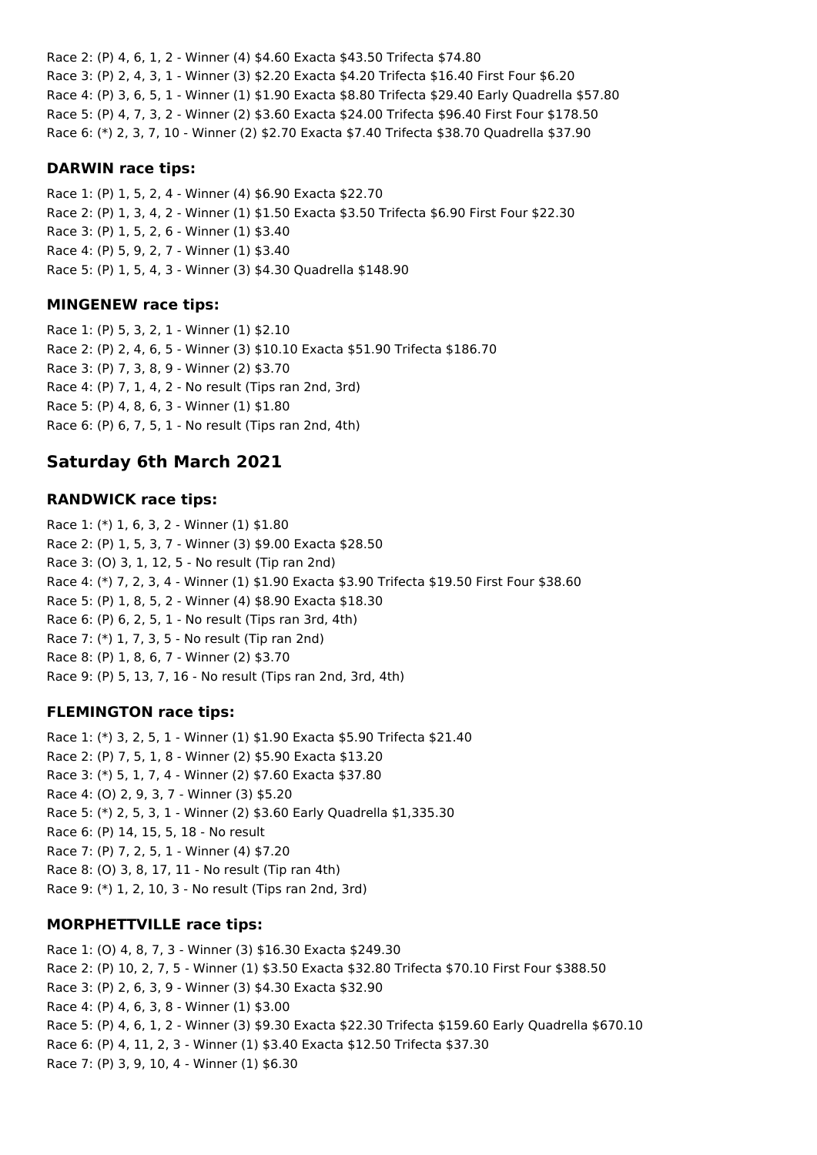Race 2: (P) 4, 6, 1, 2 - Winner (4) \$4.60 Exacta \$43.50 Trifecta \$74.80 Race 3: (P) 2, 4, 3, 1 - Winner (3) \$2.20 Exacta \$4.20 Trifecta \$16.40 First Four \$6.20 Race 4: (P) 3, 6, 5, 1 - Winner (1) \$1.90 Exacta \$8.80 Trifecta \$29.40 Early Quadrella \$57.80 Race 5: (P) 4, 7, 3, 2 - Winner (2) \$3.60 Exacta \$24.00 Trifecta \$96.40 First Four \$178.50 Race 6: (\*) 2, 3, 7, 10 - Winner (2) \$2.70 Exacta \$7.40 Trifecta \$38.70 Quadrella \$37.90

#### **DARWIN race tips:**

Race 1: (P) 1, 5, 2, 4 - Winner (4) \$6.90 Exacta \$22.70 Race 2: (P) 1, 3, 4, 2 - Winner (1) \$1.50 Exacta \$3.50 Trifecta \$6.90 First Four \$22.30 Race 3: (P) 1, 5, 2, 6 - Winner (1) \$3.40 Race 4: (P) 5, 9, 2, 7 - Winner (1) \$3.40 Race 5: (P) 1, 5, 4, 3 - Winner (3) \$4.30 Quadrella \$148.90

### **MINGENEW race tips:**

Race 1: (P) 5, 3, 2, 1 - Winner (1) \$2.10 Race 2: (P) 2, 4, 6, 5 - Winner (3) \$10.10 Exacta \$51.90 Trifecta \$186.70 Race 3: (P) 7, 3, 8, 9 - Winner (2) \$3.70 Race 4: (P) 7, 1, 4, 2 - No result (Tips ran 2nd, 3rd) Race 5: (P) 4, 8, 6, 3 - Winner (1) \$1.80 Race 6: (P) 6, 7, 5, 1 - No result (Tips ran 2nd, 4th)

## **Saturday 6th March 2021**

### **RANDWICK race tips:**

Race 1: (\*) 1, 6, 3, 2 - Winner (1) \$1.80 Race 2: (P) 1, 5, 3, 7 - Winner (3) \$9.00 Exacta \$28.50 Race 3: (O) 3, 1, 12, 5 - No result (Tip ran 2nd) Race 4: (\*) 7, 2, 3, 4 - Winner (1) \$1.90 Exacta \$3.90 Trifecta \$19.50 First Four \$38.60 Race 5: (P) 1, 8, 5, 2 - Winner (4) \$8.90 Exacta \$18.30 Race 6: (P) 6, 2, 5, 1 - No result (Tips ran 3rd, 4th) Race 7: (\*) 1, 7, 3, 5 - No result (Tip ran 2nd) Race 8: (P) 1, 8, 6, 7 - Winner (2) \$3.70 Race 9: (P) 5, 13, 7, 16 - No result (Tips ran 2nd, 3rd, 4th)

## **FLEMINGTON race tips:**

Race 1: (\*) 3, 2, 5, 1 - Winner (1) \$1.90 Exacta \$5.90 Trifecta \$21.40 Race 2: (P) 7, 5, 1, 8 - Winner (2) \$5.90 Exacta \$13.20 Race 3: (\*) 5, 1, 7, 4 - Winner (2) \$7.60 Exacta \$37.80 Race 4: (O) 2, 9, 3, 7 - Winner (3) \$5.20 Race 5: (\*) 2, 5, 3, 1 - Winner (2) \$3.60 Early Quadrella \$1,335.30 Race 6: (P) 14, 15, 5, 18 - No result Race 7: (P) 7, 2, 5, 1 - Winner (4) \$7.20 Race 8: (O) 3, 8, 17, 11 - No result (Tip ran 4th) Race 9: (\*) 1, 2, 10, 3 - No result (Tips ran 2nd, 3rd)

## **MORPHETTVILLE race tips:**

Race 1: (O) 4, 8, 7, 3 - Winner (3) \$16.30 Exacta \$249.30 Race 2: (P) 10, 2, 7, 5 - Winner (1) \$3.50 Exacta \$32.80 Trifecta \$70.10 First Four \$388.50 Race 3: (P) 2, 6, 3, 9 - Winner (3) \$4.30 Exacta \$32.90 Race 4: (P) 4, 6, 3, 8 - Winner (1) \$3.00 Race 5: (P) 4, 6, 1, 2 - Winner (3) \$9.30 Exacta \$22.30 Trifecta \$159.60 Early Quadrella \$670.10 Race 6: (P) 4, 11, 2, 3 - Winner (1) \$3.40 Exacta \$12.50 Trifecta \$37.30 Race 7: (P) 3, 9, 10, 4 - Winner (1) \$6.30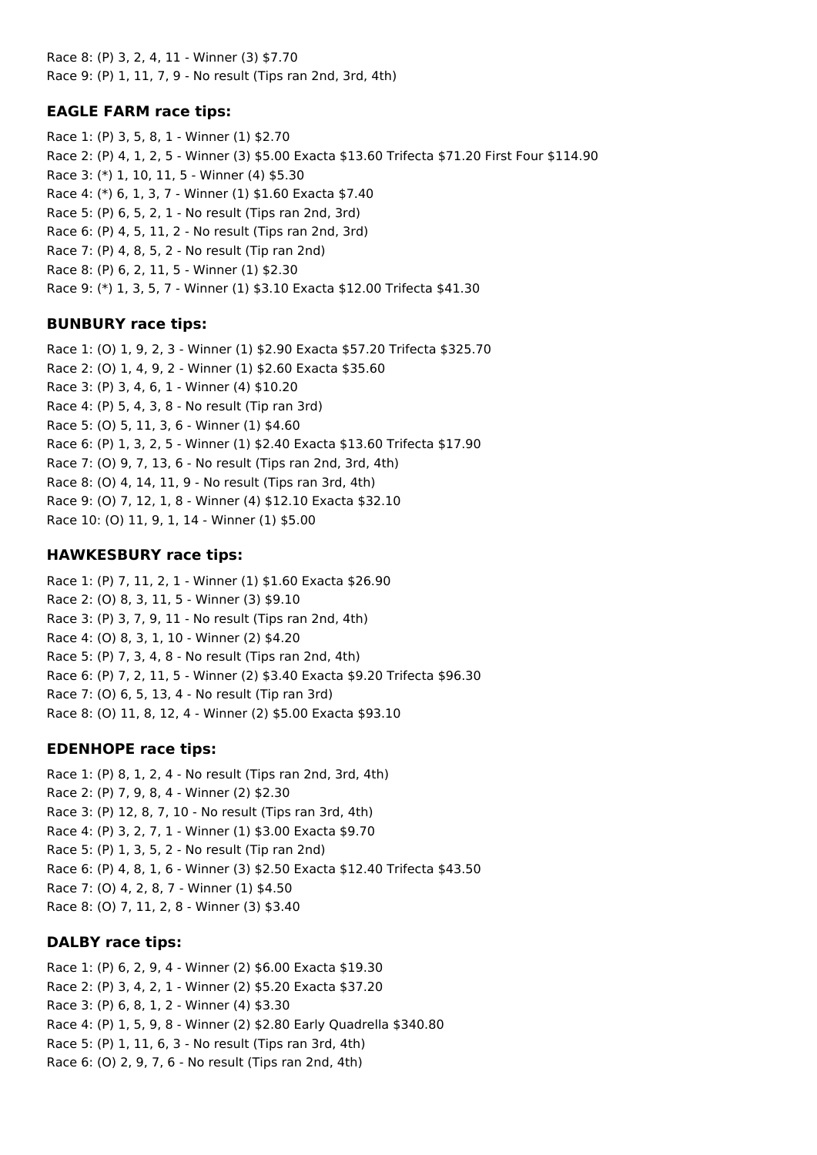Race 8: (P) 3, 2, 4, 11 - Winner (3) \$7.70 Race 9: (P) 1, 11, 7, 9 - No result (Tips ran 2nd, 3rd, 4th)

## **EAGLE FARM race tips:**

Race 1: (P) 3, 5, 8, 1 - Winner (1) \$2.70 Race 2: (P) 4, 1, 2, 5 - Winner (3) \$5.00 Exacta \$13.60 Trifecta \$71.20 First Four \$114.90 Race 3: (\*) 1, 10, 11, 5 - Winner (4) \$5.30 Race 4: (\*) 6, 1, 3, 7 - Winner (1) \$1.60 Exacta \$7.40 Race 5: (P) 6, 5, 2, 1 - No result (Tips ran 2nd, 3rd) Race 6: (P) 4, 5, 11, 2 - No result (Tips ran 2nd, 3rd) Race 7: (P) 4, 8, 5, 2 - No result (Tip ran 2nd) Race 8: (P) 6, 2, 11, 5 - Winner (1) \$2.30 Race 9: (\*) 1, 3, 5, 7 - Winner (1) \$3.10 Exacta \$12.00 Trifecta \$41.30

## **BUNBURY race tips:**

Race 1: (O) 1, 9, 2, 3 - Winner (1) \$2.90 Exacta \$57.20 Trifecta \$325.70 Race 2: (O) 1, 4, 9, 2 - Winner (1) \$2.60 Exacta \$35.60 Race 3: (P) 3, 4, 6, 1 - Winner (4) \$10.20 Race 4: (P) 5, 4, 3, 8 - No result (Tip ran 3rd) Race 5: (O) 5, 11, 3, 6 - Winner (1) \$4.60 Race 6: (P) 1, 3, 2, 5 - Winner (1) \$2.40 Exacta \$13.60 Trifecta \$17.90 Race 7: (O) 9, 7, 13, 6 - No result (Tips ran 2nd, 3rd, 4th) Race 8: (O) 4, 14, 11, 9 - No result (Tips ran 3rd, 4th) Race 9: (O) 7, 12, 1, 8 - Winner (4) \$12.10 Exacta \$32.10 Race 10: (O) 11, 9, 1, 14 - Winner (1) \$5.00

## **HAWKESBURY race tips:**

Race 1: (P) 7, 11, 2, 1 - Winner (1) \$1.60 Exacta \$26.90 Race 2: (O) 8, 3, 11, 5 - Winner (3) \$9.10 Race 3: (P) 3, 7, 9, 11 - No result (Tips ran 2nd, 4th) Race 4: (O) 8, 3, 1, 10 - Winner (2) \$4.20 Race 5: (P) 7, 3, 4, 8 - No result (Tips ran 2nd, 4th) Race 6: (P) 7, 2, 11, 5 - Winner (2) \$3.40 Exacta \$9.20 Trifecta \$96.30 Race 7: (O) 6, 5, 13, 4 - No result (Tip ran 3rd) Race 8: (O) 11, 8, 12, 4 - Winner (2) \$5.00 Exacta \$93.10

## **EDENHOPE race tips:**

Race 1: (P) 8, 1, 2, 4 - No result (Tips ran 2nd, 3rd, 4th) Race 2: (P) 7, 9, 8, 4 - Winner (2) \$2.30 Race 3: (P) 12, 8, 7, 10 - No result (Tips ran 3rd, 4th) Race 4: (P) 3, 2, 7, 1 - Winner (1) \$3.00 Exacta \$9.70 Race 5: (P) 1, 3, 5, 2 - No result (Tip ran 2nd) Race 6: (P) 4, 8, 1, 6 - Winner (3) \$2.50 Exacta \$12.40 Trifecta \$43.50 Race 7: (O) 4, 2, 8, 7 - Winner (1) \$4.50 Race 8: (O) 7, 11, 2, 8 - Winner (3) \$3.40

## **DALBY race tips:**

Race 1: (P) 6, 2, 9, 4 - Winner (2) \$6.00 Exacta \$19.30 Race 2: (P) 3, 4, 2, 1 - Winner (2) \$5.20 Exacta \$37.20 Race 3: (P) 6, 8, 1, 2 - Winner (4) \$3.30 Race 4: (P) 1, 5, 9, 8 - Winner (2) \$2.80 Early Quadrella \$340.80 Race 5: (P) 1, 11, 6, 3 - No result (Tips ran 3rd, 4th) Race 6: (O) 2, 9, 7, 6 - No result (Tips ran 2nd, 4th)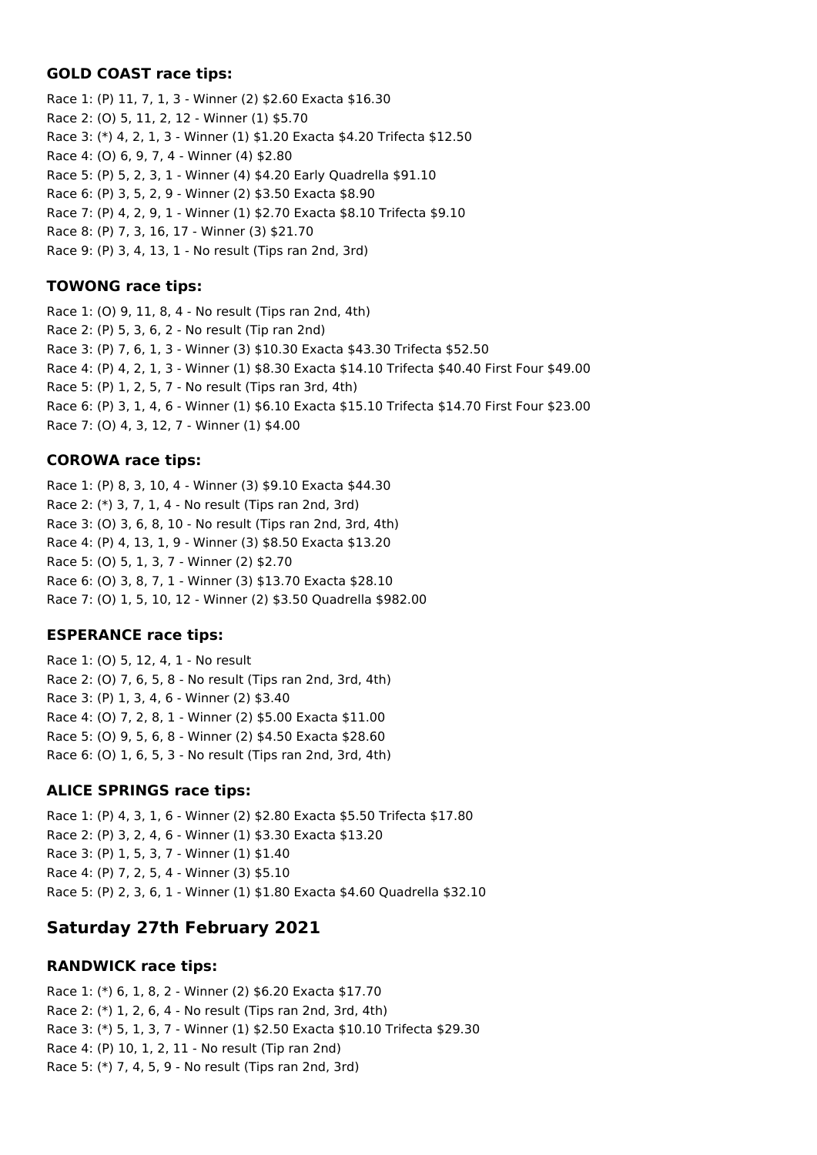## **GOLD COAST race tips:**

Race 1: (P) 11, 7, 1, 3 - Winner (2) \$2.60 Exacta \$16.30 Race 2: (O) 5, 11, 2, 12 - Winner (1) \$5.70 Race 3: (\*) 4, 2, 1, 3 - Winner (1) \$1.20 Exacta \$4.20 Trifecta \$12.50 Race 4: (O) 6, 9, 7, 4 - Winner (4) \$2.80 Race 5: (P) 5, 2, 3, 1 - Winner (4) \$4.20 Early Quadrella \$91.10 Race 6: (P) 3, 5, 2, 9 - Winner (2) \$3.50 Exacta \$8.90 Race 7: (P) 4, 2, 9, 1 - Winner (1) \$2.70 Exacta \$8.10 Trifecta \$9.10 Race 8: (P) 7, 3, 16, 17 - Winner (3) \$21.70 Race 9: (P) 3, 4, 13, 1 - No result (Tips ran 2nd, 3rd)

## **TOWONG race tips:**

Race 1: (O) 9, 11, 8, 4 - No result (Tips ran 2nd, 4th) Race 2: (P) 5, 3, 6, 2 - No result (Tip ran 2nd) Race 3: (P) 7, 6, 1, 3 - Winner (3) \$10.30 Exacta \$43.30 Trifecta \$52.50 Race 4: (P) 4, 2, 1, 3 - Winner (1) \$8.30 Exacta \$14.10 Trifecta \$40.40 First Four \$49.00 Race 5: (P) 1, 2, 5, 7 - No result (Tips ran 3rd, 4th) Race 6: (P) 3, 1, 4, 6 - Winner (1) \$6.10 Exacta \$15.10 Trifecta \$14.70 First Four \$23.00 Race 7: (O) 4, 3, 12, 7 - Winner (1) \$4.00

### **COROWA race tips:**

Race 1: (P) 8, 3, 10, 4 - Winner (3) \$9.10 Exacta \$44.30 Race 2: (\*) 3, 7, 1, 4 - No result (Tips ran 2nd, 3rd) Race 3: (O) 3, 6, 8, 10 - No result (Tips ran 2nd, 3rd, 4th) Race 4: (P) 4, 13, 1, 9 - Winner (3) \$8.50 Exacta \$13.20 Race 5: (O) 5, 1, 3, 7 - Winner (2) \$2.70 Race 6: (O) 3, 8, 7, 1 - Winner (3) \$13.70 Exacta \$28.10 Race 7: (O) 1, 5, 10, 12 - Winner (2) \$3.50 Quadrella \$982.00

### **ESPERANCE race tips:**

Race 1: (O) 5, 12, 4, 1 - No result Race 2: (O) 7, 6, 5, 8 - No result (Tips ran 2nd, 3rd, 4th) Race 3: (P) 1, 3, 4, 6 - Winner (2) \$3.40 Race 4: (O) 7, 2, 8, 1 - Winner (2) \$5.00 Exacta \$11.00 Race 5: (O) 9, 5, 6, 8 - Winner (2) \$4.50 Exacta \$28.60 Race 6: (O) 1, 6, 5, 3 - No result (Tips ran 2nd, 3rd, 4th)

### **ALICE SPRINGS race tips:**

Race 1: (P) 4, 3, 1, 6 - Winner (2) \$2.80 Exacta \$5.50 Trifecta \$17.80 Race 2: (P) 3, 2, 4, 6 - Winner (1) \$3.30 Exacta \$13.20 Race 3: (P) 1, 5, 3, 7 - Winner (1) \$1.40 Race 4: (P) 7, 2, 5, 4 - Winner (3) \$5.10 Race 5: (P) 2, 3, 6, 1 - Winner (1) \$1.80 Exacta \$4.60 Quadrella \$32.10

## **Saturday 27th February 2021**

## **RANDWICK race tips:**

Race 1: (\*) 6, 1, 8, 2 - Winner (2) \$6.20 Exacta \$17.70 Race 2: (\*) 1, 2, 6, 4 - No result (Tips ran 2nd, 3rd, 4th) Race 3: (\*) 5, 1, 3, 7 - Winner (1) \$2.50 Exacta \$10.10 Trifecta \$29.30 Race 4: (P) 10, 1, 2, 11 - No result (Tip ran 2nd) Race 5: (\*) 7, 4, 5, 9 - No result (Tips ran 2nd, 3rd)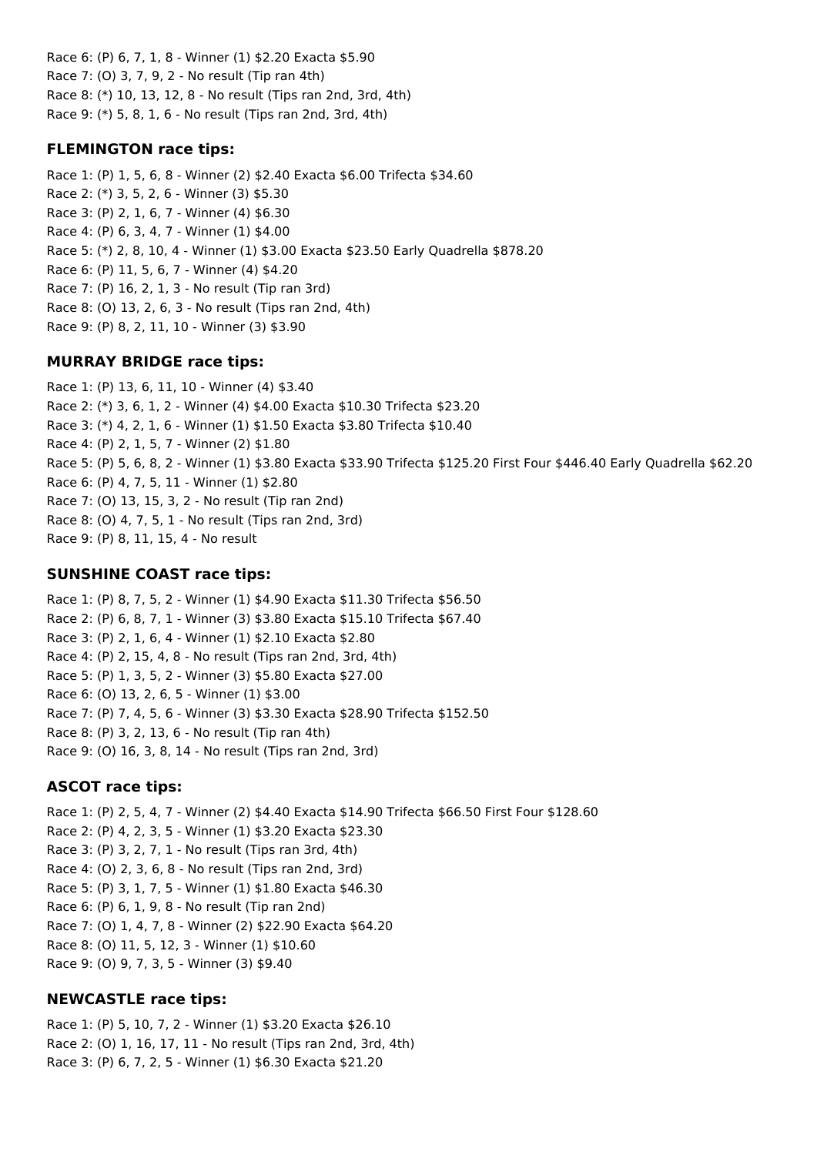Race 6: (P) 6, 7, 1, 8 - Winner (1) \$2.20 Exacta \$5.90 Race 7: (O) 3, 7, 9, 2 - No result (Tip ran 4th) Race 8: (\*) 10, 13, 12, 8 - No result (Tips ran 2nd, 3rd, 4th) Race 9: (\*) 5, 8, 1, 6 - No result (Tips ran 2nd, 3rd, 4th)

## **FLEMINGTON race tips:**

Race 1: (P) 1, 5, 6, 8 - Winner (2) \$2.40 Exacta \$6.00 Trifecta \$34.60 Race 2: (\*) 3, 5, 2, 6 - Winner (3) \$5.30 Race 3: (P) 2, 1, 6, 7 - Winner (4) \$6.30 Race 4: (P) 6, 3, 4, 7 - Winner (1) \$4.00 Race 5: (\*) 2, 8, 10, 4 - Winner (1) \$3.00 Exacta \$23.50 Early Quadrella \$878.20 Race 6: (P) 11, 5, 6, 7 - Winner (4) \$4.20 Race 7: (P) 16, 2, 1, 3 - No result (Tip ran 3rd) Race 8: (O) 13, 2, 6, 3 - No result (Tips ran 2nd, 4th) Race 9: (P) 8, 2, 11, 10 - Winner (3) \$3.90

## **MURRAY BRIDGE race tips:**

Race 1: (P) 13, 6, 11, 10 - Winner (4) \$3.40 Race 2: (\*) 3, 6, 1, 2 - Winner (4) \$4.00 Exacta \$10.30 Trifecta \$23.20 Race 3: (\*) 4, 2, 1, 6 - Winner (1) \$1.50 Exacta \$3.80 Trifecta \$10.40 Race 4: (P) 2, 1, 5, 7 - Winner (2) \$1.80 Race 5: (P) 5, 6, 8, 2 - Winner (1) \$3.80 Exacta \$33.90 Trifecta \$125.20 First Four \$446.40 Early Quadrella \$62.20 Race 6: (P) 4, 7, 5, 11 - Winner (1) \$2.80 Race 7: (O) 13, 15, 3, 2 - No result (Tip ran 2nd) Race 8: (O) 4, 7, 5, 1 - No result (Tips ran 2nd, 3rd) Race 9: (P) 8, 11, 15, 4 - No result

## **SUNSHINE COAST race tips:**

Race 1: (P) 8, 7, 5, 2 - Winner (1) \$4.90 Exacta \$11.30 Trifecta \$56.50 Race 2: (P) 6, 8, 7, 1 - Winner (3) \$3.80 Exacta \$15.10 Trifecta \$67.40 Race 3: (P) 2, 1, 6, 4 - Winner (1) \$2.10 Exacta \$2.80 Race 4: (P) 2, 15, 4, 8 - No result (Tips ran 2nd, 3rd, 4th) Race 5: (P) 1, 3, 5, 2 - Winner (3) \$5.80 Exacta \$27.00 Race 6: (O) 13, 2, 6, 5 - Winner (1) \$3.00 Race 7: (P) 7, 4, 5, 6 - Winner (3) \$3.30 Exacta \$28.90 Trifecta \$152.50 Race 8: (P) 3, 2, 13, 6 - No result (Tip ran 4th) Race 9: (O) 16, 3, 8, 14 - No result (Tips ran 2nd, 3rd)

## **ASCOT race tips:**

Race 1: (P) 2, 5, 4, 7 - Winner (2) \$4.40 Exacta \$14.90 Trifecta \$66.50 First Four \$128.60 Race 2: (P) 4, 2, 3, 5 - Winner (1) \$3.20 Exacta \$23.30 Race 3: (P) 3, 2, 7, 1 - No result (Tips ran 3rd, 4th) Race 4: (O) 2, 3, 6, 8 - No result (Tips ran 2nd, 3rd) Race 5: (P) 3, 1, 7, 5 - Winner (1) \$1.80 Exacta \$46.30 Race 6: (P) 6, 1, 9, 8 - No result (Tip ran 2nd) Race 7: (O) 1, 4, 7, 8 - Winner (2) \$22.90 Exacta \$64.20 Race 8: (O) 11, 5, 12, 3 - Winner (1) \$10.60 Race 9: (O) 9, 7, 3, 5 - Winner (3) \$9.40

## **NEWCASTLE race tips:**

Race 1: (P) 5, 10, 7, 2 - Winner (1) \$3.20 Exacta \$26.10 Race 2: (O) 1, 16, 17, 11 - No result (Tips ran 2nd, 3rd, 4th) Race 3: (P) 6, 7, 2, 5 - Winner (1) \$6.30 Exacta \$21.20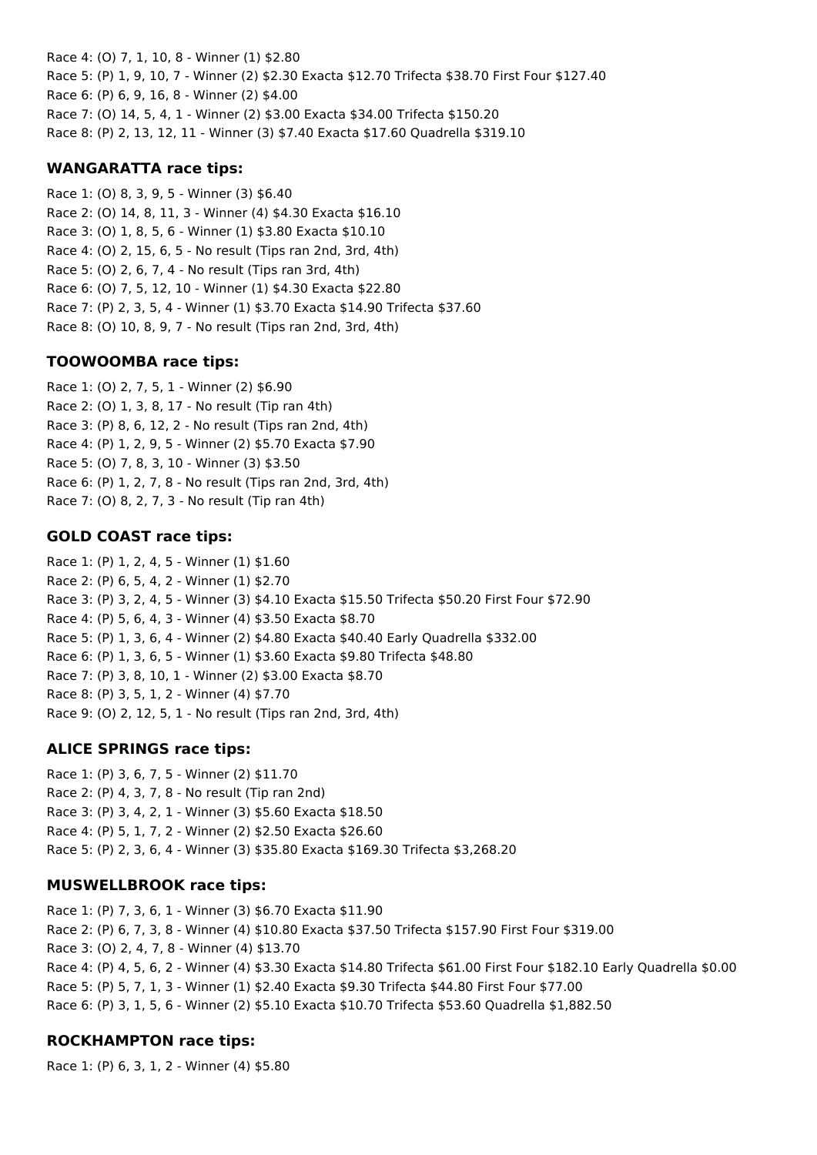Race 4: (O) 7, 1, 10, 8 - Winner (1) \$2.80 Race 5: (P) 1, 9, 10, 7 - Winner (2) \$2.30 Exacta \$12.70 Trifecta \$38.70 First Four \$127.40 Race 6: (P) 6, 9, 16, 8 - Winner (2) \$4.00 Race 7: (O) 14, 5, 4, 1 - Winner (2) \$3.00 Exacta \$34.00 Trifecta \$150.20 Race 8: (P) 2, 13, 12, 11 - Winner (3) \$7.40 Exacta \$17.60 Quadrella \$319.10

### **WANGARATTA race tips:**

Race 1: (O) 8, 3, 9, 5 - Winner (3) \$6.40 Race 2: (O) 14, 8, 11, 3 - Winner (4) \$4.30 Exacta \$16.10 Race 3: (O) 1, 8, 5, 6 - Winner (1) \$3.80 Exacta \$10.10 Race 4: (O) 2, 15, 6, 5 - No result (Tips ran 2nd, 3rd, 4th) Race 5: (O) 2, 6, 7, 4 - No result (Tips ran 3rd, 4th) Race 6: (O) 7, 5, 12, 10 - Winner (1) \$4.30 Exacta \$22.80 Race 7: (P) 2, 3, 5, 4 - Winner (1) \$3.70 Exacta \$14.90 Trifecta \$37.60 Race 8: (O) 10, 8, 9, 7 - No result (Tips ran 2nd, 3rd, 4th)

### **TOOWOOMBA race tips:**

Race 1: (O) 2, 7, 5, 1 - Winner (2) \$6.90 Race 2: (O) 1, 3, 8, 17 - No result (Tip ran 4th) Race 3: (P) 8, 6, 12, 2 - No result (Tips ran 2nd, 4th) Race 4: (P) 1, 2, 9, 5 - Winner (2) \$5.70 Exacta \$7.90 Race 5: (O) 7, 8, 3, 10 - Winner (3) \$3.50 Race 6: (P) 1, 2, 7, 8 - No result (Tips ran 2nd, 3rd, 4th) Race 7: (O) 8, 2, 7, 3 - No result (Tip ran 4th)

### **GOLD COAST race tips:**

Race 1: (P) 1, 2, 4, 5 - Winner (1) \$1.60 Race 2: (P) 6, 5, 4, 2 - Winner (1) \$2.70 Race 3: (P) 3, 2, 4, 5 - Winner (3) \$4.10 Exacta \$15.50 Trifecta \$50.20 First Four \$72.90 Race 4: (P) 5, 6, 4, 3 - Winner (4) \$3.50 Exacta \$8.70 Race 5: (P) 1, 3, 6, 4 - Winner (2) \$4.80 Exacta \$40.40 Early Quadrella \$332.00 Race 6: (P) 1, 3, 6, 5 - Winner (1) \$3.60 Exacta \$9.80 Trifecta \$48.80 Race 7: (P) 3, 8, 10, 1 - Winner (2) \$3.00 Exacta \$8.70 Race 8: (P) 3, 5, 1, 2 - Winner (4) \$7.70 Race 9: (O) 2, 12, 5, 1 - No result (Tips ran 2nd, 3rd, 4th)

### **ALICE SPRINGS race tips:**

Race 1: (P) 3, 6, 7, 5 - Winner (2) \$11.70 Race 2: (P) 4, 3, 7, 8 - No result (Tip ran 2nd) Race 3: (P) 3, 4, 2, 1 - Winner (3) \$5.60 Exacta \$18.50 Race 4: (P) 5, 1, 7, 2 - Winner (2) \$2.50 Exacta \$26.60 Race 5: (P) 2, 3, 6, 4 - Winner (3) \$35.80 Exacta \$169.30 Trifecta \$3,268.20

### **MUSWELLBROOK race tips:**

Race 1: (P) 7, 3, 6, 1 - Winner (3) \$6.70 Exacta \$11.90 Race 2: (P) 6, 7, 3, 8 - Winner (4) \$10.80 Exacta \$37.50 Trifecta \$157.90 First Four \$319.00 Race 3: (O) 2, 4, 7, 8 - Winner (4) \$13.70 Race 4: (P) 4, 5, 6, 2 - Winner (4) \$3.30 Exacta \$14.80 Trifecta \$61.00 First Four \$182.10 Early Quadrella \$0.00 Race 5: (P) 5, 7, 1, 3 - Winner (1) \$2.40 Exacta \$9.30 Trifecta \$44.80 First Four \$77.00 Race 6: (P) 3, 1, 5, 6 - Winner (2) \$5.10 Exacta \$10.70 Trifecta \$53.60 Quadrella \$1,882.50

### **ROCKHAMPTON race tips:**

Race 1: (P) 6, 3, 1, 2 - Winner (4) \$5.80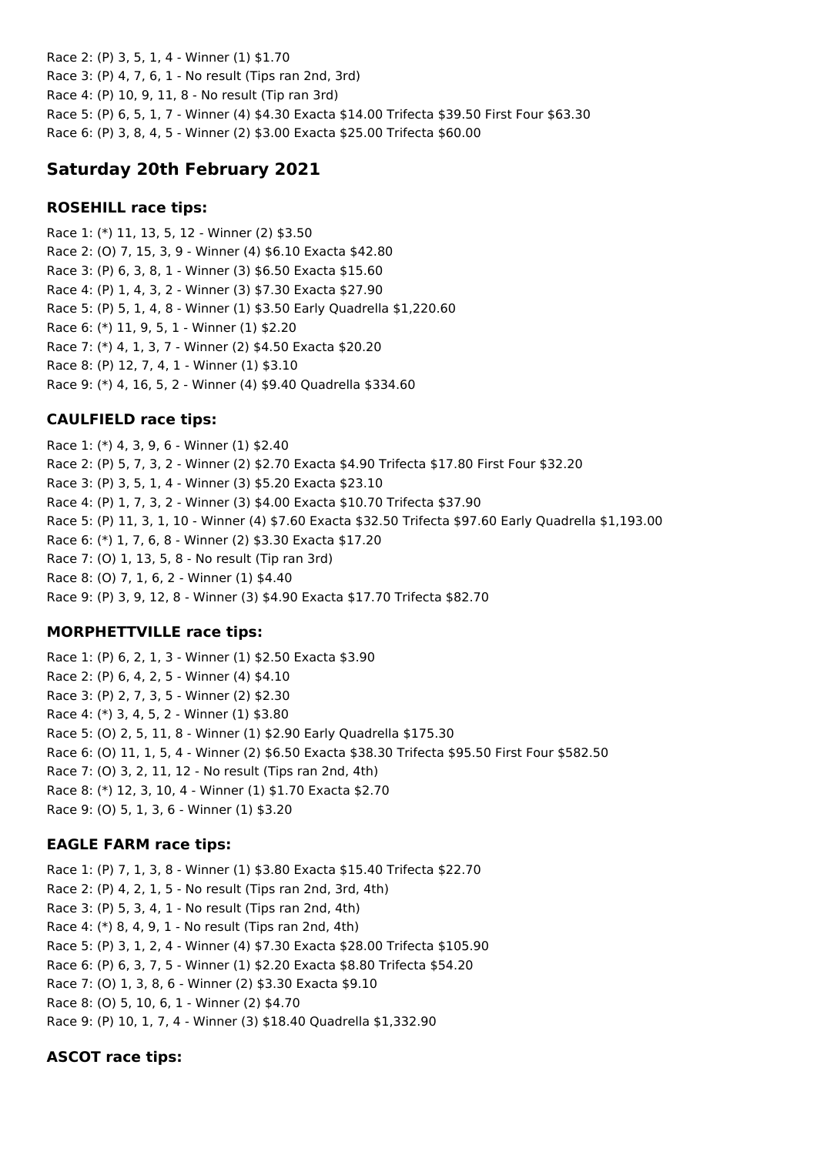Race 2: (P) 3, 5, 1, 4 - Winner (1) \$1.70 Race 3: (P) 4, 7, 6, 1 - No result (Tips ran 2nd, 3rd) Race 4: (P) 10, 9, 11, 8 - No result (Tip ran 3rd) Race 5: (P) 6, 5, 1, 7 - Winner (4) \$4.30 Exacta \$14.00 Trifecta \$39.50 First Four \$63.30 Race 6: (P) 3, 8, 4, 5 - Winner (2) \$3.00 Exacta \$25.00 Trifecta \$60.00

# **Saturday 20th February 2021**

## **ROSEHILL race tips:**

Race 1: (\*) 11, 13, 5, 12 - Winner (2) \$3.50 Race 2: (O) 7, 15, 3, 9 - Winner (4) \$6.10 Exacta \$42.80 Race 3: (P) 6, 3, 8, 1 - Winner (3) \$6.50 Exacta \$15.60 Race 4: (P) 1, 4, 3, 2 - Winner (3) \$7.30 Exacta \$27.90 Race 5: (P) 5, 1, 4, 8 - Winner (1) \$3.50 Early Quadrella \$1,220.60 Race 6: (\*) 11, 9, 5, 1 - Winner (1) \$2.20 Race 7: (\*) 4, 1, 3, 7 - Winner (2) \$4.50 Exacta \$20.20 Race 8: (P) 12, 7, 4, 1 - Winner (1) \$3.10 Race 9: (\*) 4, 16, 5, 2 - Winner (4) \$9.40 Quadrella \$334.60

## **CAULFIELD race tips:**

Race 1: (\*) 4, 3, 9, 6 - Winner (1) \$2.40 Race 2: (P) 5, 7, 3, 2 - Winner (2) \$2.70 Exacta \$4.90 Trifecta \$17.80 First Four \$32.20 Race 3: (P) 3, 5, 1, 4 - Winner (3) \$5.20 Exacta \$23.10 Race 4: (P) 1, 7, 3, 2 - Winner (3) \$4.00 Exacta \$10.70 Trifecta \$37.90 Race 5: (P) 11, 3, 1, 10 - Winner (4) \$7.60 Exacta \$32.50 Trifecta \$97.60 Early Quadrella \$1,193.00 Race 6: (\*) 1, 7, 6, 8 - Winner (2) \$3.30 Exacta \$17.20 Race 7: (O) 1, 13, 5, 8 - No result (Tip ran 3rd) Race 8: (O) 7, 1, 6, 2 - Winner (1) \$4.40 Race 9: (P) 3, 9, 12, 8 - Winner (3) \$4.90 Exacta \$17.70 Trifecta \$82.70

## **MORPHETTVILLE race tips:**

Race 1: (P) 6, 2, 1, 3 - Winner (1) \$2.50 Exacta \$3.90 Race 2: (P) 6, 4, 2, 5 - Winner (4) \$4.10 Race 3: (P) 2, 7, 3, 5 - Winner (2) \$2.30 Race 4: (\*) 3, 4, 5, 2 - Winner (1) \$3.80 Race 5: (O) 2, 5, 11, 8 - Winner (1) \$2.90 Early Quadrella \$175.30 Race 6: (O) 11, 1, 5, 4 - Winner (2) \$6.50 Exacta \$38.30 Trifecta \$95.50 First Four \$582.50 Race 7: (O) 3, 2, 11, 12 - No result (Tips ran 2nd, 4th) Race 8: (\*) 12, 3, 10, 4 - Winner (1) \$1.70 Exacta \$2.70 Race 9: (O) 5, 1, 3, 6 - Winner (1) \$3.20

## **EAGLE FARM race tips:**

Race 1: (P) 7, 1, 3, 8 - Winner (1) \$3.80 Exacta \$15.40 Trifecta \$22.70 Race 2: (P) 4, 2, 1, 5 - No result (Tips ran 2nd, 3rd, 4th) Race 3: (P) 5, 3, 4, 1 - No result (Tips ran 2nd, 4th) Race 4: (\*) 8, 4, 9, 1 - No result (Tips ran 2nd, 4th) Race 5: (P) 3, 1, 2, 4 - Winner (4) \$7.30 Exacta \$28.00 Trifecta \$105.90 Race 6: (P) 6, 3, 7, 5 - Winner (1) \$2.20 Exacta \$8.80 Trifecta \$54.20 Race 7: (O) 1, 3, 8, 6 - Winner (2) \$3.30 Exacta \$9.10 Race 8: (O) 5, 10, 6, 1 - Winner (2) \$4.70 Race 9: (P) 10, 1, 7, 4 - Winner (3) \$18.40 Quadrella \$1,332.90

## **ASCOT race tips:**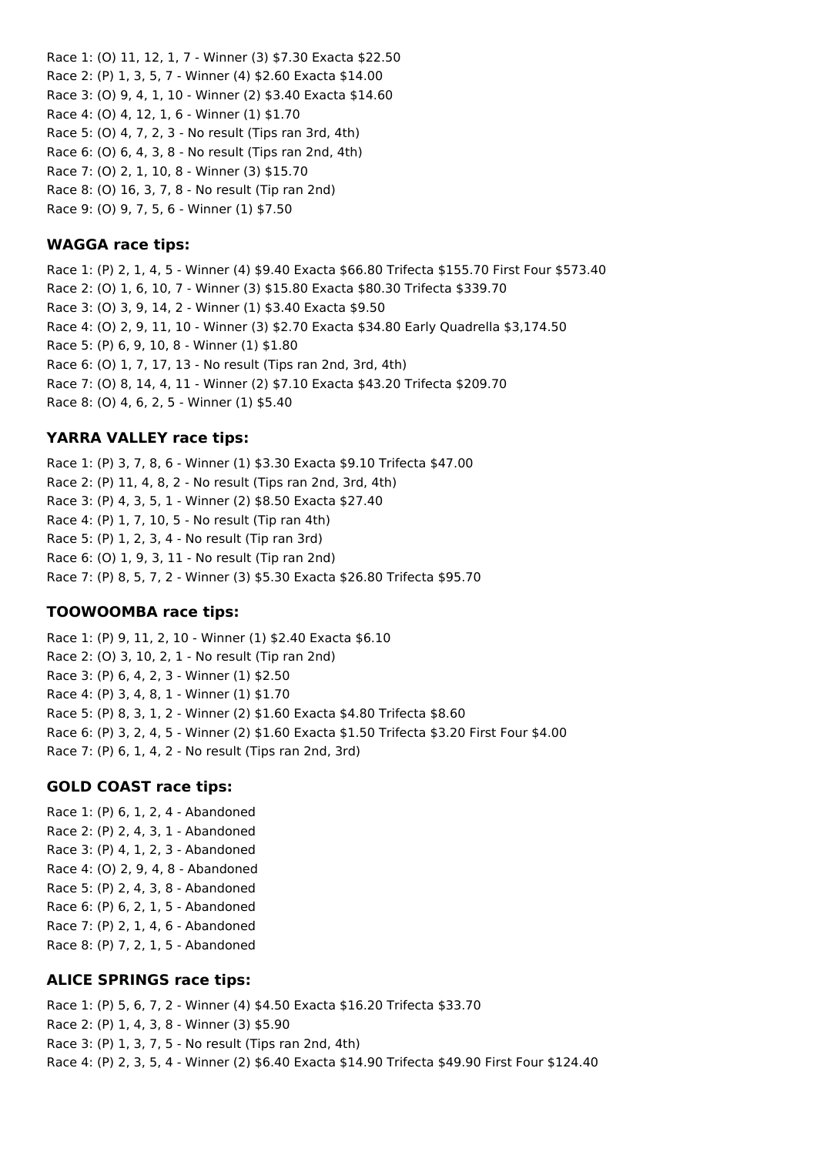Race 1: (O) 11, 12, 1, 7 - Winner (3) \$7.30 Exacta \$22.50 Race 2: (P) 1, 3, 5, 7 - Winner (4) \$2.60 Exacta \$14.00 Race 3: (O) 9, 4, 1, 10 - Winner (2) \$3.40 Exacta \$14.60 Race 4: (O) 4, 12, 1, 6 - Winner (1) \$1.70 Race 5: (O) 4, 7, 2, 3 - No result (Tips ran 3rd, 4th) Race 6: (O) 6, 4, 3, 8 - No result (Tips ran 2nd, 4th) Race 7: (O) 2, 1, 10, 8 - Winner (3) \$15.70 Race 8: (O) 16, 3, 7, 8 - No result (Tip ran 2nd) Race 9: (O) 9, 7, 5, 6 - Winner (1) \$7.50

#### **WAGGA race tips:**

Race 1: (P) 2, 1, 4, 5 - Winner (4) \$9.40 Exacta \$66.80 Trifecta \$155.70 First Four \$573.40 Race 2: (O) 1, 6, 10, 7 - Winner (3) \$15.80 Exacta \$80.30 Trifecta \$339.70 Race 3: (O) 3, 9, 14, 2 - Winner (1) \$3.40 Exacta \$9.50 Race 4: (O) 2, 9, 11, 10 - Winner (3) \$2.70 Exacta \$34.80 Early Quadrella \$3,174.50 Race 5: (P) 6, 9, 10, 8 - Winner (1) \$1.80 Race 6: (O) 1, 7, 17, 13 - No result (Tips ran 2nd, 3rd, 4th) Race 7: (O) 8, 14, 4, 11 - Winner (2) \$7.10 Exacta \$43.20 Trifecta \$209.70 Race 8: (O) 4, 6, 2, 5 - Winner (1) \$5.40

## **YARRA VALLEY race tips:**

Race 1: (P) 3, 7, 8, 6 - Winner (1) \$3.30 Exacta \$9.10 Trifecta \$47.00 Race 2: (P) 11, 4, 8, 2 - No result (Tips ran 2nd, 3rd, 4th) Race 3: (P) 4, 3, 5, 1 - Winner (2) \$8.50 Exacta \$27.40 Race 4: (P) 1, 7, 10, 5 - No result (Tip ran 4th) Race 5: (P) 1, 2, 3, 4 - No result (Tip ran 3rd) Race 6: (O) 1, 9, 3, 11 - No result (Tip ran 2nd) Race 7: (P) 8, 5, 7, 2 - Winner (3) \$5.30 Exacta \$26.80 Trifecta \$95.70

#### **TOOWOOMBA race tips:**

Race 1: (P) 9, 11, 2, 10 - Winner (1) \$2.40 Exacta \$6.10 Race 2: (O) 3, 10, 2, 1 - No result (Tip ran 2nd) Race 3: (P) 6, 4, 2, 3 - Winner (1) \$2.50 Race 4: (P) 3, 4, 8, 1 - Winner (1) \$1.70 Race 5: (P) 8, 3, 1, 2 - Winner (2) \$1.60 Exacta \$4.80 Trifecta \$8.60 Race 6: (P) 3, 2, 4, 5 - Winner (2) \$1.60 Exacta \$1.50 Trifecta \$3.20 First Four \$4.00 Race 7: (P) 6, 1, 4, 2 - No result (Tips ran 2nd, 3rd)

#### **GOLD COAST race tips:**

Race 1: (P) 6, 1, 2, 4 - Abandoned Race 2: (P) 2, 4, 3, 1 - Abandoned Race 3: (P) 4, 1, 2, 3 - Abandoned Race 4: (O) 2, 9, 4, 8 - Abandoned Race 5: (P) 2, 4, 3, 8 - Abandoned Race 6: (P) 6, 2, 1, 5 - Abandoned Race 7: (P) 2, 1, 4, 6 - Abandoned Race 8: (P) 7, 2, 1, 5 - Abandoned

#### **ALICE SPRINGS race tips:**

Race 1: (P) 5, 6, 7, 2 - Winner (4) \$4.50 Exacta \$16.20 Trifecta \$33.70 Race 2: (P) 1, 4, 3, 8 - Winner (3) \$5.90 Race 3: (P) 1, 3, 7, 5 - No result (Tips ran 2nd, 4th) Race 4: (P) 2, 3, 5, 4 - Winner (2) \$6.40 Exacta \$14.90 Trifecta \$49.90 First Four \$124.40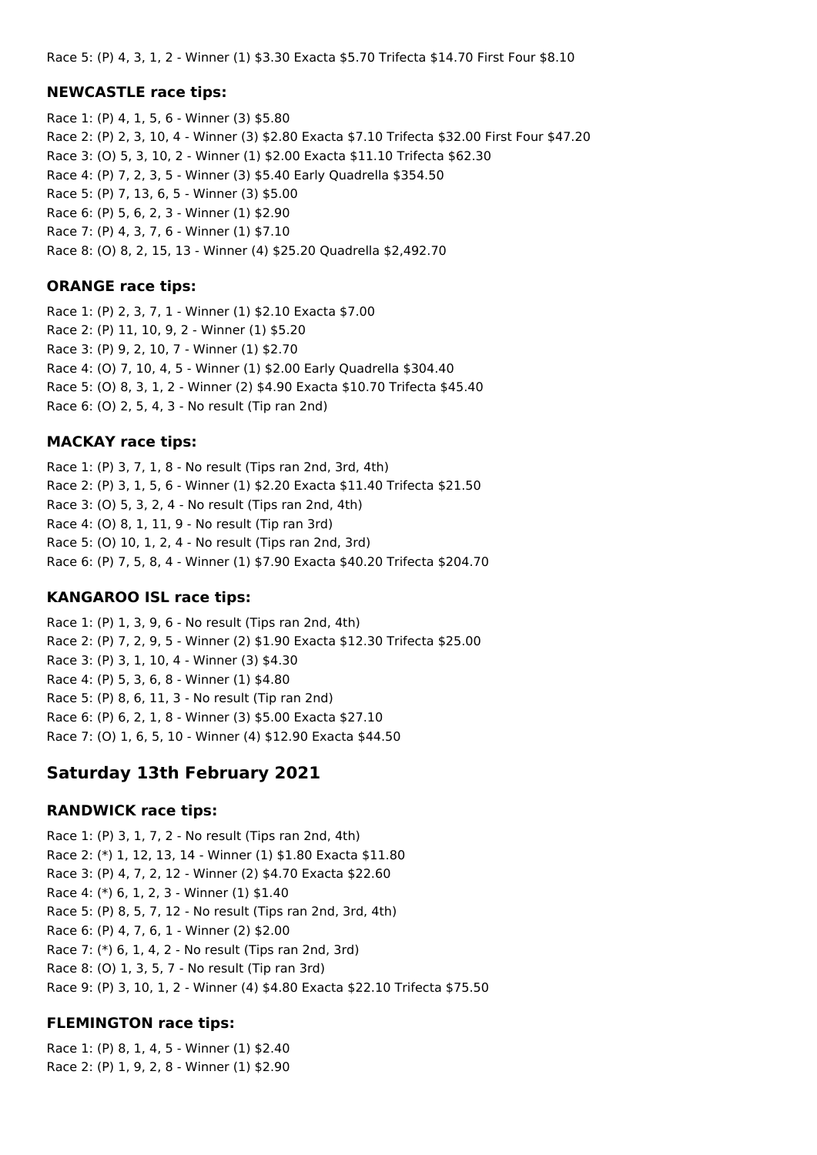Race 5: (P) 4, 3, 1, 2 - Winner (1) \$3.30 Exacta \$5.70 Trifecta \$14.70 First Four \$8.10

#### **NEWCASTLE race tips:**

Race 1: (P) 4, 1, 5, 6 - Winner (3) \$5.80 Race 2: (P) 2, 3, 10, 4 - Winner (3) \$2.80 Exacta \$7.10 Trifecta \$32.00 First Four \$47.20 Race 3: (O) 5, 3, 10, 2 - Winner (1) \$2.00 Exacta \$11.10 Trifecta \$62.30 Race 4: (P) 7, 2, 3, 5 - Winner (3) \$5.40 Early Quadrella \$354.50 Race 5: (P) 7, 13, 6, 5 - Winner (3) \$5.00 Race 6: (P) 5, 6, 2, 3 - Winner (1) \$2.90 Race 7: (P) 4, 3, 7, 6 - Winner (1) \$7.10 Race 8: (O) 8, 2, 15, 13 - Winner (4) \$25.20 Quadrella \$2,492.70

#### **ORANGE race tips:**

Race 1: (P) 2, 3, 7, 1 - Winner (1) \$2.10 Exacta \$7.00 Race 2: (P) 11, 10, 9, 2 - Winner (1) \$5.20 Race 3: (P) 9, 2, 10, 7 - Winner (1) \$2.70 Race 4: (O) 7, 10, 4, 5 - Winner (1) \$2.00 Early Quadrella \$304.40 Race 5: (O) 8, 3, 1, 2 - Winner (2) \$4.90 Exacta \$10.70 Trifecta \$45.40 Race 6: (O) 2, 5, 4, 3 - No result (Tip ran 2nd)

#### **MACKAY race tips:**

Race 1: (P) 3, 7, 1, 8 - No result (Tips ran 2nd, 3rd, 4th) Race 2: (P) 3, 1, 5, 6 - Winner (1) \$2.20 Exacta \$11.40 Trifecta \$21.50 Race 3: (O) 5, 3, 2, 4 - No result (Tips ran 2nd, 4th) Race 4: (O) 8, 1, 11, 9 - No result (Tip ran 3rd) Race 5: (O) 10, 1, 2, 4 - No result (Tips ran 2nd, 3rd) Race 6: (P) 7, 5, 8, 4 - Winner (1) \$7.90 Exacta \$40.20 Trifecta \$204.70

#### **KANGAROO ISL race tips:**

Race 1: (P) 1, 3, 9, 6 - No result (Tips ran 2nd, 4th) Race 2: (P) 7, 2, 9, 5 - Winner (2) \$1.90 Exacta \$12.30 Trifecta \$25.00 Race 3: (P) 3, 1, 10, 4 - Winner (3) \$4.30 Race 4: (P) 5, 3, 6, 8 - Winner (1) \$4.80 Race 5: (P) 8, 6, 11, 3 - No result (Tip ran 2nd) Race 6: (P) 6, 2, 1, 8 - Winner (3) \$5.00 Exacta \$27.10 Race 7: (O) 1, 6, 5, 10 - Winner (4) \$12.90 Exacta \$44.50

## **Saturday 13th February 2021**

#### **RANDWICK race tips:**

Race 1: (P) 3, 1, 7, 2 - No result (Tips ran 2nd, 4th) Race 2: (\*) 1, 12, 13, 14 - Winner (1) \$1.80 Exacta \$11.80 Race 3: (P) 4, 7, 2, 12 - Winner (2) \$4.70 Exacta \$22.60 Race 4: (\*) 6, 1, 2, 3 - Winner (1) \$1.40 Race 5: (P) 8, 5, 7, 12 - No result (Tips ran 2nd, 3rd, 4th) Race 6: (P) 4, 7, 6, 1 - Winner (2) \$2.00 Race 7: (\*) 6, 1, 4, 2 - No result (Tips ran 2nd, 3rd) Race 8: (O) 1, 3, 5, 7 - No result (Tip ran 3rd) Race 9: (P) 3, 10, 1, 2 - Winner (4) \$4.80 Exacta \$22.10 Trifecta \$75.50

## **FLEMINGTON race tips:**

Race 1: (P) 8, 1, 4, 5 - Winner (1) \$2.40 Race 2: (P) 1, 9, 2, 8 - Winner (1) \$2.90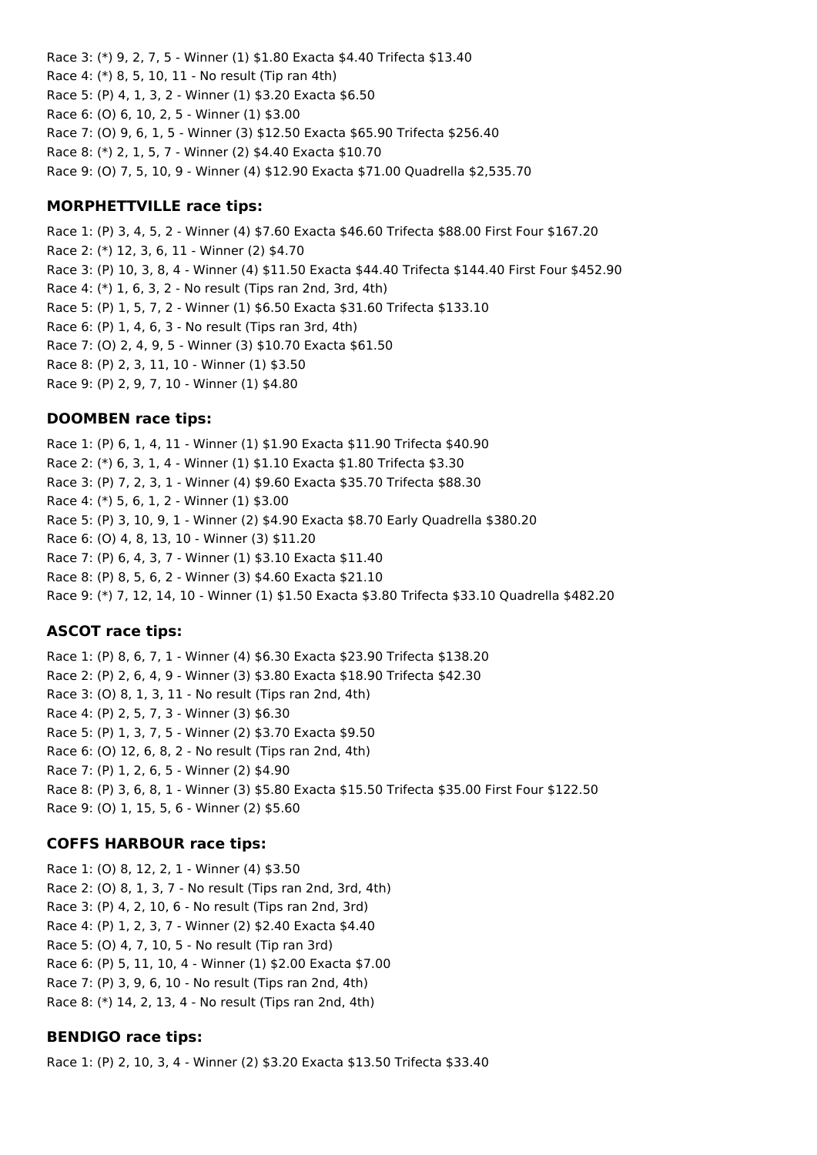Race 3: (\*) 9, 2, 7, 5 - Winner (1) \$1.80 Exacta \$4.40 Trifecta \$13.40 Race 4: (\*) 8, 5, 10, 11 - No result (Tip ran 4th) Race 5: (P) 4, 1, 3, 2 - Winner (1) \$3.20 Exacta \$6.50 Race 6: (O) 6, 10, 2, 5 - Winner (1) \$3.00 Race 7: (O) 9, 6, 1, 5 - Winner (3) \$12.50 Exacta \$65.90 Trifecta \$256.40 Race 8: (\*) 2, 1, 5, 7 - Winner (2) \$4.40 Exacta \$10.70 Race 9: (O) 7, 5, 10, 9 - Winner (4) \$12.90 Exacta \$71.00 Quadrella \$2,535.70

### **MORPHETTVILLE race tips:**

Race 1: (P) 3, 4, 5, 2 - Winner (4) \$7.60 Exacta \$46.60 Trifecta \$88.00 First Four \$167.20 Race 2: (\*) 12, 3, 6, 11 - Winner (2) \$4.70 Race 3: (P) 10, 3, 8, 4 - Winner (4) \$11.50 Exacta \$44.40 Trifecta \$144.40 First Four \$452.90 Race 4: (\*) 1, 6, 3, 2 - No result (Tips ran 2nd, 3rd, 4th) Race 5: (P) 1, 5, 7, 2 - Winner (1) \$6.50 Exacta \$31.60 Trifecta \$133.10 Race 6: (P) 1, 4, 6, 3 - No result (Tips ran 3rd, 4th) Race 7: (O) 2, 4, 9, 5 - Winner (3) \$10.70 Exacta \$61.50 Race 8: (P) 2, 3, 11, 10 - Winner (1) \$3.50 Race 9: (P) 2, 9, 7, 10 - Winner (1) \$4.80

#### **DOOMBEN race tips:**

Race 1: (P) 6, 1, 4, 11 - Winner (1) \$1.90 Exacta \$11.90 Trifecta \$40.90 Race 2: (\*) 6, 3, 1, 4 - Winner (1) \$1.10 Exacta \$1.80 Trifecta \$3.30 Race 3: (P) 7, 2, 3, 1 - Winner (4) \$9.60 Exacta \$35.70 Trifecta \$88.30 Race 4: (\*) 5, 6, 1, 2 - Winner (1) \$3.00 Race 5: (P) 3, 10, 9, 1 - Winner (2) \$4.90 Exacta \$8.70 Early Quadrella \$380.20 Race 6: (O) 4, 8, 13, 10 - Winner (3) \$11.20 Race 7: (P) 6, 4, 3, 7 - Winner (1) \$3.10 Exacta \$11.40 Race 8: (P) 8, 5, 6, 2 - Winner (3) \$4.60 Exacta \$21.10 Race 9: (\*) 7, 12, 14, 10 - Winner (1) \$1.50 Exacta \$3.80 Trifecta \$33.10 Quadrella \$482.20

#### **ASCOT race tips:**

Race 1: (P) 8, 6, 7, 1 - Winner (4) \$6.30 Exacta \$23.90 Trifecta \$138.20 Race 2: (P) 2, 6, 4, 9 - Winner (3) \$3.80 Exacta \$18.90 Trifecta \$42.30 Race 3: (O) 8, 1, 3, 11 - No result (Tips ran 2nd, 4th) Race 4: (P) 2, 5, 7, 3 - Winner (3) \$6.30 Race 5: (P) 1, 3, 7, 5 - Winner (2) \$3.70 Exacta \$9.50 Race 6: (O) 12, 6, 8, 2 - No result (Tips ran 2nd, 4th) Race 7: (P) 1, 2, 6, 5 - Winner (2) \$4.90 Race 8: (P) 3, 6, 8, 1 - Winner (3) \$5.80 Exacta \$15.50 Trifecta \$35.00 First Four \$122.50 Race 9: (O) 1, 15, 5, 6 - Winner (2) \$5.60

#### **COFFS HARBOUR race tips:**

Race 1: (O) 8, 12, 2, 1 - Winner (4) \$3.50 Race 2: (O) 8, 1, 3, 7 - No result (Tips ran 2nd, 3rd, 4th) Race 3: (P) 4, 2, 10, 6 - No result (Tips ran 2nd, 3rd) Race 4: (P) 1, 2, 3, 7 - Winner (2) \$2.40 Exacta \$4.40 Race 5: (O) 4, 7, 10, 5 - No result (Tip ran 3rd) Race 6: (P) 5, 11, 10, 4 - Winner (1) \$2.00 Exacta \$7.00 Race 7: (P) 3, 9, 6, 10 - No result (Tips ran 2nd, 4th) Race 8: (\*) 14, 2, 13, 4 - No result (Tips ran 2nd, 4th)

#### **BENDIGO race tips:**

Race 1: (P) 2, 10, 3, 4 - Winner (2) \$3.20 Exacta \$13.50 Trifecta \$33.40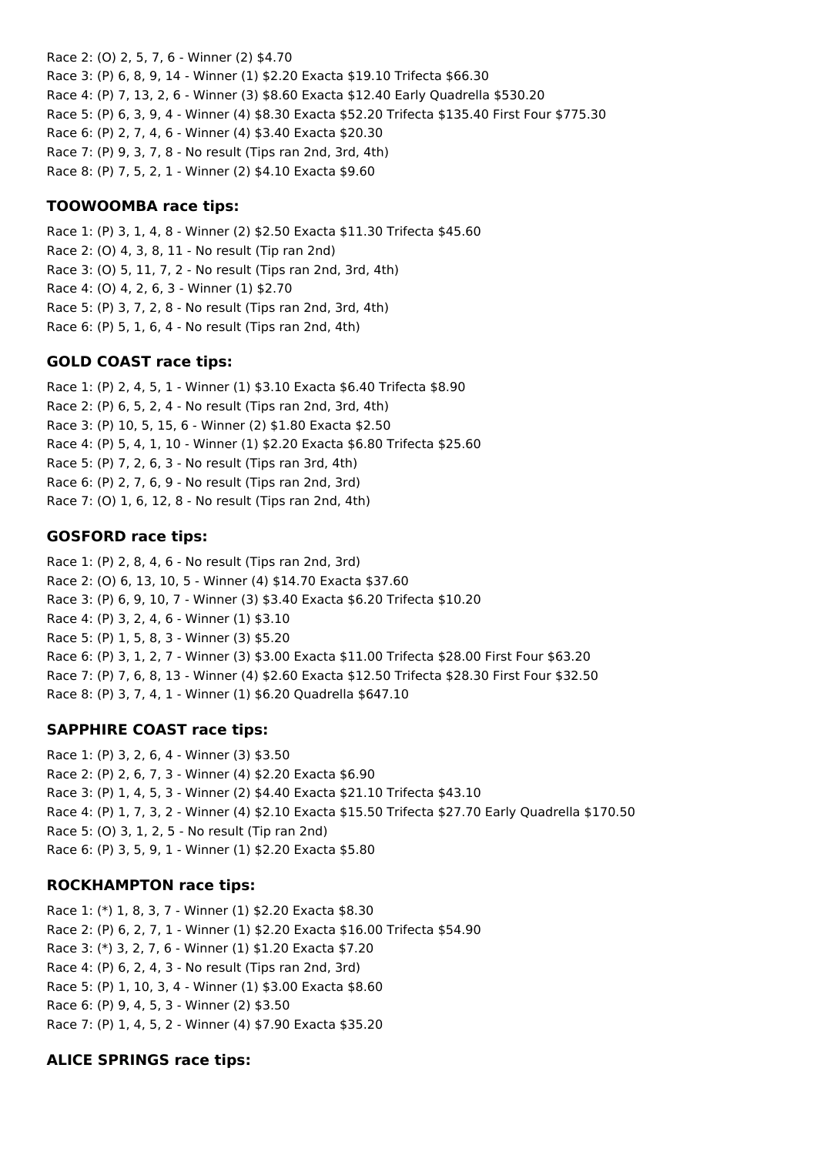Race 2: (O) 2, 5, 7, 6 - Winner (2) \$4.70 Race 3: (P) 6, 8, 9, 14 - Winner (1) \$2.20 Exacta \$19.10 Trifecta \$66.30 Race 4: (P) 7, 13, 2, 6 - Winner (3) \$8.60 Exacta \$12.40 Early Quadrella \$530.20 Race 5: (P) 6, 3, 9, 4 - Winner (4) \$8.30 Exacta \$52.20 Trifecta \$135.40 First Four \$775.30 Race 6: (P) 2, 7, 4, 6 - Winner (4) \$3.40 Exacta \$20.30 Race 7: (P) 9, 3, 7, 8 - No result (Tips ran 2nd, 3rd, 4th) Race 8: (P) 7, 5, 2, 1 - Winner (2) \$4.10 Exacta \$9.60

### **TOOWOOMBA race tips:**

Race 1: (P) 3, 1, 4, 8 - Winner (2) \$2.50 Exacta \$11.30 Trifecta \$45.60 Race 2: (O) 4, 3, 8, 11 - No result (Tip ran 2nd) Race 3: (O) 5, 11, 7, 2 - No result (Tips ran 2nd, 3rd, 4th) Race 4: (O) 4, 2, 6, 3 - Winner (1) \$2.70 Race 5: (P) 3, 7, 2, 8 - No result (Tips ran 2nd, 3rd, 4th) Race 6: (P) 5, 1, 6, 4 - No result (Tips ran 2nd, 4th)

#### **GOLD COAST race tips:**

Race 1: (P) 2, 4, 5, 1 - Winner (1) \$3.10 Exacta \$6.40 Trifecta \$8.90 Race 2: (P) 6, 5, 2, 4 - No result (Tips ran 2nd, 3rd, 4th) Race 3: (P) 10, 5, 15, 6 - Winner (2) \$1.80 Exacta \$2.50 Race 4: (P) 5, 4, 1, 10 - Winner (1) \$2.20 Exacta \$6.80 Trifecta \$25.60 Race 5: (P) 7, 2, 6, 3 - No result (Tips ran 3rd, 4th) Race 6: (P) 2, 7, 6, 9 - No result (Tips ran 2nd, 3rd) Race 7: (O) 1, 6, 12, 8 - No result (Tips ran 2nd, 4th)

#### **GOSFORD race tips:**

Race 1: (P) 2, 8, 4, 6 - No result (Tips ran 2nd, 3rd) Race 2: (O) 6, 13, 10, 5 - Winner (4) \$14.70 Exacta \$37.60 Race 3: (P) 6, 9, 10, 7 - Winner (3) \$3.40 Exacta \$6.20 Trifecta \$10.20 Race 4: (P) 3, 2, 4, 6 - Winner (1) \$3.10 Race 5: (P) 1, 5, 8, 3 - Winner (3) \$5.20 Race 6: (P) 3, 1, 2, 7 - Winner (3) \$3.00 Exacta \$11.00 Trifecta \$28.00 First Four \$63.20 Race 7: (P) 7, 6, 8, 13 - Winner (4) \$2.60 Exacta \$12.50 Trifecta \$28.30 First Four \$32.50 Race 8: (P) 3, 7, 4, 1 - Winner (1) \$6.20 Quadrella \$647.10

## **SAPPHIRE COAST race tips:**

Race 1: (P) 3, 2, 6, 4 - Winner (3) \$3.50 Race 2: (P) 2, 6, 7, 3 - Winner (4) \$2.20 Exacta \$6.90 Race 3: (P) 1, 4, 5, 3 - Winner (2) \$4.40 Exacta \$21.10 Trifecta \$43.10 Race 4: (P) 1, 7, 3, 2 - Winner (4) \$2.10 Exacta \$15.50 Trifecta \$27.70 Early Quadrella \$170.50 Race 5: (O) 3, 1, 2, 5 - No result (Tip ran 2nd) Race 6: (P) 3, 5, 9, 1 - Winner (1) \$2.20 Exacta \$5.80

#### **ROCKHAMPTON race tips:**

Race 1: (\*) 1, 8, 3, 7 - Winner (1) \$2.20 Exacta \$8.30 Race 2: (P) 6, 2, 7, 1 - Winner (1) \$2.20 Exacta \$16.00 Trifecta \$54.90 Race 3: (\*) 3, 2, 7, 6 - Winner (1) \$1.20 Exacta \$7.20 Race 4: (P) 6, 2, 4, 3 - No result (Tips ran 2nd, 3rd) Race 5: (P) 1, 10, 3, 4 - Winner (1) \$3.00 Exacta \$8.60 Race 6: (P) 9, 4, 5, 3 - Winner (2) \$3.50 Race 7: (P) 1, 4, 5, 2 - Winner (4) \$7.90 Exacta \$35.20

## **ALICE SPRINGS race tips:**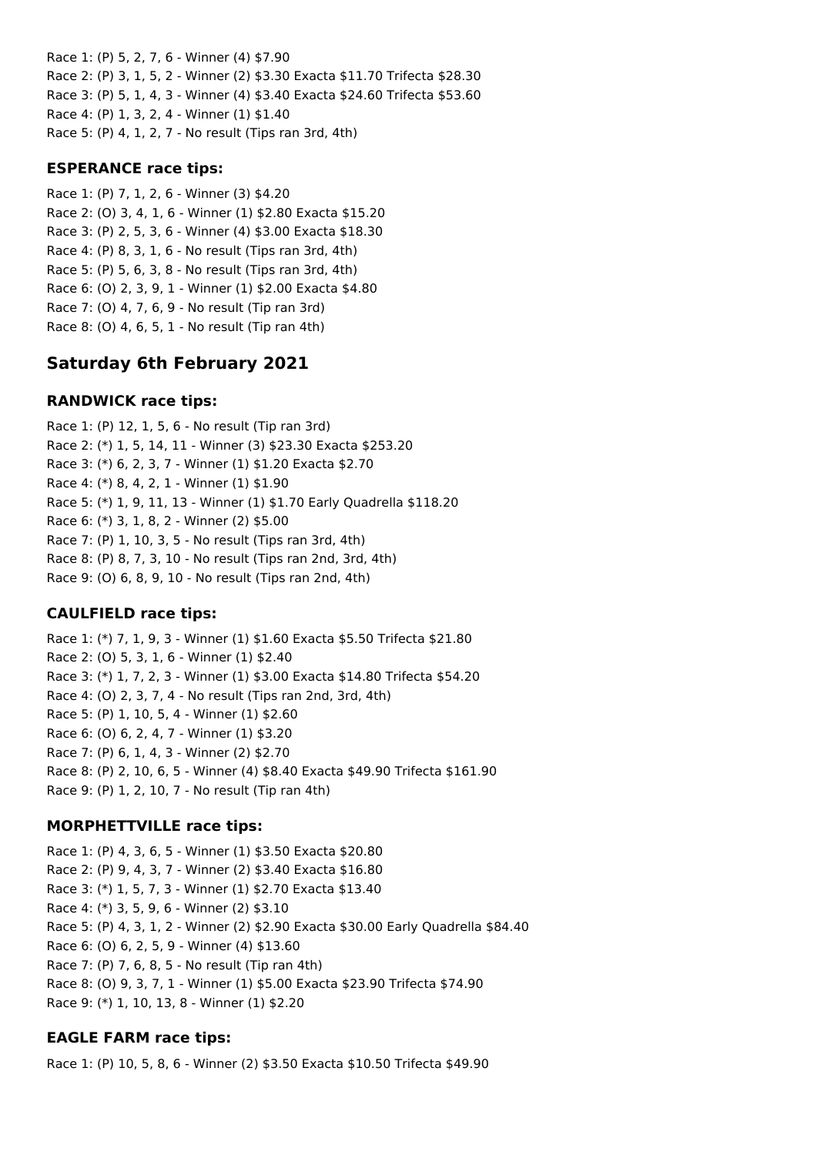Race 1: (P) 5, 2, 7, 6 - Winner (4) \$7.90 Race 2: (P) 3, 1, 5, 2 - Winner (2) \$3.30 Exacta \$11.70 Trifecta \$28.30 Race 3: (P) 5, 1, 4, 3 - Winner (4) \$3.40 Exacta \$24.60 Trifecta \$53.60 Race 4: (P) 1, 3, 2, 4 - Winner (1) \$1.40 Race 5: (P) 4, 1, 2, 7 - No result (Tips ran 3rd, 4th)

#### **ESPERANCE race tips:**

Race 1: (P) 7, 1, 2, 6 - Winner (3) \$4.20 Race 2: (O) 3, 4, 1, 6 - Winner (1) \$2.80 Exacta \$15.20 Race 3: (P) 2, 5, 3, 6 - Winner (4) \$3.00 Exacta \$18.30 Race 4: (P) 8, 3, 1, 6 - No result (Tips ran 3rd, 4th) Race 5: (P) 5, 6, 3, 8 - No result (Tips ran 3rd, 4th) Race 6: (O) 2, 3, 9, 1 - Winner (1) \$2.00 Exacta \$4.80 Race 7: (O) 4, 7, 6, 9 - No result (Tip ran 3rd) Race 8: (O) 4, 6, 5, 1 - No result (Tip ran 4th)

## **Saturday 6th February 2021**

## **RANDWICK race tips:**

Race 1: (P) 12, 1, 5, 6 - No result (Tip ran 3rd) Race 2: (\*) 1, 5, 14, 11 - Winner (3) \$23.30 Exacta \$253.20 Race 3: (\*) 6, 2, 3, 7 - Winner (1) \$1.20 Exacta \$2.70 Race 4: (\*) 8, 4, 2, 1 - Winner (1) \$1.90 Race 5: (\*) 1, 9, 11, 13 - Winner (1) \$1.70 Early Quadrella \$118.20 Race 6: (\*) 3, 1, 8, 2 - Winner (2) \$5.00 Race 7: (P) 1, 10, 3, 5 - No result (Tips ran 3rd, 4th) Race 8: (P) 8, 7, 3, 10 - No result (Tips ran 2nd, 3rd, 4th) Race 9: (O) 6, 8, 9, 10 - No result (Tips ran 2nd, 4th)

## **CAULFIELD race tips:**

Race 1: (\*) 7, 1, 9, 3 - Winner (1) \$1.60 Exacta \$5.50 Trifecta \$21.80 Race 2: (O) 5, 3, 1, 6 - Winner (1) \$2.40 Race 3: (\*) 1, 7, 2, 3 - Winner (1) \$3.00 Exacta \$14.80 Trifecta \$54.20 Race 4: (O) 2, 3, 7, 4 - No result (Tips ran 2nd, 3rd, 4th) Race 5: (P) 1, 10, 5, 4 - Winner (1) \$2.60 Race 6: (O) 6, 2, 4, 7 - Winner (1) \$3.20 Race 7: (P) 6, 1, 4, 3 - Winner (2) \$2.70 Race 8: (P) 2, 10, 6, 5 - Winner (4) \$8.40 Exacta \$49.90 Trifecta \$161.90 Race 9: (P) 1, 2, 10, 7 - No result (Tip ran 4th)

## **MORPHETTVILLE race tips:**

Race 1: (P) 4, 3, 6, 5 - Winner (1) \$3.50 Exacta \$20.80 Race 2: (P) 9, 4, 3, 7 - Winner (2) \$3.40 Exacta \$16.80 Race 3: (\*) 1, 5, 7, 3 - Winner (1) \$2.70 Exacta \$13.40 Race 4: (\*) 3, 5, 9, 6 - Winner (2) \$3.10 Race 5: (P) 4, 3, 1, 2 - Winner (2) \$2.90 Exacta \$30.00 Early Quadrella \$84.40 Race 6: (O) 6, 2, 5, 9 - Winner (4) \$13.60 Race 7: (P) 7, 6, 8, 5 - No result (Tip ran 4th) Race 8: (O) 9, 3, 7, 1 - Winner (1) \$5.00 Exacta \$23.90 Trifecta \$74.90 Race 9: (\*) 1, 10, 13, 8 - Winner (1) \$2.20

## **EAGLE FARM race tips:**

Race 1: (P) 10, 5, 8, 6 - Winner (2) \$3.50 Exacta \$10.50 Trifecta \$49.90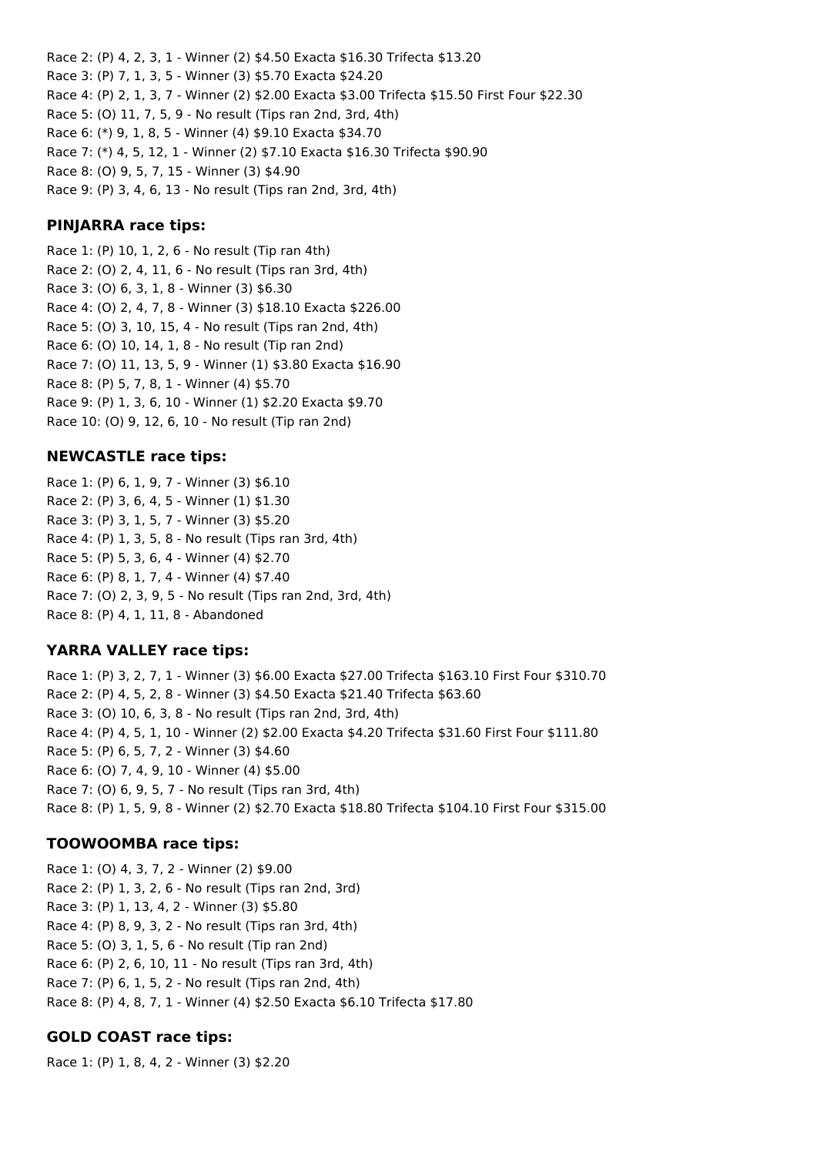Race 2: (P) 4, 2, 3, 1 - Winner (2) \$4.50 Exacta \$16.30 Trifecta \$13.20 Race 3: (P) 7, 1, 3, 5 - Winner (3) \$5.70 Exacta \$24.20 Race 4: (P) 2, 1, 3, 7 - Winner (2) \$2.00 Exacta \$3.00 Trifecta \$15.50 First Four \$22.30 Race 5: (O) 11, 7, 5, 9 - No result (Tips ran 2nd, 3rd, 4th) Race 6: (\*) 9, 1, 8, 5 - Winner (4) \$9.10 Exacta \$34.70 Race 7: (\*) 4, 5, 12, 1 - Winner (2) \$7.10 Exacta \$16.30 Trifecta \$90.90 Race 8: (O) 9, 5, 7, 15 - Winner (3) \$4.90 Race 9: (P) 3, 4, 6, 13 - No result (Tips ran 2nd, 3rd, 4th)

#### **PINJARRA race tips:**

Race 1: (P) 10, 1, 2, 6 - No result (Tip ran 4th) Race 2: (O) 2, 4, 11, 6 - No result (Tips ran 3rd, 4th) Race 3: (O) 6, 3, 1, 8 - Winner (3) \$6.30 Race 4: (O) 2, 4, 7, 8 - Winner (3) \$18.10 Exacta \$226.00 Race 5: (O) 3, 10, 15, 4 - No result (Tips ran 2nd, 4th) Race 6: (O) 10, 14, 1, 8 - No result (Tip ran 2nd) Race 7: (O) 11, 13, 5, 9 - Winner (1) \$3.80 Exacta \$16.90 Race 8: (P) 5, 7, 8, 1 - Winner (4) \$5.70 Race 9: (P) 1, 3, 6, 10 - Winner (1) \$2.20 Exacta \$9.70 Race 10: (O) 9, 12, 6, 10 - No result (Tip ran 2nd)

#### **NEWCASTLE race tips:**

Race 1: (P) 6, 1, 9, 7 - Winner (3) \$6.10 Race 2: (P) 3, 6, 4, 5 - Winner (1) \$1.30 Race 3: (P) 3, 1, 5, 7 - Winner (3) \$5.20 Race 4: (P) 1, 3, 5, 8 - No result (Tips ran 3rd, 4th) Race 5: (P) 5, 3, 6, 4 - Winner (4) \$2.70 Race 6: (P) 8, 1, 7, 4 - Winner (4) \$7.40 Race 7: (O) 2, 3, 9, 5 - No result (Tips ran 2nd, 3rd, 4th) Race 8: (P) 4, 1, 11, 8 - Abandoned

## **YARRA VALLEY race tips:**

Race 1: (P) 3, 2, 7, 1 - Winner (3) \$6.00 Exacta \$27.00 Trifecta \$163.10 First Four \$310.70 Race 2: (P) 4, 5, 2, 8 - Winner (3) \$4.50 Exacta \$21.40 Trifecta \$63.60 Race 3: (O) 10, 6, 3, 8 - No result (Tips ran 2nd, 3rd, 4th) Race 4: (P) 4, 5, 1, 10 - Winner (2) \$2.00 Exacta \$4.20 Trifecta \$31.60 First Four \$111.80 Race 5: (P) 6, 5, 7, 2 - Winner (3) \$4.60 Race 6: (O) 7, 4, 9, 10 - Winner (4) \$5.00 Race 7: (O) 6, 9, 5, 7 - No result (Tips ran 3rd, 4th) Race 8: (P) 1, 5, 9, 8 - Winner (2) \$2.70 Exacta \$18.80 Trifecta \$104.10 First Four \$315.00

#### **TOOWOOMBA race tips:**

Race 1: (O) 4, 3, 7, 2 - Winner (2) \$9.00 Race 2: (P) 1, 3, 2, 6 - No result (Tips ran 2nd, 3rd) Race 3: (P) 1, 13, 4, 2 - Winner (3) \$5.80 Race 4: (P) 8, 9, 3, 2 - No result (Tips ran 3rd, 4th) Race 5: (O) 3, 1, 5, 6 - No result (Tip ran 2nd) Race 6: (P) 2, 6, 10, 11 - No result (Tips ran 3rd, 4th) Race 7: (P) 6, 1, 5, 2 - No result (Tips ran 2nd, 4th) Race 8: (P) 4, 8, 7, 1 - Winner (4) \$2.50 Exacta \$6.10 Trifecta \$17.80

## **GOLD COAST race tips:**

Race 1: (P) 1, 8, 4, 2 - Winner (3) \$2.20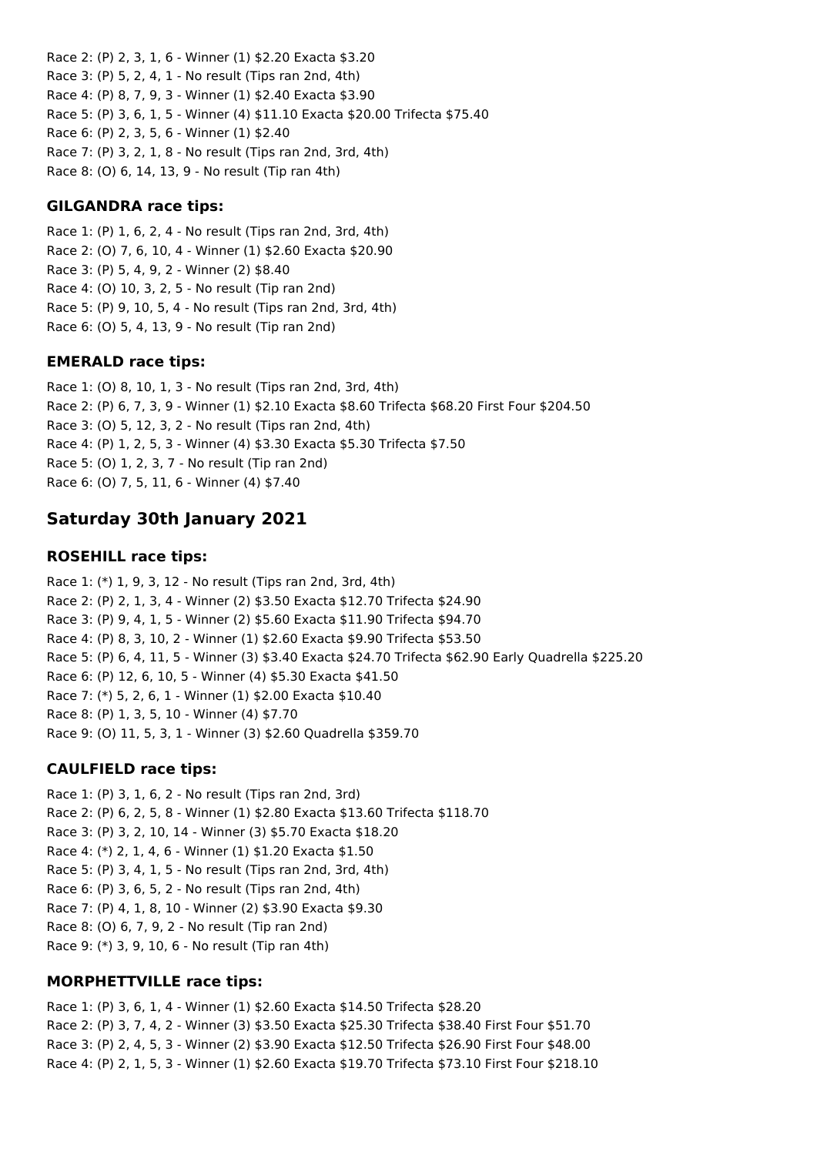Race 2: (P) 2, 3, 1, 6 - Winner (1) \$2.20 Exacta \$3.20 Race 3: (P) 5, 2, 4, 1 - No result (Tips ran 2nd, 4th) Race 4: (P) 8, 7, 9, 3 - Winner (1) \$2.40 Exacta \$3.90 Race 5: (P) 3, 6, 1, 5 - Winner (4) \$11.10 Exacta \$20.00 Trifecta \$75.40 Race 6: (P) 2, 3, 5, 6 - Winner (1) \$2.40 Race 7: (P) 3, 2, 1, 8 - No result (Tips ran 2nd, 3rd, 4th) Race 8: (O) 6, 14, 13, 9 - No result (Tip ran 4th)

## **GILGANDRA race tips:**

Race 1: (P) 1, 6, 2, 4 - No result (Tips ran 2nd, 3rd, 4th) Race 2: (O) 7, 6, 10, 4 - Winner (1) \$2.60 Exacta \$20.90 Race 3: (P) 5, 4, 9, 2 - Winner (2) \$8.40 Race 4: (O) 10, 3, 2, 5 - No result (Tip ran 2nd) Race 5: (P) 9, 10, 5, 4 - No result (Tips ran 2nd, 3rd, 4th) Race 6: (O) 5, 4, 13, 9 - No result (Tip ran 2nd)

## **EMERALD race tips:**

Race 1: (O) 8, 10, 1, 3 - No result (Tips ran 2nd, 3rd, 4th) Race 2: (P) 6, 7, 3, 9 - Winner (1) \$2.10 Exacta \$8.60 Trifecta \$68.20 First Four \$204.50 Race 3: (O) 5, 12, 3, 2 - No result (Tips ran 2nd, 4th) Race 4: (P) 1, 2, 5, 3 - Winner (4) \$3.30 Exacta \$5.30 Trifecta \$7.50 Race 5: (O) 1, 2, 3, 7 - No result (Tip ran 2nd) Race 6: (O) 7, 5, 11, 6 - Winner (4) \$7.40

# **Saturday 30th January 2021**

## **ROSEHILL race tips:**

Race 1: (\*) 1, 9, 3, 12 - No result (Tips ran 2nd, 3rd, 4th) Race 2: (P) 2, 1, 3, 4 - Winner (2) \$3.50 Exacta \$12.70 Trifecta \$24.90 Race 3: (P) 9, 4, 1, 5 - Winner (2) \$5.60 Exacta \$11.90 Trifecta \$94.70 Race 4: (P) 8, 3, 10, 2 - Winner (1) \$2.60 Exacta \$9.90 Trifecta \$53.50 Race 5: (P) 6, 4, 11, 5 - Winner (3) \$3.40 Exacta \$24.70 Trifecta \$62.90 Early Quadrella \$225.20 Race 6: (P) 12, 6, 10, 5 - Winner (4) \$5.30 Exacta \$41.50 Race 7: (\*) 5, 2, 6, 1 - Winner (1) \$2.00 Exacta \$10.40 Race 8: (P) 1, 3, 5, 10 - Winner (4) \$7.70 Race 9: (O) 11, 5, 3, 1 - Winner (3) \$2.60 Quadrella \$359.70

## **CAULFIELD race tips:**

Race 1: (P) 3, 1, 6, 2 - No result (Tips ran 2nd, 3rd) Race 2: (P) 6, 2, 5, 8 - Winner (1) \$2.80 Exacta \$13.60 Trifecta \$118.70 Race 3: (P) 3, 2, 10, 14 - Winner (3) \$5.70 Exacta \$18.20 Race 4: (\*) 2, 1, 4, 6 - Winner (1) \$1.20 Exacta \$1.50 Race 5: (P) 3, 4, 1, 5 - No result (Tips ran 2nd, 3rd, 4th) Race 6: (P) 3, 6, 5, 2 - No result (Tips ran 2nd, 4th) Race 7: (P) 4, 1, 8, 10 - Winner (2) \$3.90 Exacta \$9.30 Race 8: (O) 6, 7, 9, 2 - No result (Tip ran 2nd) Race 9: (\*) 3, 9, 10, 6 - No result (Tip ran 4th)

## **MORPHETTVILLE race tips:**

Race 1: (P) 3, 6, 1, 4 - Winner (1) \$2.60 Exacta \$14.50 Trifecta \$28.20 Race 2: (P) 3, 7, 4, 2 - Winner (3) \$3.50 Exacta \$25.30 Trifecta \$38.40 First Four \$51.70 Race 3: (P) 2, 4, 5, 3 - Winner (2) \$3.90 Exacta \$12.50 Trifecta \$26.90 First Four \$48.00 Race 4: (P) 2, 1, 5, 3 - Winner (1) \$2.60 Exacta \$19.70 Trifecta \$73.10 First Four \$218.10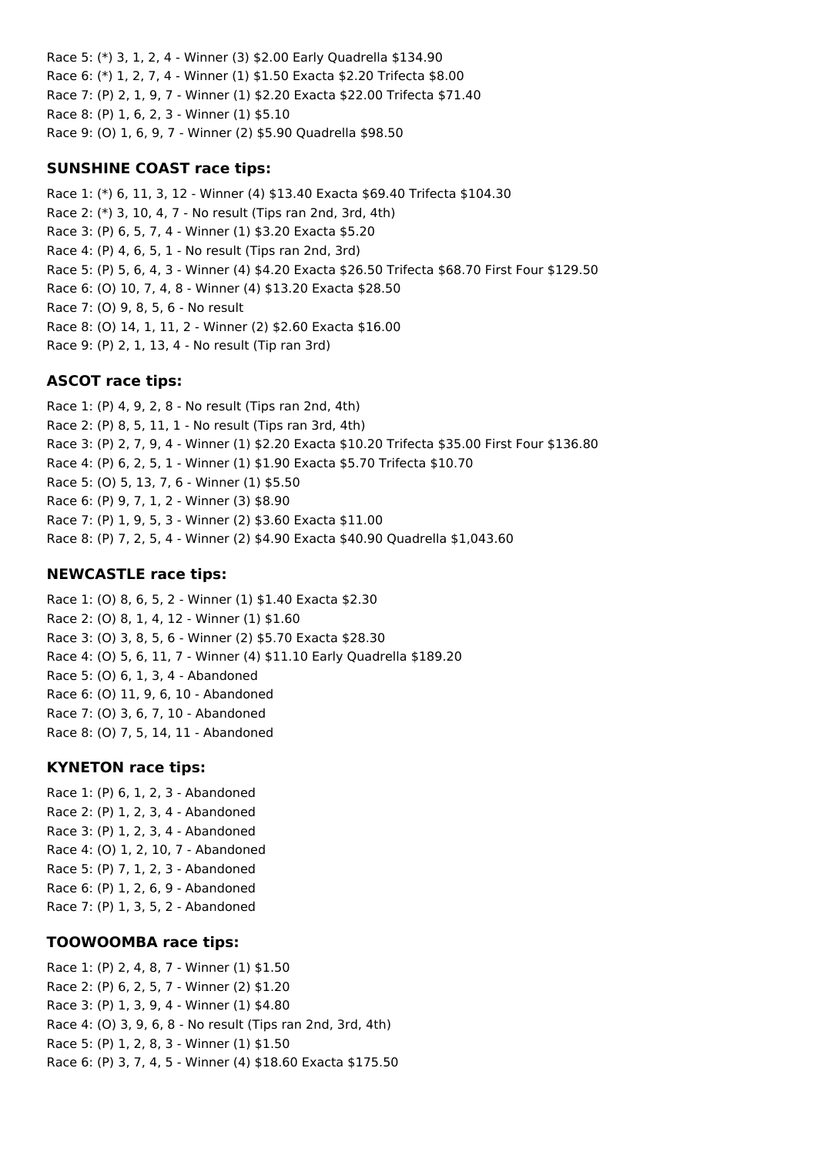Race 5: (\*) 3, 1, 2, 4 - Winner (3) \$2.00 Early Quadrella \$134.90 Race 6: (\*) 1, 2, 7, 4 - Winner (1) \$1.50 Exacta \$2.20 Trifecta \$8.00 Race 7: (P) 2, 1, 9, 7 - Winner (1) \$2.20 Exacta \$22.00 Trifecta \$71.40 Race 8: (P) 1, 6, 2, 3 - Winner (1) \$5.10 Race 9: (O) 1, 6, 9, 7 - Winner (2) \$5.90 Quadrella \$98.50

#### **SUNSHINE COAST race tips:**

Race 1: (\*) 6, 11, 3, 12 - Winner (4) \$13.40 Exacta \$69.40 Trifecta \$104.30 Race 2: (\*) 3, 10, 4, 7 - No result (Tips ran 2nd, 3rd, 4th) Race 3: (P) 6, 5, 7, 4 - Winner (1) \$3.20 Exacta \$5.20 Race 4: (P) 4, 6, 5, 1 - No result (Tips ran 2nd, 3rd) Race 5: (P) 5, 6, 4, 3 - Winner (4) \$4.20 Exacta \$26.50 Trifecta \$68.70 First Four \$129.50 Race 6: (O) 10, 7, 4, 8 - Winner (4) \$13.20 Exacta \$28.50 Race 7: (O) 9, 8, 5, 6 - No result Race 8: (O) 14, 1, 11, 2 - Winner (2) \$2.60 Exacta \$16.00 Race 9: (P) 2, 1, 13, 4 - No result (Tip ran 3rd)

#### **ASCOT race tips:**

Race 1: (P) 4, 9, 2, 8 - No result (Tips ran 2nd, 4th) Race 2: (P) 8, 5, 11, 1 - No result (Tips ran 3rd, 4th) Race 3: (P) 2, 7, 9, 4 - Winner (1) \$2.20 Exacta \$10.20 Trifecta \$35.00 First Four \$136.80 Race 4: (P) 6, 2, 5, 1 - Winner (1) \$1.90 Exacta \$5.70 Trifecta \$10.70 Race 5: (O) 5, 13, 7, 6 - Winner (1) \$5.50 Race 6: (P) 9, 7, 1, 2 - Winner (3) \$8.90 Race 7: (P) 1, 9, 5, 3 - Winner (2) \$3.60 Exacta \$11.00 Race 8: (P) 7, 2, 5, 4 - Winner (2) \$4.90 Exacta \$40.90 Quadrella \$1,043.60

#### **NEWCASTLE race tips:**

Race 1: (O) 8, 6, 5, 2 - Winner (1) \$1.40 Exacta \$2.30 Race 2: (O) 8, 1, 4, 12 - Winner (1) \$1.60 Race 3: (O) 3, 8, 5, 6 - Winner (2) \$5.70 Exacta \$28.30 Race 4: (O) 5, 6, 11, 7 - Winner (4) \$11.10 Early Quadrella \$189.20 Race 5: (O) 6, 1, 3, 4 - Abandoned Race 6: (O) 11, 9, 6, 10 - Abandoned Race 7: (O) 3, 6, 7, 10 - Abandoned Race 8: (O) 7, 5, 14, 11 - Abandoned

#### **KYNETON race tips:**

Race 1: (P) 6, 1, 2, 3 - Abandoned Race 2: (P) 1, 2, 3, 4 - Abandoned Race 3: (P) 1, 2, 3, 4 - Abandoned Race 4: (O) 1, 2, 10, 7 - Abandoned Race 5: (P) 7, 1, 2, 3 - Abandoned Race 6: (P) 1, 2, 6, 9 - Abandoned Race 7: (P) 1, 3, 5, 2 - Abandoned

#### **TOOWOOMBA race tips:**

Race 1: (P) 2, 4, 8, 7 - Winner (1) \$1.50 Race 2: (P) 6, 2, 5, 7 - Winner (2) \$1.20 Race 3: (P) 1, 3, 9, 4 - Winner (1) \$4.80 Race 4: (O) 3, 9, 6, 8 - No result (Tips ran 2nd, 3rd, 4th) Race 5: (P) 1, 2, 8, 3 - Winner (1) \$1.50 Race 6: (P) 3, 7, 4, 5 - Winner (4) \$18.60 Exacta \$175.50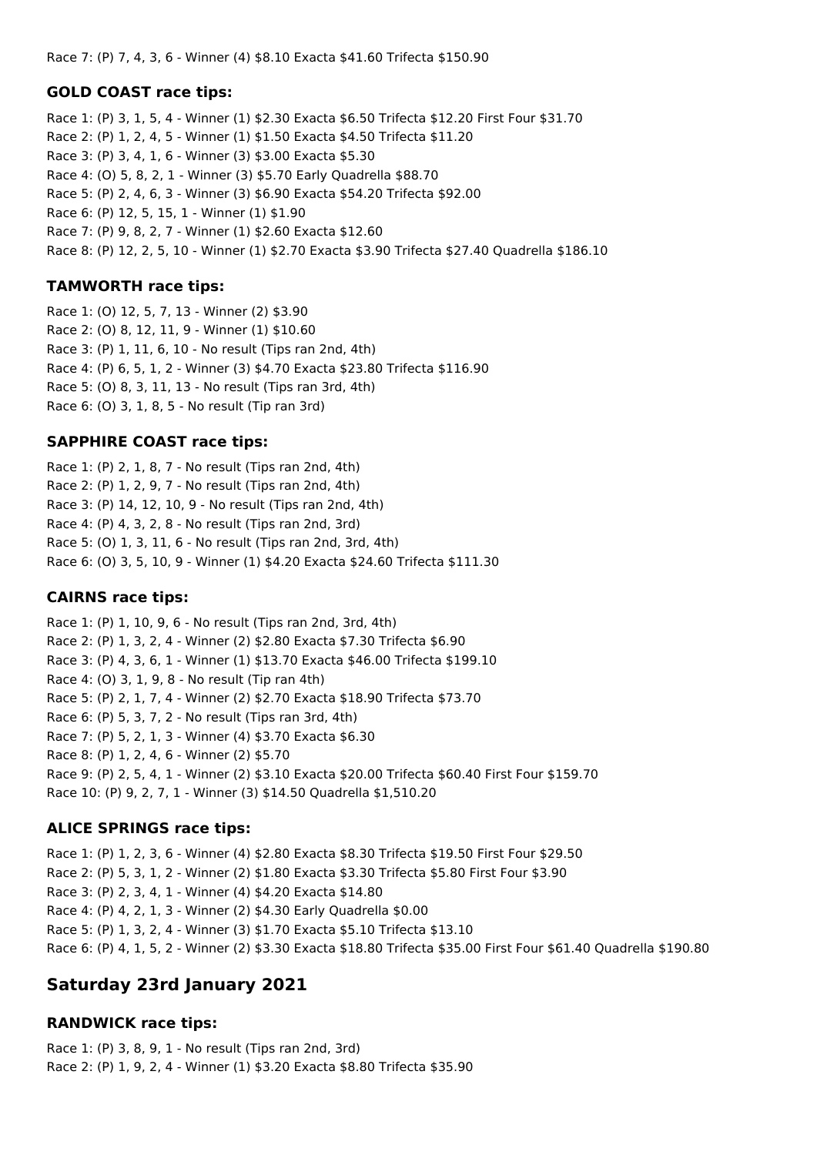Race 7: (P) 7, 4, 3, 6 - Winner (4) \$8.10 Exacta \$41.60 Trifecta \$150.90

#### **GOLD COAST race tips:**

Race 1: (P) 3, 1, 5, 4 - Winner (1) \$2.30 Exacta \$6.50 Trifecta \$12.20 First Four \$31.70 Race 2: (P) 1, 2, 4, 5 - Winner (1) \$1.50 Exacta \$4.50 Trifecta \$11.20 Race 3: (P) 3, 4, 1, 6 - Winner (3) \$3.00 Exacta \$5.30 Race 4: (O) 5, 8, 2, 1 - Winner (3) \$5.70 Early Quadrella \$88.70 Race 5: (P) 2, 4, 6, 3 - Winner (3) \$6.90 Exacta \$54.20 Trifecta \$92.00 Race 6: (P) 12, 5, 15, 1 - Winner (1) \$1.90 Race 7: (P) 9, 8, 2, 7 - Winner (1) \$2.60 Exacta \$12.60 Race 8: (P) 12, 2, 5, 10 - Winner (1) \$2.70 Exacta \$3.90 Trifecta \$27.40 Quadrella \$186.10

#### **TAMWORTH race tips:**

Race 1: (O) 12, 5, 7, 13 - Winner (2) \$3.90 Race 2: (O) 8, 12, 11, 9 - Winner (1) \$10.60 Race 3: (P) 1, 11, 6, 10 - No result (Tips ran 2nd, 4th) Race 4: (P) 6, 5, 1, 2 - Winner (3) \$4.70 Exacta \$23.80 Trifecta \$116.90 Race 5: (O) 8, 3, 11, 13 - No result (Tips ran 3rd, 4th) Race 6: (O) 3, 1, 8, 5 - No result (Tip ran 3rd)

## **SAPPHIRE COAST race tips:**

Race 1: (P) 2, 1, 8, 7 - No result (Tips ran 2nd, 4th) Race 2: (P) 1, 2, 9, 7 - No result (Tips ran 2nd, 4th) Race 3: (P) 14, 12, 10, 9 - No result (Tips ran 2nd, 4th) Race 4: (P) 4, 3, 2, 8 - No result (Tips ran 2nd, 3rd) Race 5: (O) 1, 3, 11, 6 - No result (Tips ran 2nd, 3rd, 4th) Race 6: (O) 3, 5, 10, 9 - Winner (1) \$4.20 Exacta \$24.60 Trifecta \$111.30

## **CAIRNS race tips:**

Race 1: (P) 1, 10, 9, 6 - No result (Tips ran 2nd, 3rd, 4th) Race 2: (P) 1, 3, 2, 4 - Winner (2) \$2.80 Exacta \$7.30 Trifecta \$6.90 Race 3: (P) 4, 3, 6, 1 - Winner (1) \$13.70 Exacta \$46.00 Trifecta \$199.10 Race 4: (O) 3, 1, 9, 8 - No result (Tip ran 4th) Race 5: (P) 2, 1, 7, 4 - Winner (2) \$2.70 Exacta \$18.90 Trifecta \$73.70 Race 6: (P) 5, 3, 7, 2 - No result (Tips ran 3rd, 4th) Race 7: (P) 5, 2, 1, 3 - Winner (4) \$3.70 Exacta \$6.30 Race 8: (P) 1, 2, 4, 6 - Winner (2) \$5.70 Race 9: (P) 2, 5, 4, 1 - Winner (2) \$3.10 Exacta \$20.00 Trifecta \$60.40 First Four \$159.70 Race 10: (P) 9, 2, 7, 1 - Winner (3) \$14.50 Quadrella \$1,510.20

## **ALICE SPRINGS race tips:**

Race 1: (P) 1, 2, 3, 6 - Winner (4) \$2.80 Exacta \$8.30 Trifecta \$19.50 First Four \$29.50 Race 2: (P) 5, 3, 1, 2 - Winner (2) \$1.80 Exacta \$3.30 Trifecta \$5.80 First Four \$3.90 Race 3: (P) 2, 3, 4, 1 - Winner (4) \$4.20 Exacta \$14.80 Race 4: (P) 4, 2, 1, 3 - Winner (2) \$4.30 Early Quadrella \$0.00 Race 5: (P) 1, 3, 2, 4 - Winner (3) \$1.70 Exacta \$5.10 Trifecta \$13.10 Race 6: (P) 4, 1, 5, 2 - Winner (2) \$3.30 Exacta \$18.80 Trifecta \$35.00 First Four \$61.40 Quadrella \$190.80

## **Saturday 23rd January 2021**

## **RANDWICK race tips:**

Race 1: (P) 3, 8, 9, 1 - No result (Tips ran 2nd, 3rd) Race 2: (P) 1, 9, 2, 4 - Winner (1) \$3.20 Exacta \$8.80 Trifecta \$35.90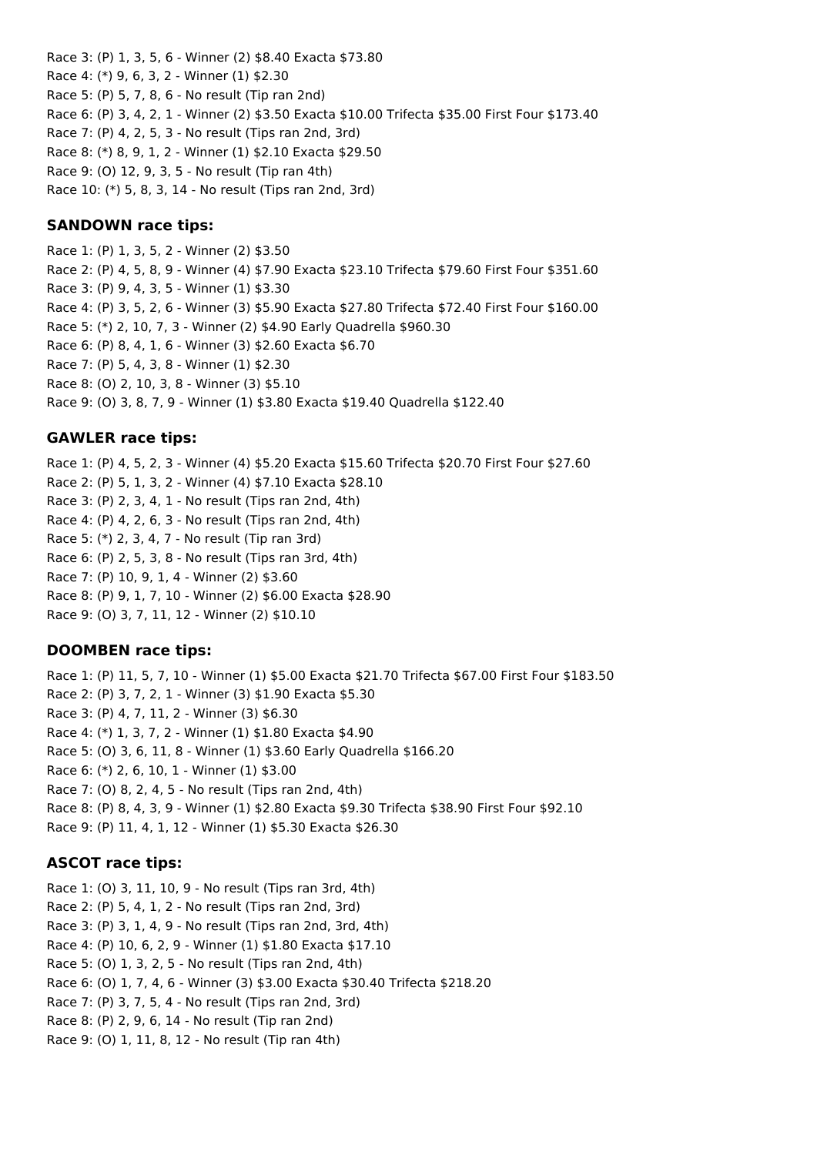Race 3: (P) 1, 3, 5, 6 - Winner (2) \$8.40 Exacta \$73.80 Race 4: (\*) 9, 6, 3, 2 - Winner (1) \$2.30 Race 5: (P) 5, 7, 8, 6 - No result (Tip ran 2nd) Race 6: (P) 3, 4, 2, 1 - Winner (2) \$3.50 Exacta \$10.00 Trifecta \$35.00 First Four \$173.40 Race 7: (P) 4, 2, 5, 3 - No result (Tips ran 2nd, 3rd) Race 8: (\*) 8, 9, 1, 2 - Winner (1) \$2.10 Exacta \$29.50 Race 9: (O) 12, 9, 3, 5 - No result (Tip ran 4th) Race 10: (\*) 5, 8, 3, 14 - No result (Tips ran 2nd, 3rd)

### **SANDOWN race tips:**

Race 1: (P) 1, 3, 5, 2 - Winner (2) \$3.50 Race 2: (P) 4, 5, 8, 9 - Winner (4) \$7.90 Exacta \$23.10 Trifecta \$79.60 First Four \$351.60 Race 3: (P) 9, 4, 3, 5 - Winner (1) \$3.30 Race 4: (P) 3, 5, 2, 6 - Winner (3) \$5.90 Exacta \$27.80 Trifecta \$72.40 First Four \$160.00 Race 5: (\*) 2, 10, 7, 3 - Winner (2) \$4.90 Early Quadrella \$960.30 Race 6: (P) 8, 4, 1, 6 - Winner (3) \$2.60 Exacta \$6.70 Race 7: (P) 5, 4, 3, 8 - Winner (1) \$2.30 Race 8: (O) 2, 10, 3, 8 - Winner (3) \$5.10 Race 9: (O) 3, 8, 7, 9 - Winner (1) \$3.80 Exacta \$19.40 Quadrella \$122.40

## **GAWLER race tips:**

Race 1: (P) 4, 5, 2, 3 - Winner (4) \$5.20 Exacta \$15.60 Trifecta \$20.70 First Four \$27.60 Race 2: (P) 5, 1, 3, 2 - Winner (4) \$7.10 Exacta \$28.10 Race 3: (P) 2, 3, 4, 1 - No result (Tips ran 2nd, 4th) Race 4: (P) 4, 2, 6, 3 - No result (Tips ran 2nd, 4th) Race 5: (\*) 2, 3, 4, 7 - No result (Tip ran 3rd) Race 6: (P) 2, 5, 3, 8 - No result (Tips ran 3rd, 4th) Race 7: (P) 10, 9, 1, 4 - Winner (2) \$3.60 Race 8: (P) 9, 1, 7, 10 - Winner (2) \$6.00 Exacta \$28.90 Race 9: (O) 3, 7, 11, 12 - Winner (2) \$10.10

#### **DOOMBEN race tips:**

Race 1: (P) 11, 5, 7, 10 - Winner (1) \$5.00 Exacta \$21.70 Trifecta \$67.00 First Four \$183.50 Race 2: (P) 3, 7, 2, 1 - Winner (3) \$1.90 Exacta \$5.30 Race 3: (P) 4, 7, 11, 2 - Winner (3) \$6.30 Race 4: (\*) 1, 3, 7, 2 - Winner (1) \$1.80 Exacta \$4.90 Race 5: (O) 3, 6, 11, 8 - Winner (1) \$3.60 Early Quadrella \$166.20 Race 6: (\*) 2, 6, 10, 1 - Winner (1) \$3.00 Race 7: (O) 8, 2, 4, 5 - No result (Tips ran 2nd, 4th) Race 8: (P) 8, 4, 3, 9 - Winner (1) \$2.80 Exacta \$9.30 Trifecta \$38.90 First Four \$92.10 Race 9: (P) 11, 4, 1, 12 - Winner (1) \$5.30 Exacta \$26.30

#### **ASCOT race tips:**

Race 1: (O) 3, 11, 10, 9 - No result (Tips ran 3rd, 4th) Race 2: (P) 5, 4, 1, 2 - No result (Tips ran 2nd, 3rd) Race 3: (P) 3, 1, 4, 9 - No result (Tips ran 2nd, 3rd, 4th) Race 4: (P) 10, 6, 2, 9 - Winner (1) \$1.80 Exacta \$17.10 Race 5: (O) 1, 3, 2, 5 - No result (Tips ran 2nd, 4th) Race 6: (O) 1, 7, 4, 6 - Winner (3) \$3.00 Exacta \$30.40 Trifecta \$218.20 Race 7: (P) 3, 7, 5, 4 - No result (Tips ran 2nd, 3rd) Race 8: (P) 2, 9, 6, 14 - No result (Tip ran 2nd) Race 9: (O) 1, 11, 8, 12 - No result (Tip ran 4th)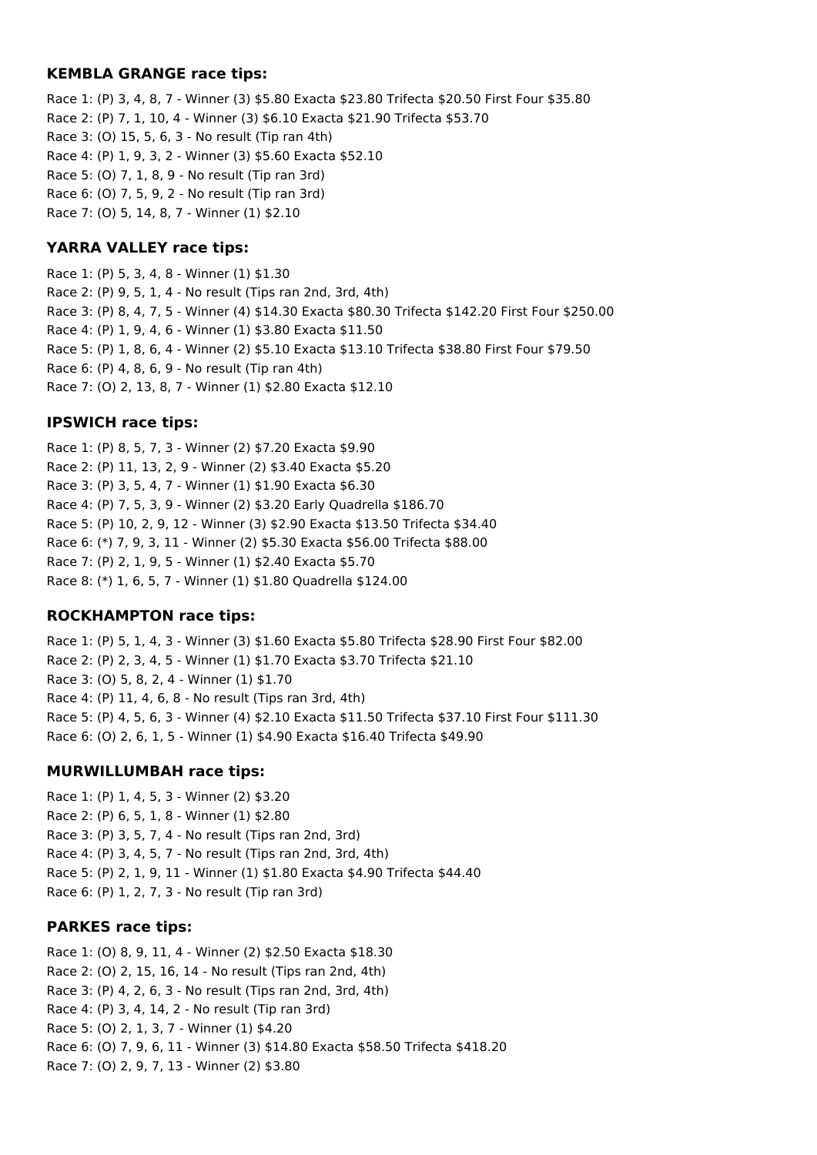#### **KEMBLA GRANGE race tips:**

Race 1: (P) 3, 4, 8, 7 - Winner (3) \$5.80 Exacta \$23.80 Trifecta \$20.50 First Four \$35.80 Race 2: (P) 7, 1, 10, 4 - Winner (3) \$6.10 Exacta \$21.90 Trifecta \$53.70 Race 3: (O) 15, 5, 6, 3 - No result (Tip ran 4th) Race 4: (P) 1, 9, 3, 2 - Winner (3) \$5.60 Exacta \$52.10 Race 5: (O) 7, 1, 8, 9 - No result (Tip ran 3rd) Race 6: (O) 7, 5, 9, 2 - No result (Tip ran 3rd) Race 7: (O) 5, 14, 8, 7 - Winner (1) \$2.10

## **YARRA VALLEY race tips:**

Race 1: (P) 5, 3, 4, 8 - Winner (1) \$1.30 Race 2: (P) 9, 5, 1, 4 - No result (Tips ran 2nd, 3rd, 4th) Race 3: (P) 8, 4, 7, 5 - Winner (4) \$14.30 Exacta \$80.30 Trifecta \$142.20 First Four \$250.00 Race 4: (P) 1, 9, 4, 6 - Winner (1) \$3.80 Exacta \$11.50 Race 5: (P) 1, 8, 6, 4 - Winner (2) \$5.10 Exacta \$13.10 Trifecta \$38.80 First Four \$79.50 Race 6: (P) 4, 8, 6, 9 - No result (Tip ran 4th) Race 7: (O) 2, 13, 8, 7 - Winner (1) \$2.80 Exacta \$12.10

## **IPSWICH race tips:**

Race 1: (P) 8, 5, 7, 3 - Winner (2) \$7.20 Exacta \$9.90 Race 2: (P) 11, 13, 2, 9 - Winner (2) \$3.40 Exacta \$5.20 Race 3: (P) 3, 5, 4, 7 - Winner (1) \$1.90 Exacta \$6.30 Race 4: (P) 7, 5, 3, 9 - Winner (2) \$3.20 Early Quadrella \$186.70 Race 5: (P) 10, 2, 9, 12 - Winner (3) \$2.90 Exacta \$13.50 Trifecta \$34.40 Race 6: (\*) 7, 9, 3, 11 - Winner (2) \$5.30 Exacta \$56.00 Trifecta \$88.00 Race 7: (P) 2, 1, 9, 5 - Winner (1) \$2.40 Exacta \$5.70 Race 8: (\*) 1, 6, 5, 7 - Winner (1) \$1.80 Quadrella \$124.00

## **ROCKHAMPTON race tips:**

Race 1: (P) 5, 1, 4, 3 - Winner (3) \$1.60 Exacta \$5.80 Trifecta \$28.90 First Four \$82.00 Race 2: (P) 2, 3, 4, 5 - Winner (1) \$1.70 Exacta \$3.70 Trifecta \$21.10 Race 3: (O) 5, 8, 2, 4 - Winner (1) \$1.70 Race 4: (P) 11, 4, 6, 8 - No result (Tips ran 3rd, 4th) Race 5: (P) 4, 5, 6, 3 - Winner (4) \$2.10 Exacta \$11.50 Trifecta \$37.10 First Four \$111.30 Race 6: (O) 2, 6, 1, 5 - Winner (1) \$4.90 Exacta \$16.40 Trifecta \$49.90

## **MURWILLUMBAH race tips:**

Race 1: (P) 1, 4, 5, 3 - Winner (2) \$3.20 Race 2: (P) 6, 5, 1, 8 - Winner (1) \$2.80 Race 3: (P) 3, 5, 7, 4 - No result (Tips ran 2nd, 3rd) Race 4: (P) 3, 4, 5, 7 - No result (Tips ran 2nd, 3rd, 4th) Race 5: (P) 2, 1, 9, 11 - Winner (1) \$1.80 Exacta \$4.90 Trifecta \$44.40 Race 6: (P) 1, 2, 7, 3 - No result (Tip ran 3rd)

## **PARKES race tips:**

Race 1: (O) 8, 9, 11, 4 - Winner (2) \$2.50 Exacta \$18.30 Race 2: (O) 2, 15, 16, 14 - No result (Tips ran 2nd, 4th) Race 3: (P) 4, 2, 6, 3 - No result (Tips ran 2nd, 3rd, 4th) Race 4: (P) 3, 4, 14, 2 - No result (Tip ran 3rd) Race 5: (O) 2, 1, 3, 7 - Winner (1) \$4.20 Race 6: (O) 7, 9, 6, 11 - Winner (3) \$14.80 Exacta \$58.50 Trifecta \$418.20 Race 7: (O) 2, 9, 7, 13 - Winner (2) \$3.80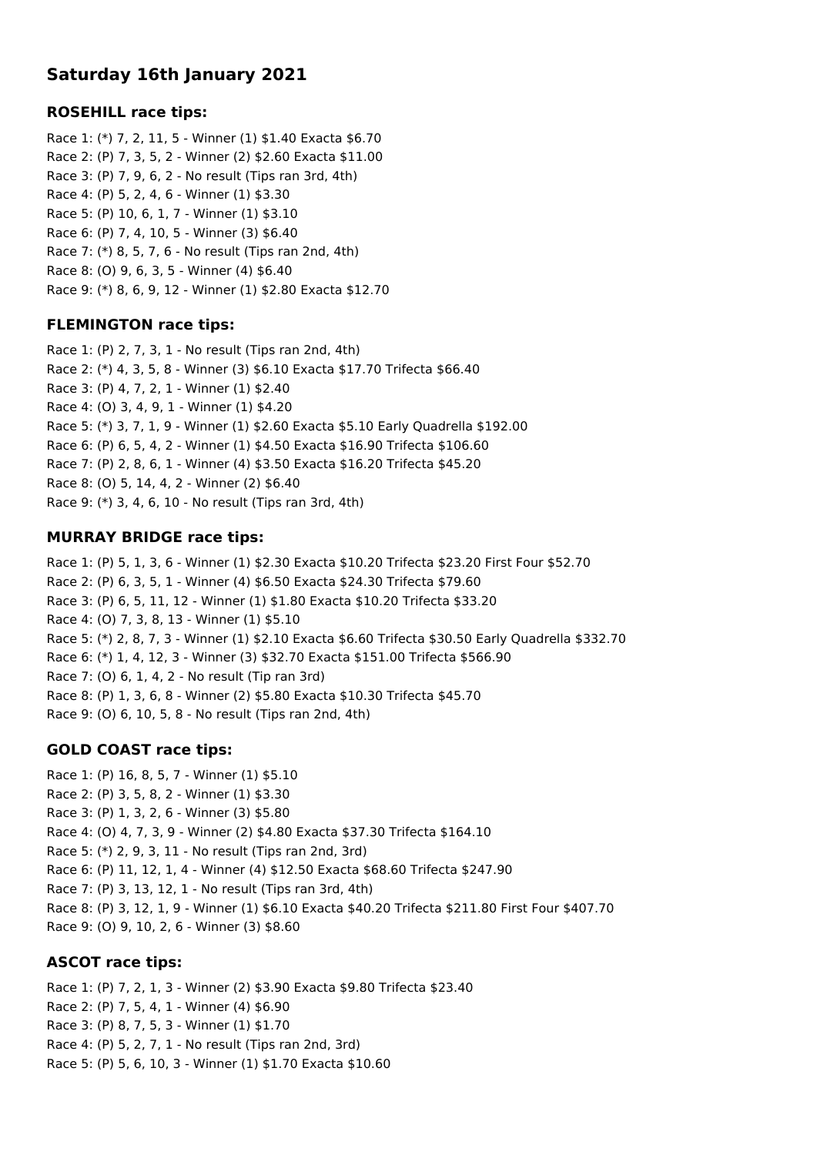# **Saturday 16th January 2021**

## **ROSEHILL race tips:**

Race 1: (\*) 7, 2, 11, 5 - Winner (1) \$1.40 Exacta \$6.70 Race 2: (P) 7, 3, 5, 2 - Winner (2) \$2.60 Exacta \$11.00 Race 3: (P) 7, 9, 6, 2 - No result (Tips ran 3rd, 4th) Race 4: (P) 5, 2, 4, 6 - Winner (1) \$3.30 Race 5: (P) 10, 6, 1, 7 - Winner (1) \$3.10 Race 6: (P) 7, 4, 10, 5 - Winner (3) \$6.40 Race 7: (\*) 8, 5, 7, 6 - No result (Tips ran 2nd, 4th) Race 8: (O) 9, 6, 3, 5 - Winner (4) \$6.40 Race 9: (\*) 8, 6, 9, 12 - Winner (1) \$2.80 Exacta \$12.70

#### **FLEMINGTON race tips:**

Race 1: (P) 2, 7, 3, 1 - No result (Tips ran 2nd, 4th) Race 2: (\*) 4, 3, 5, 8 - Winner (3) \$6.10 Exacta \$17.70 Trifecta \$66.40 Race 3: (P) 4, 7, 2, 1 - Winner (1) \$2.40 Race 4: (O) 3, 4, 9, 1 - Winner (1) \$4.20 Race 5: (\*) 3, 7, 1, 9 - Winner (1) \$2.60 Exacta \$5.10 Early Quadrella \$192.00 Race 6: (P) 6, 5, 4, 2 - Winner (1) \$4.50 Exacta \$16.90 Trifecta \$106.60 Race 7: (P) 2, 8, 6, 1 - Winner (4) \$3.50 Exacta \$16.20 Trifecta \$45.20 Race 8: (O) 5, 14, 4, 2 - Winner (2) \$6.40 Race 9: (\*) 3, 4, 6, 10 - No result (Tips ran 3rd, 4th)

## **MURRAY BRIDGE race tips:**

Race 1: (P) 5, 1, 3, 6 - Winner (1) \$2.30 Exacta \$10.20 Trifecta \$23.20 First Four \$52.70 Race 2: (P) 6, 3, 5, 1 - Winner (4) \$6.50 Exacta \$24.30 Trifecta \$79.60 Race 3: (P) 6, 5, 11, 12 - Winner (1) \$1.80 Exacta \$10.20 Trifecta \$33.20 Race 4: (O) 7, 3, 8, 13 - Winner (1) \$5.10 Race 5: (\*) 2, 8, 7, 3 - Winner (1) \$2.10 Exacta \$6.60 Trifecta \$30.50 Early Quadrella \$332.70 Race 6: (\*) 1, 4, 12, 3 - Winner (3) \$32.70 Exacta \$151.00 Trifecta \$566.90 Race 7: (O) 6, 1, 4, 2 - No result (Tip ran 3rd) Race 8: (P) 1, 3, 6, 8 - Winner (2) \$5.80 Exacta \$10.30 Trifecta \$45.70 Race 9: (O) 6, 10, 5, 8 - No result (Tips ran 2nd, 4th)

## **GOLD COAST race tips:**

Race 1: (P) 16, 8, 5, 7 - Winner (1) \$5.10 Race 2: (P) 3, 5, 8, 2 - Winner (1) \$3.30 Race 3: (P) 1, 3, 2, 6 - Winner (3) \$5.80 Race 4: (O) 4, 7, 3, 9 - Winner (2) \$4.80 Exacta \$37.30 Trifecta \$164.10 Race 5: (\*) 2, 9, 3, 11 - No result (Tips ran 2nd, 3rd) Race 6: (P) 11, 12, 1, 4 - Winner (4) \$12.50 Exacta \$68.60 Trifecta \$247.90 Race 7: (P) 3, 13, 12, 1 - No result (Tips ran 3rd, 4th) Race 8: (P) 3, 12, 1, 9 - Winner (1) \$6.10 Exacta \$40.20 Trifecta \$211.80 First Four \$407.70 Race 9: (O) 9, 10, 2, 6 - Winner (3) \$8.60

#### **ASCOT race tips:**

Race 1: (P) 7, 2, 1, 3 - Winner (2) \$3.90 Exacta \$9.80 Trifecta \$23.40 Race 2: (P) 7, 5, 4, 1 - Winner (4) \$6.90 Race 3: (P) 8, 7, 5, 3 - Winner (1) \$1.70 Race 4: (P) 5, 2, 7, 1 - No result (Tips ran 2nd, 3rd) Race 5: (P) 5, 6, 10, 3 - Winner (1) \$1.70 Exacta \$10.60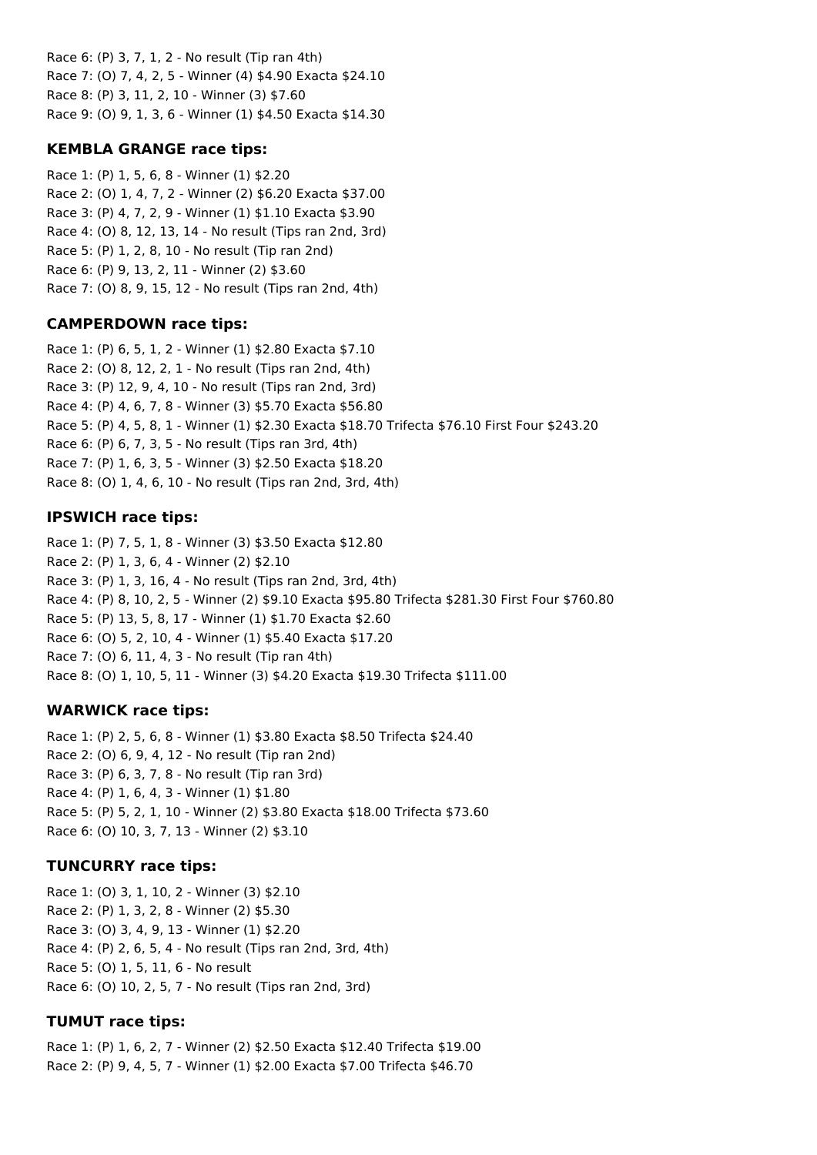Race 6: (P) 3, 7, 1, 2 - No result (Tip ran 4th) Race 7: (O) 7, 4, 2, 5 - Winner (4) \$4.90 Exacta \$24.10 Race 8: (P) 3, 11, 2, 10 - Winner (3) \$7.60 Race 9: (O) 9, 1, 3, 6 - Winner (1) \$4.50 Exacta \$14.30

## **KEMBLA GRANGE race tips:**

Race 1: (P) 1, 5, 6, 8 - Winner (1) \$2.20 Race 2: (O) 1, 4, 7, 2 - Winner (2) \$6.20 Exacta \$37.00 Race 3: (P) 4, 7, 2, 9 - Winner (1) \$1.10 Exacta \$3.90 Race 4: (O) 8, 12, 13, 14 - No result (Tips ran 2nd, 3rd) Race 5: (P) 1, 2, 8, 10 - No result (Tip ran 2nd) Race 6: (P) 9, 13, 2, 11 - Winner (2) \$3.60 Race 7: (O) 8, 9, 15, 12 - No result (Tips ran 2nd, 4th)

#### **CAMPERDOWN race tips:**

Race 1: (P) 6, 5, 1, 2 - Winner (1) \$2.80 Exacta \$7.10 Race 2: (O) 8, 12, 2, 1 - No result (Tips ran 2nd, 4th) Race 3: (P) 12, 9, 4, 10 - No result (Tips ran 2nd, 3rd) Race 4: (P) 4, 6, 7, 8 - Winner (3) \$5.70 Exacta \$56.80 Race 5: (P) 4, 5, 8, 1 - Winner (1) \$2.30 Exacta \$18.70 Trifecta \$76.10 First Four \$243.20 Race 6: (P) 6, 7, 3, 5 - No result (Tips ran 3rd, 4th) Race 7: (P) 1, 6, 3, 5 - Winner (3) \$2.50 Exacta \$18.20 Race 8: (O) 1, 4, 6, 10 - No result (Tips ran 2nd, 3rd, 4th)

## **IPSWICH race tips:**

Race 1: (P) 7, 5, 1, 8 - Winner (3) \$3.50 Exacta \$12.80 Race 2: (P) 1, 3, 6, 4 - Winner (2) \$2.10 Race 3: (P) 1, 3, 16, 4 - No result (Tips ran 2nd, 3rd, 4th) Race 4: (P) 8, 10, 2, 5 - Winner (2) \$9.10 Exacta \$95.80 Trifecta \$281.30 First Four \$760.80 Race 5: (P) 13, 5, 8, 17 - Winner (1) \$1.70 Exacta \$2.60 Race 6: (O) 5, 2, 10, 4 - Winner (1) \$5.40 Exacta \$17.20 Race 7: (O) 6, 11, 4, 3 - No result (Tip ran 4th) Race 8: (O) 1, 10, 5, 11 - Winner (3) \$4.20 Exacta \$19.30 Trifecta \$111.00

## **WARWICK race tips:**

Race 1: (P) 2, 5, 6, 8 - Winner (1) \$3.80 Exacta \$8.50 Trifecta \$24.40 Race 2: (O) 6, 9, 4, 12 - No result (Tip ran 2nd) Race 3: (P) 6, 3, 7, 8 - No result (Tip ran 3rd) Race 4: (P) 1, 6, 4, 3 - Winner (1) \$1.80 Race 5: (P) 5, 2, 1, 10 - Winner (2) \$3.80 Exacta \$18.00 Trifecta \$73.60 Race 6: (O) 10, 3, 7, 13 - Winner (2) \$3.10

#### **TUNCURRY race tips:**

Race 1: (O) 3, 1, 10, 2 - Winner (3) \$2.10 Race 2: (P) 1, 3, 2, 8 - Winner (2) \$5.30 Race 3: (O) 3, 4, 9, 13 - Winner (1) \$2.20 Race 4: (P) 2, 6, 5, 4 - No result (Tips ran 2nd, 3rd, 4th) Race 5: (O) 1, 5, 11, 6 - No result Race 6: (O) 10, 2, 5, 7 - No result (Tips ran 2nd, 3rd)

## **TUMUT race tips:**

Race 1: (P) 1, 6, 2, 7 - Winner (2) \$2.50 Exacta \$12.40 Trifecta \$19.00 Race 2: (P) 9, 4, 5, 7 - Winner (1) \$2.00 Exacta \$7.00 Trifecta \$46.70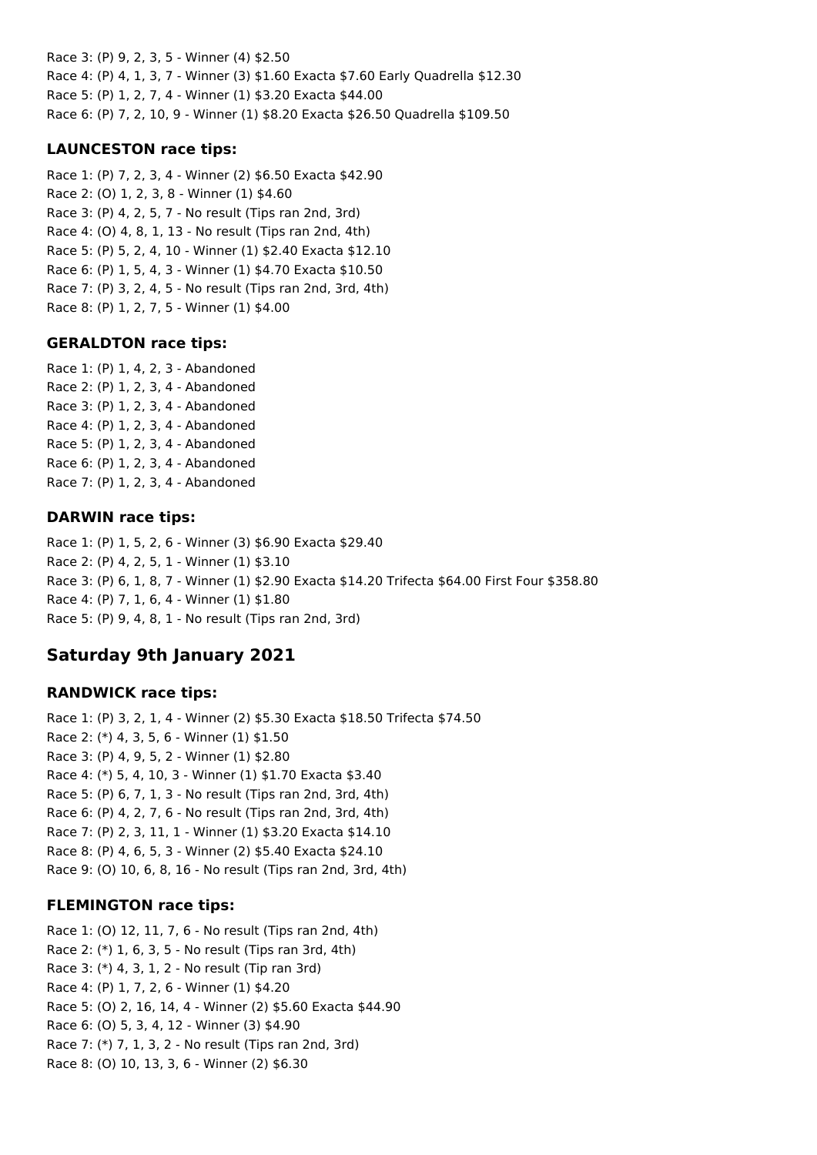Race 3: (P) 9, 2, 3, 5 - Winner (4) \$2.50 Race 4: (P) 4, 1, 3, 7 - Winner (3) \$1.60 Exacta \$7.60 Early Quadrella \$12.30 Race 5: (P) 1, 2, 7, 4 - Winner (1) \$3.20 Exacta \$44.00 Race 6: (P) 7, 2, 10, 9 - Winner (1) \$8.20 Exacta \$26.50 Quadrella \$109.50

## **LAUNCESTON race tips:**

Race 1: (P) 7, 2, 3, 4 - Winner (2) \$6.50 Exacta \$42.90 Race 2: (O) 1, 2, 3, 8 - Winner (1) \$4.60 Race 3: (P) 4, 2, 5, 7 - No result (Tips ran 2nd, 3rd) Race 4: (O) 4, 8, 1, 13 - No result (Tips ran 2nd, 4th) Race 5: (P) 5, 2, 4, 10 - Winner (1) \$2.40 Exacta \$12.10 Race 6: (P) 1, 5, 4, 3 - Winner (1) \$4.70 Exacta \$10.50 Race 7: (P) 3, 2, 4, 5 - No result (Tips ran 2nd, 3rd, 4th) Race 8: (P) 1, 2, 7, 5 - Winner (1) \$4.00

## **GERALDTON race tips:**

Race 1: (P) 1, 4, 2, 3 - Abandoned Race 2: (P) 1, 2, 3, 4 - Abandoned Race 3: (P) 1, 2, 3, 4 - Abandoned Race 4: (P) 1, 2, 3, 4 - Abandoned Race 5: (P) 1, 2, 3, 4 - Abandoned Race 6: (P) 1, 2, 3, 4 - Abandoned Race 7: (P) 1, 2, 3, 4 - Abandoned

## **DARWIN race tips:**

Race 1: (P) 1, 5, 2, 6 - Winner (3) \$6.90 Exacta \$29.40 Race 2: (P) 4, 2, 5, 1 - Winner (1) \$3.10 Race 3: (P) 6, 1, 8, 7 - Winner (1) \$2.90 Exacta \$14.20 Trifecta \$64.00 First Four \$358.80 Race 4: (P) 7, 1, 6, 4 - Winner (1) \$1.80 Race 5: (P) 9, 4, 8, 1 - No result (Tips ran 2nd, 3rd)

# **Saturday 9th January 2021**

## **RANDWICK race tips:**

Race 1: (P) 3, 2, 1, 4 - Winner (2) \$5.30 Exacta \$18.50 Trifecta \$74.50 Race 2: (\*) 4, 3, 5, 6 - Winner (1) \$1.50 Race 3: (P) 4, 9, 5, 2 - Winner (1) \$2.80 Race 4: (\*) 5, 4, 10, 3 - Winner (1) \$1.70 Exacta \$3.40 Race 5: (P) 6, 7, 1, 3 - No result (Tips ran 2nd, 3rd, 4th) Race 6: (P) 4, 2, 7, 6 - No result (Tips ran 2nd, 3rd, 4th) Race 7: (P) 2, 3, 11, 1 - Winner (1) \$3.20 Exacta \$14.10 Race 8: (P) 4, 6, 5, 3 - Winner (2) \$5.40 Exacta \$24.10 Race 9: (O) 10, 6, 8, 16 - No result (Tips ran 2nd, 3rd, 4th)

## **FLEMINGTON race tips:**

Race 1: (O) 12, 11, 7, 6 - No result (Tips ran 2nd, 4th) Race 2: (\*) 1, 6, 3, 5 - No result (Tips ran 3rd, 4th) Race 3: (\*) 4, 3, 1, 2 - No result (Tip ran 3rd) Race 4: (P) 1, 7, 2, 6 - Winner (1) \$4.20 Race 5: (O) 2, 16, 14, 4 - Winner (2) \$5.60 Exacta \$44.90 Race 6: (O) 5, 3, 4, 12 - Winner (3) \$4.90 Race 7: (\*) 7, 1, 3, 2 - No result (Tips ran 2nd, 3rd) Race 8: (O) 10, 13, 3, 6 - Winner (2) \$6.30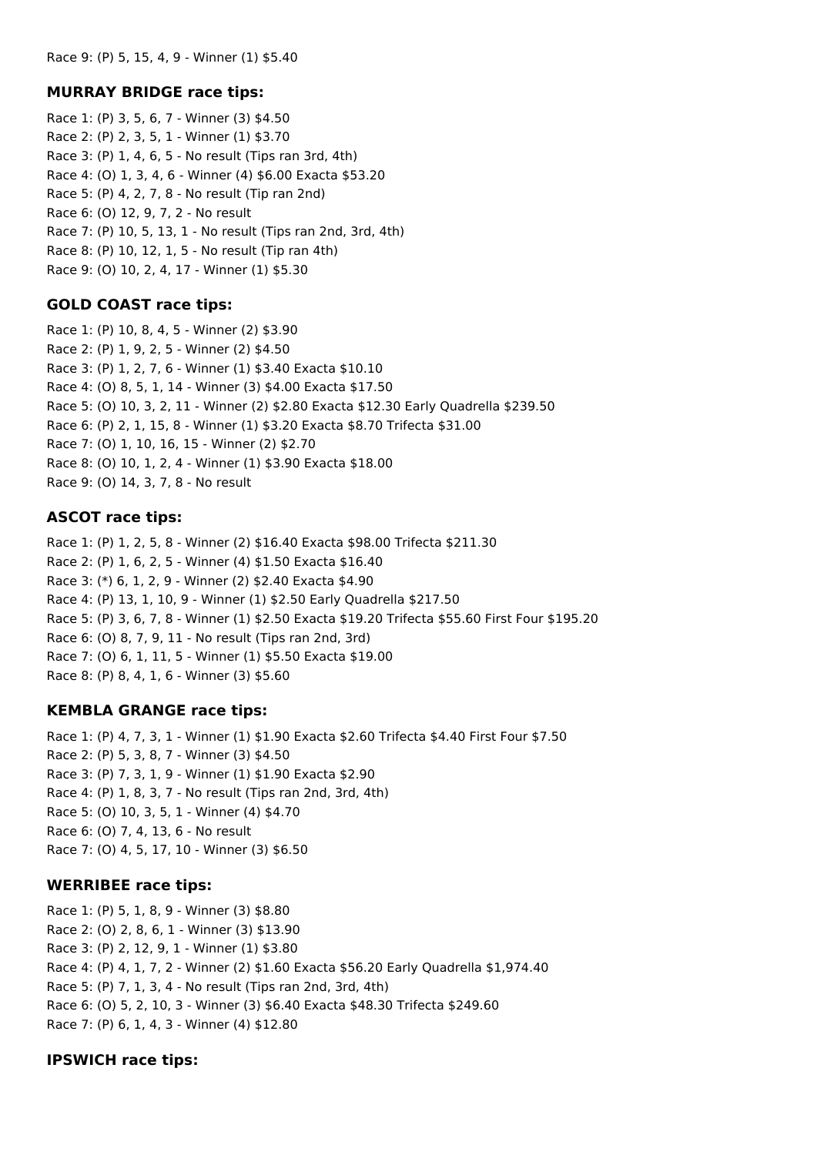#### **MURRAY BRIDGE race tips:**

Race 1: (P) 3, 5, 6, 7 - Winner (3) \$4.50 Race 2: (P) 2, 3, 5, 1 - Winner (1) \$3.70 Race 3: (P) 1, 4, 6, 5 - No result (Tips ran 3rd, 4th) Race 4: (O) 1, 3, 4, 6 - Winner (4) \$6.00 Exacta \$53.20 Race 5: (P) 4, 2, 7, 8 - No result (Tip ran 2nd) Race 6: (O) 12, 9, 7, 2 - No result Race 7: (P) 10, 5, 13, 1 - No result (Tips ran 2nd, 3rd, 4th) Race 8: (P) 10, 12, 1, 5 - No result (Tip ran 4th) Race 9: (O) 10, 2, 4, 17 - Winner (1) \$5.30

## **GOLD COAST race tips:**

Race 1: (P) 10, 8, 4, 5 - Winner (2) \$3.90 Race 2: (P) 1, 9, 2, 5 - Winner (2) \$4.50 Race 3: (P) 1, 2, 7, 6 - Winner (1) \$3.40 Exacta \$10.10 Race 4: (O) 8, 5, 1, 14 - Winner (3) \$4.00 Exacta \$17.50 Race 5: (O) 10, 3, 2, 11 - Winner (2) \$2.80 Exacta \$12.30 Early Quadrella \$239.50 Race 6: (P) 2, 1, 15, 8 - Winner (1) \$3.20 Exacta \$8.70 Trifecta \$31.00 Race 7: (O) 1, 10, 16, 15 - Winner (2) \$2.70 Race 8: (O) 10, 1, 2, 4 - Winner (1) \$3.90 Exacta \$18.00 Race 9: (O) 14, 3, 7, 8 - No result

## **ASCOT race tips:**

Race 1: (P) 1, 2, 5, 8 - Winner (2) \$16.40 Exacta \$98.00 Trifecta \$211.30 Race 2: (P) 1, 6, 2, 5 - Winner (4) \$1.50 Exacta \$16.40 Race 3: (\*) 6, 1, 2, 9 - Winner (2) \$2.40 Exacta \$4.90 Race 4: (P) 13, 1, 10, 9 - Winner (1) \$2.50 Early Quadrella \$217.50 Race 5: (P) 3, 6, 7, 8 - Winner (1) \$2.50 Exacta \$19.20 Trifecta \$55.60 First Four \$195.20 Race 6: (O) 8, 7, 9, 11 - No result (Tips ran 2nd, 3rd) Race 7: (O) 6, 1, 11, 5 - Winner (1) \$5.50 Exacta \$19.00 Race 8: (P) 8, 4, 1, 6 - Winner (3) \$5.60

## **KEMBLA GRANGE race tips:**

Race 1: (P) 4, 7, 3, 1 - Winner (1) \$1.90 Exacta \$2.60 Trifecta \$4.40 First Four \$7.50 Race 2: (P) 5, 3, 8, 7 - Winner (3) \$4.50 Race 3: (P) 7, 3, 1, 9 - Winner (1) \$1.90 Exacta \$2.90 Race 4: (P) 1, 8, 3, 7 - No result (Tips ran 2nd, 3rd, 4th) Race 5: (O) 10, 3, 5, 1 - Winner (4) \$4.70 Race 6: (O) 7, 4, 13, 6 - No result Race 7: (O) 4, 5, 17, 10 - Winner (3) \$6.50

#### **WERRIBEE race tips:**

Race 1: (P) 5, 1, 8, 9 - Winner (3) \$8.80 Race 2: (O) 2, 8, 6, 1 - Winner (3) \$13.90 Race 3: (P) 2, 12, 9, 1 - Winner (1) \$3.80 Race 4: (P) 4, 1, 7, 2 - Winner (2) \$1.60 Exacta \$56.20 Early Quadrella \$1,974.40 Race 5: (P) 7, 1, 3, 4 - No result (Tips ran 2nd, 3rd, 4th) Race 6: (O) 5, 2, 10, 3 - Winner (3) \$6.40 Exacta \$48.30 Trifecta \$249.60 Race 7: (P) 6, 1, 4, 3 - Winner (4) \$12.80

## **IPSWICH race tips:**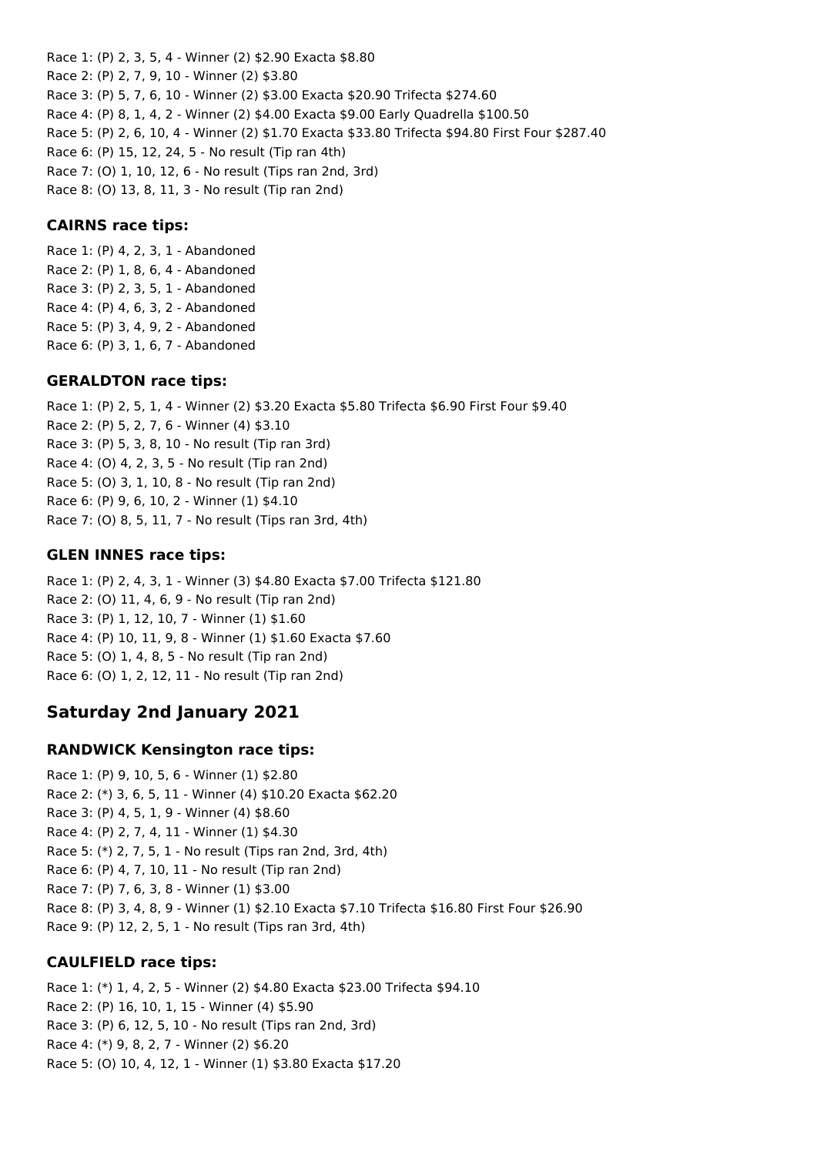Race 1: (P) 2, 3, 5, 4 - Winner (2) \$2.90 Exacta \$8.80 Race 2: (P) 2, 7, 9, 10 - Winner (2) \$3.80 Race 3: (P) 5, 7, 6, 10 - Winner (2) \$3.00 Exacta \$20.90 Trifecta \$274.60 Race 4: (P) 8, 1, 4, 2 - Winner (2) \$4.00 Exacta \$9.00 Early Quadrella \$100.50 Race 5: (P) 2, 6, 10, 4 - Winner (2) \$1.70 Exacta \$33.80 Trifecta \$94.80 First Four \$287.40 Race 6: (P) 15, 12, 24, 5 - No result (Tip ran 4th) Race 7: (O) 1, 10, 12, 6 - No result (Tips ran 2nd, 3rd)

Race 8: (O) 13, 8, 11, 3 - No result (Tip ran 2nd)

#### **CAIRNS race tips:**

Race 1: (P) 4, 2, 3, 1 - Abandoned Race 2: (P) 1, 8, 6, 4 - Abandoned Race 3: (P) 2, 3, 5, 1 - Abandoned Race 4: (P) 4, 6, 3, 2 - Abandoned Race 5: (P) 3, 4, 9, 2 - Abandoned Race 6: (P) 3, 1, 6, 7 - Abandoned

#### **GERALDTON race tips:**

Race 1: (P) 2, 5, 1, 4 - Winner (2) \$3.20 Exacta \$5.80 Trifecta \$6.90 First Four \$9.40 Race 2: (P) 5, 2, 7, 6 - Winner (4) \$3.10 Race 3: (P) 5, 3, 8, 10 - No result (Tip ran 3rd) Race 4: (O) 4, 2, 3, 5 - No result (Tip ran 2nd) Race 5: (O) 3, 1, 10, 8 - No result (Tip ran 2nd) Race 6: (P) 9, 6, 10, 2 - Winner (1) \$4.10 Race 7: (O) 8, 5, 11, 7 - No result (Tips ran 3rd, 4th)

## **GLEN INNES race tips:**

Race 1: (P) 2, 4, 3, 1 - Winner (3) \$4.80 Exacta \$7.00 Trifecta \$121.80 Race 2: (O) 11, 4, 6, 9 - No result (Tip ran 2nd) Race 3: (P) 1, 12, 10, 7 - Winner (1) \$1.60 Race 4: (P) 10, 11, 9, 8 - Winner (1) \$1.60 Exacta \$7.60 Race 5: (O) 1, 4, 8, 5 - No result (Tip ran 2nd) Race 6: (O) 1, 2, 12, 11 - No result (Tip ran 2nd)

## **Saturday 2nd January 2021**

#### **RANDWICK Kensington race tips:**

Race 1: (P) 9, 10, 5, 6 - Winner (1) \$2.80 Race 2: (\*) 3, 6, 5, 11 - Winner (4) \$10.20 Exacta \$62.20 Race 3: (P) 4, 5, 1, 9 - Winner (4) \$8.60 Race 4: (P) 2, 7, 4, 11 - Winner (1) \$4.30 Race 5: (\*) 2, 7, 5, 1 - No result (Tips ran 2nd, 3rd, 4th) Race 6: (P) 4, 7, 10, 11 - No result (Tip ran 2nd) Race 7: (P) 7, 6, 3, 8 - Winner (1) \$3.00 Race 8: (P) 3, 4, 8, 9 - Winner (1) \$2.10 Exacta \$7.10 Trifecta \$16.80 First Four \$26.90 Race 9: (P) 12, 2, 5, 1 - No result (Tips ran 3rd, 4th)

#### **CAULFIELD race tips:**

Race 1: (\*) 1, 4, 2, 5 - Winner (2) \$4.80 Exacta \$23.00 Trifecta \$94.10 Race 2: (P) 16, 10, 1, 15 - Winner (4) \$5.90 Race 3: (P) 6, 12, 5, 10 - No result (Tips ran 2nd, 3rd) Race 4: (\*) 9, 8, 2, 7 - Winner (2) \$6.20 Race 5: (O) 10, 4, 12, 1 - Winner (1) \$3.80 Exacta \$17.20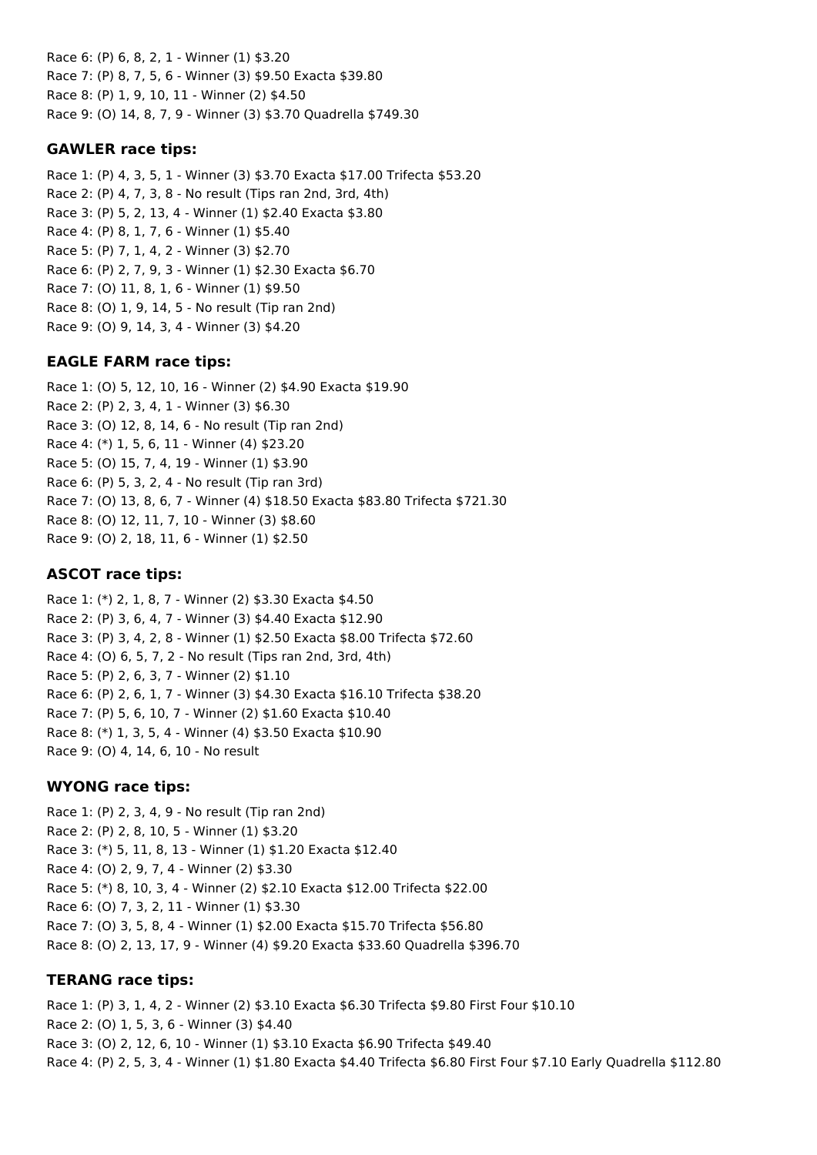Race 6: (P) 6, 8, 2, 1 - Winner (1) \$3.20 Race 7: (P) 8, 7, 5, 6 - Winner (3) \$9.50 Exacta \$39.80 Race 8: (P) 1, 9, 10, 11 - Winner (2) \$4.50 Race 9: (O) 14, 8, 7, 9 - Winner (3) \$3.70 Quadrella \$749.30

## **GAWLER race tips:**

Race 1: (P) 4, 3, 5, 1 - Winner (3) \$3.70 Exacta \$17.00 Trifecta \$53.20 Race 2: (P) 4, 7, 3, 8 - No result (Tips ran 2nd, 3rd, 4th) Race 3: (P) 5, 2, 13, 4 - Winner (1) \$2.40 Exacta \$3.80 Race 4: (P) 8, 1, 7, 6 - Winner (1) \$5.40 Race 5: (P) 7, 1, 4, 2 - Winner (3) \$2.70 Race 6: (P) 2, 7, 9, 3 - Winner (1) \$2.30 Exacta \$6.70 Race 7: (O) 11, 8, 1, 6 - Winner (1) \$9.50 Race 8: (O) 1, 9, 14, 5 - No result (Tip ran 2nd) Race 9: (O) 9, 14, 3, 4 - Winner (3) \$4.20

## **EAGLE FARM race tips:**

Race 1: (O) 5, 12, 10, 16 - Winner (2) \$4.90 Exacta \$19.90 Race 2: (P) 2, 3, 4, 1 - Winner (3) \$6.30 Race 3: (O) 12, 8, 14, 6 - No result (Tip ran 2nd) Race 4: (\*) 1, 5, 6, 11 - Winner (4) \$23.20 Race 5: (O) 15, 7, 4, 19 - Winner (1) \$3.90 Race 6: (P) 5, 3, 2, 4 - No result (Tip ran 3rd) Race 7: (O) 13, 8, 6, 7 - Winner (4) \$18.50 Exacta \$83.80 Trifecta \$721.30 Race 8: (O) 12, 11, 7, 10 - Winner (3) \$8.60 Race 9: (O) 2, 18, 11, 6 - Winner (1) \$2.50

## **ASCOT race tips:**

Race 1: (\*) 2, 1, 8, 7 - Winner (2) \$3.30 Exacta \$4.50 Race 2: (P) 3, 6, 4, 7 - Winner (3) \$4.40 Exacta \$12.90 Race 3: (P) 3, 4, 2, 8 - Winner (1) \$2.50 Exacta \$8.00 Trifecta \$72.60 Race 4: (O) 6, 5, 7, 2 - No result (Tips ran 2nd, 3rd, 4th) Race 5: (P) 2, 6, 3, 7 - Winner (2) \$1.10 Race 6: (P) 2, 6, 1, 7 - Winner (3) \$4.30 Exacta \$16.10 Trifecta \$38.20 Race 7: (P) 5, 6, 10, 7 - Winner (2) \$1.60 Exacta \$10.40 Race 8: (\*) 1, 3, 5, 4 - Winner (4) \$3.50 Exacta \$10.90 Race 9: (O) 4, 14, 6, 10 - No result

## **WYONG race tips:**

Race 1: (P) 2, 3, 4, 9 - No result (Tip ran 2nd) Race 2: (P) 2, 8, 10, 5 - Winner (1) \$3.20 Race 3: (\*) 5, 11, 8, 13 - Winner (1) \$1.20 Exacta \$12.40 Race 4: (O) 2, 9, 7, 4 - Winner (2) \$3.30 Race 5: (\*) 8, 10, 3, 4 - Winner (2) \$2.10 Exacta \$12.00 Trifecta \$22.00 Race 6: (O) 7, 3, 2, 11 - Winner (1) \$3.30 Race 7: (O) 3, 5, 8, 4 - Winner (1) \$2.00 Exacta \$15.70 Trifecta \$56.80 Race 8: (O) 2, 13, 17, 9 - Winner (4) \$9.20 Exacta \$33.60 Quadrella \$396.70

## **TERANG race tips:**

Race 1: (P) 3, 1, 4, 2 - Winner (2) \$3.10 Exacta \$6.30 Trifecta \$9.80 First Four \$10.10 Race 2: (O) 1, 5, 3, 6 - Winner (3) \$4.40 Race 3: (O) 2, 12, 6, 10 - Winner (1) \$3.10 Exacta \$6.90 Trifecta \$49.40 Race 4: (P) 2, 5, 3, 4 - Winner (1) \$1.80 Exacta \$4.40 Trifecta \$6.80 First Four \$7.10 Early Quadrella \$112.80